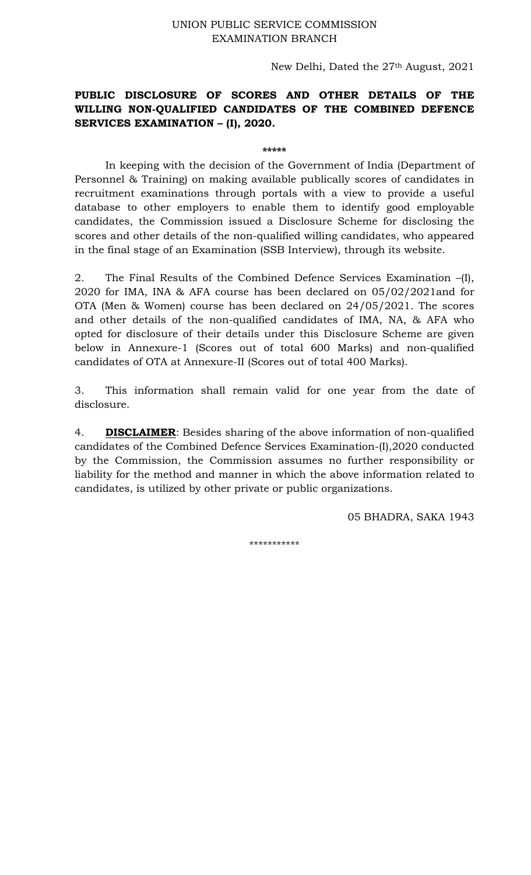## UNION PUBLIC SERVICE COMMISSION EXAMINATION BRANCH

New Delhi, Dated the 27th August, 2021

## **PUBLIC DISCLOSURE OF SCORES AND OTHER DETAILS OF THE WILLING NON-QUALIFIED CANDIDATES OF THE COMBINED DEFENCE SERVICES EXAMINATION – (I), 2020.**

**\*\*\*\*\*** 

In keeping with the decision of the Government of India (Department of Personnel & Training) on making available publically scores of candidates in recruitment examinations through portals with a view to provide a useful database to other employers to enable them to identify good employable candidates, the Commission issued a Disclosure Scheme for disclosing the scores and other details of the non-qualified willing candidates, who appeared in the final stage of an Examination (SSB Interview), through its website.

2. The Final Results of the Combined Defence Services Examination –(I), 2020 for IMA, INA & AFA course has been declared on 05/02/2021and for OTA (Men & Women) course has been declared on 24/05/2021. The scores and other details of the non-qualified candidates of IMA, NA, & AFA who opted for disclosure of their details under this Disclosure Scheme are given below in Annexure-1 (Scores out of total 600 Marks) and non-qualified candidates of OTA at Annexure-II (Scores out of total 400 Marks).

3. This information shall remain valid for one year from the date of disclosure.

4. **DISCLAIMER**: Besides sharing of the above information of non-qualified candidates of the Combined Defence Services Examination-(I),2020 conducted by the Commission, the Commission assumes no further responsibility or liability for the method and manner in which the above information related to candidates, is utilized by other private or public organizations.

05 BHADRA, SAKA 1943

\*\*\*\*\*\*\*\*\*\*\*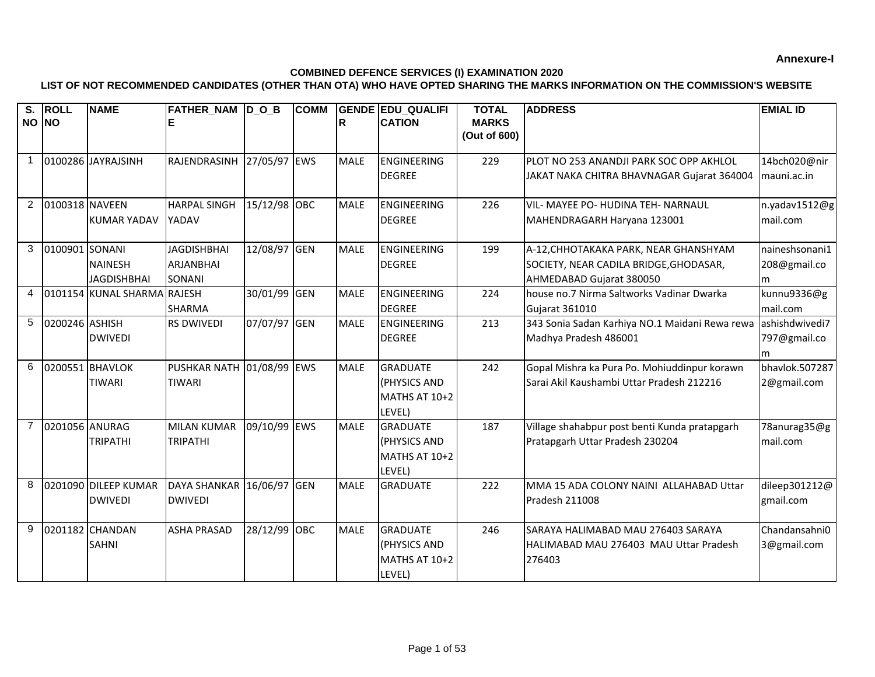## **COMBINED DEFENCE SERVICES (I) EXAMINATION 2020**

## **LIST OF NOT RECOMMENDED CANDIDATES (OTHER THAN OTA) WHO HAVE OPTED SHARING THE MARKS INFORMATION ON THE COMMISSION'S WEBSITE**

| $\overline{\mathbf{s}}$ . | <b>ROLL</b>    | <b>NAME</b>                 | FATHER NAM DOB      |              | <b>COMM</b> |             | <b>GENDE EDU QUALIFI</b>  | <b>TOTAL</b>                 | <b>ADDRESS</b>                                 | <b>EMIAL ID</b> |
|---------------------------|----------------|-----------------------------|---------------------|--------------|-------------|-------------|---------------------------|------------------------------|------------------------------------------------|-----------------|
| NO NO                     |                |                             |                     |              |             | R           | <b>CATION</b>             | <b>MARKS</b><br>(Out of 600) |                                                |                 |
|                           |                |                             |                     |              |             |             |                           |                              |                                                |                 |
| $\mathbf 1$               |                | 0100286 JAYRAJSINH          | RAJENDRASINH        | 27/05/97 EWS |             | <b>MALE</b> | <b>ENGINEERING</b>        | 229                          | PLOT NO 253 ANANDJI PARK SOC OPP AKHLOL        | 14bch020@nir    |
|                           |                |                             |                     |              |             |             | <b>DEGREE</b>             |                              | JAKAT NAKA CHITRA BHAVNAGAR Gujarat 364004     | mauni.ac.in     |
|                           |                |                             |                     |              |             |             |                           |                              |                                                |                 |
| $\overline{2}$            | 0100318 NAVEEN |                             | <b>HARPAL SINGH</b> | 15/12/98 OBC |             | <b>MALE</b> | <b>ENGINEERING</b>        | 226                          | VIL- MAYEE PO- HUDINA TEH- NARNAUL             | n.yadav1512@g   |
|                           |                | <b>KUMAR YADAV</b>          | <b>YADAV</b>        |              |             |             | <b>DEGREE</b>             |                              | MAHENDRAGARH Haryana 123001                    | mail.com        |
| 3                         | 0100901 SONANI |                             | <b>JAGDISHBHAI</b>  | 12/08/97 GEN |             | <b>MALE</b> | <b>ENGINEERING</b>        | 199                          | A-12, CHHOTAKAKA PARK, NEAR GHANSHYAM          | naineshsonani1  |
|                           |                | <b>NAINESH</b>              | <b>ARJANBHAI</b>    |              |             |             | <b>DEGREE</b>             |                              | SOCIETY, NEAR CADILA BRIDGE, GHODASAR,         | 208@gmail.co    |
|                           |                | <b>JAGDISHBHAI</b>          | SONANI              |              |             |             |                           |                              | AHMEDABAD Gujarat 380050                       | m               |
| $\overline{4}$            |                | 0101154 KUNAL SHARMA RAJESH |                     | 30/01/99 GEN |             | <b>MALE</b> | <b>ENGINEERING</b>        | 224                          | house no.7 Nirma Saltworks Vadinar Dwarka      | kunnu9336@g     |
|                           |                |                             | <b>SHARMA</b>       |              |             |             | <b>DEGREE</b>             |                              | <b>Gujarat 361010</b>                          | mail.com        |
| 5                         | 0200246 ASHISH |                             | <b>RS DWIVEDI</b>   | 07/07/97 GEN |             | <b>MALE</b> | <b>ENGINEERING</b>        | 213                          | 343 Sonia Sadan Karhiya NO.1 Maidani Rewa rewa | ashishdwivedi7  |
|                           |                | <b>DWIVEDI</b>              |                     |              |             |             | <b>DEGREE</b>             |                              | Madhya Pradesh 486001                          | 797@gmail.co    |
|                           |                |                             |                     |              |             |             |                           |                              |                                                | m               |
| 6                         |                | 0200551 BHAVLOK             | <b>PUSHKAR NATH</b> | 01/08/99 EWS |             | <b>MALE</b> | <b>GRADUATE</b>           | 242                          | Gopal Mishra ka Pura Po. Mohiuddinpur korawn   | bhavlok.507287  |
|                           |                | <b>TIWARI</b>               | <b>TIWARI</b>       |              |             |             | (PHYSICS AND              |                              | Sarai Akil Kaushambi Uttar Pradesh 212216      | 2@gmail.com     |
|                           |                |                             |                     |              |             |             | MATHS AT 10+2             |                              |                                                |                 |
| $\overline{7}$            | 0201056 ANURAG |                             | <b>MILAN KUMAR</b>  | 09/10/99 EWS |             | <b>MALE</b> | LEVEL)<br><b>GRADUATE</b> | 187                          | Village shahabpur post benti Kunda pratapgarh  | 78anurag35@g    |
|                           |                | <b>TRIPATHI</b>             | <b>TRIPATHI</b>     |              |             |             | (PHYSICS AND              |                              | Pratapgarh Uttar Pradesh 230204                | mail.com        |
|                           |                |                             |                     |              |             |             | MATHS AT 10+2             |                              |                                                |                 |
|                           |                |                             |                     |              |             |             | LEVEL)                    |                              |                                                |                 |
| 8                         |                | 0201090 DILEEP KUMAR        | <b>DAYA SHANKAR</b> | 16/06/97 GEN |             | <b>MALE</b> | <b>GRADUATE</b>           | 222                          | MMA 15 ADA COLONY NAINI ALLAHABAD Uttar        | dileep301212@   |
|                           |                | <b>DWIVEDI</b>              | <b>DWIVEDI</b>      |              |             |             |                           |                              | Pradesh 211008                                 | gmail.com       |
|                           |                |                             |                     |              |             |             |                           |                              |                                                |                 |
| 9                         |                | 0201182 CHANDAN             | <b>ASHA PRASAD</b>  | 28/12/99 OBC |             | <b>MALE</b> | <b>GRADUATE</b>           | 246                          | SARAYA HALIMABAD MAU 276403 SARAYA             | Chandansahni0   |
|                           |                | <b>SAHNI</b>                |                     |              |             |             | (PHYSICS AND              |                              | HALIMABAD MAU 276403 MAU Uttar Pradesh         | 3@gmail.com     |
|                           |                |                             |                     |              |             |             | MATHS AT 10+2             |                              | 276403                                         |                 |
|                           |                |                             |                     |              |             |             | LEVEL)                    |                              |                                                |                 |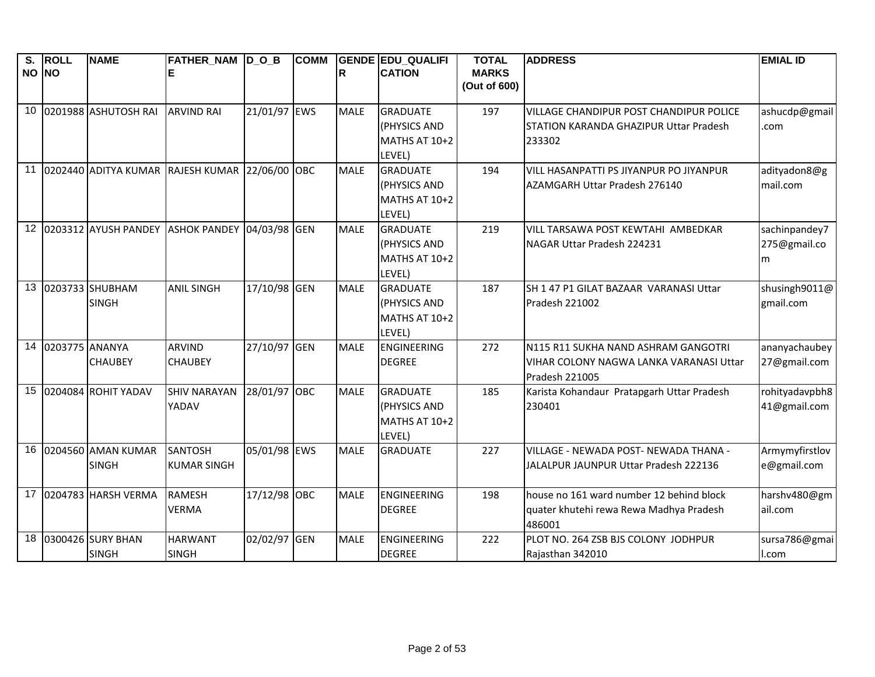| S.    | <b>ROLL</b>    | <b>NAME</b>             | FATHER_NAM D_O_B                               |              | <b>COMM</b> |             | <b>GENDE EDU QUALIFI</b>      | <b>TOTAL</b> | <b>ADDRESS</b>                                | <b>EMIAL ID</b> |
|-------|----------------|-------------------------|------------------------------------------------|--------------|-------------|-------------|-------------------------------|--------------|-----------------------------------------------|-----------------|
| NO NO |                |                         |                                                |              |             | R           | <b>CATION</b>                 | <b>MARKS</b> |                                               |                 |
|       |                |                         |                                                |              |             |             |                               | (Out of 600) |                                               |                 |
| 10    |                | 0201988 ASHUTOSH RAI    | <b>ARVIND RAI</b>                              | 21/01/97 EWS |             | <b>MALE</b> | <b>GRADUATE</b>               | 197          | VILLAGE CHANDIPUR POST CHANDIPUR POLICE       | ashucdp@gmail   |
|       |                |                         |                                                |              |             |             | (PHYSICS AND                  |              | <b>STATION KARANDA GHAZIPUR Uttar Pradesh</b> | .com            |
|       |                |                         |                                                |              |             |             | MATHS AT 10+2                 |              | 233302                                        |                 |
|       |                |                         |                                                |              |             |             | LEVEL)                        |              |                                               |                 |
| 11    |                |                         | 0202440 ADITYA KUMAR RAJESH KUMAR 22/06/00 OBC |              |             | <b>MALE</b> | <b>GRADUATE</b>               | 194          | VILL HASANPATTI PS JIYANPUR PO JIYANPUR       | adityadon8@g    |
|       |                |                         |                                                |              |             |             | (PHYSICS AND                  |              | AZAMGARH Uttar Pradesh 276140                 | mail.com        |
|       |                |                         |                                                |              |             |             | MATHS AT 10+2                 |              |                                               |                 |
|       |                |                         |                                                |              |             |             | LEVEL)                        |              |                                               |                 |
|       |                | 12 0203312 AYUSH PANDEY | ASHOK PANDEY 04/03/98 GEN                      |              |             | <b>MALE</b> | <b>GRADUATE</b>               | 219          | VILL TARSAWA POST KEWTAHI AMBEDKAR            | sachinpandey7   |
|       |                |                         |                                                |              |             |             | (PHYSICS AND                  |              | NAGAR Uttar Pradesh 224231                    | 275@gmail.co    |
|       |                |                         |                                                |              |             |             | MATHS AT 10+2                 |              |                                               | m               |
|       |                |                         |                                                |              |             |             | LEVEL)                        |              |                                               |                 |
| 13    |                | 0203733 SHUBHAM         | <b>ANIL SINGH</b>                              | 17/10/98 GEN |             | <b>MALE</b> | <b>GRADUATE</b>               | 187          | SH 1 47 P1 GILAT BAZAAR VARANASI Uttar        | shusingh9011@   |
|       |                | <b>SINGH</b>            |                                                |              |             |             | (PHYSICS AND                  |              | Pradesh 221002                                | gmail.com       |
|       |                |                         |                                                |              |             |             | MATHS AT 10+2                 |              |                                               |                 |
|       |                |                         |                                                |              |             |             | LEVEL)                        |              |                                               |                 |
| 14    | 0203775 ANANYA |                         | <b>ARVIND</b>                                  | 27/10/97 GEN |             | <b>MALE</b> | ENGINEERING                   | 272          | N115 R11 SUKHA NAND ASHRAM GANGOTRI           | ananyachaubey   |
|       |                | <b>CHAUBEY</b>          | <b>CHAUBEY</b>                                 |              |             |             | <b>DEGREE</b>                 |              | VIHAR COLONY NAGWA LANKA VARANASI Uttar       | 27@gmail.com    |
| 15    |                | 0204084 ROHIT YADAV     | <b>SHIV NARAYAN</b>                            | 28/01/97 OBC |             | <b>MALE</b> | <b>GRADUATE</b>               |              | Pradesh 221005                                | rohityadavpbh8  |
|       |                |                         |                                                |              |             |             |                               | 185          | Karista Kohandaur Pratapgarh Uttar Pradesh    |                 |
|       |                |                         | YADAV                                          |              |             |             | (PHYSICS AND<br>MATHS AT 10+2 |              | 230401                                        | 41@gmail.com    |
|       |                |                         |                                                |              |             |             | LEVEL)                        |              |                                               |                 |
| 16    |                | 0204560 AMAN KUMAR      | <b>SANTOSH</b>                                 | 05/01/98 EWS |             | <b>MALE</b> | <b>GRADUATE</b>               | 227          | VILLAGE - NEWADA POST- NEWADA THANA -         | Armymyfirstlov  |
|       |                | <b>SINGH</b>            | <b>KUMAR SINGH</b>                             |              |             |             |                               |              | JALALPUR JAUNPUR Uttar Pradesh 222136         | e@gmail.com     |
|       |                |                         |                                                |              |             |             |                               |              |                                               |                 |
|       |                | 17 0204783 HARSH VERMA  | <b>RAMESH</b>                                  | 17/12/98 OBC |             | <b>MALE</b> | ENGINEERING                   | 198          | house no 161 ward number 12 behind block      | harshv480@gm    |
|       |                |                         | <b>VERMA</b>                                   |              |             |             | <b>DEGREE</b>                 |              | quater khutehi rewa Rewa Madhya Pradesh       | ail.com         |
|       |                |                         |                                                |              |             |             |                               |              | 486001                                        |                 |
| 18    |                | 0300426 SURY BHAN       | <b>HARWANT</b>                                 | 02/02/97 GEN |             | <b>MALE</b> | ENGINEERING                   | 222          | PLOT NO. 264 ZSB BJS COLONY JODHPUR           | sursa786@gmai   |
|       |                | <b>SINGH</b>            | <b>SINGH</b>                                   |              |             |             | <b>DEGREE</b>                 |              | Rajasthan 342010                              | l.com           |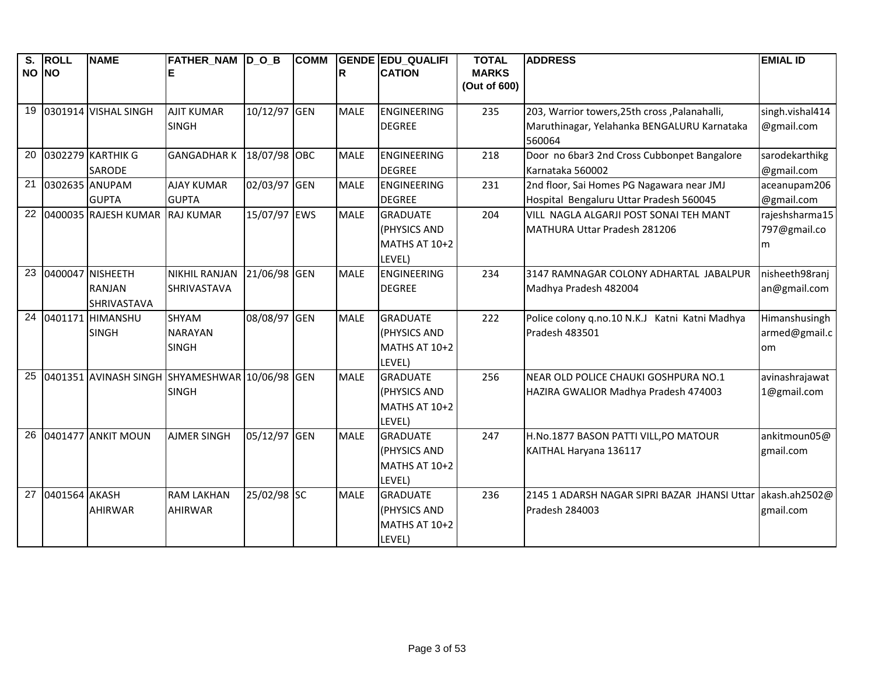| S.    | <b>ROLL</b>   | <b>NAME</b>          | FATHER_NAM  D_O_B                              |              | <b>COMM</b> |             | <b>GENDE EDU_QUALIFI</b> | <b>TOTAL</b> | <b>ADDRESS</b>                                 | <b>EMIAL ID</b> |
|-------|---------------|----------------------|------------------------------------------------|--------------|-------------|-------------|--------------------------|--------------|------------------------------------------------|-----------------|
| NO NO |               |                      |                                                |              |             | lR.         | <b>CATION</b>            | <b>MARKS</b> |                                                |                 |
|       |               |                      |                                                |              |             |             |                          | (Out of 600) |                                                |                 |
| 19    |               | 0301914 VISHAL SINGH | <b>AJIT KUMAR</b>                              | 10/12/97 GEN |             | <b>MALE</b> | <b>ENGINEERING</b>       | 235          | 203, Warrior towers, 25th cross, Palanahalli,  | singh.vishal414 |
|       |               |                      | <b>SINGH</b>                                   |              |             |             | <b>DEGREE</b>            |              | Maruthinagar, Yelahanka BENGALURU Karnataka    | @gmail.com      |
|       |               |                      |                                                |              |             |             |                          |              | 560064                                         |                 |
| 20    |               | 0302279 KARTHIK G    | <b>GANGADHARK</b>                              | 18/07/98 OBC |             | <b>MALE</b> | <b>ENGINEERING</b>       | 218          | Door no 6bar3 2nd Cross Cubbonpet Bangalore    | sarodekarthikg  |
|       |               | SARODE               |                                                |              |             |             | <b>DEGREE</b>            |              | Karnataka 560002                               | @gmail.com      |
| 21    |               | 0302635 ANUPAM       | <b>AJAY KUMAR</b>                              | 02/03/97 GEN |             | <b>MALE</b> | <b>ENGINEERING</b>       | 231          | 2nd floor, Sai Homes PG Nagawara near JMJ      | aceanupam206    |
|       |               | <b>GUPTA</b>         | <b>GUPTA</b>                                   |              |             |             | <b>DEGREE</b>            |              | Hospital Bengaluru Uttar Pradesh 560045        | @gmail.com      |
| 22    |               | 0400035 RAJESH KUMAR | <b>RAJ KUMAR</b>                               | 15/07/97 EWS |             | <b>MALE</b> | <b>GRADUATE</b>          | 204          | VILL NAGLA ALGARJI POST SONAI TEH MANT         | rajeshsharma15  |
|       |               |                      |                                                |              |             |             | (PHYSICS AND             |              | MATHURA Uttar Pradesh 281206                   | 797@gmail.co    |
|       |               |                      |                                                |              |             |             | MATHS AT 10+2            |              |                                                | m               |
|       |               |                      |                                                |              |             |             | LEVEL)                   |              |                                                |                 |
| 23    |               | 0400047 NISHEETH     | <b>NIKHIL RANJAN</b>                           | 21/06/98 GEN |             | <b>MALE</b> | <b>ENGINEERING</b>       | 234          | 3147 RAMNAGAR COLONY ADHARTAL JABALPUR         | nisheeth98ranj  |
|       |               | <b>RANJAN</b>        | <b>SHRIVASTAVA</b>                             |              |             |             | <b>DEGREE</b>            |              | Madhya Pradesh 482004                          | an@gmail.com    |
|       |               | SHRIVASTAVA          |                                                |              |             |             |                          |              |                                                |                 |
| 24    |               | 0401171 HIMANSHU     | SHYAM                                          | 08/08/97 GEN |             | <b>MALE</b> | <b>GRADUATE</b>          | 222          | Police colony q.no.10 N.K.J Katni Katni Madhya | Himanshusingh   |
|       |               | <b>SINGH</b>         | <b>NARAYAN</b>                                 |              |             |             | (PHYSICS AND             |              | Pradesh 483501                                 | armed@gmail.c   |
|       |               |                      | <b>SINGH</b>                                   |              |             |             | MATHS AT 10+2            |              |                                                | om              |
|       |               |                      |                                                |              |             |             | LEVEL)                   |              |                                                |                 |
| 25    |               |                      | 0401351 AVINASH SINGH SHYAMESHWAR 10/06/98 GEN |              |             | <b>MALE</b> | <b>GRADUATE</b>          | 256          | NEAR OLD POLICE CHAUKI GOSHPURA NO.1           | avinashrajawat  |
|       |               |                      | <b>SINGH</b>                                   |              |             |             | (PHYSICS AND             |              | HAZIRA GWALIOR Madhya Pradesh 474003           | 1@gmail.com     |
|       |               |                      |                                                |              |             |             | MATHS AT 10+2            |              |                                                |                 |
|       |               |                      |                                                |              |             |             | LEVEL)                   |              |                                                |                 |
| 26    |               | 0401477 ANKIT MOUN   | <b>AJMER SINGH</b>                             | 05/12/97 GEN |             | <b>MALE</b> | <b>GRADUATE</b>          | 247          | H.No.1877 BASON PATTI VILL, PO MATOUR          | ankitmoun05@    |
|       |               |                      |                                                |              |             |             | (PHYSICS AND             |              | KAITHAL Haryana 136117                         | gmail.com       |
|       |               |                      |                                                |              |             |             | MATHS AT 10+2            |              |                                                |                 |
|       |               |                      |                                                |              |             |             | LEVEL)                   |              |                                                |                 |
| 27    | 0401564 AKASH |                      | <b>RAM LAKHAN</b>                              | 25/02/98 SC  |             | <b>MALE</b> | <b>GRADUATE</b>          | 236          | 2145 1 ADARSH NAGAR SIPRI BAZAR JHANSI Uttar   | akash.ah2502@   |
|       |               | <b>AHIRWAR</b>       | <b>AHIRWAR</b>                                 |              |             |             | (PHYSICS AND             |              | Pradesh 284003                                 | gmail.com       |
|       |               |                      |                                                |              |             |             | MATHS AT 10+2            |              |                                                |                 |
|       |               |                      |                                                |              |             |             | LEVEL)                   |              |                                                |                 |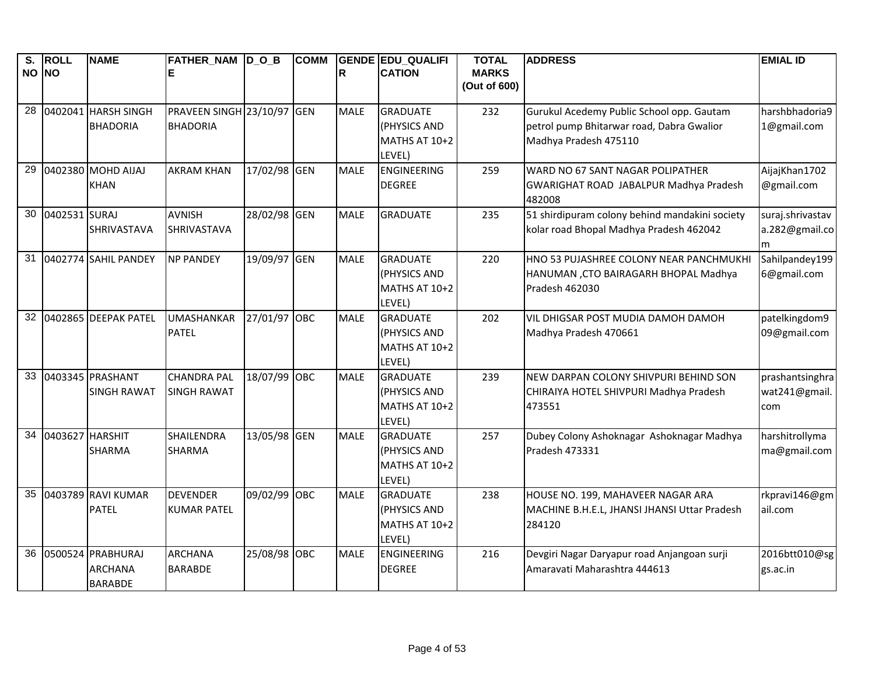| $\overline{\mathsf{s}}$ .<br>NO NO | <b>ROLL</b>     | <b>NAME</b>                                           | <b>FATHER NAM DOB</b><br>Е                    |              | <b>COMM</b> | R           | <b>GENDE EDU QUALIFI</b><br><b>CATION</b>                  | <b>TOTAL</b><br><b>MARKS</b><br>(Out of 600) | <b>ADDRESS</b>                                                                                                  | <b>EMIAL ID</b>                         |
|------------------------------------|-----------------|-------------------------------------------------------|-----------------------------------------------|--------------|-------------|-------------|------------------------------------------------------------|----------------------------------------------|-----------------------------------------------------------------------------------------------------------------|-----------------------------------------|
| 28                                 |                 | 0402041 HARSH SINGH<br><b>BHADORIA</b>                | PRAVEEN SINGH 23/10/97 GEN<br><b>BHADORIA</b> |              |             | <b>MALE</b> | <b>GRADUATE</b><br>(PHYSICS AND<br>MATHS AT 10+2<br>LEVEL) | 232                                          | Gurukul Acedemy Public School opp. Gautam<br>petrol pump Bhitarwar road, Dabra Gwalior<br>Madhya Pradesh 475110 | harshbhadoria9<br>1@gmail.com           |
| 29                                 |                 | 0402380 MOHD AIJAJ<br><b>KHAN</b>                     | <b>AKRAM KHAN</b>                             | 17/02/98 GEN |             | <b>MALE</b> | <b>ENGINEERING</b><br><b>DEGREE</b>                        | 259                                          | WARD NO 67 SANT NAGAR POLIPATHER<br>GWARIGHAT ROAD JABALPUR Madhya Pradesh<br>482008                            | AijajKhan1702<br>@gmail.com             |
| 30                                 | 0402531 SURAJ   | SHRIVASTAVA                                           | <b>AVNISH</b><br><b>SHRIVASTAVA</b>           | 28/02/98 GEN |             | <b>MALE</b> | <b>GRADUATE</b>                                            | 235                                          | 51 shirdipuram colony behind mandakini society<br>kolar road Bhopal Madhya Pradesh 462042                       | suraj.shrivastav<br>a.282@gmail.co<br>m |
| 31                                 |                 | 0402774 SAHIL PANDEY                                  | <b>NP PANDEY</b>                              | 19/09/97 GEN |             | <b>MALE</b> | <b>GRADUATE</b><br>(PHYSICS AND<br>MATHS AT 10+2<br>LEVEL) | 220                                          | HNO 53 PUJASHREE COLONY NEAR PANCHMUKHI<br>HANUMAN , CTO BAIRAGARH BHOPAL Madhya<br>Pradesh 462030              | Sahilpandey199<br>6@gmail.com           |
| 32                                 |                 | 0402865 DEEPAK PATEL                                  | <b>UMASHANKAR</b><br><b>PATEL</b>             | 27/01/97 OBC |             | <b>MALE</b> | <b>GRADUATE</b><br>(PHYSICS AND<br>MATHS AT 10+2<br>LEVEL) | 202                                          | VIL DHIGSAR POST MUDIA DAMOH DAMOH<br>Madhya Pradesh 470661                                                     | patelkingdom9<br>09@gmail.com           |
| 33                                 |                 | 0403345 PRASHANT<br><b>SINGH RAWAT</b>                | <b>CHANDRA PAL</b><br><b>SINGH RAWAT</b>      | 18/07/99 OBC |             | <b>MALE</b> | <b>GRADUATE</b><br>(PHYSICS AND<br>MATHS AT 10+2<br>LEVEL) | 239                                          | NEW DARPAN COLONY SHIVPURI BEHIND SON<br>CHIRAIYA HOTEL SHIVPURI Madhya Pradesh<br>473551                       | prashantsinghra<br>wat241@gmail.<br>com |
| 34                                 | 0403627 HARSHIT | SHARMA                                                | SHAILENDRA<br>SHARMA                          | 13/05/98 GEN |             | <b>MALE</b> | <b>GRADUATE</b><br>(PHYSICS AND<br>MATHS AT 10+2<br>LEVEL) | 257                                          | Dubey Colony Ashoknagar Ashoknagar Madhya<br>Pradesh 473331                                                     | harshitrollyma<br>ma@gmail.com          |
| 35                                 |                 | 0403789 RAVI KUMAR<br><b>PATEL</b>                    | <b>DEVENDER</b><br><b>KUMAR PATEL</b>         | 09/02/99 OBC |             | <b>MALE</b> | <b>GRADUATE</b><br>(PHYSICS AND<br>MATHS AT 10+2<br>LEVEL) | 238                                          | HOUSE NO. 199, MAHAVEER NAGAR ARA<br>MACHINE B.H.E.L, JHANSI JHANSI Uttar Pradesh<br>284120                     | rkpravi146@gm<br>ail.com                |
| 36                                 |                 | 0500524 PRABHURAJ<br><b>ARCHANA</b><br><b>BARABDE</b> | <b>ARCHANA</b><br><b>BARABDE</b>              | 25/08/98 OBC |             | <b>MALE</b> | ENGINEERING<br><b>DEGREE</b>                               | 216                                          | Devgiri Nagar Daryapur road Anjangoan surji<br>Amaravati Maharashtra 444613                                     | 2016btt010@sg<br>gs.ac.in               |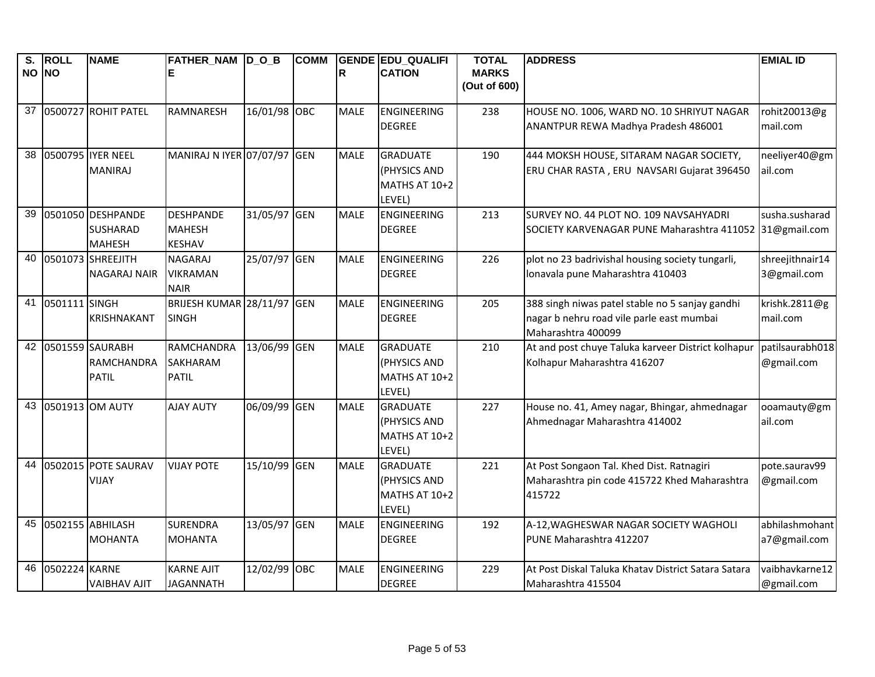| $\overline{\mathsf{s}}$ .<br>NO NO | <b>ROLL</b>   | <b>NAME</b>                        | <b>FATHER NAM DOB</b><br>Е      |              | <b>COMM</b> | R           | <b>GENDE EDU QUALIFI</b><br><b>CATION</b> | <b>TOTAL</b><br><b>MARKS</b> | <b>ADDRESS</b>                                                                       | <b>EMIAL ID</b> |
|------------------------------------|---------------|------------------------------------|---------------------------------|--------------|-------------|-------------|-------------------------------------------|------------------------------|--------------------------------------------------------------------------------------|-----------------|
|                                    |               |                                    |                                 |              |             |             |                                           | (Out of 600)                 |                                                                                      |                 |
| 37                                 |               | 0500727 ROHIT PATEL                | <b>RAMNARESH</b>                | 16/01/98 OBC |             | <b>MALE</b> | <b>ENGINEERING</b>                        | 238                          | HOUSE NO. 1006, WARD NO. 10 SHRIYUT NAGAR                                            | rohit20013@g    |
|                                    |               |                                    |                                 |              |             |             | <b>DEGREE</b>                             |                              | ANANTPUR REWA Madhya Pradesh 486001                                                  | mail.com        |
| 38                                 |               | 0500795 IYER NEEL                  | MANIRAJ N IYER 07/07/97         |              | <b>GEN</b>  | <b>MALE</b> | <b>GRADUATE</b>                           | 190                          | 444 MOKSH HOUSE, SITARAM NAGAR SOCIETY,                                              | neeliyer40@gm   |
|                                    |               | <b>MANIRAJ</b>                     |                                 |              |             |             | (PHYSICS AND<br>MATHS AT 10+2             |                              | ERU CHAR RASTA, ERU NAVSARI Gujarat 396450                                           | ail.com         |
|                                    |               |                                    |                                 |              |             |             | LEVEL)                                    |                              |                                                                                      |                 |
| 39                                 |               | 0501050 DESHPANDE                  | <b>DESHPANDE</b>                | 31/05/97 GEN |             | <b>MALE</b> | <b>ENGINEERING</b>                        | 213                          | SURVEY NO. 44 PLOT NO. 109 NAVSAHYADRI                                               | susha.susharad  |
|                                    |               | <b>SUSHARAD</b>                    | <b>MAHESH</b>                   |              |             |             | <b>DEGREE</b>                             |                              | SOCIETY KARVENAGAR PUNE Maharashtra 411052                                           | 31@gmail.com    |
| 40                                 |               | <b>MAHESH</b><br>0501073 SHREEJITH | <b>KESHAV</b><br><b>NAGARAJ</b> | 25/07/97 GEN |             | <b>MALE</b> | <b>ENGINEERING</b>                        | 226                          |                                                                                      | shreejithnair14 |
|                                    |               | <b>NAGARAJ NAIR</b>                | <b>VIKRAMAN</b>                 |              |             |             | <b>DEGREE</b>                             |                              | plot no 23 badrivishal housing society tungarli,<br>Ionavala pune Maharashtra 410403 | 3@gmail.com     |
|                                    |               |                                    | <b>NAIR</b>                     |              |             |             |                                           |                              |                                                                                      |                 |
| 41                                 | 0501111 SINGH |                                    | BRIJESH KUMAR 28/11/97 GEN      |              |             | <b>MALE</b> | <b>ENGINEERING</b>                        | 205                          | 388 singh niwas patel stable no 5 sanjay gandhi                                      | krishk.2811@g   |
|                                    |               | <b>KRISHNAKANT</b>                 | <b>SINGH</b>                    |              |             |             | <b>DEGREE</b>                             |                              | nagar b nehru road vile parle east mumbai                                            | mail.com        |
|                                    |               | 42 0501559 SAURABH                 | <b>RAMCHANDRA</b>               | 13/06/99 GEN |             | <b>MALE</b> | <b>GRADUATE</b>                           | 210                          | Maharashtra 400099<br>At and post chuye Taluka karveer District kolhapur             | patilsaurabh018 |
|                                    |               | <b>RAMCHANDRA</b>                  | <b>SAKHARAM</b>                 |              |             |             | (PHYSICS AND                              |                              | Kolhapur Maharashtra 416207                                                          | @gmail.com      |
|                                    |               | <b>PATIL</b>                       | <b>PATIL</b>                    |              |             |             | MATHS AT 10+2                             |                              |                                                                                      |                 |
|                                    |               |                                    |                                 |              |             |             | LEVEL)                                    |                              |                                                                                      |                 |
| 43                                 |               | 0501913 OM AUTY                    | <b>AJAY AUTY</b>                | 06/09/99 GEN |             | <b>MALE</b> | <b>GRADUATE</b>                           | 227                          | House no. 41, Amey nagar, Bhingar, ahmednagar                                        | ooamauty@gm     |
|                                    |               |                                    |                                 |              |             |             | (PHYSICS AND<br>MATHS AT 10+2             |                              | Ahmednagar Maharashtra 414002                                                        | ail.com         |
|                                    |               |                                    |                                 |              |             |             | LEVEL)                                    |                              |                                                                                      |                 |
| 44                                 |               | 0502015 POTE SAURAV                | <b>VIJAY POTE</b>               | 15/10/99 GEN |             | <b>MALE</b> | <b>GRADUATE</b>                           | 221                          | At Post Songaon Tal. Khed Dist. Ratnagiri                                            | pote.saurav99   |
|                                    |               | <b>VIJAY</b>                       |                                 |              |             |             | (PHYSICS AND                              |                              | Maharashtra pin code 415722 Khed Maharashtra                                         | @gmail.com      |
|                                    |               |                                    |                                 |              |             |             | MATHS AT 10+2                             |                              | 415722                                                                               |                 |
| 45                                 |               | 0502155 ABHILASH                   | <b>SURENDRA</b>                 | 13/05/97     | <b>GEN</b>  | <b>MALE</b> | LEVEL)<br><b>ENGINEERING</b>              | 192                          | A-12, WAGHESWAR NAGAR SOCIETY WAGHOLI                                                | abhilashmohant  |
|                                    |               | <b>MOHANTA</b>                     | <b>MOHANTA</b>                  |              |             |             | <b>DEGREE</b>                             |                              | PUNE Maharashtra 412207                                                              | a7@gmail.com    |
|                                    |               |                                    |                                 |              |             |             |                                           |                              |                                                                                      |                 |
| 46                                 | 0502224 KARNE |                                    | <b>KARNE AJIT</b>               | 12/02/99     | <b>OBC</b>  | <b>MALE</b> | <b>ENGINEERING</b>                        | 229                          | At Post Diskal Taluka Khatav District Satara Satara                                  | vaibhavkarne12  |
|                                    |               | <b>VAIBHAV AJIT</b>                | <b>JAGANNATH</b>                |              |             |             | <b>DEGREE</b>                             |                              | Maharashtra 415504                                                                   | @gmail.com      |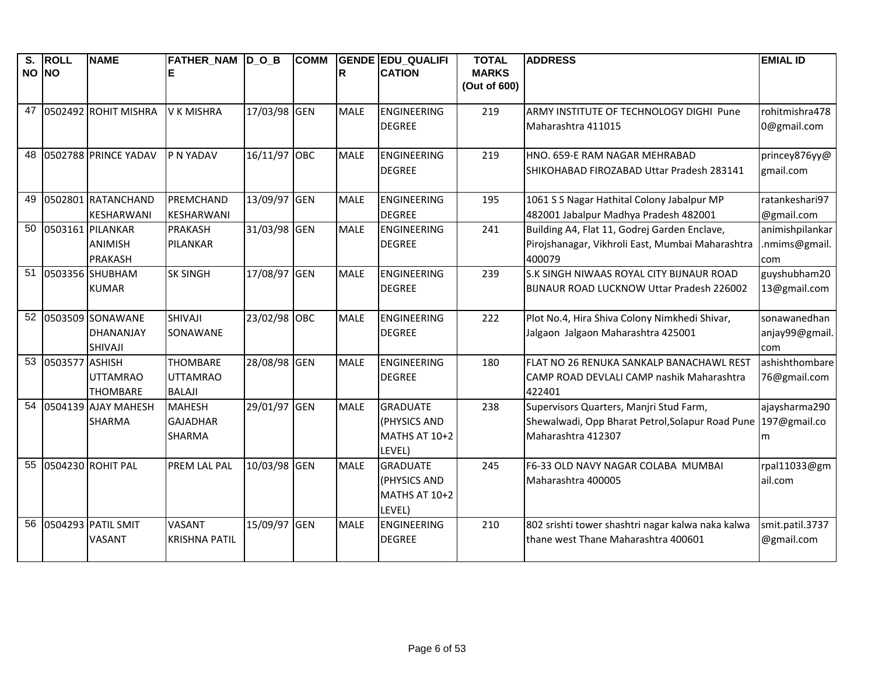| S.    | <b>ROLL</b>    | <b>NAME</b>          | FATHER_NAM  D_O_B    |              | <b>COMM</b> |             | <b>GENDE EDU QUALIFI</b> | <b>TOTAL</b> | <b>ADDRESS</b>                                    | <b>EMIAL ID</b> |
|-------|----------------|----------------------|----------------------|--------------|-------------|-------------|--------------------------|--------------|---------------------------------------------------|-----------------|
| NO NO |                |                      |                      |              |             | ΙR          | <b>CATION</b>            | <b>MARKS</b> |                                                   |                 |
|       |                |                      |                      |              |             |             |                          | (Out of 600) |                                                   |                 |
| 47    |                | 0502492 ROHIT MISHRA | <b>V K MISHRA</b>    | 17/03/98 GEN |             | <b>MALE</b> | <b>ENGINEERING</b>       | 219          | ARMY INSTITUTE OF TECHNOLOGY DIGHI Pune           | rohitmishra478  |
|       |                |                      |                      |              |             |             | <b>DEGREE</b>            |              | Maharashtra 411015                                | 0@gmail.com     |
| 48    |                | 0502788 PRINCE YADAV | P N YADAV            | 16/11/97 OBC |             | <b>MALE</b> | <b>ENGINEERING</b>       | 219          | HNO. 659-E RAM NAGAR MEHRABAD                     | princey876yy@   |
|       |                |                      |                      |              |             |             | <b>DEGREE</b>            |              | SHIKOHABAD FIROZABAD Uttar Pradesh 283141         | gmail.com       |
| 49    |                | 0502801 RATANCHAND   | PREMCHAND            | 13/09/97 GEN |             | <b>MALE</b> | <b>ENGINEERING</b>       | 195          | 1061 S S Nagar Hathital Colony Jabalpur MP        | ratankeshari97  |
|       |                | <b>KESHARWANI</b>    | <b>KESHARWANI</b>    |              |             |             | <b>DEGREE</b>            |              | 482001 Jabalpur Madhya Pradesh 482001             | @gmail.com      |
| 50    |                | 0503161 PILANKAR     | <b>PRAKASH</b>       | 31/03/98 GEN |             | <b>MALE</b> | <b>ENGINEERING</b>       | 241          | Building A4, Flat 11, Godrej Garden Enclave,      | animishpilankar |
|       |                | <b>ANIMISH</b>       | PILANKAR             |              |             |             | <b>DEGREE</b>            |              | Pirojshanagar, Vikhroli East, Mumbai Maharashtra  | .nmims@gmail.   |
|       |                | <b>PRAKASH</b>       |                      |              |             |             |                          |              | 400079                                            | com             |
| 51    |                | 0503356 SHUBHAM      | <b>SK SINGH</b>      | 17/08/97 GEN |             | <b>MALE</b> | <b>ENGINEERING</b>       | 239          | S.K SINGH NIWAAS ROYAL CITY BIJNAUR ROAD          | guyshubham20    |
|       |                | <b>KUMAR</b>         |                      |              |             |             | <b>DEGREE</b>            |              | BIJNAUR ROAD LUCKNOW Uttar Pradesh 226002         | 13@gmail.com    |
|       |                | 52 0503509 SONAWANE  | SHIVAJI              | 23/02/98 OBC |             | <b>MALE</b> | <b>ENGINEERING</b>       | 222          | Plot No.4, Hira Shiva Colony Nimkhedi Shivar,     | sonawanedhan    |
|       |                | <b>DHANANJAY</b>     | SONAWANE             |              |             |             | <b>DEGREE</b>            |              | Jalgaon Jalgaon Maharashtra 425001                | anjay99@gmail.  |
|       |                | <b>SHIVAJI</b>       |                      |              |             |             |                          |              |                                                   | com             |
| 53    | 0503577 ASHISH |                      | <b>THOMBARE</b>      | 28/08/98 GEN |             | <b>MALE</b> | <b>ENGINEERING</b>       | 180          | FLAT NO 26 RENUKA SANKALP BANACHAWL REST          | ashishthombare  |
|       |                | <b>UTTAMRAO</b>      | <b>UTTAMRAO</b>      |              |             |             | <b>DEGREE</b>            |              | CAMP ROAD DEVLALI CAMP nashik Maharashtra         | 76@gmail.com    |
|       |                | <b>THOMBARE</b>      | <b>BALAJI</b>        |              |             |             |                          |              | 422401                                            |                 |
| 54    |                | 0504139 AJAY MAHESH  | <b>MAHESH</b>        | 29/01/97     | <b>GEN</b>  | <b>MALE</b> | <b>GRADUATE</b>          | 238          | Supervisors Quarters, Manjri Stud Farm,           | ajaysharma290   |
|       |                | <b>SHARMA</b>        | <b>GAJADHAR</b>      |              |             |             | (PHYSICS AND             |              | Shewalwadi, Opp Bharat Petrol, Solapur Road Pune  | 197@gmail.co    |
|       |                |                      | <b>SHARMA</b>        |              |             |             | <b>MATHS AT 10+2</b>     |              | Maharashtra 412307                                | m               |
|       |                |                      |                      |              |             |             | LEVEL)                   |              |                                                   |                 |
| 55    |                | 0504230 ROHIT PAL    | PREM LAL PAL         | 10/03/98 GEN |             | <b>MALE</b> | <b>GRADUATE</b>          | 245          | F6-33 OLD NAVY NAGAR COLABA MUMBAI                | rpal11033@gm    |
|       |                |                      |                      |              |             |             | (PHYSICS AND             |              | Maharashtra 400005                                | ail.com         |
|       |                |                      |                      |              |             |             | MATHS AT 10+2            |              |                                                   |                 |
|       |                |                      |                      |              |             |             | LEVEL)                   |              |                                                   |                 |
| 56    |                | 0504293 PATIL SMIT   | <b>VASANT</b>        | 15/09/97 GEN |             | <b>MALE</b> | <b>ENGINEERING</b>       | 210          | 802 srishti tower shashtri nagar kalwa naka kalwa | smit.patil.3737 |
|       |                | <b>VASANT</b>        | <b>KRISHNA PATIL</b> |              |             |             | <b>DEGREE</b>            |              | thane west Thane Maharashtra 400601               | @gmail.com      |
|       |                |                      |                      |              |             |             |                          |              |                                                   |                 |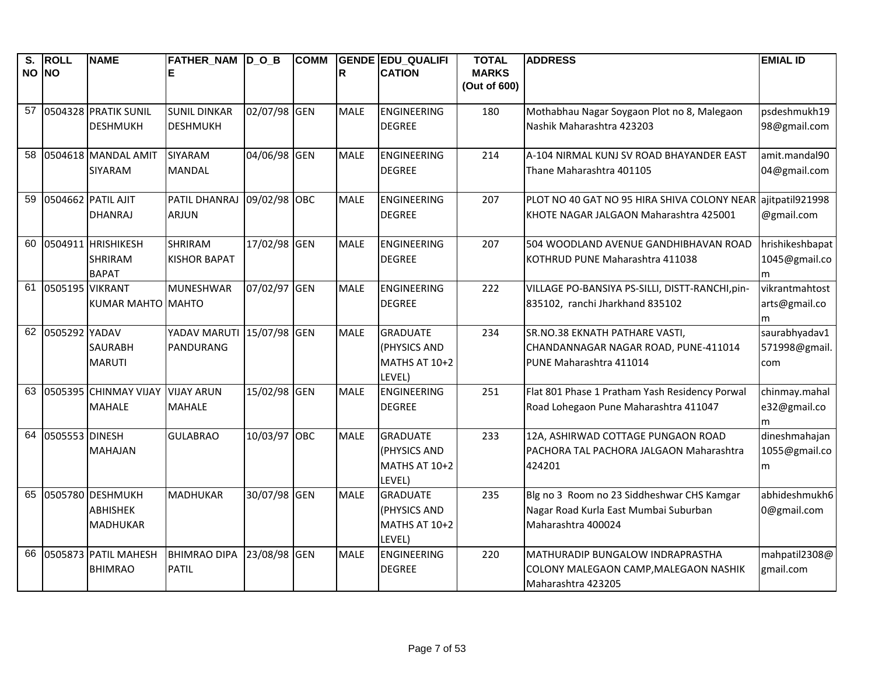| $\overline{\mathsf{s}}$ .<br>NO NO | <b>ROLL</b>      | <b>NAME</b>                                            | FATHER NAM DOB<br>Е                    |              | <b>COMM</b> | lR.         | <b>GENDE EDU QUALIFI</b><br><b>CATION</b>                  | <b>TOTAL</b><br><b>MARKS</b><br>(Out of 600) | <b>ADDRESS</b>                                                                                            | <b>EMIAL ID</b>                       |
|------------------------------------|------------------|--------------------------------------------------------|----------------------------------------|--------------|-------------|-------------|------------------------------------------------------------|----------------------------------------------|-----------------------------------------------------------------------------------------------------------|---------------------------------------|
| 57                                 |                  | 0504328 PRATIK SUNIL<br><b>DESHMUKH</b>                | <b>SUNIL DINKAR</b><br><b>DESHMUKH</b> | 02/07/98 GEN |             | <b>MALE</b> | ENGINEERING<br><b>DEGREE</b>                               | 180                                          | Mothabhau Nagar Soygaon Plot no 8, Malegaon<br>Nashik Maharashtra 423203                                  | psdeshmukh19<br>98@gmail.com          |
| 58                                 |                  | 0504618 MANDAL AMIT<br>SIYARAM                         | SIYARAM<br><b>MANDAL</b>               | 04/06/98 GEN |             | <b>MALE</b> | <b>ENGINEERING</b><br><b>DEGREE</b>                        | 214                                          | A-104 NIRMAL KUNJ SV ROAD BHAYANDER EAST<br>Thane Maharashtra 401105                                      | amit.mandal90<br>04@gmail.com         |
| 59                                 |                  | 0504662 PATIL AJIT<br><b>DHANRAJ</b>                   | PATIL DHANRAJ<br><b>ARJUN</b>          | 09/02/98 OBC |             | <b>MALE</b> | <b>ENGINEERING</b><br><b>DEGREE</b>                        | 207                                          | PLOT NO 40 GAT NO 95 HIRA SHIVA COLONY NEAR<br>KHOTE NAGAR JALGAON Maharashtra 425001                     | ajitpatil921998<br>@gmail.com         |
| 60                                 |                  | 0504911 HRISHIKESH<br><b>SHRIRAM</b><br><b>BAPAT</b>   | <b>SHRIRAM</b><br><b>KISHOR BAPAT</b>  | 17/02/98 GEN |             | <b>MALE</b> | ENGINEERING<br><b>DEGREE</b>                               | 207                                          | 504 WOODLAND AVENUE GANDHIBHAVAN ROAD<br>KOTHRUD PUNE Maharashtra 411038                                  | hrishikeshbapat<br>1045@gmail.co<br>m |
| 61                                 | 0505195 VIKRANT  | KUMAR MAHTO IMAHTO                                     | <b>MUNESHWAR</b>                       | 07/02/97 GEN |             | <b>MALE</b> | ENGINEERING<br><b>DEGREE</b>                               | 222                                          | VILLAGE PO-BANSIYA PS-SILLI, DISTT-RANCHI, pin-<br>835102, ranchi Jharkhand 835102                        | vikrantmahtost<br>arts@gmail.co<br>m  |
|                                    | 62 0505292 YADAV | <b>SAURABH</b><br><b>MARUTI</b>                        | YADAV MARUTI<br>PANDURANG              | 15/07/98 GEN |             | <b>MALE</b> | <b>GRADUATE</b><br>(PHYSICS AND<br>MATHS AT 10+2<br>LEVEL) | 234                                          | SR.NO.38 EKNATH PATHARE VASTI,<br>CHANDANNAGAR NAGAR ROAD, PUNE-411014<br>PUNE Maharashtra 411014         | saurabhyadav1<br>571998@gmail.<br>com |
|                                    |                  | 63 0505395 CHINMAY VIJAY<br><b>MAHALE</b>              | <b>VIJAY ARUN</b><br><b>MAHALE</b>     | 15/02/98 GEN |             | <b>MALE</b> | ENGINEERING<br><b>DEGREE</b>                               | 251                                          | Flat 801 Phase 1 Pratham Yash Residency Porwal<br>Road Lohegaon Pune Maharashtra 411047                   | chinmay.mahal<br>e32@gmail.co<br>m    |
| 64                                 | 0505553 DINESH   | <b>MAHAJAN</b>                                         | <b>GULABRAO</b>                        | 10/03/97 OBC |             | <b>MALE</b> | <b>GRADUATE</b><br>(PHYSICS AND<br>MATHS AT 10+2<br>LEVEL) | 233                                          | 12A, ASHIRWAD COTTAGE PUNGAON ROAD<br>PACHORA TAL PACHORA JALGAON Maharashtra<br>424201                   | dineshmahajan<br>1055@gmail.co<br>m   |
| 65                                 |                  | 0505780 DESHMUKH<br><b>ABHISHEK</b><br><b>MADHUKAR</b> | <b>MADHUKAR</b>                        | 30/07/98 GEN |             | <b>MALE</b> | <b>GRADUATE</b><br>(PHYSICS AND<br>MATHS AT 10+2<br>LEVEL) | 235                                          | Blg no 3 Room no 23 Siddheshwar CHS Kamgar<br>Nagar Road Kurla East Mumbai Suburban<br>Maharashtra 400024 | abhideshmukh6<br>0@gmail.com          |
| 66                                 |                  | 0505873 PATIL MAHESH<br><b>BHIMRAO</b>                 | <b>BHIMRAO DIPA</b><br><b>PATIL</b>    | 23/08/98 GEN |             | <b>MALE</b> | ENGINEERING<br><b>DEGREE</b>                               | 220                                          | MATHURADIP BUNGALOW INDRAPRASTHA<br>COLONY MALEGAON CAMP, MALEGAON NASHIK<br>Maharashtra 423205           | mahpatil2308@<br>gmail.com            |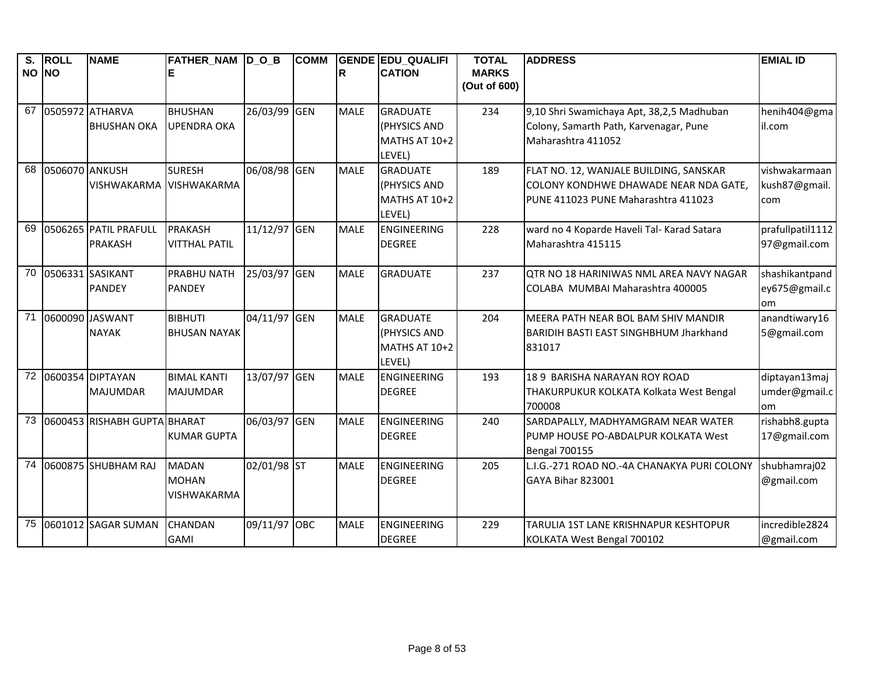| $\overline{\mathsf{s}}$ .<br>NO NO | <b>ROLL</b>    | <b>NAME</b>                  | FATHER_NAM D_O_B             |              | <b>COMM</b> | R           | <b>GENDE EDU QUALIFI</b><br><b>CATION</b> | <b>TOTAL</b><br><b>MARKS</b> | <b>ADDRESS</b>                                | <b>EMIAL ID</b>            |
|------------------------------------|----------------|------------------------------|------------------------------|--------------|-------------|-------------|-------------------------------------------|------------------------------|-----------------------------------------------|----------------------------|
|                                    |                |                              |                              |              |             |             |                                           | (Out of 600)                 |                                               |                            |
|                                    |                | 67 0505972 ATHARVA           | <b>BHUSHAN</b>               | 26/03/99 GEN |             | <b>MALE</b> | <b>GRADUATE</b>                           | 234                          | 9,10 Shri Swamichaya Apt, 38,2,5 Madhuban     | henih404@gma               |
|                                    |                | <b>BHUSHAN OKA</b>           | <b>UPENDRA OKA</b>           |              |             |             | (PHYSICS AND                              |                              | Colony, Samarth Path, Karvenagar, Pune        | il.com                     |
|                                    |                |                              |                              |              |             |             | MATHS AT 10+2                             |                              | Maharashtra 411052                            |                            |
|                                    |                |                              |                              |              |             |             | LEVEL)                                    |                              |                                               |                            |
| 68                                 | 0506070 ANKUSH |                              | <b>SURESH</b>                | 06/08/98 GEN |             | <b>MALE</b> | <b>GRADUATE</b>                           | 189                          | FLAT NO. 12, WANJALE BUILDING, SANSKAR        | vishwakarmaan              |
|                                    |                | VISHWAKARMA                  | <b>VISHWAKARMA</b>           |              |             |             | (PHYSICS AND                              |                              | COLONY KONDHWE DHAWADE NEAR NDA GATE,         | kush87@gmail.              |
|                                    |                |                              |                              |              |             |             | MATHS AT 10+2<br>LEVEL)                   |                              | PUNE 411023 PUNE Maharashtra 411023           | com                        |
| 69                                 |                | 0506265 PATIL PRAFULL        | PRAKASH                      | 11/12/97 GEN |             | <b>MALE</b> | <b>ENGINEERING</b>                        | 228                          | ward no 4 Koparde Haveli Tal- Karad Satara    | prafullpatil1112           |
|                                    |                | <b>PRAKASH</b>               | <b>VITTHAL PATIL</b>         |              |             |             | <b>DEGREE</b>                             |                              | Maharashtra 415115                            | 97@gmail.com               |
|                                    |                |                              |                              |              |             |             |                                           |                              |                                               |                            |
| 70                                 |                | 0506331 SASIKANT             | <b>PRABHU NATH</b>           | 25/03/97 GEN |             | <b>MALE</b> | <b>GRADUATE</b>                           | 237                          | QTR NO 18 HARINIWAS NML AREA NAVY NAGAR       | shashikantpand             |
|                                    |                | <b>PANDEY</b>                | <b>PANDEY</b>                |              |             |             |                                           |                              | COLABA MUMBAI Maharashtra 400005              | ey675@gmail.c              |
| 71                                 |                | 0600090 JASWANT              | <b>BIBHUTI</b>               | 04/11/97 GEN |             | <b>MALE</b> | <b>GRADUATE</b>                           | 204                          | MEERA PATH NEAR BOL BAM SHIV MANDIR           | om<br>anandtiwary16        |
|                                    |                | <b>NAYAK</b>                 | <b>BHUSAN NAYAK</b>          |              |             |             | (PHYSICS AND                              |                              | <b>BARIDIH BASTI EAST SINGHBHUM Jharkhand</b> | 5@gmail.com                |
|                                    |                |                              |                              |              |             |             | MATHS AT 10+2                             |                              | 831017                                        |                            |
|                                    |                |                              |                              |              |             |             | LEVEL)                                    |                              |                                               |                            |
| 72                                 |                | 0600354 DIPTAYAN             | <b>BIMAL KANTI</b>           | 13/07/97 GEN |             | <b>MALE</b> | <b>ENGINEERING</b>                        | 193                          | 18 9 BARISHA NARAYAN ROY ROAD                 | diptayan13maj              |
|                                    |                | <b>MAJUMDAR</b>              | <b>MAJUMDAR</b>              |              |             |             | <b>DEGREE</b>                             |                              | THAKURPUKUR KOLKATA Kolkata West Bengal       | umder@gmail.c              |
|                                    |                |                              |                              |              |             |             |                                           |                              | 700008                                        | om                         |
| 73                                 |                | 0600453 RISHABH GUPTA BHARAT |                              | 06/03/97 GEN |             | <b>MALE</b> | ENGINEERING                               | 240                          | SARDAPALLY, MADHYAMGRAM NEAR WATER            | rishabh8.gupta             |
|                                    |                |                              | <b>KUMAR GUPTA</b>           |              |             |             | <b>DEGREE</b>                             |                              | PUMP HOUSE PO-ABDALPUR KOLKATA West           | 17@gmail.com               |
| 74                                 |                | 0600875 SHUBHAM RAJ          |                              |              |             |             | ENGINEERING                               |                              | <b>Bengal 700155</b>                          |                            |
|                                    |                |                              | <b>MADAN</b><br><b>MOHAN</b> | 02/01/98 ST  |             | <b>MALE</b> | <b>DEGREE</b>                             | 205                          | L.I.G.-271 ROAD NO.-4A CHANAKYA PURI COLONY   | shubhamraj02<br>@gmail.com |
|                                    |                |                              | <b>VISHWAKARMA</b>           |              |             |             |                                           |                              | GAYA Bihar 823001                             |                            |
|                                    |                |                              |                              |              |             |             |                                           |                              |                                               |                            |
| 75                                 |                | 0601012 SAGAR SUMAN          | <b>CHANDAN</b>               | 09/11/97 OBC |             | <b>MALE</b> | <b>ENGINEERING</b>                        | 229                          | TARULIA 1ST LANE KRISHNAPUR KESHTOPUR         | incredible2824             |
|                                    |                |                              | <b>GAMI</b>                  |              |             |             | <b>DEGREE</b>                             |                              | KOLKATA West Bengal 700102                    | @gmail.com                 |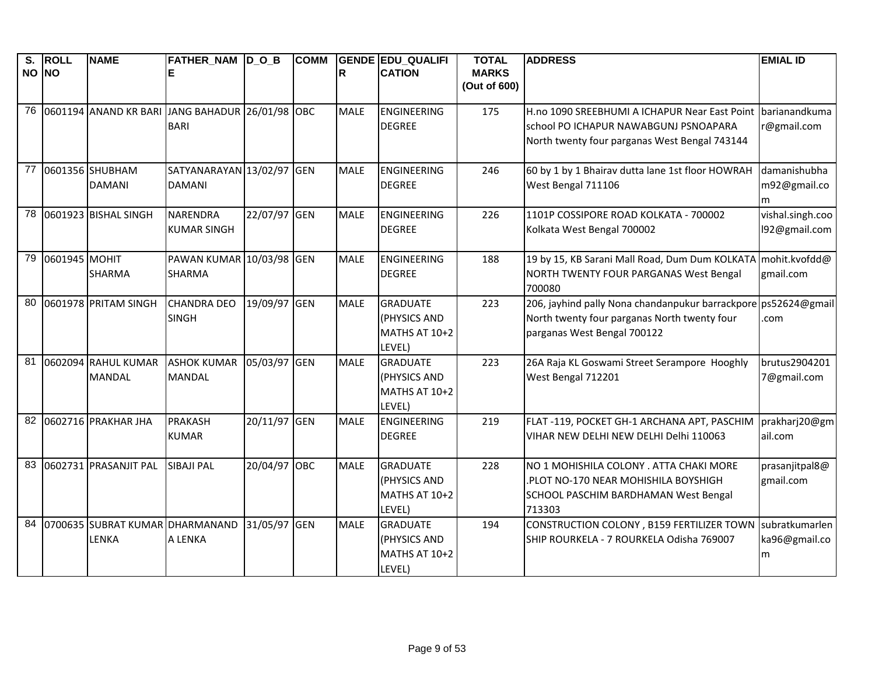| S.    | <b>ROLL</b>   | <b>NAME</b>                                     | FATHER_NAM D_O_B          |              | <b>COMM</b> |             | <b>GENDE EDU QUALIFI</b> | <b>TOTAL</b>                 | <b>ADDRESS</b>                                                 | <b>EMIAL ID</b>  |
|-------|---------------|-------------------------------------------------|---------------------------|--------------|-------------|-------------|--------------------------|------------------------------|----------------------------------------------------------------|------------------|
| NO NO |               |                                                 |                           |              |             | lR.         | <b>CATION</b>            | <b>MARKS</b><br>(Out of 600) |                                                                |                  |
| 76    |               | 0601194 ANAND KR BARI JANG BAHADUR 26/01/98 OBC |                           |              |             | <b>MALE</b> | ENGINEERING              | 175                          | H.no 1090 SREEBHUMI A ICHAPUR Near East Point barianandkuma    |                  |
|       |               |                                                 | <b>BARI</b>               |              |             |             | <b>DEGREE</b>            |                              | school PO ICHAPUR NAWABGUNJ PSNOAPARA                          | r@gmail.com      |
|       |               |                                                 |                           |              |             |             |                          |                              | North twenty four parganas West Bengal 743144                  |                  |
| 77    |               | 0601356 SHUBHAM                                 | SATYANARAYAN 13/02/97 GEN |              |             | <b>MALE</b> | ENGINEERING              | 246                          | 60 by 1 by 1 Bhairav dutta lane 1st floor HOWRAH               | damanishubha     |
|       |               | <b>DAMANI</b>                                   | <b>DAMANI</b>             |              |             |             | <b>DEGREE</b>            |                              | West Bengal 711106                                             | m92@gmail.co     |
|       |               |                                                 |                           |              |             |             |                          |                              |                                                                | m                |
| 78    |               | 0601923 BISHAL SINGH                            | <b>NARENDRA</b>           | 22/07/97 GEN |             | <b>MALE</b> | <b>ENGINEERING</b>       | 226                          | 1101P COSSIPORE ROAD KOLKATA - 700002                          | vishal.singh.coo |
|       |               |                                                 | <b>KUMAR SINGH</b>        |              |             |             | <b>DEGREE</b>            |                              | Kolkata West Bengal 700002                                     | 192@gmail.com    |
| 79    | 0601945 MOHIT |                                                 | PAWAN KUMAR 10/03/98 GEN  |              |             | <b>MALE</b> | ENGINEERING              | 188                          | 19 by 15, KB Sarani Mall Road, Dum Dum KOLKATA mohit.kvofdd@   |                  |
|       |               | <b>SHARMA</b>                                   | <b>SHARMA</b>             |              |             |             | <b>DEGREE</b>            |                              | NORTH TWENTY FOUR PARGANAS West Bengal                         | gmail.com        |
|       |               |                                                 |                           |              |             |             |                          |                              | 700080                                                         |                  |
| 80    |               | 0601978 PRITAM SINGH                            | <b>CHANDRA DEO</b>        | 19/09/97 GEN |             | <b>MALE</b> | <b>GRADUATE</b>          | 223                          | 206, jayhind pally Nona chandanpukur barrackpore ps52624@gmail |                  |
|       |               |                                                 | <b>SINGH</b>              |              |             |             | (PHYSICS AND             |                              | North twenty four parganas North twenty four                   | com              |
|       |               |                                                 |                           |              |             |             | MATHS AT 10+2            |                              | parganas West Bengal 700122                                    |                  |
|       |               |                                                 |                           |              |             |             | LEVEL)                   |                              |                                                                |                  |
| 81    |               | 0602094 RAHUL KUMAR                             | <b>ASHOK KUMAR</b>        | 05/03/97 GEN |             | <b>MALE</b> | <b>GRADUATE</b>          | 223                          | 26A Raja KL Goswami Street Serampore Hooghly                   | brutus2904201    |
|       |               | <b>MANDAL</b>                                   | <b>MANDAL</b>             |              |             |             | (PHYSICS AND             |                              | West Bengal 712201                                             | 7@gmail.com      |
|       |               |                                                 |                           |              |             |             | MATHS AT 10+2            |                              |                                                                |                  |
|       |               |                                                 |                           |              |             |             | LEVEL)                   |                              |                                                                |                  |
| 82    |               | 0602716 PRAKHAR JHA                             | <b>PRAKASH</b>            | 20/11/97 GEN |             | <b>MALE</b> | <b>ENGINEERING</b>       | 219                          | FLAT-119, POCKET GH-1 ARCHANA APT, PASCHIM                     | prakharj20@gm    |
|       |               |                                                 | <b>KUMAR</b>              |              |             |             | <b>DEGREE</b>            |                              | VIHAR NEW DELHI NEW DELHI Delhi 110063                         | ail.com          |
| 83    |               | 0602731 PRASANJIT PAL                           | <b>SIBAJI PAL</b>         | 20/04/97 OBC |             | <b>MALE</b> | <b>GRADUATE</b>          | 228                          | NO 1 MOHISHILA COLONY . ATTA CHAKI MORE                        | prasanjitpal8@   |
|       |               |                                                 |                           |              |             |             | (PHYSICS AND             |                              | PLOT NO-170 NEAR MOHISHILA BOYSHIGH                            | gmail.com        |
|       |               |                                                 |                           |              |             |             | MATHS AT 10+2            |                              | SCHOOL PASCHIM BARDHAMAN West Bengal                           |                  |
|       |               |                                                 |                           |              |             |             | LEVEL)                   |                              | 713303                                                         |                  |
| 84    |               | 0700635 SUBRAT KUMAR DHARMANAND                 |                           | 31/05/97 GEN |             | <b>MALE</b> | <b>GRADUATE</b>          | 194                          | CONSTRUCTION COLONY, B159 FERTILIZER TOWN                      | subratkumarlen   |
|       |               | LENKA                                           | A LENKA                   |              |             |             | (PHYSICS AND             |                              | SHIP ROURKELA - 7 ROURKELA Odisha 769007                       | ka96@gmail.co    |
|       |               |                                                 |                           |              |             |             | MATHS AT 10+2            |                              |                                                                | m                |
|       |               |                                                 |                           |              |             |             | LEVEL)                   |                              |                                                                |                  |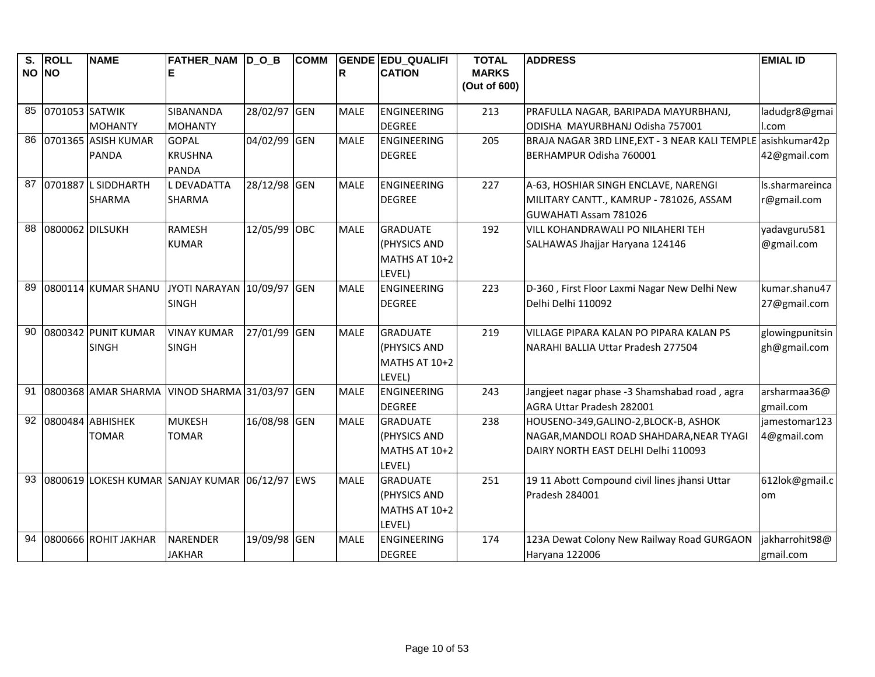| S.    | <b>ROLL</b>     | <b>NAME</b>            | FATHER_NAM  D_O_B                              |              | <b>COMM</b> |             | <b>GENDE EDU QUALIFI</b> | <b>TOTAL</b> | <b>ADDRESS</b>                                 | <b>EMIAL ID</b> |
|-------|-----------------|------------------------|------------------------------------------------|--------------|-------------|-------------|--------------------------|--------------|------------------------------------------------|-----------------|
| NO NO |                 |                        |                                                |              |             | lR.         | <b>CATION</b>            | <b>MARKS</b> |                                                |                 |
|       |                 |                        |                                                |              |             |             |                          | (Out of 600) |                                                |                 |
| 85    | 0701053 SATWIK  |                        | <b>SIBANANDA</b>                               | 28/02/97 GEN |             | <b>MALE</b> | <b>ENGINEERING</b>       | 213          | PRAFULLA NAGAR, BARIPADA MAYURBHANJ,           | ladudgr8@gmai   |
|       |                 | <b>MOHANTY</b>         | <b>MOHANTY</b>                                 |              |             |             | <b>DEGREE</b>            |              | ODISHA MAYURBHANJ Odisha 757001                | l.com           |
| 86    |                 | 0701365 ASISH KUMAR    | <b>GOPAL</b>                                   | 04/02/99 GEN |             | <b>MALE</b> | <b>ENGINEERING</b>       | 205          | BRAJA NAGAR 3RD LINE, EXT - 3 NEAR KALI TEMPLE | asishkumar42p   |
|       |                 | PANDA                  | <b>KRUSHNA</b>                                 |              |             |             | <b>DEGREE</b>            |              | BERHAMPUR Odisha 760001                        | 42@gmail.com    |
|       |                 |                        | <b>PANDA</b>                                   |              |             |             |                          |              |                                                |                 |
|       |                 | 87 0701887 L SIDDHARTH | <b>L DEVADATTA</b>                             | 28/12/98 GEN |             | <b>MALE</b> | <b>ENGINEERING</b>       | 227          | A-63, HOSHIAR SINGH ENCLAVE, NARENGI           | Is.sharmareinca |
|       |                 | <b>SHARMA</b>          | <b>SHARMA</b>                                  |              |             |             | <b>DEGREE</b>            |              | MILITARY CANTT., KAMRUP - 781026, ASSAM        | r@gmail.com     |
|       |                 |                        |                                                |              |             |             |                          |              | GUWAHATI Assam 781026                          |                 |
| 88    | 0800062 DILSUKH |                        | <b>RAMESH</b>                                  | 12/05/99 OBC |             | <b>MALE</b> | <b>GRADUATE</b>          | 192          | VILL KOHANDRAWALI PO NILAHERI TEH              | yadavguru581    |
|       |                 |                        | <b>KUMAR</b>                                   |              |             |             | (PHYSICS AND             |              | SALHAWAS Jhajjar Haryana 124146                | @gmail.com      |
|       |                 |                        |                                                |              |             |             | MATHS AT 10+2            |              |                                                |                 |
|       |                 |                        |                                                |              |             |             | LEVEL)                   |              |                                                |                 |
| 89    |                 | 0800114 KUMAR SHANU    | JYOTI NARAYAN 10/09/97 GEN                     |              |             | <b>MALE</b> | <b>ENGINEERING</b>       | 223          | D-360, First Floor Laxmi Nagar New Delhi New   | kumar.shanu47   |
|       |                 |                        | <b>SINGH</b>                                   |              |             |             | <b>DEGREE</b>            |              | Delhi Delhi 110092                             | 27@gmail.com    |
|       |                 |                        |                                                |              |             |             |                          |              |                                                |                 |
| 90    |                 | 0800342 PUNIT KUMAR    | <b>VINAY KUMAR</b>                             | 27/01/99 GEN |             | <b>MALE</b> | <b>GRADUATE</b>          | 219          | VILLAGE PIPARA KALAN PO PIPARA KALAN PS        | glowingpunitsin |
|       |                 | <b>SINGH</b>           | <b>SINGH</b>                                   |              |             |             | (PHYSICS AND             |              | NARAHI BALLIA Uttar Pradesh 277504             | gh@gmail.com    |
|       |                 |                        |                                                |              |             |             | MATHS AT 10+2            |              |                                                |                 |
|       |                 |                        |                                                |              |             |             | LEVEL)                   |              |                                                |                 |
| 91    |                 | 0800368 AMAR SHARMA    | VINOD SHARMA 31/03/97 GEN                      |              |             | <b>MALE</b> | <b>ENGINEERING</b>       | 243          | Jangjeet nagar phase -3 Shamshabad road, agra  | arsharmaa36@    |
|       |                 |                        |                                                |              |             |             | <b>DEGREE</b>            |              | AGRA Uttar Pradesh 282001                      | gmail.com       |
| 92    |                 | 0800484 ABHISHEK       | <b>MUKESH</b>                                  | 16/08/98 GEN |             | <b>MALE</b> | <b>GRADUATE</b>          | 238          | HOUSENO-349, GALINO-2, BLOCK-B, ASHOK          | jamestomar123   |
|       |                 | <b>TOMAR</b>           | <b>TOMAR</b>                                   |              |             |             | (PHYSICS AND             |              | NAGAR, MANDOLI ROAD SHAHDARA, NEAR TYAGI       | 4@gmail.com     |
|       |                 |                        |                                                |              |             |             | MATHS AT 10+2            |              | DAIRY NORTH EAST DELHI Delhi 110093            |                 |
|       |                 |                        |                                                |              |             |             | LEVEL)                   |              |                                                |                 |
| 93    |                 |                        | 0800619 LOKESH KUMAR SANJAY KUMAR 06/12/97 EWS |              |             | <b>MALE</b> | <b>GRADUATE</b>          | 251          | 19 11 Abott Compound civil lines jhansi Uttar  | 612lok@gmail.c  |
|       |                 |                        |                                                |              |             |             | (PHYSICS AND             |              | Pradesh 284001                                 | om              |
|       |                 |                        |                                                |              |             |             | MATHS AT 10+2            |              |                                                |                 |
|       |                 |                        |                                                |              |             |             | LEVEL)                   |              |                                                |                 |
| 94    |                 | 0800666 ROHIT JAKHAR   | <b>NARENDER</b>                                | 19/09/98 GEN |             | <b>MALE</b> | <b>ENGINEERING</b>       | 174          | 123A Dewat Colony New Railway Road GURGAON     | jakharrohit98@  |
|       |                 |                        | <b>JAKHAR</b>                                  |              |             |             | <b>DEGREE</b>            |              | Haryana 122006                                 | gmail.com       |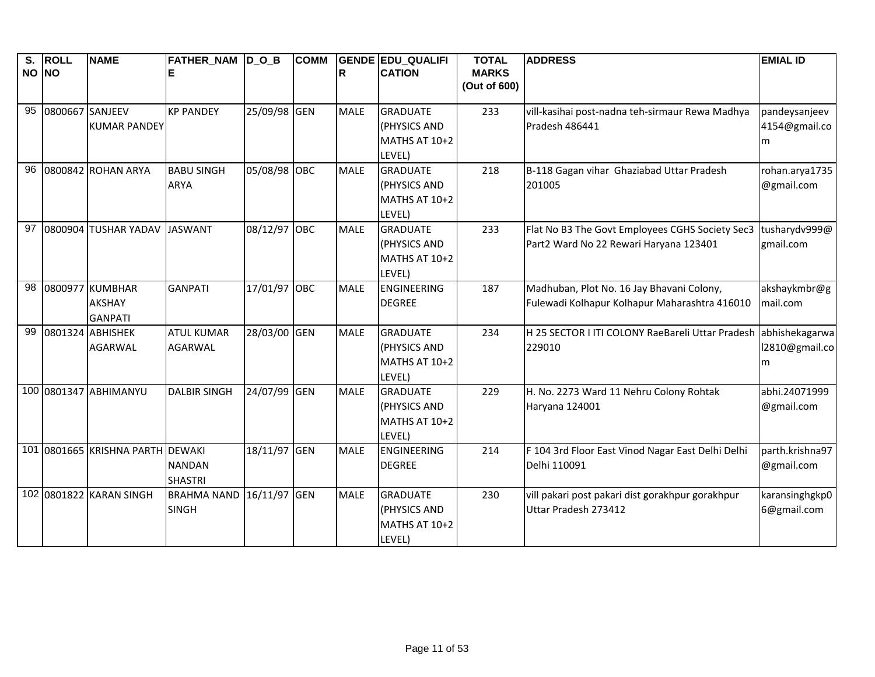| S.    | <b>ROLL</b>     | <b>NAME</b>                        | FATHER_NAM  D_O_B   |              | <b>COMM</b> |             | <b>GENDE EDU_QUALIFI</b> | <b>TOTAL</b>                 | <b>ADDRESS</b>                                             | <b>EMIAL ID</b>                  |
|-------|-----------------|------------------------------------|---------------------|--------------|-------------|-------------|--------------------------|------------------------------|------------------------------------------------------------|----------------------------------|
| NO NO |                 |                                    |                     |              |             | R           | <b>CATION</b>            | <b>MARKS</b><br>(Out of 600) |                                                            |                                  |
|       |                 |                                    |                     |              |             |             |                          |                              |                                                            |                                  |
| 95    | 0800667 SANJEEV |                                    | <b>KP PANDEY</b>    | 25/09/98 GEN |             | <b>MALE</b> | <b>GRADUATE</b>          | 233                          | vill-kasihai post-nadna teh-sirmaur Rewa Madhya            | pandeysanjeev                    |
|       |                 | <b>KUMAR PANDEY</b>                |                     |              |             |             | (PHYSICS AND             |                              | Pradesh 486441                                             | 4154@gmail.co                    |
|       |                 |                                    |                     |              |             |             | MATHS AT 10+2            |                              |                                                            | m                                |
|       |                 |                                    |                     |              |             |             | LEVEL)                   |                              |                                                            |                                  |
| 96    |                 | 0800842 ROHAN ARYA                 | <b>BABU SINGH</b>   | 05/08/98 OBC |             | <b>MALE</b> | <b>GRADUATE</b>          | 218                          | B-118 Gagan vihar Ghaziabad Uttar Pradesh                  | rohan.arya1735                   |
|       |                 |                                    | <b>ARYA</b>         |              |             |             | (PHYSICS AND             |                              | 201005                                                     | @gmail.com                       |
|       |                 |                                    |                     |              |             |             | MATHS AT 10+2            |                              |                                                            |                                  |
|       |                 |                                    |                     |              |             |             | LEVEL)                   |                              |                                                            |                                  |
| 97    |                 | 0800904 TUSHAR YADAV JASWANT       |                     | 08/12/97 OBC |             | <b>MALE</b> | <b>GRADUATE</b>          | 233                          | Flat No B3 The Govt Employees CGHS Society Sec3            | tusharydv999@                    |
|       |                 |                                    |                     |              |             |             | (PHYSICS AND             |                              | Part2 Ward No 22 Rewari Haryana 123401                     | gmail.com                        |
|       |                 |                                    |                     |              |             |             | MATHS AT 10+2            |                              |                                                            |                                  |
|       |                 |                                    |                     |              |             |             | LEVEL)                   |                              |                                                            |                                  |
| 98    |                 | 0800977 KUMBHAR                    | <b>GANPATI</b>      | 17/01/97 OBC |             | <b>MALE</b> | ENGINEERING              | 187                          | Madhuban, Plot No. 16 Jay Bhavani Colony,                  | akshaykmbr@g                     |
|       |                 | <b>AKSHAY</b>                      |                     |              |             |             | <b>DEGREE</b>            |                              | Fulewadi Kolhapur Kolhapur Maharashtra 416010              | mail.com                         |
| 99    |                 | <b>GANPATI</b>                     | <b>ATUL KUMAR</b>   |              |             |             | <b>GRADUATE</b>          |                              |                                                            |                                  |
|       |                 | 0801324 ABHISHEK<br><b>AGARWAL</b> | <b>AGARWAL</b>      | 28/03/00 GEN |             | <b>MALE</b> | (PHYSICS AND             | 234                          | H 25 SECTOR I ITI COLONY RaeBareli Uttar Pradesh<br>229010 | abhishekagarwa<br>12810@gmail.co |
|       |                 |                                    |                     |              |             |             | MATHS AT 10+2            |                              |                                                            |                                  |
|       |                 |                                    |                     |              |             |             | LEVEL)                   |                              |                                                            | m                                |
|       |                 | 100 0801347 ABHIMANYU              | <b>DALBIR SINGH</b> | 24/07/99 GEN |             | <b>MALE</b> | <b>GRADUATE</b>          | 229                          | H. No. 2273 Ward 11 Nehru Colony Rohtak                    | abhi.24071999                    |
|       |                 |                                    |                     |              |             |             | (PHYSICS AND             |                              | Haryana 124001                                             | @gmail.com                       |
|       |                 |                                    |                     |              |             |             | MATHS AT 10+2            |                              |                                                            |                                  |
|       |                 |                                    |                     |              |             |             | LEVEL)                   |                              |                                                            |                                  |
|       |                 | 101 0801665 KRISHNA PARTH DEWAKI   |                     | 18/11/97 GEN |             | <b>MALE</b> | <b>ENGINEERING</b>       | 214                          | F 104 3rd Floor East Vinod Nagar East Delhi Delhi          | parth.krishna97                  |
|       |                 |                                    | <b>NANDAN</b>       |              |             |             | <b>DEGREE</b>            |                              | Delhi 110091                                               | @gmail.com                       |
|       |                 |                                    | <b>SHASTRI</b>      |              |             |             |                          |                              |                                                            |                                  |
|       |                 | 102 0801822 KARAN SINGH            | <b>BRAHMA NAND</b>  | 16/11/97 GEN |             | <b>MALE</b> | <b>GRADUATE</b>          | 230                          | vill pakari post pakari dist gorakhpur gorakhpur           | karansinghgkp0                   |
|       |                 |                                    | <b>SINGH</b>        |              |             |             | (PHYSICS AND             |                              | Uttar Pradesh 273412                                       | 6@gmail.com                      |
|       |                 |                                    |                     |              |             |             | MATHS AT 10+2            |                              |                                                            |                                  |
|       |                 |                                    |                     |              |             |             | LEVEL)                   |                              |                                                            |                                  |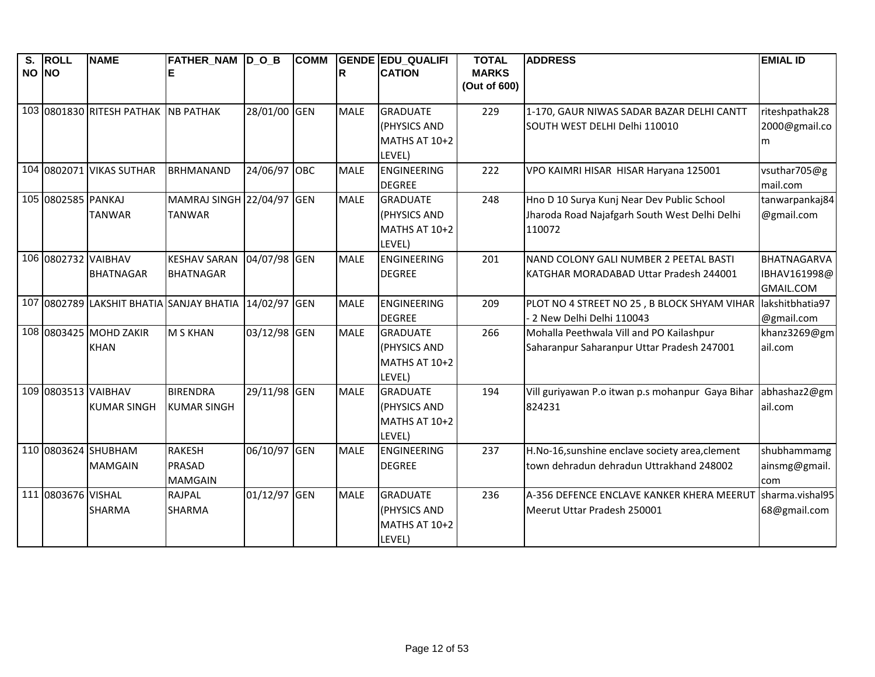| S.    | <b>ROLL</b>         | <b>NAME</b>                              | FATHER_NAM  D_O_B         |              | <b>COMM</b> |             | GENDE EDU_QUALIFI  | <b>TOTAL</b> | <b>ADDRESS</b>                                   | <b>EMIAL ID</b> |
|-------|---------------------|------------------------------------------|---------------------------|--------------|-------------|-------------|--------------------|--------------|--------------------------------------------------|-----------------|
| NO NO |                     |                                          |                           |              |             | lR.         | <b>CATION</b>      | <b>MARKS</b> |                                                  |                 |
|       |                     |                                          |                           |              |             |             |                    | (Out of 600) |                                                  |                 |
|       |                     | 103 0801830 RITESH PATHAK NB PATHAK      |                           | 28/01/00 GEN |             | <b>MALE</b> | <b>GRADUATE</b>    | 229          | 1-170, GAUR NIWAS SADAR BAZAR DELHI CANTT        | riteshpathak28  |
|       |                     |                                          |                           |              |             |             | (PHYSICS AND       |              | SOUTH WEST DELHI Delhi 110010                    | 2000@gmail.co   |
|       |                     |                                          |                           |              |             |             | MATHS AT 10+2      |              |                                                  |                 |
|       |                     |                                          |                           |              |             |             | LEVEL)             |              |                                                  | m               |
|       |                     | 104 0802071 VIKAS SUTHAR                 | <b>BRHMANAND</b>          | 24/06/97 OBC |             | <b>MALE</b> | <b>ENGINEERING</b> | 222          | VPO KAIMRI HISAR HISAR Haryana 125001            | vsuthar705@g    |
|       |                     |                                          |                           |              |             |             | <b>DEGREE</b>      |              |                                                  | mail.com        |
|       | 105 0802585 PANKAJ  |                                          | MAMRAJ SINGH 22/04/97 GEN |              |             | <b>MALE</b> | <b>GRADUATE</b>    | 248          | Hno D 10 Surya Kunj Near Dev Public School       | tanwarpankaj84  |
|       |                     | <b>TANWAR</b>                            | <b>TANWAR</b>             |              |             |             | (PHYSICS AND       |              | Jharoda Road Najafgarh South West Delhi Delhi    | @gmail.com      |
|       |                     |                                          |                           |              |             |             | MATHS AT 10+2      |              | 110072                                           |                 |
|       |                     |                                          |                           |              |             |             | LEVEL)             |              |                                                  |                 |
|       | 106 0802732 VAIBHAV |                                          | <b>KESHAV SARAN</b>       | 04/07/98 GEN |             | <b>MALE</b> | <b>ENGINEERING</b> | 201          | NAND COLONY GALI NUMBER 2 PEETAL BASTI           | BHATNAGARVA     |
|       |                     | <b>BHATNAGAR</b>                         | <b>BHATNAGAR</b>          |              |             |             | <b>DEGREE</b>      |              | KATGHAR MORADABAD Uttar Pradesh 244001           | IBHAV161998@    |
|       |                     |                                          |                           |              |             |             |                    |              |                                                  | GMAIL.COM       |
|       |                     | 107 0802789 LAKSHIT BHATIA SANJAY BHATIA |                           | 14/02/97 GEN |             | <b>MALE</b> | <b>ENGINEERING</b> | 209          | PLOT NO 4 STREET NO 25, B BLOCK SHYAM VIHAR      | lakshitbhatia97 |
|       |                     |                                          |                           |              |             |             | <b>DEGREE</b>      |              | 2 New Delhi Delhi 110043                         | @gmail.com      |
|       |                     | 108 0803425 MOHD ZAKIR                   | <b>M S KHAN</b>           | 03/12/98 GEN |             | <b>MALE</b> | <b>GRADUATE</b>    | 266          | Mohalla Peethwala Vill and PO Kailashpur         | khanz3269@gm    |
|       |                     | <b>KHAN</b>                              |                           |              |             |             | (PHYSICS AND       |              | Saharanpur Saharanpur Uttar Pradesh 247001       | ail.com         |
|       |                     |                                          |                           |              |             |             | MATHS AT 10+2      |              |                                                  |                 |
|       |                     |                                          |                           |              |             |             | LEVEL)             |              |                                                  |                 |
|       | 109 0803513 VAIBHAV |                                          | <b>BIRENDRA</b>           | 29/11/98 GEN |             | <b>MALE</b> | <b>GRADUATE</b>    | 194          | Vill guriyawan P.o itwan p.s mohanpur Gaya Bihar | abhashaz2@gm    |
|       |                     | <b>KUMAR SINGH</b>                       | <b>KUMAR SINGH</b>        |              |             |             | (PHYSICS AND       |              | 824231                                           | ail.com         |
|       |                     |                                          |                           |              |             |             | MATHS AT 10+2      |              |                                                  |                 |
|       |                     |                                          |                           |              |             |             | LEVEL)             |              |                                                  |                 |
|       |                     | 110 0803624 SHUBHAM                      | <b>RAKESH</b>             | 06/10/97 GEN |             | <b>MALE</b> | <b>ENGINEERING</b> | 237          | H.No-16, sunshine enclave society area, clement  | shubhammamg     |
|       |                     | <b>MAMGAIN</b>                           | <b>PRASAD</b>             |              |             |             | <b>DEGREE</b>      |              | town dehradun dehradun Uttrakhand 248002         | ainsmg@gmail.   |
|       |                     |                                          | <b>MAMGAIN</b>            |              |             |             |                    |              |                                                  | com             |
|       | 111 0803676 VISHAL  |                                          | RAJPAL                    | 01/12/97 GEN |             | <b>MALE</b> | <b>GRADUATE</b>    | 236          | A-356 DEFENCE ENCLAVE KANKER KHERA MEERUT        | sharma.vishal95 |
|       |                     | <b>SHARMA</b>                            | <b>SHARMA</b>             |              |             |             | (PHYSICS AND       |              | Meerut Uttar Pradesh 250001                      | 68@gmail.com    |
|       |                     |                                          |                           |              |             |             | MATHS AT 10+2      |              |                                                  |                 |
|       |                     |                                          |                           |              |             |             | LEVEL)             |              |                                                  |                 |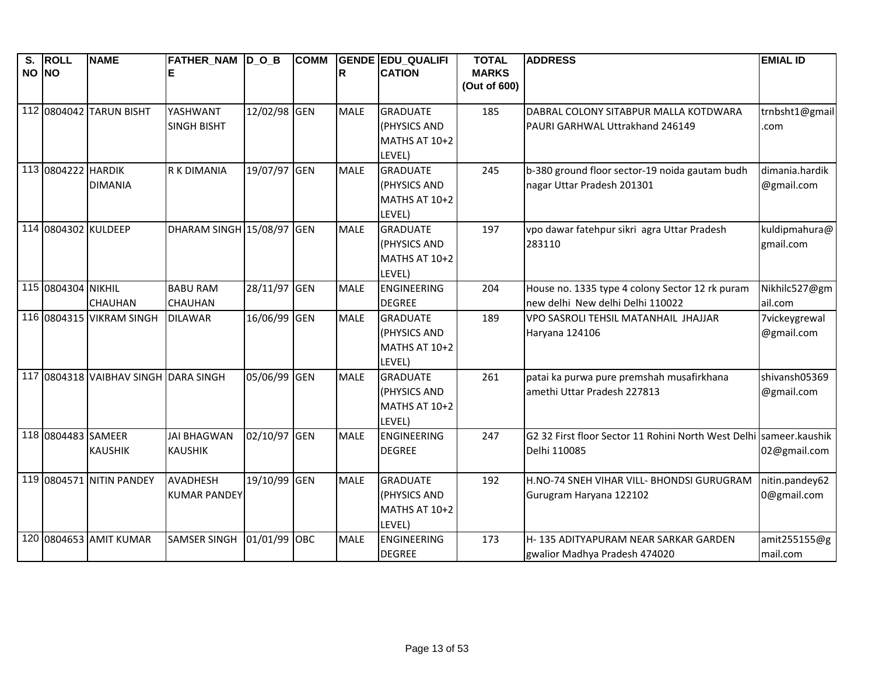| S.<br>NO NO | <b>ROLL</b>         | <b>NAME</b>                          | FATHER_NAM  D_O_B     |              | <b>COMM</b> | lR.         | <b>GENDE EDU QUALIFI</b><br><b>CATION</b> | <b>TOTAL</b><br><b>MARKS</b> | <b>ADDRESS</b>                                                               | <b>EMIAL ID</b>              |
|-------------|---------------------|--------------------------------------|-----------------------|--------------|-------------|-------------|-------------------------------------------|------------------------------|------------------------------------------------------------------------------|------------------------------|
|             |                     |                                      |                       |              |             |             |                                           | (Out of 600)                 |                                                                              |                              |
|             |                     | 112 0804042 TARUN BISHT              | YASHWANT              | 12/02/98 GEN |             | <b>MALE</b> | <b>GRADUATE</b>                           | 185                          | DABRAL COLONY SITABPUR MALLA KOTDWARA                                        | trnbsht1@gmail               |
|             |                     |                                      | <b>SINGH BISHT</b>    |              |             |             | <b>(PHYSICS AND</b>                       |                              | <b>PAURI GARHWAL Uttrakhand 246149</b>                                       | .com                         |
|             |                     |                                      |                       |              |             |             | MATHS AT 10+2                             |                              |                                                                              |                              |
|             |                     |                                      |                       |              |             |             | LEVEL)                                    |                              |                                                                              |                              |
|             | 113 0804222 HARDIK  | <b>DIMANIA</b>                       | <b>R K DIMANIA</b>    | 19/07/97 GEN |             | <b>MALE</b> | <b>GRADUATE</b><br>(PHYSICS AND           | 245                          | b-380 ground floor sector-19 noida gautam budh<br>nagar Uttar Pradesh 201301 | dimania.hardik<br>@gmail.com |
|             |                     |                                      |                       |              |             |             | MATHS AT 10+2                             |                              |                                                                              |                              |
|             |                     |                                      |                       |              |             |             | LEVEL)                                    |                              |                                                                              |                              |
|             | 114 0804302 KULDEEP |                                      | DHARAM SINGH 15/08/97 |              | GEN         | <b>MALE</b> | <b>GRADUATE</b>                           | 197                          | vpo dawar fatehpur sikri agra Uttar Pradesh                                  | kuldipmahura@                |
|             |                     |                                      |                       |              |             |             | (PHYSICS AND                              |                              | 283110                                                                       | gmail.com                    |
|             |                     |                                      |                       |              |             |             | MATHS AT 10+2                             |                              |                                                                              |                              |
|             |                     |                                      |                       |              |             |             | LEVEL)                                    |                              |                                                                              |                              |
|             | 115 0804304 NIKHIL  |                                      | <b>BABU RAM</b>       | 28/11/97 GEN |             | <b>MALE</b> | <b>ENGINEERING</b>                        | 204                          | House no. 1335 type 4 colony Sector 12 rk puram                              | Nikhilc527@gm                |
|             |                     | <b>CHAUHAN</b>                       | <b>CHAUHAN</b>        |              |             |             | <b>DEGREE</b>                             |                              | new delhi New delhi Delhi 110022                                             | ail.com                      |
|             |                     | 116 0804315 VIKRAM SINGH             | <b>DILAWAR</b>        | 16/06/99 GEN |             | <b>MALE</b> | <b>GRADUATE</b>                           | 189                          | VPO SASROLI TEHSIL MATANHAIL JHAJJAR                                         | 7vickeygrewal                |
|             |                     |                                      |                       |              |             |             | (PHYSICS AND                              |                              | Haryana 124106                                                               | @gmail.com                   |
|             |                     |                                      |                       |              |             |             | MATHS AT 10+2                             |                              |                                                                              |                              |
|             |                     | 117 0804318 VAIBHAV SINGH DARA SINGH |                       | 05/06/99 GEN |             | <b>MALE</b> | LEVEL)<br><b>GRADUATE</b>                 | 261                          | patai ka purwa pure premshah musafirkhana                                    | shivansh05369                |
|             |                     |                                      |                       |              |             |             | (PHYSICS AND                              |                              | amethi Uttar Pradesh 227813                                                  | @gmail.com                   |
|             |                     |                                      |                       |              |             |             | MATHS AT 10+2                             |                              |                                                                              |                              |
|             |                     |                                      |                       |              |             |             | LEVEL)                                    |                              |                                                                              |                              |
|             | 118 0804483 SAMEER  |                                      | <b>JAI BHAGWAN</b>    | 02/10/97     | <b>GEN</b>  | <b>MALE</b> | ENGINEERING                               | 247                          | G2 32 First floor Sector 11 Rohini North West Delhi sameer.kaushik           |                              |
|             |                     | <b>KAUSHIK</b>                       | <b>KAUSHIK</b>        |              |             |             | <b>DEGREE</b>                             |                              | Delhi 110085                                                                 | 02@gmail.com                 |
|             |                     |                                      |                       |              |             |             |                                           |                              |                                                                              |                              |
|             |                     | 119 0804571 NITIN PANDEY             | <b>AVADHESH</b>       | 19/10/99 GEN |             | <b>MALE</b> | <b>GRADUATE</b>                           | 192                          | H.NO-74 SNEH VIHAR VILL- BHONDSI GURUGRAM                                    | nitin.pandey62               |
|             |                     |                                      | <b>KUMAR PANDEY</b>   |              |             |             | (PHYSICS AND                              |                              | Gurugram Haryana 122102                                                      | 0@gmail.com                  |
|             |                     |                                      |                       |              |             |             | MATHS AT 10+2<br>LEVEL)                   |                              |                                                                              |                              |
|             |                     | 120 0804653 AMIT KUMAR               | <b>SAMSER SINGH</b>   | 01/01/99     | <b>OBC</b>  | <b>MALE</b> | <b>ENGINEERING</b>                        | 173                          | H-135 ADITYAPURAM NEAR SARKAR GARDEN                                         | amit255155@g                 |
|             |                     |                                      |                       |              |             |             | <b>DEGREE</b>                             |                              | gwalior Madhya Pradesh 474020                                                | mail.com                     |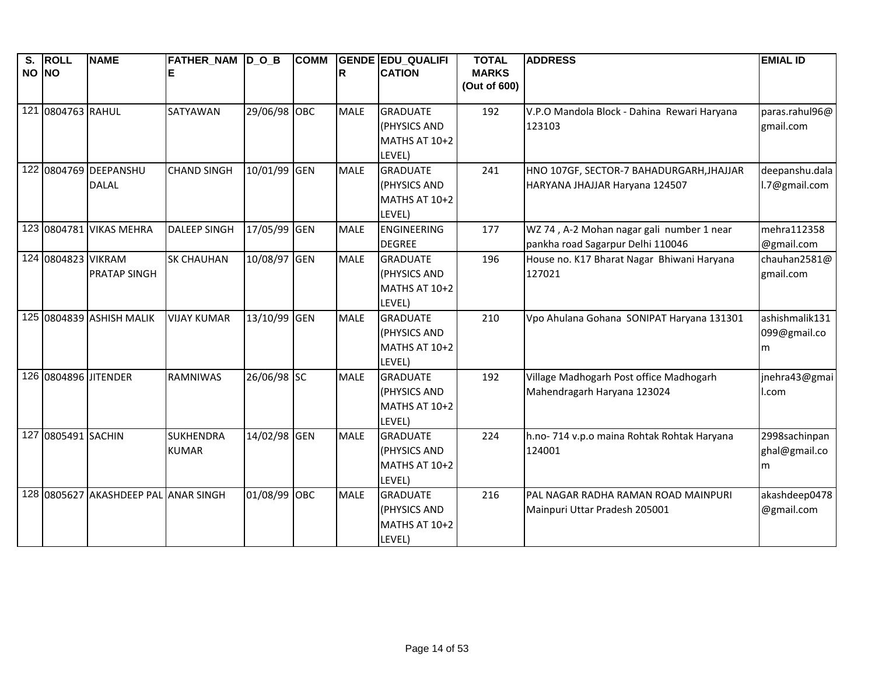| $\overline{\mathbf{s}}$ . | <b>ROLL</b>          | <b>NAME</b>                          | FATHER_NAM D_O_B    |              | <b>COMM</b> |             | <b>GENDE EDU QUALIFI</b> | <b>TOTAL</b> | <b>ADDRESS</b>                              | <b>EMIAL ID</b> |
|---------------------------|----------------------|--------------------------------------|---------------------|--------------|-------------|-------------|--------------------------|--------------|---------------------------------------------|-----------------|
| NO NO                     |                      |                                      |                     |              |             | R           | <b>CATION</b>            | <b>MARKS</b> |                                             |                 |
|                           |                      |                                      |                     |              |             |             |                          | (Out of 600) |                                             |                 |
|                           | 121 0804763 RAHUL    |                                      | <b>SATYAWAN</b>     | 29/06/98 OBC |             | <b>MALE</b> | <b>GRADUATE</b>          | 192          | V.P.O Mandola Block - Dahina Rewari Haryana | paras.rahul96@  |
|                           |                      |                                      |                     |              |             |             | (PHYSICS AND             |              | 123103                                      | gmail.com       |
|                           |                      |                                      |                     |              |             |             | MATHS AT 10+2            |              |                                             |                 |
|                           |                      |                                      |                     |              |             |             | LEVEL)                   |              |                                             |                 |
|                           |                      | 122 0804769 DEEPANSHU                | <b>CHAND SINGH</b>  | 10/01/99 GEN |             | <b>MALE</b> | <b>GRADUATE</b>          | 241          | HNO 107GF, SECTOR-7 BAHADURGARH, JHAJJAR    | deepanshu.dala  |
|                           |                      | <b>DALAL</b>                         |                     |              |             |             | (PHYSICS AND             |              | HARYANA JHAJJAR Haryana 124507              | l.7@gmail.com   |
|                           |                      |                                      |                     |              |             |             | MATHS AT 10+2            |              |                                             |                 |
|                           |                      |                                      |                     |              |             |             | LEVEL)                   |              |                                             |                 |
|                           |                      | 123 0804781 VIKAS MEHRA              | <b>DALEEP SINGH</b> | 17/05/99 GEN |             | <b>MALE</b> | ENGINEERING              | 177          | WZ 74, A-2 Mohan nagar gali number 1 near   | mehra112358     |
|                           |                      |                                      |                     |              |             |             | <b>DEGREE</b>            |              | pankha road Sagarpur Delhi 110046           | @gmail.com      |
|                           | 124 0804823 VIKRAM   |                                      | <b>SK CHAUHAN</b>   | 10/08/97 GEN |             | <b>MALE</b> | <b>GRADUATE</b>          | 196          | House no. K17 Bharat Nagar Bhiwani Haryana  | chauhan2581@    |
|                           |                      | <b>PRATAP SINGH</b>                  |                     |              |             |             | (PHYSICS AND             |              | 127021                                      | gmail.com       |
|                           |                      |                                      |                     |              |             |             | MATHS AT 10+2            |              |                                             |                 |
|                           |                      |                                      |                     |              |             |             | LEVEL)                   |              |                                             |                 |
|                           |                      | 125 0804839 ASHISH MALIK             | <b>VIJAY KUMAR</b>  | 13/10/99 GEN |             | <b>MALE</b> | <b>GRADUATE</b>          | 210          | Vpo Ahulana Gohana SONIPAT Haryana 131301   | ashishmalik131  |
|                           |                      |                                      |                     |              |             |             | (PHYSICS AND             |              |                                             | 099@gmail.co    |
|                           |                      |                                      |                     |              |             |             | MATHS AT 10+2            |              |                                             | m               |
|                           |                      |                                      |                     |              |             |             | LEVEL)                   |              |                                             |                 |
|                           | 126 0804896 JITENDER |                                      | <b>RAMNIWAS</b>     | 26/06/98 SC  |             | <b>MALE</b> | <b>GRADUATE</b>          | 192          | Village Madhogarh Post office Madhogarh     | jnehra43@gmai   |
|                           |                      |                                      |                     |              |             |             | (PHYSICS AND             |              | Mahendragarh Haryana 123024                 | l.com           |
|                           |                      |                                      |                     |              |             |             | MATHS AT 10+2            |              |                                             |                 |
|                           |                      |                                      |                     |              |             |             | LEVEL)                   |              |                                             |                 |
|                           | 127 0805491 SACHIN   |                                      | <b>SUKHENDRA</b>    | 14/02/98 GEN |             | <b>MALE</b> | <b>GRADUATE</b>          | 224          | h.no- 714 v.p.o maina Rohtak Rohtak Haryana | 2998sachinpan   |
|                           |                      |                                      | <b>KUMAR</b>        |              |             |             | (PHYSICS AND             |              | 124001                                      | ghal@gmail.co   |
|                           |                      |                                      |                     |              |             |             | MATHS AT 10+2            |              |                                             | m               |
|                           |                      |                                      |                     |              |             |             | LEVEL)                   |              |                                             |                 |
|                           |                      | 128 0805627 AKASHDEEP PAL ANAR SINGH |                     | 01/08/99 OBC |             | <b>MALE</b> | <b>GRADUATE</b>          | 216          | PAL NAGAR RADHA RAMAN ROAD MAINPURI         | akashdeep0478   |
|                           |                      |                                      |                     |              |             |             | (PHYSICS AND             |              | Mainpuri Uttar Pradesh 205001               | @gmail.com      |
|                           |                      |                                      |                     |              |             |             | MATHS AT 10+2            |              |                                             |                 |
|                           |                      |                                      |                     |              |             |             | LEVEL)                   |              |                                             |                 |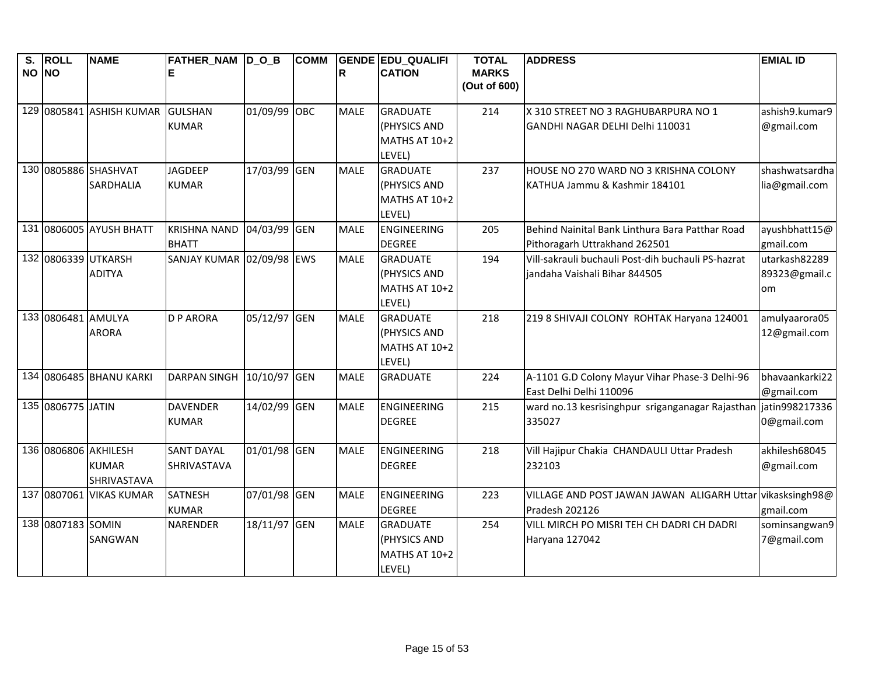| S.<br>NO NO | <b>ROLL</b>        | <b>NAME</b>                                         | FATHER_NAM D_O_B                        |              | <b>COMM</b> | lR.         | <b>GENDE EDU QUALIFI</b><br><b>CATION</b>                            | <b>TOTAL</b><br><b>MARKS</b><br>(Out of 600) | <b>ADDRESS</b>                                                                      | <b>EMIAL ID</b>                      |
|-------------|--------------------|-----------------------------------------------------|-----------------------------------------|--------------|-------------|-------------|----------------------------------------------------------------------|----------------------------------------------|-------------------------------------------------------------------------------------|--------------------------------------|
|             |                    | 129 0805841 ASHISH KUMAR                            | <b>GULSHAN</b><br><b>KUMAR</b>          | 01/09/99 OBC |             | <b>MALE</b> | <b>GRADUATE</b><br>(PHYSICS AND<br>MATHS AT 10+2                     | 214                                          | X 310 STREET NO 3 RAGHUBARPURA NO 1<br>GANDHI NAGAR DELHI Delhi 110031              | ashish9.kumar9<br>@gmail.com         |
|             |                    | 130 0805886 SHASHVAT<br><b>SARDHALIA</b>            | <b>JAGDEEP</b><br><b>KUMAR</b>          | 17/03/99 GEN |             | <b>MALE</b> | LEVEL)<br><b>GRADUATE</b><br>(PHYSICS AND<br>MATHS AT 10+2<br>LEVEL) | 237                                          | HOUSE NO 270 WARD NO 3 KRISHNA COLONY<br>KATHUA Jammu & Kashmir 184101              | shashwatsardha<br>lia@gmail.com      |
|             |                    | 131 0806005 AYUSH BHATT                             | <b>KRISHNA NAND</b><br><b>BHATT</b>     | 04/03/99 GEN |             | <b>MALE</b> | <b>ENGINEERING</b><br><b>DEGREE</b>                                  | 205                                          | Behind Nainital Bank Linthura Bara Patthar Road<br>Pithoragarh Uttrakhand 262501    | ayushbhatt15@<br>gmail.com           |
|             |                    | 132 0806339 UTKARSH<br><b>ADITYA</b>                | SANJAY KUMAR 02/09/98 EWS               |              |             | <b>MALE</b> | <b>GRADUATE</b><br>(PHYSICS AND<br>MATHS AT 10+2<br>LEVEL)           | 194                                          | Vill-sakrauli buchauli Post-dih buchauli PS-hazrat<br>jandaha Vaishali Bihar 844505 | utarkash82289<br>89323@gmail.c<br>om |
|             | 133 0806481 AMULYA | <b>ARORA</b>                                        | <b>D P ARORA</b>                        | 05/12/97 GEN |             | <b>MALE</b> | <b>GRADUATE</b><br>(PHYSICS AND<br>MATHS AT 10+2<br>LEVEL)           | 218                                          | 219 8 SHIVAJI COLONY ROHTAK Haryana 124001                                          | amulyaarora05<br>12@gmail.com        |
|             |                    | 134 0806485 BHANU KARKI                             | <b>DARPAN SINGH</b>                     | 10/10/97 GEN |             | <b>MALE</b> | <b>GRADUATE</b>                                                      | 224                                          | A-1101 G.D Colony Mayur Vihar Phase-3 Delhi-96<br>East Delhi Delhi 110096           | bhavaankarki22<br>@gmail.com         |
|             | 135 0806775 JATIN  |                                                     | <b>DAVENDER</b><br><b>KUMAR</b>         | 14/02/99 GEN |             | <b>MALE</b> | ENGINEERING<br><b>DEGREE</b>                                         | 215                                          | ward no.13 kesrisinghpur sriganganagar Rajasthan jatin998217336<br>335027           | 0@gmail.com                          |
|             |                    | 136 0806806 AKHILESH<br><b>KUMAR</b><br>SHRIVASTAVA | <b>SANT DAYAL</b><br><b>SHRIVASTAVA</b> | 01/01/98 GEN |             | <b>MALE</b> | ENGINEERING<br><b>DEGREE</b>                                         | 218                                          | Vill Hajipur Chakia CHANDAULI Uttar Pradesh<br>232103                               | akhilesh 68045<br>@gmail.com         |
|             |                    | 137 0807061 VIKAS KUMAR                             | <b>SATNESH</b><br><b>KUMAR</b>          | 07/01/98 GEN |             | <b>MALE</b> | <b>ENGINEERING</b><br><b>DEGREE</b>                                  | 223                                          | VILLAGE AND POST JAWAN JAWAN ALIGARH Uttar vikasksingh98@<br>Pradesh 202126         | gmail.com                            |
|             | 138 0807183 SOMIN  | SANGWAN                                             | <b>NARENDER</b>                         | 18/11/97 GEN |             | <b>MALE</b> | <b>GRADUATE</b><br>(PHYSICS AND<br>MATHS AT 10+2<br>LEVEL)           | 254                                          | VILL MIRCH PO MISRI TEH CH DADRI CH DADRI<br>Haryana 127042                         | sominsangwan9<br>7@gmail.com         |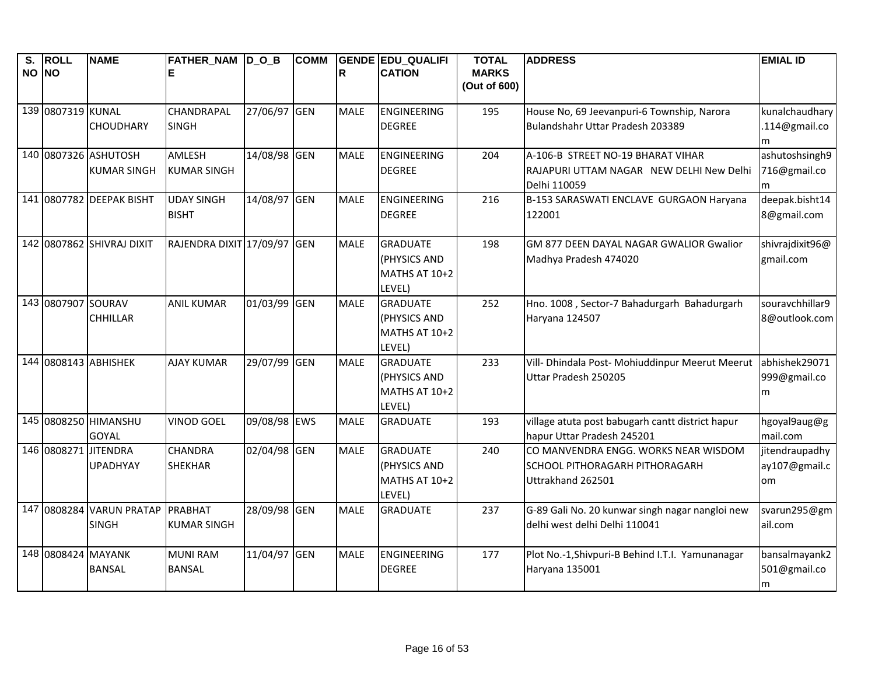| $\overline{\mathsf{s}}$ .<br>NO NO | <b>ROLL</b>        | <b>NAME</b>                                | FATHER_NAM D_O_B                  |              | <b>COMM</b> | $\mathsf{R}$ | <b>GENDE EDU QUALIFI</b><br><b>CATION</b>                  | <b>TOTAL</b><br><b>MARKS</b><br>(Out of 600) | <b>ADDRESS</b>                                                                                     | <b>EMIAL ID</b>                       |
|------------------------------------|--------------------|--------------------------------------------|-----------------------------------|--------------|-------------|--------------|------------------------------------------------------------|----------------------------------------------|----------------------------------------------------------------------------------------------------|---------------------------------------|
|                                    | 139 0807319 KUNAL  | <b>CHOUDHARY</b>                           | CHANDRAPAL<br><b>SINGH</b>        | 27/06/97 GEN |             | <b>MALE</b>  | ENGINEERING<br><b>DEGREE</b>                               | 195                                          | House No, 69 Jeevanpuri-6 Township, Narora<br>Bulandshahr Uttar Pradesh 203389                     | kunalchaudhary<br>.114@gmail.co<br>m  |
|                                    |                    | 140 0807326 ASHUTOSH<br><b>KUMAR SINGH</b> | AMLESH<br><b>KUMAR SINGH</b>      | 14/08/98 GEN |             | <b>MALE</b>  | ENGINEERING<br><b>DEGREE</b>                               | 204                                          | A-106-B STREET NO-19 BHARAT VIHAR<br>RAJAPURI UTTAM NAGAR NEW DELHI New Delhi<br>Delhi 110059      | ashutoshsingh9<br>716@gmail.co<br>m   |
|                                    |                    | 141 0807782 DEEPAK BISHT                   | <b>UDAY SINGH</b><br><b>BISHT</b> | 14/08/97 GEN |             | <b>MALE</b>  | ENGINEERING<br><b>DEGREE</b>                               | 216                                          | B-153 SARASWATI ENCLAVE GURGAON Haryana<br>122001                                                  | deepak.bisht14<br>8@gmail.com         |
|                                    |                    | 142 0807862 SHIVRAJ DIXIT                  | RAJENDRA DIXIT 17/09/97 GEN       |              |             | <b>MALE</b>  | <b>GRADUATE</b><br>(PHYSICS AND<br>MATHS AT 10+2<br>LEVEL) | 198                                          | GM 877 DEEN DAYAL NAGAR GWALIOR Gwalior<br>Madhya Pradesh 474020                                   | shivrajdixit96@<br>gmail.com          |
|                                    | 143 0807907 SOURAV | <b>CHHILLAR</b>                            | <b>ANIL KUMAR</b>                 | 01/03/99 GEN |             | <b>MALE</b>  | <b>GRADUATE</b><br>(PHYSICS AND<br>MATHS AT 10+2<br>LEVEL) | 252                                          | Hno. 1008, Sector-7 Bahadurgarh Bahadurgarh<br>Haryana 124507                                      | souravchhillar9<br>8@outlook.com      |
|                                    |                    | 144 0808143 ABHISHEK                       | <b>AJAY KUMAR</b>                 | 29/07/99 GEN |             | <b>MALE</b>  | <b>GRADUATE</b><br>(PHYSICS AND<br>MATHS AT 10+2<br>LEVEL) | 233                                          | Vill- Dhindala Post- Mohiuddinpur Meerut Meerut<br>Uttar Pradesh 250205                            | abhishek29071<br>999@gmail.co<br>m    |
|                                    |                    | 145 0808250 HIMANSHU<br><b>GOYAL</b>       | <b>VINOD GOEL</b>                 | 09/08/98 EWS |             | <b>MALE</b>  | <b>GRADUATE</b>                                            | 193                                          | village atuta post babugarh cantt district hapur<br>hapur Uttar Pradesh 245201                     | hgoyal9aug@g<br>mail.com              |
|                                    |                    | 146 0808271 JITENDRA<br><b>UPADHYAY</b>    | <b>CHANDRA</b><br><b>SHEKHAR</b>  | 02/04/98 GEN |             | <b>MALE</b>  | <b>GRADUATE</b><br>(PHYSICS AND<br>MATHS AT 10+2<br>LEVEL) | 240                                          | CO MANVENDRA ENGG. WORKS NEAR WISDOM<br><b>SCHOOL PITHORAGARH PITHORAGARH</b><br>Uttrakhand 262501 | jitendraupadhy<br>ay107@gmail.c<br>om |
|                                    |                    | 147 0808284 VARUN PRATAP<br><b>SINGH</b>   | PRABHAT<br><b>KUMAR SINGH</b>     | 28/09/98 GEN |             | <b>MALE</b>  | <b>GRADUATE</b>                                            | 237                                          | G-89 Gali No. 20 kunwar singh nagar nangloi new<br>delhi west delhi Delhi 110041                   | svarun295@gm<br>ail.com               |
|                                    | 148 0808424 MAYANK | <b>BANSAL</b>                              | <b>MUNI RAM</b><br><b>BANSAL</b>  | 11/04/97 GEN |             | <b>MALE</b>  | ENGINEERING<br><b>DEGREE</b>                               | 177                                          | Plot No.-1, Shivpuri-B Behind I.T.I. Yamunanagar<br>Haryana 135001                                 | bansalmayank2<br>501@gmail.co<br>m    |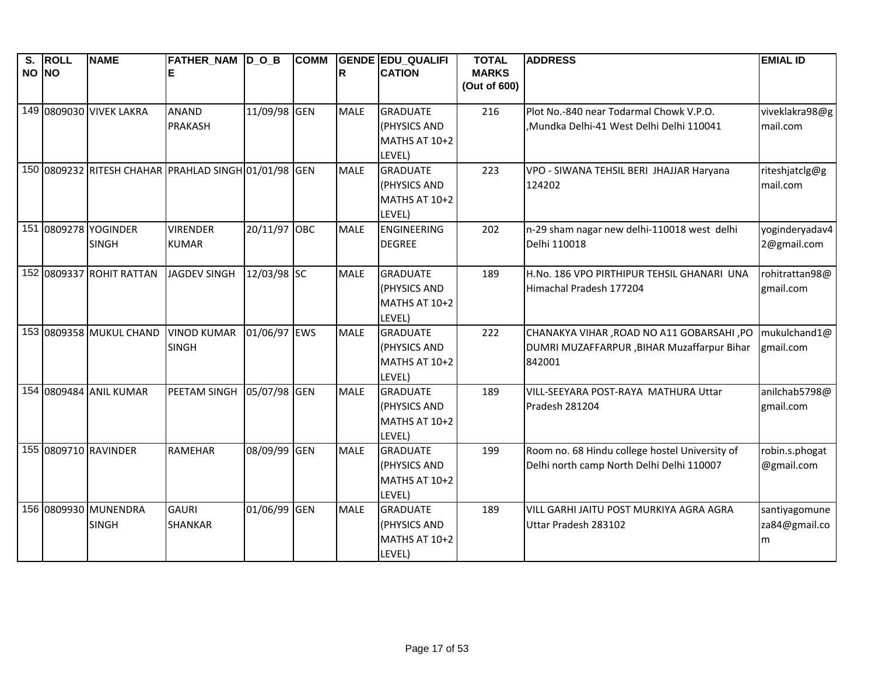| S.<br>NO NO | <b>ROLL</b> | <b>NAME</b>              | <b>FATHER_NAM D_O_B</b>                              |              | <b>COMM</b> | R           | <b>GENDE EDU_QUALIFI</b><br><b>CATION</b> | <b>TOTAL</b><br><b>MARKS</b> | <b>ADDRESS</b>                                 | <b>EMIAL ID</b> |
|-------------|-------------|--------------------------|------------------------------------------------------|--------------|-------------|-------------|-------------------------------------------|------------------------------|------------------------------------------------|-----------------|
|             |             |                          |                                                      |              |             |             |                                           | (Out of 600)                 |                                                |                 |
|             |             | 149 0809030 VIVEK LAKRA  | <b>ANAND</b>                                         | 11/09/98 GEN |             | <b>MALE</b> | <b>GRADUATE</b>                           | 216                          | Plot No.-840 near Todarmal Chowk V.P.O.        | viveklakra98@g  |
|             |             |                          | <b>PRAKASH</b>                                       |              |             |             | (PHYSICS AND<br>MATHS AT 10+2             |                              | Mundka Delhi-41 West Delhi Delhi 110041,       | mail.com        |
|             |             |                          |                                                      |              |             |             | LEVEL)                                    |                              |                                                |                 |
|             |             |                          | 150 0809232 RITESH CHAHAR PRAHLAD SINGH 01/01/98 GEN |              |             | <b>MALE</b> | <b>GRADUATE</b>                           | 223                          | VPO - SIWANA TEHSIL BERI JHAJJAR Haryana       | riteshjatclg@g  |
|             |             |                          |                                                      |              |             |             | (PHYSICS AND<br>MATHS AT 10+2             |                              | 124202                                         | mail.com        |
|             |             |                          |                                                      |              |             |             | LEVEL)                                    |                              |                                                |                 |
|             |             | 151 0809278 YOGINDER     | <b>VIRENDER</b>                                      | 20/11/97 OBC |             | <b>MALE</b> | <b>ENGINEERING</b>                        | 202                          | n-29 sham nagar new delhi-110018 west delhi    | yoginderyadav4  |
|             |             | <b>SINGH</b>             | <b>KUMAR</b>                                         |              |             |             | <b>DEGREE</b>                             |                              | Delhi 110018                                   | 2@gmail.com     |
|             |             | 152 0809337 ROHIT RATTAN | JAGDEV SINGH                                         | 12/03/98 SC  |             | <b>MALE</b> | <b>GRADUATE</b>                           | 189                          | H.No. 186 VPO PIRTHIPUR TEHSIL GHANARI UNA     | rohitrattan98@  |
|             |             |                          |                                                      |              |             |             | (PHYSICS AND                              |                              | Himachal Pradesh 177204                        | gmail.com       |
|             |             |                          |                                                      |              |             |             | MATHS AT 10+2<br>LEVEL)                   |                              |                                                |                 |
|             |             | 153 0809358 MUKUL CHAND  | <b>VINOD KUMAR</b>                                   | 01/06/97 EWS |             | <b>MALE</b> | <b>GRADUATE</b>                           | 222                          | CHANAKYA VIHAR, ROAD NO A11 GOBARSAHI, PO      | mukulchand1@    |
|             |             |                          | <b>SINGH</b>                                         |              |             |             | (PHYSICS AND                              |                              | DUMRI MUZAFFARPUR , BIHAR Muzaffarpur Bihar    | gmail.com       |
|             |             |                          |                                                      |              |             |             | MATHS AT 10+2<br>LEVEL)                   |                              | 842001                                         |                 |
|             |             | 154 0809484 ANIL KUMAR   | PEETAM SINGH                                         | 05/07/98 GEN |             | <b>MALE</b> | <b>GRADUATE</b>                           | 189                          | VILL-SEEYARA POST-RAYA MATHURA Uttar           | anilchab5798@   |
|             |             |                          |                                                      |              |             |             | (PHYSICS AND                              |                              | Pradesh 281204                                 | gmail.com       |
|             |             |                          |                                                      |              |             |             | MATHS AT 10+2<br>LEVEL)                   |                              |                                                |                 |
|             |             | 155 0809710 RAVINDER     | <b>RAMEHAR</b>                                       | 08/09/99 GEN |             | <b>MALE</b> | <b>GRADUATE</b>                           | 199                          | Room no. 68 Hindu college hostel University of | robin.s.phogat  |
|             |             |                          |                                                      |              |             |             | (PHYSICS AND                              |                              | Delhi north camp North Delhi Delhi 110007      | @gmail.com      |
|             |             |                          |                                                      |              |             |             | MATHS AT 10+2                             |                              |                                                |                 |
|             |             | 156 0809930 MUNENDRA     | <b>GAURI</b>                                         | 01/06/99 GEN |             | <b>MALE</b> | LEVEL)<br><b>GRADUATE</b>                 | 189                          | VILL GARHI JAITU POST MURKIYA AGRA AGRA        | santiyagomune   |
|             |             | <b>SINGH</b>             | <b>SHANKAR</b>                                       |              |             |             | (PHYSICS AND                              |                              | Uttar Pradesh 283102                           | za84@gmail.co   |
|             |             |                          |                                                      |              |             |             | MATHS AT 10+2                             |                              |                                                | m               |
|             |             |                          |                                                      |              |             |             | LEVEL)                                    |                              |                                                |                 |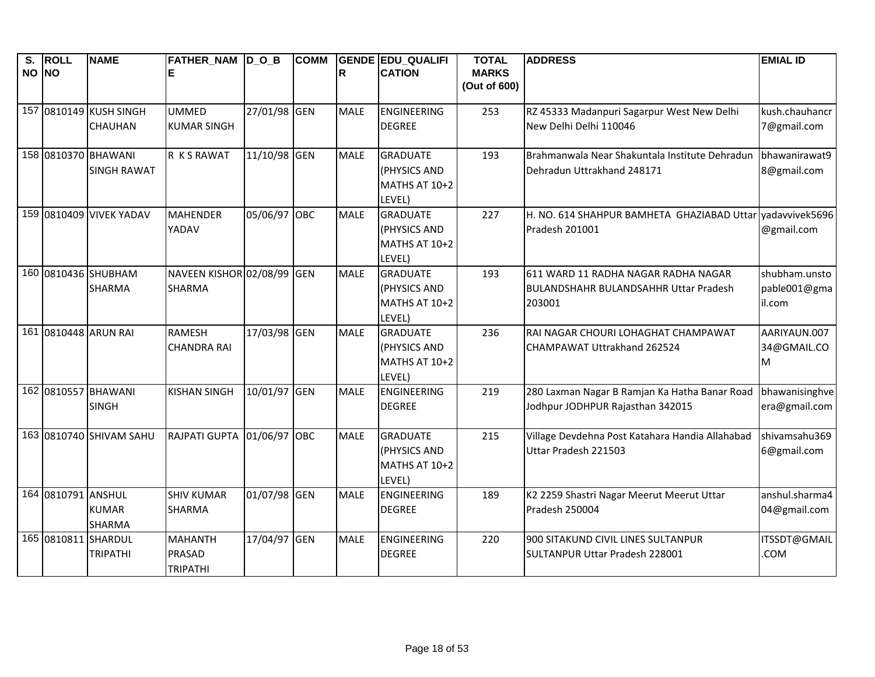| S.<br>NO NO | <b>ROLL</b>        | <b>NAME</b>             | FATHER_NAM D_O_B<br>Е      |              | <b>COMM</b> | R           | <b>GENDE EDU QUALIFI</b><br><b>CATION</b> | <b>TOTAL</b><br><b>MARKS</b> | <b>ADDRESS</b>                                            | <b>EMIAL ID</b> |
|-------------|--------------------|-------------------------|----------------------------|--------------|-------------|-------------|-------------------------------------------|------------------------------|-----------------------------------------------------------|-----------------|
|             |                    |                         |                            |              |             |             |                                           | (Out of 600)                 |                                                           |                 |
|             |                    | 157 0810149 KUSH SINGH  | <b>UMMED</b>               | 27/01/98 GEN |             | <b>MALE</b> | ENGINEERING                               | 253                          | RZ 45333 Madanpuri Sagarpur West New Delhi                | kush.chauhancr  |
|             |                    | CHAUHAN                 | <b>KUMAR SINGH</b>         |              |             |             | <b>DEGREE</b>                             |                              | New Delhi Delhi 110046                                    | 7@gmail.com     |
|             |                    | 158 0810370 BHAWANI     | R K S RAWAT                | 11/10/98 GEN |             | <b>MALE</b> | <b>GRADUATE</b>                           | 193                          | Brahmanwala Near Shakuntala Institute Dehradun            | bhawanirawat9   |
|             |                    | <b>SINGH RAWAT</b>      |                            |              |             |             | (PHYSICS AND                              |                              | Dehradun Uttrakhand 248171                                | 8@gmail.com     |
|             |                    |                         |                            |              |             |             | MATHS AT 10+2                             |                              |                                                           |                 |
|             |                    |                         |                            |              |             |             | LEVEL)                                    |                              |                                                           |                 |
|             |                    | 159 0810409 VIVEK YADAV | <b>MAHENDER</b>            | 05/06/97 OBC |             | <b>MALE</b> | <b>GRADUATE</b>                           | 227                          | H. NO. 614 SHAHPUR BAMHETA GHAZIABAD Uttar vadavvivek5696 |                 |
|             |                    |                         | YADAV                      |              |             |             | (PHYSICS AND                              |                              | Pradesh 201001                                            | @gmail.com      |
|             |                    |                         |                            |              |             |             | MATHS AT 10+2                             |                              |                                                           |                 |
|             |                    | 160 0810436 SHUBHAM     | NAVEEN KISHOR 02/08/99 GEN |              |             | <b>MALE</b> | LEVEL)<br><b>GRADUATE</b>                 | 193                          | 611 WARD 11 RADHA NAGAR RADHA NAGAR                       | shubham.unsto   |
|             |                    | SHARMA                  | <b>SHARMA</b>              |              |             |             | (PHYSICS AND                              |                              | <b>BULANDSHAHR BULANDSAHHR Uttar Pradesh</b>              | pable001@gma    |
|             |                    |                         |                            |              |             |             | MATHS AT 10+2                             |                              | 203001                                                    | il.com          |
|             |                    |                         |                            |              |             |             | LEVEL)                                    |                              |                                                           |                 |
|             |                    | 161 0810448 ARUN RAI    | <b>RAMESH</b>              | 17/03/98 GEN |             | <b>MALE</b> | <b>GRADUATE</b>                           | 236                          | RAI NAGAR CHOURI LOHAGHAT CHAMPAWAT                       | AARIYAUN.007    |
|             |                    |                         | <b>CHANDRA RAI</b>         |              |             |             | (PHYSICS AND                              |                              | CHAMPAWAT Uttrakhand 262524                               | 34@GMAIL.CO     |
|             |                    |                         |                            |              |             |             | MATHS AT 10+2                             |                              |                                                           | M               |
|             |                    |                         |                            |              |             |             | LEVEL)                                    |                              |                                                           |                 |
|             |                    | 162 0810557 BHAWANI     | <b>KISHAN SINGH</b>        | 10/01/97 GEN |             | <b>MALE</b> | ENGINEERING                               | 219                          | 280 Laxman Nagar B Ramjan Ka Hatha Banar Road             | bhawanisinghve  |
|             |                    | <b>SINGH</b>            |                            |              |             |             | <b>DEGREE</b>                             |                              | Jodhpur JODHPUR Rajasthan 342015                          | era@gmail.com   |
|             |                    | 163 0810740 SHIVAM SAHU | RAJPATI GUPTA 01/06/97 OBC |              |             | <b>MALE</b> | <b>GRADUATE</b>                           | 215                          | Village Devdehna Post Katahara Handia Allahabad           | shivamsahu369   |
|             |                    |                         |                            |              |             |             | (PHYSICS AND                              |                              | Uttar Pradesh 221503                                      | 6@gmail.com     |
|             |                    |                         |                            |              |             |             | MATHS AT 10+2                             |                              |                                                           |                 |
|             |                    |                         |                            |              |             |             | LEVEL)                                    |                              |                                                           |                 |
|             | 164 0810791 ANSHUL |                         | <b>SHIV KUMAR</b>          | 01/07/98 GEN |             | <b>MALE</b> | <b>ENGINEERING</b>                        | 189                          | K2 2259 Shastri Nagar Meerut Meerut Uttar                 | anshul.sharma4  |
|             |                    | <b>KUMAR</b>            | <b>SHARMA</b>              |              |             |             | <b>DEGREE</b>                             |                              | Pradesh 250004                                            | 04@gmail.com    |
|             |                    | <b>SHARMA</b>           |                            |              |             |             |                                           |                              |                                                           |                 |
|             |                    | 165 0810811 SHARDUL     | <b>MAHANTH</b>             | 17/04/97 GEN |             | <b>MALE</b> | ENGINEERING                               | 220                          | 900 SITAKUND CIVIL LINES SULTANPUR                        | ITSSDT@GMAIL    |
|             |                    | <b>TRIPATHI</b>         | PRASAD<br><b>TRIPATHI</b>  |              |             |             | <b>DEGREE</b>                             |                              | SULTANPUR Uttar Pradesh 228001                            | COM.            |
|             |                    |                         |                            |              |             |             |                                           |                              |                                                           |                 |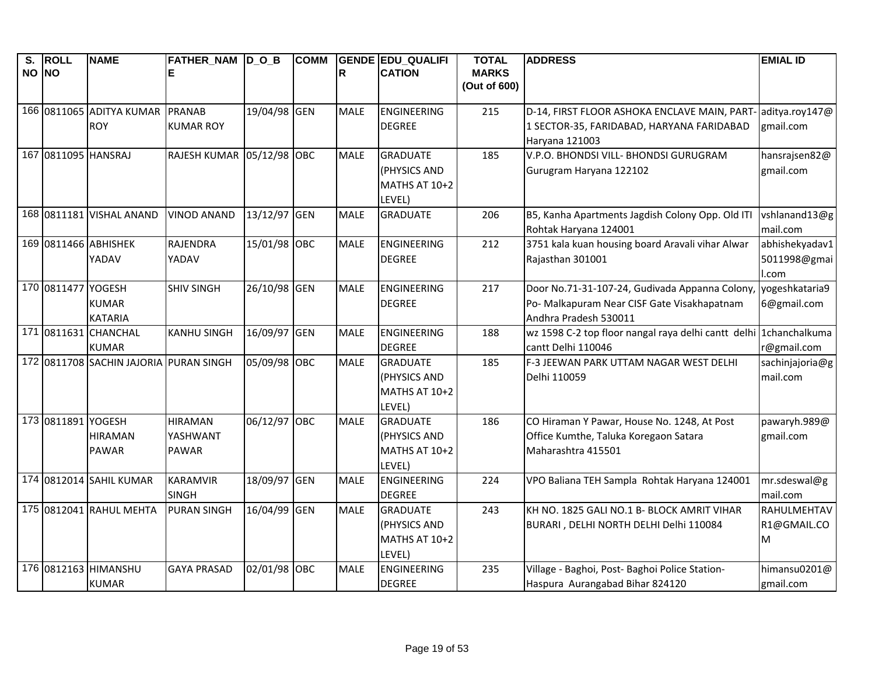| $\overline{\mathsf{s}}$ .<br>NO NO | <b>ROLL</b>         | <b>NAME</b>                            | FATHER_NAM D_O_B<br>Е                      |              | <b>COMM</b> | R           | <b>GENDE EDU QUALIFI</b><br><b>CATION</b>                  | <b>TOTAL</b><br><b>MARKS</b> | <b>ADDRESS</b>                                                                                                         | <b>EMIAL ID</b>                         |
|------------------------------------|---------------------|----------------------------------------|--------------------------------------------|--------------|-------------|-------------|------------------------------------------------------------|------------------------------|------------------------------------------------------------------------------------------------------------------------|-----------------------------------------|
|                                    |                     |                                        |                                            |              |             |             |                                                            | (Out of 600)                 |                                                                                                                        |                                         |
|                                    |                     | 166 0811065 ADITYA KUMAR<br><b>ROY</b> | <b>PRANAB</b><br><b>KUMAR ROY</b>          | 19/04/98 GEN |             | <b>MALE</b> | <b>ENGINEERING</b><br><b>DEGREE</b>                        | 215                          | D-14, FIRST FLOOR ASHOKA ENCLAVE MAIN, PART-<br>1 SECTOR-35, FARIDABAD, HARYANA FARIDABAD<br>Haryana 121003            | aditya.roy147@<br>gmail.com             |
|                                    | 167 0811095 HANSRAJ |                                        | RAJESH KUMAR 05/12/98                      |              | <b>OBC</b>  | <b>MALE</b> | <b>GRADUATE</b><br>(PHYSICS AND<br>MATHS AT 10+2<br>LEVEL) | 185                          | V.P.O. BHONDSI VILL- BHONDSI GURUGRAM<br>Gurugram Haryana 122102                                                       | hansrajsen82@<br>gmail.com              |
|                                    |                     | 168 0811181 VISHAL ANAND               | <b>VINOD ANAND</b>                         | 13/12/97     | <b>GEN</b>  | <b>MALE</b> | <b>GRADUATE</b>                                            | 206                          | B5, Kanha Apartments Jagdish Colony Opp. Old ITI<br>Rohtak Haryana 124001                                              | vshlanand13@g<br>mail.com               |
|                                    |                     | 169 0811466 ABHISHEK<br>YADAV          | RAJENDRA<br>YADAV                          | 15/01/98 OBC |             | <b>MALE</b> | <b>ENGINEERING</b><br><b>DEGREE</b>                        | 212                          | 3751 kala kuan housing board Aravali vihar Alwar<br>Rajasthan 301001                                                   | abhishekyadav1<br>5011998@gmai<br>I.com |
|                                    | 170 0811477 YOGESH  | <b>KUMAR</b><br><b>KATARIA</b>         | <b>SHIV SINGH</b>                          | 26/10/98 GEN |             | <b>MALE</b> | <b>ENGINEERING</b><br><b>DEGREE</b>                        | 217                          | Door No.71-31-107-24, Gudivada Appanna Colony,<br>Po- Malkapuram Near CISF Gate Visakhapatnam<br>Andhra Pradesh 530011 | yogeshkataria9<br>6@gmail.com           |
|                                    |                     | 171 0811631 CHANCHAL<br><b>KUMAR</b>   | <b>KANHU SINGH</b>                         | 16/09/97 GEN |             | <b>MALE</b> | <b>ENGINEERING</b><br><b>DEGREE</b>                        | 188                          | wz 1598 C-2 top floor nangal raya delhi cantt delhi 1chanchalkuma<br>cantt Delhi 110046                                | r@gmail.com                             |
|                                    |                     | 172 0811708 SACHIN JAJORIA PURAN SINGH |                                            | 05/09/98 OBC |             | <b>MALE</b> | <b>GRADUATE</b><br>(PHYSICS AND<br>MATHS AT 10+2<br>LEVEL) | 185                          | F-3 JEEWAN PARK UTTAM NAGAR WEST DELHI<br>Delhi 110059                                                                 | sachinjajoria@g<br>mail.com             |
|                                    | 173 0811891 YOGESH  | <b>HIRAMAN</b><br><b>PAWAR</b>         | <b>HIRAMAN</b><br>YASHWANT<br><b>PAWAR</b> | 06/12/97 OBC |             | <b>MALE</b> | <b>GRADUATE</b><br>(PHYSICS AND<br>MATHS AT 10+2<br>LEVEL) | 186                          | CO Hiraman Y Pawar, House No. 1248, At Post<br>Office Kumthe, Taluka Koregaon Satara<br>Maharashtra 415501             | pawaryh.989@<br>gmail.com               |
|                                    |                     | 174 0812014 SAHIL KUMAR                | <b>KARAMVIR</b><br><b>SINGH</b>            | 18/09/97     | <b>GEN</b>  | <b>MALE</b> | <b>ENGINEERING</b><br><b>DEGREE</b>                        | 224                          | VPO Baliana TEH Sampla Rohtak Haryana 124001                                                                           | mr.sdeswal@g<br>mail.com                |
|                                    |                     | 175 0812041 RAHUL MEHTA                | <b>PURAN SINGH</b>                         | 16/04/99 GEN |             | <b>MALE</b> | <b>GRADUATE</b><br>(PHYSICS AND<br>MATHS AT 10+2<br>LEVEL) | 243                          | KH NO. 1825 GALI NO.1 B- BLOCK AMRIT VIHAR<br>BURARI, DELHI NORTH DELHI Delhi 110084                                   | RAHULMEHTAV<br>R1@GMAIL.CO<br>M         |
|                                    |                     | 176 0812163 HIMANSHU<br><b>KUMAR</b>   | <b>GAYA PRASAD</b>                         | 02/01/98     | <b>OBC</b>  | <b>MALE</b> | <b>ENGINEERING</b><br><b>DEGREE</b>                        | 235                          | Village - Baghoi, Post- Baghoi Police Station-<br>Haspura Aurangabad Bihar 824120                                      | himansu0201@<br>gmail.com               |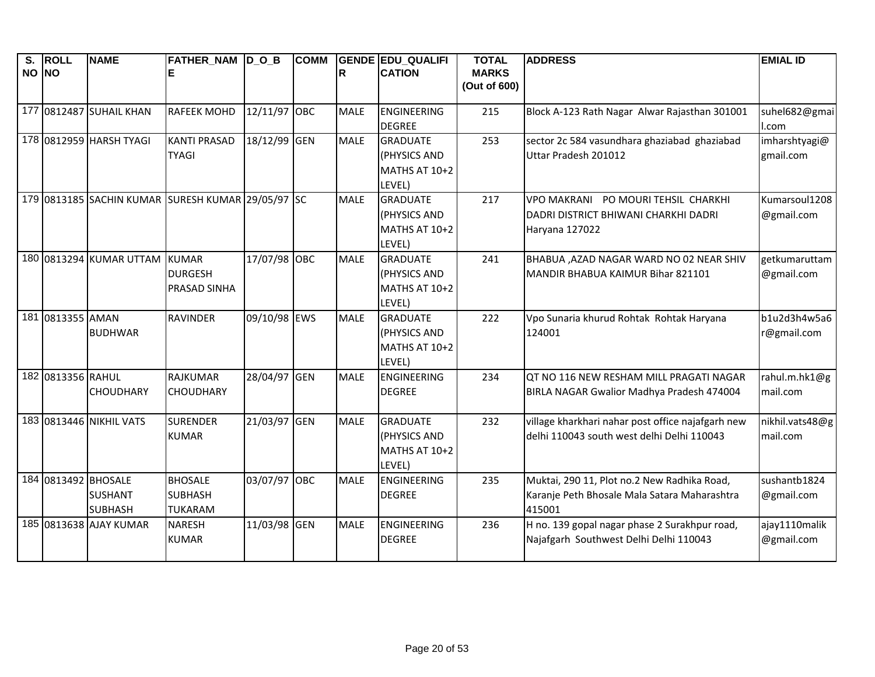| S.<br>NO NO | <b>ROLL</b>       | <b>NAME</b>                                             | FATHER_NAM D_O_B                                   |              | <b>COMM</b> | R           | <b>GENDE EDU QUALIFI</b><br><b>CATION</b>                         | <b>TOTAL</b><br><b>MARKS</b> | <b>ADDRESS</b>                                                                                        | <b>EMIAL ID</b>             |
|-------------|-------------------|---------------------------------------------------------|----------------------------------------------------|--------------|-------------|-------------|-------------------------------------------------------------------|------------------------------|-------------------------------------------------------------------------------------------------------|-----------------------------|
|             |                   |                                                         |                                                    |              |             |             |                                                                   | (Out of 600)                 |                                                                                                       |                             |
|             |                   | 177 0812487 SUHAIL KHAN                                 | <b>RAFEEK MOHD</b>                                 | 12/11/97 OBC |             | <b>MALE</b> | ENGINEERING<br><b>DEGREE</b>                                      | 215                          | Block A-123 Rath Nagar Alwar Rajasthan 301001                                                         | suhel682@gmai<br>I.com      |
|             |                   | 178 0812959 HARSH TYAGI                                 | <b>KANTI PRASAD</b><br><b>TYAGI</b>                | 18/12/99 GEN |             | <b>MALE</b> | <b>GRADUATE</b><br>(PHYSICS AND<br>MATHS AT 10+2<br>LEVEL)        | 253                          | sector 2c 584 vasundhara ghaziabad ghaziabad<br>Uttar Pradesh 201012                                  | imharshtyagi@<br>gmail.com  |
|             |                   | 179 0813185 SACHIN KUMAR SURESH KUMAR 29/05/97 SC       |                                                    |              |             | <b>MALE</b> | <b>GRADUATE</b><br>(PHYSICS AND<br><b>MATHS AT 10+2</b><br>LEVEL) | 217                          | VPO MAKRANI PO MOURI TEHSIL CHARKHI<br>DADRI DISTRICT BHIWANI CHARKHI DADRI<br>Haryana 127022         | Kumarsoul1208<br>@gmail.com |
|             |                   | 180 0813294 KUMAR UTTAM                                 | <b>KUMAR</b><br><b>DURGESH</b><br>PRASAD SINHA     | 17/07/98 OBC |             | <b>MALE</b> | <b>GRADUATE</b><br>(PHYSICS AND<br>MATHS AT 10+2<br>LEVEL)        | 241                          | BHABUA , AZAD NAGAR WARD NO 02 NEAR SHIV<br>MANDIR BHABUA KAIMUR Bihar 821101                         | getkumaruttam<br>@gmail.com |
|             | 181 0813355 AMAN  | <b>BUDHWAR</b>                                          | <b>RAVINDER</b>                                    | 09/10/98 EWS |             | <b>MALE</b> | <b>GRADUATE</b><br>(PHYSICS AND<br>MATHS AT 10+2<br>LEVEL)        | 222                          | Vpo Sunaria khurud Rohtak Rohtak Haryana<br>124001                                                    | b1u2d3h4w5a6<br>r@gmail.com |
|             | 182 0813356 RAHUL | <b>CHOUDHARY</b>                                        | <b>RAJKUMAR</b><br><b>CHOUDHARY</b>                | 28/04/97 GEN |             | <b>MALE</b> | ENGINEERING<br><b>DEGREE</b>                                      | 234                          | QT NO 116 NEW RESHAM MILL PRAGATI NAGAR<br>BIRLA NAGAR Gwalior Madhya Pradesh 474004                  | rahul.m.hk1@g<br>mail.com   |
|             |                   | 183 0813446 NIKHIL VATS                                 | <b>SURENDER</b><br><b>KUMAR</b>                    | 21/03/97 GEN |             | <b>MALE</b> | <b>GRADUATE</b><br>(PHYSICS AND<br>MATHS AT 10+2<br>LEVEL)        | 232                          | village kharkhari nahar post office najafgarh new<br>delhi 110043 south west delhi Delhi 110043       | nikhil.vats48@g<br>mail.com |
|             |                   | 184 0813492 BHOSALE<br><b>SUSHANT</b><br><b>SUBHASH</b> | <b>BHOSALE</b><br><b>SUBHASH</b><br><b>TUKARAM</b> | 03/07/97 OBC |             | <b>MALE</b> | <b>ENGINEERING</b><br><b>DEGREE</b>                               | 235                          | Muktai, 290 11, Plot no.2 New Radhika Road,<br>Karanje Peth Bhosale Mala Satara Maharashtra<br>415001 | sushantb1824<br>@gmail.com  |
|             |                   | 185 0813638 AJAY KUMAR                                  | <b>NARESH</b><br><b>KUMAR</b>                      | 11/03/98 GEN |             | <b>MALE</b> | ENGINEERING<br><b>DEGREE</b>                                      | 236                          | H no. 139 gopal nagar phase 2 Surakhpur road,<br>Najafgarh Southwest Delhi Delhi 110043               | ajay1110malik<br>@gmail.com |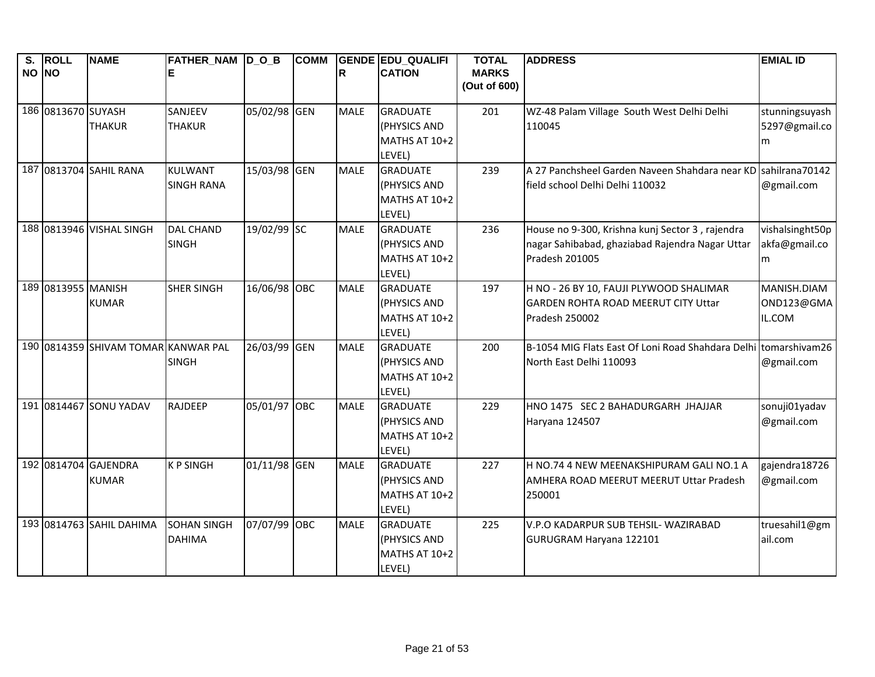| S.<br>NO NO | <b>ROLL</b>        | <b>NAME</b>                          | <b>FATHER_NAM D_O_B</b><br>ΙE       |              | <b>COMM</b> | R           | <b>GENDE EDU QUALIFI</b><br><b>CATION</b>                         | <b>TOTAL</b><br><b>MARKS</b> | <b>ADDRESS</b>                                                                                                       | <b>EMIAL ID</b>                       |
|-------------|--------------------|--------------------------------------|-------------------------------------|--------------|-------------|-------------|-------------------------------------------------------------------|------------------------------|----------------------------------------------------------------------------------------------------------------------|---------------------------------------|
|             |                    |                                      |                                     |              |             |             |                                                                   | (Out of 600)                 |                                                                                                                      |                                       |
|             | 186 0813670 SUYASH | <b>THAKUR</b>                        | SANJEEV<br><b>THAKUR</b>            | 05/02/98 GEN |             | <b>MALE</b> | <b>GRADUATE</b><br>(PHYSICS AND<br>MATHS AT 10+2<br>LEVEL)        | 201                          | WZ-48 Palam Village South West Delhi Delhi<br>110045                                                                 | stunningsuyash<br>5297@gmail.co<br>m  |
|             |                    | 187 0813704 SAHIL RANA               | <b>KULWANT</b><br><b>SINGH RANA</b> | 15/03/98 GEN |             | <b>MALE</b> | <b>GRADUATE</b><br>(PHYSICS AND<br>MATHS AT 10+2<br>LEVEL)        | 239                          | A 27 Panchsheel Garden Naveen Shahdara near KD sahilrana70142<br>field school Delhi Delhi 110032                     | @gmail.com                            |
|             |                    | 188 0813946 VISHAL SINGH             | <b>DAL CHAND</b><br><b>SINGH</b>    | 19/02/99 SC  |             | <b>MALE</b> | <b>GRADUATE</b><br>(PHYSICS AND<br>MATHS AT 10+2<br>LEVEL)        | 236                          | House no 9-300, Krishna kunj Sector 3, rajendra<br>nagar Sahibabad, ghaziabad Rajendra Nagar Uttar<br>Pradesh 201005 | vishalsinght50p<br>akfa@gmail.co<br>m |
|             | 189 0813955 MANISH | <b>KUMAR</b>                         | <b>SHER SINGH</b>                   | 16/06/98 OBC |             | <b>MALE</b> | <b>GRADUATE</b><br>(PHYSICS AND<br>MATHS AT 10+2<br>LEVEL)        | 197                          | H NO - 26 BY 10, FAUJI PLYWOOD SHALIMAR<br><b>GARDEN ROHTA ROAD MEERUT CITY Uttar</b><br>Pradesh 250002              | MANISH.DIAM<br>OND123@GMA<br>IL.COM   |
|             |                    | 190 0814359 SHIVAM TOMAR KANWAR PAL  | <b>SINGH</b>                        | 26/03/99 GEN |             | <b>MALE</b> | <b>GRADUATE</b><br>(PHYSICS AND<br>MATHS AT 10+2<br>LEVEL)        | 200                          | B-1054 MIG Flats East Of Loni Road Shahdara Delhi tomarshivam26<br>North East Delhi 110093                           | @gmail.com                            |
|             |                    | 191 0814467 SONU YADAV               | <b>RAJDEEP</b>                      | 05/01/97 OBC |             | <b>MALE</b> | <b>GRADUATE</b><br>(PHYSICS AND<br>MATHS AT 10+2<br>LEVEL)        | 229                          | HNO 1475 SEC 2 BAHADURGARH JHAJJAR<br>Haryana 124507                                                                 | sonuji01yadav<br>@gmail.com           |
|             |                    | 192 0814704 GAJENDRA<br><b>KUMAR</b> | <b>KPSINGH</b>                      | 01/11/98 GEN |             | <b>MALE</b> | <b>GRADUATE</b><br>(PHYSICS AND<br><b>MATHS AT 10+2</b><br>LEVEL) | 227                          | H NO.74 4 NEW MEENAKSHIPURAM GALI NO.1 A<br>AMHERA ROAD MEERUT MEERUT Uttar Pradesh<br>250001                        | gajendra18726<br>@gmail.com           |
|             |                    | 193 0814763 SAHIL DAHIMA             | <b>SOHAN SINGH</b><br><b>DAHIMA</b> | 07/07/99 OBC |             | <b>MALE</b> | <b>GRADUATE</b><br>(PHYSICS AND<br>MATHS AT 10+2<br>LEVEL)        | 225                          | V.P.O KADARPUR SUB TEHSIL- WAZIRABAD<br>GURUGRAM Haryana 122101                                                      | truesahil1@gm<br>ail.com              |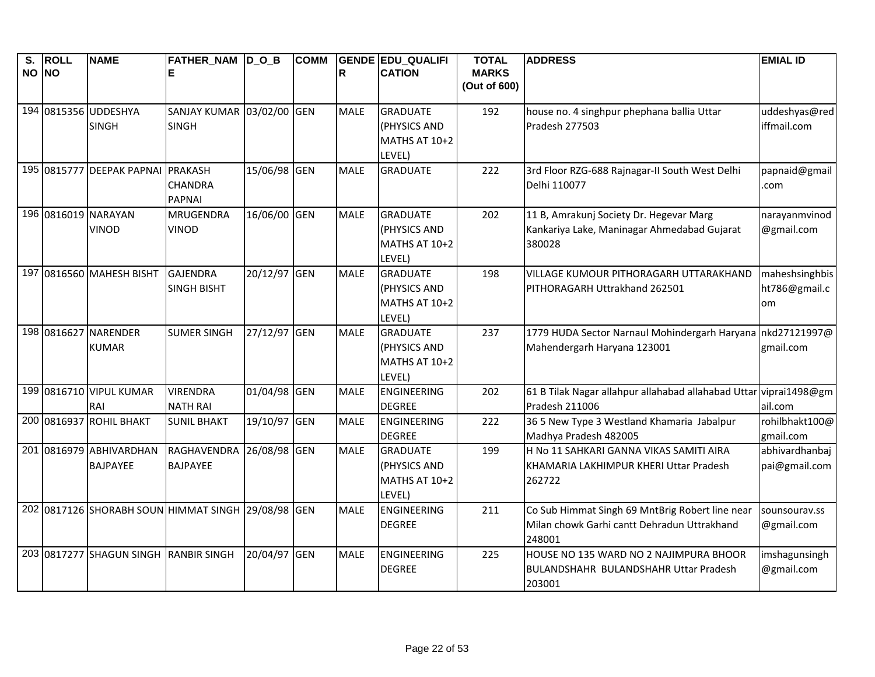| $\overline{\mathsf{s}}$ . | <b>ROLL</b> | <b>NAME</b>                                        | <b>FATHER NAM DOB</b> |              | <b>COMM</b> |             | <b>GENDE EDU QUALIFI</b> | <b>TOTAL</b> | <b>ADDRESS</b>                                                    | <b>EMIAL ID</b> |
|---------------------------|-------------|----------------------------------------------------|-----------------------|--------------|-------------|-------------|--------------------------|--------------|-------------------------------------------------------------------|-----------------|
| NO NO                     |             |                                                    | Е                     |              |             | R           | <b>CATION</b>            | <b>MARKS</b> |                                                                   |                 |
|                           |             |                                                    |                       |              |             |             |                          | (Out of 600) |                                                                   |                 |
|                           |             | 194 0815356 UDDESHYA                               | <b>SANJAY KUMAR</b>   | 03/02/00 GEN |             | MALE        | <b>GRADUATE</b>          | 192          | house no. 4 singhpur phephana ballia Uttar                        | uddeshyas@red   |
|                           |             | <b>SINGH</b>                                       | <b>SINGH</b>          |              |             |             | (PHYSICS AND             |              | Pradesh 277503                                                    | iffmail.com     |
|                           |             |                                                    |                       |              |             |             | MATHS AT 10+2            |              |                                                                   |                 |
|                           |             |                                                    |                       |              |             |             | LEVEL)                   |              |                                                                   |                 |
|                           |             | 195 0815777 DEEPAK PAPNAI PRAKASH                  |                       | 15/06/98 GEN |             | <b>MALE</b> | <b>GRADUATE</b>          | 222          | 3rd Floor RZG-688 Rajnagar-II South West Delhi                    | papnaid@gmail   |
|                           |             |                                                    | <b>CHANDRA</b>        |              |             |             |                          |              | Delhi 110077                                                      | .com            |
|                           |             |                                                    | <b>PAPNAI</b>         |              |             |             |                          |              |                                                                   |                 |
|                           |             | 196 0816019 NARAYAN                                | <b>MRUGENDRA</b>      | 16/06/00 GEN |             | <b>MALE</b> | <b>GRADUATE</b>          | 202          | 11 B, Amrakunj Society Dr. Hegevar Marg                           | narayanmvinod   |
|                           |             | <b>VINOD</b>                                       | <b>VINOD</b>          |              |             |             | (PHYSICS AND             |              | Kankariya Lake, Maninagar Ahmedabad Gujarat                       | @gmail.com      |
|                           |             |                                                    |                       |              |             |             | MATHS AT 10+2            |              | 380028                                                            |                 |
|                           |             |                                                    |                       |              |             |             | LEVEL)                   |              |                                                                   |                 |
|                           |             | 197 0816560 MAHESH BISHT                           | <b>GAJENDRA</b>       | 20/12/97 GEN |             | <b>MALE</b> | <b>GRADUATE</b>          | 198          | VILLAGE KUMOUR PITHORAGARH UTTARAKHAND                            | maheshsinghbis  |
|                           |             |                                                    | <b>SINGH BISHT</b>    |              |             |             | (PHYSICS AND             |              | PITHORAGARH Uttrakhand 262501                                     | ht786@gmail.c   |
|                           |             |                                                    |                       |              |             |             | MATHS AT 10+2            |              |                                                                   | om              |
|                           |             |                                                    |                       |              |             |             | LEVEL)                   |              |                                                                   |                 |
|                           |             | 198 0816627 NARENDER                               | <b>SUMER SINGH</b>    | 27/12/97 GEN |             | <b>MALE</b> | <b>GRADUATE</b>          | 237          | 1779 HUDA Sector Narnaul Mohindergarh Haryana nkd27121997@        |                 |
|                           |             | <b>KUMAR</b>                                       |                       |              |             |             | (PHYSICS AND             |              | Mahendergarh Haryana 123001                                       | gmail.com       |
|                           |             |                                                    |                       |              |             |             | MATHS AT 10+2            |              |                                                                   |                 |
|                           |             |                                                    |                       |              |             |             | LEVEL)                   |              |                                                                   |                 |
|                           |             | 199 0816710 VIPUL KUMAR                            | <b>VIRENDRA</b>       | 01/04/98 GEN |             | <b>MALE</b> | <b>ENGINEERING</b>       | 202          | 61 B Tilak Nagar allahpur allahabad allahabad Uttar viprai1498@gm |                 |
|                           |             | RAI                                                | <b>NATH RAI</b>       |              |             |             | <b>DEGREE</b>            |              | Pradesh 211006                                                    | ail.com         |
|                           |             | 200 0816937 ROHIL BHAKT                            | <b>SUNIL BHAKT</b>    | 19/10/97 GEN |             | <b>MALE</b> | <b>ENGINEERING</b>       | 222          | 36 5 New Type 3 Westland Khamaria Jabalpur                        | rohilbhakt100@  |
|                           |             |                                                    |                       |              |             |             | <b>DEGREE</b>            |              | Madhya Pradesh 482005                                             | gmail.com       |
|                           |             | 201 0816979 ABHIVARDHAN                            | RAGHAVENDRA           | 26/08/98 GEN |             | <b>MALE</b> | <b>GRADUATE</b>          | 199          | H No 11 SAHKARI GANNA VIKAS SAMITI AIRA                           | abhivardhanbaj  |
|                           |             | <b>BAJPAYEE</b>                                    | <b>BAJPAYEE</b>       |              |             |             | (PHYSICS AND             |              | KHAMARIA LAKHIMPUR KHERI Uttar Pradesh                            | pai@gmail.com   |
|                           |             |                                                    |                       |              |             |             | MATHS AT 10+2            |              | 262722                                                            |                 |
|                           |             |                                                    |                       |              |             |             | LEVEL)                   |              |                                                                   |                 |
|                           |             | 202 0817126 SHORABH SOUN HIMMAT SINGH 29/08/98 GEN |                       |              |             | <b>MALE</b> | <b>ENGINEERING</b>       | 211          | Co Sub Himmat Singh 69 MntBrig Robert line near                   | sounsourav.ss   |
|                           |             |                                                    |                       |              |             |             | <b>DEGREE</b>            |              | Milan chowk Garhi cantt Dehradun Uttrakhand                       | @gmail.com      |
|                           |             |                                                    |                       |              |             |             |                          |              | 248001                                                            |                 |
|                           |             | 203 0817277 SHAGUN SINGH RANBIR SINGH              |                       | 20/04/97 GEN |             | <b>MALE</b> | <b>ENGINEERING</b>       | 225          | HOUSE NO 135 WARD NO 2 NAJIMPURA BHOOR                            | imshagunsingh   |
|                           |             |                                                    |                       |              |             |             | <b>DEGREE</b>            |              | <b>BULANDSHAHR BULANDSHAHR Uttar Pradesh</b>                      | @gmail.com      |
|                           |             |                                                    |                       |              |             |             |                          |              | 203001                                                            |                 |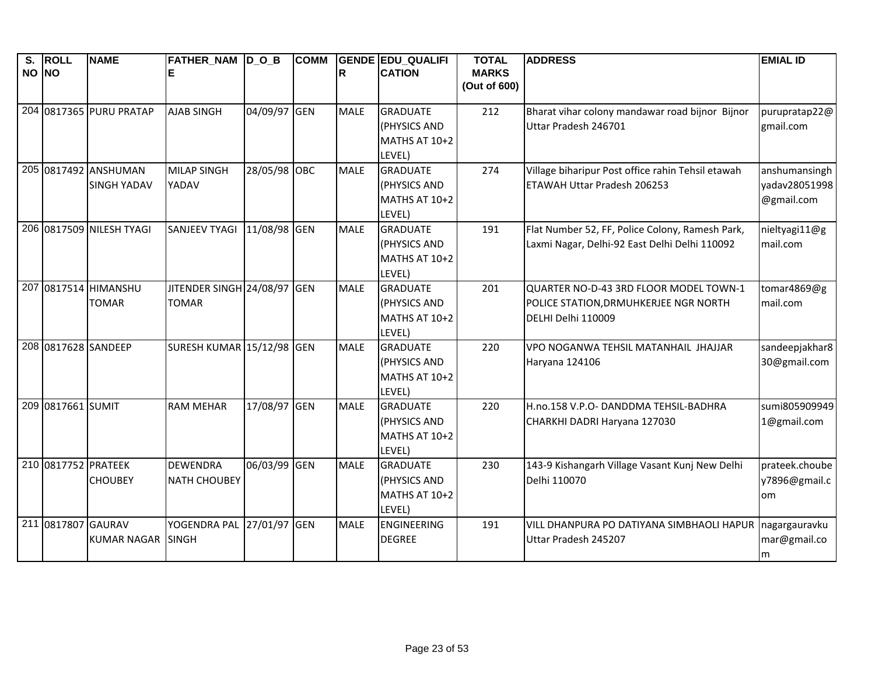| S.<br>NO NO | <b>ROLL</b>        | <b>NAME</b>                                | <b>FATHER_NAM D_O_B</b>                     |              | <b>COMM</b> | R           | <b>GENDE EDU QUALIFI</b><br><b>CATION</b>                         | <b>TOTAL</b><br><b>MARKS</b> | <b>ADDRESS</b>                                                                                        | <b>EMIAL ID</b>                              |
|-------------|--------------------|--------------------------------------------|---------------------------------------------|--------------|-------------|-------------|-------------------------------------------------------------------|------------------------------|-------------------------------------------------------------------------------------------------------|----------------------------------------------|
|             |                    |                                            |                                             |              |             |             |                                                                   | (Out of 600)                 |                                                                                                       |                                              |
|             |                    | 204 0817365 PURU PRATAP                    | <b>AJAB SINGH</b>                           | 04/09/97 GEN |             | <b>MALE</b> | <b>GRADUATE</b><br>(PHYSICS AND<br><b>MATHS AT 10+2</b><br>LEVEL) | 212                          | Bharat vihar colony mandawar road bijnor Bijnor<br>Uttar Pradesh 246701                               | purupratap22@<br>gmail.com                   |
|             |                    | 205 0817492 ANSHUMAN<br><b>SINGH YADAV</b> | <b>MILAP SINGH</b><br>YADAV                 | 28/05/98 OBC |             | <b>MALE</b> | <b>GRADUATE</b><br>(PHYSICS AND<br>MATHS AT 10+2<br>LEVEL)        | 274                          | Village biharipur Post office rahin Tehsil etawah<br>ETAWAH Uttar Pradesh 206253                      | anshumansingh<br>yadav28051998<br>@gmail.com |
|             |                    | 206 0817509 NILESH TYAGI                   | <b>SANJEEV TYAGI</b>                        | 11/08/98 GEN |             | <b>MALE</b> | <b>GRADUATE</b><br>(PHYSICS AND<br><b>MATHS AT 10+2</b><br>LEVEL) | 191                          | Flat Number 52, FF, Police Colony, Ramesh Park,<br>Laxmi Nagar, Delhi-92 East Delhi Delhi 110092      | nieltyagi11@g<br>mail.com                    |
|             |                    | 207 0817514 HIMANSHU<br><b>TOMAR</b>       | JITENDER SINGH 24/08/97 GEN<br><b>TOMAR</b> |              |             | <b>MALE</b> | <b>GRADUATE</b><br>(PHYSICS AND<br>MATHS AT 10+2<br>LEVEL)        | 201                          | QUARTER NO-D-43 3RD FLOOR MODEL TOWN-1<br>POLICE STATION, DRMUHKERJEE NGR NORTH<br>DELHI Delhi 110009 | tomar4869@g<br>mail.com                      |
|             |                    | 208 0817628 SANDEEP                        | SURESH KUMAR 15/12/98 GEN                   |              |             | <b>MALE</b> | <b>GRADUATE</b><br>(PHYSICS AND<br>MATHS AT 10+2<br>LEVEL)        | 220                          | VPO NOGANWA TEHSIL MATANHAIL JHAJJAR<br>Haryana 124106                                                | sandeepjakhar8<br>30@gmail.com               |
|             | 209 0817661 SUMIT  |                                            | <b>RAM MEHAR</b>                            | 17/08/97 GEN |             | <b>MALE</b> | <b>GRADUATE</b><br>(PHYSICS AND<br>MATHS AT 10+2<br>LEVEL)        | 220                          | H.no.158 V.P.O- DANDDMA TEHSIL-BADHRA<br>CHARKHI DADRI Haryana 127030                                 | sumi805909949<br>1@gmail.com                 |
|             |                    | 210 0817752 PRATEEK<br><b>CHOUBEY</b>      | <b>DEWENDRA</b><br><b>NATH CHOUBEY</b>      | 06/03/99 GEN |             | <b>MALE</b> | <b>GRADUATE</b><br>(PHYSICS AND<br>MATHS AT 10+2<br>LEVEL)        | 230                          | 143-9 Kishangarh Village Vasant Kunj New Delhi<br>Delhi 110070                                        | prateek.choube<br>y7896@gmail.c<br>om        |
|             | 211 0817807 GAURAV | <b>KUMAR NAGAR</b>                         | YOGENDRA PAL<br><b>SINGH</b>                | 27/01/97 GEN |             | <b>MALE</b> | <b>ENGINEERING</b><br><b>DEGREE</b>                               | 191                          | VILL DHANPURA PO DATIYANA SIMBHAOLI HAPUR<br>Uttar Pradesh 245207                                     | nagargauravku<br>mar@gmail.co<br>m           |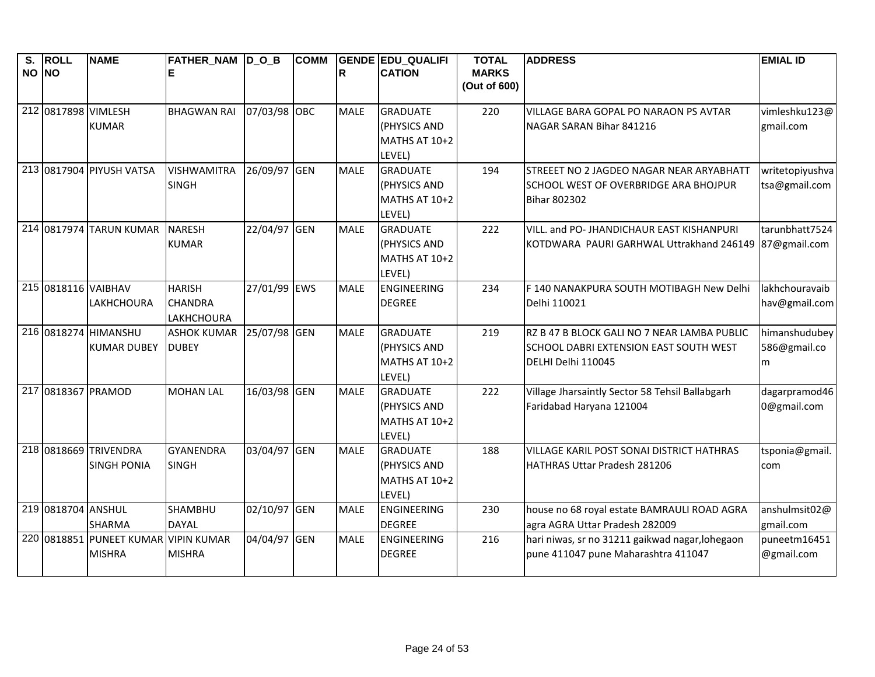| S.<br>NO NO | <b>ROLL</b>         | <b>NAME</b>                          | FATHER_NAM D_O_B   |              | <b>COMM</b> | R           | <b>GENDE EDU QUALIFI</b><br><b>CATION</b> | <b>TOTAL</b><br><b>MARKS</b> | <b>ADDRESS</b>                                  | <b>EMIAL ID</b> |
|-------------|---------------------|--------------------------------------|--------------------|--------------|-------------|-------------|-------------------------------------------|------------------------------|-------------------------------------------------|-----------------|
|             |                     |                                      |                    |              |             |             |                                           | (Out of 600)                 |                                                 |                 |
|             | 212 0817898 VIMLESH |                                      | <b>BHAGWAN RAI</b> | 07/03/98 OBC |             | <b>MALE</b> | <b>GRADUATE</b>                           | 220                          | VILLAGE BARA GOPAL PO NARAON PS AVTAR           | vimleshku123@   |
|             |                     | <b>KUMAR</b>                         |                    |              |             |             | (PHYSICS AND                              |                              | NAGAR SARAN Bihar 841216                        | gmail.com       |
|             |                     |                                      |                    |              |             |             | MATHS AT 10+2                             |                              |                                                 |                 |
|             |                     |                                      |                    |              |             |             | LEVEL)                                    |                              |                                                 |                 |
|             |                     | 213 0817904 PIYUSH VATSA             | <b>VISHWAMITRA</b> | 26/09/97 GEN |             | <b>MALE</b> | <b>GRADUATE</b>                           | 194                          | STREEET NO 2 JAGDEO NAGAR NEAR ARYABHATT        | writetopiyushva |
|             |                     |                                      | <b>SINGH</b>       |              |             |             | (PHYSICS AND                              |                              | SCHOOL WEST OF OVERBRIDGE ARA BHOJPUR           | tsa@gmail.com   |
|             |                     |                                      |                    |              |             |             | MATHS AT 10+2                             |                              | <b>Bihar 802302</b>                             |                 |
|             |                     | 214 0817974 TARUN KUMAR              | <b>NARESH</b>      | 22/04/97 GEN |             | <b>MALE</b> | LEVEL)<br><b>GRADUATE</b>                 | 222                          | VILL. and PO- JHANDICHAUR EAST KISHANPURI       | tarunbhatt7524  |
|             |                     |                                      | <b>KUMAR</b>       |              |             |             | (PHYSICS AND                              |                              | KOTDWARA PAURI GARHWAL Uttrakhand 246149        | 87@gmail.com    |
|             |                     |                                      |                    |              |             |             | MATHS AT 10+2                             |                              |                                                 |                 |
|             |                     |                                      |                    |              |             |             | LEVEL)                                    |                              |                                                 |                 |
|             |                     | 215 0818116 VAIBHAV                  | <b>HARISH</b>      | 27/01/99 EWS |             | <b>MALE</b> | ENGINEERING                               | 234                          | F 140 NANAKPURA SOUTH MOTIBAGH New Delhi        | lakhchouravaib  |
|             |                     | LAKHCHOURA                           | <b>CHANDRA</b>     |              |             |             | <b>DEGREE</b>                             |                              | Delhi 110021                                    | hav@gmail.com   |
|             |                     |                                      | <b>LAKHCHOURA</b>  |              |             |             |                                           |                              |                                                 |                 |
|             |                     | 216 0818274 HIMANSHU                 | <b>ASHOK KUMAR</b> | 25/07/98 GEN |             | <b>MALE</b> | <b>GRADUATE</b>                           | 219                          | RZ B 47 B BLOCK GALI NO 7 NEAR LAMBA PUBLIC     | himanshudubey   |
|             |                     | <b>KUMAR DUBEY</b>                   | <b>DUBEY</b>       |              |             |             | (PHYSICS AND                              |                              | SCHOOL DABRI EXTENSION EAST SOUTH WEST          | 586@gmail.co    |
|             |                     |                                      |                    |              |             |             | <b>MATHS AT 10+2</b>                      |                              | DELHI Delhi 110045                              | m               |
|             |                     | 217 0818367 PRAMOD                   | <b>MOHAN LAL</b>   | 16/03/98 GEN |             | <b>MALE</b> | LEVEL)<br><b>GRADUATE</b>                 | 222                          | Village Jharsaintly Sector 58 Tehsil Ballabgarh | dagarpramod46   |
|             |                     |                                      |                    |              |             |             | (PHYSICS AND                              |                              | Faridabad Haryana 121004                        | 0@gmail.com     |
|             |                     |                                      |                    |              |             |             | MATHS AT 10+2                             |                              |                                                 |                 |
|             |                     |                                      |                    |              |             |             | LEVEL)                                    |                              |                                                 |                 |
|             |                     | 218 0818669 TRIVENDRA                | <b>GYANENDRA</b>   | 03/04/97 GEN |             | <b>MALE</b> | <b>GRADUATE</b>                           | 188                          | VILLAGE KARIL POST SONAI DISTRICT HATHRAS       | tsponia@gmail.  |
|             |                     | <b>SINGH PONIA</b>                   | <b>SINGH</b>       |              |             |             | (PHYSICS AND                              |                              | HATHRAS Uttar Pradesh 281206                    | com             |
|             |                     |                                      |                    |              |             |             | MATHS AT 10+2                             |                              |                                                 |                 |
|             |                     |                                      |                    |              |             |             | LEVEL)                                    |                              |                                                 |                 |
|             | 219 0818704 ANSHUL  |                                      | SHAMBHU            | 02/10/97 GEN |             | <b>MALE</b> | <b>ENGINEERING</b>                        | 230                          | house no 68 royal estate BAMRAULI ROAD AGRA     | anshulmsit02@   |
|             |                     | <b>SHARMA</b>                        | <b>DAYAL</b>       |              |             |             | <b>DEGREE</b>                             |                              | agra AGRA Uttar Pradesh 282009                  | gmail.com       |
|             |                     | 220 0818851 PUNEET KUMAR VIPIN KUMAR |                    | 04/04/97 GEN |             | <b>MALE</b> | <b>ENGINEERING</b>                        | 216                          | hari niwas, sr no 31211 gaikwad nagar, lohegaon | puneetm16451    |
|             |                     | <b>MISHRA</b>                        | <b>MISHRA</b>      |              |             |             | <b>DEGREE</b>                             |                              | pune 411047 pune Maharashtra 411047             | @gmail.com      |
|             |                     |                                      |                    |              |             |             |                                           |                              |                                                 |                 |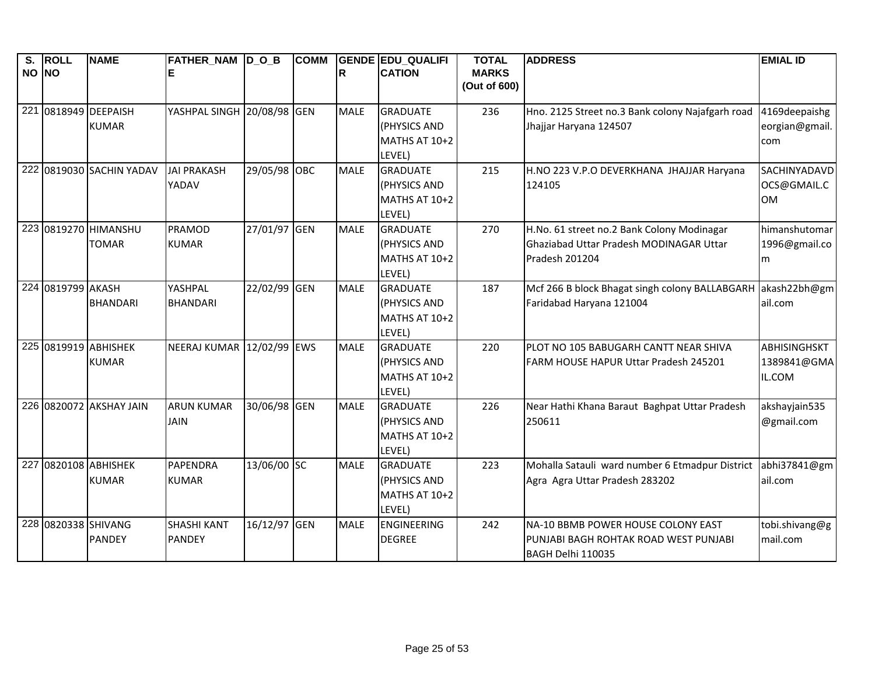| S.    | <b>ROLL</b>         | <b>NAME</b>              | <b>FATHER_NAM D_O_B</b>    |              | <b>COMM</b> |             | <b>GENDE EDU QUALIFI</b> | <b>TOTAL</b> | <b>ADDRESS</b>                                   | <b>EMIAL ID</b>            |
|-------|---------------------|--------------------------|----------------------------|--------------|-------------|-------------|--------------------------|--------------|--------------------------------------------------|----------------------------|
| NO NO |                     |                          | ΙE                         |              |             | R           | <b>CATION</b>            | <b>MARKS</b> |                                                  |                            |
|       |                     |                          |                            |              |             |             |                          | (Out of 600) |                                                  |                            |
|       |                     | 221 0818949 DEEPAISH     | YASHPAL SINGH 20/08/98 GEN |              |             | <b>MALE</b> | <b>GRADUATE</b>          | 236          | Hno. 2125 Street no.3 Bank colony Najafgarh road | 4169deepaishg              |
|       |                     | <b>KUMAR</b>             |                            |              |             |             | (PHYSICS AND             |              | Jhajjar Haryana 124507                           | eorgian@gmail.             |
|       |                     |                          |                            |              |             |             | MATHS AT 10+2            |              |                                                  | com                        |
|       |                     |                          |                            |              |             |             | LEVEL)                   |              |                                                  |                            |
|       |                     | 222 0819030 SACHIN YADAV | <b>JAI PRAKASH</b>         | 29/05/98 OBC |             | <b>MALE</b> | <b>GRADUATE</b>          | 215          | H.NO 223 V.P.O DEVERKHANA JHAJJAR Haryana        | <b>SACHINYADAVD</b>        |
|       |                     |                          | YADAV                      |              |             |             | (PHYSICS AND             |              | 124105                                           | OCS@GMAIL.C                |
|       |                     |                          |                            |              |             |             | MATHS AT 10+2            |              |                                                  | <b>OM</b>                  |
|       |                     |                          |                            |              |             |             | LEVEL)                   |              |                                                  |                            |
|       |                     | 223 0819270 HIMANSHU     | <b>PRAMOD</b>              | 27/01/97 GEN |             | <b>MALE</b> | <b>GRADUATE</b>          | 270          | H.No. 61 street no.2 Bank Colony Modinagar       | himanshutomar              |
|       |                     | <b>TOMAR</b>             | <b>KUMAR</b>               |              |             |             | (PHYSICS AND             |              | Ghaziabad Uttar Pradesh MODINAGAR Uttar          | 1996@gmail.co              |
|       |                     |                          |                            |              |             |             | MATHS AT 10+2            |              | Pradesh 201204                                   | m                          |
|       |                     |                          |                            |              |             |             | LEVEL)                   |              |                                                  |                            |
|       | 224 0819799 AKASH   |                          | YASHPAL                    | 22/02/99 GEN |             | <b>MALE</b> | <b>GRADUATE</b>          | 187          | Mcf 266 B block Bhagat singh colony BALLABGARH   | akash22bh@gm               |
|       |                     | <b>BHANDARI</b>          | <b>BHANDARI</b>            |              |             |             | (PHYSICS AND             |              | Faridabad Haryana 121004                         | ail.com                    |
|       |                     |                          |                            |              |             |             | MATHS AT 10+2            |              |                                                  |                            |
|       |                     |                          |                            |              |             |             | LEVEL)                   |              |                                                  |                            |
|       |                     | 225 0819919 ABHISHEK     | NEERAJ KUMAR 12/02/99 EWS  |              |             | <b>MALE</b> | <b>GRADUATE</b>          | 220          | PLOT NO 105 BABUGARH CANTT NEAR SHIVA            | ABHISINGHSKT               |
|       |                     | <b>KUMAR</b>             |                            |              |             |             | (PHYSICS AND             |              | FARM HOUSE HAPUR Uttar Pradesh 245201            | 1389841@GMA                |
|       |                     |                          |                            |              |             |             | <b>MATHS AT 10+2</b>     |              |                                                  | IL.COM                     |
|       |                     |                          |                            |              |             |             | LEVEL)                   |              |                                                  |                            |
|       |                     | 226 0820072 AKSHAY JAIN  | <b>ARUN KUMAR</b>          | 30/06/98 GEN |             | <b>MALE</b> | <b>GRADUATE</b>          | 226          | Near Hathi Khana Baraut Baghpat Uttar Pradesh    | akshayjain535              |
|       |                     |                          | <b>JAIN</b>                |              |             |             | (PHYSICS AND             |              | 250611                                           | @gmail.com                 |
|       |                     |                          |                            |              |             |             | MATHS AT 10+2            |              |                                                  |                            |
|       |                     |                          |                            |              |             |             | LEVEL)                   |              |                                                  |                            |
|       |                     | 227 0820108 ABHISHEK     | <b>PAPENDRA</b>            | 13/06/00 SC  |             | <b>MALE</b> | <b>GRADUATE</b>          | 223          | Mohalla Satauli ward number 6 Etmadpur District  | abhi37841@gm               |
|       |                     | <b>KUMAR</b>             | <b>KUMAR</b>               |              |             |             | (PHYSICS AND             |              | Agra Agra Uttar Pradesh 283202                   | ail.com                    |
|       |                     |                          |                            |              |             |             | MATHS AT 10+2            |              |                                                  |                            |
|       | 228 0820338 SHIVANG |                          |                            |              |             | <b>MALE</b> | LEVEL)                   |              |                                                  |                            |
|       |                     |                          | <b>SHASHI KANT</b>         | 16/12/97 GEN |             |             | <b>ENGINEERING</b>       | 242          | NA-10 BBMB POWER HOUSE COLONY EAST               | tobi.shivang@g<br>mail.com |
|       |                     | <b>PANDEY</b>            | <b>PANDEY</b>              |              |             |             | <b>DEGREE</b>            |              | PUNJABI BAGH ROHTAK ROAD WEST PUNJABI            |                            |
|       |                     |                          |                            |              |             |             |                          |              | BAGH Delhi 110035                                |                            |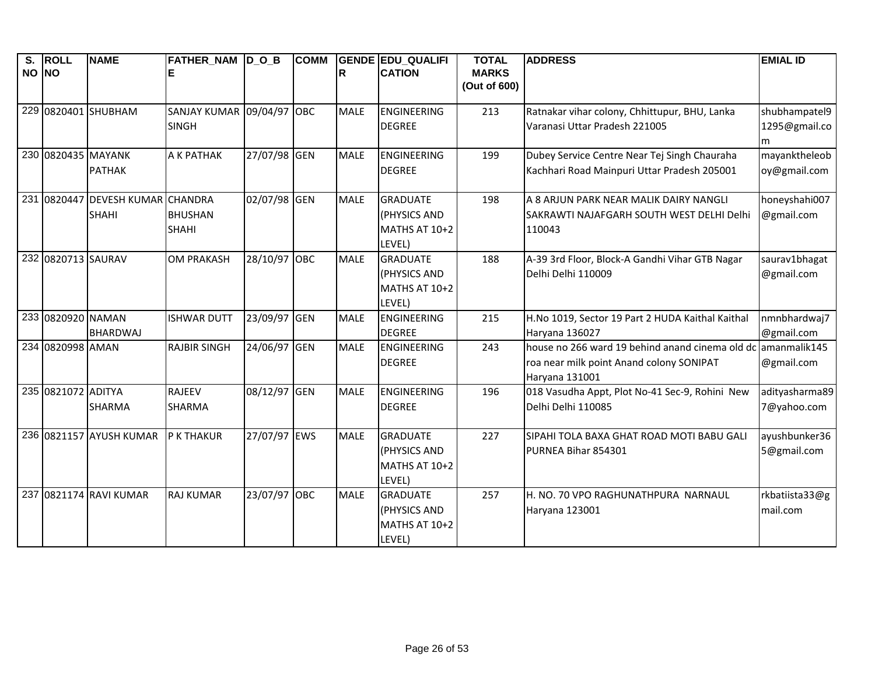| S.<br>NO NO | <b>ROLL</b>        | <b>NAME</b>                 | FATHER_NAM  D_O_B         |              | <b>COMM</b> | ΙR          | <b>GENDE EDU_QUALIFI</b><br><b>CATION</b> | <b>TOTAL</b><br><b>MARKS</b> | <b>ADDRESS</b>                                                    | <b>EMIAL ID</b>            |
|-------------|--------------------|-----------------------------|---------------------------|--------------|-------------|-------------|-------------------------------------------|------------------------------|-------------------------------------------------------------------|----------------------------|
|             |                    |                             |                           |              |             |             |                                           | (Out of 600)                 |                                                                   |                            |
|             |                    | 229 0820401 SHUBHAM         | SANJAY KUMAR 09/04/97 OBC |              |             | <b>MALE</b> | <b>ENGINEERING</b>                        | 213                          | Ratnakar vihar colony, Chhittupur, BHU, Lanka                     | shubhampatel9              |
|             |                    |                             | <b>SINGH</b>              |              |             |             | <b>DEGREE</b>                             |                              | Varanasi Uttar Pradesh 221005                                     | 1295@gmail.co              |
|             |                    |                             |                           |              |             |             |                                           |                              |                                                                   | m                          |
|             | 230 0820435 MAYANK |                             | A K PATHAK                | 27/07/98 GEN |             | <b>MALE</b> | ENGINEERING                               | 199                          | Dubey Service Centre Near Tej Singh Chauraha                      | mayanktheleob              |
|             |                    | <b>PATHAK</b>               |                           |              |             |             | <b>DEGREE</b>                             |                              | Kachhari Road Mainpuri Uttar Pradesh 205001                       | oy@gmail.com               |
| 231         | 0820447            | <b>DEVESH KUMAR CHANDRA</b> |                           | 02/07/98 GEN |             | <b>MALE</b> | <b>GRADUATE</b>                           | 198                          | A 8 ARJUN PARK NEAR MALIK DAIRY NANGLI                            | honeyshahi007              |
|             |                    | <b>SHAHI</b>                | <b>BHUSHAN</b>            |              |             |             | (PHYSICS AND                              |                              | SAKRAWTI NAJAFGARH SOUTH WEST DELHI Delhi                         | @gmail.com                 |
|             |                    |                             | <b>SHAHI</b>              |              |             |             | MATHS AT 10+2                             |                              | 110043                                                            |                            |
|             |                    |                             |                           |              |             |             | LEVEL)                                    |                              |                                                                   |                            |
|             | 232 0820713 SAURAV |                             | <b>OM PRAKASH</b>         | 28/10/97 OBC |             | <b>MALE</b> | <b>GRADUATE</b>                           | 188                          | A-39 3rd Floor, Block-A Gandhi Vihar GTB Nagar                    | saurav1bhagat              |
|             |                    |                             |                           |              |             |             | (PHYSICS AND                              |                              | Delhi Delhi 110009                                                | @gmail.com                 |
|             |                    |                             |                           |              |             |             | MATHS AT 10+2                             |                              |                                                                   |                            |
|             |                    |                             |                           |              |             |             | LEVEL)                                    |                              |                                                                   |                            |
|             | 233 0820920 NAMAN  |                             | <b>ISHWAR DUTT</b>        | 23/09/97 GEN |             | <b>MALE</b> | <b>ENGINEERING</b>                        | 215                          | H.No 1019, Sector 19 Part 2 HUDA Kaithal Kaithal                  | nmnbhardwaj7               |
|             | 234 0820998 AMAN   | <b>BHARDWAJ</b>             | <b>RAJBIR SINGH</b>       | 24/06/97 GEN |             | <b>MALE</b> | <b>DEGREE</b><br>ENGINEERING              | 243                          | Haryana 136027<br>house no 266 ward 19 behind anand cinema old dc | @gmail.com<br>amanmalik145 |
|             |                    |                             |                           |              |             |             | <b>DEGREE</b>                             |                              | roa near milk point Anand colony SONIPAT                          | @gmail.com                 |
|             |                    |                             |                           |              |             |             |                                           |                              | Haryana 131001                                                    |                            |
|             | 235 0821072 ADITYA |                             | <b>RAJEEV</b>             | 08/12/97 GEN |             | <b>MALE</b> | <b>ENGINEERING</b>                        | 196                          | 018 Vasudha Appt, Plot No-41 Sec-9, Rohini New                    | adityasharma89             |
|             |                    | <b>SHARMA</b>               | <b>SHARMA</b>             |              |             |             | <b>DEGREE</b>                             |                              | Delhi Delhi 110085                                                | 7@yahoo.com                |
|             |                    |                             |                           |              |             |             |                                           |                              |                                                                   |                            |
|             |                    | 236 0821157 AYUSH KUMAR     | P K THAKUR                | 27/07/97 EWS |             | <b>MALE</b> | <b>GRADUATE</b>                           | 227                          | SIPAHI TOLA BAXA GHAT ROAD MOTI BABU GALI                         | ayushbunker36              |
|             |                    |                             |                           |              |             |             | (PHYSICS AND                              |                              | PURNEA Bihar 854301                                               | 5@gmail.com                |
|             |                    |                             |                           |              |             |             | MATHS AT 10+2                             |                              |                                                                   |                            |
|             |                    |                             |                           |              |             |             | LEVEL)                                    |                              |                                                                   |                            |
|             |                    | 237 0821174 RAVI KUMAR      | <b>RAJ KUMAR</b>          | 23/07/97 OBC |             | <b>MALE</b> | <b>GRADUATE</b>                           | 257                          | H. NO. 70 VPO RAGHUNATHPURA NARNAUL                               | rkbatiista33@g             |
|             |                    |                             |                           |              |             |             | (PHYSICS AND                              |                              | Haryana 123001                                                    | mail.com                   |
|             |                    |                             |                           |              |             |             | MATHS AT 10+2                             |                              |                                                                   |                            |
|             |                    |                             |                           |              |             |             | LEVEL)                                    |                              |                                                                   |                            |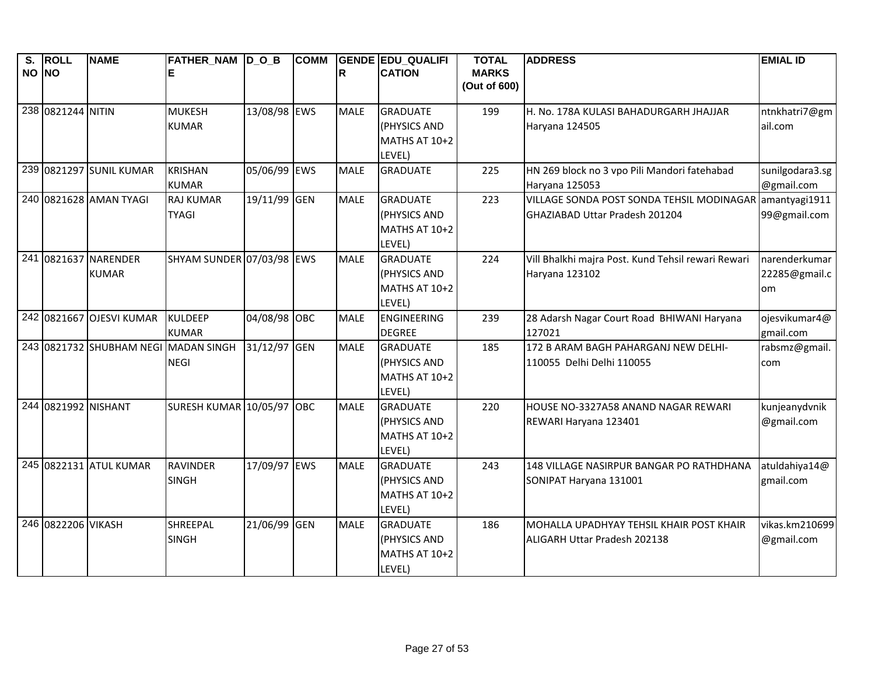| $\overline{\mathbf{s}}$ . | <b>ROLL</b>         | <b>NAME</b>                          | FATHER_NAM D_O_B                 |              | <b>COMM</b> |             | <b>GENDE EDU QUALIFI</b>  | <b>TOTAL</b>                 | <b>ADDRESS</b>                                     | <b>EMIAL ID</b> |
|---------------------------|---------------------|--------------------------------------|----------------------------------|--------------|-------------|-------------|---------------------------|------------------------------|----------------------------------------------------|-----------------|
| NO NO                     |                     |                                      | E                                |              |             | R           | <b>CATION</b>             | <b>MARKS</b><br>(Out of 600) |                                                    |                 |
|                           | 238 0821244 NITIN   |                                      | <b>MUKESH</b>                    | 13/08/98 EWS |             | <b>MALE</b> | <b>GRADUATE</b>           | 199                          | H. No. 178A KULASI BAHADURGARH JHAJJAR             | ntnkhatri7@gm   |
|                           |                     |                                      | <b>KUMAR</b>                     |              |             |             | (PHYSICS AND              |                              | Haryana 124505                                     | ail.com         |
|                           |                     |                                      |                                  |              |             |             | MATHS AT 10+2             |                              |                                                    |                 |
|                           |                     |                                      |                                  |              |             |             | LEVEL)                    |                              |                                                    |                 |
|                           |                     | 239 0821297 SUNIL KUMAR              | <b>KRISHAN</b>                   | 05/06/99 EWS |             | <b>MALE</b> | <b>GRADUATE</b>           | 225                          | HN 269 block no 3 vpo Pili Mandori fatehabad       | sunilgodara3.sg |
|                           |                     |                                      | <b>KUMAR</b>                     |              |             |             |                           |                              | Haryana 125053                                     | @gmail.com      |
|                           |                     | 240 0821628 AMAN TYAGI               | <b>RAJ KUMAR</b>                 | 19/11/99 GEN |             | <b>MALE</b> | <b>GRADUATE</b>           | 223                          | VILLAGE SONDA POST SONDA TEHSIL MODINAGAR          | amantyagi1911   |
|                           |                     |                                      | <b>TYAGI</b>                     |              |             |             | (PHYSICS AND              |                              | GHAZIABAD Uttar Pradesh 201204                     | 99@gmail.com    |
|                           |                     |                                      |                                  |              |             |             | MATHS AT 10+2             |                              |                                                    |                 |
|                           |                     |                                      |                                  |              |             |             | LEVEL)                    |                              |                                                    |                 |
|                           |                     | 241 0821637 NARENDER                 | SHYAM SUNDER 07/03/98 EWS        |              |             | <b>MALE</b> | <b>GRADUATE</b>           | 224                          | Vill Bhalkhi majra Post. Kund Tehsil rewari Rewari | narenderkumar   |
|                           |                     | <b>KUMAR</b>                         |                                  |              |             |             | (PHYSICS AND              |                              | Haryana 123102                                     | 22285@gmail.c   |
|                           |                     |                                      |                                  |              |             |             | MATHS AT 10+2             |                              |                                                    | om              |
|                           |                     |                                      |                                  |              |             |             | LEVEL)                    |                              |                                                    |                 |
|                           |                     | 242 0821667 OJESVI KUMAR             | KULDEEP                          | 04/08/98 OBC |             | <b>MALE</b> | ENGINEERING               | 239                          | 28 Adarsh Nagar Court Road BHIWANI Haryana         | ojesvikumar4@   |
|                           |                     |                                      | <b>KUMAR</b>                     |              |             |             | <b>DEGREE</b>             |                              | 127021                                             | gmail.com       |
|                           |                     | 243 0821732 SHUBHAM NEGI MADAN SINGH |                                  | 31/12/97 GEN |             | <b>MALE</b> | <b>GRADUATE</b>           | 185                          | 172 B ARAM BAGH PAHARGANJ NEW DELHI-               | rabsmz@gmail.   |
|                           |                     |                                      | <b>NEGI</b>                      |              |             |             | (PHYSICS AND              |                              | 110055 Delhi Delhi 110055                          | com             |
|                           |                     |                                      |                                  |              |             |             | MATHS AT 10+2             |                              |                                                    |                 |
|                           | 244 0821992 NISHANT |                                      | <b>SURESH KUMAR 10/05/97 OBC</b> |              |             | <b>MALE</b> | LEVEL)<br><b>GRADUATE</b> | 220                          | HOUSE NO-3327A58 ANAND NAGAR REWARI                | kunjeanydvnik   |
|                           |                     |                                      |                                  |              |             |             | (PHYSICS AND              |                              | REWARI Haryana 123401                              | @gmail.com      |
|                           |                     |                                      |                                  |              |             |             | MATHS AT 10+2             |                              |                                                    |                 |
|                           |                     |                                      |                                  |              |             |             | LEVEL)                    |                              |                                                    |                 |
|                           |                     | 245 0822131 ATUL KUMAR               | <b>RAVINDER</b>                  | 17/09/97 EWS |             | <b>MALE</b> | <b>GRADUATE</b>           | 243                          | 148 VILLAGE NASIRPUR BANGAR PO RATHDHANA           | atuldahiya14@   |
|                           |                     |                                      | <b>SINGH</b>                     |              |             |             | (PHYSICS AND              |                              | SONIPAT Haryana 131001                             | gmail.com       |
|                           |                     |                                      |                                  |              |             |             | MATHS AT 10+2             |                              |                                                    |                 |
|                           |                     |                                      |                                  |              |             |             | LEVEL)                    |                              |                                                    |                 |
|                           | 246 0822206 VIKASH  |                                      | <b>SHREEPAL</b>                  | 21/06/99 GEN |             | <b>MALE</b> | <b>GRADUATE</b>           | 186                          | MOHALLA UPADHYAY TEHSIL KHAIR POST KHAIR           | vikas.km210699  |
|                           |                     |                                      | <b>SINGH</b>                     |              |             |             | (PHYSICS AND              |                              | ALIGARH Uttar Pradesh 202138                       | @gmail.com      |
|                           |                     |                                      |                                  |              |             |             | MATHS AT 10+2             |                              |                                                    |                 |
|                           |                     |                                      |                                  |              |             |             | LEVEL)                    |                              |                                                    |                 |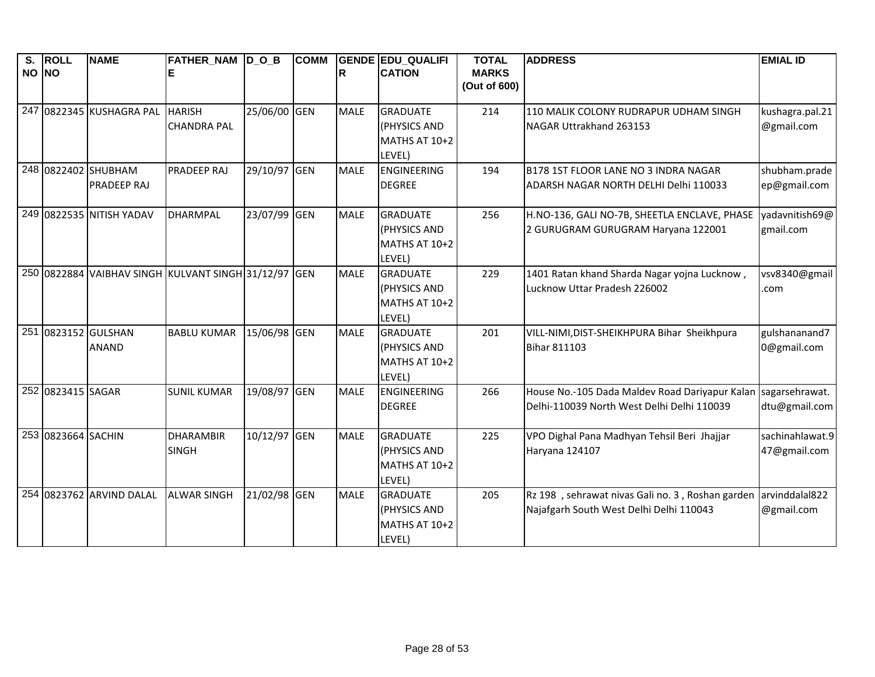| S.    | <b>ROLL</b>        | <b>NAME</b>              | <b>FATHER_NAM D_O_B</b>                              |              | <b>COMM</b> |             | <b>GENDE EDU_QUALIFI</b> | <b>TOTAL</b>                 | <b>ADDRESS</b>                                                  | <b>EMIAL ID</b> |
|-------|--------------------|--------------------------|------------------------------------------------------|--------------|-------------|-------------|--------------------------|------------------------------|-----------------------------------------------------------------|-----------------|
| NO NO |                    |                          |                                                      |              |             | R           | <b>CATION</b>            | <b>MARKS</b><br>(Out of 600) |                                                                 |                 |
|       |                    |                          |                                                      |              |             |             |                          |                              |                                                                 |                 |
|       |                    | 247 0822345 KUSHAGRA PAL | <b>HARISH</b>                                        | 25/06/00 GEN |             | <b>MALE</b> | <b>GRADUATE</b>          | 214                          | 110 MALIK COLONY RUDRAPUR UDHAM SINGH                           | kushagra.pal.21 |
|       |                    |                          | <b>CHANDRA PAL</b>                                   |              |             |             | (PHYSICS AND             |                              | NAGAR Uttrakhand 263153                                         | @gmail.com      |
|       |                    |                          |                                                      |              |             |             | MATHS AT 10+2            |                              |                                                                 |                 |
|       |                    |                          |                                                      |              |             |             | LEVEL)                   |                              |                                                                 |                 |
|       |                    | 248 0822402 SHUBHAM      | <b>PRADEEP RAJ</b>                                   | 29/10/97 GEN |             | <b>MALE</b> | <b>ENGINEERING</b>       | 194                          | B178 1ST FLOOR LANE NO 3 INDRA NAGAR                            | shubham.prade   |
|       |                    | <b>PRADEEP RAJ</b>       |                                                      |              |             |             | <b>DEGREE</b>            |                              | ADARSH NAGAR NORTH DELHI Delhi 110033                           | ep@gmail.com    |
|       |                    | 249 0822535 NITISH YADAV | <b>DHARMPAL</b>                                      | 23/07/99 GEN |             | <b>MALE</b> | <b>GRADUATE</b>          | 256                          | H.NO-136, GALI NO-7B, SHEETLA ENCLAVE, PHASE                    | yadavnitish69@  |
|       |                    |                          |                                                      |              |             |             | (PHYSICS AND             |                              | 2 GURUGRAM GURUGRAM Haryana 122001                              | gmail.com       |
|       |                    |                          |                                                      |              |             |             | MATHS AT 10+2            |                              |                                                                 |                 |
|       |                    |                          |                                                      |              |             |             | LEVEL)                   |                              |                                                                 |                 |
|       |                    |                          | 250 0822884 VAIBHAV SINGH KULVANT SINGH 31/12/97 GEN |              |             | <b>MALE</b> | <b>GRADUATE</b>          | 229                          | 1401 Ratan khand Sharda Nagar yojna Lucknow,                    | vsv8340@gmail   |
|       |                    |                          |                                                      |              |             |             | (PHYSICS AND             |                              | Lucknow Uttar Pradesh 226002                                    | .com            |
|       |                    |                          |                                                      |              |             |             | MATHS AT 10+2            |                              |                                                                 |                 |
|       |                    |                          |                                                      |              |             |             | LEVEL)                   |                              |                                                                 |                 |
|       |                    | 251 0823152 GULSHAN      | <b>BABLU KUMAR</b>                                   | 15/06/98 GEN |             | <b>MALE</b> | <b>GRADUATE</b>          | 201                          | VILL-NIMI, DIST-SHEIKHPURA Bihar Sheikhpura                     | gulshananand7   |
|       |                    | <b>ANAND</b>             |                                                      |              |             |             | (PHYSICS AND             |                              | <b>Bihar 811103</b>                                             | 0@gmail.com     |
|       |                    |                          |                                                      |              |             |             | MATHS AT 10+2            |                              |                                                                 |                 |
|       |                    |                          |                                                      |              |             |             | LEVEL)                   |                              |                                                                 |                 |
|       | 252 0823415 SAGAR  |                          | <b>SUNIL KUMAR</b>                                   | 19/08/97 GEN |             | <b>MALE</b> | <b>ENGINEERING</b>       | 266                          | House No.-105 Dada Maldev Road Dariyapur Kalan                  | sagarsehrawat.  |
|       |                    |                          |                                                      |              |             |             | <b>DEGREE</b>            |                              | Delhi-110039 North West Delhi Delhi 110039                      | dtu@gmail.com   |
|       | 253 0823664 SACHIN |                          | <b>DHARAMBIR</b>                                     | 10/12/97 GEN |             | <b>MALE</b> | <b>GRADUATE</b>          | 225                          | VPO Dighal Pana Madhyan Tehsil Beri Jhajjar                     | sachinahlawat.9 |
|       |                    |                          | <b>SINGH</b>                                         |              |             |             | (PHYSICS AND             |                              | Haryana 124107                                                  | 47@gmail.com    |
|       |                    |                          |                                                      |              |             |             | MATHS AT 10+2            |                              |                                                                 |                 |
|       |                    |                          |                                                      |              |             |             | LEVEL)                   |                              |                                                                 |                 |
|       |                    | 254 0823762 ARVIND DALAL | <b>ALWAR SINGH</b>                                   | 21/02/98 GEN |             | <b>MALE</b> | <b>GRADUATE</b>          | 205                          | Rz 198, sehrawat nivas Gali no. 3, Roshan garden arvinddalal822 |                 |
|       |                    |                          |                                                      |              |             |             | (PHYSICS AND             |                              | Najafgarh South West Delhi Delhi 110043                         | @gmail.com      |
|       |                    |                          |                                                      |              |             |             | MATHS AT 10+2            |                              |                                                                 |                 |
|       |                    |                          |                                                      |              |             |             | LEVEL)                   |                              |                                                                 |                 |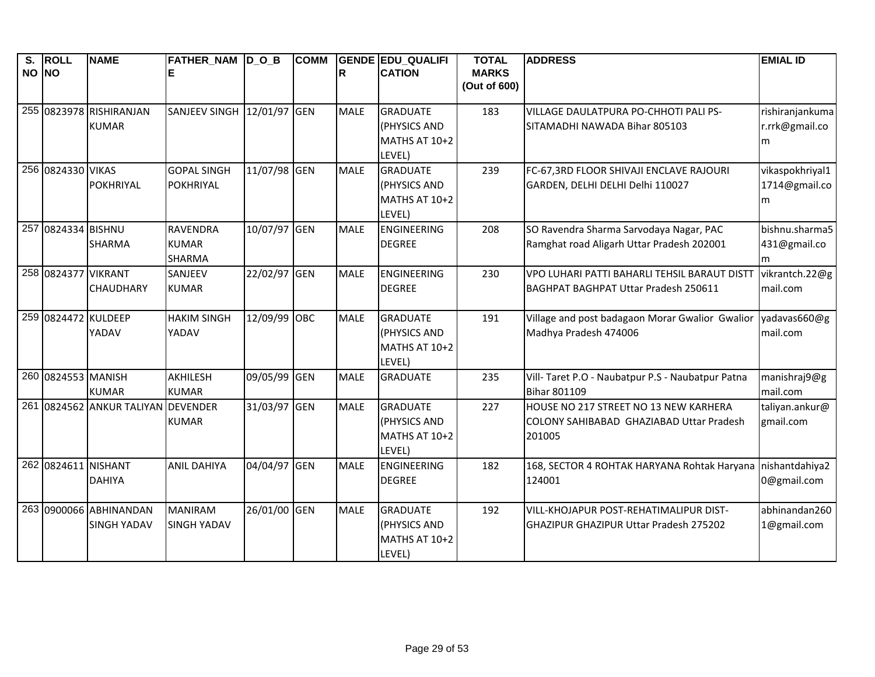| S.    | <b>ROLL</b>         | <b>NAME</b>                                        | FATHER_NAM  D_O_B    |              | <b>COMM</b> |             | <b>GENDE EDU QUALIFI</b>        | <b>TOTAL</b> | <b>ADDRESS</b>                                                                    | <b>EMIAL ID</b>             |
|-------|---------------------|----------------------------------------------------|----------------------|--------------|-------------|-------------|---------------------------------|--------------|-----------------------------------------------------------------------------------|-----------------------------|
| NO NO |                     |                                                    |                      |              |             | R           | <b>CATION</b>                   | <b>MARKS</b> |                                                                                   |                             |
|       |                     |                                                    |                      |              |             |             |                                 | (Out of 600) |                                                                                   |                             |
|       |                     | 255 0823978 RISHIRANJAN                            | <b>SANJEEV SINGH</b> | 12/01/97 GEN |             | <b>MALE</b> | <b>GRADUATE</b>                 | 183          | VILLAGE DAULATPURA PO-CHHOTI PALI PS-                                             | rishiranjankuma             |
|       |                     | <b>KUMAR</b>                                       |                      |              |             |             | (PHYSICS AND                    |              | SITAMADHI NAWADA Bihar 805103                                                     | r.rrk@gmail.co              |
|       |                     |                                                    |                      |              |             |             | MATHS AT 10+2                   |              |                                                                                   | m                           |
|       |                     |                                                    |                      |              |             |             | LEVEL)                          |              |                                                                                   |                             |
|       | 256 0824330 VIKAS   |                                                    | <b>GOPAL SINGH</b>   | 11/07/98 GEN |             | <b>MALE</b> | <b>GRADUATE</b>                 | 239          | FC-67,3RD FLOOR SHIVAJI ENCLAVE RAJOURI                                           | vikaspokhriyal1             |
|       |                     | POKHRIYAL                                          | <b>POKHRIYAL</b>     |              |             |             | (PHYSICS AND                    |              | GARDEN, DELHI DELHI Delhi 110027                                                  | 1714@gmail.co               |
|       |                     |                                                    |                      |              |             |             | MATHS AT 10+2                   |              |                                                                                   | m                           |
|       |                     |                                                    |                      |              |             |             | LEVEL)                          |              |                                                                                   |                             |
|       | 257 0824334 BISHNU  |                                                    | <b>RAVENDRA</b>      | 10/07/97 GEN |             | <b>MALE</b> | ENGINEERING                     | 208          | SO Ravendra Sharma Sarvodaya Nagar, PAC                                           | bishnu.sharma5              |
|       |                     | <b>SHARMA</b>                                      | <b>KUMAR</b>         |              |             |             | <b>DEGREE</b>                   |              | Ramghat road Aligarh Uttar Pradesh 202001                                         | 431@gmail.co                |
|       |                     |                                                    | <b>SHARMA</b>        |              |             |             |                                 |              |                                                                                   | m                           |
|       | 258 0824377 VIKRANT |                                                    | SANJEEV              | 22/02/97 GEN |             | <b>MALE</b> | <b>ENGINEERING</b>              | 230          | VPO LUHARI PATTI BAHARLI TEHSIL BARAUT DISTT                                      | vikrantch.22@g              |
|       |                     | <b>CHAUDHARY</b>                                   | <b>KUMAR</b>         |              |             |             | <b>DEGREE</b>                   |              | BAGHPAT BAGHPAT Uttar Pradesh 250611                                              | mail.com                    |
|       |                     |                                                    |                      |              |             |             |                                 |              |                                                                                   |                             |
|       | 259 0824472 KULDEEP |                                                    | <b>HAKIM SINGH</b>   | 12/09/99 OBC |             | <b>MALE</b> | <b>GRADUATE</b>                 | 191          | Village and post badagaon Morar Gwalior Gwalior                                   | yadavas660@g                |
|       |                     | YADAV                                              | YADAV                |              |             |             | (PHYSICS AND                    |              | Madhya Pradesh 474006                                                             | mail.com                    |
|       |                     |                                                    |                      |              |             |             | MATHS AT 10+2                   |              |                                                                                   |                             |
|       | 260 0824553 MANISH  |                                                    |                      |              |             |             | LEVEL)                          |              |                                                                                   |                             |
|       |                     |                                                    | <b>AKHILESH</b>      | 09/05/99 GEN |             | <b>MALE</b> | <b>GRADUATE</b>                 | 235          | Vill- Taret P.O - Naubatpur P.S - Naubatpur Patna                                 | manishraj9@g                |
|       |                     | <b>KUMAR</b><br>261 0824562 ANKUR TALIYAN DEVENDER | <b>KUMAR</b>         | 31/03/97 GEN |             | <b>MALE</b> |                                 |              | <b>Bihar 801109</b>                                                               | mail.com                    |
|       |                     |                                                    | <b>KUMAR</b>         |              |             |             | <b>GRADUATE</b><br>(PHYSICS AND | 227          | HOUSE NO 217 STREET NO 13 NEW KARHERA<br>COLONY SAHIBABAD GHAZIABAD Uttar Pradesh | taliyan.ankur@<br>gmail.com |
|       |                     |                                                    |                      |              |             |             | MATHS AT 10+2                   |              | 201005                                                                            |                             |
|       |                     |                                                    |                      |              |             |             | LEVEL)                          |              |                                                                                   |                             |
|       | 262 0824611 NISHANT |                                                    | <b>ANIL DAHIYA</b>   | 04/04/97 GEN |             | <b>MALE</b> | ENGINEERING                     | 182          | 168, SECTOR 4 ROHTAK HARYANA Rohtak Haryana nishantdahiya2                        |                             |
|       |                     | <b>DAHIYA</b>                                      |                      |              |             |             | <b>DEGREE</b>                   |              | 124001                                                                            | 0@gmail.com                 |
|       |                     |                                                    |                      |              |             |             |                                 |              |                                                                                   |                             |
|       |                     | 263 0900066 ABHINANDAN                             | <b>MANIRAM</b>       | 26/01/00 GEN |             | <b>MALE</b> | <b>GRADUATE</b>                 | 192          | VILL-KHOJAPUR POST-REHATIMALIPUR DIST-                                            | abhinandan260               |
|       |                     | <b>SINGH YADAV</b>                                 | <b>SINGH YADAV</b>   |              |             |             | (PHYSICS AND                    |              | <b>GHAZIPUR GHAZIPUR Uttar Pradesh 275202</b>                                     | 1@gmail.com                 |
|       |                     |                                                    |                      |              |             |             | MATHS AT 10+2                   |              |                                                                                   |                             |
|       |                     |                                                    |                      |              |             |             | LEVEL)                          |              |                                                                                   |                             |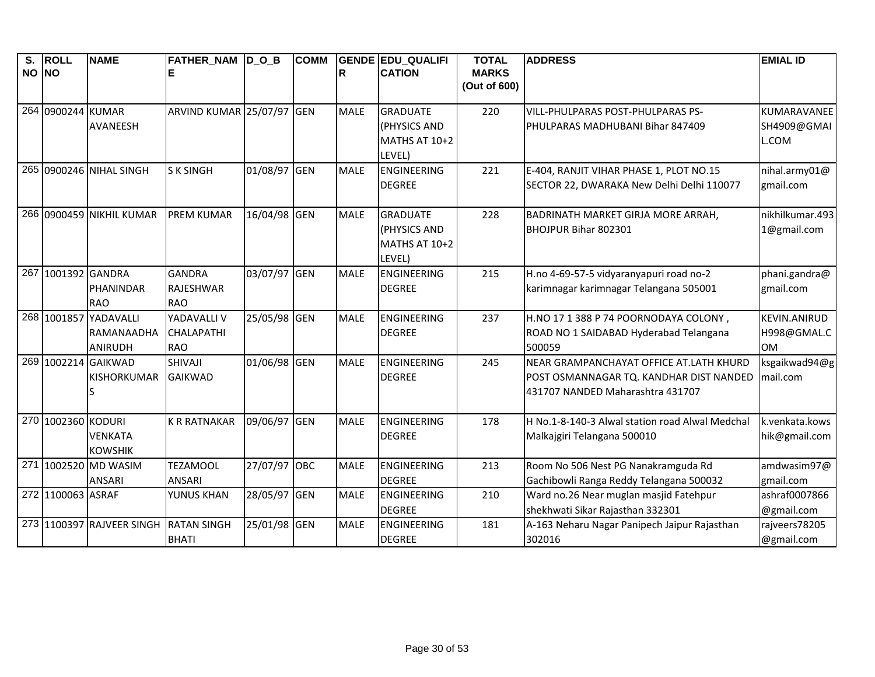| S.    | <b>ROLL</b>        | <b>NAME</b>               | FATHER_NAM  D_O_B         |              | <b>COMM</b> |             | <b>GENDE EDU_QUALIFI</b> | <b>TOTAL</b> | <b>ADDRESS</b>                                  | <b>EMIAL ID</b>     |
|-------|--------------------|---------------------------|---------------------------|--------------|-------------|-------------|--------------------------|--------------|-------------------------------------------------|---------------------|
| NO NO |                    |                           |                           |              |             | ΙR          | <b>CATION</b>            | <b>MARKS</b> |                                                 |                     |
|       |                    |                           |                           |              |             |             |                          | (Out of 600) |                                                 |                     |
|       | 264 0900244 KUMAR  |                           | ARVIND KUMAR 25/07/97 GEN |              |             | <b>MALE</b> | <b>GRADUATE</b>          | 220          | VILL-PHULPARAS POST-PHULPARAS PS-               | KUMARAVANEE         |
|       |                    | AVANEESH                  |                           |              |             |             | (PHYSICS AND             |              | PHULPARAS MADHUBANI Bihar 847409                | SH4909@GMAI         |
|       |                    |                           |                           |              |             |             | MATHS AT 10+2            |              |                                                 | L.COM               |
|       |                    |                           |                           |              |             |             | LEVEL)                   |              |                                                 |                     |
|       |                    | 265 0900246 NIHAL SINGH   | <b>SK SINGH</b>           | 01/08/97 GEN |             | <b>MALE</b> | <b>ENGINEERING</b>       | 221          | E-404, RANJIT VIHAR PHASE 1, PLOT NO.15         | nihal.army01@       |
|       |                    |                           |                           |              |             |             | <b>DEGREE</b>            |              | SECTOR 22, DWARAKA New Delhi Delhi 110077       | gmail.com           |
|       |                    |                           |                           |              |             |             |                          |              |                                                 |                     |
|       |                    | 266 0900459 NIKHIL KUMAR  | <b>PREM KUMAR</b>         | 16/04/98 GEN |             | <b>MALE</b> | <b>GRADUATE</b>          | 228          | BADRINATH MARKET GIRJA MORE ARRAH,              | nikhilkumar.493     |
|       |                    |                           |                           |              |             |             | (PHYSICS AND             |              | BHOJPUR Bihar 802301                            | 1@gmail.com         |
|       |                    |                           |                           |              |             |             | MATHS AT 10+2            |              |                                                 |                     |
|       |                    |                           |                           |              |             |             | LEVEL)                   |              |                                                 |                     |
|       | 267 1001392 GANDRA |                           | <b>GANDRA</b>             | 03/07/97 GEN |             | <b>MALE</b> | <b>ENGINEERING</b>       | 215          | H.no 4-69-57-5 vidyaranyapuri road no-2         | phani.gandra@       |
|       |                    | PHANINDAR                 | <b>RAJESHWAR</b>          |              |             |             | <b>DEGREE</b>            |              | karimnagar karimnagar Telangana 505001          | gmail.com           |
|       |                    | <b>RAO</b>                | <b>RAO</b>                |              |             |             |                          |              |                                                 |                     |
|       |                    | 268 1001857 YADAVALLI     | YADAVALLI V               | 25/05/98 GEN |             | <b>MALE</b> | <b>ENGINEERING</b>       | 237          | H.NO 17 1 388 P 74 POORNODAYA COLONY,           | <b>KEVIN.ANIRUD</b> |
|       |                    | RAMANAADHA                | <b>CHALAPATHI</b>         |              |             |             | <b>DEGREE</b>            |              | ROAD NO 1 SAIDABAD Hyderabad Telangana          | H998@GMAL.C         |
|       |                    | <b>ANIRUDH</b>            | <b>RAO</b>                |              |             |             |                          |              | 500059                                          | <b>OM</b>           |
|       |                    | 269 1002214 GAIKWAD       | SHIVAJI                   | 01/06/98 GEN |             | <b>MALE</b> | <b>ENGINEERING</b>       | 245          | NEAR GRAMPANCHAYAT OFFICE AT.LATH KHURD         | ksgaikwad94@g       |
|       |                    | <b>KISHORKUMAR</b>        | <b>GAIKWAD</b>            |              |             |             | <b>DEGREE</b>            |              | POST OSMANNAGAR TQ. KANDHAR DIST NANDED         | mail.com            |
|       |                    |                           |                           |              |             |             |                          |              | 431707 NANDED Maharashtra 431707                |                     |
|       |                    |                           |                           |              |             |             |                          |              |                                                 |                     |
|       | 270 1002360 KODURI |                           | <b>K R RATNAKAR</b>       | 09/06/97 GEN |             | <b>MALE</b> | <b>ENGINEERING</b>       | 178          | H No.1-8-140-3 Alwal station road Alwal Medchal | k.venkata.kows      |
|       |                    | <b>VENKATA</b>            |                           |              |             |             | <b>DEGREE</b>            |              | Malkajgiri Telangana 500010                     | hik@gmail.com       |
|       |                    | <b>KOWSHIK</b>            |                           |              |             |             |                          |              |                                                 |                     |
|       |                    | 271 1002520 MD WASIM      | <b>TEZAMOOL</b>           | 27/07/97 OBC |             | <b>MALE</b> | <b>ENGINEERING</b>       | 213          | Room No 506 Nest PG Nanakramguda Rd             | amdwasim97@         |
|       |                    | <b>ANSARI</b>             | <b>ANSARI</b>             |              |             |             | <b>DEGREE</b>            |              | Gachibowli Ranga Reddy Telangana 500032         | gmail.com           |
|       | 272 1100063 ASRAF  |                           | YUNUS KHAN                | 28/05/97 GEN |             | <b>MALE</b> | <b>ENGINEERING</b>       | 210          | Ward no.26 Near muglan masjid Fatehpur          | ashraf0007866       |
|       |                    |                           |                           |              |             |             | <b>DEGREE</b>            |              | shekhwati Sikar Rajasthan 332301                | @gmail.com          |
|       |                    | 273 1100397 RAJVEER SINGH | <b>RATAN SINGH</b>        | 25/01/98 GEN |             | <b>MALE</b> | <b>ENGINEERING</b>       | 181          | A-163 Neharu Nagar Panipech Jaipur Rajasthan    | rajveers78205       |
|       |                    |                           | <b>BHATI</b>              |              |             |             | <b>DEGREE</b>            |              | 302016                                          | @gmail.com          |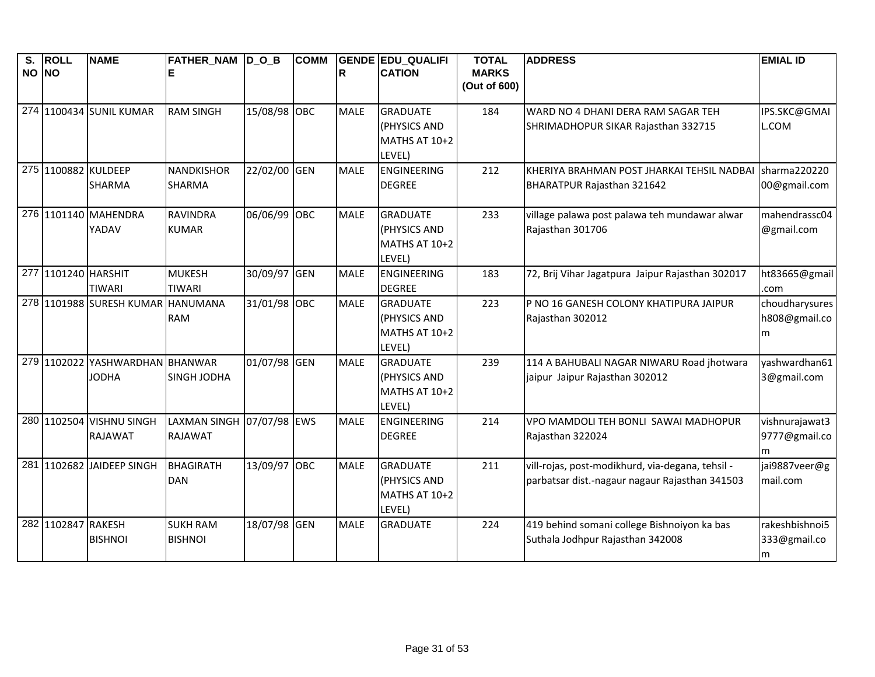| S.    | <b>ROLL</b>         | <b>NAME</b>                     | FATHER_NAM  D_O_B   |              | <b>COMM</b> |             | <b>GENDE EDU QUALIFI</b>  | <b>TOTAL</b>                 | <b>ADDRESS</b>                                   | <b>EMIAL ID</b> |
|-------|---------------------|---------------------------------|---------------------|--------------|-------------|-------------|---------------------------|------------------------------|--------------------------------------------------|-----------------|
| NO NO |                     |                                 |                     |              |             | R           | <b>CATION</b>             | <b>MARKS</b><br>(Out of 600) |                                                  |                 |
|       |                     |                                 |                     |              |             |             |                           |                              |                                                  |                 |
|       |                     | 274 1100434 SUNIL KUMAR         | <b>RAM SINGH</b>    | 15/08/98 OBC |             | <b>MALE</b> | <b>GRADUATE</b>           | 184                          | WARD NO 4 DHANI DERA RAM SAGAR TEH               | IPS.SKC@GMAI    |
|       |                     |                                 |                     |              |             |             | (PHYSICS AND              |                              | SHRIMADHOPUR SIKAR Rajasthan 332715              | L.COM           |
|       |                     |                                 |                     |              |             |             | MATHS AT 10+2             |                              |                                                  |                 |
|       |                     |                                 |                     |              |             |             | LEVEL)                    |                              |                                                  |                 |
|       | 275 1100882 KULDEEP |                                 | <b>NANDKISHOR</b>   | 22/02/00 GEN |             | <b>MALE</b> | ENGINEERING               | 212                          | KHERIYA BRAHMAN POST JHARKAI TEHSIL NADBAI       | sharma220220    |
|       |                     | <b>SHARMA</b>                   | <b>SHARMA</b>       |              |             |             | <b>DEGREE</b>             |                              | BHARATPUR Rajasthan 321642                       | 00@gmail.com    |
|       |                     | 276 1101140 MAHENDRA            | <b>RAVINDRA</b>     | 06/06/99 OBC |             | <b>MALE</b> | <b>GRADUATE</b>           | 233                          | village palawa post palawa teh mundawar alwar    | mahendrassc04   |
|       |                     | YADAV                           | <b>KUMAR</b>        |              |             |             | (PHYSICS AND              |                              | Rajasthan 301706                                 | @gmail.com      |
|       |                     |                                 |                     |              |             |             | MATHS AT 10+2             |                              |                                                  |                 |
|       |                     |                                 |                     |              |             |             | LEVEL)                    |                              |                                                  |                 |
|       | 277 1101240 HARSHIT |                                 | <b>MUKESH</b>       | 30/09/97 GEN |             | <b>MALE</b> | ENGINEERING               | 183                          | 72, Brij Vihar Jagatpura Jaipur Rajasthan 302017 | ht83665@gmail   |
|       |                     | <b>TIWARI</b>                   | <b>TIWARI</b>       |              |             |             | <b>DEGREE</b>             |                              |                                                  | .com            |
|       |                     | 278 1101988 SURESH KUMAR        | <b>HANUMANA</b>     | 31/01/98 OBC |             | <b>MALE</b> | <b>GRADUATE</b>           | 223                          | P NO 16 GANESH COLONY KHATIPURA JAIPUR           | choudharysures  |
|       |                     |                                 | <b>RAM</b>          |              |             |             | (PHYSICS AND              |                              | Rajasthan 302012                                 | h808@gmail.co   |
|       |                     |                                 |                     |              |             |             | MATHS AT 10+2             |                              |                                                  | m               |
|       |                     | 279 1102022 YASHWARDHAN BHANWAR |                     | 01/07/98 GEN |             | <b>MALE</b> | LEVEL)<br><b>GRADUATE</b> | 239                          | 114 A BAHUBALI NAGAR NIWARU Road jhotwara        | vashwardhan61   |
|       |                     | <b>JODHA</b>                    | <b>SINGH JODHA</b>  |              |             |             | (PHYSICS AND              |                              | jaipur Jaipur Rajasthan 302012                   | 3@gmail.com     |
|       |                     |                                 |                     |              |             |             | MATHS AT 10+2             |                              |                                                  |                 |
|       |                     |                                 |                     |              |             |             | LEVEL)                    |                              |                                                  |                 |
|       | 280 1102504         | <b>VISHNU SINGH</b>             | <b>LAXMAN SINGH</b> | 07/07/98 EWS |             | <b>MALE</b> | ENGINEERING               | 214                          | VPO MAMDOLI TEH BONLI SAWAI MADHOPUR             | vishnurajawat3  |
|       |                     | RAJAWAT                         | <b>RAJAWAT</b>      |              |             |             | <b>DEGREE</b>             |                              | Rajasthan 322024                                 | 9777@gmail.co   |
|       |                     |                                 |                     |              |             |             |                           |                              |                                                  | m               |
|       |                     | 281 1102682 JAIDEEP SINGH       | <b>BHAGIRATH</b>    | 13/09/97 OBC |             | <b>MALE</b> | <b>GRADUATE</b>           | 211                          | vill-rojas, post-modikhurd, via-degana, tehsil - | jai9887veer@g   |
|       |                     |                                 | <b>DAN</b>          |              |             |             | (PHYSICS AND              |                              | parbatsar dist.-nagaur nagaur Rajasthan 341503   | mail.com        |
|       |                     |                                 |                     |              |             |             | MATHS AT 10+2             |                              |                                                  |                 |
|       |                     |                                 |                     |              |             |             | LEVEL)                    |                              |                                                  |                 |
|       | 282 1102847         | <b>RAKESH</b>                   | <b>SUKH RAM</b>     | 18/07/98 GEN |             | <b>MALE</b> | <b>GRADUATE</b>           | 224                          | 419 behind somani college Bishnoiyon ka bas      | rakeshbishnoi5  |
|       |                     | <b>BISHNOI</b>                  | <b>BISHNOI</b>      |              |             |             |                           |                              | Suthala Jodhpur Rajasthan 342008                 | 333@gmail.co    |
|       |                     |                                 |                     |              |             |             |                           |                              |                                                  | m               |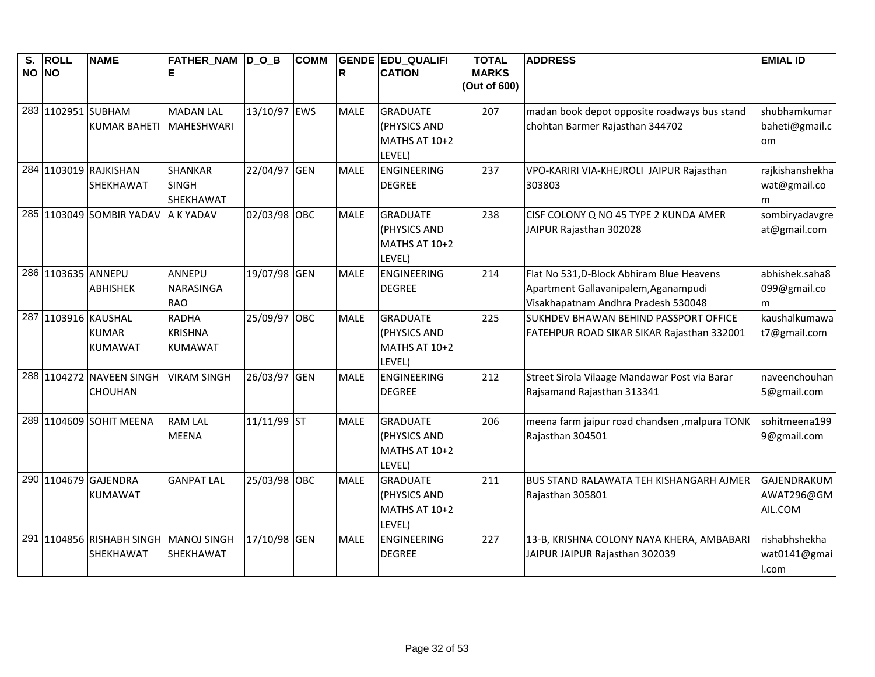| S.<br>NO NO | <b>ROLL</b>         | <b>NAME</b>                            | FATHER_NAM  D_O_B<br>Е                           |              | <b>COMM</b> | lR.         | <b>GENDE EDU QUALIFI</b><br><b>CATION</b>                  | <b>TOTAL</b><br><b>MARKS</b><br>(Out of 600) | <b>ADDRESS</b>                                                                                                           | <b>EMIAL ID</b>                        |
|-------------|---------------------|----------------------------------------|--------------------------------------------------|--------------|-------------|-------------|------------------------------------------------------------|----------------------------------------------|--------------------------------------------------------------------------------------------------------------------------|----------------------------------------|
|             | 283 1102951 SUBHAM  | <b>KUMAR BAHETI</b>                    | <b>MADAN LAL</b><br><b>MAHESHWARI</b>            | 13/10/97 EWS |             | <b>MALE</b> | <b>GRADUATE</b><br>(PHYSICS AND<br>MATHS AT 10+2<br>LEVEL) | 207                                          | madan book depot opposite roadways bus stand<br>chohtan Barmer Rajasthan 344702                                          | shubhamkumar<br>baheti@gmail.c<br>om   |
|             |                     | 284 1103019 RAJKISHAN<br>SHEKHAWAT     | <b>SHANKAR</b><br><b>SINGH</b><br>SHEKHAWAT      | 22/04/97 GEN |             | <b>MALE</b> | <b>ENGINEERING</b><br><b>DEGREE</b>                        | 237                                          | VPO-KARIRI VIA-KHEJROLI JAIPUR Rajasthan<br>303803                                                                       | rajkishanshekha<br>wat@gmail.co<br>m   |
|             |                     | 285 1103049 SOMBIR YADAV               | A K YADAV                                        | 02/03/98 OBC |             | <b>MALE</b> | <b>GRADUATE</b><br>(PHYSICS AND<br>MATHS AT 10+2<br>LEVEL) | 238                                          | CISF COLONY Q NO 45 TYPE 2 KUNDA AMER<br>JAIPUR Rajasthan 302028                                                         | sombiryadavgre<br>at@gmail.com         |
|             | 286 1103635 ANNEPU  | <b>ABHISHEK</b>                        | ANNEPU<br><b>NARASINGA</b><br><b>RAO</b>         | 19/07/98 GEN |             | <b>MALE</b> | <b>ENGINEERING</b><br><b>DEGREE</b>                        | 214                                          | Flat No 531, D-Block Abhiram Blue Heavens<br>Apartment Gallavanipalem, Aganampudi<br>Visakhapatnam Andhra Pradesh 530048 | abhishek.saha8<br>099@gmail.co<br>m    |
|             | 287 1103916 KAUSHAL | <b>KUMAR</b><br><b>KUMAWAT</b>         | <b>RADHA</b><br><b>KRISHNA</b><br><b>KUMAWAT</b> | 25/09/97 OBC |             | <b>MALE</b> | <b>GRADUATE</b><br>(PHYSICS AND<br>MATHS AT 10+2<br>LEVEL) | 225                                          | SUKHDEV BHAWAN BEHIND PASSPORT OFFICE<br>FATEHPUR ROAD SIKAR SIKAR Rajasthan 332001                                      | kaushalkumawa<br>t7@gmail.com          |
|             |                     | 288 1104272 NAVEEN SINGH<br>CHOUHAN    | <b>VIRAM SINGH</b>                               | 26/03/97     | GEN         | <b>MALE</b> | <b>ENGINEERING</b><br><b>DEGREE</b>                        | 212                                          | Street Sirola Vilaage Mandawar Post via Barar<br>Rajsamand Rajasthan 313341                                              | naveenchouhan<br>5@gmail.com           |
|             |                     | 289 1104609 SOHIT MEENA                | <b>RAM LAL</b><br><b>MEENA</b>                   | 11/11/99 ST  |             | <b>MALE</b> | <b>GRADUATE</b><br>(PHYSICS AND<br>MATHS AT 10+2<br>LEVEL) | 206                                          | meena farm jaipur road chandsen , malpura TONK<br>Rajasthan 304501                                                       | sohitmeena199<br>9@gmail.com           |
|             |                     | 290 1104679 GAJENDRA<br><b>KUMAWAT</b> | <b>GANPAT LAL</b>                                | 25/03/98 OBC |             | <b>MALE</b> | <b>GRADUATE</b><br>(PHYSICS AND<br>MATHS AT 10+2<br>LEVEL) | 211                                          | BUS STAND RALAWATA TEH KISHANGARH AJMER<br>Rajasthan 305801                                                              | GAJENDRAKUM<br>AWAT296@GM<br>AIL.COM   |
|             |                     | 291 1104856 RISHABH SINGH<br>SHEKHAWAT | <b>MANOJ SINGH</b><br>SHEKHAWAT                  | 17/10/98 GEN |             | <b>MALE</b> | ENGINEERING<br><b>DEGREE</b>                               | 227                                          | 13-B, KRISHNA COLONY NAYA KHERA, AMBABARI<br>JAIPUR JAIPUR Rajasthan 302039                                              | rishabhshekha<br>wat0141@gmai<br>I.com |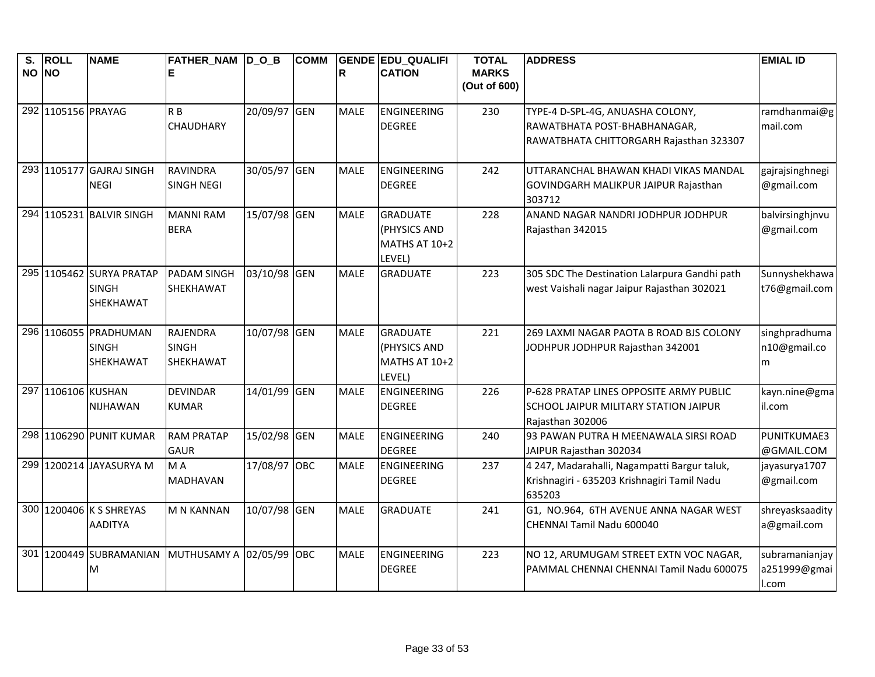| $\overline{\mathbf{s}}$ .<br>NO NO | <b>ROLL</b>        | <b>NAME</b>              | FATHER_NAM  D_O_B<br>Е          |              | <b>COMM</b> | R           | <b>GENDE EDU QUALIFI</b><br><b>CATION</b> | <b>TOTAL</b><br><b>MARKS</b><br>(Out of 600) | <b>ADDRESS</b>                                            | <b>EMIAL ID</b> |
|------------------------------------|--------------------|--------------------------|---------------------------------|--------------|-------------|-------------|-------------------------------------------|----------------------------------------------|-----------------------------------------------------------|-----------------|
|                                    |                    |                          |                                 |              |             |             |                                           |                                              |                                                           |                 |
|                                    | 292 1105156 PRAYAG |                          | R <sub>B</sub>                  | 20/09/97 GEN |             | <b>MALE</b> | <b>ENGINEERING</b>                        | 230                                          | TYPE-4 D-SPL-4G, ANUASHA COLONY,                          | ramdhanmai@g    |
|                                    |                    |                          | CHAUDHARY                       |              |             |             | <b>DEGREE</b>                             |                                              | RAWATBHATA POST-BHABHANAGAR,                              | mail.com        |
|                                    |                    |                          |                                 |              |             |             |                                           |                                              | RAWATBHATA CHITTORGARH Rajasthan 323307                   |                 |
|                                    | 293 1105177        | <b>GAJRAJ SINGH</b>      | <b>RAVINDRA</b>                 | 30/05/97 GEN |             | <b>MALE</b> | <b>ENGINEERING</b>                        | 242                                          | UTTARANCHAL BHAWAN KHADI VIKAS MANDAL                     | gajrajsinghnegi |
|                                    |                    | <b>NEGI</b>              | <b>SINGH NEGI</b>               |              |             |             | <b>DEGREE</b>                             |                                              | GOVINDGARH MALIKPUR JAIPUR Rajasthan                      | @gmail.com      |
|                                    |                    |                          |                                 |              |             |             |                                           |                                              | 303712                                                    |                 |
|                                    |                    | 294 1105231 BALVIR SINGH | <b>MANNI RAM</b>                | 15/07/98 GEN |             | <b>MALE</b> | <b>GRADUATE</b>                           | 228                                          | ANAND NAGAR NANDRI JODHPUR JODHPUR                        | balvirsinghjnvu |
|                                    |                    |                          | <b>BERA</b>                     |              |             |             | (PHYSICS AND<br>MATHS AT 10+2             |                                              | Rajasthan 342015                                          | @gmail.com      |
|                                    |                    |                          |                                 |              |             |             | LEVEL)                                    |                                              |                                                           |                 |
|                                    |                    | 295 1105462 SURYA PRATAP | <b>PADAM SINGH</b>              | 03/10/98 GEN |             | <b>MALE</b> | <b>GRADUATE</b>                           | 223                                          | 305 SDC The Destination Lalarpura Gandhi path             | Sunnyshekhawa   |
|                                    |                    | <b>SINGH</b>             | SHEKHAWAT                       |              |             |             |                                           |                                              | west Vaishali nagar Jaipur Rajasthan 302021               | t76@gmail.com   |
|                                    |                    | <b>SHEKHAWAT</b>         |                                 |              |             |             |                                           |                                              |                                                           |                 |
|                                    |                    | 296 1106055 PRADHUMAN    | <b>RAJENDRA</b>                 | 10/07/98 GEN |             | <b>MALE</b> | <b>GRADUATE</b>                           | 221                                          | 269 LAXMI NAGAR PAOTA B ROAD BJS COLONY                   | singhpradhuma   |
|                                    |                    | <b>SINGH</b>             | <b>SINGH</b>                    |              |             |             | (PHYSICS AND                              |                                              | JODHPUR JODHPUR Rajasthan 342001                          | n10@gmail.co    |
|                                    |                    | SHEKHAWAT                | SHEKHAWAT                       |              |             |             | MATHS AT 10+2                             |                                              |                                                           | m               |
|                                    |                    |                          |                                 |              |             |             | LEVEL)                                    |                                              |                                                           |                 |
|                                    | 297 1106106 KUSHAN | NIJHAWAN                 | <b>DEVINDAR</b><br><b>KUMAR</b> | 14/01/99 GEN |             | <b>MALE</b> | <b>ENGINEERING</b><br><b>DEGREE</b>       | 226                                          | P-628 PRATAP LINES OPPOSITE ARMY PUBLIC                   | kayn.nine@gma   |
|                                    |                    |                          |                                 |              |             |             |                                           |                                              | SCHOOL JAIPUR MILITARY STATION JAIPUR<br>Rajasthan 302006 | il.com          |
|                                    |                    | 298 1106290 PUNIT KUMAR  | <b>RAM PRATAP</b>               | 15/02/98 GEN |             | <b>MALE</b> | <b>ENGINEERING</b>                        | 240                                          | 93 PAWAN PUTRA H MEENAWALA SIRSI ROAD                     | PUNITKUMAE3     |
|                                    |                    |                          | <b>GAUR</b>                     |              |             |             | <b>DEGREE</b>                             |                                              | JAIPUR Rajasthan 302034                                   | @GMAIL.COM      |
|                                    |                    | 299 1200214 JAYASURYA M  | M A                             | 17/08/97 OBC |             | <b>MALE</b> | ENGINEERING                               | 237                                          | 4 247, Madarahalli, Nagampatti Bargur taluk,              | jayasurya1707   |
|                                    |                    |                          | <b>MADHAVAN</b>                 |              |             |             | <b>DEGREE</b>                             |                                              | Krishnagiri - 635203 Krishnagiri Tamil Nadu               | @gmail.com      |
|                                    |                    |                          |                                 |              |             |             |                                           |                                              | 635203                                                    |                 |
|                                    |                    | 300 1200406 K S SHREYAS  | <b>M N KANNAN</b>               | 10/07/98 GEN |             | <b>MALE</b> | <b>GRADUATE</b>                           | 241                                          | G1, NO.964, 6TH AVENUE ANNA NAGAR WEST                    | shreyasksaadity |
|                                    |                    | <b>AADITYA</b>           |                                 |              |             |             |                                           |                                              | CHENNAI Tamil Nadu 600040                                 | a@gmail.com     |
|                                    |                    | 301 1200449 SUBRAMANIAN  | MUTHUSAMY A 02/05/99            |              | OBC         | <b>MALE</b> | ENGINEERING                               | 223                                          | NO 12, ARUMUGAM STREET EXTN VOC NAGAR,                    | subramanianjay  |
|                                    |                    | M                        |                                 |              |             |             | <b>DEGREE</b>                             |                                              | PAMMAL CHENNAI CHENNAI Tamil Nadu 600075                  | a251999@gmai    |
|                                    |                    |                          |                                 |              |             |             |                                           |                                              |                                                           | I.com           |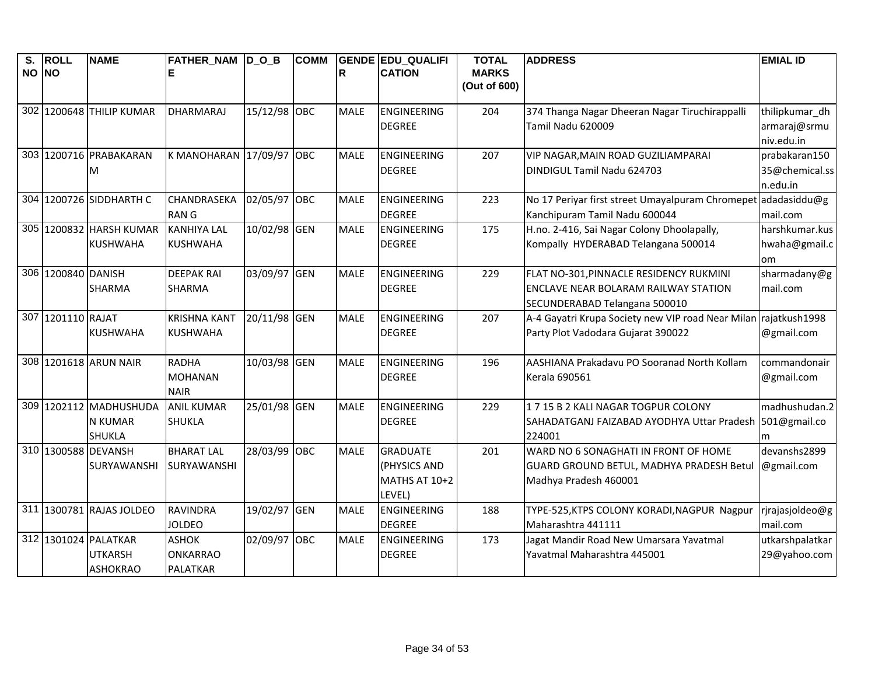| $\overline{\mathbf{s}}$ . | <b>ROLL</b>        | <b>NAME</b>              | FATHER_NAM D_O_B         |              | <b>COMM</b> |             | <b>GENDE EDU QUALIFI</b> | <b>TOTAL</b> | <b>ADDRESS</b>                                                  | <b>EMIAL ID</b> |
|---------------------------|--------------------|--------------------------|--------------------------|--------------|-------------|-------------|--------------------------|--------------|-----------------------------------------------------------------|-----------------|
| NO NO                     |                    |                          |                          |              |             | ΙR          | <b>CATION</b>            | <b>MARKS</b> |                                                                 |                 |
|                           |                    |                          |                          |              |             |             |                          | (Out of 600) |                                                                 |                 |
|                           |                    | 302 1200648 THILIP KUMAR | <b>DHARMARAJ</b>         | 15/12/98 OBC |             | <b>MALE</b> | <b>ENGINEERING</b>       | 204          | 374 Thanga Nagar Dheeran Nagar Tiruchirappalli                  | thilipkumar_dh  |
|                           |                    |                          |                          |              |             |             | <b>DEGREE</b>            |              | Tamil Nadu 620009                                               | armaraj@srmu    |
|                           |                    |                          |                          |              |             |             |                          |              |                                                                 | niv.edu.in      |
|                           |                    | 303 1200716 PRABAKARAN   | K MANOHARAN 17/09/97 OBC |              |             | <b>MALE</b> | <b>ENGINEERING</b>       | 207          | VIP NAGAR, MAIN ROAD GUZILIAMPARAI                              | prabakaran150   |
|                           |                    | M                        |                          |              |             |             | <b>DEGREE</b>            |              | DINDIGUL Tamil Nadu 624703                                      | 35@chemical.ss  |
|                           |                    |                          |                          |              |             |             |                          |              |                                                                 | n.edu.in        |
|                           |                    | 304 1200726 SIDDHARTH C  | CHANDRASEKA              | 02/05/97 OBC |             | <b>MALE</b> | <b>ENGINEERING</b>       | 223          | No 17 Periyar first street Umayalpuram Chromepet                | adadasiddu@g    |
|                           |                    |                          | <b>RANG</b>              |              |             |             | <b>DEGREE</b>            |              | Kanchipuram Tamil Nadu 600044                                   | mail.com        |
|                           |                    | 305 1200832 HARSH KUMAR  | <b>KANHIYA LAL</b>       | 10/02/98 GEN |             | <b>MALE</b> | <b>ENGINEERING</b>       | 175          | H.no. 2-416, Sai Nagar Colony Dhoolapally,                      | harshkumar.kus  |
|                           |                    | <b>KUSHWAHA</b>          | <b>KUSHWAHA</b>          |              |             |             | <b>DEGREE</b>            |              | Kompally HYDERABAD Telangana 500014                             | hwaha@gmail.c   |
|                           |                    |                          |                          |              |             |             |                          |              |                                                                 | <b>om</b>       |
|                           | 306 1200840 DANISH |                          | <b>DEEPAK RAI</b>        | 03/09/97 GEN |             | <b>MALE</b> | <b>ENGINEERING</b>       | 229          | FLAT NO-301, PINNACLE RESIDENCY RUKMINI                         | sharmadany@g    |
|                           |                    | <b>SHARMA</b>            | <b>SHARMA</b>            |              |             |             | <b>DEGREE</b>            |              | <b>ENCLAVE NEAR BOLARAM RAILWAY STATION</b>                     | mail.com        |
|                           |                    |                          |                          |              |             |             |                          |              | SECUNDERABAD Telangana 500010                                   |                 |
|                           | 307 1201110 RAJAT  |                          | <b>KRISHNA KANT</b>      | 20/11/98 GEN |             | <b>MALE</b> | <b>ENGINEERING</b>       | 207          | A-4 Gayatri Krupa Society new VIP road Near Milan rajatkush1998 |                 |
|                           |                    | <b>KUSHWAHA</b>          | <b>KUSHWAHA</b>          |              |             |             | <b>DEGREE</b>            |              | Party Plot Vadodara Gujarat 390022                              | @gmail.com      |
|                           |                    |                          |                          |              |             |             |                          |              |                                                                 |                 |
|                           |                    | 308 1201618 ARUN NAIR    | <b>RADHA</b>             | 10/03/98 GEN |             | MALE        | <b>ENGINEERING</b>       | 196          | AASHIANA Prakadavu PO Sooranad North Kollam                     | commandonair    |
|                           |                    |                          | <b>MOHANAN</b>           |              |             |             | <b>DEGREE</b>            |              | Kerala 690561                                                   | @gmail.com      |
|                           |                    |                          | <b>NAIR</b>              |              |             |             |                          |              |                                                                 |                 |
|                           |                    | 309 1202112 MADHUSHUDA   | <b>ANIL KUMAR</b>        | 25/01/98     | <b>GEN</b>  | <b>MALE</b> | <b>ENGINEERING</b>       | 229          | 1715 B 2 KALI NAGAR TOGPUR COLONY                               | madhushudan.2   |
|                           |                    | N KUMAR                  | <b>SHUKLA</b>            |              |             |             | <b>DEGREE</b>            |              | SAHADATGANJ FAIZABAD AYODHYA Uttar Pradesh                      | 501@gmail.co    |
|                           |                    | <b>SHUKLA</b>            |                          |              |             |             |                          |              | 224001                                                          | m               |
|                           |                    | 310 1300588 DEVANSH      | <b>BHARAT LAL</b>        | 28/03/99 OBC |             | <b>MALE</b> | <b>GRADUATE</b>          | 201          | WARD NO 6 SONAGHATI IN FRONT OF HOME                            | devanshs2899    |
|                           |                    | SURYAWANSHI              | SURYAWANSHI              |              |             |             | (PHYSICS AND             |              | GUARD GROUND BETUL, MADHYA PRADESH Betul                        | @gmail.com      |
|                           |                    |                          |                          |              |             |             | MATHS AT 10+2            |              | Madhya Pradesh 460001                                           |                 |
|                           |                    |                          |                          |              |             |             | LEVEL)                   |              |                                                                 |                 |
|                           |                    | 311 1300781 RAJAS JOLDEO | <b>RAVINDRA</b>          | 19/02/97 GEN |             | <b>MALE</b> | <b>ENGINEERING</b>       | 188          | TYPE-525, KTPS COLONY KORADI, NAGPUR Nagpur                     | rjrajasjoldeo@g |
|                           |                    |                          | <b>JOLDEO</b>            |              |             |             | <b>DEGREE</b>            |              | Maharashtra 441111                                              | mail.com        |
|                           |                    | 312 1301024 PALATKAR     | <b>ASHOK</b>             | 02/09/97 OBC |             | <b>MALE</b> | <b>ENGINEERING</b>       | 173          | Jagat Mandir Road New Umarsara Yavatmal                         | utkarshpalatkar |
|                           |                    | <b>UTKARSH</b>           | <b>ONKARRAO</b>          |              |             |             | <b>DEGREE</b>            |              | Yavatmal Maharashtra 445001                                     | 29@yahoo.com    |
|                           |                    | <b>ASHOKRAO</b>          | <b>PALATKAR</b>          |              |             |             |                          |              |                                                                 |                 |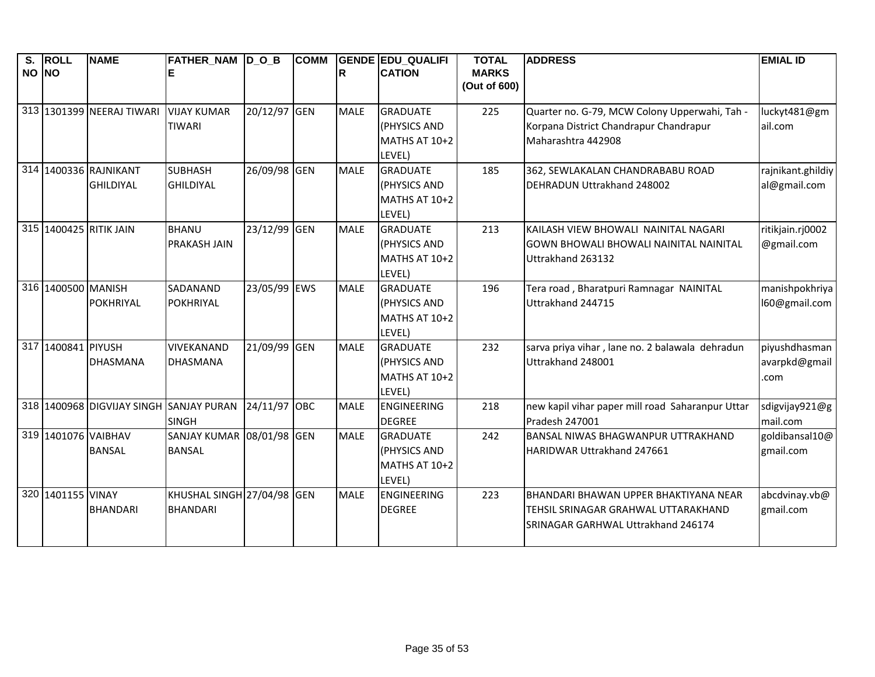| S.    | <b>ROLL</b>         | <b>NAME</b>                             | FATHER_NAM D_O_B           |              | <b>COMM</b> |             | <b>GENDE EDU_QUALIFI</b>        | <b>TOTAL</b>                 | <b>ADDRESS</b>                                               | <b>EMIAL ID</b>   |
|-------|---------------------|-----------------------------------------|----------------------------|--------------|-------------|-------------|---------------------------------|------------------------------|--------------------------------------------------------------|-------------------|
| NO NO |                     |                                         |                            |              |             | R           | <b>CATION</b>                   | <b>MARKS</b><br>(Out of 600) |                                                              |                   |
|       |                     |                                         |                            |              |             |             |                                 |                              |                                                              |                   |
|       |                     | 313 1301399 NEERAJ TIWARI               | <b>VIJAY KUMAR</b>         | 20/12/97 GEN |             | <b>MALE</b> | <b>GRADUATE</b>                 | 225                          | Quarter no. G-79, MCW Colony Upperwahi, Tah -                | luckyt481@gm      |
|       |                     |                                         | <b>TIWARI</b>              |              |             |             | (PHYSICS AND                    |                              | Korpana District Chandrapur Chandrapur                       | ail.com           |
|       |                     |                                         |                            |              |             |             | MATHS AT 10+2                   |                              | Maharashtra 442908                                           |                   |
|       |                     |                                         |                            |              |             |             | LEVEL)                          |                              |                                                              |                   |
|       |                     | 314 1400336 RAJNIKANT                   | <b>SUBHASH</b>             | 26/09/98 GEN |             | <b>MALE</b> | <b>GRADUATE</b>                 | 185                          | 362, SEWLAKALAN CHANDRABABU ROAD                             | rajnikant.ghildiy |
|       |                     | <b>GHILDIYAL</b>                        | <b>GHILDIYAL</b>           |              |             |             | (PHYSICS AND                    |                              | DEHRADUN Uttrakhand 248002                                   | al@gmail.com      |
|       |                     |                                         |                            |              |             |             | MATHS AT 10+2                   |                              |                                                              |                   |
|       |                     |                                         |                            |              |             |             | LEVEL)                          |                              |                                                              |                   |
|       |                     | 315 1400425 RITIK JAIN                  | <b>BHANU</b>               | 23/12/99 GEN |             | <b>MALE</b> | <b>GRADUATE</b>                 | 213                          | KAILASH VIEW BHOWALI NAINITAL NAGARI                         | ritikjain.rj0002  |
|       |                     |                                         | <b>PRAKASH JAIN</b>        |              |             |             | (PHYSICS AND                    |                              | <b>GOWN BHOWALI BHOWALI NAINITAL NAINITAL</b>                | @gmail.com        |
|       |                     |                                         |                            |              |             |             | MATHS AT 10+2                   |                              | Uttrakhand 263132                                            |                   |
|       | 316 1400500 MANISH  |                                         | SADANAND                   | 23/05/99 EWS |             | <b>MALE</b> | LEVEL)                          | 196                          |                                                              | manishpokhriya    |
|       |                     | <b>POKHRIYAL</b>                        | POKHRIYAL                  |              |             |             | <b>GRADUATE</b><br>(PHYSICS AND |                              | Tera road, Bharatpuri Ramnagar NAINITAL<br>Uttrakhand 244715 | 160@gmail.com     |
|       |                     |                                         |                            |              |             |             | MATHS AT 10+2                   |                              |                                                              |                   |
|       |                     |                                         |                            |              |             |             | LEVEL)                          |                              |                                                              |                   |
|       | 317 1400841 PIYUSH  |                                         | VIVEKANAND                 | 21/09/99 GEN |             | <b>MALE</b> | <b>GRADUATE</b>                 | 232                          | sarva priya vihar, lane no. 2 balawala dehradun              | piyushdhasman     |
|       |                     | <b>DHASMANA</b>                         | <b>DHASMANA</b>            |              |             |             | (PHYSICS AND                    |                              | Uttrakhand 248001                                            | avarpkd@gmail     |
|       |                     |                                         |                            |              |             |             | MATHS AT 10+2                   |                              |                                                              | .com              |
|       |                     |                                         |                            |              |             |             | LEVEL)                          |                              |                                                              |                   |
|       |                     | 318 1400968 DIGVIJAY SINGH SANJAY PURAN |                            | 24/11/97 OBC |             | <b>MALE</b> | <b>ENGINEERING</b>              | 218                          | new kapil vihar paper mill road Saharanpur Uttar             | sdigvijay921@g    |
|       |                     |                                         | <b>SINGH</b>               |              |             |             | <b>DEGREE</b>                   |                              | Pradesh 247001                                               | mail.com          |
|       | 319 1401076 VAIBHAV |                                         | SANJAY KUMAR 08/01/98 GEN  |              |             | <b>MALE</b> | <b>GRADUATE</b>                 | 242                          | BANSAL NIWAS BHAGWANPUR UTTRAKHAND                           | goldibansal10@    |
|       |                     | <b>BANSAL</b>                           | <b>BANSAL</b>              |              |             |             | (PHYSICS AND                    |                              | HARIDWAR Uttrakhand 247661                                   | gmail.com         |
|       |                     |                                         |                            |              |             |             | MATHS AT 10+2                   |                              |                                                              |                   |
|       |                     |                                         |                            |              |             |             | LEVEL)                          |                              |                                                              |                   |
|       | 320 1401155 VINAY   |                                         | KHUSHAL SINGH 27/04/98 GEN |              |             | <b>MALE</b> | ENGINEERING                     | 223                          | BHANDARI BHAWAN UPPER BHAKTIYANA NEAR                        | abcdvinay.vb@     |
|       |                     | <b>BHANDARI</b>                         | <b>BHANDARI</b>            |              |             |             | <b>DEGREE</b>                   |                              | TEHSIL SRINAGAR GRAHWAL UTTARAKHAND                          | gmail.com         |
|       |                     |                                         |                            |              |             |             |                                 |                              | SRINAGAR GARHWAL Uttrakhand 246174                           |                   |
|       |                     |                                         |                            |              |             |             |                                 |                              |                                                              |                   |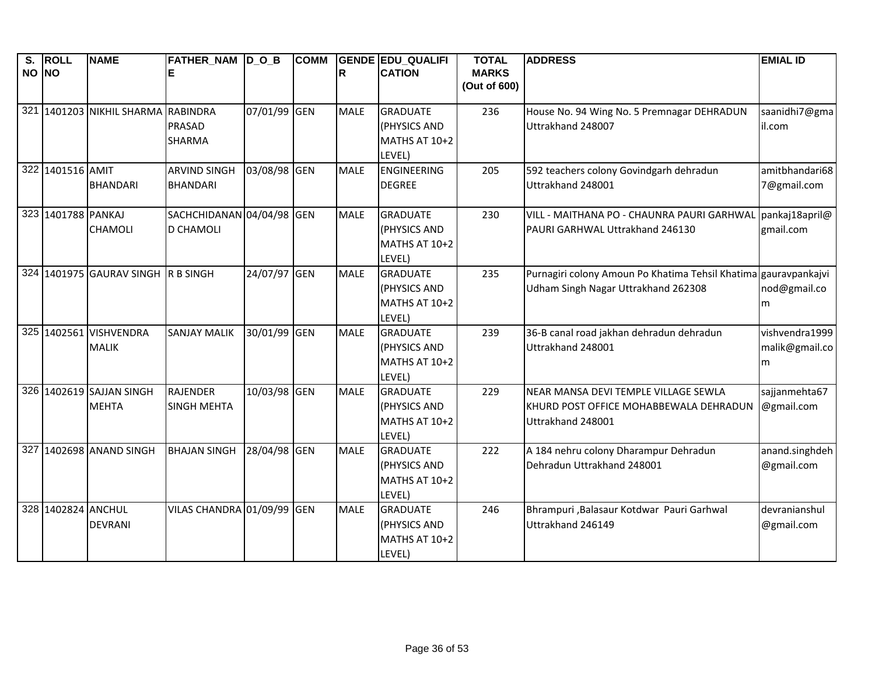| S.<br>NO NO | <b>ROLL</b>        | <b>NAME</b>                              | FATHER_NAM  D_O_B<br>Е                        |              | <b>COMM</b> | R           | <b>GENDE EDU QUALIFI</b><br><b>CATION</b>                  | <b>TOTAL</b><br><b>MARKS</b> | <b>ADDRESS</b>                                                                                         | <b>EMIAL ID</b>                       |
|-------------|--------------------|------------------------------------------|-----------------------------------------------|--------------|-------------|-------------|------------------------------------------------------------|------------------------------|--------------------------------------------------------------------------------------------------------|---------------------------------------|
|             |                    |                                          |                                               |              |             |             |                                                            | (Out of 600)                 |                                                                                                        |                                       |
|             |                    | 321 1401203 NIKHIL SHARMA RABINDRA       | <b>PRASAD</b><br><b>SHARMA</b>                | 07/01/99 GEN |             | <b>MALE</b> | <b>GRADUATE</b><br>(PHYSICS AND<br>MATHS AT 10+2<br>LEVEL) | 236                          | House No. 94 Wing No. 5 Premnagar DEHRADUN<br>Uttrakhand 248007                                        | saanidhi7@gma<br>il.com               |
|             | 322 1401516 AMIT   | <b>BHANDARI</b>                          | <b>ARVIND SINGH</b><br><b>BHANDARI</b>        | 03/08/98 GEN |             | <b>MALE</b> | <b>ENGINEERING</b><br><b>DEGREE</b>                        | 205                          | 592 teachers colony Govindgarh dehradun<br>Uttrakhand 248001                                           | amitbhandari68<br>7@gmail.com         |
|             | 323 1401788 PANKAJ | <b>CHAMOLI</b>                           | SACHCHIDANAN 04/04/98 GEN<br><b>D CHAMOLI</b> |              |             | <b>MALE</b> | <b>GRADUATE</b><br>(PHYSICS AND<br>MATHS AT 10+2<br>LEVEL) | 230                          | VILL - MAITHANA PO - CHAUNRA PAURI GARHWAL pankaj18april@<br>PAURI GARHWAL Uttrakhand 246130           | gmail.com                             |
|             |                    | 324 1401975 GAURAV SINGH R B SINGH       |                                               | 24/07/97 GEN |             | <b>MALE</b> | <b>GRADUATE</b><br>(PHYSICS AND<br>MATHS AT 10+2<br>LEVEL) | 235                          | Purnagiri colony Amoun Po Khatima Tehsil Khatima gauravpankajvi<br>Udham Singh Nagar Uttrakhand 262308 | nod@gmail.co<br>m                     |
|             |                    | 325 1402561 VISHVENDRA<br><b>MALIK</b>   | <b>SANJAY MALIK</b>                           | 30/01/99 GEN |             | <b>MALE</b> | <b>GRADUATE</b><br>(PHYSICS AND<br>MATHS AT 10+2<br>LEVEL) | 239                          | 36-B canal road jakhan dehradun dehradun<br>Uttrakhand 248001                                          | vishvendra1999<br>malik@gmail.co<br>m |
|             |                    | 326 1402619 SAJJAN SINGH<br><b>MEHTA</b> | RAJENDER<br><b>SINGH MEHTA</b>                | 10/03/98 GEN |             | <b>MALE</b> | <b>GRADUATE</b><br>(PHYSICS AND<br>MATHS AT 10+2<br>LEVEL) | 229                          | NEAR MANSA DEVI TEMPLE VILLAGE SEWLA<br>KHURD POST OFFICE MOHABBEWALA DEHRADUN<br>Uttrakhand 248001    | sajjanmehta67<br>@gmail.com           |
|             |                    | 327 1402698 ANAND SINGH                  | <b>BHAJAN SINGH</b>                           | 28/04/98 GEN |             | <b>MALE</b> | <b>GRADUATE</b><br>(PHYSICS AND<br>MATHS AT 10+2<br>LEVEL) | 222                          | A 184 nehru colony Dharampur Dehradun<br>Dehradun Uttrakhand 248001                                    | anand.singhdeh<br>@gmail.com          |
|             | 328 1402824 ANCHUL | <b>DEVRANI</b>                           | VILAS CHANDRA 01/09/99 GEN                    |              |             | <b>MALE</b> | <b>GRADUATE</b><br>(PHYSICS AND<br>MATHS AT 10+2<br>LEVEL) | 246                          | Bhrampuri, Balasaur Kotdwar Pauri Garhwal<br>Uttrakhand 246149                                         | devranianshul<br>@gmail.com           |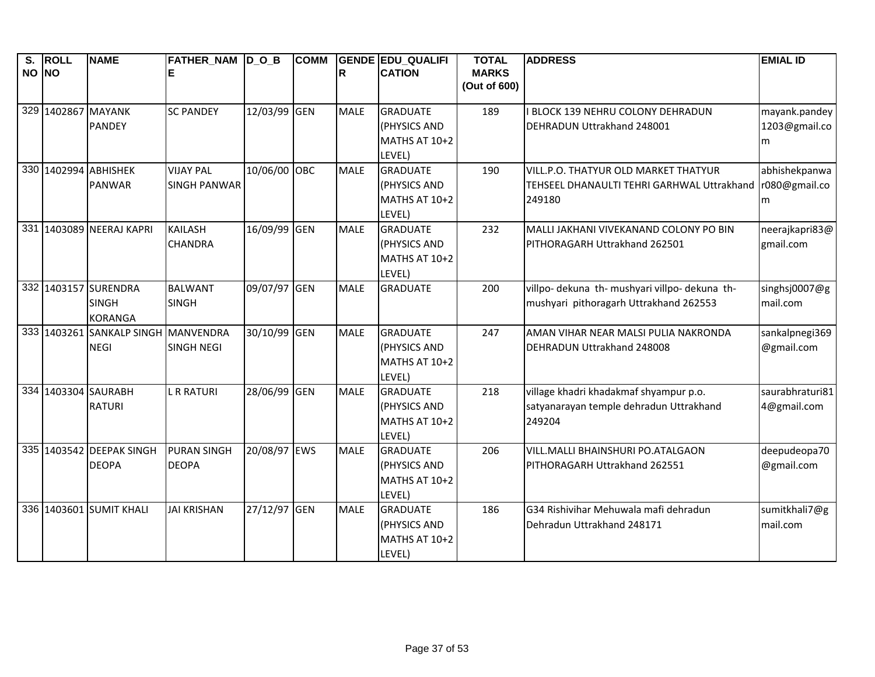| S.    | <b>ROLL</b> | <b>NAME</b>                                            | FATHER_NAM  D_O_B                       |              | <b>COMM</b> |             | <b>GENDE EDU QUALIFI</b>                                   | <b>TOTAL</b>                 | <b>ADDRESS</b>                                                                               | <b>EMIAL ID</b>                     |
|-------|-------------|--------------------------------------------------------|-----------------------------------------|--------------|-------------|-------------|------------------------------------------------------------|------------------------------|----------------------------------------------------------------------------------------------|-------------------------------------|
| NO NO |             |                                                        |                                         |              |             | R           | <b>CATION</b>                                              | <b>MARKS</b><br>(Out of 600) |                                                                                              |                                     |
|       |             | 329 1402867 MAYANK<br><b>PANDEY</b>                    | <b>SC PANDEY</b>                        | 12/03/99 GEN |             | <b>MALE</b> | <b>GRADUATE</b><br>(PHYSICS AND<br>MATHS AT 10+2<br>LEVEL) | 189                          | BLOCK 139 NEHRU COLONY DEHRADUN<br>DEHRADUN Uttrakhand 248001                                | mayank.pandey<br>1203@gmail.co<br>m |
|       |             | 330 1402994 ABHISHEK<br><b>PANWAR</b>                  | <b>VIJAY PAL</b><br><b>SINGH PANWAR</b> | 10/06/00 OBC |             | <b>MALE</b> | <b>GRADUATE</b><br>(PHYSICS AND<br>MATHS AT 10+2<br>LEVEL) | 190                          | VILL.P.O. THATYUR OLD MARKET THATYUR<br>TEHSEEL DHANAULTI TEHRI GARHWAL Uttrakhand<br>249180 | abhishekpanwa<br>r080@gmail.co<br>m |
|       |             | 331 1403089 NEERAJ KAPRI                               | <b>KAILASH</b><br><b>CHANDRA</b>        | 16/09/99 GEN |             | <b>MALE</b> | <b>GRADUATE</b><br>(PHYSICS AND<br>MATHS AT 10+2<br>LEVEL) | 232                          | MALLI JAKHANI VIVEKANAND COLONY PO BIN<br>PITHORAGARH Uttrakhand 262501                      | neerajkapri83@<br>gmail.com         |
|       |             | 332 1403157 SURENDRA<br><b>SINGH</b><br><b>KORANGA</b> | <b>BALWANT</b><br><b>SINGH</b>          | 09/07/97 GEN |             | <b>MALE</b> | <b>GRADUATE</b>                                            | 200                          | villpo- dekuna th- mushyari villpo- dekuna th-<br>mushyari pithoragarh Uttrakhand 262553     | singhsj0007@g<br>mail.com           |
|       |             | 333 1403261 SANKALP SINGH MANVENDRA<br><b>NEGI</b>     | <b>SINGH NEGI</b>                       | 30/10/99 GEN |             | <b>MALE</b> | <b>GRADUATE</b><br>(PHYSICS AND<br>MATHS AT 10+2<br>LEVEL) | 247                          | AMAN VIHAR NEAR MALSI PULIA NAKRONDA<br>DEHRADUN Uttrakhand 248008                           | sankalpnegi369<br>@gmail.com        |
|       |             | 334 1403304 SAURABH<br><b>RATURI</b>                   | <b>L R RATURI</b>                       | 28/06/99 GEN |             | <b>MALE</b> | <b>GRADUATE</b><br>(PHYSICS AND<br>MATHS AT 10+2<br>LEVEL) | 218                          | village khadri khadakmaf shyampur p.o.<br>satyanarayan temple dehradun Uttrakhand<br>249204  | saurabhraturi81<br>4@gmail.com      |
|       |             | 335 1403542 DEEPAK SINGH<br><b>DEOPA</b>               | <b>PURAN SINGH</b><br><b>DEOPA</b>      | 20/08/97 EWS |             | <b>MALE</b> | <b>GRADUATE</b><br>(PHYSICS AND<br>MATHS AT 10+2<br>LEVEL) | 206                          | VILL.MALLI BHAINSHURI PO.ATALGAON<br>PITHORAGARH Uttrakhand 262551                           | deepudeopa70<br>@gmail.com          |
|       |             | 336 1403601 SUMIT KHALI                                | <b>JAI KRISHAN</b>                      | 27/12/97 GEN |             | <b>MALE</b> | <b>GRADUATE</b><br>(PHYSICS AND<br>MATHS AT 10+2<br>LEVEL) | 186                          | G34 Rishivihar Mehuwala mafi dehradun<br>Dehradun Uttrakhand 248171                          | sumitkhali7@g<br>mail.com           |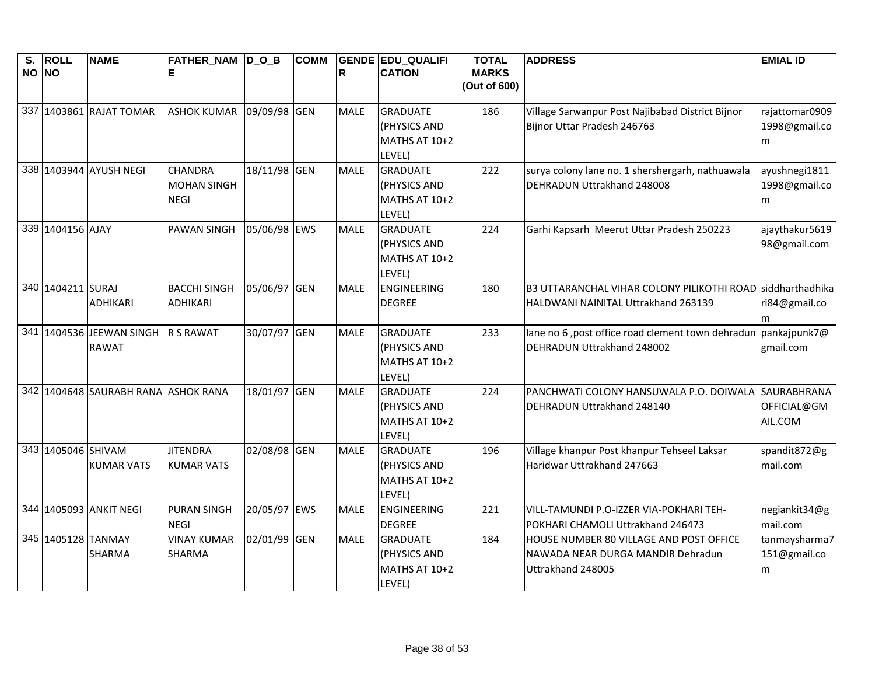| NO NO<br>R<br><b>CATION</b><br><b>MARKS</b><br>E<br>(Out of 600)<br>337 1403861 RAJAT TOMAR<br>09/09/98 GEN<br><b>ASHOK KUMAR</b><br><b>MALE</b><br><b>GRADUATE</b><br>186<br>Village Sarwanpur Post Najibabad District Bijnor<br>1998@gmail.co<br>(PHYSICS AND<br>Bijnor Uttar Pradesh 246763<br>MATHS AT 10+2<br>m<br>LEVEL)<br>338 1403944 AYUSH NEGI<br>18/11/98 GEN<br><b>CHANDRA</b><br><b>MALE</b><br><b>GRADUATE</b><br>222<br>surya colony lane no. 1 shershergarh, nathuawala<br>ayushnegi1811<br>1998@gmail.co<br><b>MOHAN SINGH</b><br>(PHYSICS AND<br>DEHRADUN Uttrakhand 248008<br><b>NEGI</b><br>MATHS AT 10+2<br>m<br>LEVEL)<br>339 1404156 AJAY<br><b>PAWAN SINGH</b><br>05/06/98 EWS<br><b>MALE</b><br>224<br>Garhi Kapsarh Meerut Uttar Pradesh 250223<br>ajaythakur5619<br><b>GRADUATE</b><br>(PHYSICS AND<br>98@gmail.com<br>MATHS AT 10+2<br>LEVEL)<br>340 1404211 SURAJ<br><b>BACCHI SINGH</b><br>05/06/97 GEN<br>B3 UTTARANCHAL VIHAR COLONY PILIKOTHI ROAD siddharthadhika<br><b>MALE</b><br><b>ENGINEERING</b><br>180<br><b>ADHIKARI</b><br><b>ADHIKARI</b><br><b>DEGREE</b><br>HALDWANI NAINITAL Uttrakhand 263139<br>ri84@gmail.co<br>m<br>341 1404536 JEEWAN SINGH<br>30/07/97 GEN<br>lane no 6, post office road clement town dehradun pankajpunk7@<br><b>R S RAWAT</b><br><b>MALE</b><br>GRADUATE<br>233<br><b>RAWAT</b><br>DEHRADUN Uttrakhand 248002<br>(PHYSICS AND<br>gmail.com<br>MATHS AT 10+2<br>LEVEL)<br>342 1404648 SAURABH RANA ASHOK RANA<br>18/01/97 GEN<br><b>MALE</b><br>224<br><b>GRADUATE</b><br>PANCHWATI COLONY HANSUWALA P.O. DOIWALA<br>(PHYSICS AND<br>DEHRADUN Uttrakhand 248140<br>OFFICIAL@GM<br>AIL.COM<br><b>MATHS AT 10+2</b><br>LEVEL)<br>343 1405046 SHIVAM<br><b>JITENDRA</b><br>02/08/98 GEN<br><b>MALE</b><br><b>GRADUATE</b><br>196<br>Village khanpur Post khanpur Tehseel Laksar<br>spandit872@g<br>Haridwar Uttrakhand 247663<br>mail.com<br><b>KUMAR VATS</b><br><b>KUMAR VATS</b><br>(PHYSICS AND<br>MATHS AT 10+2<br>LEVEL)<br>344 1405093 ANKIT NEGI<br><b>PURAN SINGH</b><br>20/05/97 EWS<br><b>MALE</b><br>221<br><b>ENGINEERING</b><br>VILL-TAMUNDI P.O-IZZER VIA-POKHARI TEH-<br>negiankit34@g<br>mail.com<br><b>NEGI</b><br><b>DEGREE</b><br>POKHARI CHAMOLI Uttrakhand 246473<br>345 1405128 TANMAY<br>02/01/99 GEN | $\overline{\mathsf{s}}$ . | <b>ROLL</b> | <b>NAME</b> | FATHER_NAM D_O_B   | <b>COMM</b> |             | <b>GENDE EDU QUALIFI</b> | <b>TOTAL</b> | <b>ADDRESS</b>                          | <b>EMIAL ID</b> |
|---------------------------------------------------------------------------------------------------------------------------------------------------------------------------------------------------------------------------------------------------------------------------------------------------------------------------------------------------------------------------------------------------------------------------------------------------------------------------------------------------------------------------------------------------------------------------------------------------------------------------------------------------------------------------------------------------------------------------------------------------------------------------------------------------------------------------------------------------------------------------------------------------------------------------------------------------------------------------------------------------------------------------------------------------------------------------------------------------------------------------------------------------------------------------------------------------------------------------------------------------------------------------------------------------------------------------------------------------------------------------------------------------------------------------------------------------------------------------------------------------------------------------------------------------------------------------------------------------------------------------------------------------------------------------------------------------------------------------------------------------------------------------------------------------------------------------------------------------------------------------------------------------------------------------------------------------------------------------------------------------------------------------------------------------------------------------------------------------------------------------------------------------------------------------------------------------------------------------------------------------------------------------------------------------|---------------------------|-------------|-------------|--------------------|-------------|-------------|--------------------------|--------------|-----------------------------------------|-----------------|
|                                                                                                                                                                                                                                                                                                                                                                                                                                                                                                                                                                                                                                                                                                                                                                                                                                                                                                                                                                                                                                                                                                                                                                                                                                                                                                                                                                                                                                                                                                                                                                                                                                                                                                                                                                                                                                                                                                                                                                                                                                                                                                                                                                                                                                                                                                   |                           |             |             |                    |             |             |                          |              |                                         |                 |
|                                                                                                                                                                                                                                                                                                                                                                                                                                                                                                                                                                                                                                                                                                                                                                                                                                                                                                                                                                                                                                                                                                                                                                                                                                                                                                                                                                                                                                                                                                                                                                                                                                                                                                                                                                                                                                                                                                                                                                                                                                                                                                                                                                                                                                                                                                   |                           |             |             |                    |             |             |                          |              |                                         |                 |
|                                                                                                                                                                                                                                                                                                                                                                                                                                                                                                                                                                                                                                                                                                                                                                                                                                                                                                                                                                                                                                                                                                                                                                                                                                                                                                                                                                                                                                                                                                                                                                                                                                                                                                                                                                                                                                                                                                                                                                                                                                                                                                                                                                                                                                                                                                   |                           |             |             |                    |             |             |                          |              |                                         | rajattomar0909  |
|                                                                                                                                                                                                                                                                                                                                                                                                                                                                                                                                                                                                                                                                                                                                                                                                                                                                                                                                                                                                                                                                                                                                                                                                                                                                                                                                                                                                                                                                                                                                                                                                                                                                                                                                                                                                                                                                                                                                                                                                                                                                                                                                                                                                                                                                                                   |                           |             |             |                    |             |             |                          |              |                                         |                 |
|                                                                                                                                                                                                                                                                                                                                                                                                                                                                                                                                                                                                                                                                                                                                                                                                                                                                                                                                                                                                                                                                                                                                                                                                                                                                                                                                                                                                                                                                                                                                                                                                                                                                                                                                                                                                                                                                                                                                                                                                                                                                                                                                                                                                                                                                                                   |                           |             |             |                    |             |             |                          |              |                                         |                 |
|                                                                                                                                                                                                                                                                                                                                                                                                                                                                                                                                                                                                                                                                                                                                                                                                                                                                                                                                                                                                                                                                                                                                                                                                                                                                                                                                                                                                                                                                                                                                                                                                                                                                                                                                                                                                                                                                                                                                                                                                                                                                                                                                                                                                                                                                                                   |                           |             |             |                    |             |             |                          |              |                                         |                 |
|                                                                                                                                                                                                                                                                                                                                                                                                                                                                                                                                                                                                                                                                                                                                                                                                                                                                                                                                                                                                                                                                                                                                                                                                                                                                                                                                                                                                                                                                                                                                                                                                                                                                                                                                                                                                                                                                                                                                                                                                                                                                                                                                                                                                                                                                                                   |                           |             |             |                    |             |             |                          |              |                                         |                 |
|                                                                                                                                                                                                                                                                                                                                                                                                                                                                                                                                                                                                                                                                                                                                                                                                                                                                                                                                                                                                                                                                                                                                                                                                                                                                                                                                                                                                                                                                                                                                                                                                                                                                                                                                                                                                                                                                                                                                                                                                                                                                                                                                                                                                                                                                                                   |                           |             |             |                    |             |             |                          |              |                                         |                 |
|                                                                                                                                                                                                                                                                                                                                                                                                                                                                                                                                                                                                                                                                                                                                                                                                                                                                                                                                                                                                                                                                                                                                                                                                                                                                                                                                                                                                                                                                                                                                                                                                                                                                                                                                                                                                                                                                                                                                                                                                                                                                                                                                                                                                                                                                                                   |                           |             |             |                    |             |             |                          |              |                                         |                 |
|                                                                                                                                                                                                                                                                                                                                                                                                                                                                                                                                                                                                                                                                                                                                                                                                                                                                                                                                                                                                                                                                                                                                                                                                                                                                                                                                                                                                                                                                                                                                                                                                                                                                                                                                                                                                                                                                                                                                                                                                                                                                                                                                                                                                                                                                                                   |                           |             |             |                    |             |             |                          |              |                                         |                 |
|                                                                                                                                                                                                                                                                                                                                                                                                                                                                                                                                                                                                                                                                                                                                                                                                                                                                                                                                                                                                                                                                                                                                                                                                                                                                                                                                                                                                                                                                                                                                                                                                                                                                                                                                                                                                                                                                                                                                                                                                                                                                                                                                                                                                                                                                                                   |                           |             |             |                    |             |             |                          |              |                                         |                 |
|                                                                                                                                                                                                                                                                                                                                                                                                                                                                                                                                                                                                                                                                                                                                                                                                                                                                                                                                                                                                                                                                                                                                                                                                                                                                                                                                                                                                                                                                                                                                                                                                                                                                                                                                                                                                                                                                                                                                                                                                                                                                                                                                                                                                                                                                                                   |                           |             |             |                    |             |             |                          |              |                                         |                 |
|                                                                                                                                                                                                                                                                                                                                                                                                                                                                                                                                                                                                                                                                                                                                                                                                                                                                                                                                                                                                                                                                                                                                                                                                                                                                                                                                                                                                                                                                                                                                                                                                                                                                                                                                                                                                                                                                                                                                                                                                                                                                                                                                                                                                                                                                                                   |                           |             |             |                    |             |             |                          |              |                                         |                 |
|                                                                                                                                                                                                                                                                                                                                                                                                                                                                                                                                                                                                                                                                                                                                                                                                                                                                                                                                                                                                                                                                                                                                                                                                                                                                                                                                                                                                                                                                                                                                                                                                                                                                                                                                                                                                                                                                                                                                                                                                                                                                                                                                                                                                                                                                                                   |                           |             |             |                    |             |             |                          |              |                                         |                 |
|                                                                                                                                                                                                                                                                                                                                                                                                                                                                                                                                                                                                                                                                                                                                                                                                                                                                                                                                                                                                                                                                                                                                                                                                                                                                                                                                                                                                                                                                                                                                                                                                                                                                                                                                                                                                                                                                                                                                                                                                                                                                                                                                                                                                                                                                                                   |                           |             |             |                    |             |             |                          |              |                                         |                 |
|                                                                                                                                                                                                                                                                                                                                                                                                                                                                                                                                                                                                                                                                                                                                                                                                                                                                                                                                                                                                                                                                                                                                                                                                                                                                                                                                                                                                                                                                                                                                                                                                                                                                                                                                                                                                                                                                                                                                                                                                                                                                                                                                                                                                                                                                                                   |                           |             |             |                    |             |             |                          |              |                                         |                 |
|                                                                                                                                                                                                                                                                                                                                                                                                                                                                                                                                                                                                                                                                                                                                                                                                                                                                                                                                                                                                                                                                                                                                                                                                                                                                                                                                                                                                                                                                                                                                                                                                                                                                                                                                                                                                                                                                                                                                                                                                                                                                                                                                                                                                                                                                                                   |                           |             |             |                    |             |             |                          |              |                                         |                 |
|                                                                                                                                                                                                                                                                                                                                                                                                                                                                                                                                                                                                                                                                                                                                                                                                                                                                                                                                                                                                                                                                                                                                                                                                                                                                                                                                                                                                                                                                                                                                                                                                                                                                                                                                                                                                                                                                                                                                                                                                                                                                                                                                                                                                                                                                                                   |                           |             |             |                    |             |             |                          |              |                                         |                 |
|                                                                                                                                                                                                                                                                                                                                                                                                                                                                                                                                                                                                                                                                                                                                                                                                                                                                                                                                                                                                                                                                                                                                                                                                                                                                                                                                                                                                                                                                                                                                                                                                                                                                                                                                                                                                                                                                                                                                                                                                                                                                                                                                                                                                                                                                                                   |                           |             |             |                    |             |             |                          |              |                                         |                 |
|                                                                                                                                                                                                                                                                                                                                                                                                                                                                                                                                                                                                                                                                                                                                                                                                                                                                                                                                                                                                                                                                                                                                                                                                                                                                                                                                                                                                                                                                                                                                                                                                                                                                                                                                                                                                                                                                                                                                                                                                                                                                                                                                                                                                                                                                                                   |                           |             |             |                    |             |             |                          |              |                                         |                 |
|                                                                                                                                                                                                                                                                                                                                                                                                                                                                                                                                                                                                                                                                                                                                                                                                                                                                                                                                                                                                                                                                                                                                                                                                                                                                                                                                                                                                                                                                                                                                                                                                                                                                                                                                                                                                                                                                                                                                                                                                                                                                                                                                                                                                                                                                                                   |                           |             |             |                    |             |             |                          |              |                                         | SAURABHRANA     |
|                                                                                                                                                                                                                                                                                                                                                                                                                                                                                                                                                                                                                                                                                                                                                                                                                                                                                                                                                                                                                                                                                                                                                                                                                                                                                                                                                                                                                                                                                                                                                                                                                                                                                                                                                                                                                                                                                                                                                                                                                                                                                                                                                                                                                                                                                                   |                           |             |             |                    |             |             |                          |              |                                         |                 |
|                                                                                                                                                                                                                                                                                                                                                                                                                                                                                                                                                                                                                                                                                                                                                                                                                                                                                                                                                                                                                                                                                                                                                                                                                                                                                                                                                                                                                                                                                                                                                                                                                                                                                                                                                                                                                                                                                                                                                                                                                                                                                                                                                                                                                                                                                                   |                           |             |             |                    |             |             |                          |              |                                         |                 |
|                                                                                                                                                                                                                                                                                                                                                                                                                                                                                                                                                                                                                                                                                                                                                                                                                                                                                                                                                                                                                                                                                                                                                                                                                                                                                                                                                                                                                                                                                                                                                                                                                                                                                                                                                                                                                                                                                                                                                                                                                                                                                                                                                                                                                                                                                                   |                           |             |             |                    |             |             |                          |              |                                         |                 |
|                                                                                                                                                                                                                                                                                                                                                                                                                                                                                                                                                                                                                                                                                                                                                                                                                                                                                                                                                                                                                                                                                                                                                                                                                                                                                                                                                                                                                                                                                                                                                                                                                                                                                                                                                                                                                                                                                                                                                                                                                                                                                                                                                                                                                                                                                                   |                           |             |             |                    |             |             |                          |              |                                         |                 |
|                                                                                                                                                                                                                                                                                                                                                                                                                                                                                                                                                                                                                                                                                                                                                                                                                                                                                                                                                                                                                                                                                                                                                                                                                                                                                                                                                                                                                                                                                                                                                                                                                                                                                                                                                                                                                                                                                                                                                                                                                                                                                                                                                                                                                                                                                                   |                           |             |             |                    |             |             |                          |              |                                         |                 |
|                                                                                                                                                                                                                                                                                                                                                                                                                                                                                                                                                                                                                                                                                                                                                                                                                                                                                                                                                                                                                                                                                                                                                                                                                                                                                                                                                                                                                                                                                                                                                                                                                                                                                                                                                                                                                                                                                                                                                                                                                                                                                                                                                                                                                                                                                                   |                           |             |             |                    |             |             |                          |              |                                         |                 |
|                                                                                                                                                                                                                                                                                                                                                                                                                                                                                                                                                                                                                                                                                                                                                                                                                                                                                                                                                                                                                                                                                                                                                                                                                                                                                                                                                                                                                                                                                                                                                                                                                                                                                                                                                                                                                                                                                                                                                                                                                                                                                                                                                                                                                                                                                                   |                           |             |             |                    |             |             |                          |              |                                         |                 |
|                                                                                                                                                                                                                                                                                                                                                                                                                                                                                                                                                                                                                                                                                                                                                                                                                                                                                                                                                                                                                                                                                                                                                                                                                                                                                                                                                                                                                                                                                                                                                                                                                                                                                                                                                                                                                                                                                                                                                                                                                                                                                                                                                                                                                                                                                                   |                           |             |             |                    |             |             |                          |              |                                         |                 |
|                                                                                                                                                                                                                                                                                                                                                                                                                                                                                                                                                                                                                                                                                                                                                                                                                                                                                                                                                                                                                                                                                                                                                                                                                                                                                                                                                                                                                                                                                                                                                                                                                                                                                                                                                                                                                                                                                                                                                                                                                                                                                                                                                                                                                                                                                                   |                           |             |             | <b>VINAY KUMAR</b> |             | <b>MALE</b> | <b>GRADUATE</b>          | 184          | HOUSE NUMBER 80 VILLAGE AND POST OFFICE | tanmaysharma7   |
| <b>SHARMA</b><br>(PHYSICS AND<br>151@gmail.co<br><b>SHARMA</b><br>NAWADA NEAR DURGA MANDIR Dehradun                                                                                                                                                                                                                                                                                                                                                                                                                                                                                                                                                                                                                                                                                                                                                                                                                                                                                                                                                                                                                                                                                                                                                                                                                                                                                                                                                                                                                                                                                                                                                                                                                                                                                                                                                                                                                                                                                                                                                                                                                                                                                                                                                                                               |                           |             |             |                    |             |             |                          |              |                                         |                 |
| MATHS AT 10+2<br>Uttrakhand 248005<br>m                                                                                                                                                                                                                                                                                                                                                                                                                                                                                                                                                                                                                                                                                                                                                                                                                                                                                                                                                                                                                                                                                                                                                                                                                                                                                                                                                                                                                                                                                                                                                                                                                                                                                                                                                                                                                                                                                                                                                                                                                                                                                                                                                                                                                                                           |                           |             |             |                    |             |             |                          |              |                                         |                 |
| LEVEL)                                                                                                                                                                                                                                                                                                                                                                                                                                                                                                                                                                                                                                                                                                                                                                                                                                                                                                                                                                                                                                                                                                                                                                                                                                                                                                                                                                                                                                                                                                                                                                                                                                                                                                                                                                                                                                                                                                                                                                                                                                                                                                                                                                                                                                                                                            |                           |             |             |                    |             |             |                          |              |                                         |                 |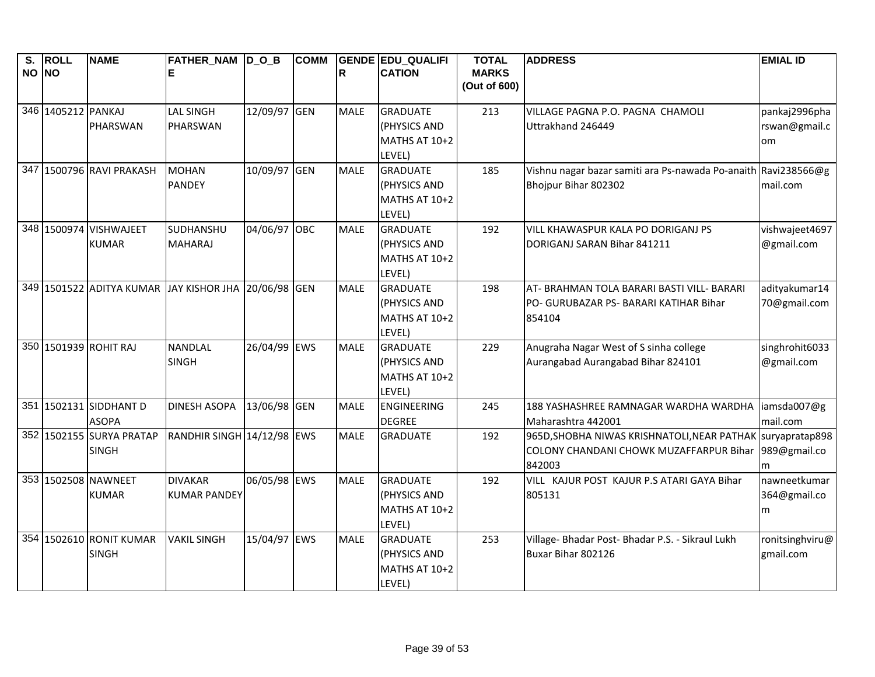| $\overline{\mathsf{s}}$ .<br>NO NO | <b>ROLL</b>        | <b>NAME</b>                             | FATHER_NAM D_O_B<br>E        |              | <b>COMM</b> | R           | <b>GENDE EDU QUALIFI</b><br><b>CATION</b> | <b>TOTAL</b><br><b>MARKS</b><br>(Out of 600) | <b>ADDRESS</b>                                                                       | <b>EMIAL ID</b>                |
|------------------------------------|--------------------|-----------------------------------------|------------------------------|--------------|-------------|-------------|-------------------------------------------|----------------------------------------------|--------------------------------------------------------------------------------------|--------------------------------|
|                                    |                    |                                         |                              |              |             | <b>MALE</b> |                                           |                                              |                                                                                      |                                |
|                                    | 346 1405212 PANKAJ | PHARSWAN                                | <b>LAL SINGH</b><br>PHARSWAN | 12/09/97 GEN |             |             | <b>GRADUATE</b><br>(PHYSICS AND           | 213                                          | VILLAGE PAGNA P.O. PAGNA CHAMOLI<br>Uttrakhand 246449                                | pankaj2996pha<br>rswan@gmail.c |
|                                    |                    |                                         |                              |              |             |             | MATHS AT 10+2                             |                                              |                                                                                      | om                             |
|                                    |                    |                                         |                              |              |             |             | LEVEL)                                    |                                              |                                                                                      |                                |
| 347                                |                    | 1500796 RAVI PRAKASH                    | <b>MOHAN</b>                 | 10/09/97 GEN |             | <b>MALE</b> | <b>GRADUATE</b>                           | 185                                          | Vishnu nagar bazar samiti ara Ps-nawada Po-anaith Ravi238566@g                       |                                |
|                                    |                    |                                         | <b>PANDEY</b>                |              |             |             | (PHYSICS AND                              |                                              | Bhojpur Bihar 802302                                                                 | mail.com                       |
|                                    |                    |                                         |                              |              |             |             | MATHS AT 10+2<br>LEVEL)                   |                                              |                                                                                      |                                |
|                                    |                    | 348 1500974 VISHWAJEET                  | SUDHANSHU                    | 04/06/97 OBC |             | <b>MALE</b> | <b>GRADUATE</b>                           | 192                                          | VILL KHAWASPUR KALA PO DORIGANJ PS                                                   | vishwajeet4697                 |
|                                    |                    | <b>KUMAR</b>                            | <b>MAHARAJ</b>               |              |             |             | (PHYSICS AND                              |                                              | DORIGANJ SARAN Bihar 841211                                                          | @gmail.com                     |
|                                    |                    |                                         |                              |              |             |             | <b>MATHS AT 10+2</b>                      |                                              |                                                                                      |                                |
|                                    |                    |                                         |                              |              |             |             | LEVEL)                                    |                                              |                                                                                      |                                |
|                                    |                    | 349 1501522 ADITYA KUMAR JAY KISHOR JHA |                              | 20/06/98 GEN |             | <b>MALE</b> | <b>GRADUATE</b><br>(PHYSICS AND           | 198                                          | AT- BRAHMAN TOLA BARARI BASTI VILL- BARARI<br>PO- GURUBAZAR PS- BARARI KATIHAR Bihar | adityakumar14<br>70@gmail.com  |
|                                    |                    |                                         |                              |              |             |             | MATHS AT 10+2                             |                                              | 854104                                                                               |                                |
|                                    |                    |                                         |                              |              |             |             | LEVEL)                                    |                                              |                                                                                      |                                |
|                                    |                    | 350 1501939 ROHIT RAJ                   | <b>NANDLAL</b>               | 26/04/99 EWS |             | <b>MALE</b> | <b>GRADUATE</b>                           | 229                                          | Anugraha Nagar West of S sinha college                                               | singhrohit6033                 |
|                                    |                    |                                         | <b>SINGH</b>                 |              |             |             | (PHYSICS AND                              |                                              | Aurangabad Aurangabad Bihar 824101                                                   | @gmail.com                     |
|                                    |                    |                                         |                              |              |             |             | MATHS AT 10+2<br>LEVEL)                   |                                              |                                                                                      |                                |
|                                    |                    | 351 1502131 SIDDHANT D                  | <b>DINESH ASOPA</b>          | 13/06/98 GEN |             | <b>MALE</b> | <b>ENGINEERING</b>                        | 245                                          | 188 YASHASHREE RAMNAGAR WARDHA WARDHA                                                | iamsda007@g                    |
|                                    |                    | <b>ASOPA</b>                            |                              |              |             |             | <b>DEGREE</b>                             |                                              | Maharashtra 442001                                                                   | mail.com                       |
|                                    |                    | 352 1502155 SURYA PRATAP                | RANDHIR SINGH 14/12/98 EWS   |              |             | <b>MALE</b> | <b>GRADUATE</b>                           | 192                                          | 965D, SHOBHA NIWAS KRISHNATOLI, NEAR PATHAK                                          | suryapratap898                 |
|                                    |                    | <b>SINGH</b>                            |                              |              |             |             |                                           |                                              | COLONY CHANDANI CHOWK MUZAFFARPUR Bihar                                              | 989@gmail.co                   |
|                                    |                    | 353 1502508 NAWNEET                     | <b>DIVAKAR</b>               | 06/05/98 EWS |             | <b>MALE</b> | <b>GRADUATE</b>                           | 192                                          | 842003<br>VILL KAJUR POST KAJUR P.S ATARI GAYA Bihar                                 | m<br>nawneetkumar              |
|                                    |                    | <b>KUMAR</b>                            | <b>KUMAR PANDEY</b>          |              |             |             | (PHYSICS AND                              |                                              | 805131                                                                               | 364@gmail.co                   |
|                                    |                    |                                         |                              |              |             |             | MATHS AT 10+2                             |                                              |                                                                                      | m                              |
|                                    |                    |                                         |                              |              |             |             | LEVEL)                                    |                                              |                                                                                      |                                |
|                                    |                    | 354 1502610 RONIT KUMAR                 | <b>VAKIL SINGH</b>           | 15/04/97 EWS |             | <b>MALE</b> | <b>GRADUATE</b>                           | 253                                          | Village- Bhadar Post- Bhadar P.S. - Sikraul Lukh                                     | ronitsinghviru@                |
|                                    |                    | <b>SINGH</b>                            |                              |              |             |             | (PHYSICS AND                              |                                              | Buxar Bihar 802126                                                                   | gmail.com                      |
|                                    |                    |                                         |                              |              |             |             | MATHS AT 10+2                             |                                              |                                                                                      |                                |
|                                    |                    |                                         |                              |              |             |             | LEVEL)                                    |                                              |                                                                                      |                                |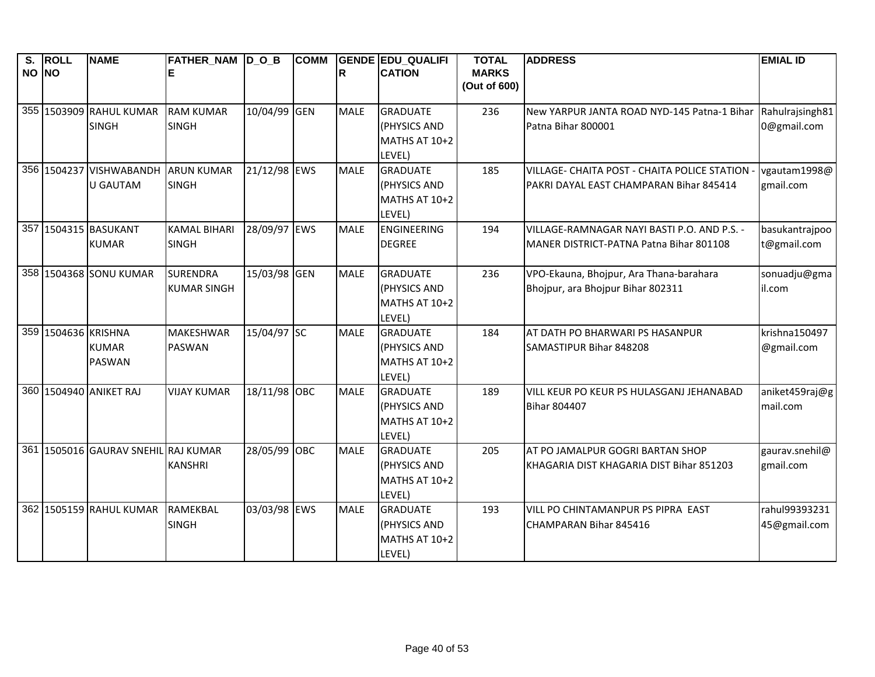| S.    | ROLL                | <b>NAME</b>                                | FATHER NAM  D O B                     |              | <b>COMM</b> |             | <b>GENDE EDU QUALIFI</b>                                   | <b>TOTAL</b>                 | <b>ADDRESS</b>                                                                            | <b>EMIAL ID</b>                |
|-------|---------------------|--------------------------------------------|---------------------------------------|--------------|-------------|-------------|------------------------------------------------------------|------------------------------|-------------------------------------------------------------------------------------------|--------------------------------|
| NO NO |                     |                                            |                                       |              |             | R           | <b>CATION</b>                                              | <b>MARKS</b><br>(Out of 600) |                                                                                           |                                |
|       |                     | 355 1503909 RAHUL KUMAR<br><b>SINGH</b>    | <b>RAM KUMAR</b><br><b>SINGH</b>      | 10/04/99 GEN |             | <b>MALE</b> | <b>GRADUATE</b><br>(PHYSICS AND<br>MATHS AT 10+2<br>LEVEL) | 236                          | New YARPUR JANTA ROAD NYD-145 Patna-1 Bihar<br>Patna Bihar 800001                         | Rahulrajsingh81<br>0@gmail.com |
|       |                     | 356 1504237 VISHWABANDH<br><b>U GAUTAM</b> | <b>ARUN KUMAR</b><br><b>SINGH</b>     | 21/12/98 EWS |             | <b>MALE</b> | <b>GRADUATE</b><br>(PHYSICS AND<br>MATHS AT 10+2<br>LEVEL) | 185                          | VILLAGE- CHAITA POST - CHAITA POLICE STATION -<br>PAKRI DAYAL EAST CHAMPARAN Bihar 845414 | vgautam1998@<br>gmail.com      |
|       |                     | 357 1504315 BASUKANT<br><b>KUMAR</b>       | <b>KAMAL BIHARI</b><br><b>SINGH</b>   | 28/09/97 EWS |             | <b>MALE</b> | <b>ENGINEERING</b><br><b>DEGREE</b>                        | 194                          | VILLAGE-RAMNAGAR NAYI BASTI P.O. AND P.S. -<br>MANER DISTRICT-PATNA Patna Bihar 801108    | basukantrajpoo<br>t@gmail.com  |
|       |                     | 358 1504368 SONU KUMAR                     | <b>SURENDRA</b><br><b>KUMAR SINGH</b> | 15/03/98 GEN |             | <b>MALE</b> | <b>GRADUATE</b><br>(PHYSICS AND<br>MATHS AT 10+2<br>LEVEL) | 236                          | VPO-Ekauna, Bhojpur, Ara Thana-barahara<br>Bhojpur, ara Bhojpur Bihar 802311              | sonuadju@gma<br>il.com         |
|       | 359 1504636 KRISHNA | <b>KUMAR</b><br><b>PASWAN</b>              | <b>MAKESHWAR</b><br><b>PASWAN</b>     | 15/04/97 SC  |             | <b>MALE</b> | <b>GRADUATE</b><br>(PHYSICS AND<br>MATHS AT 10+2<br>LEVEL) | 184                          | AT DATH PO BHARWARI PS HASANPUR<br>SAMASTIPUR Bihar 848208                                | krishna150497<br>@gmail.com    |
|       |                     | 360 1504940 ANIKET RAJ                     | <b>VIJAY KUMAR</b>                    | 18/11/98 OBC |             | <b>MALE</b> | <b>GRADUATE</b><br>(PHYSICS AND<br>MATHS AT 10+2<br>LEVEL) | 189                          | VILL KEUR PO KEUR PS HULASGANJ JEHANABAD<br><b>Bihar 804407</b>                           | aniket459raj@g<br>mail.com     |
|       |                     | 361 1505016 GAURAV SNEHIL RAJ KUMAR        | <b>KANSHRI</b>                        | 28/05/99 OBC |             | <b>MALE</b> | <b>GRADUATE</b><br>(PHYSICS AND<br>MATHS AT 10+2<br>LEVEL) | 205                          | AT PO JAMALPUR GOGRI BARTAN SHOP<br>KHAGARIA DIST KHAGARIA DIST Bihar 851203              | gaurav.snehil@<br>gmail.com    |
|       |                     | 362 1505159 RAHUL KUMAR                    | RAMEKBAL<br><b>SINGH</b>              | 03/03/98 EWS |             | <b>MALE</b> | <b>GRADUATE</b><br>(PHYSICS AND<br>MATHS AT 10+2<br>LEVEL) | 193                          | VILL PO CHINTAMANPUR PS PIPRA EAST<br>CHAMPARAN Bihar 845416                              | rahul99393231<br>45@gmail.com  |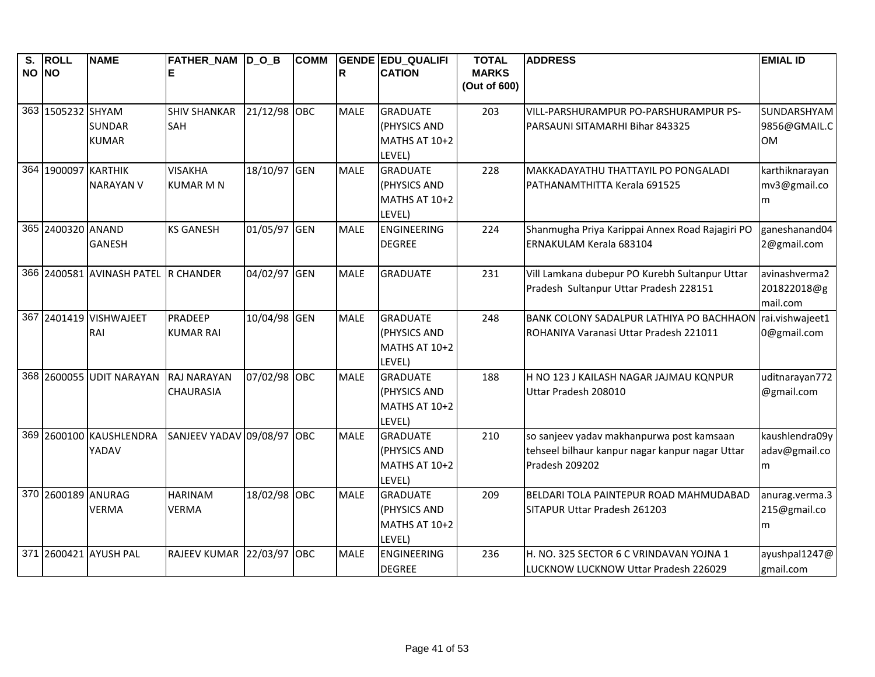| $\overline{\mathbf{s}}$ .<br>NO NO | <b>ROLL</b>         | <b>NAME</b>                         | FATHER_NAM D_O_B<br>Е      |              | <b>COMM</b> | R           | <b>GENDE EDU QUALIFI</b><br><b>CATION</b> | <b>TOTAL</b><br><b>MARKS</b> | <b>ADDRESS</b>                                  | <b>EMIAL ID</b> |
|------------------------------------|---------------------|-------------------------------------|----------------------------|--------------|-------------|-------------|-------------------------------------------|------------------------------|-------------------------------------------------|-----------------|
|                                    |                     |                                     |                            |              |             |             |                                           | (Out of 600)                 |                                                 |                 |
|                                    | 363 1505232 SHYAM   |                                     | <b>SHIV SHANKAR</b>        | 21/12/98 OBC |             | <b>MALE</b> | <b>GRADUATE</b>                           | 203                          | VILL-PARSHURAMPUR PO-PARSHURAMPUR PS-           | SUNDARSHYAM     |
|                                    |                     | <b>SUNDAR</b>                       | SAH                        |              |             |             | (PHYSICS AND                              |                              | PARSAUNI SITAMARHI Bihar 843325                 | 9856@GMAIL.C    |
|                                    |                     | <b>KUMAR</b>                        |                            |              |             |             | MATHS AT 10+2                             |                              |                                                 | 0M              |
|                                    |                     |                                     |                            |              |             |             | LEVEL)                                    |                              |                                                 |                 |
|                                    | 364 1900097 KARTHIK |                                     | <b>VISAKHA</b>             | 18/10/97 GEN |             | <b>MALE</b> | <b>GRADUATE</b>                           | 228                          | MAKKADAYATHU THATTAYIL PO PONGALADI             | karthiknarayan  |
|                                    |                     | <b>NARAYAN V</b>                    | <b>KUMAR M N</b>           |              |             |             | (PHYSICS AND                              |                              | PATHANAMTHITTA Kerala 691525                    | mv3@gmail.co    |
|                                    |                     |                                     |                            |              |             |             | MATHS AT 10+2                             |                              |                                                 | m               |
|                                    |                     |                                     |                            |              |             |             | LEVEL)                                    |                              |                                                 |                 |
|                                    | 365 2400320 ANAND   |                                     | <b>KS GANESH</b>           | 01/05/97 GEN |             | <b>MALE</b> | <b>ENGINEERING</b>                        | 224                          | Shanmugha Priya Karippai Annex Road Rajagiri PO | ganeshanand04   |
|                                    |                     | <b>GANESH</b>                       |                            |              |             |             | <b>DEGREE</b>                             |                              | ERNAKULAM Kerala 683104                         | 2@gmail.com     |
|                                    |                     | 366 2400581 AVINASH PATEL R CHANDER |                            | 04/02/97 GEN |             | <b>MALE</b> | <b>GRADUATE</b>                           | 231                          | Vill Lamkana dubepur PO Kurebh Sultanpur Uttar  | avinashverma2   |
|                                    |                     |                                     |                            |              |             |             |                                           |                              | Pradesh Sultanpur Uttar Pradesh 228151          | 201822018@g     |
|                                    |                     |                                     |                            |              |             |             |                                           |                              |                                                 | mail.com        |
|                                    |                     | 367 2401419 VISHWAJEET              | PRADEEP                    | 10/04/98 GEN |             | <b>MALE</b> | <b>GRADUATE</b>                           | 248                          | BANK COLONY SADALPUR LATHIYA PO BACHHAON        | rai.vishwajeet1 |
|                                    |                     | RAI                                 | <b>KUMAR RAI</b>           |              |             |             | (PHYSICS AND                              |                              | ROHANIYA Varanasi Uttar Pradesh 221011          | 0@gmail.com     |
|                                    |                     |                                     |                            |              |             |             | MATHS AT 10+2                             |                              |                                                 |                 |
|                                    |                     |                                     |                            |              |             |             | LEVEL)                                    |                              |                                                 |                 |
|                                    |                     | 368 2600055 UDIT NARAYAN            | <b>RAJ NARAYAN</b>         | 07/02/98 OBC |             | <b>MALE</b> | <b>GRADUATE</b>                           | 188                          | H NO 123 J KAILASH NAGAR JAJMAU KONPUR          | uditnarayan772  |
|                                    |                     |                                     | <b>CHAURASIA</b>           |              |             |             | (PHYSICS AND<br>MATHS AT 10+2             |                              | Uttar Pradesh 208010                            | @gmail.com      |
|                                    |                     |                                     |                            |              |             |             | LEVEL)                                    |                              |                                                 |                 |
|                                    |                     | 369 2600100 KAUSHLENDRA             | SANJEEV YADAV 09/08/97 OBC |              |             | <b>MALE</b> | <b>GRADUATE</b>                           | 210                          | so sanjeev yadav makhanpurwa post kamsaan       | kaushlendra09y  |
|                                    |                     | YADAV                               |                            |              |             |             | (PHYSICS AND                              |                              | tehseel bilhaur kanpur nagar kanpur nagar Uttar | adav@gmail.co   |
|                                    |                     |                                     |                            |              |             |             | MATHS AT 10+2                             |                              | Pradesh 209202                                  | m               |
|                                    |                     |                                     |                            |              |             |             | LEVEL)                                    |                              |                                                 |                 |
|                                    | 370 2600189 ANURAG  |                                     | <b>HARINAM</b>             | 18/02/98 OBC |             | <b>MALE</b> | <b>GRADUATE</b>                           | 209                          | BELDARI TOLA PAINTEPUR ROAD MAHMUDABAD          | anurag.verma.3  |
|                                    |                     | <b>VERMA</b>                        | <b>VERMA</b>               |              |             |             | (PHYSICS AND                              |                              | SITAPUR Uttar Pradesh 261203                    | 215@gmail.co    |
|                                    |                     |                                     |                            |              |             |             | MATHS AT 10+2                             |                              |                                                 | m               |
|                                    |                     |                                     |                            |              |             |             | LEVEL)                                    |                              |                                                 |                 |
|                                    |                     | 371 2600421 AYUSH PAL               | RAJEEV KUMAR 22/03/97 OBC  |              |             | <b>MALE</b> | ENGINEERING                               | 236                          | H. NO. 325 SECTOR 6 C VRINDAVAN YOJNA 1         | ayushpal1247@   |
|                                    |                     |                                     |                            |              |             |             | <b>DEGREE</b>                             |                              | LUCKNOW LUCKNOW Uttar Pradesh 226029            | gmail.com       |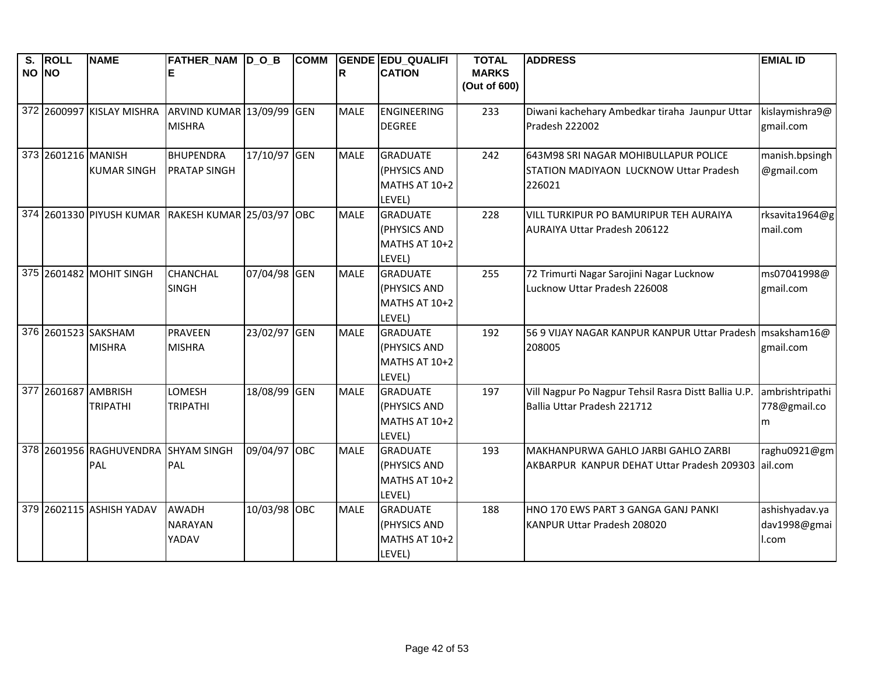| NO NO | S. ROLL             | <b>NAME</b>                         | <b>FATHER_NAM D_O_B</b>                            |              | <b>COMM</b> | ΙR          | <b>GENDE EDU QUALIFI</b><br><b>CATION</b> | <b>TOTAL</b><br><b>MARKS</b> | <b>ADDRESS</b>                                       | <b>EMIAL ID</b> |
|-------|---------------------|-------------------------------------|----------------------------------------------------|--------------|-------------|-------------|-------------------------------------------|------------------------------|------------------------------------------------------|-----------------|
|       |                     |                                     |                                                    |              |             |             |                                           | (Out of 600)                 |                                                      |                 |
|       |                     | 372 2600997 KISLAY MISHRA           | ARVIND KUMAR 13/09/99 GEN                          |              |             | <b>MALE</b> | ENGINEERING                               | 233                          | Diwani kachehary Ambedkar tiraha Jaunpur Uttar       | kislaymishra9@  |
|       |                     |                                     | <b>MISHRA</b>                                      |              |             |             | <b>DEGREE</b>                             |                              | Pradesh 222002                                       | gmail.com       |
|       | 373 2601216 MANISH  |                                     | <b>BHUPENDRA</b>                                   | 17/10/97 GEN |             | <b>MALE</b> | <b>GRADUATE</b>                           | 242                          | 643M98 SRI NAGAR MOHIBULLAPUR POLICE                 | manish.bpsingh  |
|       |                     | <b>KUMAR SINGH</b>                  | <b>PRATAP SINGH</b>                                |              |             |             | (PHYSICS AND                              |                              | STATION MADIYAON LUCKNOW Uttar Pradesh               | @gmail.com      |
|       |                     |                                     |                                                    |              |             |             | MATHS AT 10+2                             |                              | 226021                                               |                 |
|       |                     |                                     |                                                    |              |             |             | LEVEL)                                    |                              |                                                      |                 |
|       |                     |                                     | 374 2601330 PIYUSH KUMAR RAKESH KUMAR 25/03/97 OBC |              |             | <b>MALE</b> | <b>GRADUATE</b>                           | 228                          | <b>VILL TURKIPUR PO BAMURIPUR TEH AURAIYA</b>        | rksavita1964@g  |
|       |                     |                                     |                                                    |              |             |             | (PHYSICS AND                              |                              | <b>AURAIYA Uttar Pradesh 206122</b>                  | mail.com        |
|       |                     |                                     |                                                    |              |             |             | MATHS AT 10+2                             |                              |                                                      |                 |
|       |                     |                                     |                                                    |              |             |             | LEVEL)                                    |                              |                                                      |                 |
|       |                     | 375 2601482 MOHIT SINGH             | <b>CHANCHAL</b>                                    | 07/04/98 GEN |             | <b>MALE</b> | <b>GRADUATE</b>                           | 255                          | 72 Trimurti Nagar Sarojini Nagar Lucknow             | ms07041998@     |
|       |                     |                                     | <b>SINGH</b>                                       |              |             |             | (PHYSICS AND                              |                              | Lucknow Uttar Pradesh 226008                         | gmail.com       |
|       |                     |                                     |                                                    |              |             |             | MATHS AT 10+2                             |                              |                                                      |                 |
|       |                     | 376 2601523 SAKSHAM                 | <b>PRAVEEN</b>                                     | 23/02/97 GEN |             | <b>MALE</b> | LEVEL)<br><b>GRADUATE</b>                 | 192                          | 56 9 VIJAY NAGAR KANPUR KANPUR Uttar Pradesh         | msaksham16@     |
|       |                     | <b>MISHRA</b>                       | <b>MISHRA</b>                                      |              |             |             | (PHYSICS AND                              |                              | 208005                                               | gmail.com       |
|       |                     |                                     |                                                    |              |             |             | MATHS AT 10+2                             |                              |                                                      |                 |
|       |                     |                                     |                                                    |              |             |             | LEVEL)                                    |                              |                                                      |                 |
|       | 377 2601687 AMBRISH |                                     | LOMESH                                             | 18/08/99 GEN |             | <b>MALE</b> | <b>GRADUATE</b>                           | 197                          | Vill Nagpur Po Nagpur Tehsil Rasra Distt Ballia U.P. | ambrishtripathi |
|       |                     | <b>TRIPATHI</b>                     | <b>TRIPATHI</b>                                    |              |             |             | (PHYSICS AND                              |                              | Ballia Uttar Pradesh 221712                          | 778@gmail.co    |
|       |                     |                                     |                                                    |              |             |             | MATHS AT 10+2                             |                              |                                                      | m               |
|       |                     |                                     |                                                    |              |             |             | LEVEL)                                    |                              |                                                      |                 |
|       |                     | 378 2601956 RAGHUVENDRA SHYAM SINGH |                                                    | 09/04/97 OBC |             | <b>MALE</b> | <b>GRADUATE</b>                           | 193                          | MAKHANPURWA GAHLO JARBI GAHLO ZARBI                  | raghu0921@gm    |
|       |                     | PAL                                 | <b>PAL</b>                                         |              |             |             | (PHYSICS AND                              |                              | AKBARPUR KANPUR DEHAT Uttar Pradesh 209303           | ail.com         |
|       |                     |                                     |                                                    |              |             |             | MATHS AT 10+2                             |                              |                                                      |                 |
|       |                     |                                     |                                                    |              |             |             | LEVEL)                                    |                              |                                                      |                 |
|       |                     | 379 2602115 ASHISH YADAV            | <b>AWADH</b>                                       | 10/03/98 OBC |             | <b>MALE</b> | <b>GRADUATE</b>                           | 188                          | HNO 170 EWS PART 3 GANGA GANJ PANKI                  | ashishyadav.ya  |
|       |                     |                                     | <b>NARAYAN</b>                                     |              |             |             | (PHYSICS AND                              |                              | KANPUR Uttar Pradesh 208020                          | dav1998@gmai    |
|       |                     |                                     | YADAV                                              |              |             |             | MATHS AT 10+2                             |                              |                                                      | l.com           |
|       |                     |                                     |                                                    |              |             |             | LEVEL)                                    |                              |                                                      |                 |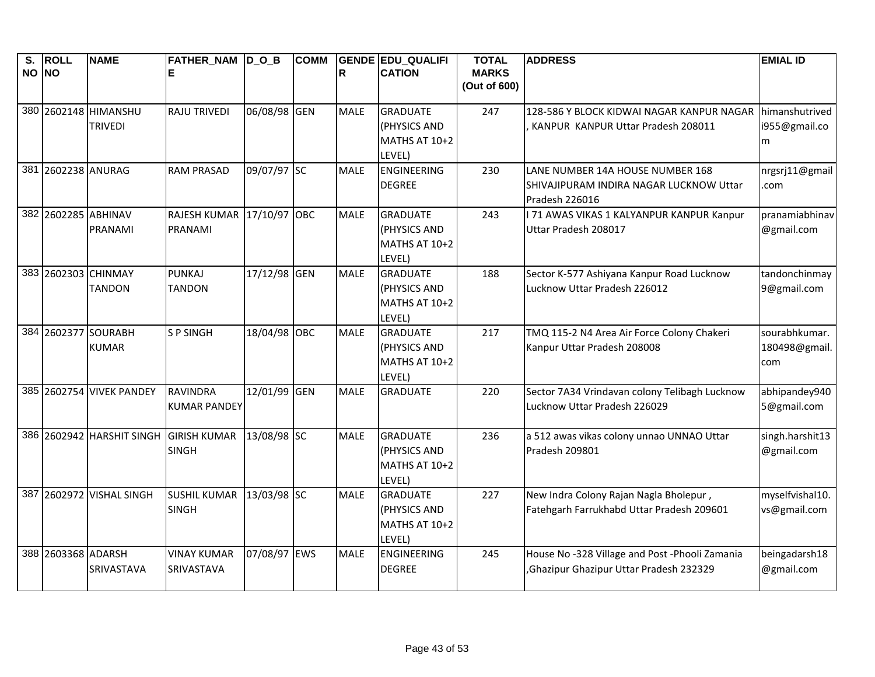| $\overline{\mathsf{s}}$ .<br>NO NO | <b>ROLL</b>        | <b>NAME</b>                            | FATHER_NAM D_O_B                       |              | <b>COMM</b> | $\mathsf{R}$ | <b>GENDE EDU QUALIFI</b><br><b>CATION</b>                  | <b>TOTAL</b><br><b>MARKS</b><br>(Out of 600) | <b>ADDRESS</b>                                                                                | <b>EMIAL ID</b>                       |
|------------------------------------|--------------------|----------------------------------------|----------------------------------------|--------------|-------------|--------------|------------------------------------------------------------|----------------------------------------------|-----------------------------------------------------------------------------------------------|---------------------------------------|
|                                    |                    | 380 2602148 HIMANSHU<br><b>TRIVEDI</b> | <b>RAJU TRIVEDI</b>                    | 06/08/98 GEN |             | <b>MALE</b>  | <b>GRADUATE</b><br>(PHYSICS AND<br>MATHS AT 10+2<br>LEVEL) | 247                                          | 128-586 Y BLOCK KIDWAI NAGAR KANPUR NAGAR<br>KANPUR KANPUR Uttar Pradesh 208011               | himanshutrived<br>i955@gmail.co<br>m  |
| 381                                | 2602238 ANURAG     |                                        | <b>RAM PRASAD</b>                      | 09/07/97 SC  |             | <b>MALE</b>  | <b>ENGINEERING</b><br><b>DEGREE</b>                        | 230                                          | LANE NUMBER 14A HOUSE NUMBER 168<br>SHIVAJIPURAM INDIRA NAGAR LUCKNOW Uttar<br>Pradesh 226016 | nrgsrj11@gmail<br>.com                |
|                                    |                    | 382 2602285 ABHINAV<br>PRANAMI         | <b>RAJESH KUMAR</b><br>PRANAMI         | 17/10/97 OBC |             | <b>MALE</b>  | <b>GRADUATE</b><br>(PHYSICS AND<br>MATHS AT 10+2<br>LEVEL) | 243                                          | I 71 AWAS VIKAS 1 KALYANPUR KANPUR Kanpur<br>Uttar Pradesh 208017                             | pranamiabhinav<br>@gmail.com          |
|                                    |                    | 383 2602303 CHINMAY<br>TANDON          | <b>PUNKAJ</b><br><b>TANDON</b>         | 17/12/98 GEN |             | <b>MALE</b>  | <b>GRADUATE</b><br>(PHYSICS AND<br>MATHS AT 10+2<br>LEVEL) | 188                                          | Sector K-577 Ashiyana Kanpur Road Lucknow<br>Lucknow Uttar Pradesh 226012                     | tandonchinmay<br>9@gmail.com          |
|                                    |                    | 384 2602377 SOURABH<br><b>KUMAR</b>    | <b>SP SINGH</b>                        | 18/04/98 OBC |             | <b>MALE</b>  | <b>GRADUATE</b><br>(PHYSICS AND<br>MATHS AT 10+2<br>LEVEL) | 217                                          | TMQ 115-2 N4 Area Air Force Colony Chakeri<br>Kanpur Uttar Pradesh 208008                     | sourabhkumar.<br>180498@gmail.<br>com |
|                                    |                    | 385 2602754 VIVEK PANDEY               | <b>RAVINDRA</b><br><b>KUMAR PANDEY</b> | 12/01/99 GEN |             | <b>MALE</b>  | <b>GRADUATE</b>                                            | 220                                          | Sector 7A34 Vrindavan colony Telibagh Lucknow<br>Lucknow Uttar Pradesh 226029                 | abhipandey940<br>5@gmail.com          |
|                                    |                    | 386 2602942 HARSHIT SINGH              | <b>GIRISH KUMAR</b><br><b>SINGH</b>    | 13/08/98 SC  |             | <b>MALE</b>  | <b>GRADUATE</b><br>(PHYSICS AND<br>MATHS AT 10+2<br>LEVEL) | 236                                          | a 512 awas vikas colony unnao UNNAO Uttar<br>Pradesh 209801                                   | singh.harshit13<br>@gmail.com         |
|                                    |                    | 387 2602972 VISHAL SINGH               | <b>SUSHIL KUMAR</b><br><b>SINGH</b>    | 13/03/98 SC  |             | <b>MALE</b>  | <b>GRADUATE</b><br>(PHYSICS AND<br>MATHS AT 10+2<br>LEVEL) | 227                                          | New Indra Colony Rajan Nagla Bholepur,<br>Fatehgarh Farrukhabd Uttar Pradesh 209601           | myselfvishal10.<br>vs@gmail.com       |
|                                    | 388 2603368 ADARSH | SRIVASTAVA                             | <b>VINAY KUMAR</b><br>SRIVASTAVA       | 07/08/97 EWS |             | <b>MALE</b>  | ENGINEERING<br><b>DEGREE</b>                               | 245                                          | House No -328 Village and Post -Phooli Zamania<br>Ghazipur Ghazipur Uttar Pradesh 232329      | beingadarsh18<br>@gmail.com           |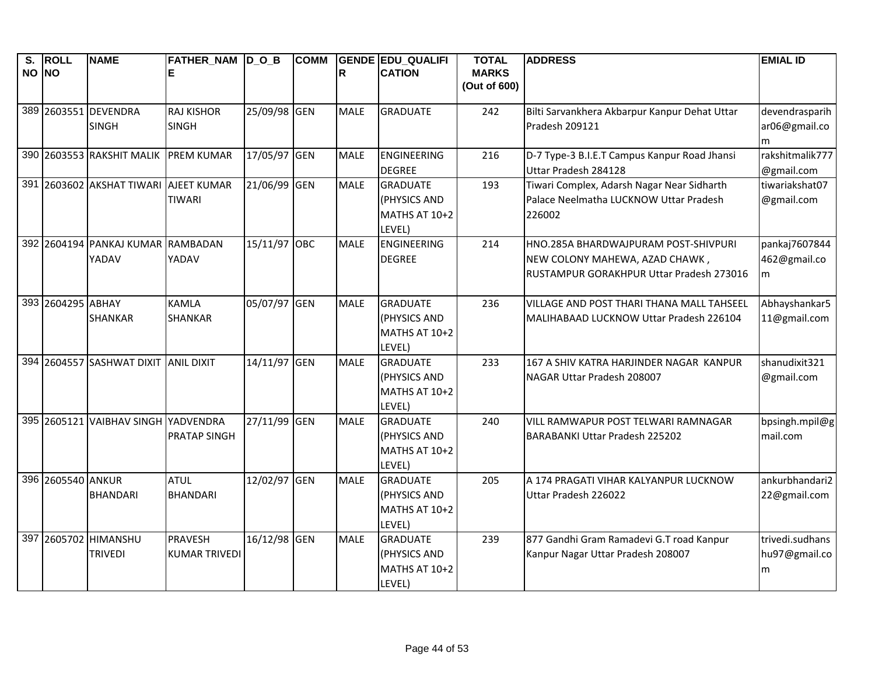| $\overline{\mathbf{s}}$ .<br>NO NO | <b>ROLL</b>       | <b>NAME</b>                                | FATHER_NAM D_O_B<br>E                  |              | <b>COMM</b> | R           | <b>GENDE EDU QUALIFI</b><br><b>CATION</b>                  | <b>TOTAL</b><br><b>MARKS</b><br>(Out of 600) | <b>ADDRESS</b>                                                                                                     | <b>EMIAL ID</b>                       |
|------------------------------------|-------------------|--------------------------------------------|----------------------------------------|--------------|-------------|-------------|------------------------------------------------------------|----------------------------------------------|--------------------------------------------------------------------------------------------------------------------|---------------------------------------|
|                                    |                   | 389 2603551 DEVENDRA<br><b>SINGH</b>       | <b>RAJ KISHOR</b><br><b>SINGH</b>      | 25/09/98 GEN |             | <b>MALE</b> | <b>GRADUATE</b>                                            | 242                                          | Bilti Sarvankhera Akbarpur Kanpur Dehat Uttar<br>Pradesh 209121                                                    | devendrasparih<br>ar06@gmail.co<br>m  |
|                                    |                   | 390 2603553 RAKSHIT MALIK                  | <b>PREM KUMAR</b>                      | 17/05/97 GEN |             | <b>MALE</b> | <b>ENGINEERING</b><br><b>DEGREE</b>                        | 216                                          | D-7 Type-3 B.I.E.T Campus Kanpur Road Jhansi<br>Uttar Pradesh 284128                                               | rakshitmalik777<br>@gmail.com         |
|                                    |                   | 391 2603602 AKSHAT TIWARI AJEET KUMAR      | <b>TIWARI</b>                          | 21/06/99 GEN |             | <b>MALE</b> | <b>GRADUATE</b><br>(PHYSICS AND<br>MATHS AT 10+2<br>LEVEL) | 193                                          | Tiwari Complex, Adarsh Nagar Near Sidharth<br>Palace Neelmatha LUCKNOW Uttar Pradesh<br>226002                     | tiwariakshat07<br>@gmail.com          |
|                                    |                   | 392 2604194 PANKAJ KUMAR RAMBADAN<br>YADAV | YADAV                                  | 15/11/97 OBC |             | <b>MALE</b> | ENGINEERING<br><b>DEGREE</b>                               | 214                                          | HNO.285A BHARDWAJPURAM POST-SHIVPURI<br>NEW COLONY MAHEWA, AZAD CHAWK,<br>RUSTAMPUR GORAKHPUR Uttar Pradesh 273016 | pankaj7607844<br>462@gmail.co<br>m    |
|                                    | 393 2604295 ABHAY | <b>SHANKAR</b>                             | <b>KAMLA</b><br><b>SHANKAR</b>         | 05/07/97 GEN |             | <b>MALE</b> | <b>GRADUATE</b><br>(PHYSICS AND<br>MATHS AT 10+2<br>LEVEL) | 236                                          | VILLAGE AND POST THARI THANA MALL TAHSEEL<br>MALIHABAAD LUCKNOW Uttar Pradesh 226104                               | Abhayshankar5<br>11@gmail.com         |
|                                    |                   | 394 2604557 SASHWAT DIXIT ANIL DIXIT       |                                        | 14/11/97 GEN |             | <b>MALE</b> | <b>GRADUATE</b><br>(PHYSICS AND<br>MATHS AT 10+2<br>LEVEL) | 233                                          | 167 A SHIV KATRA HARJINDER NAGAR KANPUR<br>NAGAR Uttar Pradesh 208007                                              | shanudixit321<br>@gmail.com           |
|                                    |                   | 395 2605121 VAIBHAV SINGH YADVENDRA        | <b>PRATAP SINGH</b>                    | 27/11/99 GEN |             | <b>MALE</b> | <b>GRADUATE</b><br>(PHYSICS AND<br>MATHS AT 10+2<br>LEVEL) | 240                                          | VILL RAMWAPUR POST TELWARI RAMNAGAR<br>BARABANKI Uttar Pradesh 225202                                              | bpsingh.mpil@g<br>mail.com            |
|                                    | 396 2605540 ANKUR | <b>BHANDARI</b>                            | <b>ATUL</b><br><b>BHANDARI</b>         | 12/02/97 GEN |             | <b>MALE</b> | <b>GRADUATE</b><br>(PHYSICS AND<br>MATHS AT 10+2<br>LEVEL) | 205                                          | A 174 PRAGATI VIHAR KALYANPUR LUCKNOW<br>Uttar Pradesh 226022                                                      | ankurbhandari2<br>22@gmail.com        |
|                                    |                   | 397 2605702 HIMANSHU<br><b>TRIVEDI</b>     | <b>PRAVESH</b><br><b>KUMAR TRIVEDI</b> | 16/12/98 GEN |             | <b>MALE</b> | <b>GRADUATE</b><br>(PHYSICS AND<br>MATHS AT 10+2<br>LEVEL) | 239                                          | 877 Gandhi Gram Ramadevi G.T road Kanpur<br>Kanpur Nagar Uttar Pradesh 208007                                      | trivedi.sudhans<br>hu97@gmail.co<br>m |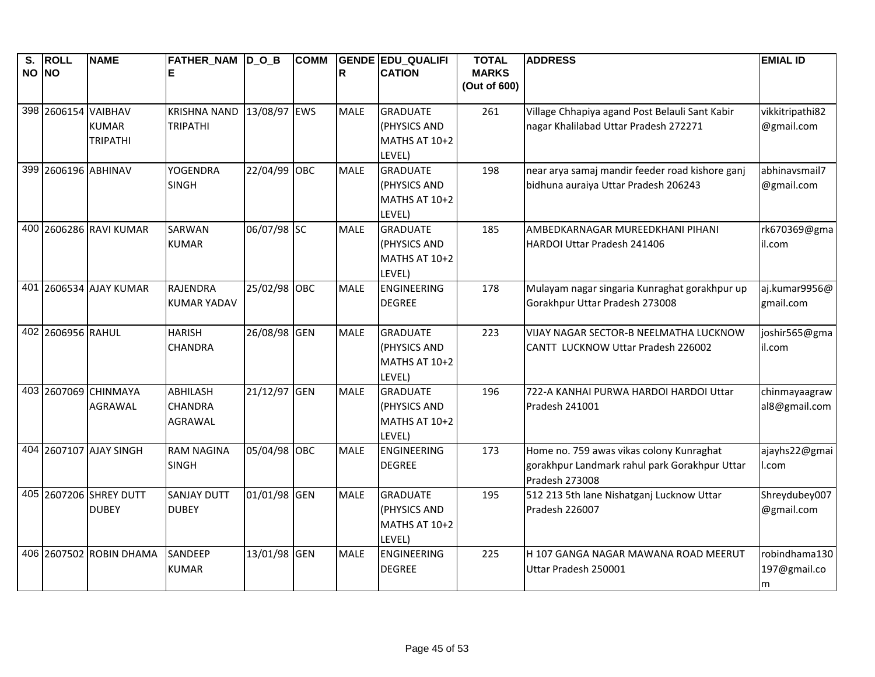| $\overline{\mathsf{s}}$ .<br>NO NO | <b>ROLL</b>       | <b>NAME</b>                                            | <b>FATHER NAM DOB</b><br>ΙE                         |              | <b>COMM</b> | R           | <b>GENDE EDU QUALIFI</b><br><b>CATION</b>                  | <b>TOTAL</b><br><b>MARKS</b><br>(Out of 600) | <b>ADDRESS</b>                                                                                              | <b>EMIAL ID</b>                    |
|------------------------------------|-------------------|--------------------------------------------------------|-----------------------------------------------------|--------------|-------------|-------------|------------------------------------------------------------|----------------------------------------------|-------------------------------------------------------------------------------------------------------------|------------------------------------|
|                                    |                   | 398 2606154 VAIBHAV<br><b>KUMAR</b><br><b>TRIPATHI</b> | <b>KRISHNA NAND</b><br><b>TRIPATHI</b>              | 13/08/97 EWS |             | <b>MALE</b> | <b>GRADUATE</b><br>(PHYSICS AND<br>MATHS AT 10+2<br>LEVEL) | 261                                          | Village Chhapiya agand Post Belauli Sant Kabir<br>nagar Khalilabad Uttar Pradesh 272271                     | vikkitripathi82<br>@gmail.com      |
|                                    |                   | 399 2606196 ABHINAV                                    | <b>YOGENDRA</b><br><b>SINGH</b>                     | 22/04/99 OBC |             | <b>MALE</b> | <b>GRADUATE</b><br>(PHYSICS AND<br>MATHS AT 10+2<br>LEVEL) | 198                                          | near arya samaj mandir feeder road kishore ganj<br>bidhuna auraiya Uttar Pradesh 206243                     | abhinavsmail7<br>@gmail.com        |
|                                    |                   | 400 2606286 RAVI KUMAR                                 | <b>SARWAN</b><br><b>KUMAR</b>                       | 06/07/98 SC  |             | <b>MALE</b> | <b>GRADUATE</b><br>(PHYSICS AND<br>MATHS AT 10+2<br>LEVEL) | 185                                          | AMBEDKARNAGAR MUREEDKHANI PIHANI<br>HARDOI Uttar Pradesh 241406                                             | rk670369@gma<br>il.com             |
|                                    |                   | 401 2606534 AJAY KUMAR                                 | <b>RAJENDRA</b><br>KUMAR YADAV                      | 25/02/98 OBC |             | <b>MALE</b> | ENGINEERING<br><b>DEGREE</b>                               | 178                                          | Mulayam nagar singaria Kunraghat gorakhpur up<br>Gorakhpur Uttar Pradesh 273008                             | aj.kumar9956@<br>gmail.com         |
|                                    | 402 2606956 RAHUL |                                                        | <b>HARISH</b><br><b>CHANDRA</b>                     | 26/08/98 GEN |             | <b>MALE</b> | <b>GRADUATE</b><br>(PHYSICS AND<br>MATHS AT 10+2<br>LEVEL) | 223                                          | VIJAY NAGAR SECTOR-B NEELMATHA LUCKNOW<br>CANTT LUCKNOW Uttar Pradesh 226002                                | joshir565@gma<br>il.com            |
|                                    |                   | 403 2607069 CHINMAYA<br><b>AGRAWAL</b>                 | <b>ABHILASH</b><br><b>CHANDRA</b><br><b>AGRAWAL</b> | 21/12/97 GEN |             | <b>MALE</b> | <b>GRADUATE</b><br>(PHYSICS AND<br>MATHS AT 10+2<br>LEVEL) | 196                                          | 722-A KANHAI PURWA HARDOI HARDOI Uttar<br>Pradesh 241001                                                    | chinmayaagraw<br>al8@gmail.com     |
|                                    |                   | 404 2607107 AJAY SINGH                                 | <b>RAM NAGINA</b><br><b>SINGH</b>                   | 05/04/98 OBC |             | <b>MALE</b> | <b>ENGINEERING</b><br><b>DEGREE</b>                        | 173                                          | Home no. 759 awas vikas colony Kunraghat<br>gorakhpur Landmark rahul park Gorakhpur Uttar<br>Pradesh 273008 | ajayhs22@gmai<br>l.com             |
|                                    |                   | 405 2607206 SHREY DUTT<br><b>DUBEY</b>                 | <b>SANJAY DUTT</b><br><b>DUBEY</b>                  | 01/01/98 GEN |             | <b>MALE</b> | <b>GRADUATE</b><br>(PHYSICS AND<br>MATHS AT 10+2<br>LEVEL) | 195                                          | 512 213 5th lane Nishatganj Lucknow Uttar<br>Pradesh 226007                                                 | Shreydubey007<br>@gmail.com        |
|                                    |                   | 406 2607502 ROBIN DHAMA                                | SANDEEP<br><b>KUMAR</b>                             | 13/01/98 GEN |             | <b>MALE</b> | <b>ENGINEERING</b><br><b>DEGREE</b>                        | 225                                          | H 107 GANGA NAGAR MAWANA ROAD MEERUT<br>Uttar Pradesh 250001                                                | robindhama130<br>197@gmail.co<br>m |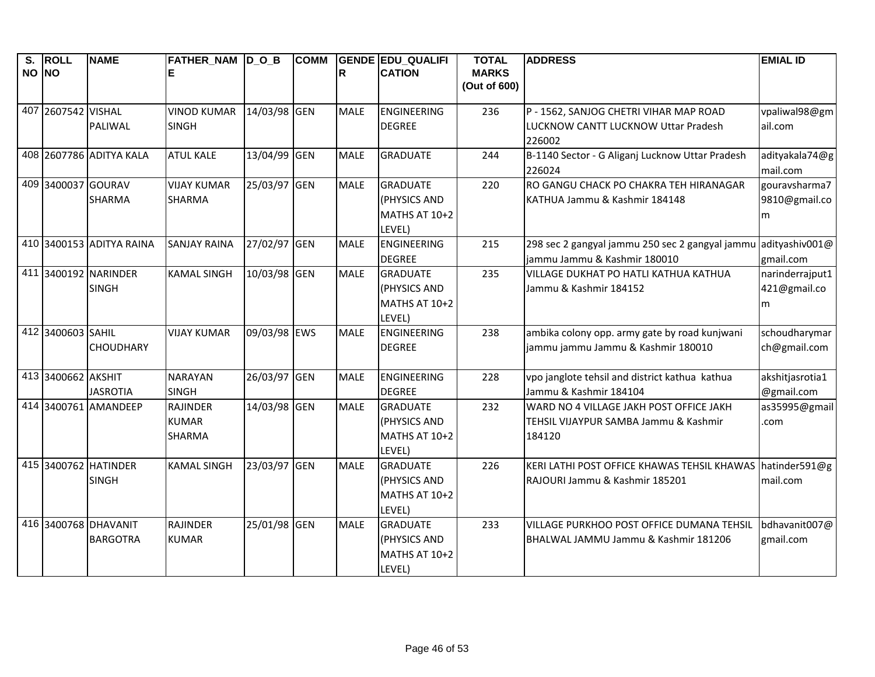| S.<br>NO NO | <b>ROLL</b>        | <b>NAME</b>                             | FATHER_NAM D_O_B                                 |              | <b>COMM</b> | R           | <b>GENDE EDU QUALIFI</b><br><b>CATION</b>                  | <b>TOTAL</b><br><b>MARKS</b><br>(Out of 600) | <b>ADDRESS</b>                                                                              | <b>EMIAL ID</b>                      |
|-------------|--------------------|-----------------------------------------|--------------------------------------------------|--------------|-------------|-------------|------------------------------------------------------------|----------------------------------------------|---------------------------------------------------------------------------------------------|--------------------------------------|
|             | 407 2607542 VISHAL | PALIWAL                                 | <b>VINOD KUMAR</b><br><b>SINGH</b>               | 14/03/98 GEN |             | <b>MALE</b> | <b>ENGINEERING</b><br><b>DEGREE</b>                        | 236                                          | P - 1562, SANJOG CHETRI VIHAR MAP ROAD<br>LUCKNOW CANTT LUCKNOW Uttar Pradesh<br>226002     | vpaliwal98@gm<br>ail.com             |
|             |                    | 408 2607786 ADITYA KALA                 | <b>ATUL KALE</b>                                 | 13/04/99 GEN |             | <b>MALE</b> | <b>GRADUATE</b>                                            | 244                                          | B-1140 Sector - G Aliganj Lucknow Uttar Pradesh<br>226024                                   | adityakala74@g<br>mail.com           |
|             | 409 3400037 GOURAV | <b>SHARMA</b>                           | <b>VIJAY KUMAR</b><br><b>SHARMA</b>              | 25/03/97 GEN |             | <b>MALE</b> | <b>GRADUATE</b><br>(PHYSICS AND<br>MATHS AT 10+2<br>LEVEL) | 220                                          | RO GANGU CHACK PO CHAKRA TEH HIRANAGAR<br>KATHUA Jammu & Kashmir 184148                     | gouravsharma7<br>9810@gmail.co<br>m  |
|             |                    | 410 3400153 ADITYA RAINA                | <b>SANJAY RAINA</b>                              | 27/02/97 GEN |             | <b>MALE</b> | <b>ENGINEERING</b><br><b>DEGREE</b>                        | 215                                          | 298 sec 2 gangyal jammu 250 sec 2 gangyal jammu<br>jammu Jammu & Kashmir 180010             | adityashiv001@<br>gmail.com          |
|             |                    | 411 3400192 NARINDER<br><b>SINGH</b>    | <b>KAMAL SINGH</b>                               | 10/03/98 GEN |             | <b>MALE</b> | <b>GRADUATE</b><br>(PHYSICS AND<br>MATHS AT 10+2<br>LEVEL) | 235                                          | VILLAGE DUKHAT PO HATLI KATHUA KATHUA<br>Jammu & Kashmir 184152                             | narinderrajput1<br>421@gmail.co<br>m |
|             | 412 3400603 SAHIL  | <b>CHOUDHARY</b>                        | <b>VIJAY KUMAR</b>                               | 09/03/98 EWS |             | <b>MALE</b> | <b>ENGINEERING</b><br><b>DEGREE</b>                        | 238                                          | ambika colony opp. army gate by road kunjwani<br>jammu jammu Jammu & Kashmir 180010         | schoudharymar<br>ch@gmail.com        |
|             | 413 3400662 AKSHIT | <b>JASROTIA</b>                         | <b>NARAYAN</b><br><b>SINGH</b>                   | 26/03/97 GEN |             | <b>MALE</b> | <b>ENGINEERING</b><br><b>DEGREE</b>                        | 228                                          | vpo janglote tehsil and district kathua kathua<br>Jammu & Kashmir 184104                    | akshitjasrotia1<br>@gmail.com        |
|             |                    | 414 3400761 AMANDEEP                    | <b>RAJINDER</b><br><b>KUMAR</b><br><b>SHARMA</b> | 14/03/98 GEN |             | <b>MALE</b> | <b>GRADUATE</b><br>(PHYSICS AND<br>MATHS AT 10+2<br>LEVEL) | 232                                          | WARD NO 4 VILLAGE JAKH POST OFFICE JAKH<br>TEHSIL VIJAYPUR SAMBA Jammu & Kashmir<br>184120  | as35995@gmail<br>.com                |
|             |                    | 415 3400762 HATINDER<br><b>SINGH</b>    | <b>KAMAL SINGH</b>                               | 23/03/97 GEN |             | <b>MALE</b> | <b>GRADUATE</b><br>(PHYSICS AND<br>MATHS AT 10+2<br>LEVEL) | 226                                          | KERI LATHI POST OFFICE KHAWAS TEHSIL KHAWAS hatinder591@g<br>RAJOURI Jammu & Kashmir 185201 | mail.com                             |
|             |                    | 416 3400768 DHAVANIT<br><b>BARGOTRA</b> | RAJINDER<br><b>KUMAR</b>                         | 25/01/98 GEN |             | <b>MALE</b> | <b>GRADUATE</b><br>(PHYSICS AND<br>MATHS AT 10+2<br>LEVEL) | 233                                          | VILLAGE PURKHOO POST OFFICE DUMANA TEHSIL<br>BHALWAL JAMMU Jammu & Kashmir 181206           | bdhavanit007@<br>gmail.com           |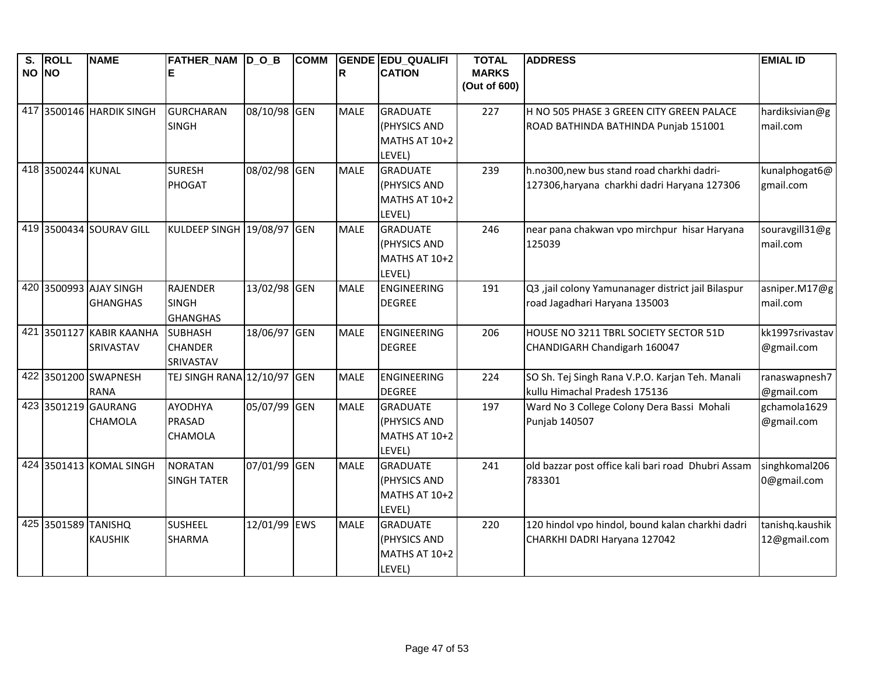| S.<br>NO NO | <b>ROLL</b>         | <b>NAME</b>                           | FATHER_NAM  D_O_B<br>Е          |              | <b>COMM</b> | lR.         | <b>GENDE EDU QUALIFI</b><br><b>CATION</b> | <b>TOTAL</b><br><b>MARKS</b><br>(Out of 600) | <b>ADDRESS</b>                                              | <b>EMIAL ID</b>            |
|-------------|---------------------|---------------------------------------|---------------------------------|--------------|-------------|-------------|-------------------------------------------|----------------------------------------------|-------------------------------------------------------------|----------------------------|
|             |                     |                                       |                                 |              |             |             |                                           |                                              |                                                             |                            |
|             |                     | 417 3500146 HARDIK SINGH              | <b>GURCHARAN</b>                | 08/10/98 GEN |             | <b>MALE</b> | <b>GRADUATE</b>                           | 227                                          | H NO 505 PHASE 3 GREEN CITY GREEN PALACE                    | hardiksivian@g             |
|             |                     |                                       | <b>SINGH</b>                    |              |             |             | (PHYSICS AND                              |                                              | ROAD BATHINDA BATHINDA Punjab 151001                        | mail.com                   |
|             |                     |                                       |                                 |              |             |             | MATHS AT 10+2                             |                                              |                                                             |                            |
|             |                     |                                       |                                 |              |             |             | LEVEL)                                    |                                              |                                                             |                            |
|             | 418 3500244 KUNAL   |                                       | <b>SURESH</b>                   | 08/02/98 GEN |             | <b>MALE</b> | <b>GRADUATE</b>                           | 239                                          | h.no300,new bus stand road charkhi dadri-                   | kunalphogat6@              |
|             |                     |                                       | PHOGAT                          |              |             |             | (PHYSICS AND                              |                                              | 127306, haryana charkhi dadri Haryana 127306                | gmail.com                  |
|             |                     |                                       |                                 |              |             |             | MATHS AT 10+2                             |                                              |                                                             |                            |
|             |                     | 419 3500434 SOURAV GILL               | KULDEEP SINGH 19/08/97 GEN      |              |             | <b>MALE</b> | LEVEL)<br><b>GRADUATE</b>                 | 246                                          | near pana chakwan vpo mirchpur hisar Haryana                | souravgill31@g             |
|             |                     |                                       |                                 |              |             |             | (PHYSICS AND                              |                                              | 125039                                                      | mail.com                   |
|             |                     |                                       |                                 |              |             |             | MATHS AT 10+2                             |                                              |                                                             |                            |
|             |                     |                                       |                                 |              |             |             | LEVEL)                                    |                                              |                                                             |                            |
|             |                     | 420 3500993 AJAY SINGH                | <b>RAJENDER</b>                 | 13/02/98 GEN |             | <b>MALE</b> | <b>ENGINEERING</b>                        | 191                                          | Q3 ,jail colony Yamunanager district jail Bilaspur          | asniper.M17@g              |
|             |                     | <b>GHANGHAS</b>                       | <b>SINGH</b>                    |              |             |             | <b>DEGREE</b>                             |                                              | road Jagadhari Haryana 135003                               | mail.com                   |
|             |                     |                                       | <b>GHANGHAS</b>                 |              |             |             |                                           |                                              |                                                             |                            |
|             |                     | 421 3501127 KABIR KAANHA              | <b>SUBHASH</b>                  | 18/06/97 GEN |             | <b>MALE</b> | <b>ENGINEERING</b>                        | 206                                          | HOUSE NO 3211 TBRL SOCIETY SECTOR 51D                       | kk1997srivastav            |
|             |                     | SRIVASTAV                             | <b>CHANDER</b>                  |              |             |             | <b>DEGREE</b>                             |                                              | CHANDIGARH Chandigarh 160047                                | @gmail.com                 |
|             |                     |                                       | SRIVASTAV                       |              |             |             |                                           |                                              |                                                             |                            |
|             |                     | 422 3501200 SWAPNESH                  | <b>TEJ SINGH RANA 12/10/97</b>  |              | <b>GEN</b>  | <b>MALE</b> | <b>ENGINEERING</b>                        | 224                                          | SO Sh. Tej Singh Rana V.P.O. Karjan Teh. Manali             | ranaswapnesh7              |
|             |                     | <b>RANA</b>                           |                                 |              |             |             | <b>DEGREE</b>                             |                                              | kullu Himachal Pradesh 175136                               | @gmail.com                 |
|             |                     | 423 3501219 GAURANG<br><b>CHAMOLA</b> | <b>AYODHYA</b><br><b>PRASAD</b> | 05/07/99 GEN |             | <b>MALE</b> | <b>GRADUATE</b><br>(PHYSICS AND           | 197                                          | Ward No 3 College Colony Dera Bassi Mohali<br>Punjab 140507 | gchamola1629<br>@gmail.com |
|             |                     |                                       | CHAMOLA                         |              |             |             | MATHS AT 10+2                             |                                              |                                                             |                            |
|             |                     |                                       |                                 |              |             |             | LEVEL)                                    |                                              |                                                             |                            |
|             |                     | 424 3501413 KOMAL SINGH               | <b>NORATAN</b>                  | 07/01/99 GEN |             | <b>MALE</b> | <b>GRADUATE</b>                           | 241                                          | old bazzar post office kali bari road Dhubri Assam          | singhkomal206              |
|             |                     |                                       | <b>SINGH TATER</b>              |              |             |             | (PHYSICS AND                              |                                              | 783301                                                      | 0@gmail.com                |
|             |                     |                                       |                                 |              |             |             | MATHS AT 10+2                             |                                              |                                                             |                            |
|             |                     |                                       |                                 |              |             |             | LEVEL)                                    |                                              |                                                             |                            |
|             | 425 3501589 TANISHQ |                                       | <b>SUSHEEL</b>                  | 12/01/99 EWS |             | <b>MALE</b> | <b>GRADUATE</b>                           | 220                                          | 120 hindol vpo hindol, bound kalan charkhi dadri            | tanishq.kaushik            |
|             |                     | <b>KAUSHIK</b>                        | <b>SHARMA</b>                   |              |             |             | (PHYSICS AND                              |                                              | CHARKHI DADRI Haryana 127042                                | 12@gmail.com               |
|             |                     |                                       |                                 |              |             |             | MATHS AT 10+2                             |                                              |                                                             |                            |
|             |                     |                                       |                                 |              |             |             | LEVEL)                                    |                                              |                                                             |                            |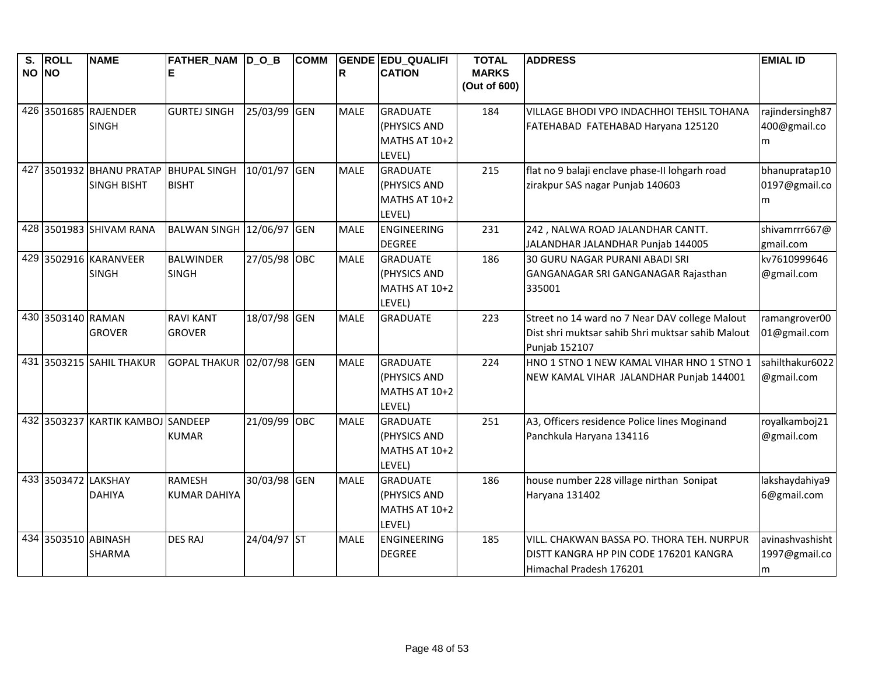| $\overline{\mathsf{s}}$ . | <b>ROLL</b>         | <b>NAME</b>                           | FATHER_NAM D_O_B          |              | <b>COMM</b> |             | <b>GENDE EDU QUALIFI</b> | <b>TOTAL</b>                 | <b>ADDRESS</b>                                    | <b>EMIAL ID</b> |
|---------------------------|---------------------|---------------------------------------|---------------------------|--------------|-------------|-------------|--------------------------|------------------------------|---------------------------------------------------|-----------------|
| NO NO                     |                     |                                       | Е                         |              |             | R           | <b>CATION</b>            | <b>MARKS</b><br>(Out of 600) |                                                   |                 |
|                           |                     |                                       |                           |              |             |             |                          |                              |                                                   |                 |
|                           |                     | 426 3501685 RAJENDER                  | <b>GURTEJ SINGH</b>       | 25/03/99 GEN |             | <b>MALE</b> | <b>GRADUATE</b>          | 184                          | VILLAGE BHODI VPO INDACHHOI TEHSIL TOHANA         | rajindersingh87 |
|                           |                     | <b>SINGH</b>                          |                           |              |             |             | (PHYSICS AND             |                              | FATEHABAD FATEHABAD Haryana 125120                | 400@gmail.co    |
|                           |                     |                                       |                           |              |             |             | MATHS AT 10+2            |                              |                                                   | m               |
|                           |                     |                                       |                           |              |             |             | LEVEL)                   |                              |                                                   |                 |
|                           |                     | 427 3501932 BHANU PRATAP BHUPAL SINGH |                           | 10/01/97 GEN |             | <b>MALE</b> | <b>GRADUATE</b>          | 215                          | flat no 9 balaji enclave phase-II lohgarh road    | bhanupratap10   |
|                           |                     | <b>SINGH BISHT</b>                    | <b>BISHT</b>              |              |             |             | (PHYSICS AND             |                              | zirakpur SAS nagar Punjab 140603                  | 0197@gmail.co   |
|                           |                     |                                       |                           |              |             |             | MATHS AT 10+2            |                              |                                                   | m               |
|                           |                     |                                       |                           |              |             |             | LEVEL)                   |                              |                                                   |                 |
|                           |                     | 428 3501983 SHIVAM RANA               | BALWAN SINGH 12/06/97 GEN |              |             | <b>MALE</b> | <b>ENGINEERING</b>       | 231                          | 242, NALWA ROAD JALANDHAR CANTT.                  | shivamrrr667@   |
|                           |                     |                                       |                           |              |             |             | <b>DEGREE</b>            |                              | JALANDHAR JALANDHAR Punjab 144005                 | gmail.com       |
|                           |                     | 429 3502916 KARANVEER                 | <b>BALWINDER</b>          | 27/05/98 OBC |             | <b>MALE</b> | <b>GRADUATE</b>          | 186                          | 30 GURU NAGAR PURANI ABADI SRI                    | kv7610999646    |
|                           |                     | <b>SINGH</b>                          | <b>SINGH</b>              |              |             |             | (PHYSICS AND             |                              | GANGANAGAR SRI GANGANAGAR Rajasthan               | @gmail.com      |
|                           |                     |                                       |                           |              |             |             | MATHS AT 10+2            |                              | 335001                                            |                 |
|                           |                     |                                       |                           |              |             |             | LEVEL)                   |                              |                                                   |                 |
|                           | 430 3503140 RAMAN   |                                       | <b>RAVI KANT</b>          | 18/07/98 GEN |             | <b>MALE</b> | <b>GRADUATE</b>          | 223                          | Street no 14 ward no 7 Near DAV college Malout    | ramangrover00   |
|                           |                     | <b>GROVER</b>                         | <b>GROVER</b>             |              |             |             |                          |                              | Dist shri muktsar sahib Shri muktsar sahib Malout | 01@gmail.com    |
|                           |                     |                                       |                           |              |             |             |                          |                              | Punjab 152107                                     |                 |
|                           |                     | 431 3503215 SAHIL THAKUR              | <b>GOPAL THAKUR</b>       | 02/07/98 GEN |             | <b>MALE</b> | <b>GRADUATE</b>          | 224                          | HNO 1 STNO 1 NEW KAMAL VIHAR HNO 1 STNO 1         | sahilthakur6022 |
|                           |                     |                                       |                           |              |             |             | (PHYSICS AND             |                              | NEW KAMAL VIHAR JALANDHAR Punjab 144001           | @gmail.com      |
|                           |                     |                                       |                           |              |             |             | MATHS AT 10+2            |                              |                                                   |                 |
|                           |                     |                                       |                           |              |             |             | LEVEL)                   |                              |                                                   |                 |
|                           |                     | 432 3503237 KARTIK KAMBOJ SANDEEP     |                           | 21/09/99 OBC |             | <b>MALE</b> | <b>GRADUATE</b>          | 251                          | A3, Officers residence Police lines Moginand      | royalkamboj21   |
|                           |                     |                                       | <b>KUMAR</b>              |              |             |             | (PHYSICS AND             |                              | Panchkula Haryana 134116                          | @gmail.com      |
|                           |                     |                                       |                           |              |             |             | MATHS AT 10+2            |                              |                                                   |                 |
|                           |                     |                                       |                           |              |             |             | LEVEL)                   |                              |                                                   |                 |
|                           | 433 3503472 LAKSHAY |                                       | <b>RAMESH</b>             | 30/03/98 GEN |             | <b>MALE</b> | <b>GRADUATE</b>          | 186                          | house number 228 village nirthan Sonipat          | lakshaydahiya9  |
|                           |                     | <b>DAHIYA</b>                         | <b>KUMAR DAHIYA</b>       |              |             |             | (PHYSICS AND             |                              | Haryana 131402                                    | 6@gmail.com     |
|                           |                     |                                       |                           |              |             |             | MATHS AT 10+2            |                              |                                                   |                 |
|                           |                     |                                       |                           |              |             |             | LEVEL)                   |                              |                                                   |                 |
|                           | 434 3503510 ABINASH |                                       | <b>DES RAJ</b>            | 24/04/97 ST  |             | <b>MALE</b> | ENGINEERING              | 185                          | VILL. CHAKWAN BASSA PO. THORA TEH. NURPUR         | avinashvashisht |
|                           |                     | <b>SHARMA</b>                         |                           |              |             |             | <b>DEGREE</b>            |                              | DISTT KANGRA HP PIN CODE 176201 KANGRA            | 1997@gmail.co   |
|                           |                     |                                       |                           |              |             |             |                          |                              | Himachal Pradesh 176201                           | m               |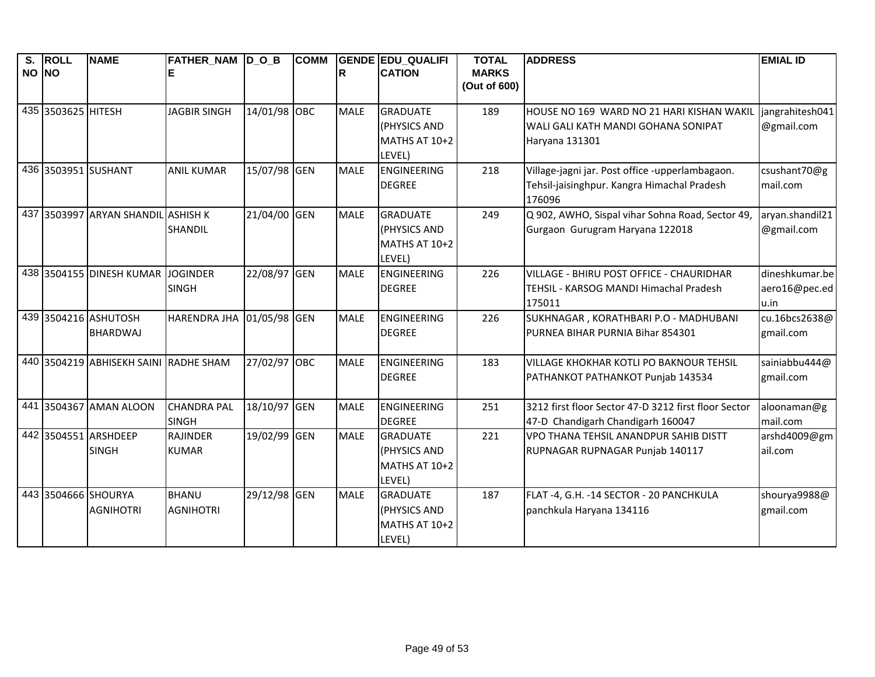| $\overline{\mathsf{s}}$ . | <b>ROLL</b>        | <b>NAME</b>                           | FATHER_NAM D_O_B    |              | <b>COMM</b> |             | <b>GENDE EDU_QUALIFI</b> | <b>TOTAL</b> | <b>ADDRESS</b>                                       | <b>EMIAL ID</b> |
|---------------------------|--------------------|---------------------------------------|---------------------|--------------|-------------|-------------|--------------------------|--------------|------------------------------------------------------|-----------------|
| NO NO                     |                    |                                       |                     |              |             | IR.         | <b>CATION</b>            | <b>MARKS</b> |                                                      |                 |
|                           |                    |                                       |                     |              |             |             |                          | (Out of 600) |                                                      |                 |
|                           | 435 3503625 HITESH |                                       | <b>JAGBIR SINGH</b> | 14/01/98 OBC |             | <b>MALE</b> | <b>GRADUATE</b>          | 189          | HOUSE NO 169 WARD NO 21 HARI KISHAN WAKIL            | jangrahitesh041 |
|                           |                    |                                       |                     |              |             |             | (PHYSICS AND             |              | WALI GALI KATH MANDI GOHANA SONIPAT                  | @gmail.com      |
|                           |                    |                                       |                     |              |             |             | MATHS AT 10+2            |              | Haryana 131301                                       |                 |
|                           |                    |                                       |                     |              |             |             | LEVEL)                   |              |                                                      |                 |
|                           |                    | 436 3503951 SUSHANT                   | <b>ANIL KUMAR</b>   | 15/07/98 GEN |             | <b>MALE</b> | <b>ENGINEERING</b>       | 218          | Village-jagni jar. Post office -upperlambagaon.      | csushant70@g    |
|                           |                    |                                       |                     |              |             |             | <b>DEGREE</b>            |              | Tehsil-jaisinghpur. Kangra Himachal Pradesh          | mail.com        |
|                           |                    |                                       |                     |              |             |             |                          |              | 176096                                               |                 |
| 437                       |                    | 3503997 ARYAN SHANDIL ASHISH K        |                     | 21/04/00 GEN |             | <b>MALE</b> | <b>GRADUATE</b>          | 249          | Q 902, AWHO, Sispal vihar Sohna Road, Sector 49,     | aryan.shandil21 |
|                           |                    |                                       | SHANDIL             |              |             |             | (PHYSICS AND             |              | Gurgaon Gurugram Haryana 122018                      | @gmail.com      |
|                           |                    |                                       |                     |              |             |             | MATHS AT 10+2            |              |                                                      |                 |
|                           |                    |                                       |                     |              |             |             | LEVEL)                   |              |                                                      |                 |
|                           |                    | 438 3504155 DINESH KUMAR JOGINDER     |                     | 22/08/97 GEN |             | <b>MALE</b> | ENGINEERING              | 226          | VILLAGE - BHIRU POST OFFICE - CHAURIDHAR             | dineshkumar.be  |
|                           |                    |                                       | <b>SINGH</b>        |              |             |             | <b>DEGREE</b>            |              | TEHSIL - KARSOG MANDI Himachal Pradesh               | aero16@pec.ed   |
|                           |                    |                                       |                     |              |             |             |                          |              | 175011                                               | u.in            |
|                           |                    | 439 3504216 ASHUTOSH                  | <b>HARENDRA JHA</b> | 01/05/98 GEN |             | <b>MALE</b> | ENGINEERING              | 226          | SUKHNAGAR, KORATHBARI P.O - MADHUBANI                | cu.16bcs2638@   |
|                           |                    | <b>BHARDWAJ</b>                       |                     |              |             |             | <b>DEGREE</b>            |              | PURNEA BIHAR PURNIA Bihar 854301                     | gmail.com       |
|                           |                    |                                       |                     |              |             |             |                          |              |                                                      |                 |
|                           |                    | 440 3504219 ABHISEKH SAINI RADHE SHAM |                     | 27/02/97 OBC |             | <b>MALE</b> | <b>ENGINEERING</b>       | 183          | <b>VILLAGE KHOKHAR KOTLI PO BAKNOUR TEHSIL</b>       | sainiabbu444@   |
|                           |                    |                                       |                     |              |             |             | <b>DEGREE</b>            |              | PATHANKOT PATHANKOT Punjab 143534                    | gmail.com       |
|                           |                    |                                       |                     |              |             |             |                          |              |                                                      |                 |
|                           |                    | 441 3504367 AMAN ALOON                | <b>CHANDRA PAL</b>  | 18/10/97 GEN |             | <b>MALE</b> | ENGINEERING              | 251          | 3212 first floor Sector 47-D 3212 first floor Sector | aloonaman@g     |
|                           |                    |                                       | <b>SINGH</b>        |              |             |             | <b>DEGREE</b>            |              | 47-D Chandigarh Chandigarh 160047                    | mail.com        |
|                           |                    | 442 3504551 ARSHDEEP                  | <b>RAJINDER</b>     | 19/02/99 GEN |             | <b>MALE</b> | <b>GRADUATE</b>          | 221          | VPO THANA TEHSIL ANANDPUR SAHIB DISTT                | arshd4009@gm    |
|                           |                    | <b>SINGH</b>                          | <b>KUMAR</b>        |              |             |             | (PHYSICS AND             |              | RUPNAGAR RUPNAGAR Punjab 140117                      | ail.com         |
|                           |                    |                                       |                     |              |             |             | MATHS AT 10+2            |              |                                                      |                 |
|                           |                    |                                       |                     |              |             |             | LEVEL)                   |              |                                                      |                 |
|                           |                    | 443 3504666 SHOURYA                   | <b>BHANU</b>        | 29/12/98 GEN |             | <b>MALE</b> | <b>GRADUATE</b>          | 187          | FLAT-4, G.H. -14 SECTOR - 20 PANCHKULA               | shourya9988@    |
|                           |                    | <b>AGNIHOTRI</b>                      | <b>AGNIHOTRI</b>    |              |             |             | (PHYSICS AND             |              | panchkula Haryana 134116                             | gmail.com       |
|                           |                    |                                       |                     |              |             |             | MATHS AT 10+2            |              |                                                      |                 |
|                           |                    |                                       |                     |              |             |             | LEVEL)                   |              |                                                      |                 |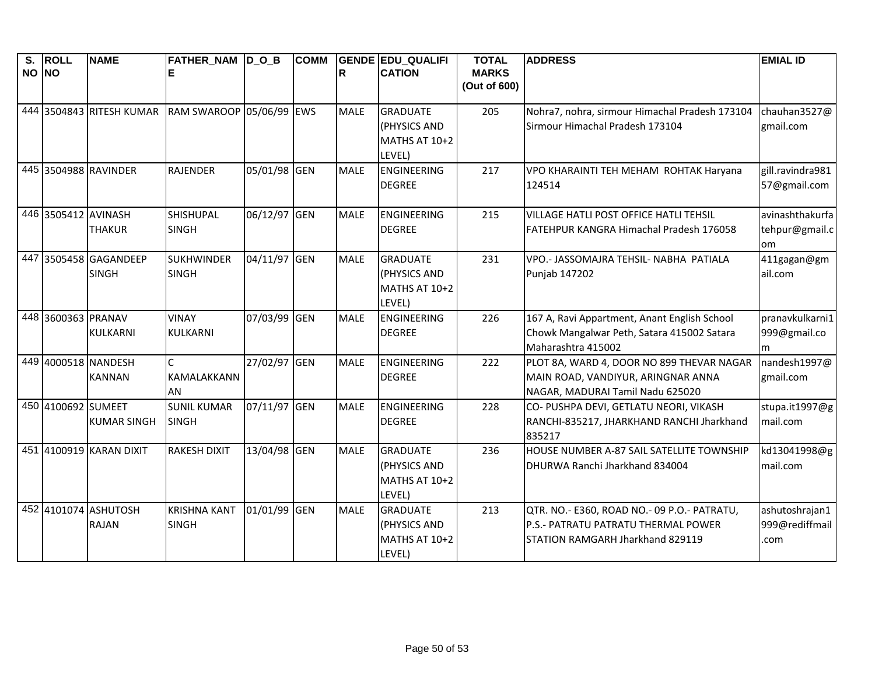|       | S. ROLL             | <b>NAME</b>                          | <b>FATHER_NAM D_O_B</b>             |              | <b>COMM</b> |             | <b>GENDE EDU QUALIFI</b>                                          | <b>TOTAL</b>                 | <b>ADDRESS</b>                                                                                                         | <b>EMIAL ID</b>                          |
|-------|---------------------|--------------------------------------|-------------------------------------|--------------|-------------|-------------|-------------------------------------------------------------------|------------------------------|------------------------------------------------------------------------------------------------------------------------|------------------------------------------|
| NO NO |                     |                                      |                                     |              |             | R           | <b>CATION</b>                                                     | <b>MARKS</b><br>(Out of 600) |                                                                                                                        |                                          |
|       |                     | 444 3504843 RITESH KUMAR             | RAM SWAROOP 05/06/99 EWS            |              |             | <b>MALE</b> | <b>GRADUATE</b><br><b>(PHYSICS AND</b><br>MATHS AT 10+2<br>LEVEL) | 205                          | Nohra7, nohra, sirmour Himachal Pradesh 173104<br>Sirmour Himachal Pradesh 173104                                      | chauhan3527@<br>gmail.com                |
|       |                     | 445 3504988 RAVINDER                 | <b>RAJENDER</b>                     | 05/01/98 GEN |             | <b>MALE</b> | ENGINEERING<br><b>DEGREE</b>                                      | 217                          | VPO KHARAINTI TEH MEHAM ROHTAK Haryana<br>124514                                                                       | gill.ravindra981<br>57@gmail.com         |
|       | 446 3505412 AVINASH | <b>THAKUR</b>                        | SHISHUPAL<br><b>SINGH</b>           | 06/12/97 GEN |             | <b>MALE</b> | ENGINEERING<br><b>DEGREE</b>                                      | 215                          | VILLAGE HATLI POST OFFICE HATLI TEHSIL<br>FATEHPUR KANGRA Himachal Pradesh 176058                                      | avinashthakurfa<br>tehpur@gmail.c<br>om  |
| 447   |                     | 3505458 GAGANDEEP<br><b>SINGH</b>    | <b>SUKHWINDER</b><br><b>SINGH</b>   | 04/11/97 GEN |             | <b>MALE</b> | <b>GRADUATE</b><br>(PHYSICS AND<br>MATHS AT 10+2<br>LEVEL)        | 231                          | VPO .- JASSOMAJRA TEHSIL- NABHA PATIALA<br><b>Punjab 147202</b>                                                        | 411gagan@gm<br>ail.com                   |
|       | 448 3600363 PRANAV  | <b>KULKARNI</b>                      | <b>VINAY</b><br><b>KULKARNI</b>     | 07/03/99 GEN |             | <b>MALE</b> | <b>ENGINEERING</b><br><b>DEGREE</b>                               | 226                          | 167 A, Ravi Appartment, Anant English School<br>Chowk Mangalwar Peth, Satara 415002 Satara<br>Maharashtra 415002       | pranavkulkarni1<br>999@gmail.co<br>m     |
|       |                     | 449 4000518 NANDESH<br><b>KANNAN</b> | $\mathsf{C}$<br>KAMALAKKANN<br>AN   | 27/02/97 GEN |             | <b>MALE</b> | ENGINEERING<br><b>DEGREE</b>                                      | 222                          | PLOT 8A, WARD 4, DOOR NO 899 THEVAR NAGAR<br>MAIN ROAD, VANDIYUR, ARINGNAR ANNA<br>NAGAR, MADURAI Tamil Nadu 625020    | nandesh1997@<br>gmail.com                |
|       | 450 4100692 SUMEET  | <b>KUMAR SINGH</b>                   | <b>SUNIL KUMAR</b><br><b>SINGH</b>  | 07/11/97 GEN |             | <b>MALE</b> | <b>ENGINEERING</b><br><b>DEGREE</b>                               | 228                          | CO- PUSHPA DEVI, GETLATU NEORI, VIKASH<br>RANCHI-835217, JHARKHAND RANCHI Jharkhand<br>835217                          | stupa.it1997@g<br>mail.com               |
|       |                     | 451 4100919 KARAN DIXIT              | <b>RAKESH DIXIT</b>                 | 13/04/98 GEN |             | <b>MALE</b> | <b>GRADUATE</b><br>(PHYSICS AND<br>MATHS AT 10+2<br>LEVEL)        | 236                          | HOUSE NUMBER A-87 SAIL SATELLITE TOWNSHIP<br>DHURWA Ranchi Jharkhand 834004                                            | kd13041998@g<br>mail.com                 |
|       |                     | 452 4101074 ASHUTOSH<br><b>RAJAN</b> | <b>KRISHNA KANT</b><br><b>SINGH</b> | 01/01/99 GEN |             | <b>MALE</b> | <b>GRADUATE</b><br>(PHYSICS AND<br>MATHS AT 10+2<br>LEVEL)        | 213                          | QTR. NO.- E360, ROAD NO.- 09 P.O.- PATRATU,<br>P.S.- PATRATU PATRATU THERMAL POWER<br>STATION RAMGARH Jharkhand 829119 | ashutoshrajan1<br>999@rediffmail<br>.com |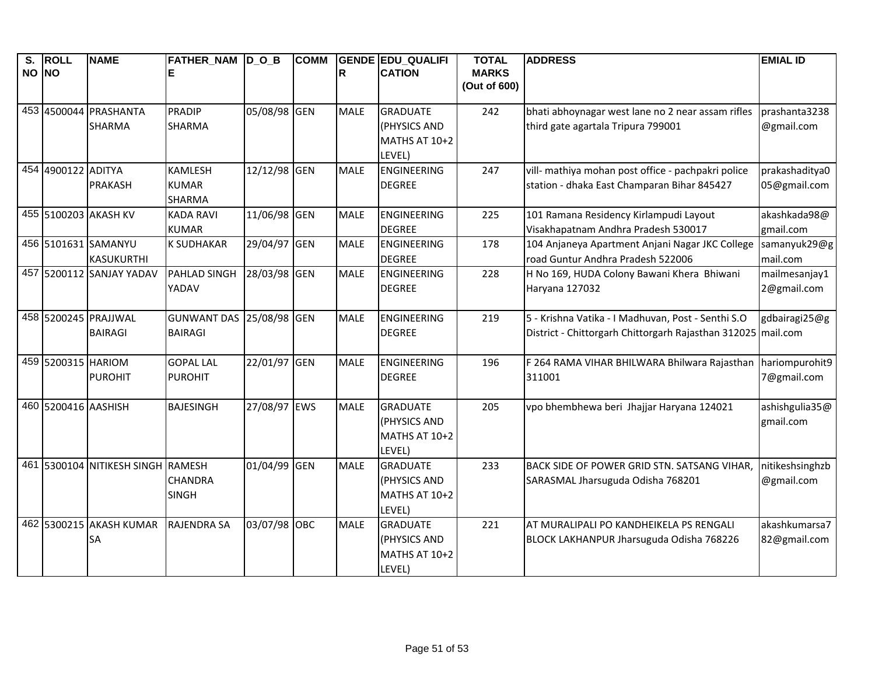| S.<br>NO NO | <b>ROLL</b>         | <b>NAME</b>                       | FATHER_NAM D_O_B               |              | <b>COMM</b> | $\mathbf R$ | <b>GENDE EDU QUALIFI</b><br><b>CATION</b> | <b>TOTAL</b><br><b>MARKS</b> | <b>ADDRESS</b>                                               | <b>EMIAL ID</b> |
|-------------|---------------------|-----------------------------------|--------------------------------|--------------|-------------|-------------|-------------------------------------------|------------------------------|--------------------------------------------------------------|-----------------|
|             |                     |                                   |                                |              |             |             |                                           | (Out of 600)                 |                                                              |                 |
|             |                     | 453 4500044 PRASHANTA             | <b>PRADIP</b>                  | 05/08/98 GEN |             | <b>MALE</b> | <b>GRADUATE</b>                           | 242                          | bhati abhoynagar west lane no 2 near assam rifles            | prashanta3238   |
|             |                     | <b>SHARMA</b>                     | <b>SHARMA</b>                  |              |             |             | (PHYSICS AND                              |                              | third gate agartala Tripura 799001                           | @gmail.com      |
|             |                     |                                   |                                |              |             |             | MATHS AT 10+2                             |                              |                                                              |                 |
|             | 454 4900122 ADITYA  |                                   | <b>KAMLESH</b>                 | 12/12/98 GEN |             | <b>MALE</b> | LEVEL)<br><b>ENGINEERING</b>              | 247                          | vill- mathiya mohan post office - pachpakri police           | prakashaditya0  |
|             |                     | <b>PRAKASH</b>                    | <b>KUMAR</b>                   |              |             |             | <b>DEGREE</b>                             |                              | station - dhaka East Champaran Bihar 845427                  | 05@gmail.com    |
|             |                     |                                   | <b>SHARMA</b>                  |              |             |             |                                           |                              |                                                              |                 |
|             |                     | 455 5100203 AKASH KV              | <b>KADA RAVI</b>               | 11/06/98 GEN |             | <b>MALE</b> | <b>ENGINEERING</b>                        | 225                          | 101 Ramana Residency Kirlampudi Layout                       | akashkada98@    |
|             |                     |                                   | <b>KUMAR</b>                   |              |             |             | <b>DEGREE</b>                             |                              | Visakhapatnam Andhra Pradesh 530017                          | gmail.com       |
|             |                     | 456 5101631 SAMANYU               | <b>K SUDHAKAR</b>              | 29/04/97 GEN |             | <b>MALE</b> | <b>ENGINEERING</b>                        | 178                          | 104 Anjaneya Apartment Anjani Nagar JKC College              | samanyuk29@g    |
|             |                     | <b>KASUKURTHI</b>                 |                                |              |             |             | <b>DEGREE</b>                             |                              | road Guntur Andhra Pradesh 522006                            | mail.com        |
|             |                     | 457 5200112 SANJAY YADAV          | PAHLAD SINGH                   | 28/03/98 GEN |             | <b>MALE</b> | ENGINEERING                               | 228                          | H No 169, HUDA Colony Bawani Khera Bhiwani                   | mailmesanjay1   |
|             |                     |                                   | YADAV                          |              |             |             | <b>DEGREE</b>                             |                              | Haryana 127032                                               | 2@gmail.com     |
|             |                     | 458 5200245 PRAJJWAL              | <b>GUNWANT DAS</b>             | 25/08/98 GEN |             | <b>MALE</b> | ENGINEERING                               | 219                          | 5 - Krishna Vatika - I Madhuvan, Post - Senthi S.O           | gdbairagi25@g   |
|             |                     | <b>BAIRAGI</b>                    | <b>BAIRAGI</b>                 |              |             |             | <b>DEGREE</b>                             |                              | District - Chittorgarh Chittorgarh Rajasthan 312025 mail.com |                 |
|             |                     |                                   |                                |              |             |             |                                           |                              |                                                              |                 |
|             | 459 5200315 HARIOM  |                                   | <b>GOPAL LAL</b>               | 22/01/97 GEN |             | <b>MALE</b> | ENGINEERING                               | 196                          | F 264 RAMA VIHAR BHILWARA Bhilwara Rajasthan                 | hariompurohit9  |
|             |                     | <b>PUROHIT</b>                    | <b>PUROHIT</b>                 |              |             |             | <b>DEGREE</b>                             |                              | 311001                                                       | 7@gmail.com     |
|             | 460 5200416 AASHISH |                                   | <b>BAJESINGH</b>               | 27/08/97 EWS |             | <b>MALE</b> | <b>GRADUATE</b>                           | 205                          | vpo bhembhewa beri Jhajjar Haryana 124021                    | ashishgulia35@  |
|             |                     |                                   |                                |              |             |             | (PHYSICS AND                              |                              |                                                              | gmail.com       |
|             |                     |                                   |                                |              |             |             | MATHS AT 10+2                             |                              |                                                              |                 |
|             |                     |                                   |                                |              |             |             | LEVEL)                                    |                              |                                                              |                 |
|             |                     | 461 5300104 NITIKESH SINGH RAMESH |                                | 01/04/99 GEN |             | <b>MALE</b> | <b>GRADUATE</b>                           | 233                          | BACK SIDE OF POWER GRID STN. SATSANG VIHAR,                  | nitikeshsinghzb |
|             |                     |                                   | <b>CHANDRA</b><br><b>SINGH</b> |              |             |             | (PHYSICS AND<br>MATHS AT 10+2             |                              | SARASMAL Jharsuguda Odisha 768201                            | @gmail.com      |
|             |                     |                                   |                                |              |             |             | LEVEL)                                    |                              |                                                              |                 |
|             |                     | 462 5300215 AKASH KUMAR           | <b>RAJENDRA SA</b>             | 03/07/98 OBC |             | <b>MALE</b> | <b>GRADUATE</b>                           | 221                          | AT MURALIPALI PO KANDHEIKELA PS RENGALI                      | akashkumarsa7   |
|             |                     | SA                                |                                |              |             |             | (PHYSICS AND                              |                              | BLOCK LAKHANPUR Jharsuguda Odisha 768226                     | 82@gmail.com    |
|             |                     |                                   |                                |              |             |             | MATHS AT 10+2                             |                              |                                                              |                 |
|             |                     |                                   |                                |              |             |             | LEVEL)                                    |                              |                                                              |                 |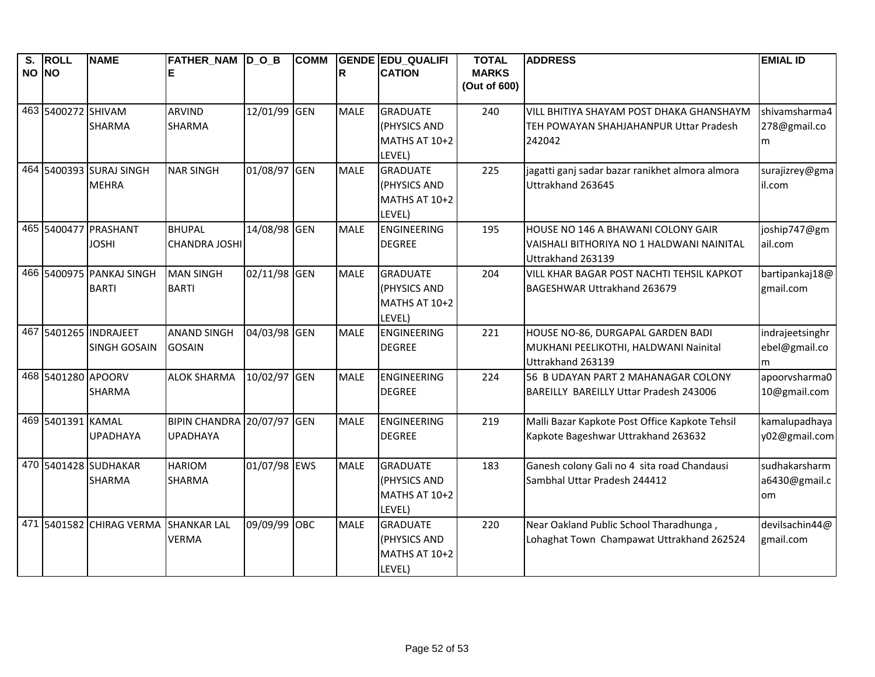| $\overline{\mathsf{s}}$ .<br>NO NO | <b>ROLL</b>        | <b>NAME</b>                                  | FATHER_NAM D_O_B                              |              | <b>COMM</b> | R           | <b>GENDE EDU QUALIFI</b><br><b>CATION</b>                  | <b>TOTAL</b><br><b>MARKS</b><br>(Out of 600) | <b>ADDRESS</b>                                                                                       | <b>EMIAL ID</b>                       |
|------------------------------------|--------------------|----------------------------------------------|-----------------------------------------------|--------------|-------------|-------------|------------------------------------------------------------|----------------------------------------------|------------------------------------------------------------------------------------------------------|---------------------------------------|
|                                    | 463 5400272 SHIVAM | <b>SHARMA</b>                                | <b>ARVIND</b><br><b>SHARMA</b>                | 12/01/99 GEN |             | <b>MALE</b> | <b>GRADUATE</b><br>(PHYSICS AND<br>MATHS AT 10+2<br>LEVEL) | 240                                          | VILL BHITIYA SHAYAM POST DHAKA GHANSHAYM<br>TEH POWAYAN SHAHJAHANPUR Uttar Pradesh<br>242042         | shivamsharma4<br>278@gmail.co<br>m    |
|                                    |                    | 464 5400393 SURAJ SINGH<br><b>MEHRA</b>      | <b>NAR SINGH</b>                              | 01/08/97 GEN |             | <b>MALE</b> | <b>GRADUATE</b><br>(PHYSICS AND<br>MATHS AT 10+2<br>LEVEL) | 225                                          | jagatti ganj sadar bazar ranikhet almora almora<br>Uttrakhand 263645                                 | surajizrey@gma<br>il.com              |
|                                    | 465 5400477        | PRASHANT<br><b>JOSHI</b>                     | <b>BHUPAL</b><br><b>CHANDRA JOSHI</b>         | 14/08/98 GEN |             | <b>MALE</b> | <b>ENGINEERING</b><br><b>DEGREE</b>                        | 195                                          | HOUSE NO 146 A BHAWANI COLONY GAIR<br>VAISHALI BITHORIYA NO 1 HALDWANI NAINITAL<br>Uttrakhand 263139 | joship747@gm<br>ail.com               |
|                                    |                    | 466 5400975 PANKAJ SINGH<br><b>BARTI</b>     | <b>MAN SINGH</b><br><b>BARTI</b>              | 02/11/98 GEN |             | <b>MALE</b> | <b>GRADUATE</b><br>(PHYSICS AND<br>MATHS AT 10+2<br>LEVEL) | 204                                          | VILL KHAR BAGAR POST NACHTI TEHSIL KAPKOT<br>BAGESHWAR Uttrakhand 263679                             | bartipankaj18@<br>gmail.com           |
|                                    |                    | 467 5401265 INDRAJEET<br><b>SINGH GOSAIN</b> | <b>ANAND SINGH</b><br><b>GOSAIN</b>           | 04/03/98 GEN |             | <b>MALE</b> | <b>ENGINEERING</b><br><b>DEGREE</b>                        | 221                                          | HOUSE NO-86, DURGAPAL GARDEN BADI<br>MUKHANI PEELIKOTHI, HALDWANI Nainital<br>Uttrakhand 263139      | indrajeetsinghr<br>ebel@gmail.co<br>m |
|                                    | 468 5401280 APOORV | <b>SHARMA</b>                                | <b>ALOK SHARMA</b>                            | 10/02/97 GEN |             | <b>MALE</b> | ENGINEERING<br><b>DEGREE</b>                               | 224                                          | 56 B UDAYAN PART 2 MAHANAGAR COLONY<br>BAREILLY BAREILLY Uttar Pradesh 243006                        | apoorvsharma0<br>10@gmail.com         |
|                                    | 469 5401391 KAMAL  | <b>UPADHAYA</b>                              | BIPIN CHANDRA 20/07/97 GEN<br><b>UPADHAYA</b> |              |             | <b>MALE</b> | ENGINEERING<br><b>DEGREE</b>                               | 219                                          | Malli Bazar Kapkote Post Office Kapkote Tehsil<br>Kapkote Bageshwar Uttrakhand 263632                | kamalupadhaya<br>y02@gmail.com        |
|                                    |                    | 470 5401428 SUDHAKAR<br>SHARMA               | <b>HARIOM</b><br><b>SHARMA</b>                | 01/07/98 EWS |             | <b>MALE</b> | <b>GRADUATE</b><br>(PHYSICS AND<br>MATHS AT 10+2<br>LEVEL) | 183                                          | Ganesh colony Gali no 4 sita road Chandausi<br>Sambhal Uttar Pradesh 244412                          | sudhakarsharm<br>a6430@gmail.c<br>om  |
|                                    |                    | 471 5401582 CHIRAG VERMA                     | <b>SHANKAR LAL</b><br><b>VERMA</b>            | 09/09/99 OBC |             | <b>MALE</b> | <b>GRADUATE</b><br>(PHYSICS AND<br>MATHS AT 10+2<br>LEVEL) | 220                                          | Near Oakland Public School Tharadhunga,<br>Lohaghat Town Champawat Uttrakhand 262524                 | devilsachin44@<br>gmail.com           |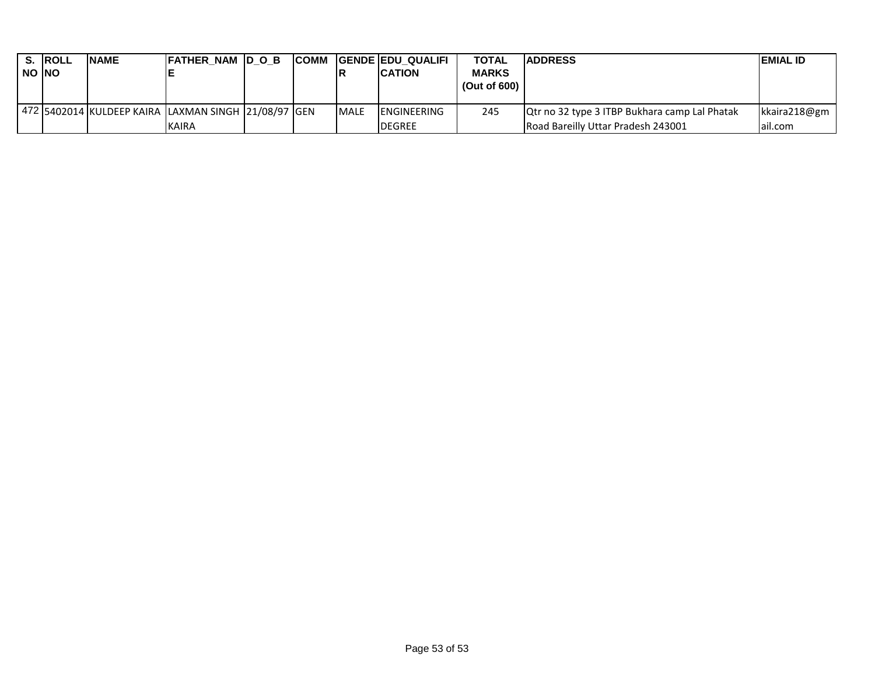|              | <b>S. ROLL</b> | <b>INAME</b> | <b>FATHER NAM DOB</b>                               |  |              | <b>ICOMM GENDE EDU QUALIFI</b> | <b>TOTAL</b> | <b>ADDRESS</b>                                       | <b>IEMIAL ID</b> |
|--------------|----------------|--------------|-----------------------------------------------------|--|--------------|--------------------------------|--------------|------------------------------------------------------|------------------|
| <b>NO NO</b> |                |              |                                                     |  |              | <b>ICATION</b>                 | <b>MARKS</b> |                                                      |                  |
|              |                |              |                                                     |  |              |                                | (Out of 600) |                                                      |                  |
|              |                |              |                                                     |  |              |                                |              |                                                      |                  |
|              |                |              | 472 5402014 KULDEEP KAIRA LAXMAN SINGH 21/08/97 GEN |  | <b>IMALE</b> | <b>IENGINEERING</b>            | 245          | <b>Qtr no 32 type 3 ITBP Bukhara camp Lal Phatak</b> | kkaira218@gm     |
|              |                |              | <b>KAIRA</b>                                        |  |              | <b>DEGREE</b>                  |              | Road Bareilly Uttar Pradesh 243001                   | lail.com         |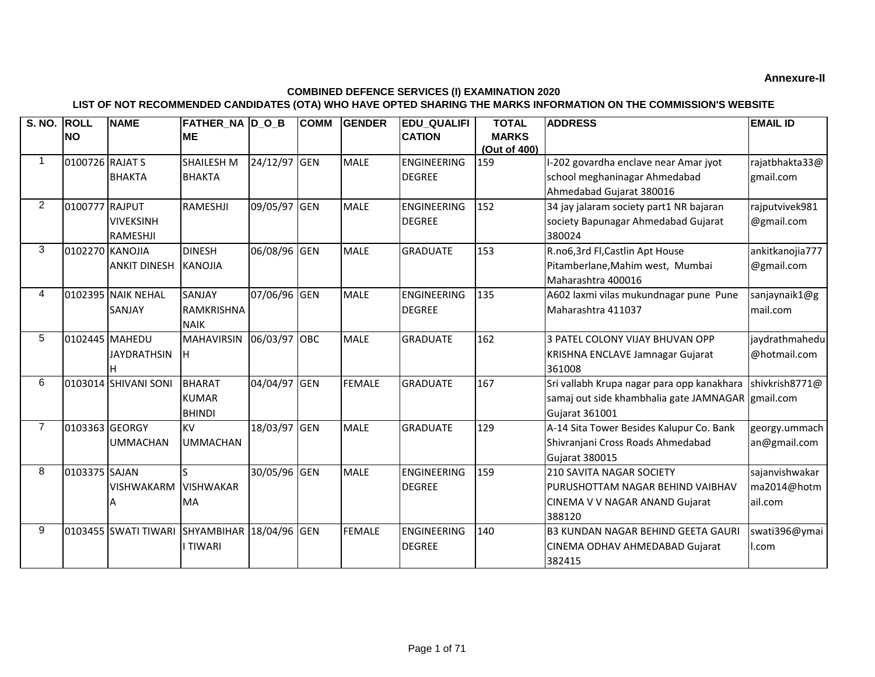## **Annexure-II**

## **COMBINED DEFENCE SERVICES (I) EXAMINATION 2020**

## **LIST OF NOT RECOMMENDED CANDIDATES (OTA) WHO HAVE OPTED SHARING THE MARKS INFORMATION ON THE COMMISSION'S WEBSITE**

| S. NO. ROLL    | <b>INO</b>      | <b>NAME</b>                          | FATHER_NA D_O_B<br><b>ME</b>                      |              | <b>COMM</b> | <b>GENDER</b> | <b>EDU QUALIFI</b><br><b>CATION</b> | <b>TOTAL</b><br><b>MARKS</b><br>(Out of 400) | <b>ADDRESS</b>                                                                                                           | <b>EMAIL ID</b>                          |
|----------------|-----------------|--------------------------------------|---------------------------------------------------|--------------|-------------|---------------|-------------------------------------|----------------------------------------------|--------------------------------------------------------------------------------------------------------------------------|------------------------------------------|
| $\mathbf 1$    | 0100726 RAJAT S |                                      | <b>SHAILESH M</b>                                 | 24/12/97 GEN |             | <b>MALE</b>   | <b>ENGINEERING</b>                  | 159                                          | I-202 govardha enclave near Amar jyot                                                                                    | rajatbhakta33@                           |
|                |                 | <b>BHAKTA</b>                        | <b>BHAKTA</b>                                     |              |             |               | <b>DEGREE</b>                       |                                              | school meghaninagar Ahmedabad<br>Ahmedabad Gujarat 380016                                                                | gmail.com                                |
| $\overline{2}$ | 0100777 RAJPUT  | <b>VIVEKSINH</b><br>RAMESHJI         | RAMESHJI                                          | 09/05/97 GEN |             | <b>MALE</b>   | <b>ENGINEERING</b><br><b>DEGREE</b> | 152                                          | 34 jay jalaram society part1 NR bajaran<br>society Bapunagar Ahmedabad Gujarat<br>380024                                 | rajputvivek981<br>@gmail.com             |
| 3              | 0102270 KANOJIA | <b>ANKIT DINESH</b>                  | <b>DINESH</b><br><b>KANOJIA</b>                   | 06/08/96 GEN |             | <b>MALE</b>   | <b>GRADUATE</b>                     | 153                                          | R.no6,3rd Fl,Castlin Apt House<br>Pitamberlane, Mahim west, Mumbai<br>Maharashtra 400016                                 | ankitkanojia777<br>@gmail.com            |
| 4              |                 | 0102395 NAIK NEHAL<br><b>SANJAY</b>  | <b>SANJAY</b><br><b>RAMKRISHNA</b><br><b>NAIK</b> | 07/06/96 GEN |             | <b>MALE</b>   | <b>ENGINEERING</b><br><b>DEGREE</b> | 135                                          | A602 laxmi vilas mukundnagar pune Pune<br>Maharashtra 411037                                                             | sanjaynaik1@g<br>mail.com                |
| 5              |                 | 0102445 MAHEDU<br><b>JAYDRATHSIN</b> | <b>MAHAVIRSIN</b><br>ıн                           | 06/03/97 OBC |             | <b>MALE</b>   | <b>GRADUATE</b>                     | 162                                          | 3 PATEL COLONY VIJAY BHUVAN OPP<br>KRISHNA ENCLAVE Jamnagar Gujarat<br>361008                                            | jaydrathmahedu<br>@hotmail.com           |
| 6              |                 | 0103014 SHIVANI SONI                 | <b>BHARAT</b><br><b>KUMAR</b><br><b>BHINDI</b>    | 04/04/97 GEN |             | <b>FEMALE</b> | <b>GRADUATE</b>                     | 167                                          | Sri vallabh Krupa nagar para opp kanakhara<br>samaj out side khambhalia gate JAMNAGAR gmail.com<br><b>Gujarat 361001</b> | shivkrish8771@                           |
| 7              | 0103363 GEORGY  | <b>UMMACHAN</b>                      | <b>KV</b><br><b>UMMACHAN</b>                      | 18/03/97 GEN |             | <b>MALE</b>   | <b>GRADUATE</b>                     | 129                                          | A-14 Sita Tower Besides Kalupur Co. Bank<br>Shivranjani Cross Roads Ahmedabad<br><b>Gujarat 380015</b>                   | georgy.ummach<br>an@gmail.com            |
| 8              | 0103375 SAJAN   | <b>VISHWAKARM</b>                    | <b>VISHWAKAR</b><br><b>MA</b>                     | 30/05/96 GEN |             | <b>MALE</b>   | <b>ENGINEERING</b><br><b>DEGREE</b> | 159                                          | 210 SAVITA NAGAR SOCIETY<br>PURUSHOTTAM NAGAR BEHIND VAIBHAV<br>CINEMA V V NAGAR ANAND Gujarat<br>388120                 | sajanvishwakar<br>ma2014@hotm<br>ail.com |
| 9              | 0103455         | SWATI TIWARI SHYAMBIHAR 18/04/96 GEN | I TIWARI                                          |              |             | <b>FEMALE</b> | <b>ENGINEERING</b><br><b>DEGREE</b> | 140                                          | <b>B3 KUNDAN NAGAR BEHIND GEETA GAURI</b><br>CINEMA ODHAV AHMEDABAD Gujarat<br>382415                                    | swati396@ymai<br>l.com                   |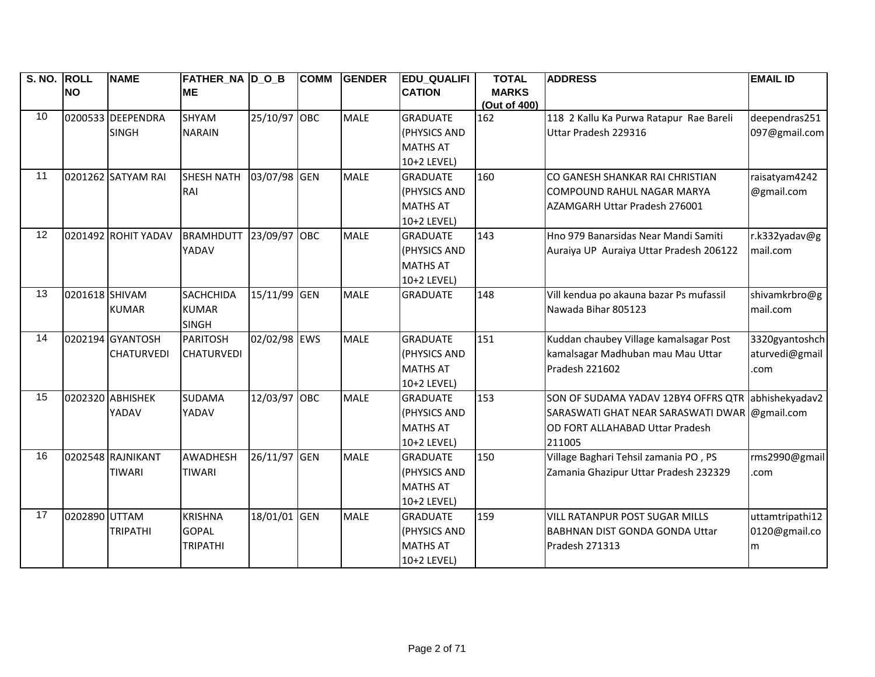| S. NO. ROLL |                | <b>NAME</b>         | <b>FATHER_NA D_O_B</b>        |              | <b>COMM</b> | <b>GENDER</b> | <b>EDU_QUALIFI</b> | <b>TOTAL</b> | <b>ADDRESS</b>                                | <b>EMAIL ID</b> |
|-------------|----------------|---------------------|-------------------------------|--------------|-------------|---------------|--------------------|--------------|-----------------------------------------------|-----------------|
|             | <b>NO</b>      |                     | <b>ME</b>                     |              |             |               | <b>CATION</b>      | <b>MARKS</b> |                                               |                 |
|             |                |                     |                               |              |             |               |                    | (Out of 400) |                                               |                 |
| 10          |                | 0200533 DEEPENDRA   | <b>SHYAM</b>                  | 25/10/97 OBC |             | <b>MALE</b>   | <b>GRADUATE</b>    | 162          | 118 2 Kallu Ka Purwa Ratapur Rae Bareli       | deependras251   |
|             |                | <b>SINGH</b>        | <b>NARAIN</b>                 |              |             |               | (PHYSICS AND       |              | Uttar Pradesh 229316                          | 097@gmail.com   |
|             |                |                     |                               |              |             |               | <b>MATHS AT</b>    |              |                                               |                 |
|             |                |                     |                               |              |             |               | 10+2 LEVEL)        |              |                                               |                 |
| 11          |                | 0201262 SATYAM RAI  | <b>SHESH NATH</b>             | 03/07/98 GEN |             | <b>MALE</b>   | <b>GRADUATE</b>    | 160          | CO GANESH SHANKAR RAI CHRISTIAN               | raisatyam4242   |
|             |                |                     | RAI                           |              |             |               | (PHYSICS AND       |              | COMPOUND RAHUL NAGAR MARYA                    | @gmail.com      |
|             |                |                     |                               |              |             |               | <b>MATHS AT</b>    |              | AZAMGARH Uttar Pradesh 276001                 |                 |
|             |                |                     |                               |              |             |               | 10+2 LEVEL)        |              |                                               |                 |
| 12          |                | 0201492 ROHIT YADAV | <b>BRAMHDUTT 23/09/97 OBC</b> |              |             | <b>MALE</b>   | <b>GRADUATE</b>    | 143          | Hno 979 Banarsidas Near Mandi Samiti          | r.k332yadav@g   |
|             |                |                     | YADAV                         |              |             |               | (PHYSICS AND       |              | Auraiya UP Auraiya Uttar Pradesh 206122       | mail.com        |
|             |                |                     |                               |              |             |               | <b>MATHS AT</b>    |              |                                               |                 |
|             |                |                     |                               |              |             |               | 10+2 LEVEL)        |              |                                               |                 |
| 13          | 0201618 SHIVAM |                     | <b>SACHCHIDA</b>              | 15/11/99 GEN |             | <b>MALE</b>   | <b>GRADUATE</b>    | 148          | Vill kendua po akauna bazar Ps mufassil       | shivamkrbro@g   |
|             |                | <b>KUMAR</b>        | <b>KUMAR</b>                  |              |             |               |                    |              | Nawada Bihar 805123                           | mail.com        |
|             |                |                     | <b>SINGH</b>                  |              |             |               |                    |              |                                               |                 |
| 14          |                | 0202194 GYANTOSH    | <b>PARITOSH</b>               | 02/02/98 EWS |             | <b>MALE</b>   | <b>GRADUATE</b>    | 151          | Kuddan chaubey Village kamalsagar Post        | 3320gyantoshch  |
|             |                | <b>CHATURVEDI</b>   | <b>CHATURVEDI</b>             |              |             |               | (PHYSICS AND       |              | kamalsagar Madhuban mau Mau Uttar             | aturvedi@gmail  |
|             |                |                     |                               |              |             |               | <b>MATHS AT</b>    |              | Pradesh 221602                                | .com            |
|             |                |                     |                               |              |             |               | 10+2 LEVEL)        |              |                                               |                 |
| 15          |                | 0202320 ABHISHEK    | <b>SUDAMA</b>                 | 12/03/97 OBC |             | <b>MALE</b>   | <b>GRADUATE</b>    | 153          | SON OF SUDAMA YADAV 12BY4 OFFRS QTR           | abhishekyadav2  |
|             |                | YADAV               | YADAV                         |              |             |               | (PHYSICS AND       |              | SARASWATI GHAT NEAR SARASWATI DWAR @gmail.com |                 |
|             |                |                     |                               |              |             |               | <b>MATHS AT</b>    |              | OD FORT ALLAHABAD Uttar Pradesh               |                 |
|             |                |                     |                               |              |             |               | 10+2 LEVEL)        |              | 211005                                        |                 |
| 16          |                | 0202548 RAJNIKANT   | AWADHESH                      | 26/11/97 GEN |             | <b>MALE</b>   | <b>GRADUATE</b>    | 150          | Village Baghari Tehsil zamania PO, PS         | rms2990@gmail   |
|             |                | <b>TIWARI</b>       | <b>TIWARI</b>                 |              |             |               | (PHYSICS AND       |              | Zamania Ghazipur Uttar Pradesh 232329         | com             |
|             |                |                     |                               |              |             |               | <b>MATHS AT</b>    |              |                                               |                 |
|             |                |                     |                               |              |             |               | 10+2 LEVEL)        |              |                                               |                 |
| 17          | 0202890 UTTAM  |                     | <b>KRISHNA</b>                | 18/01/01 GEN |             | <b>MALE</b>   | <b>GRADUATE</b>    | 159          | <b>VILL RATANPUR POST SUGAR MILLS</b>         | uttamtripathi12 |
|             |                | <b>TRIPATHI</b>     | <b>GOPAL</b>                  |              |             |               | (PHYSICS AND       |              | <b>BABHNAN DIST GONDA GONDA Uttar</b>         | 0120@gmail.co   |
|             |                |                     | <b>TRIPATHI</b>               |              |             |               | <b>MATHS AT</b>    |              | Pradesh 271313                                | m               |
|             |                |                     |                               |              |             |               | 10+2 LEVEL)        |              |                                               |                 |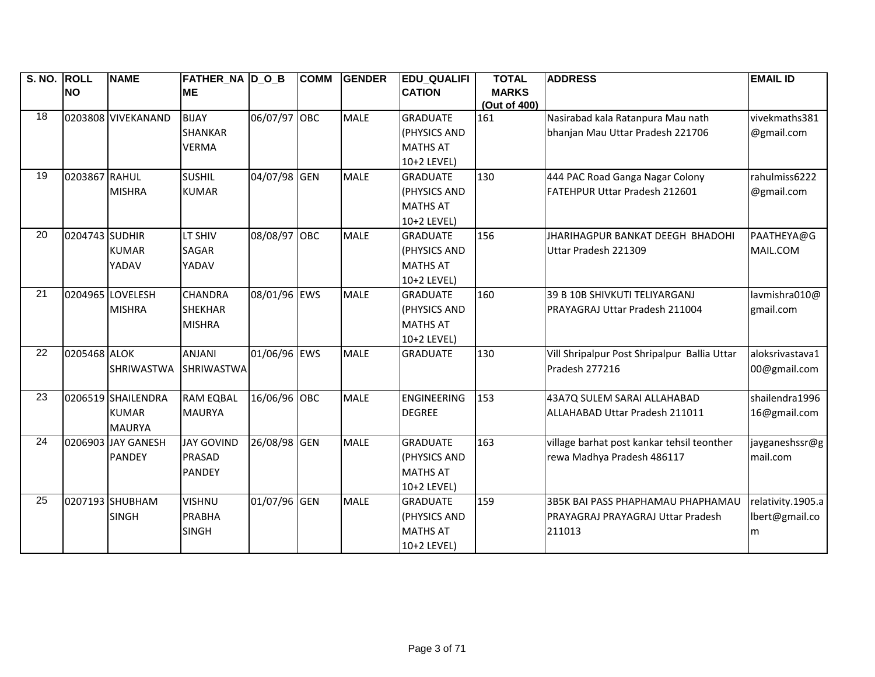| S. NO. ROLL |                | <b>NAME</b>        | <b>FATHER_NA D_O_B</b> |              | <b>COMM</b> | <b>GENDER</b> | <b>EDU_QUALIFI</b> | <b>TOTAL</b> | <b>ADDRESS</b>                               | <b>EMAIL ID</b>   |
|-------------|----------------|--------------------|------------------------|--------------|-------------|---------------|--------------------|--------------|----------------------------------------------|-------------------|
|             | <b>NO</b>      |                    | <b>ME</b>              |              |             |               | <b>CATION</b>      | <b>MARKS</b> |                                              |                   |
|             |                |                    |                        |              |             |               |                    | (Out of 400) |                                              |                   |
| 18          |                | 0203808 VIVEKANAND | <b>BIJAY</b>           | 06/07/97 OBC |             | <b>MALE</b>   | <b>GRADUATE</b>    | 161          | Nasirabad kala Ratanpura Mau nath            | vivekmaths381     |
|             |                |                    | <b>SHANKAR</b>         |              |             |               | (PHYSICS AND       |              | bhanjan Mau Uttar Pradesh 221706             | @gmail.com        |
|             |                |                    | <b>VERMA</b>           |              |             |               | <b>MATHS AT</b>    |              |                                              |                   |
|             |                |                    |                        |              |             |               | 10+2 LEVEL)        |              |                                              |                   |
| 19          | 0203867 RAHUL  |                    | <b>SUSHIL</b>          | 04/07/98 GEN |             | <b>MALE</b>   | <b>GRADUATE</b>    | 130          | 444 PAC Road Ganga Nagar Colony              | rahulmiss6222     |
|             |                | <b>MISHRA</b>      | <b>KUMAR</b>           |              |             |               | (PHYSICS AND       |              | FATEHPUR Uttar Pradesh 212601                | @gmail.com        |
|             |                |                    |                        |              |             |               | <b>MATHS AT</b>    |              |                                              |                   |
|             |                |                    |                        |              |             |               | 10+2 LEVEL)        |              |                                              |                   |
| 20          | 0204743 SUDHIR |                    | LT SHIV                | 08/08/97 OBC |             | <b>MALE</b>   | <b>GRADUATE</b>    | 156          | JHARIHAGPUR BANKAT DEEGH BHADOHI             | PAATHEYA@G        |
|             |                | <b>KUMAR</b>       | <b>SAGAR</b>           |              |             |               | (PHYSICS AND       |              | Uttar Pradesh 221309                         | MAIL.COM          |
|             |                | YADAV              | YADAV                  |              |             |               | <b>MATHS AT</b>    |              |                                              |                   |
|             |                |                    |                        |              |             |               | 10+2 LEVEL)        |              |                                              |                   |
| 21          |                | 0204965 LOVELESH   | <b>CHANDRA</b>         | 08/01/96 EWS |             | <b>MALE</b>   | <b>GRADUATE</b>    | 160          | 39 B 10B SHIVKUTI TELIYARGANJ                | lavmishra010@     |
|             |                | <b>MISHRA</b>      | <b>SHEKHAR</b>         |              |             |               | (PHYSICS AND       |              | IPRAYAGRAJ Uttar Pradesh 211004              | gmail.com         |
|             |                |                    | <b>MISHRA</b>          |              |             |               | <b>MATHS AT</b>    |              |                                              |                   |
|             |                |                    |                        |              |             |               | 10+2 LEVEL)        |              |                                              |                   |
| 22          | 0205468 ALOK   |                    | <b>ANJANI</b>          | 01/06/96 EWS |             | <b>MALE</b>   | <b>GRADUATE</b>    | 130          | Vill Shripalpur Post Shripalpur Ballia Uttar | aloksrivastava1   |
|             |                | <b>SHRIWASTWA</b>  | <b>SHRIWASTWA</b>      |              |             |               |                    |              | Pradesh 277216                               | 00@gmail.com      |
|             |                |                    |                        |              |             |               |                    |              |                                              |                   |
| 23          |                | 0206519 SHAILENDRA | <b>RAM EQBAL</b>       | 16/06/96 OBC |             | <b>MALE</b>   | <b>ENGINEERING</b> | 153          | 43A7Q SULEM SARAI ALLAHABAD                  | shailendra1996    |
|             |                | <b>KUMAR</b>       | <b>MAURYA</b>          |              |             |               | <b>DEGREE</b>      |              | <b>ALLAHABAD Uttar Pradesh 211011</b>        | 16@gmail.com      |
|             |                | <b>MAURYA</b>      |                        |              |             |               |                    |              |                                              |                   |
| 24          |                | 0206903 JAY GANESH | <b>JAY GOVIND</b>      | 26/08/98 GEN |             | <b>MALE</b>   | <b>GRADUATE</b>    | 163          | village barhat post kankar tehsil teonther   | jayganeshssr@g    |
|             |                | <b>PANDEY</b>      | <b>PRASAD</b>          |              |             |               | (PHYSICS AND       |              | rewa Madhya Pradesh 486117                   | mail.com          |
|             |                |                    | <b>PANDEY</b>          |              |             |               | <b>MATHS AT</b>    |              |                                              |                   |
|             |                |                    |                        |              |             |               | 10+2 LEVEL)        |              |                                              |                   |
| 25          |                | 0207193 SHUBHAM    | <b>VISHNU</b>          | 01/07/96 GEN |             | <b>MALE</b>   | <b>GRADUATE</b>    | 159          | 3B5K BAI PASS PHAPHAMAU PHAPHAMAU            | relativity.1905.a |
|             |                | <b>SINGH</b>       | <b>PRABHA</b>          |              |             |               | (PHYSICS AND       |              | PRAYAGRAJ PRAYAGRAJ Uttar Pradesh            | lbert@gmail.co    |
|             |                |                    | <b>SINGH</b>           |              |             |               | <b>MATHS AT</b>    |              | 211013                                       | m                 |
|             |                |                    |                        |              |             |               | 10+2 LEVEL)        |              |                                              |                   |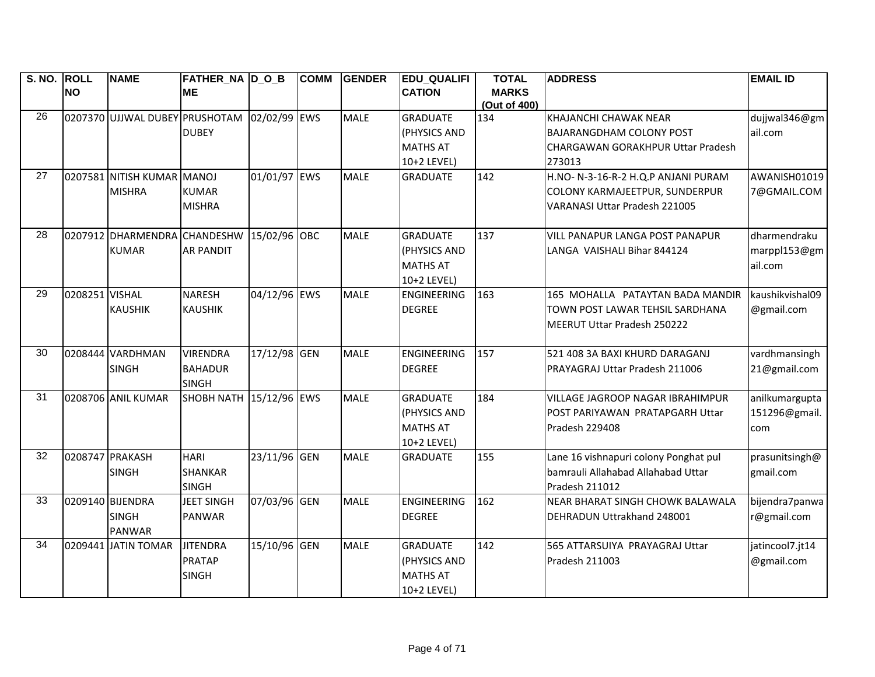| S. NO. ROLL     |                 | <b>NAME</b>                               | <b>FATHER_NA D_O_B</b>  |              | <b>COMM</b> | <b>GENDER</b> | <b>EDU QUALIFI</b> | <b>TOTAL</b>                 | <b>ADDRESS</b>                          | <b>EMAIL ID</b>      |
|-----------------|-----------------|-------------------------------------------|-------------------------|--------------|-------------|---------------|--------------------|------------------------------|-----------------------------------------|----------------------|
|                 | <b>NO</b>       |                                           | <b>ME</b>               |              |             |               | <b>CATION</b>      | <b>MARKS</b><br>(Out of 400) |                                         |                      |
| $\overline{26}$ |                 | 0207370 UJJWAL DUBEY PRUSHOTAM            |                         | 02/02/99 EWS |             | <b>MALE</b>   | <b>GRADUATE</b>    | 134                          | KHAJANCHI CHAWAK NEAR                   | dujjwal346@gm        |
|                 |                 |                                           | <b>DUBEY</b>            |              |             |               | (PHYSICS AND       |                              | <b>BAJARANGDHAM COLONY POST</b>         | ail.com              |
|                 |                 |                                           |                         |              |             |               | <b>MATHS AT</b>    |                              | CHARGAWAN GORAKHPUR Uttar Pradesh       |                      |
|                 |                 |                                           |                         |              |             |               | 10+2 LEVEL)        |                              | 273013                                  |                      |
| 27              |                 | 0207581 NITISH KUMAR MANOJ                |                         | 01/01/97 EWS |             | <b>MALE</b>   | <b>GRADUATE</b>    | 142                          | H.NO- N-3-16-R-2 H.Q.P ANJANI PURAM     | AWANISH01019         |
|                 |                 | <b>MISHRA</b>                             | <b>KUMAR</b>            |              |             |               |                    |                              | COLONY KARMAJEETPUR, SUNDERPUR          | 7@GMAIL.COM          |
|                 |                 |                                           | <b>MISHRA</b>           |              |             |               |                    |                              | <b>VARANASI Uttar Pradesh 221005</b>    |                      |
|                 |                 |                                           |                         |              |             |               |                    |                              |                                         |                      |
| 28              |                 | 0207912 DHARMENDRA CHANDESHW 15/02/96 OBC |                         |              |             | <b>MALE</b>   | <b>GRADUATE</b>    | 137                          | <b>VILL PANAPUR LANGA POST PANAPUR</b>  | dharmendraku         |
|                 |                 | <b>KUMAR</b>                              | <b>AR PANDIT</b>        |              |             |               | (PHYSICS AND       |                              | LANGA VAISHALI Bihar 844124             | $marppl153@gmail$ gm |
|                 |                 |                                           |                         |              |             |               | <b>MATHS AT</b>    |                              |                                         | ail.com              |
|                 |                 |                                           |                         |              |             |               | 10+2 LEVEL)        |                              |                                         |                      |
| $\overline{29}$ | 0208251 VISHAL  |                                           | <b>NARESH</b>           | 04/12/96 EWS |             | <b>MALE</b>   | <b>ENGINEERING</b> | 163                          | 165 MOHALLA PATAYTAN BADA MANDIR        | kaushikvishal09      |
|                 |                 | <b>KAUSHIK</b>                            | <b>KAUSHIK</b>          |              |             |               | <b>DEGREE</b>      |                              | TOWN POST LAWAR TEHSIL SARDHANA         | @gmail.com           |
|                 |                 |                                           |                         |              |             |               |                    |                              | MEERUT Uttar Pradesh 250222             |                      |
|                 |                 |                                           |                         |              |             |               |                    |                              |                                         |                      |
| 30              |                 | 0208444 VARDHMAN                          | <b>VIRENDRA</b>         | 17/12/98 GEN |             | <b>MALE</b>   | <b>ENGINEERING</b> | 157                          | 521 408 3A BAXI KHURD DARAGANJ          | vardhmansingh        |
|                 |                 | <b>SINGH</b>                              | <b>BAHADUR</b>          |              |             |               | <b>DEGREE</b>      |                              | PRAYAGRAJ Uttar Pradesh 211006          | 21@gmail.com         |
|                 |                 |                                           | <b>SINGH</b>            |              |             |               |                    |                              |                                         |                      |
| 31              |                 | 0208706 ANIL KUMAR                        | SHOBH NATH 15/12/96 EWS |              |             | <b>MALE</b>   | <b>GRADUATE</b>    | 184                          | <b>VILLAGE JAGROOP NAGAR IBRAHIMPUR</b> | anilkumargupta       |
|                 |                 |                                           |                         |              |             |               | (PHYSICS AND       |                              | POST PARIYAWAN PRATAPGARH Uttar         | 151296@gmail.        |
|                 |                 |                                           |                         |              |             |               | <b>MATHS AT</b>    |                              | Pradesh 229408                          | com                  |
|                 |                 |                                           |                         |              |             |               | 10+2 LEVEL)        |                              |                                         |                      |
| 32              | 0208747 PRAKASH |                                           | <b>HARI</b>             | 23/11/96 GEN |             | <b>MALE</b>   | <b>GRADUATE</b>    | 155                          | Lane 16 vishnapuri colony Ponghat pul   | prasunitsingh@       |
|                 |                 | <b>SINGH</b>                              | <b>SHANKAR</b>          |              |             |               |                    |                              | bamrauli Allahabad Allahabad Uttar      | gmail.com            |
| $\overline{33}$ |                 |                                           | <b>SINGH</b>            |              |             |               |                    |                              | Pradesh 211012                          |                      |
|                 |                 | 0209140 BIJENDRA                          | <b>JEET SINGH</b>       | 07/03/96 GEN |             | <b>MALE</b>   | <b>ENGINEERING</b> | 162                          | NEAR BHARAT SINGH CHOWK BALAWALA        | bijendra7panwa       |
|                 |                 | <b>SINGH</b>                              | <b>PANWAR</b>           |              |             |               | <b>DEGREE</b>      |                              | DEHRADUN Uttrakhand 248001              | r@gmail.com          |
| 34              |                 | <b>PANWAR</b><br>0209441 JATIN TOMAR      | <b>JITENDRA</b>         | 15/10/96 GEN |             | <b>MALE</b>   | <b>GRADUATE</b>    | 142                          | 565 ATTARSUIYA PRAYAGRAJ Uttar          | jatincool7.jt14      |
|                 |                 |                                           | <b>PRATAP</b>           |              |             |               | (PHYSICS AND       |                              | Pradesh 211003                          | @gmail.com           |
|                 |                 |                                           | <b>SINGH</b>            |              |             |               | <b>MATHS AT</b>    |                              |                                         |                      |
|                 |                 |                                           |                         |              |             |               | 10+2 LEVEL)        |                              |                                         |                      |
|                 |                 |                                           |                         |              |             |               |                    |                              |                                         |                      |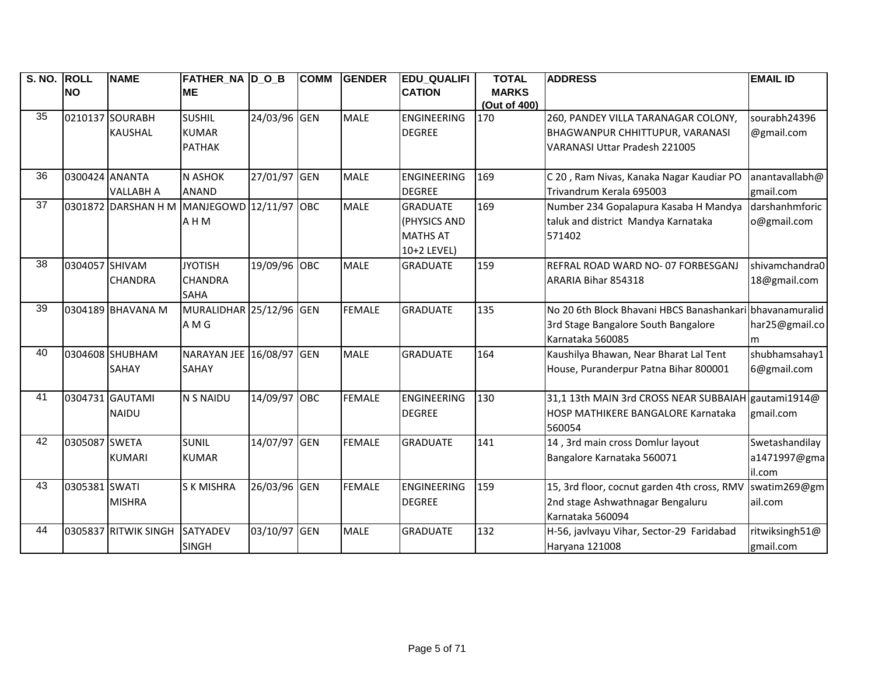| S. NO. | <b>ROLL</b>    | <b>NAME</b>          | <b>FATHER_NA D_O_B</b>   |              | <b>COMM</b> | <b>GENDER</b> | <b>EDU_QUALIFI</b> | <b>TOTAL</b>        | <b>ADDRESS</b>                                           | <b>EMAIL ID</b> |
|--------|----------------|----------------------|--------------------------|--------------|-------------|---------------|--------------------|---------------------|----------------------------------------------------------|-----------------|
|        | <b>NO</b>      |                      | <b>ME</b>                |              |             |               | <b>CATION</b>      | <b>MARKS</b>        |                                                          |                 |
| 35     |                | 0210137 SOURABH      | <b>SUSHIL</b>            | 24/03/96 GEN |             | <b>MALE</b>   | <b>ENGINEERING</b> | (Out of 400)<br>170 | 260, PANDEY VILLA TARANAGAR COLONY,                      | sourabh24396    |
|        |                | <b>KAUSHAL</b>       | <b>KUMAR</b>             |              |             |               | <b>DEGREE</b>      |                     | <b>BHAGWANPUR CHHITTUPUR, VARANASI</b>                   | @gmail.com      |
|        |                |                      | <b>PATHAK</b>            |              |             |               |                    |                     | <b>VARANASI Uttar Pradesh 221005</b>                     |                 |
|        |                |                      |                          |              |             |               |                    |                     |                                                          |                 |
| 36     | 0300424 ANANTA |                      | <b>N ASHOK</b>           | 27/01/97 GEN |             | <b>MALE</b>   | <b>ENGINEERING</b> | 169                 | C 20, Ram Nivas, Kanaka Nagar Kaudiar PO                 | anantavallabh@  |
|        |                | <b>VALLABH A</b>     | <b>ANAND</b>             |              |             |               | <b>DEGREE</b>      |                     | Trivandrum Kerala 695003                                 | gmail.com       |
| 37     |                | 0301872 DARSHAN H M  | MANJEGOWD 12/11/97 OBC   |              |             | <b>MALE</b>   | <b>GRADUATE</b>    | 169                 | Number 234 Gopalapura Kasaba H Mandya                    | darshanhmforic  |
|        |                |                      | A H M                    |              |             |               | (PHYSICS AND       |                     | taluk and district Mandya Karnataka                      | o@gmail.com     |
|        |                |                      |                          |              |             |               | <b>MATHS AT</b>    |                     | 571402                                                   |                 |
|        |                |                      |                          |              |             |               | 10+2 LEVEL)        |                     |                                                          |                 |
| 38     | 0304057 SHIVAM |                      | <b>JYOTISH</b>           | 19/09/96 OBC |             | <b>MALE</b>   | <b>GRADUATE</b>    | 159                 | REFRAL ROAD WARD NO- 07 FORBESGANJ                       | shivamchandra0  |
|        |                | <b>CHANDRA</b>       | <b>CHANDRA</b>           |              |             |               |                    |                     | ARARIA Bihar 854318                                      | 18@gmail.com    |
|        |                |                      | <b>SAHA</b>              |              |             |               |                    |                     |                                                          |                 |
| 39     |                | 0304189 BHAVANA M    | MURALIDHAR 25/12/96 GEN  |              |             | <b>FEMALE</b> | <b>GRADUATE</b>    | 135                 | No 20 6th Block Bhavani HBCS Banashankari bhavanamuralid |                 |
|        |                |                      | A M G                    |              |             |               |                    |                     | 3rd Stage Bangalore South Bangalore                      | har25@gmail.co  |
|        |                |                      |                          |              |             |               |                    |                     | Karnataka 560085                                         | m               |
| 40     |                | 0304608 SHUBHAM      | NARAYAN JEE 16/08/97 GEN |              |             | <b>MALE</b>   | <b>GRADUATE</b>    | 164                 | Kaushilya Bhawan, Near Bharat Lal Tent                   | shubhamsahay1   |
|        |                | SAHAY                | SAHAY                    |              |             |               |                    |                     | House, Puranderpur Patna Bihar 800001                    | 6@gmail.com     |
|        |                |                      |                          |              |             |               |                    |                     |                                                          |                 |
| 41     |                | 0304731 GAUTAMI      | <b>N S NAIDU</b>         | 14/09/97 OBC |             | <b>FEMALE</b> | <b>ENGINEERING</b> | 130                 | 31,1 13th MAIN 3rd CROSS NEAR SUBBAIAH gautami1914@      |                 |
|        |                | <b>NAIDU</b>         |                          |              |             |               | <b>DEGREE</b>      |                     | <b>HOSP MATHIKERE BANGALORE Karnataka</b>                | gmail.com       |
|        |                |                      |                          |              |             |               |                    |                     | 560054                                                   |                 |
| 42     | 0305087 SWETA  |                      | <b>SUNIL</b>             | 14/07/97 GEN |             | <b>FEMALE</b> | <b>GRADUATE</b>    | 141                 | 14, 3rd main cross Domlur layout                         | Swetashandilay  |
|        |                | <b>KUMARI</b>        | <b>KUMAR</b>             |              |             |               |                    |                     | Bangalore Karnataka 560071                               | a1471997@gma    |
|        |                |                      |                          |              |             |               |                    |                     |                                                          | il.com          |
| 43     | 0305381 SWATI  |                      | <b>SK MISHRA</b>         | 26/03/96 GEN |             | <b>FEMALE</b> | <b>ENGINEERING</b> | 159                 | 15, 3rd floor, cocnut garden 4th cross, RMV              | swatim269@gm    |
|        |                | <b>MISHRA</b>        |                          |              |             |               | <b>DEGREE</b>      |                     | 2nd stage Ashwathnagar Bengaluru                         | ail.com         |
|        |                |                      |                          |              |             |               |                    |                     | Karnataka 560094                                         |                 |
| 44     |                | 0305837 RITWIK SINGH | <b>SATYADEV</b>          | 03/10/97 GEN |             | <b>MALE</b>   | <b>GRADUATE</b>    | 132                 | H-56, javlvayu Vihar, Sector-29 Faridabad                | ritwiksingh51@  |
|        |                |                      | <b>SINGH</b>             |              |             |               |                    |                     | Haryana 121008                                           | gmail.com       |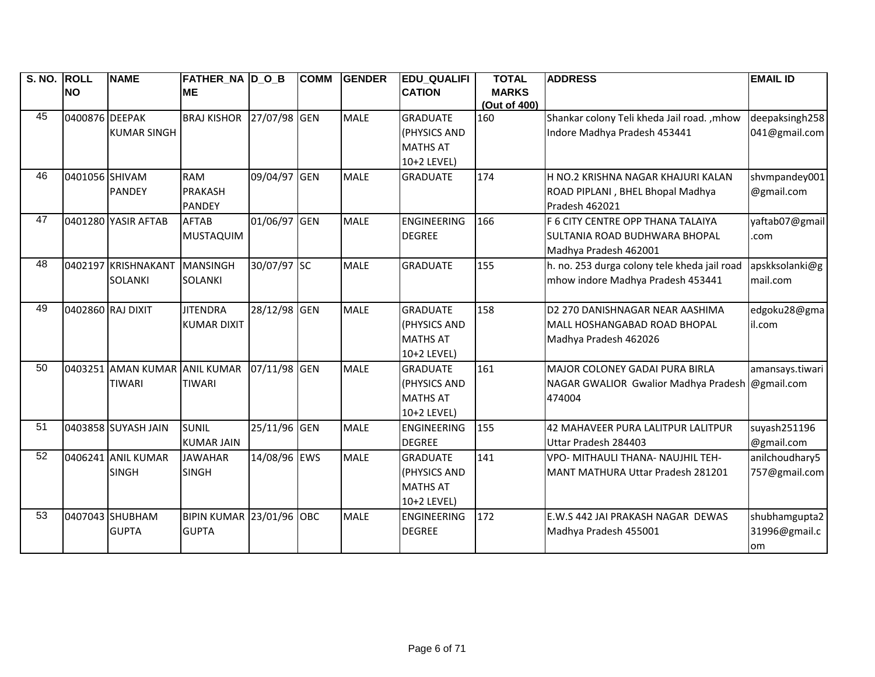| S. NO. ROLL |                   | <b>NAME</b>                   | FATHER NA DOB      |              | <b>COMM</b> | <b>GENDER</b> | <b>EDU QUALIFI</b> | <b>TOTAL</b> | <b>ADDRESS</b>                               | <b>EMAIL ID</b> |
|-------------|-------------------|-------------------------------|--------------------|--------------|-------------|---------------|--------------------|--------------|----------------------------------------------|-----------------|
|             | <b>NO</b>         |                               | <b>ME</b>          |              |             |               | <b>CATION</b>      | <b>MARKS</b> |                                              |                 |
|             |                   |                               |                    |              |             |               |                    | (Out of 400) |                                              |                 |
| 45          | 0400876 DEEPAK    |                               | <b>BRAJ KISHOR</b> | 27/07/98 GEN |             | <b>MALE</b>   | <b>GRADUATE</b>    | 160          | Shankar colony Teli kheda Jail road. , mhow  | deepaksingh258  |
|             |                   | <b>KUMAR SINGH</b>            |                    |              |             |               | (PHYSICS AND       |              | Indore Madhya Pradesh 453441                 | 041@gmail.com   |
|             |                   |                               |                    |              |             |               | <b>MATHS AT</b>    |              |                                              |                 |
|             |                   |                               |                    |              |             |               | 10+2 LEVEL)        |              |                                              |                 |
| 46          | 0401056 SHIVAM    |                               | <b>RAM</b>         | 09/04/97 GEN |             | <b>MALE</b>   | <b>GRADUATE</b>    | 174          | H NO.2 KRISHNA NAGAR KHAJURI KALAN           | shvmpandey001   |
|             |                   | <b>PANDEY</b>                 | <b>PRAKASH</b>     |              |             |               |                    |              | ROAD PIPLANI, BHEL Bhopal Madhya             | @gmail.com      |
|             |                   |                               | <b>PANDEY</b>      |              |             |               |                    |              | Pradesh 462021                               |                 |
| 47          |                   | 0401280 YASIR AFTAB           | <b>AFTAB</b>       | 01/06/97 GEN |             | <b>MALE</b>   | <b>ENGINEERING</b> | 166          | F 6 CITY CENTRE OPP THANA TALAIYA            | yaftab07@gmail  |
|             |                   |                               | MUSTAQUIM          |              |             |               | <b>DEGREE</b>      |              | SULTANIA ROAD BUDHWARA BHOPAL                | .com            |
|             |                   |                               |                    |              |             |               |                    |              | Madhya Pradesh 462001                        |                 |
| 48          |                   | 0402197 KRISHNAKANT           | MANSINGH           | 30/07/97 SC  |             | <b>MALE</b>   | <b>GRADUATE</b>    | 155          | h. no. 253 durga colony tele kheda jail road | apskksolanki@g  |
|             |                   | <b>SOLANKI</b>                | <b>SOLANKI</b>     |              |             |               |                    |              | mhow indore Madhya Pradesh 453441            | mail.com        |
|             |                   |                               |                    |              |             |               |                    |              |                                              |                 |
| 49          | 0402860 RAJ DIXIT |                               | <b>JITENDRA</b>    | 28/12/98 GEN |             | <b>MALE</b>   | <b>GRADUATE</b>    | 158          | D2 270 DANISHNAGAR NEAR AASHIMA              | edgoku28@gma    |
|             |                   |                               | <b>KUMAR DIXIT</b> |              |             |               | (PHYSICS AND       |              | MALL HOSHANGABAD ROAD BHOPAL                 | il.com          |
|             |                   |                               |                    |              |             |               | <b>MATHS AT</b>    |              | Madhya Pradesh 462026                        |                 |
|             |                   |                               |                    |              |             |               | 10+2 LEVEL)        |              |                                              |                 |
| 50          |                   | 0403251 AMAN KUMAR ANIL KUMAR |                    | 07/11/98 GEN |             | <b>MALE</b>   | <b>GRADUATE</b>    | 161          | <b>MAJOR COLONEY GADAI PURA BIRLA</b>        | amansays.tiwari |
|             |                   | <b>TIWARI</b>                 | <b>TIWARI</b>      |              |             |               | (PHYSICS AND       |              | NAGAR GWALIOR Gwalior Madhya Pradesh         | @gmail.com      |
|             |                   |                               |                    |              |             |               | <b>MATHS AT</b>    |              | 474004                                       |                 |
|             |                   |                               |                    |              |             |               | 10+2 LEVEL)        |              |                                              |                 |
| 51          |                   | 0403858 SUYASH JAIN           | <b>SUNIL</b>       | 25/11/96 GEN |             | <b>MALE</b>   | <b>ENGINEERING</b> | 155          | 42 MAHAVEER PURA LALITPUR LALITPUR           | suyash251196    |
|             |                   |                               | <b>KUMAR JAIN</b>  |              |             |               | <b>DEGREE</b>      |              | Uttar Pradesh 284403                         | @gmail.com      |
| 52          |                   | 0406241 ANIL KUMAR            | <b>JAWAHAR</b>     | 14/08/96 EWS |             | <b>MALE</b>   | <b>GRADUATE</b>    | 141          | VPO- MITHAULI THANA- NAUJHIL TEH-            | anilchoudhary5  |
|             |                   | <b>SINGH</b>                  | <b>SINGH</b>       |              |             |               | (PHYSICS AND       |              | <b>MANT MATHURA Uttar Pradesh 281201</b>     | 757@gmail.com   |
|             |                   |                               |                    |              |             |               | <b>MATHS AT</b>    |              |                                              |                 |
|             |                   |                               |                    |              |             |               | 10+2 LEVEL)        |              |                                              |                 |
| 53          |                   | 0407043 SHUBHAM               | <b>BIPIN KUMAR</b> | 23/01/96 OBC |             | <b>MALE</b>   | <b>ENGINEERING</b> | 172          | E.W.S 442 JAI PRAKASH NAGAR DEWAS            | shubhamgupta2   |
|             |                   | <b>GUPTA</b>                  | <b>GUPTA</b>       |              |             |               | <b>DEGREE</b>      |              | Madhya Pradesh 455001                        | 31996@gmail.c   |
|             |                   |                               |                    |              |             |               |                    |              |                                              | lom             |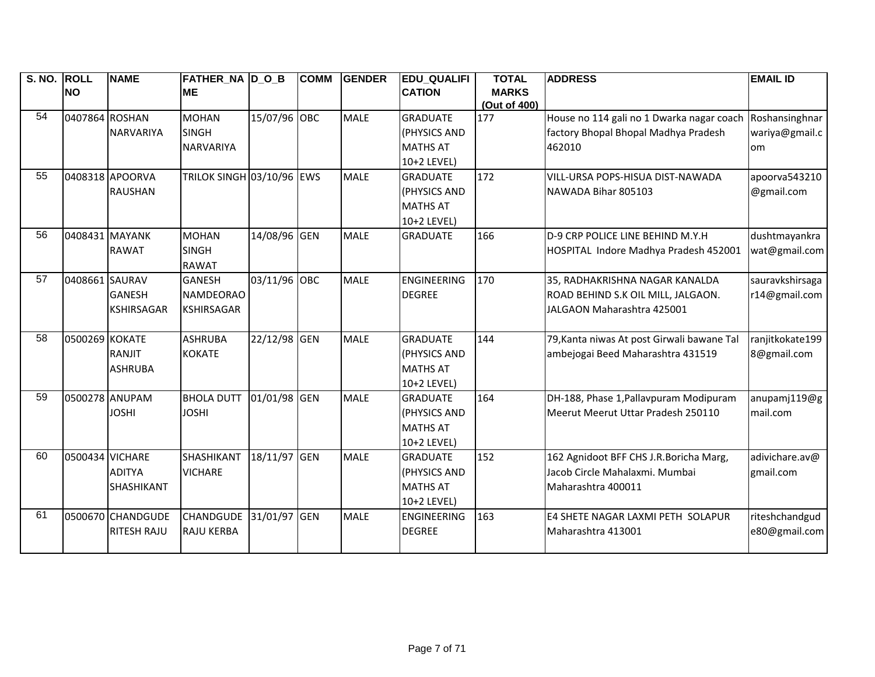| S. NO. ROLL |                 | <b>NAME</b>        | <b>FATHER NA D O B</b>           |              | <b>COMM</b> | <b>GENDER</b> | <b>EDU QUALIFI</b> | <b>TOTAL</b> | <b>ADDRESS</b>                             | <b>EMAIL ID</b> |
|-------------|-----------------|--------------------|----------------------------------|--------------|-------------|---------------|--------------------|--------------|--------------------------------------------|-----------------|
|             | <b>NO</b>       |                    | <b>ME</b>                        |              |             |               | <b>CATION</b>      | <b>MARKS</b> |                                            |                 |
| 54          |                 |                    |                                  |              |             |               |                    | (Out of 400) |                                            |                 |
|             | 0407864 ROSHAN  |                    | <b>MOHAN</b>                     | 15/07/96 OBC |             | <b>MALE</b>   | <b>GRADUATE</b>    | 177          | House no 114 gali no 1 Dwarka nagar coach  | Roshansinghnar  |
|             |                 | NARVARIYA          | <b>SINGH</b>                     |              |             |               | (PHYSICS AND       |              | factory Bhopal Bhopal Madhya Pradesh       | wariya@gmail.c  |
|             |                 |                    | <b>NARVARIYA</b>                 |              |             |               | <b>MATHS AT</b>    |              | 462010                                     | om              |
|             |                 |                    |                                  |              |             |               | 10+2 LEVEL)        |              |                                            |                 |
| 55          |                 | 0408318 APOORVA    | <b>TRILOK SINGH 03/10/96 EWS</b> |              |             | <b>MALE</b>   | <b>GRADUATE</b>    | 172          | VILL-URSA POPS-HISUA DIST-NAWADA           | apoorva543210   |
|             |                 | <b>RAUSHAN</b>     |                                  |              |             |               | (PHYSICS AND       |              | NAWADA Bihar 805103                        | @gmail.com      |
|             |                 |                    |                                  |              |             |               | <b>MATHS AT</b>    |              |                                            |                 |
|             |                 |                    |                                  |              |             |               | 10+2 LEVEL)        |              |                                            |                 |
| 56          | 0408431 MAYANK  |                    | <b>MOHAN</b>                     | 14/08/96 GEN |             | <b>MALE</b>   | <b>GRADUATE</b>    | 166          | D-9 CRP POLICE LINE BEHIND M.Y.H           | dushtmayankra   |
|             |                 | <b>RAWAT</b>       | <b>SINGH</b>                     |              |             |               |                    |              | HOSPITAL Indore Madhya Pradesh 452001      | wat@gmail.com   |
|             |                 |                    | <b>RAWAT</b>                     |              |             |               |                    |              |                                            |                 |
| 57          | 0408661 SAURAV  |                    | <b>GANESH</b>                    | 03/11/96 OBC |             | <b>MALE</b>   | <b>ENGINEERING</b> | 170          | 35, RADHAKRISHNA NAGAR KANALDA             | sauravkshirsaga |
|             |                 | <b>GANESH</b>      | <b>NAMDEORAO</b>                 |              |             |               | <b>DEGREE</b>      |              | ROAD BEHIND S.K OIL MILL, JALGAON.         | r14@gmail.com   |
|             |                 | <b>KSHIRSAGAR</b>  | <b>KSHIRSAGAR</b>                |              |             |               |                    |              | JALGAON Maharashtra 425001                 |                 |
|             |                 |                    |                                  |              |             |               |                    |              |                                            |                 |
| 58          | 0500269 KOKATE  |                    | <b>ASHRUBA</b>                   | 22/12/98 GEN |             | <b>MALE</b>   | <b>GRADUATE</b>    | 144          | 79, Kanta niwas At post Girwali bawane Tal | ranjitkokate199 |
|             |                 | RANJIT             | <b>KOKATE</b>                    |              |             |               | (PHYSICS AND       |              | ambejogai Beed Maharashtra 431519          | 8@gmail.com     |
|             |                 | <b>ASHRUBA</b>     |                                  |              |             |               | <b>MATHS AT</b>    |              |                                            |                 |
|             |                 |                    |                                  |              |             |               | 10+2 LEVEL)        |              |                                            |                 |
| 59          | 0500278 ANUPAM  |                    | <b>BHOLA DUTT</b>                | 01/01/98 GEN |             | <b>MALE</b>   | <b>GRADUATE</b>    | 164          | DH-188, Phase 1, Pallavpuram Modipuram     | anupamj119@g    |
|             |                 | <b>JOSHI</b>       | <b>JOSHI</b>                     |              |             |               | (PHYSICS AND       |              | Meerut Meerut Uttar Pradesh 250110         | mail.com        |
|             |                 |                    |                                  |              |             |               | <b>MATHS AT</b>    |              |                                            |                 |
|             |                 |                    |                                  |              |             |               | 10+2 LEVEL)        |              |                                            |                 |
| 60          | 0500434 VICHARE |                    | SHASHIKANT                       | 18/11/97 GEN |             | <b>MALE</b>   | <b>GRADUATE</b>    | 152          | 162 Agnidoot BFF CHS J.R.Boricha Marg,     | adivichare.av@  |
|             |                 | <b>ADITYA</b>      | <b>VICHARE</b>                   |              |             |               | (PHYSICS AND       |              | Jacob Circle Mahalaxmi. Mumbai             | gmail.com       |
|             |                 | SHASHIKANT         |                                  |              |             |               | <b>MATHS AT</b>    |              | Maharashtra 400011                         |                 |
|             |                 |                    |                                  |              |             |               | 10+2 LEVEL)        |              |                                            |                 |
| 61          |                 | 0500670 CHANDGUDE  | <b>CHANDGUDE</b>                 | 31/01/97 GEN |             | <b>MALE</b>   | <b>ENGINEERING</b> | 163          | E4 SHETE NAGAR LAXMI PETH SOLAPUR          | riteshchandgud  |
|             |                 | <b>RITESH RAJU</b> | <b>RAJU KERBA</b>                |              |             |               | <b>DEGREE</b>      |              | Maharashtra 413001                         | e80@gmail.com   |
|             |                 |                    |                                  |              |             |               |                    |              |                                            |                 |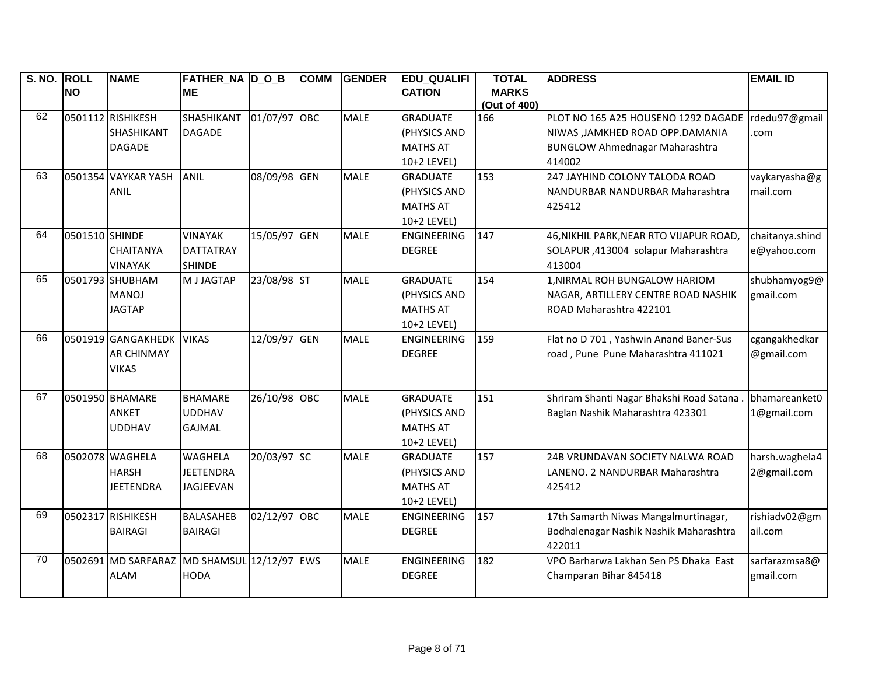| S. NO. ROLL | <b>NO</b>      | <b>NAME</b>                     | <b>FATHER NA D O B</b><br><b>ME</b> |              | <b>COMM</b> | <b>GENDER</b> | <b>EDU QUALIFI</b><br><b>CATION</b> | <b>TOTAL</b><br><b>MARKS</b> | <b>ADDRESS</b>                            | <b>EMAIL ID</b> |
|-------------|----------------|---------------------------------|-------------------------------------|--------------|-------------|---------------|-------------------------------------|------------------------------|-------------------------------------------|-----------------|
|             |                |                                 |                                     |              |             |               |                                     | (Out of 400)                 |                                           |                 |
| 62          |                | 0501112 RISHIKESH               | SHASHIKANT                          | 01/07/97 OBC |             | <b>MALE</b>   | <b>GRADUATE</b>                     | 166                          | PLOT NO 165 A25 HOUSENO 1292 DAGADE       | rdedu97@gmail   |
|             |                | SHASHIKANT                      | <b>DAGADE</b>                       |              |             |               | (PHYSICS AND                        |                              | NIWAS ,JAMKHED ROAD OPP.DAMANIA           | .com            |
|             |                | <b>DAGADE</b>                   |                                     |              |             |               | <b>MATHS AT</b>                     |                              | <b>BUNGLOW Ahmednagar Maharashtra</b>     |                 |
|             |                |                                 |                                     |              |             |               | 10+2 LEVEL)                         |                              | 414002                                    |                 |
| 63          |                | 0501354 VAYKAR YASH             | <b>ANIL</b>                         | 08/09/98 GEN |             | <b>MALE</b>   | <b>GRADUATE</b>                     | 153                          | 247 JAYHIND COLONY TALODA ROAD            | vaykaryasha@g   |
|             |                | <b>ANIL</b>                     |                                     |              |             |               | (PHYSICS AND                        |                              | NANDURBAR NANDURBAR Maharashtra           | mail.com        |
|             |                |                                 |                                     |              |             |               | <b>MATHS AT</b>                     |                              | 425412                                    |                 |
|             |                |                                 |                                     |              |             |               | 10+2 LEVEL)                         |                              |                                           |                 |
| 64          | 0501510 SHINDE |                                 | <b>VINAYAK</b>                      | 15/05/97 GEN |             | <b>MALE</b>   | <b>ENGINEERING</b>                  | 147                          | 46, NIKHIL PARK, NEAR RTO VIJAPUR ROAD,   | chaitanya.shind |
|             |                | <b>CHAITANYA</b>                | <b>DATTATRAY</b>                    |              |             |               | <b>DEGREE</b>                       |                              | SOLAPUR, 413004 solapur Maharashtra       | e@yahoo.com     |
|             |                | <b>VINAYAK</b>                  | <b>SHINDE</b>                       |              |             |               |                                     |                              | 413004                                    |                 |
| 65          |                | 0501793 SHUBHAM                 | M J JAGTAP                          | 23/08/98 ST  |             | <b>MALE</b>   | <b>GRADUATE</b>                     | 154                          | 1, NIRMAL ROH BUNGALOW HARIOM             | shubhamyog9@    |
|             |                | <b>MANOJ</b>                    |                                     |              |             |               | (PHYSICS AND                        |                              | NAGAR, ARTILLERY CENTRE ROAD NASHIK       | gmail.com       |
|             |                | <b>JAGTAP</b>                   |                                     |              |             |               | <b>MATHS AT</b>                     |                              | ROAD Maharashtra 422101                   |                 |
|             |                |                                 |                                     |              |             |               | 10+2 LEVEL)                         |                              |                                           |                 |
| 66          |                | 0501919 GANGAKHEDK              | <b>VIKAS</b>                        | 12/09/97 GEN |             | <b>MALE</b>   | <b>ENGINEERING</b>                  | 159                          | Flat no D 701, Yashwin Anand Baner-Sus    | cgangakhedkar   |
|             |                | <b>AR CHINMAY</b>               |                                     |              |             |               | <b>DEGREE</b>                       |                              | road, Pune Pune Maharashtra 411021        | @gmail.com      |
|             |                | <b>VIKAS</b>                    |                                     |              |             |               |                                     |                              |                                           |                 |
| 67          |                |                                 |                                     |              |             |               |                                     |                              |                                           |                 |
|             |                | 0501950 BHAMARE<br><b>ANKET</b> | <b>BHAMARE</b><br><b>UDDHAV</b>     | 26/10/98 OBC |             | <b>MALE</b>   | <b>GRADUATE</b><br>(PHYSICS AND     | 151                          | Shriram Shanti Nagar Bhakshi Road Satana. | bhamareanket0   |
|             |                |                                 |                                     |              |             |               |                                     |                              | Baglan Nashik Maharashtra 423301          | 1@gmail.com     |
|             |                | <b>UDDHAV</b>                   | <b>GAJMAL</b>                       |              |             |               | <b>MATHS AT</b>                     |                              |                                           |                 |
| 68          |                | 0502078 WAGHELA                 | <b>WAGHELA</b>                      | 20/03/97 SC  |             | <b>MALE</b>   | 10+2 LEVEL)<br><b>GRADUATE</b>      | 157                          | 24B VRUNDAVAN SOCIETY NALWA ROAD          | harsh.waghela4  |
|             |                | <b>HARSH</b>                    | <b>JEETENDRA</b>                    |              |             |               | (PHYSICS AND                        |                              | LANENO. 2 NANDURBAR Maharashtra           | 2@gmail.com     |
|             |                | <b>JEETENDRA</b>                | JAGJEEVAN                           |              |             |               | <b>MATHS AT</b>                     |                              | 425412                                    |                 |
|             |                |                                 |                                     |              |             |               | 10+2 LEVEL)                         |                              |                                           |                 |
| 69          |                | 0502317 RISHIKESH               | <b>BALASAHEB</b>                    | 02/12/97 OBC |             | <b>MALE</b>   | <b>ENGINEERING</b>                  | 157                          | 17th Samarth Niwas Mangalmurtinagar,      | rishiadv02@gm   |
|             |                | <b>BAIRAGI</b>                  | <b>BAIRAGI</b>                      |              |             |               | <b>DEGREE</b>                       |                              | Bodhalenagar Nashik Nashik Maharashtra    | ail.com         |
|             |                |                                 |                                     |              |             |               |                                     |                              | 422011                                    |                 |
| 70          |                | 0502691 MD SARFARAZ             | MD SHAMSUL 12/12/97 EWS             |              |             | <b>MALE</b>   | <b>ENGINEERING</b>                  | 182                          | VPO Barharwa Lakhan Sen PS Dhaka East     | sarfarazmsa8@   |
|             |                | <b>ALAM</b>                     | <b>HODA</b>                         |              |             |               | <b>DEGREE</b>                       |                              | Champaran Bihar 845418                    | gmail.com       |
|             |                |                                 |                                     |              |             |               |                                     |                              |                                           |                 |
|             |                |                                 |                                     |              |             |               |                                     |                              |                                           |                 |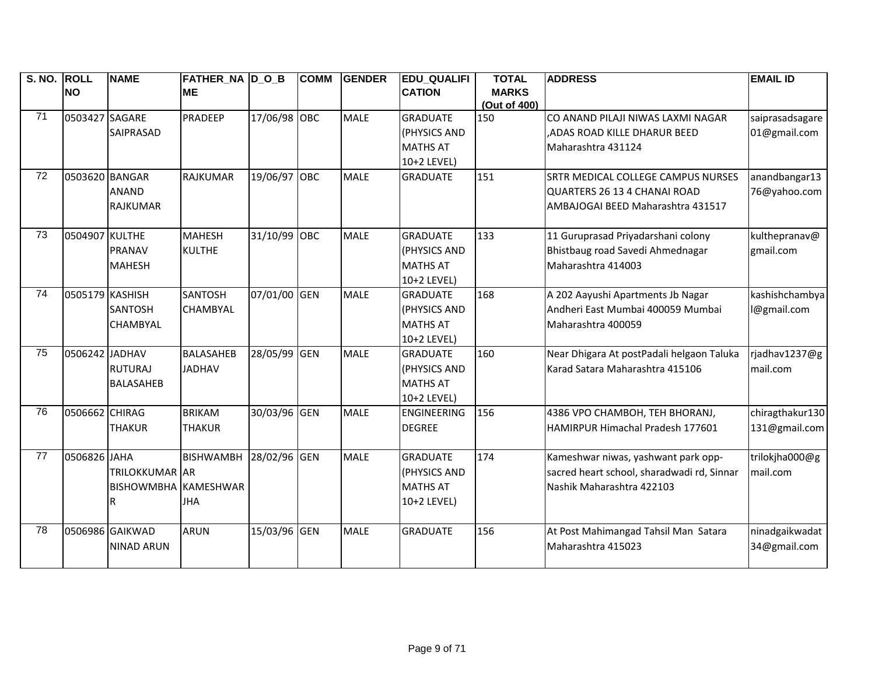| S. NO. ROLL     |                 | <b>NAME</b>                 | <b>FATHER_NA D_O_B</b> |              | <b>COMM</b> | <b>GENDER</b> | <b>EDU_QUALIFI</b> | <b>TOTAL</b>        | <b>ADDRESS</b>                             | <b>EMAIL ID</b> |
|-----------------|-----------------|-----------------------------|------------------------|--------------|-------------|---------------|--------------------|---------------------|--------------------------------------------|-----------------|
|                 | <b>NO</b>       |                             | <b>ME</b>              |              |             |               | <b>CATION</b>      | <b>MARKS</b>        |                                            |                 |
| 71              | 0503427 SAGARE  |                             | PRADEEP                | 17/06/98 OBC |             | <b>MALE</b>   | <b>GRADUATE</b>    | (Out of 400)<br>150 | CO ANAND PILAJI NIWAS LAXMI NAGAR          | saiprasadsagare |
|                 |                 | SAIPRASAD                   |                        |              |             |               | (PHYSICS AND       |                     | ADAS ROAD KILLE DHARUR BEED,               | 01@gmail.com    |
|                 |                 |                             |                        |              |             |               | <b>MATHS AT</b>    |                     | Maharashtra 431124                         |                 |
|                 |                 |                             |                        |              |             |               | 10+2 LEVEL)        |                     |                                            |                 |
| $\overline{72}$ | 0503620 BANGAR  |                             | <b>RAJKUMAR</b>        | 19/06/97 OBC |             | <b>MALE</b>   | <b>GRADUATE</b>    | 151                 | <b>SRTR MEDICAL COLLEGE CAMPUS NURSES</b>  | anandbangar13   |
|                 |                 | <b>ANAND</b>                |                        |              |             |               |                    |                     | QUARTERS 26 13 4 CHANAI ROAD               | 76@yahoo.com    |
|                 |                 | <b>RAJKUMAR</b>             |                        |              |             |               |                    |                     | AMBAJOGAI BEED Maharashtra 431517          |                 |
|                 |                 |                             |                        |              |             |               |                    |                     |                                            |                 |
| 73              | 0504907 KULTHE  |                             | <b>MAHESH</b>          | 31/10/99 OBC |             | <b>MALE</b>   | <b>GRADUATE</b>    | 133                 | 11 Guruprasad Priyadarshani colony         | kulthepranav@   |
|                 |                 | <b>PRANAV</b>               | <b>KULTHE</b>          |              |             |               | (PHYSICS AND       |                     | Bhistbaug road Savedi Ahmednagar           | gmail.com       |
|                 |                 | <b>MAHESH</b>               |                        |              |             |               | <b>MATHS AT</b>    |                     | Maharashtra 414003                         |                 |
|                 |                 |                             |                        |              |             |               | 10+2 LEVEL)        |                     |                                            |                 |
| 74              | 0505179 KASHISH |                             | SANTOSH                | 07/01/00 GEN |             | <b>MALE</b>   | <b>GRADUATE</b>    | 168                 | A 202 Aayushi Apartments Jb Nagar          | kashishchambya  |
|                 |                 | <b>SANTOSH</b>              | <b>CHAMBYAL</b>        |              |             |               | (PHYSICS AND       |                     | Andheri East Mumbai 400059 Mumbai          | @gmail.com      |
|                 |                 | <b>CHAMBYAL</b>             |                        |              |             |               | <b>MATHS AT</b>    |                     | Maharashtra 400059                         |                 |
|                 |                 |                             |                        |              |             |               | 10+2 LEVEL)        |                     |                                            |                 |
| 75              | 0506242 JADHAV  |                             | <b>BALASAHEB</b>       | 28/05/99 GEN |             | <b>MALE</b>   | <b>GRADUATE</b>    | 160                 | Near Dhigara At postPadali helgaon Taluka  | rjadhav1237@g   |
|                 |                 | <b>RUTURAJ</b>              | <b>JADHAV</b>          |              |             |               | (PHYSICS AND       |                     | Karad Satara Maharashtra 415106            | mail.com        |
|                 |                 | <b>BALASAHEB</b>            |                        |              |             |               | <b>MATHS AT</b>    |                     |                                            |                 |
|                 |                 |                             |                        |              |             |               | 10+2 LEVEL)        |                     |                                            |                 |
| 76              | 0506662 CHIRAG  |                             | <b>BRIKAM</b>          | 30/03/96 GEN |             | <b>MALE</b>   | <b>ENGINEERING</b> | 156                 | 4386 VPO CHAMBOH, TEH BHORANJ,             | chiragthakur130 |
|                 |                 | <b>THAKUR</b>               | <b>THAKUR</b>          |              |             |               | <b>DEGREE</b>      |                     | HAMIRPUR Himachal Pradesh 177601           | 131@gmail.com   |
|                 |                 |                             |                        |              |             |               |                    |                     |                                            |                 |
| 77              | 0506826 JAHA    |                             | <b>BISHWAMBH</b>       | 28/02/96 GEN |             | <b>MALE</b>   | <b>GRADUATE</b>    | 174                 | Kameshwar niwas, yashwant park opp-        | trilokjha000@g  |
|                 |                 | <b>TRILOKKUMAR</b> AR       |                        |              |             |               | (PHYSICS AND       |                     | sacred heart school, sharadwadi rd, Sinnar | mail.com        |
|                 |                 | <b>BISHOWMBHA KAMESHWAR</b> |                        |              |             |               | <b>MATHS AT</b>    |                     | Nashik Maharashtra 422103                  |                 |
|                 |                 | R                           | <b>JHA</b>             |              |             |               | 10+2 LEVEL)        |                     |                                            |                 |
| 78              |                 | 0506986 GAIKWAD             | <b>ARUN</b>            | 15/03/96 GEN |             | <b>MALE</b>   | <b>GRADUATE</b>    | 156                 | At Post Mahimangad Tahsil Man Satara       | ninadgaikwadat  |
|                 |                 | <b>NINAD ARUN</b>           |                        |              |             |               |                    |                     | Maharashtra 415023                         | 34@gmail.com    |
|                 |                 |                             |                        |              |             |               |                    |                     |                                            |                 |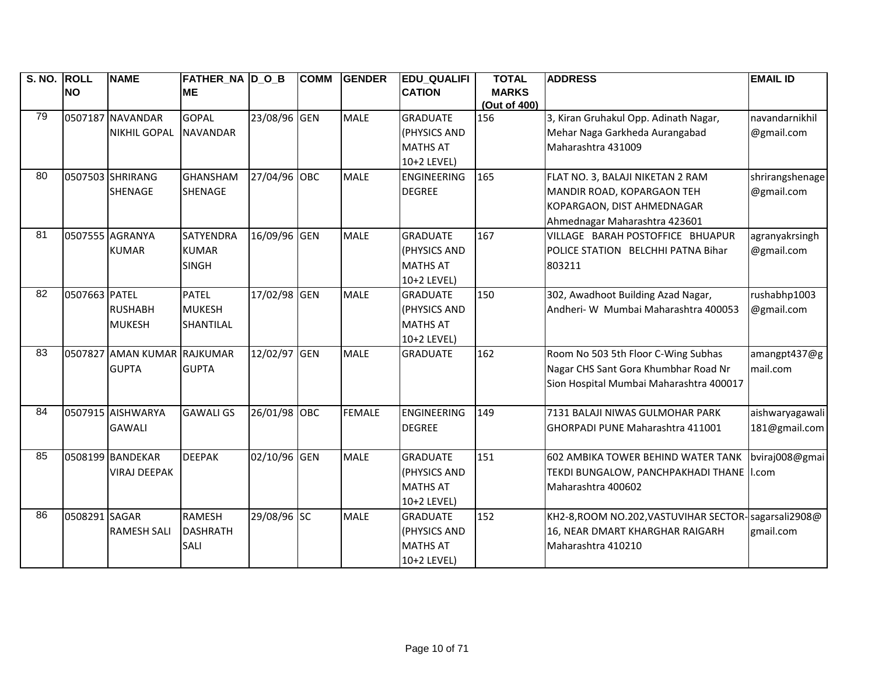| S. NO. ROLL |               | <b>NAME</b>                 | <b>FATHER_NA D_O_B</b> |              | <b>COMM</b> | <b>GENDER</b> | <b>EDU_QUALIFI</b> | <b>TOTAL</b> | <b>ADDRESS</b>                                        | <b>EMAIL ID</b> |
|-------------|---------------|-----------------------------|------------------------|--------------|-------------|---------------|--------------------|--------------|-------------------------------------------------------|-----------------|
|             | <b>NO</b>     |                             | <b>ME</b>              |              |             |               | <b>CATION</b>      | <b>MARKS</b> |                                                       |                 |
| 79          |               |                             |                        |              |             |               |                    | (Out of 400) |                                                       |                 |
|             |               | 0507187 NAVANDAR            | <b>GOPAL</b>           | 23/08/96 GEN |             | <b>MALE</b>   | <b>GRADUATE</b>    | 156          | 3, Kiran Gruhakul Opp. Adinath Nagar,                 | navandarnikhil  |
|             |               | NIKHIL GOPAL                | <b>NAVANDAR</b>        |              |             |               | (PHYSICS AND       |              | Mehar Naga Garkheda Aurangabad                        | @gmail.com      |
|             |               |                             |                        |              |             |               | <b>MATHS AT</b>    |              | Maharashtra 431009                                    |                 |
|             |               |                             |                        |              |             |               | 10+2 LEVEL)        |              |                                                       |                 |
| 80          |               | 0507503 SHRIRANG            | <b>GHANSHAM</b>        | 27/04/96 OBC |             | <b>MALE</b>   | <b>ENGINEERING</b> | 165          | FLAT NO. 3, BALAJI NIKETAN 2 RAM                      | shrirangshenage |
|             |               | <b>SHENAGE</b>              | <b>SHENAGE</b>         |              |             |               | <b>DEGREE</b>      |              | MANDIR ROAD, KOPARGAON TEH                            | @gmail.com      |
|             |               |                             |                        |              |             |               |                    |              | KOPARGAON, DIST AHMEDNAGAR                            |                 |
|             |               |                             |                        |              |             |               |                    |              | Ahmednagar Maharashtra 423601                         |                 |
| 81          |               | 0507555 AGRANYA             | <b>SATYENDRA</b>       | 16/09/96 GEN |             | <b>MALE</b>   | <b>GRADUATE</b>    | 167          | VILLAGE BARAH POSTOFFICE BHUAPUR                      | agranyakrsingh  |
|             |               | <b>KUMAR</b>                | <b>KUMAR</b>           |              |             |               | (PHYSICS AND       |              | POLICE STATION BELCHHI PATNA Bihar                    | @gmail.com      |
|             |               |                             | <b>SINGH</b>           |              |             |               | <b>MATHS AT</b>    |              | 803211                                                |                 |
|             |               |                             |                        |              |             |               | 10+2 LEVEL)        |              |                                                       |                 |
| 82          | 0507663 PATEL |                             | <b>PATEL</b>           | 17/02/98 GEN |             | <b>MALE</b>   | <b>GRADUATE</b>    | 150          | 302, Awadhoot Building Azad Nagar,                    | rushabhp1003    |
|             |               | <b>RUSHABH</b>              | <b>MUKESH</b>          |              |             |               | (PHYSICS AND       |              | Andheri- W Mumbai Maharashtra 400053                  | @gmail.com      |
|             |               | <b>MUKESH</b>               | SHANTILAL              |              |             |               | <b>MATHS AT</b>    |              |                                                       |                 |
|             |               |                             |                        |              |             |               | 10+2 LEVEL)        |              |                                                       |                 |
| 83          |               | 0507827 AMAN KUMAR RAJKUMAR |                        | 12/02/97 GEN |             | <b>MALE</b>   | <b>GRADUATE</b>    | 162          | Room No 503 5th Floor C-Wing Subhas                   | amangpt437@g    |
|             |               | <b>GUPTA</b>                | <b>GUPTA</b>           |              |             |               |                    |              | Nagar CHS Sant Gora Khumbhar Road Nr                  | mail.com        |
|             |               |                             |                        |              |             |               |                    |              | Sion Hospital Mumbai Maharashtra 400017               |                 |
|             |               |                             |                        |              |             |               |                    |              |                                                       |                 |
| 84          |               | 0507915 AISHWARYA           | <b>GAWALI GS</b>       | 26/01/98 OBC |             | <b>FEMALE</b> | <b>ENGINEERING</b> | 149          | 7131 BALAJI NIWAS GULMOHAR PARK                       | aishwaryagawali |
|             |               | <b>GAWALI</b>               |                        |              |             |               | <b>DEGREE</b>      |              | <b>GHORPADI PUNE Maharashtra 411001</b>               | 181@gmail.com   |
|             |               |                             |                        |              |             |               |                    |              |                                                       |                 |
| 85          |               | 0508199 BANDEKAR            | <b>DEEPAK</b>          | 02/10/96 GEN |             | <b>MALE</b>   | <b>GRADUATE</b>    | 151          | 602 AMBIKA TOWER BEHIND WATER TANK                    | bviraj008@gmai  |
|             |               | <b>VIRAJ DEEPAK</b>         |                        |              |             |               | (PHYSICS AND       |              | TEKDI BUNGALOW, PANCHPAKHADI THANE  I.com             |                 |
|             |               |                             |                        |              |             |               | <b>MATHS AT</b>    |              | Maharashtra 400602                                    |                 |
|             |               |                             |                        |              |             |               | 10+2 LEVEL)        |              |                                                       |                 |
| 86          | 0508291 SAGAR |                             | <b>RAMESH</b>          | 29/08/96 SC  |             | <b>MALE</b>   | <b>GRADUATE</b>    | 152          | KH2-8, ROOM NO.202, VASTUVIHAR SECTOR-Sagarsali 2908@ |                 |
|             |               | <b>RAMESH SALI</b>          | <b>DASHRATH</b>        |              |             |               | (PHYSICS AND       |              | 16, NEAR DMART KHARGHAR RAIGARH                       | gmail.com       |
|             |               |                             | <b>SALI</b>            |              |             |               | <b>MATHS AT</b>    |              | Maharashtra 410210                                    |                 |
|             |               |                             |                        |              |             |               | 10+2 LEVEL)        |              |                                                       |                 |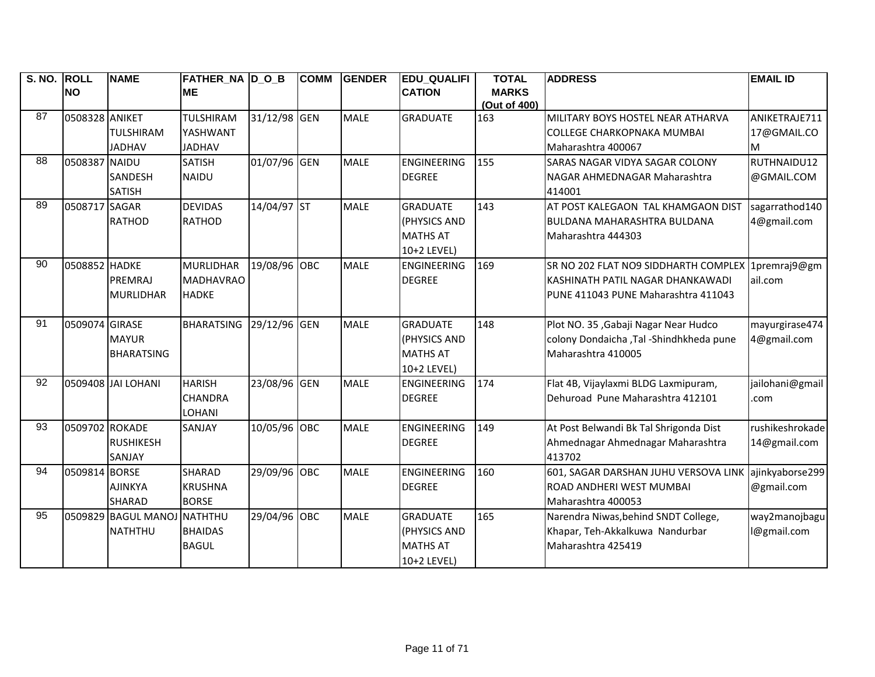| S. NO. ROLL     |                | <b>NAME</b>                 | <b>FATHER_NA D_O_B</b> |              | <b>COMM</b> | <b>GENDER</b> | <b>EDU_QUALIFI</b> | <b>TOTAL</b> | <b>ADDRESS</b>                                    | <b>EMAIL ID</b> |
|-----------------|----------------|-----------------------------|------------------------|--------------|-------------|---------------|--------------------|--------------|---------------------------------------------------|-----------------|
|                 | <b>NO</b>      |                             | <b>ME</b>              |              |             |               | <b>CATION</b>      | <b>MARKS</b> |                                                   |                 |
|                 |                |                             |                        |              |             |               |                    | (Out of 400) |                                                   |                 |
| 87              | 0508328 ANIKET |                             | <b>TULSHIRAM</b>       | 31/12/98 GEN |             | <b>MALE</b>   | <b>GRADUATE</b>    | 163          | MILITARY BOYS HOSTEL NEAR ATHARVA                 | ANIKETRAJE711   |
|                 |                | <b>TULSHIRAM</b>            | YASHWANT               |              |             |               |                    |              | <b>COLLEGE CHARKOPNAKA MUMBAI</b>                 | 17@GMAIL.CO     |
|                 |                | <b>JADHAV</b>               | <b>JADHAV</b>          |              |             |               |                    |              | Maharashtra 400067                                | M               |
| $\overline{88}$ | 0508387 NAIDU  |                             | <b>SATISH</b>          | 01/07/96 GEN |             | <b>MALE</b>   | <b>ENGINEERING</b> | 155          | <b>SARAS NAGAR VIDYA SAGAR COLONY</b>             | RUTHNAIDU12     |
|                 |                | SANDESH                     | <b>NAIDU</b>           |              |             |               | <b>DEGREE</b>      |              | NAGAR AHMEDNAGAR Maharashtra                      | @GMAIL.COM      |
|                 |                | <b>SATISH</b>               |                        |              |             |               |                    |              | 414001                                            |                 |
| 89              | 0508717 SAGAR  |                             | <b>DEVIDAS</b>         | 14/04/97 ST  |             | <b>MALE</b>   | <b>GRADUATE</b>    | 143          | AT POST KALEGAON TAL KHAMGAON DIST                | sagarrathod140  |
|                 |                | <b>RATHOD</b>               | <b>RATHOD</b>          |              |             |               | (PHYSICS AND       |              | <b>BULDANA MAHARASHTRA BULDANA</b>                | 4@gmail.com     |
|                 |                |                             |                        |              |             |               | <b>MATHS AT</b>    |              | Maharashtra 444303                                |                 |
|                 |                |                             |                        |              |             |               | 10+2 LEVEL)        |              |                                                   |                 |
| 90              | 0508852 HADKE  |                             | <b>MURLIDHAR</b>       | 19/08/96 OBC |             | <b>MALE</b>   | <b>ENGINEERING</b> | 169          | SR NO 202 FLAT NO9 SIDDHARTH COMPLEX 1premraj9@gm |                 |
|                 |                | PREMRAJ                     | <b>MADHAVRAO</b>       |              |             |               | <b>DEGREE</b>      |              | İKASHINATH PATIL NAGAR DHANKAWADI                 | ail.com         |
|                 |                | <b>MURLIDHAR</b>            | <b>HADKE</b>           |              |             |               |                    |              | IPUNE 411043 PUNE Maharashtra 411043              |                 |
|                 |                |                             |                        |              |             |               |                    |              |                                                   |                 |
| 91              | 0509074 GIRASE |                             | <b>BHARATSING</b>      | 29/12/96 GEN |             | <b>MALE</b>   | <b>GRADUATE</b>    | 148          | Plot NO. 35, Gabaji Nagar Near Hudco              | mayurgirase474  |
|                 |                | <b>MAYUR</b>                |                        |              |             |               | (PHYSICS AND       |              | colony Dondaicha , Tal - Shindhkheda pune         | 4@gmail.com     |
|                 |                | <b>BHARATSING</b>           |                        |              |             |               | <b>MATHS AT</b>    |              | Maharashtra 410005                                |                 |
|                 |                |                             |                        |              |             |               | 10+2 LEVEL)        |              |                                                   |                 |
| $\overline{92}$ |                | 0509408 JAI LOHANI          | <b>HARISH</b>          | 23/08/96 GEN |             | <b>MALE</b>   | <b>ENGINEERING</b> | 174          | Flat 4B, Vijaylaxmi BLDG Laxmipuram,              | jailohani@gmail |
|                 |                |                             | <b>CHANDRA</b>         |              |             |               | <b>DEGREE</b>      |              | Dehuroad Pune Maharashtra 412101                  | .com            |
|                 |                |                             | LOHANI                 |              |             |               |                    |              |                                                   |                 |
| 93              | 0509702 ROKADE |                             | SANJAY                 | 10/05/96 OBC |             | <b>MALE</b>   | <b>ENGINEERING</b> | 149          | At Post Belwandi Bk Tal Shrigonda Dist            | rushikeshrokade |
|                 |                | <b>RUSHIKESH</b>            |                        |              |             |               | <b>DEGREE</b>      |              | Ahmednagar Ahmednagar Maharashtra                 | 14@gmail.com    |
|                 |                | <b>SANJAY</b>               |                        |              |             |               |                    |              | 413702                                            |                 |
| 94              | 0509814 BORSE  |                             | <b>SHARAD</b>          | 29/09/96 OBC |             | <b>MALE</b>   | <b>ENGINEERING</b> | 160          | 601, SAGAR DARSHAN JUHU VERSOVA LINK              | ajinkyaborse299 |
|                 |                | <b>AJINKYA</b>              | <b>KRUSHNA</b>         |              |             |               | <b>DEGREE</b>      |              | ROAD ANDHERI WEST MUMBAI                          | @gmail.com      |
|                 |                | <b>SHARAD</b>               | <b>BORSE</b>           |              |             |               |                    |              | Maharashtra 400053                                |                 |
| 95              |                | 0509829 BAGUL MANOJ NATHTHU |                        | 29/04/96 OBC |             | <b>MALE</b>   | <b>GRADUATE</b>    | 165          | Narendra Niwas, behind SNDT College,              | way2manojbagu   |
|                 |                | <b>NATHTHU</b>              | <b>BHAIDAS</b>         |              |             |               | (PHYSICS AND       |              | Khapar, Teh-Akkalkuwa Nandurbar                   | l@gmail.com     |
|                 |                |                             | <b>BAGUL</b>           |              |             |               | <b>MATHS AT</b>    |              | Maharashtra 425419                                |                 |
|                 |                |                             |                        |              |             |               | 10+2 LEVEL)        |              |                                                   |                 |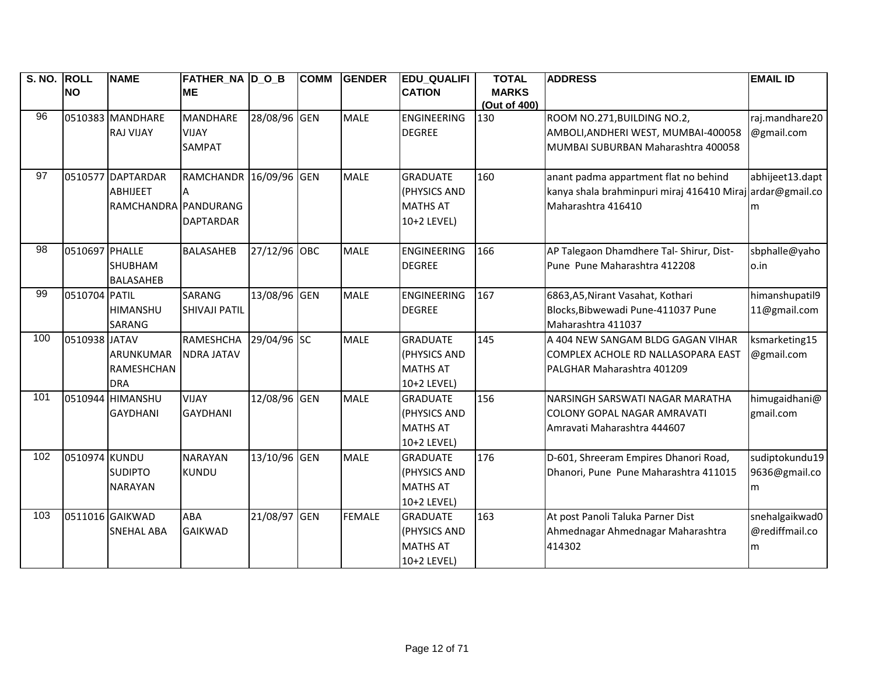| S. NO. ROLL |                | <b>NAME</b>          | <b>FATHER_NA D_O_B</b> |              | <b>COMM</b> | <b>GENDER</b> | <b>EDU_QUALIFI</b> | <b>TOTAL</b> | <b>ADDRESS</b>                                            | <b>EMAIL ID</b> |
|-------------|----------------|----------------------|------------------------|--------------|-------------|---------------|--------------------|--------------|-----------------------------------------------------------|-----------------|
|             | <b>NO</b>      |                      | <b>ME</b>              |              |             |               | <b>CATION</b>      | <b>MARKS</b> |                                                           |                 |
|             |                |                      |                        |              |             |               |                    | (Out of 400) |                                                           |                 |
| 96          |                | 0510383 MANDHARE     | <b>MANDHARE</b>        | 28/08/96 GEN |             | <b>MALE</b>   | <b>ENGINEERING</b> | 130          | ROOM NO.271, BUILDING NO.2,                               | raj.mandhare20  |
|             |                | <b>RAJ VIJAY</b>     | <b>VIJAY</b>           |              |             |               | <b>DEGREE</b>      |              | AMBOLI, ANDHERI WEST, MUMBAI-400058                       | @gmail.com      |
|             |                |                      | <b>SAMPAT</b>          |              |             |               |                    |              | MUMBAI SUBURBAN Maharashtra 400058                        |                 |
|             |                |                      |                        |              |             |               |                    |              |                                                           |                 |
| 97          |                | 0510577 DAPTARDAR    | RAMCHANDR 16/09/96 GEN |              |             | <b>MALE</b>   | <b>GRADUATE</b>    | 160          | anant padma appartment flat no behind                     | abhijeet13.dapt |
|             |                | <b>ABHIJEET</b>      |                        |              |             |               | (PHYSICS AND       |              | kanya shala brahminpuri miraj 416410 Miraj ardar@gmail.co |                 |
|             |                | RAMCHANDRA PANDURANG |                        |              |             |               | <b>MATHS AT</b>    |              | Maharashtra 416410                                        | m               |
|             |                |                      | <b>DAPTARDAR</b>       |              |             |               | 10+2 LEVEL)        |              |                                                           |                 |
|             |                |                      |                        |              |             |               |                    |              |                                                           |                 |
| 98          | 0510697 PHALLE |                      | <b>BALASAHEB</b>       | 27/12/96 OBC |             | <b>MALE</b>   | <b>ENGINEERING</b> | 166          | AP Talegaon Dhamdhere Tal- Shirur, Dist-                  | sbphalle@yaho   |
|             |                | <b>SHUBHAM</b>       |                        |              |             |               | <b>DEGREE</b>      |              | Pune Pune Maharashtra 412208                              | o.in            |
|             |                | <b>BALASAHEB</b>     |                        |              |             |               |                    |              |                                                           |                 |
| 99          | 0510704 PATIL  |                      | <b>SARANG</b>          | 13/08/96 GEN |             | <b>MALE</b>   | <b>ENGINEERING</b> | 167          | 6863, A5, Nirant Vasahat, Kothari                         | himanshupatil9  |
|             |                | <b>HIMANSHU</b>      | <b>SHIVAJI PATIL</b>   |              |             |               | <b>DEGREE</b>      |              | Blocks, Bibwewadi Pune-411037 Pune                        | 11@gmail.com    |
|             |                | <b>SARANG</b>        |                        |              |             |               |                    |              | Maharashtra 411037                                        |                 |
| 100         | 0510938 JATAV  |                      | <b>RAMESHCHA</b>       | 29/04/96 SC  |             | <b>MALE</b>   | <b>GRADUATE</b>    | 145          | A 404 NEW SANGAM BLDG GAGAN VIHAR                         | ksmarketing15   |
|             |                | ARUNKUMAR            | <b>NDRA JATAV</b>      |              |             |               | (PHYSICS AND       |              | COMPLEX ACHOLE RD NALLASOPARA EAST                        | @gmail.com      |
|             |                | RAMESHCHAN           |                        |              |             |               | <b>MATHS AT</b>    |              | PALGHAR Maharashtra 401209                                |                 |
|             |                | <b>DRA</b>           |                        |              |             |               | 10+2 LEVEL)        |              |                                                           |                 |
| 101         |                | 0510944 HIMANSHU     | <b>VIJAY</b>           | 12/08/96 GEN |             | <b>MALE</b>   | <b>GRADUATE</b>    | 156          | NARSINGH SARSWATI NAGAR MARATHA                           | himugaidhani@   |
|             |                | <b>GAYDHANI</b>      | <b>GAYDHANI</b>        |              |             |               | (PHYSICS AND       |              | <b>COLONY GOPAL NAGAR AMRAVATI</b>                        | gmail.com       |
|             |                |                      |                        |              |             |               | <b>MATHS AT</b>    |              | Amravati Maharashtra 444607                               |                 |
|             |                |                      |                        |              |             |               | 10+2 LEVEL)        |              |                                                           |                 |
| 102         | 0510974 KUNDU  |                      | <b>NARAYAN</b>         | 13/10/96 GEN |             | <b>MALE</b>   | <b>GRADUATE</b>    | 176          | D-601, Shreeram Empires Dhanori Road,                     | sudiptokundu19  |
|             |                | <b>SUDIPTO</b>       | <b>KUNDU</b>           |              |             |               | (PHYSICS AND       |              | Dhanori, Pune Pune Maharashtra 411015                     | 9636@gmail.co   |
|             |                | <b>NARAYAN</b>       |                        |              |             |               | <b>MATHS AT</b>    |              |                                                           | m               |
|             |                |                      |                        |              |             |               | 10+2 LEVEL)        |              |                                                           |                 |
| 103         |                | 0511016 GAIKWAD      | ABA                    | 21/08/97 GEN |             | <b>FEMALE</b> | <b>GRADUATE</b>    | 163          | At post Panoli Taluka Parner Dist                         | snehalgaikwad0  |
|             |                | <b>SNEHAL ABA</b>    | <b>GAIKWAD</b>         |              |             |               | (PHYSICS AND       |              | Ahmednagar Ahmednagar Maharashtra                         | @rediffmail.co  |
|             |                |                      |                        |              |             |               | <b>MATHS AT</b>    |              | 414302                                                    | m               |
|             |                |                      |                        |              |             |               | 10+2 LEVEL)        |              |                                                           |                 |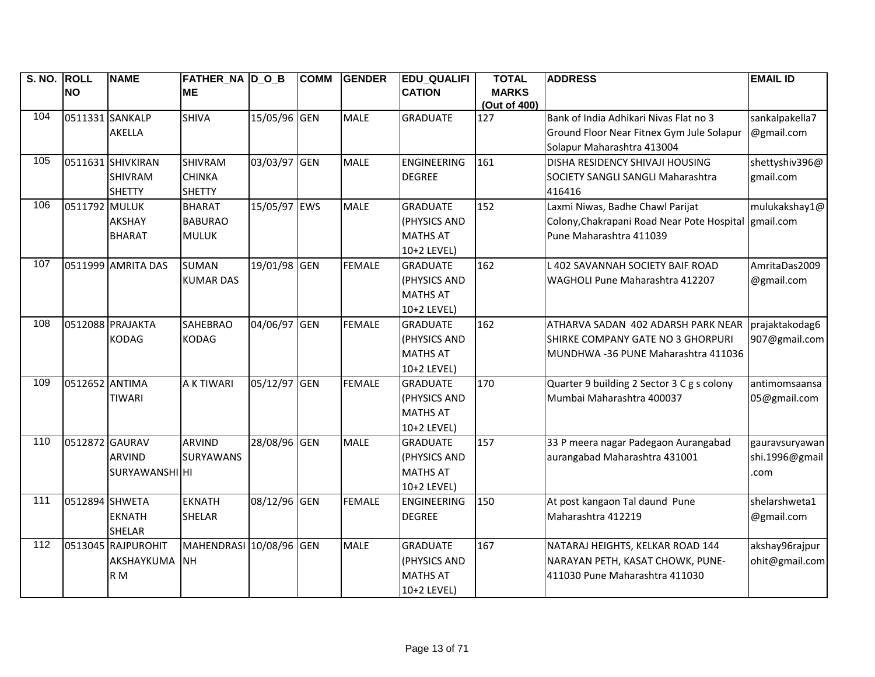| S. NO. ROLL |                 | <b>NAME</b>           | FATHER NA D O B         |              | <b>COMM</b> | <b>GENDER</b> | <b>EDU QUALIFI</b> | <b>TOTAL</b>        | <b>ADDRESS</b>                             | <b>EMAIL ID</b> |
|-------------|-----------------|-----------------------|-------------------------|--------------|-------------|---------------|--------------------|---------------------|--------------------------------------------|-----------------|
|             | <b>NO</b>       |                       | <b>ME</b>               |              |             |               | <b>CATION</b>      | <b>MARKS</b>        |                                            |                 |
| 104         | 0511331 SANKALP |                       | <b>SHIVA</b>            | 15/05/96 GEN |             | <b>MALE</b>   | <b>GRADUATE</b>    | (Out of 400)<br>127 | Bank of India Adhikari Nivas Flat no 3     | sankalpakella7  |
|             |                 | <b>AKELLA</b>         |                         |              |             |               |                    |                     | Ground Floor Near Fitnex Gym Jule Solapur  | @gmail.com      |
|             |                 |                       |                         |              |             |               |                    |                     | Solapur Maharashtra 413004                 |                 |
| 105         |                 | 0511631 SHIVKIRAN     | <b>SHIVRAM</b>          | 03/03/97 GEN |             | <b>MALE</b>   | <b>ENGINEERING</b> | 161                 | DISHA RESIDENCY SHIVAJI HOUSING            | shettyshiv396@  |
|             |                 | <b>SHIVRAM</b>        | <b>CHINKA</b>           |              |             |               | <b>DEGREE</b>      |                     | <b>SOCIETY SANGLI SANGLI Maharashtra</b>   | gmail.com       |
|             |                 | <b>SHETTY</b>         | <b>SHETTY</b>           |              |             |               |                    |                     | 416416                                     |                 |
| 106         | 0511792 MULUK   |                       | <b>BHARAT</b>           | 15/05/97 EWS |             | <b>MALE</b>   | <b>GRADUATE</b>    | 152                 | Laxmi Niwas, Badhe Chawl Parijat           | mulukakshay1@   |
|             |                 | <b>AKSHAY</b>         | <b>BABURAO</b>          |              |             |               | (PHYSICS AND       |                     | Colony, Chakrapani Road Near Pote Hospital | gmail.com       |
|             |                 | <b>BHARAT</b>         | <b>MULUK</b>            |              |             |               | <b>MATHS AT</b>    |                     | Pune Maharashtra 411039                    |                 |
|             |                 |                       |                         |              |             |               | 10+2 LEVEL)        |                     |                                            |                 |
| 107         |                 | 0511999 AMRITA DAS    | <b>SUMAN</b>            | 19/01/98 GEN |             | <b>FEMALE</b> | <b>GRADUATE</b>    | 162                 | L 402 SAVANNAH SOCIETY BAIF ROAD           | AmritaDas2009   |
|             |                 |                       | <b>KUMAR DAS</b>        |              |             |               | (PHYSICS AND       |                     | WAGHOLI Pune Maharashtra 412207            | @gmail.com      |
|             |                 |                       |                         |              |             |               | <b>MATHS AT</b>    |                     |                                            |                 |
|             |                 |                       |                         |              |             |               | 10+2 LEVEL)        |                     |                                            |                 |
| 108         |                 | 0512088 PRAJAKTA      | <b>SAHEBRAO</b>         | 04/06/97 GEN |             | <b>FEMALE</b> | <b>GRADUATE</b>    | 162                 | ATHARVA SADAN 402 ADARSH PARK NEAR         | prajaktakodag6  |
|             |                 | <b>KODAG</b>          | <b>KODAG</b>            |              |             |               | (PHYSICS AND       |                     | SHIRKE COMPANY GATE NO 3 GHORPURI          | 907@gmail.com   |
|             |                 |                       |                         |              |             |               | <b>MATHS AT</b>    |                     | MUNDHWA -36 PUNE Maharashtra 411036        |                 |
|             |                 |                       |                         |              |             |               | 10+2 LEVEL)        |                     |                                            |                 |
| 109         | 0512652 ANTIMA  |                       | A K TIWARI              | 05/12/97 GEN |             | <b>FEMALE</b> | <b>GRADUATE</b>    | 170                 | Quarter 9 building 2 Sector 3 C g s colony | antimomsaansa   |
|             |                 | <b>TIWARI</b>         |                         |              |             |               | (PHYSICS AND       |                     | Mumbai Maharashtra 400037                  | 05@gmail.com    |
|             |                 |                       |                         |              |             |               | <b>MATHS AT</b>    |                     |                                            |                 |
|             |                 |                       |                         |              |             |               | 10+2 LEVEL)        |                     |                                            |                 |
| 110         | 0512872 GAURAV  |                       | <b>ARVIND</b>           | 28/08/96 GEN |             | <b>MALE</b>   | <b>GRADUATE</b>    | 157                 | 33 P meera nagar Padegaon Aurangabad       | gauravsuryawan  |
|             |                 | <b>ARVIND</b>         | <b>SURYAWANS</b>        |              |             |               | (PHYSICS AND       |                     | aurangabad Maharashtra 431001              | shi.1996@gmail  |
|             |                 | <b>SURYAWANSHI HI</b> |                         |              |             |               | <b>MATHS AT</b>    |                     |                                            | .com            |
|             |                 |                       |                         |              |             |               | 10+2 LEVEL)        |                     |                                            |                 |
| 111         | 0512894 SHWETA  |                       | <b>EKNATH</b>           | 08/12/96 GEN |             | <b>FEMALE</b> | <b>ENGINEERING</b> | 150                 | At post kangaon Tal daund Pune             | shelarshweta1   |
|             |                 | <b>EKNATH</b>         | <b>SHELAR</b>           |              |             |               | <b>DEGREE</b>      |                     | Maharashtra 412219                         | @gmail.com      |
|             |                 | <b>SHELAR</b>         |                         |              |             |               |                    |                     |                                            |                 |
| 112         |                 | 0513045 RAJPUROHIT    | MAHENDRASI 10/08/96 GEN |              |             | <b>MALE</b>   | <b>GRADUATE</b>    | 167                 | NATARAJ HEIGHTS, KELKAR ROAD 144           | akshay96rajpur  |
|             |                 | AKSHAYKUMA            | <b>INH</b>              |              |             |               | (PHYSICS AND       |                     | NARAYAN PETH, KASAT CHOWK, PUNE-           | ohit@gmail.com  |
|             |                 | R <sub>M</sub>        |                         |              |             |               | <b>MATHS AT</b>    |                     | 411030 Pune Maharashtra 411030             |                 |
|             |                 |                       |                         |              |             |               | 10+2 LEVEL)        |                     |                                            |                 |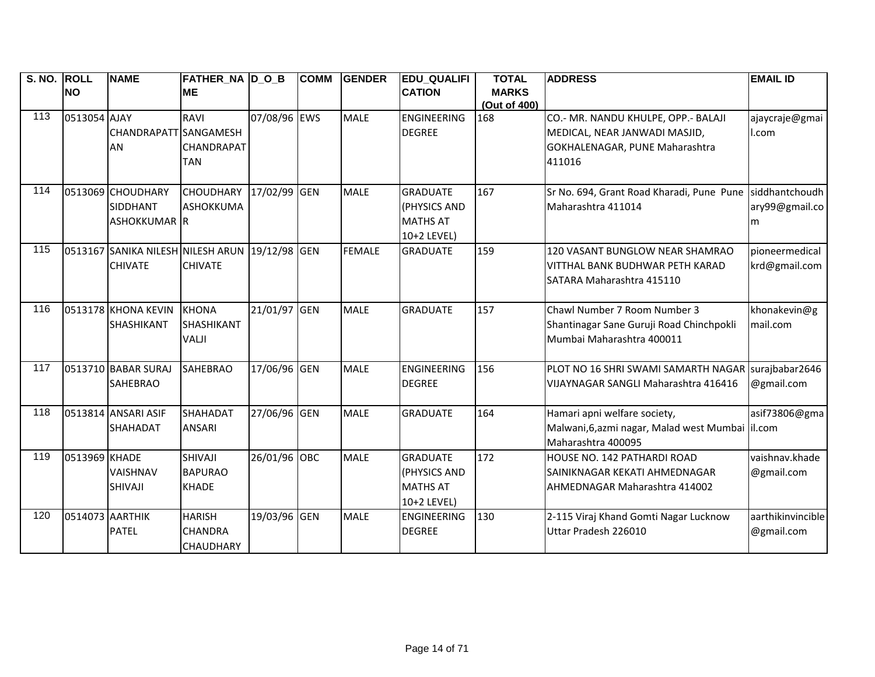| S. NO. ROLL |                 | <b>NAME</b>                                    | <b>FATHER_NA D_O_B</b> |              | <b>COMM</b> | <b>GENDER</b> | <b>EDU_QUALIFI</b> | <b>TOTAL</b>        | <b>ADDRESS</b>                                           | <b>EMAIL ID</b>   |
|-------------|-----------------|------------------------------------------------|------------------------|--------------|-------------|---------------|--------------------|---------------------|----------------------------------------------------------|-------------------|
|             | <b>NO</b>       |                                                | <b>ME</b>              |              |             |               | <b>CATION</b>      | <b>MARKS</b>        |                                                          |                   |
| 113         | 0513054 AJAY    |                                                | <b>RAVI</b>            | 07/08/96 EWS |             | <b>MALE</b>   | <b>ENGINEERING</b> | (Out of 400)<br>168 | CO.- MR. NANDU KHULPE, OPP.- BALAJI                      | ajaycraje@gmai    |
|             |                 | <b>CHANDRAPATT SANGAMESH</b>                   |                        |              |             |               | <b>DEGREE</b>      |                     | MEDICAL, NEAR JANWADI MASJID,                            | I.com             |
|             |                 | AN                                             | <b>CHANDRAPAT</b>      |              |             |               |                    |                     | GOKHALENAGAR, PUNE Maharashtra                           |                   |
|             |                 |                                                | TAN                    |              |             |               |                    |                     | 411016                                                   |                   |
|             |                 |                                                |                        |              |             |               |                    |                     |                                                          |                   |
| 114         |                 | 0513069 CHOUDHARY                              | CHOUDHARY 17/02/99 GEN |              |             | <b>MALE</b>   | <b>GRADUATE</b>    | 167                 | Sr No. 694, Grant Road Kharadi, Pune Pune siddhantchoudh |                   |
|             |                 | <b>SIDDHANT</b>                                | <b>ASHOKKUMA</b>       |              |             |               | (PHYSICS AND       |                     | Maharashtra 411014                                       | ary99@gmail.co    |
|             |                 | <b>ASHOKKUMAR IR</b>                           |                        |              |             |               | <b>MATHS AT</b>    |                     |                                                          | m                 |
|             |                 |                                                |                        |              |             |               | 10+2 LEVEL)        |                     |                                                          |                   |
| 115         |                 | 0513167 SANIKA NILESH NILESH ARUN 19/12/98 GEN |                        |              |             | <b>FEMALE</b> | <b>GRADUATE</b>    | 159                 | 120 VASANT BUNGLOW NEAR SHAMRAO                          | pioneermedical    |
|             |                 | <b>CHIVATE</b>                                 | <b>CHIVATE</b>         |              |             |               |                    |                     | VITTHAL BANK BUDHWAR PETH KARAD                          | krd@gmail.com     |
|             |                 |                                                |                        |              |             |               |                    |                     | SATARA Maharashtra 415110                                |                   |
|             |                 |                                                |                        |              |             |               |                    |                     |                                                          |                   |
| 116         |                 | 0513178 KHONA KEVIN                            | <b>KHONA</b>           | 21/01/97 GEN |             | <b>MALE</b>   | <b>GRADUATE</b>    | 157                 | Chawl Number 7 Room Number 3                             | khonakevin@g      |
|             |                 | <b>SHASHIKANT</b>                              | SHASHIKANT             |              |             |               |                    |                     | Shantinagar Sane Guruji Road Chinchpokli                 | mail.com          |
|             |                 |                                                | <b>VALJI</b>           |              |             |               |                    |                     | Mumbai Maharashtra 400011                                |                   |
| 117         |                 | 0513710 BABAR SURAJ                            | <b>SAHEBRAO</b>        | 17/06/96 GEN |             | <b>MALE</b>   | <b>ENGINEERING</b> | 156                 | PLOT NO 16 SHRI SWAMI SAMARTH NAGAR                      | surajbabar2646    |
|             |                 | <b>SAHEBRAO</b>                                |                        |              |             |               | <b>DEGREE</b>      |                     | VIJAYNAGAR SANGLI Maharashtra 416416                     | @gmail.com        |
|             |                 |                                                |                        |              |             |               |                    |                     |                                                          |                   |
| 118         |                 | 0513814 ANSARI ASIF                            | <b>SHAHADAT</b>        | 27/06/96 GEN |             | <b>MALE</b>   | <b>GRADUATE</b>    | 164                 | Hamari apni welfare society,                             | asif73806@gma     |
|             |                 | <b>SHAHADAT</b>                                | <b>ANSARI</b>          |              |             |               |                    |                     | Malwani, 6, azmi nagar, Malad west Mumbai   il.com       |                   |
|             |                 |                                                |                        |              |             |               |                    |                     | Maharashtra 400095                                       |                   |
| 119         | 0513969 KHADE   |                                                | SHIVAJI                | 26/01/96 OBC |             | <b>MALE</b>   | <b>GRADUATE</b>    | 172                 | HOUSE NO. 142 PATHARDI ROAD                              | vaishnav.khade    |
|             |                 | <b>VAISHNAV</b>                                | <b>BAPURAO</b>         |              |             |               | (PHYSICS AND       |                     | SAINIKNAGAR KEKATI AHMEDNAGAR                            | @gmail.com        |
|             |                 | <b>SHIVAJI</b>                                 | <b>KHADE</b>           |              |             |               | <b>MATHS AT</b>    |                     | AHMEDNAGAR Maharashtra 414002                            |                   |
|             |                 |                                                |                        |              |             |               | 10+2 LEVEL)        |                     |                                                          |                   |
| 120         | 0514073 AARTHIK |                                                | <b>HARISH</b>          | 19/03/96 GEN |             | <b>MALE</b>   | <b>ENGINEERING</b> | 130                 | 2-115 Viraj Khand Gomti Nagar Lucknow                    | aarthikinvincible |
|             |                 | <b>PATEL</b>                                   | <b>CHANDRA</b>         |              |             |               | <b>DEGREE</b>      |                     | Uttar Pradesh 226010                                     | @gmail.com        |
|             |                 |                                                | <b>CHAUDHARY</b>       |              |             |               |                    |                     |                                                          |                   |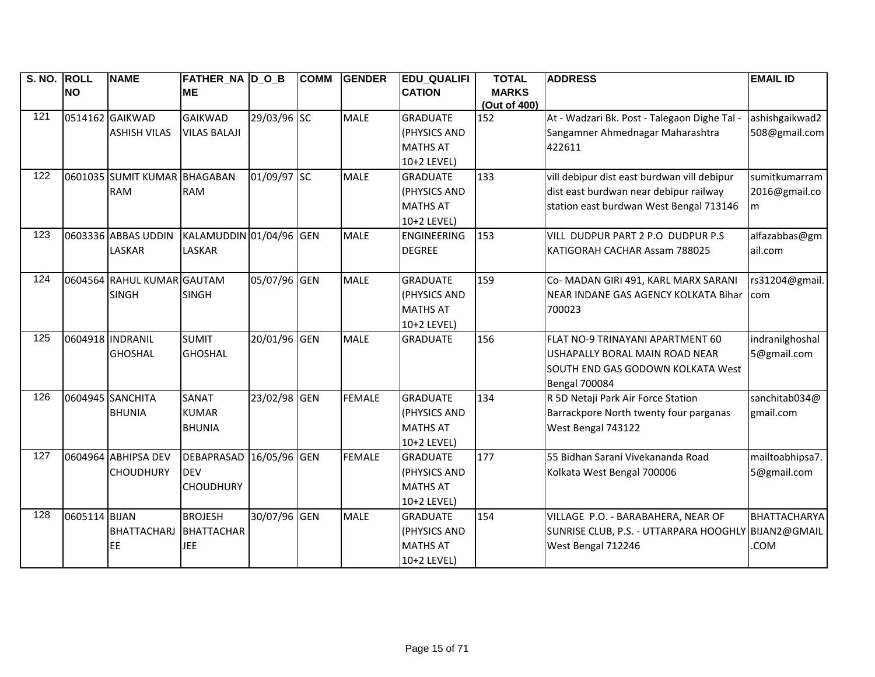| S. NO. ROLL |               | <b>NAME</b>                  | <b>FATHER_NA D_O_B</b>  |              | <b>COMM</b> | <b>GENDER</b> | <b>EDU_QUALIFI</b> | <b>TOTAL</b> | <b>ADDRESS</b>                               | <b>EMAIL ID</b>     |
|-------------|---------------|------------------------------|-------------------------|--------------|-------------|---------------|--------------------|--------------|----------------------------------------------|---------------------|
|             | <b>NO</b>     |                              | <b>ME</b>               |              |             |               | <b>CATION</b>      | <b>MARKS</b> |                                              |                     |
|             |               |                              |                         |              |             |               |                    | (Out of 400) |                                              |                     |
| 121         |               | 0514162 GAIKWAD              | <b>GAIKWAD</b>          | 29/03/96 SC  |             | <b>MALE</b>   | <b>GRADUATE</b>    | 152          | At - Wadzari Bk. Post - Talegaon Dighe Tal - | ashishgaikwad2      |
|             |               | <b>ASHISH VILAS</b>          | <b>VILAS BALAJI</b>     |              |             |               | (PHYSICS AND       |              | Sangamner Ahmednagar Maharashtra             | 508@gmail.com       |
|             |               |                              |                         |              |             |               | <b>MATHS AT</b>    |              | 422611                                       |                     |
|             |               |                              |                         |              |             |               | 10+2 LEVEL)        |              |                                              |                     |
| 122         |               | 0601035 SUMIT KUMAR BHAGABAN |                         | 01/09/97 SC  |             | <b>MALE</b>   | <b>GRADUATE</b>    | 133          | vill debipur dist east burdwan vill debipur  | sumitkumarram       |
|             |               | <b>RAM</b>                   | <b>RAM</b>              |              |             |               | (PHYSICS AND       |              | dist east burdwan near debipur railway       | 2016@gmail.co       |
|             |               |                              |                         |              |             |               | <b>MATHS AT</b>    |              | station east burdwan West Bengal 713146      | m                   |
|             |               |                              |                         |              |             |               | 10+2 LEVEL)        |              |                                              |                     |
| 123         |               | 0603336 ABBAS UDDIN          | KALAMUDDIN 01/04/96 GEN |              |             | <b>MALE</b>   | <b>ENGINEERING</b> | 153          | VILL DUDPUR PART 2 P.O DUDPUR P.S            | alfazabbas@gm       |
|             |               | LASKAR                       | <b>LASKAR</b>           |              |             |               | <b>DEGREE</b>      |              | KATIGORAH CACHAR Assam 788025                | ail.com             |
|             |               |                              |                         |              |             |               |                    |              |                                              |                     |
| 124         |               | 0604564 RAHUL KUMAR GAUTAM   |                         | 05/07/96 GEN |             | <b>MALE</b>   | <b>GRADUATE</b>    | 159          | Co- MADAN GIRI 491, KARL MARX SARANI         | rs31204@gmail.      |
|             |               | <b>SINGH</b>                 | <b>SINGH</b>            |              |             |               | (PHYSICS AND       |              | NEAR INDANE GAS AGENCY KOLKATA Bihar         | com                 |
|             |               |                              |                         |              |             |               | <b>MATHS AT</b>    |              | 700023                                       |                     |
|             |               |                              |                         |              |             |               | 10+2 LEVEL)        |              |                                              |                     |
| 125         |               | 0604918 INDRANIL             | <b>SUMIT</b>            | 20/01/96 GEN |             | <b>MALE</b>   | <b>GRADUATE</b>    | 156          | FLAT NO-9 TRINAYANI APARTMENT 60             | indranilghoshal     |
|             |               | <b>GHOSHAL</b>               | <b>GHOSHAL</b>          |              |             |               |                    |              | USHAPALLY BORAL MAIN ROAD NEAR               | 5@gmail.com         |
|             |               |                              |                         |              |             |               |                    |              | SOUTH END GAS GODOWN KOLKATA West            |                     |
|             |               |                              |                         |              |             |               |                    |              | <b>Bengal 700084</b>                         |                     |
| 126         |               | 0604945 SANCHITA             | SANAT                   | 23/02/98 GEN |             | <b>FEMALE</b> | <b>GRADUATE</b>    | 134          | R 5D Netaji Park Air Force Station           | sanchitab034@       |
|             |               | <b>BHUNIA</b>                | <b>KUMAR</b>            |              |             |               | (PHYSICS AND       |              | Barrackpore North twenty four parganas       | gmail.com           |
|             |               |                              | <b>BHUNIA</b>           |              |             |               | <b>MATHS AT</b>    |              | West Bengal 743122                           |                     |
|             |               |                              |                         |              |             |               | 10+2 LEVEL)        |              |                                              |                     |
| 127         |               | 0604964 ABHIPSA DEV          | <b>DEBAPRASAD</b>       | 16/05/96 GEN |             | <b>FEMALE</b> | <b>GRADUATE</b>    | 177          | 55 Bidhan Sarani Vivekananda Road            | mailtoabhipsa7.     |
|             |               | <b>CHOUDHURY</b>             | <b>DEV</b>              |              |             |               | (PHYSICS AND       |              | Kolkata West Bengal 700006                   | 5@gmail.com         |
|             |               |                              | <b>CHOUDHURY</b>        |              |             |               | <b>MATHS AT</b>    |              |                                              |                     |
|             |               |                              |                         |              |             |               | 10+2 LEVEL)        |              |                                              |                     |
| 128         | 0605114 BIJAN |                              | <b>BROJESH</b>          | 30/07/96 GEN |             | <b>MALE</b>   | <b>GRADUATE</b>    | 154          | VILLAGE P.O. - BARABAHERA, NEAR OF           | <b>BHATTACHARYA</b> |
|             |               | <b>BHATTACHARJ</b>           | BHATTACHAR              |              |             |               | (PHYSICS AND       |              | SUNRISE CLUB, P.S. - UTTARPARA HOOGHLY       | BIJAN2@GMAIL        |
|             |               | EE                           | <b>JEE</b>              |              |             |               | <b>MATHS AT</b>    |              | West Bengal 712246                           | <b>COM</b>          |
|             |               |                              |                         |              |             |               | 10+2 LEVEL)        |              |                                              |                     |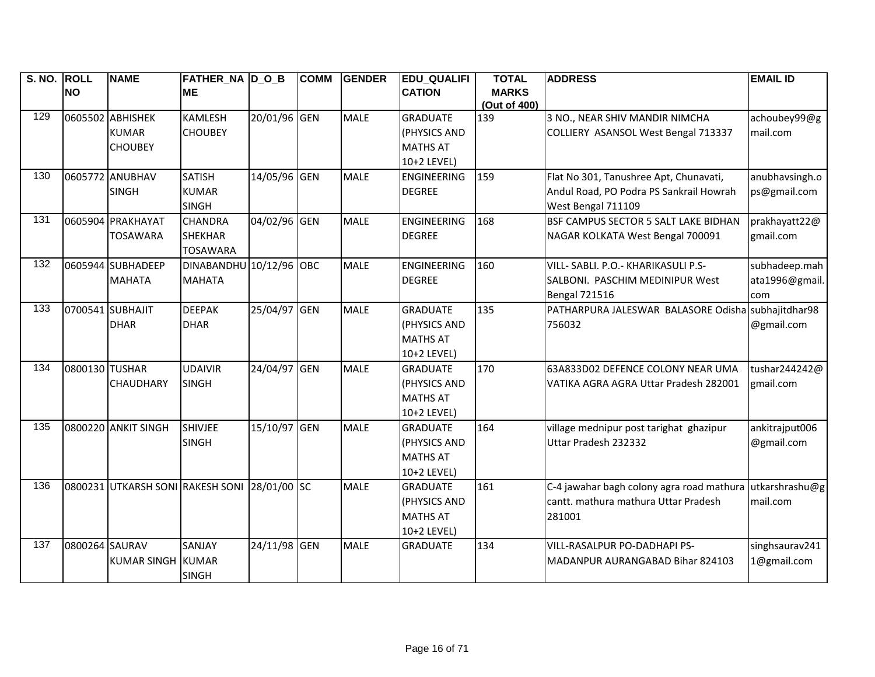| S. NO. ROLL |                | <b>NAME</b>                                  | FATHER NA D O B         |              | <b>COMM</b> | <b>GENDER</b> | <b>EDU QUALIFI</b> | <b>TOTAL</b>        | <b>ADDRESS</b>                                     | <b>EMAIL ID</b> |
|-------------|----------------|----------------------------------------------|-------------------------|--------------|-------------|---------------|--------------------|---------------------|----------------------------------------------------|-----------------|
|             | <b>NO</b>      |                                              | <b>ME</b>               |              |             |               | <b>CATION</b>      | <b>MARKS</b>        |                                                    |                 |
| 129         |                | 0605502 ABHISHEK                             | <b>KAMLESH</b>          | 20/01/96 GEN |             | <b>MALE</b>   | <b>GRADUATE</b>    | (Out of 400)<br>139 | 3 NO., NEAR SHIV MANDIR NIMCHA                     | achoubey99@g    |
|             |                | <b>KUMAR</b>                                 | <b>CHOUBEY</b>          |              |             |               | (PHYSICS AND       |                     | COLLIERY ASANSOL West Bengal 713337                | mail.com        |
|             |                | <b>CHOUBEY</b>                               |                         |              |             |               | <b>MATHS AT</b>    |                     |                                                    |                 |
|             |                |                                              |                         |              |             |               | 10+2 LEVEL)        |                     |                                                    |                 |
| 130         |                | 0605772 ANUBHAV                              | <b>SATISH</b>           | 14/05/96 GEN |             | <b>MALE</b>   | <b>ENGINEERING</b> | 159                 | Flat No 301, Tanushree Apt, Chunavati,             | anubhavsingh.o  |
|             |                | <b>SINGH</b>                                 | <b>KUMAR</b>            |              |             |               | <b>DEGREE</b>      |                     | Andul Road, PO Podra PS Sankrail Howrah            | ps@gmail.com    |
|             |                |                                              | <b>SINGH</b>            |              |             |               |                    |                     | West Bengal 711109                                 |                 |
| 131         |                | 0605904 PRAKHAYAT                            | <b>CHANDRA</b>          | 04/02/96 GEN |             | <b>MALE</b>   | <b>ENGINEERING</b> | 168                 | BSF CAMPUS SECTOR 5 SALT LAKE BIDHAN               | prakhayatt22@   |
|             |                | <b>TOSAWARA</b>                              | <b>SHEKHAR</b>          |              |             |               | <b>DEGREE</b>      |                     | NAGAR KOLKATA West Bengal 700091                   | gmail.com       |
|             |                |                                              | <b>TOSAWARA</b>         |              |             |               |                    |                     |                                                    |                 |
| 132         |                | 0605944 SUBHADEEP                            | DINABANDHU 10/12/96 OBC |              |             | <b>MALE</b>   | <b>ENGINEERING</b> | 160                 | VILL- SABLI. P.O.- KHARIKASULI P.S-                | subhadeep.mah   |
|             |                | <b>MAHATA</b>                                | <b>MAHATA</b>           |              |             |               | <b>DEGREE</b>      |                     | SALBONI. PASCHIM MEDINIPUR West                    | ata1996@gmail.  |
|             |                |                                              |                         |              |             |               |                    |                     | Bengal 721516                                      | com             |
| 133         |                | 0700541 SUBHAJIT                             | <b>DEEPAK</b>           | 25/04/97 GEN |             | <b>MALE</b>   | <b>GRADUATE</b>    | 135                 | PATHARPURA JALESWAR BALASORE Odisha subhajitdhar98 |                 |
|             |                | <b>DHAR</b>                                  | <b>DHAR</b>             |              |             |               | (PHYSICS AND       |                     | 756032                                             | @gmail.com      |
|             |                |                                              |                         |              |             |               | <b>MATHS AT</b>    |                     |                                                    |                 |
|             |                |                                              |                         |              |             |               | 10+2 LEVEL)        |                     |                                                    |                 |
| 134         | 0800130 TUSHAR |                                              | <b>UDAIVIR</b>          | 24/04/97 GEN |             | <b>MALE</b>   | <b>GRADUATE</b>    | 170                 | 63A833D02 DEFENCE COLONY NEAR UMA                  | tushar 244242@  |
|             |                | <b>CHAUDHARY</b>                             | <b>SINGH</b>            |              |             |               | (PHYSICS AND       |                     | VATIKA AGRA AGRA Uttar Pradesh 282001              | gmail.com       |
|             |                |                                              |                         |              |             |               | <b>MATHS AT</b>    |                     |                                                    |                 |
|             |                |                                              |                         |              |             |               | 10+2 LEVEL)        |                     |                                                    |                 |
| 135         |                | 0800220 ANKIT SINGH                          | <b>SHIVJEE</b>          | 15/10/97 GEN |             | <b>MALE</b>   | <b>GRADUATE</b>    | 164                 | village mednipur post tarighat ghazipur            | ankitrajput006  |
|             |                |                                              | <b>SINGH</b>            |              |             |               | (PHYSICS AND       |                     | Uttar Pradesh 232332                               | @gmail.com      |
|             |                |                                              |                         |              |             |               | <b>MATHS AT</b>    |                     |                                                    |                 |
|             |                |                                              |                         |              |             |               | 10+2 LEVEL)        |                     |                                                    |                 |
| 136         |                | 0800231 UTKARSH SONI RAKESH SONI 28/01/00 SC |                         |              |             | <b>MALE</b>   | <b>GRADUATE</b>    | 161                 | C-4 jawahar bagh colony agra road mathura          | utkarshrashu@g  |
|             |                |                                              |                         |              |             |               | (PHYSICS AND       |                     | cantt. mathura mathura Uttar Pradesh               | mail.com        |
|             |                |                                              |                         |              |             |               | <b>MATHS AT</b>    |                     | 281001                                             |                 |
|             |                |                                              |                         |              |             |               | 10+2 LEVEL)        |                     |                                                    |                 |
| 137         | 0800264 SAURAV |                                              | SANJAY                  | 24/11/98 GEN |             | <b>MALE</b>   | <b>GRADUATE</b>    | 134                 | VILL-RASALPUR PO-DADHAPI PS-                       | singhsaurav241  |
|             |                | KUMAR SINGH KUMAR                            |                         |              |             |               |                    |                     | MADANPUR AURANGABAD Bihar 824103                   | 1@gmail.com     |
|             |                |                                              | <b>SINGH</b>            |              |             |               |                    |                     |                                                    |                 |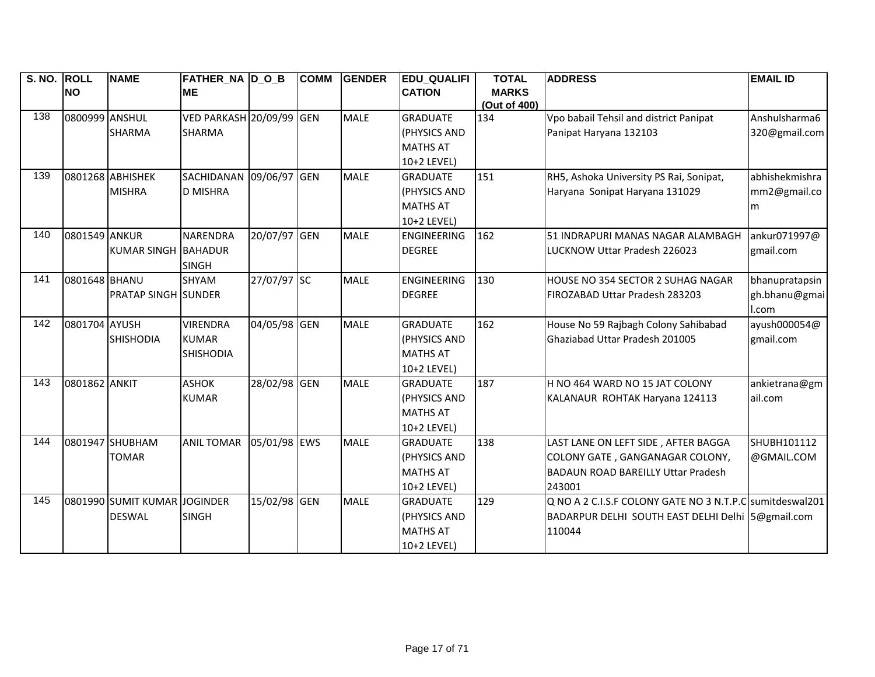| S. NO. ROLL |                | <b>NAME</b>                  | <b>FATHER_NA D_O_B</b> |              | <b>COMM</b> | <b>GENDER</b> | <b>EDU_QUALIFI</b> | <b>TOTAL</b> | <b>ADDRESS</b>                                           | <b>EMAIL ID</b> |
|-------------|----------------|------------------------------|------------------------|--------------|-------------|---------------|--------------------|--------------|----------------------------------------------------------|-----------------|
|             | <b>NO</b>      |                              | <b>ME</b>              |              |             |               | <b>CATION</b>      | <b>MARKS</b> |                                                          |                 |
|             |                |                              |                        |              |             |               |                    | (Out of 400) |                                                          |                 |
| 138         | 0800999 ANSHUL |                              | VED PARKASH 20/09/99   |              | <b>GEN</b>  | <b>MALE</b>   | <b>GRADUATE</b>    | 134          | Vpo babail Tehsil and district Panipat                   | Anshulsharma6   |
|             |                | <b>SHARMA</b>                | <b>SHARMA</b>          |              |             |               | (PHYSICS AND       |              | Panipat Haryana 132103                                   | 320@gmail.com   |
|             |                |                              |                        |              |             |               | <b>MATHS AT</b>    |              |                                                          |                 |
|             |                |                              |                        |              |             |               | 10+2 LEVEL)        |              |                                                          |                 |
| 139         |                | 0801268 ABHISHEK             | SACHIDANAN 09/06/97    |              | <b>GEN</b>  | <b>MALE</b>   | <b>GRADUATE</b>    | 151          | RH5, Ashoka University PS Rai, Sonipat,                  | abhishekmishra  |
|             |                | <b>MISHRA</b>                | <b>D MISHRA</b>        |              |             |               | (PHYSICS AND       |              | Haryana Sonipat Haryana 131029                           | mm2@gmail.co    |
|             |                |                              |                        |              |             |               | <b>MATHS AT</b>    |              |                                                          | m               |
|             |                |                              |                        |              |             |               | 10+2 LEVEL)        |              |                                                          |                 |
| 140         | 0801549 ANKUR  |                              | <b>NARENDRA</b>        | 20/07/97     | <b>GEN</b>  | <b>MALE</b>   | ENGINEERING        | 162          | 51 INDRAPURI MANAS NAGAR ALAMBAGH                        | ankur071997@    |
|             |                | KUMAR SINGH BAHADUR          |                        |              |             |               | <b>DEGREE</b>      |              | LUCKNOW Uttar Pradesh 226023                             | gmail.com       |
|             |                |                              | <b>SINGH</b>           |              |             |               |                    |              |                                                          |                 |
| 141         | 0801648 BHANU  |                              | <b>SHYAM</b>           | 27/07/97 SC  |             | <b>MALE</b>   | ENGINEERING        | 130          | HOUSE NO 354 SECTOR 2 SUHAG NAGAR                        | bhanupratapsin  |
|             |                | <b>PRATAP SINGH SUNDER</b>   |                        |              |             |               | <b>DEGREE</b>      |              | FIROZABAD Uttar Pradesh 283203                           | gh.bhanu@gmai   |
|             |                |                              |                        |              |             |               |                    |              |                                                          | I.com           |
| 142         | 0801704 AYUSH  |                              | <b>VIRENDRA</b>        | 04/05/98 GEN |             | <b>MALE</b>   | <b>GRADUATE</b>    | 162          | House No 59 Rajbagh Colony Sahibabad                     | ayush000054@    |
|             |                | <b>SHISHODIA</b>             | <b>KUMAR</b>           |              |             |               | (PHYSICS AND       |              | Ghaziabad Uttar Pradesh 201005                           | gmail.com       |
|             |                |                              | <b>SHISHODIA</b>       |              |             |               | <b>MATHS AT</b>    |              |                                                          |                 |
|             |                |                              |                        |              |             |               | 10+2 LEVEL)        |              |                                                          |                 |
| 143         | 0801862 ANKIT  |                              | <b>ASHOK</b>           | 28/02/98 GEN |             | <b>MALE</b>   | <b>GRADUATE</b>    | 187          | H NO 464 WARD NO 15 JAT COLONY                           | ankietrana@gm   |
|             |                |                              | <b>KUMAR</b>           |              |             |               | (PHYSICS AND       |              | KALANAUR ROHTAK Haryana 124113                           | ail.com         |
|             |                |                              |                        |              |             |               | <b>MATHS AT</b>    |              |                                                          |                 |
|             |                |                              |                        |              |             |               | 10+2 LEVEL)        |              |                                                          |                 |
| 144         |                | 0801947 SHUBHAM              | <b>ANIL TOMAR</b>      | 05/01/98 EWS |             | <b>MALE</b>   | <b>GRADUATE</b>    | 138          | LAST LANE ON LEFT SIDE, AFTER BAGGA                      | SHUBH101112     |
|             |                | <b>TOMAR</b>                 |                        |              |             |               | (PHYSICS AND       |              | COLONY GATE, GANGANAGAR COLONY,                          | @GMAIL.COM      |
|             |                |                              |                        |              |             |               | <b>MATHS AT</b>    |              | <b>BADAUN ROAD BAREILLY Uttar Pradesh</b>                |                 |
|             |                |                              |                        |              |             |               | 10+2 LEVEL)        |              | 243001                                                   |                 |
| 145         |                | 0801990 SUMIT KUMAR JOGINDER |                        | 15/02/98 GEN |             | <b>MALE</b>   | <b>GRADUATE</b>    | 129          | Q NO A 2 C.I.S.F COLONY GATE NO 3 N.T.P.C sumitdeswal201 |                 |
|             |                | <b>DESWAL</b>                | <b>SINGH</b>           |              |             |               | (PHYSICS AND       |              | BADARPUR DELHI SOUTH EAST DELHI Delhi 5@gmail.com        |                 |
|             |                |                              |                        |              |             |               | <b>MATHS AT</b>    |              | 110044                                                   |                 |
|             |                |                              |                        |              |             |               | 10+2 LEVEL)        |              |                                                          |                 |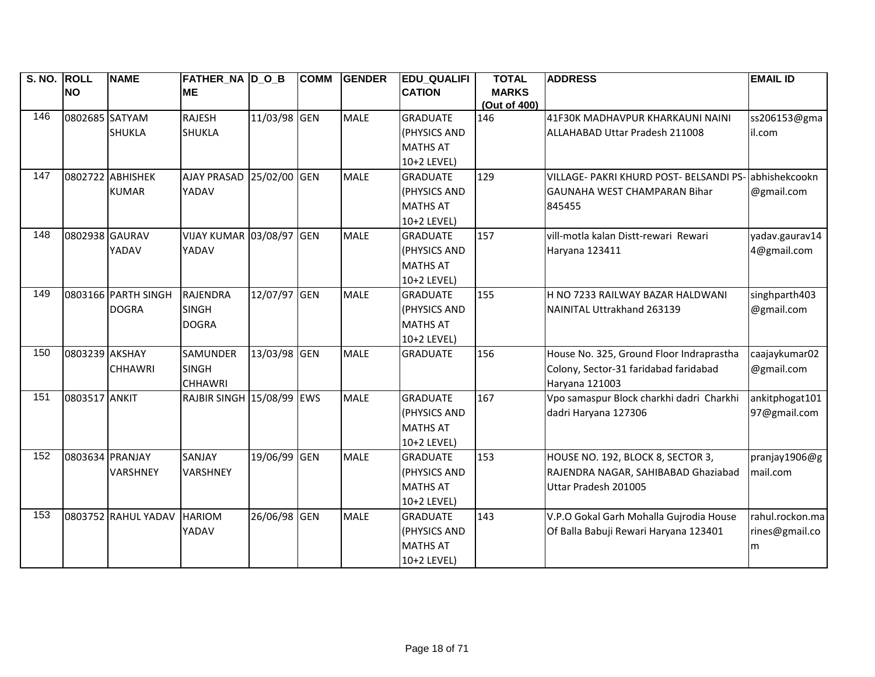| S. NO. ROLL |                | <b>NAME</b>         | <b>FATHER_NA D_O_B</b>          |              | <b>COMM</b> | <b>GENDER</b> | <b>EDU_QUALIFI</b> | <b>TOTAL</b> | <b>ADDRESS</b>                                        | <b>EMAIL ID</b> |
|-------------|----------------|---------------------|---------------------------------|--------------|-------------|---------------|--------------------|--------------|-------------------------------------------------------|-----------------|
|             | <b>NO</b>      |                     | <b>ME</b>                       |              |             |               | <b>CATION</b>      | <b>MARKS</b> |                                                       |                 |
|             |                |                     |                                 |              |             |               |                    | (Out of 400) |                                                       |                 |
| 146         | 0802685 SATYAM |                     | <b>RAJESH</b>                   | 11/03/98 GEN |             | <b>MALE</b>   | <b>GRADUATE</b>    | 146          | 41F30K MADHAVPUR KHARKAUNI NAINI                      | ss206153@gma    |
|             |                | <b>SHUKLA</b>       | <b>SHUKLA</b>                   |              |             |               | (PHYSICS AND       |              | ALLAHABAD Uttar Pradesh 211008                        | il.com          |
|             |                |                     |                                 |              |             |               | <b>MATHS AT</b>    |              |                                                       |                 |
|             |                |                     |                                 |              |             |               | 10+2 LEVEL)        |              |                                                       |                 |
| 147         |                | 0802722 ABHISHEK    | AJAY PRASAD 25/02/00 GEN        |              |             | <b>MALE</b>   | <b>GRADUATE</b>    | 129          | VILLAGE- PAKRI KHURD POST- BELSANDI PS- abhishekcookn |                 |
|             |                | <b>KUMAR</b>        | YADAV                           |              |             |               | (PHYSICS AND       |              | GAUNAHA WEST CHAMPARAN Bihar                          | @gmail.com      |
|             |                |                     |                                 |              |             |               | <b>MATHS AT</b>    |              | 845455                                                |                 |
|             |                |                     |                                 |              |             |               | 10+2 LEVEL)        |              |                                                       |                 |
| 148         | 0802938 GAURAV |                     | <b>VIJAY KUMAR 03/08/97 GEN</b> |              |             | <b>MALE</b>   | <b>GRADUATE</b>    | 157          | vill-motla kalan Distt-rewari Rewari                  | yadav.gaurav14  |
|             |                | YADAV               | YADAV                           |              |             |               | (PHYSICS AND       |              | Haryana 123411                                        | 4@gmail.com     |
|             |                |                     |                                 |              |             |               | <b>MATHS AT</b>    |              |                                                       |                 |
|             |                |                     |                                 |              |             |               | 10+2 LEVEL)        |              |                                                       |                 |
| 149         |                | 0803166 PARTH SINGH | RAJENDRA                        | 12/07/97 GEN |             | <b>MALE</b>   | <b>GRADUATE</b>    | 155          | H NO 7233 RAILWAY BAZAR HALDWANI                      | singhparth403   |
|             |                | <b>DOGRA</b>        | <b>SINGH</b>                    |              |             |               | (PHYSICS AND       |              | NAINITAL Uttrakhand 263139                            | @gmail.com      |
|             |                |                     | <b>DOGRA</b>                    |              |             |               | <b>MATHS AT</b>    |              |                                                       |                 |
|             |                |                     |                                 |              |             |               | 10+2 LEVEL)        |              |                                                       |                 |
| 150         | 0803239 AKSHAY |                     | <b>SAMUNDER</b>                 | 13/03/98 GEN |             | <b>MALE</b>   | <b>GRADUATE</b>    | 156          | House No. 325, Ground Floor Indraprastha              | caajaykumar02   |
|             |                | <b>CHHAWRI</b>      | <b>SINGH</b>                    |              |             |               |                    |              | Colony, Sector-31 faridabad faridabad                 | @gmail.com      |
|             |                |                     | <b>CHHAWRI</b>                  |              |             |               |                    |              | Haryana 121003                                        |                 |
| 151         | 0803517 ANKIT  |                     | RAJBIR SINGH 15/08/99 EWS       |              |             | <b>MALE</b>   | <b>GRADUATE</b>    | 167          | Vpo samaspur Block charkhi dadri Charkhi              | ankitphogat101  |
|             |                |                     |                                 |              |             |               | (PHYSICS AND       |              | dadri Haryana 127306                                  | 97@gmail.com    |
|             |                |                     |                                 |              |             |               | <b>MATHS AT</b>    |              |                                                       |                 |
|             |                |                     |                                 |              |             |               | 10+2 LEVEL)        |              |                                                       |                 |
| 152         |                | 0803634 PRANJAY     | SANJAY                          | 19/06/99 GEN |             | <b>MALE</b>   | <b>GRADUATE</b>    | 153          | HOUSE NO. 192, BLOCK 8, SECTOR 3,                     | pranjay1906@g   |
|             |                | <b>VARSHNEY</b>     | <b>VARSHNEY</b>                 |              |             |               | (PHYSICS AND       |              | RAJENDRA NAGAR, SAHIBABAD Ghaziabad                   | mail.com        |
|             |                |                     |                                 |              |             |               | <b>MATHS AT</b>    |              | Uttar Pradesh 201005                                  |                 |
|             |                |                     |                                 |              |             |               | 10+2 LEVEL)        |              |                                                       |                 |
| 153         |                | 0803752 RAHUL YADAV | <b>HARIOM</b>                   | 26/06/98 GEN |             | <b>MALE</b>   | <b>GRADUATE</b>    | 143          | V.P.O Gokal Garh Mohalla Gujrodia House               | rahul.rockon.ma |
|             |                |                     | YADAV                           |              |             |               | (PHYSICS AND       |              | Of Balla Babuji Rewari Haryana 123401                 | rines@gmail.co  |
|             |                |                     |                                 |              |             |               | <b>MATHS AT</b>    |              |                                                       | m               |
|             |                |                     |                                 |              |             |               | 10+2 LEVEL)        |              |                                                       |                 |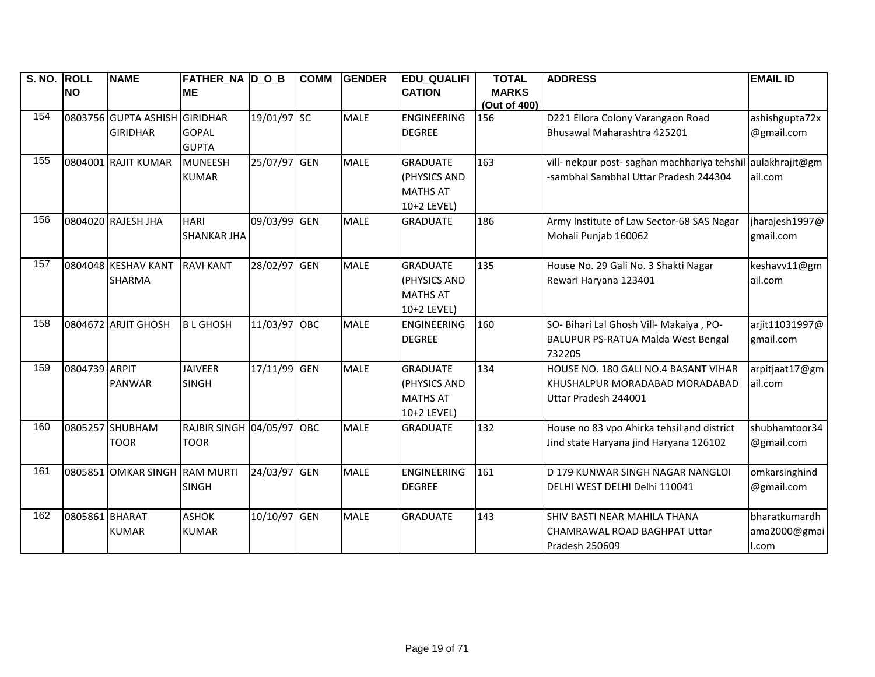| S. NO. | <b>ROLL</b>    | <b>NAME</b>                   | <b>FATHER_NA D_O_B</b>           |              | <b>COMM</b> | <b>GENDER</b> | <b>EDU_QUALIFI</b> | <b>TOTAL</b> | <b>ADDRESS</b>                                              | <b>EMAIL ID</b> |
|--------|----------------|-------------------------------|----------------------------------|--------------|-------------|---------------|--------------------|--------------|-------------------------------------------------------------|-----------------|
|        | <b>NO</b>      |                               | <b>ME</b>                        |              |             |               | <b>CATION</b>      | <b>MARKS</b> |                                                             |                 |
|        |                |                               |                                  |              |             |               |                    | (Out of 400) |                                                             |                 |
| 154    |                | 0803756 GUPTA ASHISH GIRIDHAR |                                  | 19/01/97 SC  |             | <b>MALE</b>   | <b>ENGINEERING</b> | 156          | D221 Ellora Colony Varangaon Road                           | ashishgupta72x  |
|        |                | <b>GIRIDHAR</b>               | <b>GOPAL</b>                     |              |             |               | <b>DEGREE</b>      |              | Bhusawal Maharashtra 425201                                 | @gmail.com      |
|        |                |                               | <b>GUPTA</b>                     |              |             |               |                    |              |                                                             |                 |
| 155    |                | 0804001 RAJIT KUMAR           | <b>MUNEESH</b>                   | 25/07/97 GEN |             | <b>MALE</b>   | <b>GRADUATE</b>    | 163          | vill- nekpur post- saghan machhariya tehshil aulakhrajit@gm |                 |
|        |                |                               | <b>KUMAR</b>                     |              |             |               | (PHYSICS AND       |              | -sambhal Sambhal Uttar Pradesh 244304                       | ail.com         |
|        |                |                               |                                  |              |             |               | <b>MATHS AT</b>    |              |                                                             |                 |
|        |                |                               |                                  |              |             |               | 10+2 LEVEL)        |              |                                                             |                 |
| 156    |                | 0804020 RAJESH JHA            | <b>HARI</b>                      | 09/03/99 GEN |             | <b>MALE</b>   | <b>GRADUATE</b>    | 186          | Army Institute of Law Sector-68 SAS Nagar                   | jharajesh 1997@ |
|        |                |                               | <b>SHANKAR JHA</b>               |              |             |               |                    |              | Mohali Punjab 160062                                        | gmail.com       |
|        |                |                               |                                  |              |             |               |                    |              |                                                             |                 |
| 157    |                | 0804048 KESHAV KANT           | <b>RAVI KANT</b>                 | 28/02/97 GEN |             | <b>MALE</b>   | <b>GRADUATE</b>    | 135          | House No. 29 Gali No. 3 Shakti Nagar                        | keshavv11@gm    |
|        |                | <b>SHARMA</b>                 |                                  |              |             |               | (PHYSICS AND       |              | Rewari Haryana 123401                                       | ail.com         |
|        |                |                               |                                  |              |             |               | <b>MATHS AT</b>    |              |                                                             |                 |
|        |                |                               |                                  |              |             |               | 10+2 LEVEL)        |              |                                                             |                 |
| 158    |                | 0804672 ARJIT GHOSH           | <b>BLGHOSH</b>                   | 11/03/97 OBC |             | <b>MALE</b>   | <b>ENGINEERING</b> | 160          | SO- Bihari Lal Ghosh Vill- Makaiya, PO-                     | arjit11031997@  |
|        |                |                               |                                  |              |             |               | <b>DEGREE</b>      |              | BALUPUR PS-RATUA Malda West Bengal                          | gmail.com       |
|        |                |                               |                                  |              |             |               |                    |              | 732205                                                      |                 |
| 159    | 0804739 ARPIT  |                               | <b>JAIVEER</b>                   | 17/11/99 GEN |             | <b>MALE</b>   | <b>GRADUATE</b>    | 134          | HOUSE NO. 180 GALI NO.4 BASANT VIHAR                        | arpitjaat17@gm  |
|        |                | <b>PANWAR</b>                 | <b>SINGH</b>                     |              |             |               | (PHYSICS AND       |              | KHUSHALPUR MORADABAD MORADABAD                              | ail.com         |
|        |                |                               |                                  |              |             |               | <b>MATHS AT</b>    |              | Uttar Pradesh 244001                                        |                 |
|        |                |                               |                                  |              |             |               | 10+2 LEVEL)        |              |                                                             |                 |
| 160    |                | 0805257 SHUBHAM               | <b>RAJBIR SINGH 04/05/97 OBC</b> |              |             | <b>MALE</b>   | <b>GRADUATE</b>    | 132          | House no 83 vpo Ahirka tehsil and district                  | shubhamtoor34   |
|        |                | <b>TOOR</b>                   | <b>TOOR</b>                      |              |             |               |                    |              | Jind state Haryana jind Haryana 126102                      | @gmail.com      |
|        |                |                               |                                  |              |             |               |                    |              |                                                             |                 |
| 161    |                | 0805851 OMKAR SINGH RAM MURTI |                                  | 24/03/97 GEN |             | <b>MALE</b>   | <b>ENGINEERING</b> | 161          | D 179 KUNWAR SINGH NAGAR NANGLOI                            | omkarsinghind   |
|        |                |                               | <b>SINGH</b>                     |              |             |               | <b>DEGREE</b>      |              | DELHI WEST DELHI Delhi 110041                               | @gmail.com      |
|        |                |                               |                                  |              |             |               |                    |              |                                                             |                 |
| 162    | 0805861 BHARAT |                               | <b>ASHOK</b>                     | 10/10/97 GEN |             | <b>MALE</b>   | <b>GRADUATE</b>    | 143          | SHIV BASTI NEAR MAHILA THANA                                | bharatkumardh   |
|        |                | <b>KUMAR</b>                  | <b>KUMAR</b>                     |              |             |               |                    |              | CHAMRAWAL ROAD BAGHPAT Uttar                                | ama2000@gmai    |
|        |                |                               |                                  |              |             |               |                    |              | Pradesh 250609                                              | I.com           |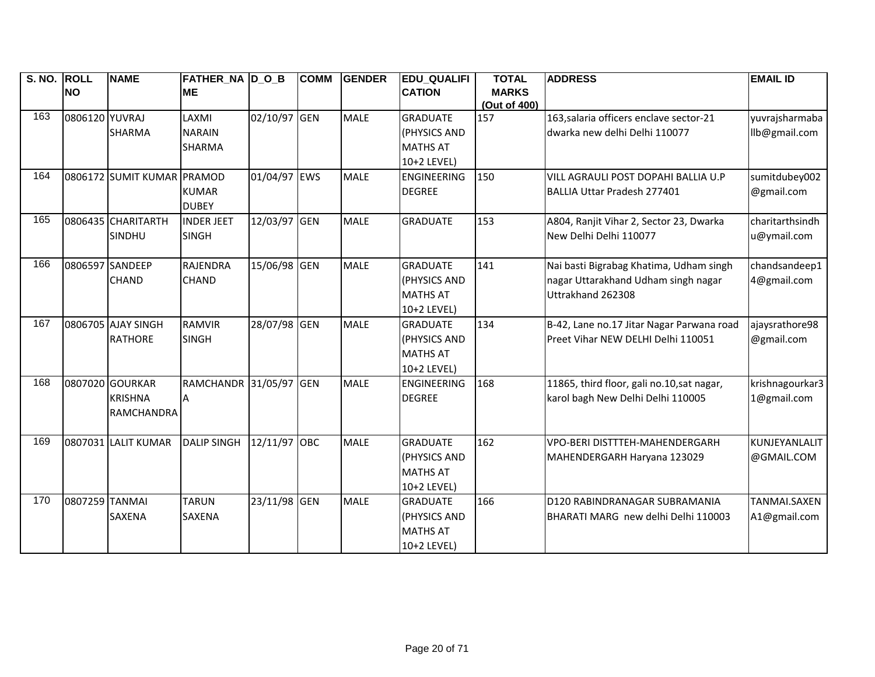| S. NO. ROLL |                | <b>NAME</b>         | <b>FATHER_NA D_O_B</b>       |              | <b>COMM</b> | <b>GENDER</b> | <b>EDU QUALIFI</b>                             | <b>TOTAL</b> | <b>ADDRESS</b>                             | <b>EMAIL ID</b> |
|-------------|----------------|---------------------|------------------------------|--------------|-------------|---------------|------------------------------------------------|--------------|--------------------------------------------|-----------------|
|             | <b>NO</b>      |                     | <b>ME</b>                    |              |             |               | <b>CATION</b>                                  | <b>MARKS</b> |                                            |                 |
|             |                |                     |                              |              |             |               |                                                | (Out of 400) |                                            |                 |
| 163         | 0806120 YUVRAJ |                     | LAXMI                        | 02/10/97     | GEN         | <b>MALE</b>   | <b>GRADUATE</b>                                | 157          | 163, salaria officers enclave sector-21    | yuvrajsharmaba  |
|             |                | <b>SHARMA</b>       | <b>NARAIN</b>                |              |             |               | (PHYSICS AND                                   |              | dwarka new delhi Delhi 110077              | llb@gmail.com   |
|             |                |                     | <b>SHARMA</b>                |              |             |               | <b>MATHS AT</b>                                |              |                                            |                 |
|             |                |                     |                              |              |             |               | 10+2 LEVEL)                                    |              |                                            |                 |
| 164         |                | 0806172 SUMIT KUMAR | PRAMOD                       | 01/04/97 EWS |             | <b>MALE</b>   | <b>ENGINEERING</b>                             | 150          | VILL AGRAULI POST DOPAHI BALLIA U.P        | sumitdubey002   |
|             |                |                     | <b>KUMAR</b><br><b>DUBEY</b> |              |             |               | <b>DEGREE</b>                                  |              | BALLIA Uttar Pradesh 277401                | @gmail.com      |
| 165         |                | 0806435 CHARITARTH  | <b>INDER JEET</b>            | 12/03/97 GEN |             | <b>MALE</b>   | <b>GRADUATE</b>                                | 153          | A804, Ranjit Vihar 2, Sector 23, Dwarka    | charitarthsindh |
|             |                | SINDHU              | <b>SINGH</b>                 |              |             |               |                                                |              | New Delhi Delhi 110077                     | u@ymail.com     |
| 166         |                | 0806597 SANDEEP     | <b>RAJENDRA</b>              | 15/06/98 GEN |             | <b>MALE</b>   | <b>GRADUATE</b>                                | 141          | Nai basti Bigrabag Khatima, Udham singh    | chandsandeep1   |
|             |                | <b>CHAND</b>        | <b>CHAND</b>                 |              |             |               | (PHYSICS AND                                   |              | nagar Uttarakhand Udham singh nagar        | 4@gmail.com     |
|             |                |                     |                              |              |             |               | <b>MATHS AT</b>                                |              | Uttrakhand 262308                          |                 |
|             |                |                     |                              |              |             |               | 10+2 LEVEL)                                    |              |                                            |                 |
| 167         |                | 0806705 AJAY SINGH  | <b>RAMVIR</b>                | 28/07/98 GEN |             | <b>MALE</b>   | <b>GRADUATE</b>                                | 134          | B-42, Lane no.17 Jitar Nagar Parwana road  | ajaysrathore98  |
|             |                | <b>RATHORE</b>      | <b>SINGH</b>                 |              |             |               | (PHYSICS AND                                   |              | Preet Vihar NEW DELHI Delhi 110051         | @gmail.com      |
|             |                |                     |                              |              |             |               | <b>MATHS AT</b>                                |              |                                            |                 |
|             |                |                     |                              |              |             |               | 10+2 LEVEL)                                    |              |                                            |                 |
| 168         |                | 0807020 GOURKAR     | RAMCHANDR 31/05/97           |              | <b>GEN</b>  | <b>MALE</b>   | <b>ENGINEERING</b>                             | 168          | 11865, third floor, gali no.10, sat nagar, | krishnagourkar3 |
|             |                | <b>KRISHNA</b>      |                              |              |             |               | <b>DEGREE</b>                                  |              | karol bagh New Delhi Delhi 110005          | 1@gmail.com     |
|             |                | <b>RAMCHANDRA</b>   |                              |              |             |               |                                                |              |                                            |                 |
| 169         |                | 0807031 LALIT KUMAR | <b>DALIP SINGH</b>           | 12/11/97     | <b>OBC</b>  | <b>MALE</b>   | <b>GRADUATE</b>                                | 162          | VPO-BERI DISTTTEH-MAHENDERGARH             | KUNJEYANLALIT   |
|             |                |                     |                              |              |             |               | (PHYSICS AND                                   |              | MAHENDERGARH Haryana 123029                | @GMAIL.COM      |
|             |                |                     |                              |              |             |               | <b>MATHS AT</b>                                |              |                                            |                 |
|             |                |                     |                              |              |             |               | 10+2 LEVEL)                                    |              |                                            |                 |
| 170         | 0807259 TANMAI |                     | <b>TARUN</b>                 | 23/11/98 GEN |             | <b>MALE</b>   | <b>GRADUATE</b>                                | 166          | D120 RABINDRANAGAR SUBRAMANIA              | TANMAI.SAXEN    |
|             |                |                     |                              |              |             |               |                                                |              |                                            |                 |
|             |                |                     |                              |              |             |               |                                                |              |                                            |                 |
|             |                |                     |                              |              |             |               |                                                |              |                                            |                 |
|             |                | <b>SAXENA</b>       | <b>SAXENA</b>                |              |             |               | (PHYSICS AND<br><b>MATHS AT</b><br>10+2 LEVEL) |              | BHARATI MARG new delhi Delhi 110003        | A1@gmail.com    |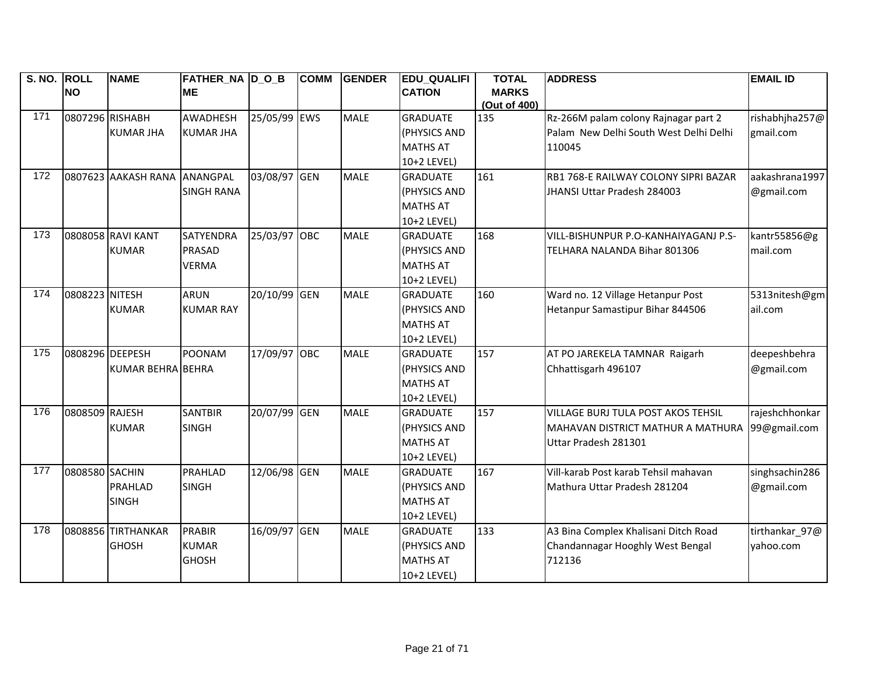| S. NO. ROLL |                 | <b>NAME</b>              | FATHER_NA  D_O_B  |              | <b>COMM</b> | <b>GENDER</b> | <b>EDU_QUALIFI</b>  | <b>TOTAL</b> | <b>ADDRESS</b>                            | <b>EMAIL ID</b> |
|-------------|-----------------|--------------------------|-------------------|--------------|-------------|---------------|---------------------|--------------|-------------------------------------------|-----------------|
|             | <b>NO</b>       |                          | <b>ME</b>         |              |             |               | <b>CATION</b>       | <b>MARKS</b> |                                           |                 |
|             |                 |                          |                   |              |             |               |                     | (Out of 400) |                                           |                 |
| 171         | 0807296 RISHABH |                          | <b>AWADHESH</b>   | 25/05/99 EWS |             | <b>MALE</b>   | <b>GRADUATE</b>     | 135          | Rz-266M palam colony Rajnagar part 2      | rishabhjha257@  |
|             |                 | <b>KUMAR JHA</b>         | <b>KUMAR JHA</b>  |              |             |               | (PHYSICS AND        |              | Palam New Delhi South West Delhi Delhi    | gmail.com       |
|             |                 |                          |                   |              |             |               | <b>MATHS AT</b>     |              | 110045                                    |                 |
|             |                 |                          |                   |              |             |               | 10+2 LEVEL)         |              |                                           |                 |
| 172         |                 | 0807623 AAKASH RANA      | ANANGPAL          | 03/08/97 GEN |             | <b>MALE</b>   | <b>GRADUATE</b>     | 161          | RB1 768-E RAILWAY COLONY SIPRI BAZAR      | aakashrana1997  |
|             |                 |                          | <b>SINGH RANA</b> |              |             |               | (PHYSICS AND        |              | JHANSI Uttar Pradesh 284003               | @gmail.com      |
|             |                 |                          |                   |              |             |               | <b>MATHS AT</b>     |              |                                           |                 |
|             |                 |                          |                   |              |             |               | 10+2 LEVEL)         |              |                                           |                 |
| 173         |                 | 0808058 RAVI KANT        | <b>SATYENDRA</b>  | 25/03/97 OBC |             | <b>MALE</b>   | <b>GRADUATE</b>     | 168          | VILL-BISHUNPUR P.O-KANHAIYAGANJ P.S-      | kantr55856@g    |
|             |                 | <b>KUMAR</b>             | PRASAD            |              |             |               | (PHYSICS AND        |              | TELHARA NALANDA Bihar 801306              | mail.com        |
|             |                 |                          | <b>VERMA</b>      |              |             |               | <b>MATHS AT</b>     |              |                                           |                 |
|             |                 |                          |                   |              |             |               | 10+2 LEVEL)         |              |                                           |                 |
| 174         | 0808223 NITESH  |                          | <b>ARUN</b>       | 20/10/99 GEN |             | <b>MALE</b>   | <b>GRADUATE</b>     | 160          | Ward no. 12 Village Hetanpur Post         | 5313nitesh@gm   |
|             |                 | <b>KUMAR</b>             | <b>KUMAR RAY</b>  |              |             |               | <b>(PHYSICS AND</b> |              | Hetanpur Samastipur Bihar 844506          | ail.com         |
|             |                 |                          |                   |              |             |               | <b>MATHS AT</b>     |              |                                           |                 |
|             |                 |                          |                   |              |             |               | 10+2 LEVEL)         |              |                                           |                 |
| 175         | 0808296 DEEPESH |                          | <b>POONAM</b>     | 17/09/97 OBC |             | <b>MALE</b>   | <b>GRADUATE</b>     | 157          | AT PO JAREKELA TAMNAR Raigarh             | deepeshbehra    |
|             |                 | <b>KUMAR BEHRA BEHRA</b> |                   |              |             |               | (PHYSICS AND        |              | Chhattisgarh 496107                       | @gmail.com      |
|             |                 |                          |                   |              |             |               | <b>MATHS AT</b>     |              |                                           |                 |
|             |                 |                          |                   |              |             |               | 10+2 LEVEL)         |              |                                           |                 |
| 176         | 0808509 RAJESH  |                          | <b>SANTBIR</b>    | 20/07/99 GEN |             | <b>MALE</b>   | <b>GRADUATE</b>     | 157          | <b>VILLAGE BURJ TULA POST AKOS TEHSIL</b> | rajeshchhonkar  |
|             |                 | <b>KUMAR</b>             | <b>SINGH</b>      |              |             |               | (PHYSICS AND        |              | MAHAVAN DISTRICT MATHUR A MATHURA         | 99@gmail.com    |
|             |                 |                          |                   |              |             |               | <b>MATHS AT</b>     |              | Uttar Pradesh 281301                      |                 |
|             |                 |                          |                   |              |             |               | 10+2 LEVEL)         |              |                                           |                 |
| 177         | 0808580 SACHIN  |                          | <b>PRAHLAD</b>    | 12/06/98 GEN |             | <b>MALE</b>   | <b>GRADUATE</b>     | 167          | Vill-karab Post karab Tehsil mahavan      | singhsachin286  |
|             |                 | <b>PRAHLAD</b>           | <b>SINGH</b>      |              |             |               | (PHYSICS AND        |              | Mathura Uttar Pradesh 281204              | @gmail.com      |
|             |                 | <b>SINGH</b>             |                   |              |             |               | <b>MATHS AT</b>     |              |                                           |                 |
|             |                 |                          |                   |              |             |               | 10+2 LEVEL)         |              |                                           |                 |
| 178         |                 | 0808856 TIRTHANKAR       | <b>PRABIR</b>     | 16/09/97 GEN |             | <b>MALE</b>   | <b>GRADUATE</b>     | 133          | A3 Bina Complex Khalisani Ditch Road      | tirthankar_97@  |
|             |                 | <b>GHOSH</b>             | <b>KUMAR</b>      |              |             |               | (PHYSICS AND        |              | Chandannagar Hooghly West Bengal          | yahoo.com       |
|             |                 |                          | <b>GHOSH</b>      |              |             |               | <b>MATHS AT</b>     |              | 712136                                    |                 |
|             |                 |                          |                   |              |             |               | 10+2 LEVEL)         |              |                                           |                 |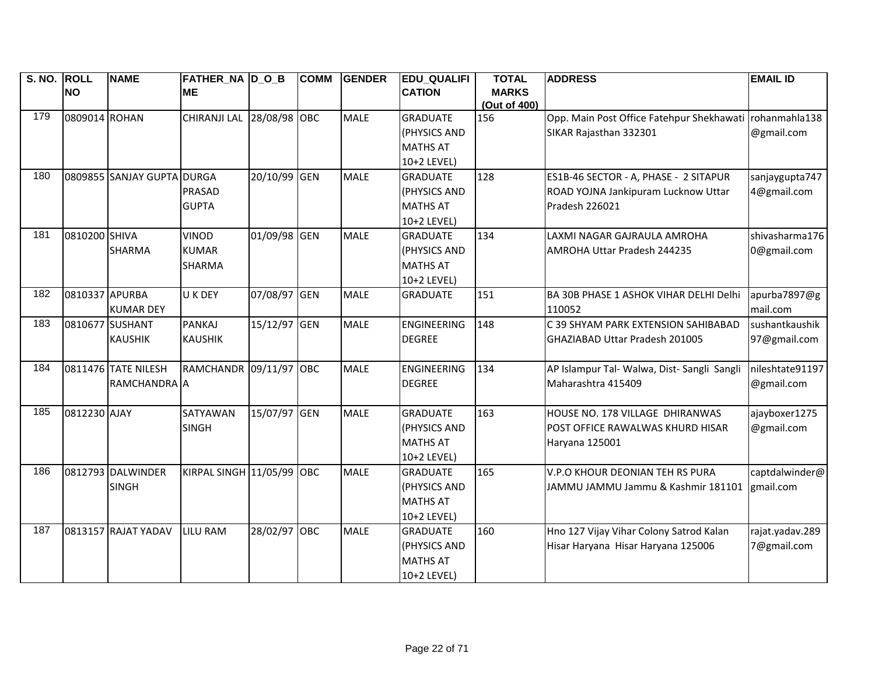| S. NO. ROLL |                | <b>NAME</b>                | FATHER NA D O B           |              | <b>COMM</b> | <b>GENDER</b> | <b>EDU QUALIFI</b> | <b>TOTAL</b> | <b>ADDRESS</b>                              | <b>EMAIL ID</b> |
|-------------|----------------|----------------------------|---------------------------|--------------|-------------|---------------|--------------------|--------------|---------------------------------------------|-----------------|
|             | <b>INO</b>     |                            | <b>ME</b>                 |              |             |               | <b>CATION</b>      | <b>MARKS</b> |                                             |                 |
| 179         |                |                            |                           |              |             |               |                    | (Out of 400) |                                             |                 |
|             | 0809014 ROHAN  |                            | CHIRANJI LAL 28/08/98 OBC |              |             | <b>MALE</b>   | <b>GRADUATE</b>    | 156          | Opp. Main Post Office Fatehpur Shekhawati   | rohanmahla138   |
|             |                |                            |                           |              |             |               | (PHYSICS AND       |              | SIKAR Rajasthan 332301                      | @gmail.com      |
|             |                |                            |                           |              |             |               | <b>MATHS AT</b>    |              |                                             |                 |
|             |                |                            |                           |              |             |               | 10+2 LEVEL)        |              |                                             |                 |
| 180         |                | 0809855 SANJAY GUPTA DURGA |                           | 20/10/99 GEN |             | <b>MALE</b>   | <b>GRADUATE</b>    | 128          | ES1B-46 SECTOR - A, PHASE - 2 SITAPUR       | sanjaygupta747  |
|             |                |                            | <b>PRASAD</b>             |              |             |               | (PHYSICS AND       |              | ROAD YOJNA Jankipuram Lucknow Uttar         | 4@gmail.com     |
|             |                |                            | <b>GUPTA</b>              |              |             |               | <b>MATHS AT</b>    |              | Pradesh 226021                              |                 |
|             |                |                            |                           |              |             |               | 10+2 LEVEL)        |              |                                             |                 |
| 181         | 0810200 SHIVA  |                            | <b>VINOD</b>              | 01/09/98 GEN |             | <b>MALE</b>   | <b>GRADUATE</b>    | 134          | LAXMI NAGAR GAJRAULA AMROHA                 | shivasharma176  |
|             |                | <b>SHARMA</b>              | <b>KUMAR</b>              |              |             |               | (PHYSICS AND       |              | AMROHA Uttar Pradesh 244235                 | 0@gmail.com     |
|             |                |                            | <b>SHARMA</b>             |              |             |               | <b>MATHS AT</b>    |              |                                             |                 |
|             |                |                            |                           |              |             |               | 10+2 LEVEL)        |              |                                             |                 |
| 182         | 0810337 APURBA |                            | U K DEY                   | 07/08/97 GEN |             | <b>MALE</b>   | <b>GRADUATE</b>    | 151          | BA 30B PHASE 1 ASHOK VIHAR DELHI Delhi      | apurba7897@g    |
|             |                | <b>KUMAR DEY</b>           |                           |              |             |               |                    |              | 110052                                      | mail.com        |
| 183         |                | 0810677 SUSHANT            | <b>PANKAJ</b>             | 15/12/97 GEN |             | <b>MALE</b>   | <b>ENGINEERING</b> | 148          | C 39 SHYAM PARK EXTENSION SAHIBABAD         | sushantkaushik  |
|             |                | <b>KAUSHIK</b>             | <b>KAUSHIK</b>            |              |             |               | <b>DEGREE</b>      |              | GHAZIABAD Uttar Pradesh 201005              | 97@gmail.com    |
|             |                |                            |                           |              |             |               |                    |              |                                             |                 |
| 184         |                | 0811476 TATE NILESH        | RAMCHANDR 09/11/97 OBC    |              |             | <b>MALE</b>   | <b>ENGINEERING</b> | 134          | AP Islampur Tal- Walwa, Dist- Sangli Sangli | nileshtate91197 |
|             |                | RAMCHANDRA A               |                           |              |             |               | <b>DEGREE</b>      |              | Maharashtra 415409                          | @gmail.com      |
|             |                |                            |                           |              |             |               |                    |              |                                             |                 |
| 185         | 0812230 AJAY   |                            | SATYAWAN                  | 15/07/97 GEN |             | <b>MALE</b>   | <b>GRADUATE</b>    | 163          | HOUSE NO. 178 VILLAGE DHIRANWAS             | ajayboxer1275   |
|             |                |                            | <b>SINGH</b>              |              |             |               | (PHYSICS AND       |              | POST OFFICE RAWALWAS KHURD HISAR            | @gmail.com      |
|             |                |                            |                           |              |             |               | <b>MATHS AT</b>    |              | Haryana 125001                              |                 |
|             |                |                            |                           |              |             |               | 10+2 LEVEL)        |              |                                             |                 |
| 186         |                | 0812793 DALWINDER          | KIRPAL SINGH 11/05/99     |              | <b>OBC</b>  | <b>MALE</b>   | <b>GRADUATE</b>    | 165          | V.P.O KHOUR DEONIAN TEH RS PURA             | captdalwinder@  |
|             |                | <b>SINGH</b>               |                           |              |             |               | (PHYSICS AND       |              | JAMMU JAMMU Jammu & Kashmir 181101          | gmail.com       |
|             |                |                            |                           |              |             |               | <b>MATHS AT</b>    |              |                                             |                 |
|             |                |                            |                           |              |             |               | 10+2 LEVEL)        |              |                                             |                 |
| 187         |                | 0813157 RAJAT YADAV        | <b>LILU RAM</b>           | 28/02/97 OBC |             | <b>MALE</b>   | <b>GRADUATE</b>    | 160          | Hno 127 Vijay Vihar Colony Satrod Kalan     | rajat.yadav.289 |
|             |                |                            |                           |              |             |               | (PHYSICS AND       |              | Hisar Haryana Hisar Haryana 125006          | 7@gmail.com     |
|             |                |                            |                           |              |             |               | <b>MATHS AT</b>    |              |                                             |                 |
|             |                |                            |                           |              |             |               | 10+2 LEVEL)        |              |                                             |                 |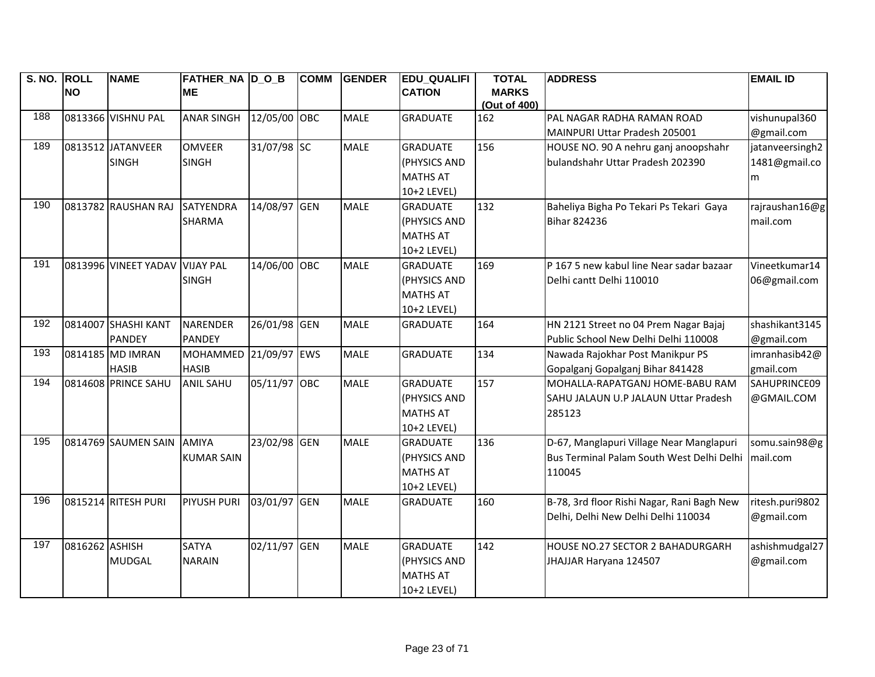| S. NO. ROLL |                | <b>NAME</b>                    | <b>FATHER NA DOB</b> |              | <b>COMM</b> | <b>GENDER</b> | <b>EDU QUALIFI</b> | <b>TOTAL</b>                 | <b>ADDRESS</b>                             | <b>EMAIL ID</b> |
|-------------|----------------|--------------------------------|----------------------|--------------|-------------|---------------|--------------------|------------------------------|--------------------------------------------|-----------------|
|             | <b>NO</b>      |                                | <b>ME</b>            |              |             |               | <b>CATION</b>      | <b>MARKS</b><br>(Out of 400) |                                            |                 |
| 188         |                | 0813366 VISHNU PAL             | <b>ANAR SINGH</b>    | 12/05/00 OBC |             | <b>MALE</b>   | <b>GRADUATE</b>    | 162                          | PAL NAGAR RADHA RAMAN ROAD                 | vishunupal360   |
|             |                |                                |                      |              |             |               |                    |                              | MAINPURI Uttar Pradesh 205001              | @gmail.com      |
| 189         |                | 0813512 JATANVEER              | <b>OMVEER</b>        | 31/07/98 SC  |             | <b>MALE</b>   | <b>GRADUATE</b>    | 156                          | HOUSE NO. 90 A nehru ganj anoopshahr       | jatanveersingh2 |
|             |                | <b>SINGH</b>                   | <b>SINGH</b>         |              |             |               | (PHYSICS AND       |                              | bulandshahr Uttar Pradesh 202390           | 1481@gmail.co   |
|             |                |                                |                      |              |             |               | <b>MATHS AT</b>    |                              |                                            | m               |
|             |                |                                |                      |              |             |               | 10+2 LEVEL)        |                              |                                            |                 |
| 190         |                | 0813782 RAUSHAN RAJ            | <b>SATYENDRA</b>     | 14/08/97 GEN |             | <b>MALE</b>   | <b>GRADUATE</b>    | 132                          | Baheliya Bigha Po Tekari Ps Tekari Gaya    | rajraushan16@g  |
|             |                |                                | <b>SHARMA</b>        |              |             |               | (PHYSICS AND       |                              | <b>Bihar 824236</b>                        | mail.com        |
|             |                |                                |                      |              |             |               | <b>MATHS AT</b>    |                              |                                            |                 |
|             |                |                                |                      |              |             |               | 10+2 LEVEL)        |                              |                                            |                 |
| 191         |                | 0813996 VINEET YADAV VIJAY PAL |                      | 14/06/00 OBC |             | <b>MALE</b>   | <b>GRADUATE</b>    | 169                          | P 167 5 new kabul line Near sadar bazaar   | Vineetkumar14   |
|             |                |                                | <b>SINGH</b>         |              |             |               | (PHYSICS AND       |                              | Delhi cantt Delhi 110010                   | 06@gmail.com    |
|             |                |                                |                      |              |             |               | <b>MATHS AT</b>    |                              |                                            |                 |
|             |                |                                |                      |              |             |               | 10+2 LEVEL)        |                              |                                            |                 |
| 192         |                | 0814007 SHASHI KANT            | NARENDER             | 26/01/98 GEN |             | <b>MALE</b>   | <b>GRADUATE</b>    | 164                          | HN 2121 Street no 04 Prem Nagar Bajaj      | shashikant3145  |
|             |                | <b>PANDEY</b>                  | <b>PANDEY</b>        |              |             |               |                    |                              | Public School New Delhi Delhi 110008       | @gmail.com      |
| 193         |                | 0814185 MD IMRAN               | <b>MOHAMMED</b>      | 21/09/97 EWS |             | <b>MALE</b>   | <b>GRADUATE</b>    | 134                          | Nawada Rajokhar Post Manikpur PS           | imranhasib42@   |
|             |                | <b>HASIB</b>                   | <b>HASIB</b>         |              |             |               |                    |                              | Gopalganj Gopalganj Bihar 841428           | gmail.com       |
| 194         |                | 0814608 PRINCE SAHU            | <b>ANIL SAHU</b>     | 05/11/97 OBC |             | <b>MALE</b>   | <b>GRADUATE</b>    | 157                          | MOHALLA-RAPATGANJ HOME-BABU RAM            | SAHUPRINCE09    |
|             |                |                                |                      |              |             |               | (PHYSICS AND       |                              | SAHU JALAUN U.P JALAUN Uttar Pradesh       | @GMAIL.COM      |
|             |                |                                |                      |              |             |               | <b>MATHS AT</b>    |                              | 285123                                     |                 |
|             |                |                                |                      |              |             |               | 10+2 LEVEL)        |                              |                                            |                 |
| 195         |                | 0814769 SAUMEN SAIN            | <b>AMIYA</b>         | 23/02/98 GEN |             | <b>MALE</b>   | <b>GRADUATE</b>    | 136                          | D-67, Manglapuri Village Near Manglapuri   | somu.sain98@g   |
|             |                |                                | <b>KUMAR SAIN</b>    |              |             |               | (PHYSICS AND       |                              | Bus Terminal Palam South West Delhi Delhi  | mail.com        |
|             |                |                                |                      |              |             |               | <b>MATHS AT</b>    |                              | 110045                                     |                 |
|             |                |                                |                      |              |             |               | 10+2 LEVEL)        |                              |                                            |                 |
| 196         |                | 0815214 RITESH PURI            | PIYUSH PURI          | 03/01/97 GEN |             | <b>MALE</b>   | <b>GRADUATE</b>    | 160                          | B-78, 3rd floor Rishi Nagar, Rani Bagh New | ritesh.puri9802 |
|             |                |                                |                      |              |             |               |                    |                              | Delhi, Delhi New Delhi Delhi 110034        | @gmail.com      |
|             |                |                                |                      |              |             |               |                    |                              |                                            |                 |
| 197         | 0816262 ASHISH |                                | <b>SATYA</b>         | 02/11/97 GEN |             | <b>MALE</b>   | <b>GRADUATE</b>    | 142                          | HOUSE NO.27 SECTOR 2 BAHADURGARH           | ashishmudgal27  |
|             |                | <b>MUDGAL</b>                  | <b>NARAIN</b>        |              |             |               | (PHYSICS AND       |                              | JHAJJAR Haryana 124507                     | @gmail.com      |
|             |                |                                |                      |              |             |               | <b>MATHS AT</b>    |                              |                                            |                 |
|             |                |                                |                      |              |             |               | 10+2 LEVEL)        |                              |                                            |                 |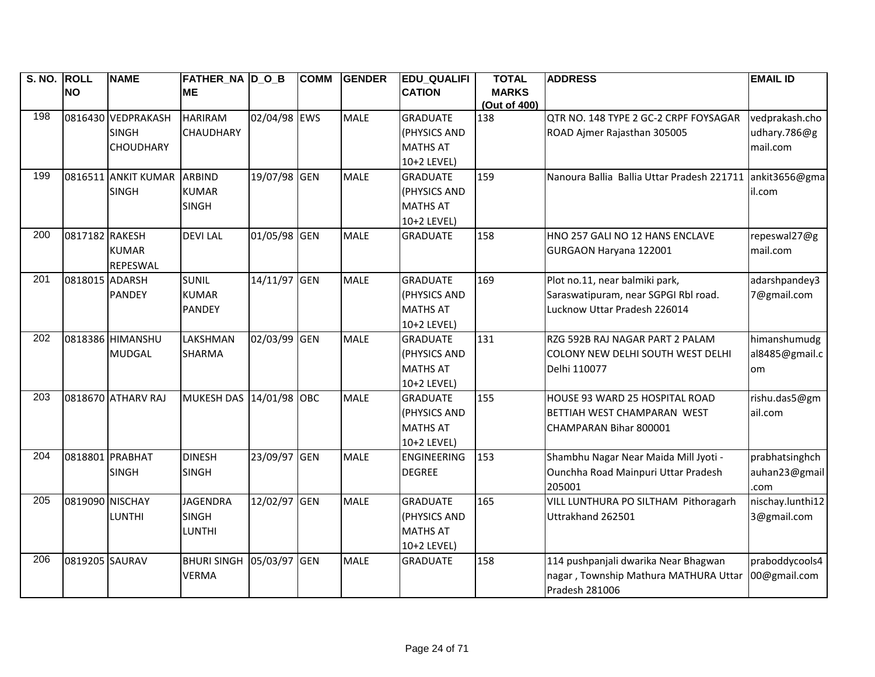| S. NO. ROLL |                 | <b>NAME</b>         | FATHER NA D O B    |              | <b>COMM</b> | <b>GENDER</b> | <b>EDU QUALIFI</b> | <b>TOTAL</b>                 | <b>ADDRESS</b>                             | <b>EMAIL ID</b>  |
|-------------|-----------------|---------------------|--------------------|--------------|-------------|---------------|--------------------|------------------------------|--------------------------------------------|------------------|
|             | <b>NO</b>       |                     | <b>ME</b>          |              |             |               | <b>CATION</b>      | <b>MARKS</b><br>(Out of 400) |                                            |                  |
| 198         |                 | 0816430 VEDPRAKASH  | <b>HARIRAM</b>     | 02/04/98 EWS |             | <b>MALE</b>   | <b>GRADUATE</b>    | 138                          | QTR NO. 148 TYPE 2 GC-2 CRPF FOYSAGAR      | vedprakash.cho   |
|             |                 | <b>SINGH</b>        | <b>CHAUDHARY</b>   |              |             |               | (PHYSICS AND       |                              | ROAD Ajmer Rajasthan 305005                | udhary.786@g     |
|             |                 | <b>CHOUDHARY</b>    |                    |              |             |               | <b>MATHS AT</b>    |                              |                                            | mail.com         |
|             |                 |                     |                    |              |             |               | 10+2 LEVEL)        |                              |                                            |                  |
| 199         |                 | 0816511 ANKIT KUMAR | <b>ARBIND</b>      | 19/07/98 GEN |             | <b>MALE</b>   | <b>GRADUATE</b>    | 159                          | Nanoura Ballia Ballia Uttar Pradesh 221711 | ankit3656@gma    |
|             |                 | <b>SINGH</b>        | <b>KUMAR</b>       |              |             |               | (PHYSICS AND       |                              |                                            | il.com           |
|             |                 |                     | <b>SINGH</b>       |              |             |               | <b>MATHS AT</b>    |                              |                                            |                  |
|             |                 |                     |                    |              |             |               | 10+2 LEVEL)        |                              |                                            |                  |
| 200         | 0817182 RAKESH  |                     | <b>DEVILAL</b>     | 01/05/98 GEN |             | <b>MALE</b>   | <b>GRADUATE</b>    | 158                          | HNO 257 GALI NO 12 HANS ENCLAVE            | repeswal27@g     |
|             |                 | <b>KUMAR</b>        |                    |              |             |               |                    |                              | GURGAON Haryana 122001                     | mail.com         |
|             |                 | REPESWAL            |                    |              |             |               |                    |                              |                                            |                  |
| 201         | 0818015 ADARSH  |                     | <b>SUNIL</b>       | 14/11/97 GEN |             | <b>MALE</b>   | <b>GRADUATE</b>    | 169                          | Plot no.11, near balmiki park,             | adarshpandey3    |
|             |                 | <b>PANDEY</b>       | <b>KUMAR</b>       |              |             |               | (PHYSICS AND       |                              | Saraswatipuram, near SGPGI Rbl road.       | 7@gmail.com      |
|             |                 |                     | <b>PANDEY</b>      |              |             |               | <b>MATHS AT</b>    |                              | Lucknow Uttar Pradesh 226014               |                  |
|             |                 |                     |                    |              |             |               | 10+2 LEVEL)        |                              |                                            |                  |
| 202         |                 | 0818386 HIMANSHU    | LAKSHMAN           | 02/03/99 GEN |             | <b>MALE</b>   | <b>GRADUATE</b>    | 131                          | RZG 592B RAJ NAGAR PART 2 PALAM            | himanshumudg     |
|             |                 | <b>MUDGAL</b>       | <b>SHARMA</b>      |              |             |               | (PHYSICS AND       |                              | COLONY NEW DELHI SOUTH WEST DELHI          | al8485@gmail.c   |
|             |                 |                     |                    |              |             |               | <b>MATHS AT</b>    |                              | Delhi 110077                               | om               |
|             |                 |                     |                    |              |             |               | 10+2 LEVEL)        |                              |                                            |                  |
| 203         |                 | 0818670 ATHARV RAJ  | <b>MUKESH DAS</b>  | 14/01/98 OBC |             | <b>MALE</b>   | <b>GRADUATE</b>    | 155                          | HOUSE 93 WARD 25 HOSPITAL ROAD             | rishu.das5@gm    |
|             |                 |                     |                    |              |             |               | (PHYSICS AND       |                              | BETTIAH WEST CHAMPARAN WEST                | ail.com          |
|             |                 |                     |                    |              |             |               | <b>MATHS AT</b>    |                              | CHAMPARAN Bihar 800001                     |                  |
|             |                 |                     |                    |              |             |               | 10+2 LEVEL)        |                              |                                            |                  |
| 204         |                 | 0818801 PRABHAT     | <b>DINESH</b>      | 23/09/97 GEN |             | <b>MALE</b>   | <b>ENGINEERING</b> | 153                          | Shambhu Nagar Near Maida Mill Jyoti -      | prabhatsinghch   |
|             |                 | <b>SINGH</b>        | <b>SINGH</b>       |              |             |               | <b>DEGREE</b>      |                              | Ounchha Road Mainpuri Uttar Pradesh        | auhan23@gmail    |
|             |                 |                     |                    |              |             |               |                    |                              | 205001                                     | .com             |
| 205         | 0819090 NISCHAY |                     | <b>JAGENDRA</b>    | 12/02/97 GEN |             | <b>MALE</b>   | <b>GRADUATE</b>    | 165                          | VILL LUNTHURA PO SILTHAM Pithoragarh       | nischay.lunthi12 |
|             |                 | <b>LUNTHI</b>       | <b>SINGH</b>       |              |             |               | (PHYSICS AND       |                              | Uttrakhand 262501                          | 3@gmail.com      |
|             |                 |                     | <b>LUNTHI</b>      |              |             |               | <b>MATHS AT</b>    |                              |                                            |                  |
|             |                 |                     |                    |              |             |               | 10+2 LEVEL)        |                              |                                            |                  |
| 206         | 0819205 SAURAV  |                     | <b>BHURI SINGH</b> | 05/03/97 GEN |             | <b>MALE</b>   | <b>GRADUATE</b>    | 158                          | 114 pushpanjali dwarika Near Bhagwan       | praboddycools4   |
|             |                 |                     | <b>VERMA</b>       |              |             |               |                    |                              | nagar, Township Mathura MATHURA Uttar      | 00@gmail.com     |
|             |                 |                     |                    |              |             |               |                    |                              | Pradesh 281006                             |                  |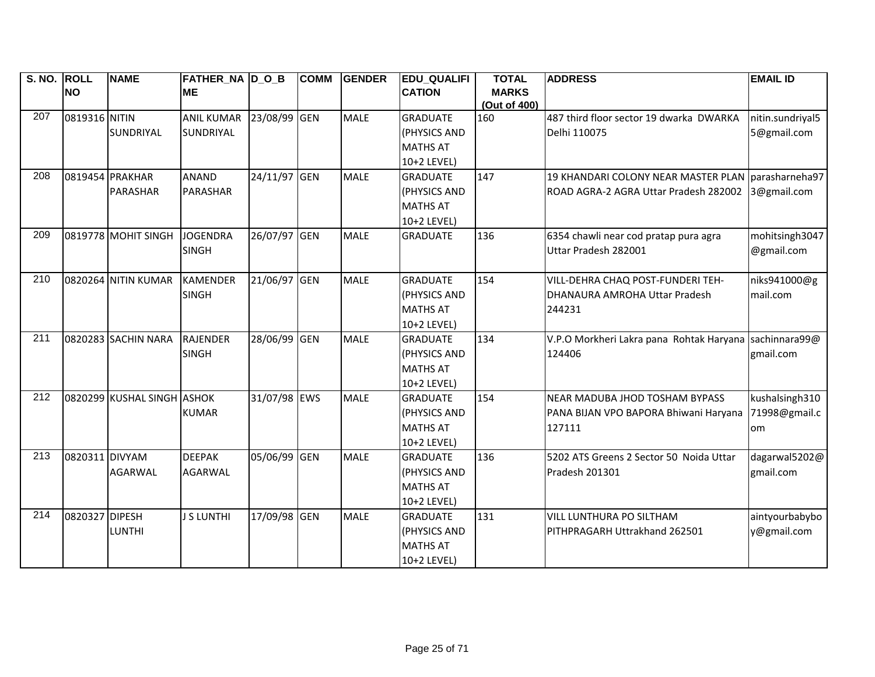| S. NO. ROLL |                | <b>NAME</b>                | <b>FATHER_NA D_O_B</b>  |              | <b>COMM</b> | <b>GENDER</b> | <b>EDU QUALIFI</b> | <b>TOTAL</b> | <b>ADDRESS</b>                                     | <b>EMAIL ID</b>  |
|-------------|----------------|----------------------------|-------------------------|--------------|-------------|---------------|--------------------|--------------|----------------------------------------------------|------------------|
|             | <b>NO</b>      |                            | <b>ME</b>               |              |             |               | <b>CATION</b>      | <b>MARKS</b> |                                                    |                  |
|             |                |                            |                         |              |             |               |                    | (Out of 400) |                                                    |                  |
| 207         | 0819316 NITIN  |                            | ANIL KUMAR 23/08/99 GEN |              |             | <b>MALE</b>   | <b>GRADUATE</b>    | 160          | 487 third floor sector 19 dwarka DWARKA            | nitin.sundriyal5 |
|             |                | <b>SUNDRIYAL</b>           | SUNDRIYAL               |              |             |               | (PHYSICS AND       |              | Delhi 110075                                       | 5@gmail.com      |
|             |                |                            |                         |              |             |               | <b>MATHS AT</b>    |              |                                                    |                  |
|             |                |                            |                         |              |             |               | 10+2 LEVEL)        |              |                                                    |                  |
| 208         |                | 0819454 PRAKHAR            | <b>ANAND</b>            | 24/11/97 GEN |             | <b>MALE</b>   | <b>GRADUATE</b>    | 147          | 19 KHANDARI COLONY NEAR MASTER PLAN parasharneha97 |                  |
|             |                | PARASHAR                   | PARASHAR                |              |             |               | (PHYSICS AND       |              | ROAD AGRA-2 AGRA Uttar Pradesh 282002              | 3@gmail.com      |
|             |                |                            |                         |              |             |               | <b>MATHS AT</b>    |              |                                                    |                  |
|             |                |                            |                         |              |             |               | 10+2 LEVEL)        |              |                                                    |                  |
| 209         |                | 0819778 MOHIT SINGH        | <b>JOGENDRA</b>         | 26/07/97 GEN |             | <b>MALE</b>   | <b>GRADUATE</b>    | 136          | 6354 chawli near cod pratap pura agra              | mohitsingh3047   |
|             |                |                            | <b>SINGH</b>            |              |             |               |                    |              | Uttar Pradesh 282001                               | @gmail.com       |
|             |                |                            |                         |              |             |               |                    |              |                                                    |                  |
| 210         |                | 0820264 NITIN KUMAR        | <b>KAMENDER</b>         | 21/06/97 GEN |             | <b>MALE</b>   | <b>GRADUATE</b>    | 154          | VILL-DEHRA CHAQ POST-FUNDERI TEH-                  | niks941000@g     |
|             |                |                            | <b>SINGH</b>            |              |             |               | (PHYSICS AND       |              | DHANAURA AMROHA Uttar Pradesh                      | mail.com         |
|             |                |                            |                         |              |             |               | <b>MATHS AT</b>    |              | 244231                                             |                  |
|             |                |                            |                         |              |             |               | 10+2 LEVEL)        |              |                                                    |                  |
| 211         |                | 0820283 SACHIN NARA        | <b>RAJENDER</b>         | 28/06/99 GEN |             | <b>MALE</b>   | <b>GRADUATE</b>    | 134          | V.P.O Morkheri Lakra pana Rohtak Haryana           | sachinnara99@    |
|             |                |                            | <b>SINGH</b>            |              |             |               | (PHYSICS AND       |              | 124406                                             | gmail.com        |
|             |                |                            |                         |              |             |               | <b>MATHS AT</b>    |              |                                                    |                  |
|             |                |                            |                         |              |             |               | 10+2 LEVEL)        |              |                                                    |                  |
| 212         |                | 0820299 KUSHAL SINGH ASHOK |                         | 31/07/98 EWS |             | <b>MALE</b>   | <b>GRADUATE</b>    | 154          | <b>NEAR MADUBA JHOD TOSHAM BYPASS</b>              | kushalsingh310   |
|             |                |                            | <b>KUMAR</b>            |              |             |               | (PHYSICS AND       |              | PANA BIJAN VPO BAPORA Bhiwani Haryana              | 71998@gmail.c    |
|             |                |                            |                         |              |             |               | <b>MATHS AT</b>    |              | 127111                                             | om               |
|             |                |                            |                         |              |             |               | 10+2 LEVEL)        |              |                                                    |                  |
| 213         | 0820311 DIVYAM |                            | <b>DEEPAK</b>           | 05/06/99 GEN |             | <b>MALE</b>   | <b>GRADUATE</b>    | 136          | 5202 ATS Greens 2 Sector 50 Noida Uttar            | dagarwal5202@    |
|             |                | <b>AGARWAL</b>             | <b>AGARWAL</b>          |              |             |               | (PHYSICS AND       |              | Pradesh 201301                                     | gmail.com        |
|             |                |                            |                         |              |             |               | <b>MATHS AT</b>    |              |                                                    |                  |
|             |                |                            |                         |              |             |               | 10+2 LEVEL)        |              |                                                    |                  |
| 214         | 0820327 DIPESH |                            | <b>J S LUNTHI</b>       | 17/09/98 GEN |             | <b>MALE</b>   | <b>GRADUATE</b>    | 131          | VILL LUNTHURA PO SILTHAM                           | aintyourbabybo   |
|             |                | <b>LUNTHI</b>              |                         |              |             |               | (PHYSICS AND       |              | PITHPRAGARH Uttrakhand 262501                      | y@gmail.com      |
|             |                |                            |                         |              |             |               | <b>MATHS AT</b>    |              |                                                    |                  |
|             |                |                            |                         |              |             |               | 10+2 LEVEL)        |              |                                                    |                  |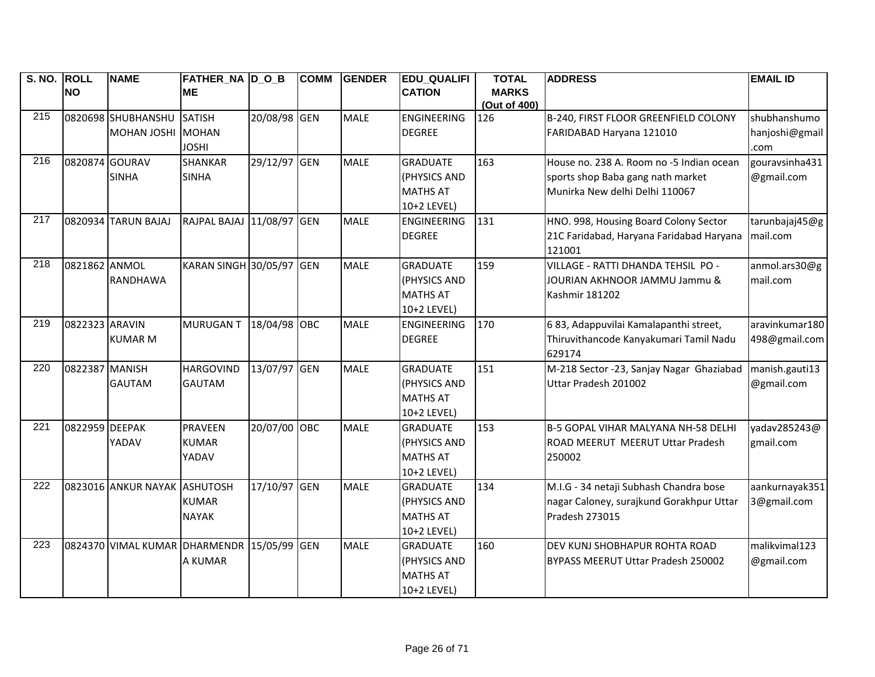| S. NO. ROLL |                | <b>NAME</b>                                | <b>FATHER_NA D_O_B</b>    |              | <b>COMM</b> | <b>GENDER</b> | <b>EDU QUALIFI</b> | <b>TOTAL</b> | <b>ADDRESS</b>                           | <b>EMAIL ID</b> |
|-------------|----------------|--------------------------------------------|---------------------------|--------------|-------------|---------------|--------------------|--------------|------------------------------------------|-----------------|
|             | <b>NO</b>      |                                            | <b>ME</b>                 |              |             |               | <b>CATION</b>      | <b>MARKS</b> |                                          |                 |
|             |                |                                            |                           |              |             |               |                    | (Out of 400) |                                          |                 |
| 215         |                | 0820698 SHUBHANSHU                         | <b>SATISH</b>             | 20/08/98 GEN |             | <b>MALE</b>   | <b>ENGINEERING</b> | 126          | B-240, FIRST FLOOR GREENFIELD COLONY     | shubhanshumo    |
|             |                | <b>MOHAN JOSHI</b>                         | <b>MOHAN</b>              |              |             |               | <b>DEGREE</b>      |              | FARIDABAD Haryana 121010                 | hanjoshi@gmail  |
|             |                |                                            | <b>JOSHI</b>              |              |             |               |                    |              |                                          | .com            |
| 216         | 0820874 GOURAV |                                            | <b>SHANKAR</b>            | 29/12/97 GEN |             | <b>MALE</b>   | <b>GRADUATE</b>    | 163          | House no. 238 A. Room no -5 Indian ocean | gouravsinha431  |
|             |                | <b>SINHA</b>                               | <b>SINHA</b>              |              |             |               | (PHYSICS AND       |              | sports shop Baba gang nath market        | @gmail.com      |
|             |                |                                            |                           |              |             |               | <b>MATHS AT</b>    |              | Munirka New delhi Delhi 110067           |                 |
|             |                |                                            |                           |              |             |               | 10+2 LEVEL)        |              |                                          |                 |
| 217         |                | 0820934 TARUN BAJAJ                        | RAJPAL BAJAJ 11/08/97 GEN |              |             | <b>MALE</b>   | <b>ENGINEERING</b> | 131          | HNO. 998, Housing Board Colony Sector    | tarunbajaj45@g  |
|             |                |                                            |                           |              |             |               | <b>DEGREE</b>      |              | 21C Faridabad, Haryana Faridabad Haryana | mail.com        |
|             |                |                                            |                           |              |             |               |                    |              | 121001                                   |                 |
| 218         | 0821862 ANMOL  |                                            | KARAN SINGH 30/05/97 GEN  |              |             | <b>MALE</b>   | <b>GRADUATE</b>    | 159          | VILLAGE - RATTI DHANDA TEHSIL PO -       | anmol.ars30@g   |
|             |                | <b>RANDHAWA</b>                            |                           |              |             |               | (PHYSICS AND       |              | JOURIAN AKHNOOR JAMMU Jammu &            | mail.com        |
|             |                |                                            |                           |              |             |               | <b>MATHS AT</b>    |              | <b>Kashmir 181202</b>                    |                 |
|             |                |                                            |                           |              |             |               | 10+2 LEVEL)        |              |                                          |                 |
| 219         | 0822323 ARAVIN |                                            | <b>MURUGANT</b>           | 18/04/98 OBC |             | <b>MALE</b>   | <b>ENGINEERING</b> | 170          | 683, Adappuvilai Kamalapanthi street,    | aravinkumar180  |
|             |                | <b>KUMAR M</b>                             |                           |              |             |               | <b>DEGREE</b>      |              | Thiruvithancode Kanyakumari Tamil Nadu   | 498@gmail.com   |
|             |                |                                            |                           |              |             |               |                    |              | 629174                                   |                 |
| 220         | 0822387 MANISH |                                            | <b>HARGOVIND</b>          | 13/07/97 GEN |             | <b>MALE</b>   | <b>GRADUATE</b>    | 151          | M-218 Sector -23, Sanjay Nagar Ghaziabad | manish.gauti13  |
|             |                | <b>GAUTAM</b>                              | <b>GAUTAM</b>             |              |             |               | (PHYSICS AND       |              | Uttar Pradesh 201002                     | @gmail.com      |
|             |                |                                            |                           |              |             |               | <b>MATHS AT</b>    |              |                                          |                 |
|             |                |                                            |                           |              |             |               | 10+2 LEVEL)        |              |                                          |                 |
| 221         | 0822959 DEEPAK |                                            | <b>PRAVEEN</b>            | 20/07/00 OBC |             | <b>MALE</b>   | <b>GRADUATE</b>    | 153          | B-5 GOPAL VIHAR MALYANA NH-58 DELHI      | yadav285243@    |
|             |                | YADAV                                      | <b>KUMAR</b>              |              |             |               | (PHYSICS AND       |              | ROAD MEERUT MEERUT Uttar Pradesh         | gmail.com       |
|             |                |                                            | YADAV                     |              |             |               | <b>MATHS AT</b>    |              | 250002                                   |                 |
|             |                |                                            |                           |              |             |               | 10+2 LEVEL)        |              |                                          |                 |
| 222         |                | 0823016 ANKUR NAYAK ASHUTOSH               |                           | 17/10/97 GEN |             | <b>MALE</b>   | <b>GRADUATE</b>    | 134          | M.I.G - 34 netaji Subhash Chandra bose   | aankurnayak351  |
|             |                |                                            | <b>KUMAR</b>              |              |             |               | (PHYSICS AND       |              | nagar Caloney, surajkund Gorakhpur Uttar | 3@gmail.com     |
|             |                |                                            | <b>NAYAK</b>              |              |             |               | <b>MATHS AT</b>    |              | Pradesh 273015                           |                 |
|             |                |                                            |                           |              |             |               | 10+2 LEVEL)        |              |                                          |                 |
| 223         |                | 0824370 VIMAL KUMAR DHARMENDR 15/05/99 GEN |                           |              |             | <b>MALE</b>   | <b>GRADUATE</b>    | 160          | DEV KUNJ SHOBHAPUR ROHTA ROAD            | malikvimal123   |
|             |                |                                            | A KUMAR                   |              |             |               | (PHYSICS AND       |              | BYPASS MEERUT Uttar Pradesh 250002       | @gmail.com      |
|             |                |                                            |                           |              |             |               | <b>MATHS AT</b>    |              |                                          |                 |
|             |                |                                            |                           |              |             |               | 10+2 LEVEL)        |              |                                          |                 |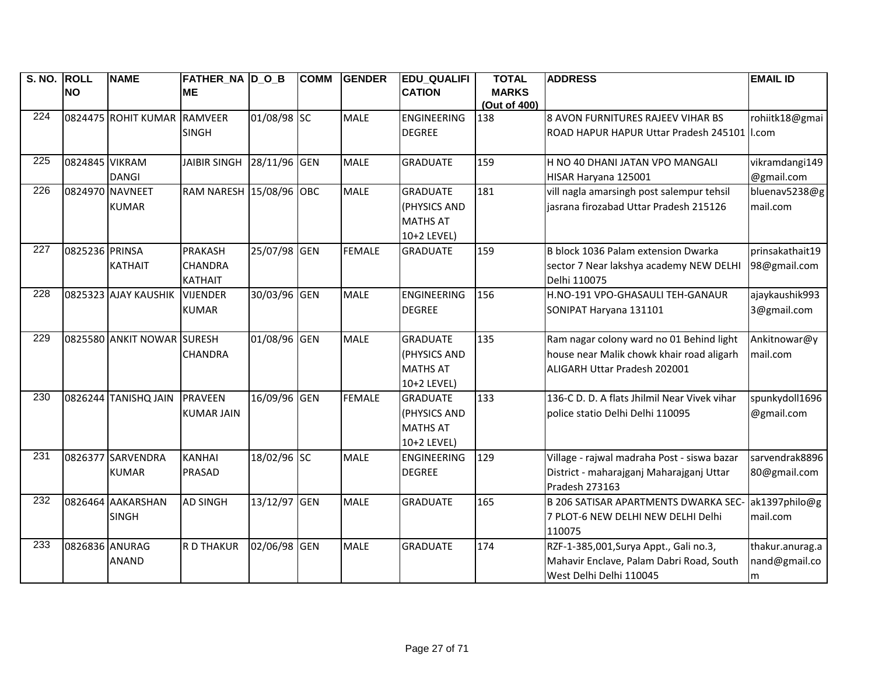| S. NO. ROLL      |                | <b>NAME</b>                 | FATHER NA D O B           |              | <b>COMM</b> | <b>GENDER</b> | <b>EDU QUALIFI</b> | <b>TOTAL</b>                 | <b>ADDRESS</b>                                | <b>EMAIL ID</b> |
|------------------|----------------|-----------------------------|---------------------------|--------------|-------------|---------------|--------------------|------------------------------|-----------------------------------------------|-----------------|
|                  | <b>NO</b>      |                             | IME.                      |              |             |               | <b>CATION</b>      | <b>MARKS</b><br>(Out of 400) |                                               |                 |
| $\overline{224}$ |                | 0824475 ROHIT KUMAR RAMVEER |                           | 01/08/98 SC  |             | <b>MALE</b>   | <b>ENGINEERING</b> | 138                          | 8 AVON FURNITURES RAJEEV VIHAR BS             | rohiitk18@gmai  |
|                  |                |                             | <b>SINGH</b>              |              |             |               | <b>DEGREE</b>      |                              | ROAD HAPUR HAPUR Uttar Pradesh 245101   I.com |                 |
|                  |                |                             |                           |              |             |               |                    |                              |                                               |                 |
| 225              | 0824845 VIKRAM |                             | JAIBIR SINGH 28/11/96 GEN |              |             | <b>MALE</b>   | <b>GRADUATE</b>    | 159                          | H NO 40 DHANI JATAN VPO MANGALI               | vikramdangi149  |
|                  |                | <b>DANGI</b>                |                           |              |             |               |                    |                              | HISAR Haryana 125001                          | @gmail.com      |
| 226              |                | 0824970 NAVNEET             | RAM NARESH 15/08/96 OBC   |              |             | <b>MALE</b>   | <b>GRADUATE</b>    | 181                          | vill nagla amarsingh post salempur tehsil     | bluenav5238@g   |
|                  |                | <b>KUMAR</b>                |                           |              |             |               | (PHYSICS AND       |                              | jasrana firozabad Uttar Pradesh 215126        | mail.com        |
|                  |                |                             |                           |              |             |               | <b>MATHS AT</b>    |                              |                                               |                 |
|                  |                |                             |                           |              |             |               | 10+2 LEVEL)        |                              |                                               |                 |
| 227              | 0825236 PRINSA |                             | <b>PRAKASH</b>            | 25/07/98 GEN |             | <b>FEMALE</b> | <b>GRADUATE</b>    | 159                          | B block 1036 Palam extension Dwarka           | prinsakathait19 |
|                  |                | <b>KATHAIT</b>              | <b>CHANDRA</b>            |              |             |               |                    |                              | sector 7 Near lakshya academy NEW DELHI       | 98@gmail.com    |
|                  |                |                             | <b>KATHAIT</b>            |              |             |               |                    |                              | Delhi 110075                                  |                 |
| 228              |                | 0825323 AJAY KAUSHIK        | <b>VIJENDER</b>           | 30/03/96 GEN |             | <b>MALE</b>   | <b>ENGINEERING</b> | 156                          | H.NO-191 VPO-GHASAULI TEH-GANAUR              | ajaykaushik993  |
|                  |                |                             | <b>KUMAR</b>              |              |             |               | <b>DEGREE</b>      |                              | SONIPAT Haryana 131101                        | 3@gmail.com     |
| 229              |                | 0825580 ANKIT NOWAR SURESH  |                           | 01/08/96 GEN |             | <b>MALE</b>   | <b>GRADUATE</b>    | 135                          | Ram nagar colony ward no 01 Behind light      | Ankitnowar@y    |
|                  |                |                             | <b>CHANDRA</b>            |              |             |               | (PHYSICS AND       |                              | house near Malik chowk khair road aligarh     | mail.com        |
|                  |                |                             |                           |              |             |               | <b>MATHS AT</b>    |                              | <b>ALIGARH Uttar Pradesh 202001</b>           |                 |
|                  |                |                             |                           |              |             |               | 10+2 LEVEL)        |                              |                                               |                 |
| 230              |                | 0826244 TANISHQ JAIN        | <b>PRAVEEN</b>            | 16/09/96 GEN |             | <b>FEMALE</b> | <b>GRADUATE</b>    | 133                          | 136-C D. D. A flats Jhilmil Near Vivek vihar  | spunkydoll1696  |
|                  |                |                             | <b>KUMAR JAIN</b>         |              |             |               | (PHYSICS AND       |                              | police statio Delhi Delhi 110095              | @gmail.com      |
|                  |                |                             |                           |              |             |               | <b>MATHS AT</b>    |                              |                                               |                 |
|                  |                |                             |                           |              |             |               | 10+2 LEVEL)        |                              |                                               |                 |
| 231              |                | 0826377 SARVENDRA           | <b>KANHAI</b>             | 18/02/96 SC  |             | <b>MALE</b>   | <b>ENGINEERING</b> | 129                          | Village - rajwal madraha Post - siswa bazar   | sarvendrak8896  |
|                  |                | <b>KUMAR</b>                | <b>PRASAD</b>             |              |             |               | <b>DEGREE</b>      |                              | District - maharajganj Maharajganj Uttar      | 80@gmail.com    |
|                  |                |                             |                           |              |             |               |                    |                              | Pradesh 273163                                |                 |
| 232              |                | 0826464 AAKARSHAN           | <b>AD SINGH</b>           | 13/12/97 GEN |             | <b>MALE</b>   | <b>GRADUATE</b>    | 165                          | <b>B 206 SATISAR APARTMENTS DWARKA SEC-</b>   | ak1397philo@g   |
|                  |                | <b>SINGH</b>                |                           |              |             |               |                    |                              | 7 PLOT-6 NEW DELHI NEW DELHI Delhi            | mail.com        |
|                  |                |                             |                           |              |             |               |                    |                              | 110075                                        |                 |
| 233              | 0826836 ANURAG |                             | <b>R D THAKUR</b>         | 02/06/98 GEN |             | <b>MALE</b>   | <b>GRADUATE</b>    | 174                          | RZF-1-385,001, Surya Appt., Gali no.3,        | thakur.anurag.a |
|                  |                | <b>ANAND</b>                |                           |              |             |               |                    |                              | Mahavir Enclave, Palam Dabri Road, South      | nand@gmail.co   |
|                  |                |                             |                           |              |             |               |                    |                              | West Delhi Delhi 110045                       | m               |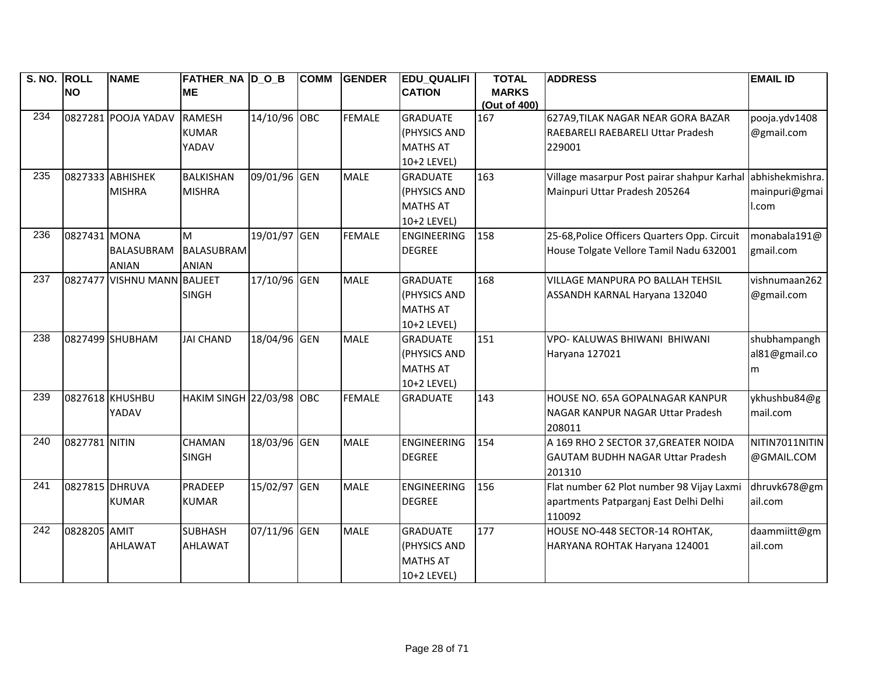| S. NO. ROLL      |                | <b>NAME</b>                 | FATHER NA D O B                 |              | <b>COMM</b> | <b>GENDER</b> | <b>EDU QUALIFI</b> | <b>TOTAL</b> | <b>ADDRESS</b>                                              | <b>EMAIL ID</b> |
|------------------|----------------|-----------------------------|---------------------------------|--------------|-------------|---------------|--------------------|--------------|-------------------------------------------------------------|-----------------|
|                  | <b>NO</b>      |                             | <b>ME</b>                       |              |             |               | <b>CATION</b>      | <b>MARKS</b> |                                                             |                 |
|                  |                |                             |                                 |              |             |               |                    | (Out of 400) |                                                             |                 |
| 234              |                | 0827281 POOJA YADAV         | <b>RAMESH</b>                   | 14/10/96 OBC |             | <b>FEMALE</b> | <b>GRADUATE</b>    | 167          | 627A9, TILAK NAGAR NEAR GORA BAZAR                          | pooja.ydv1408   |
|                  |                |                             | <b>KUMAR</b>                    |              |             |               | (PHYSICS AND       |              | RAEBARELI RAEBARELI Uttar Pradesh                           | @gmail.com      |
|                  |                |                             | YADAV                           |              |             |               | <b>MATHS AT</b>    |              | 229001                                                      |                 |
|                  |                |                             |                                 |              |             |               | 10+2 LEVEL)        |              |                                                             |                 |
| 235              |                | 0827333 ABHISHEK            | <b>BALKISHAN</b>                | 09/01/96 GEN |             | <b>MALE</b>   | <b>GRADUATE</b>    | 163          | Village masarpur Post pairar shahpur Karhal abhishekmishra. |                 |
|                  |                | <b>MISHRA</b>               | <b>MISHRA</b>                   |              |             |               | (PHYSICS AND       |              | Mainpuri Uttar Pradesh 205264                               | mainpuri@gmai   |
|                  |                |                             |                                 |              |             |               | <b>MATHS AT</b>    |              |                                                             | .com            |
|                  |                |                             |                                 |              |             |               | 10+2 LEVEL)        |              |                                                             |                 |
| 236              | 0827431 MONA   |                             | M                               | 19/01/97 GEN |             | <b>FEMALE</b> | <b>ENGINEERING</b> | 158          | 25-68, Police Officers Quarters Opp. Circuit                | monabala191@    |
|                  |                | <b>BALASUBRAM</b>           | <b>BALASUBRAM</b>               |              |             |               | <b>DEGREE</b>      |              | House Tolgate Vellore Tamil Nadu 632001                     | gmail.com       |
|                  |                | <b>ANIAN</b>                | <b>ANIAN</b>                    |              |             |               |                    |              |                                                             |                 |
| 237              |                | 0827477 VISHNU MANN BALJEET |                                 | 17/10/96 GEN |             | <b>MALE</b>   | <b>GRADUATE</b>    | 168          | VILLAGE MANPURA PO BALLAH TEHSIL                            | vishnumaan262   |
|                  |                |                             | <b>SINGH</b>                    |              |             |               | (PHYSICS AND       |              | ASSANDH KARNAL Haryana 132040                               | @gmail.com      |
|                  |                |                             |                                 |              |             |               | <b>MATHS AT</b>    |              |                                                             |                 |
|                  |                |                             |                                 |              |             |               | 10+2 LEVEL)        |              |                                                             |                 |
| 238              |                | 0827499 SHUBHAM             | <b>JAI CHAND</b>                | 18/04/96 GEN |             | <b>MALE</b>   | <b>GRADUATE</b>    | 151          | VPO- KALUWAS BHIWANI BHIWANI                                | shubhampangh    |
|                  |                |                             |                                 |              |             |               | (PHYSICS AND       |              | Haryana 127021                                              | al81@gmail.co   |
|                  |                |                             |                                 |              |             |               | <b>MATHS AT</b>    |              |                                                             | m               |
|                  |                |                             |                                 |              |             |               | 10+2 LEVEL)        |              |                                                             |                 |
| 239              |                | 0827618 KHUSHBU             | <b>HAKIM SINGH 22/03/98 OBC</b> |              |             | <b>FEMALE</b> | <b>GRADUATE</b>    | 143          | HOUSE NO. 65A GOPALNAGAR KANPUR                             | ykhushbu84@g    |
|                  |                | YADAV                       |                                 |              |             |               |                    |              | NAGAR KANPUR NAGAR Uttar Pradesh                            | mail.com        |
|                  |                |                             |                                 |              |             |               |                    |              | 208011                                                      |                 |
| 240              | 0827781 NITIN  |                             | <b>CHAMAN</b>                   | 18/03/96 GEN |             | <b>MALE</b>   | <b>ENGINEERING</b> | 154          | A 169 RHO 2 SECTOR 37, GREATER NOIDA                        | NITIN7011NITIN  |
|                  |                |                             | <b>SINGH</b>                    |              |             |               | <b>DEGREE</b>      |              | <b>GAUTAM BUDHH NAGAR Uttar Pradesh</b>                     | @GMAIL.COM      |
|                  |                |                             |                                 |              |             |               |                    |              | 201310                                                      |                 |
| $\overline{241}$ | 0827815 DHRUVA |                             | PRADEEP                         | 15/02/97 GEN |             | <b>MALE</b>   | <b>ENGINEERING</b> | 156          | Flat number 62 Plot number 98 Vijay Laxmi                   | dhruvk678@gm    |
|                  |                | <b>KUMAR</b>                | <b>KUMAR</b>                    |              |             |               | <b>DEGREE</b>      |              | apartments Patparganj East Delhi Delhi                      | ail.com         |
|                  |                |                             |                                 |              |             |               |                    |              | 110092                                                      |                 |
| 242              | 0828205 AMIT   |                             | <b>SUBHASH</b>                  | 07/11/96 GEN |             | <b>MALE</b>   | <b>GRADUATE</b>    | 177          | HOUSE NO-448 SECTOR-14 ROHTAK,                              | daammiitt@gm    |
|                  |                | <b>AHLAWAT</b>              | <b>AHLAWAT</b>                  |              |             |               | (PHYSICS AND       |              | HARYANA ROHTAK Haryana 124001                               | ail.com         |
|                  |                |                             |                                 |              |             |               | <b>MATHS AT</b>    |              |                                                             |                 |
|                  |                |                             |                                 |              |             |               | 10+2 LEVEL)        |              |                                                             |                 |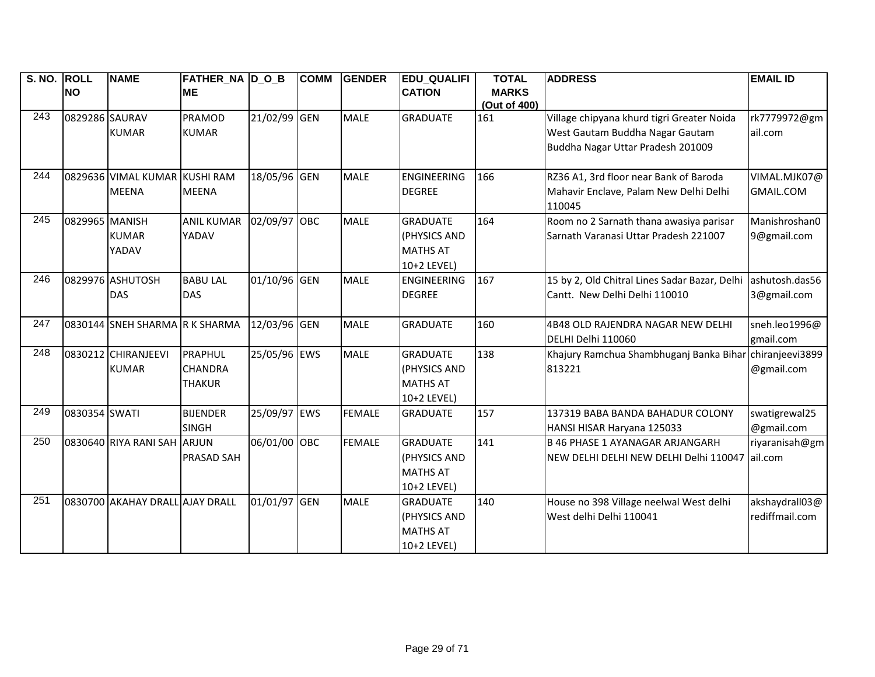| S. NO. ROLL |                | <b>NAME</b>                     | FATHER_NA D_O_B   |              | <b>COMM</b> | <b>GENDER</b> | <b>EDU_QUALIFI</b> | <b>TOTAL</b> | <b>ADDRESS</b>                                   | <b>EMAIL ID</b>  |
|-------------|----------------|---------------------------------|-------------------|--------------|-------------|---------------|--------------------|--------------|--------------------------------------------------|------------------|
|             | <b>NO</b>      |                                 | <b>ME</b>         |              |             |               | <b>CATION</b>      | <b>MARKS</b> |                                                  |                  |
|             |                |                                 |                   |              |             |               |                    | (Out of 400) |                                                  |                  |
| 243         | 0829286 SAURAV |                                 | PRAMOD            | 21/02/99 GEN |             | <b>MALE</b>   | <b>GRADUATE</b>    | 161          | Village chipyana khurd tigri Greater Noida       | rk7779972@gm     |
|             |                | <b>KUMAR</b>                    | <b>KUMAR</b>      |              |             |               |                    |              | West Gautam Buddha Nagar Gautam                  | ail.com          |
|             |                |                                 |                   |              |             |               |                    |              | Buddha Nagar Uttar Pradesh 201009                |                  |
|             |                |                                 |                   |              |             |               |                    |              |                                                  |                  |
| 244         |                | 0829636 VIMAL KUMAR             | <b>KUSHI RAM</b>  | 18/05/96 GEN |             | <b>MALE</b>   | ENGINEERING        | 166          | RZ36 A1, 3rd floor near Bank of Baroda           | VIMAL.MJK07@     |
|             |                | <b>MEENA</b>                    | <b>MEENA</b>      |              |             |               | <b>DEGREE</b>      |              | Mahavir Enclave, Palam New Delhi Delhi<br>110045 | <b>GMAIL.COM</b> |
| 245         | 0829965 MANISH |                                 | <b>ANIL KUMAR</b> | 02/09/97 OBC |             | <b>MALE</b>   | <b>GRADUATE</b>    | 164          | Room no 2 Sarnath thana awasiya parisar          | Manishroshan0    |
|             |                | <b>KUMAR</b>                    | YADAV             |              |             |               | (PHYSICS AND       |              | Sarnath Varanasi Uttar Pradesh 221007            | 9@gmail.com      |
|             |                | YADAV                           |                   |              |             |               | <b>MATHS AT</b>    |              |                                                  |                  |
|             |                |                                 |                   |              |             |               | 10+2 LEVEL)        |              |                                                  |                  |
| 246         |                | 0829976 ASHUTOSH                | <b>BABU LAL</b>   | 01/10/96 GEN |             | <b>MALE</b>   | ENGINEERING        | 167          | 15 by 2, Old Chitral Lines Sadar Bazar, Delhi    | ashutosh.das56   |
|             |                | <b>DAS</b>                      | <b>DAS</b>        |              |             |               | <b>DEGREE</b>      |              | Cantt. New Delhi Delhi 110010                    | 3@gmail.com      |
|             |                |                                 |                   |              |             |               |                    |              |                                                  |                  |
| 247         |                | 0830144 SNEH SHARMA R K SHARMA  |                   | 12/03/96 GEN |             | <b>MALE</b>   | <b>GRADUATE</b>    | 160          | 4B48 OLD RAJENDRA NAGAR NEW DELHI                | sneh.leo1996@    |
|             |                |                                 |                   |              |             |               |                    |              | DELHI Delhi 110060                               | gmail.com        |
| 248         |                | 0830212 CHIRANJEEVI             | PRAPHUL           | 25/05/96 EWS |             | <b>MALE</b>   | <b>GRADUATE</b>    | 138          | Khajury Ramchua Shambhuganj Banka Bihar          | chiranjeevi3899  |
|             |                | <b>KUMAR</b>                    | <b>CHANDRA</b>    |              |             |               | (PHYSICS AND       |              | 813221                                           | @gmail.com       |
|             |                |                                 | <b>THAKUR</b>     |              |             |               | <b>MATHS AT</b>    |              |                                                  |                  |
|             |                |                                 |                   |              |             |               | 10+2 LEVEL)        |              |                                                  |                  |
| 249         | 0830354 SWATI  |                                 | <b>BIJENDER</b>   | 25/09/97 EWS |             | <b>FEMALE</b> | <b>GRADUATE</b>    | 157          | 137319 BABA BANDA BAHADUR COLONY                 | swatigrewal25    |
|             |                |                                 | <b>SINGH</b>      |              |             |               |                    |              | HANSI HISAR Haryana 125033                       | @gmail.com       |
| 250         |                | 0830640 RIYA RANI SAH           | <b>ARJUN</b>      | 06/01/00 OBC |             | <b>FEMALE</b> | <b>GRADUATE</b>    | 141          | <b>B 46 PHASE 1 AYANAGAR ARJANGARH</b>           | riyaranisah@gm   |
|             |                |                                 | <b>PRASAD SAH</b> |              |             |               | (PHYSICS AND       |              | NEW DELHI DELHI NEW DELHI Delhi 110047           | ail.com          |
|             |                |                                 |                   |              |             |               | <b>MATHS AT</b>    |              |                                                  |                  |
|             |                |                                 |                   |              |             |               | 10+2 LEVEL)        |              |                                                  |                  |
| 251         |                | 0830700 AKAHAY DRALL AJAY DRALL |                   | 01/01/97 GEN |             | <b>MALE</b>   | <b>GRADUATE</b>    | 140          | House no 398 Village neelwal West delhi          | akshaydrall03@   |
|             |                |                                 |                   |              |             |               | (PHYSICS AND       |              | West delhi Delhi 110041                          | rediffmail.com   |
|             |                |                                 |                   |              |             |               | <b>MATHS AT</b>    |              |                                                  |                  |
|             |                |                                 |                   |              |             |               | 10+2 LEVEL)        |              |                                                  |                  |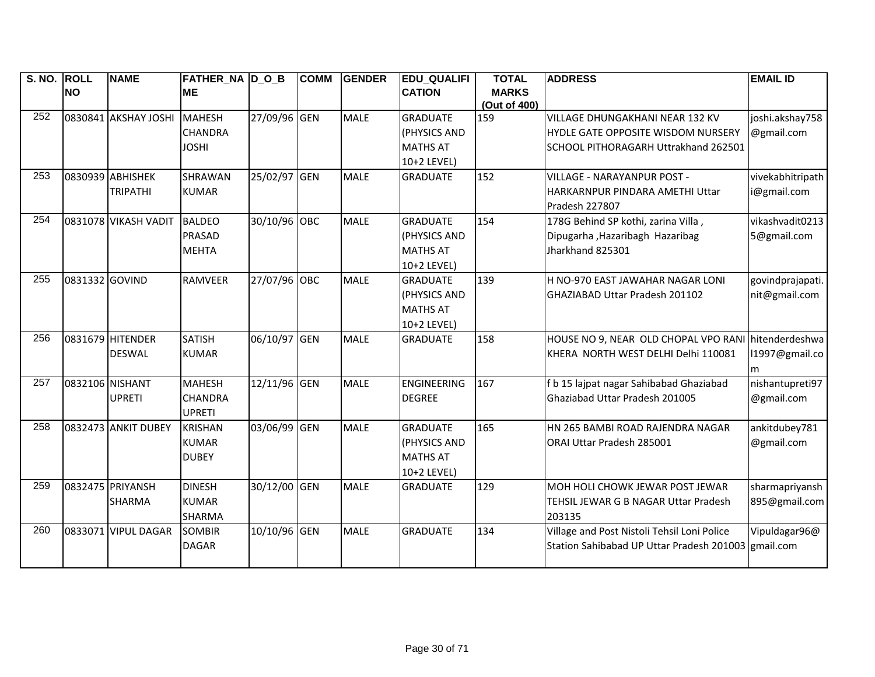| S. NO. ROLL |                 | <b>NAME</b>          | <b>FATHER_NA D_O_B</b> |              | <b>COMM</b> | <b>GENDER</b> | <b>EDU_QUALIFI</b> | <b>TOTAL</b>        | <b>ADDRESS</b>                                      | <b>EMAIL ID</b>  |
|-------------|-----------------|----------------------|------------------------|--------------|-------------|---------------|--------------------|---------------------|-----------------------------------------------------|------------------|
|             | <b>NO</b>       |                      | <b>ME</b>              |              |             |               | <b>CATION</b>      | <b>MARKS</b>        |                                                     |                  |
| 252         |                 | 0830841 AKSHAY JOSHI | <b>MAHESH</b>          | 27/09/96 GEN |             | <b>MALE</b>   | <b>GRADUATE</b>    | (Out of 400)<br>159 | VILLAGE DHUNGAKHANI NEAR 132 KV                     | joshi.akshay758  |
|             |                 |                      | <b>CHANDRA</b>         |              |             |               | (PHYSICS AND       |                     | HYDLE GATE OPPOSITE WISDOM NURSERY                  | @gmail.com       |
|             |                 |                      | <b>JOSHI</b>           |              |             |               | <b>MATHS AT</b>    |                     | SCHOOL PITHORAGARH Uttrakhand 262501                |                  |
|             |                 |                      |                        |              |             |               | 10+2 LEVEL)        |                     |                                                     |                  |
| 253         |                 | 0830939 ABHISHEK     | <b>SHRAWAN</b>         | 25/02/97 GEN |             | <b>MALE</b>   | <b>GRADUATE</b>    | 152                 | <b>VILLAGE - NARAYANPUR POST -</b>                  | vivekabhitripath |
|             |                 | <b>TRIPATHI</b>      | <b>KUMAR</b>           |              |             |               |                    |                     | HARKARNPUR PINDARA AMETHI Uttar                     | @gmail.com       |
|             |                 |                      |                        |              |             |               |                    |                     | Pradesh 227807                                      |                  |
| 254         |                 | 0831078 VIKASH VADIT | <b>BALDEO</b>          | 30/10/96 OBC |             | <b>MALE</b>   | <b>GRADUATE</b>    | 154                 | 178G Behind SP kothi, zarina Villa,                 | vikashvadit0213  |
|             |                 |                      | <b>PRASAD</b>          |              |             |               | (PHYSICS AND       |                     | Dipugarha , Hazaribagh Hazaribag                    | 5@gmail.com      |
|             |                 |                      | <b>MEHTA</b>           |              |             |               | <b>MATHS AT</b>    |                     | Jharkhand 825301                                    |                  |
|             |                 |                      |                        |              |             |               | 10+2 LEVEL)        |                     |                                                     |                  |
| 255         | 0831332 GOVIND  |                      | <b>RAMVEER</b>         | 27/07/96 OBC |             | <b>MALE</b>   | <b>GRADUATE</b>    | 139                 | H NO-970 EAST JAWAHAR NAGAR LONI                    | govindprajapati. |
|             |                 |                      |                        |              |             |               | (PHYSICS AND       |                     | GHAZIABAD Uttar Pradesh 201102                      | nit@gmail.com    |
|             |                 |                      |                        |              |             |               | <b>MATHS AT</b>    |                     |                                                     |                  |
|             |                 |                      |                        |              |             |               | 10+2 LEVEL)        |                     |                                                     |                  |
| 256         |                 | 0831679 HITENDER     | <b>SATISH</b>          | 06/10/97 GEN |             | <b>MALE</b>   | <b>GRADUATE</b>    | 158                 | HOUSE NO 9, NEAR OLD CHOPAL VPO RANI                | hitenderdeshwa   |
|             |                 | <b>DESWAL</b>        | <b>KUMAR</b>           |              |             |               |                    |                     | KHERA NORTH WEST DELHI Delhi 110081                 | 11997@gmail.co   |
|             |                 |                      |                        |              |             |               |                    |                     |                                                     | m                |
| 257         | 0832106 NISHANT |                      | <b>MAHESH</b>          | 12/11/96 GEN |             | <b>MALE</b>   | <b>ENGINEERING</b> | 167                 | f b 15 lajpat nagar Sahibabad Ghaziabad             | nishantupreti97  |
|             |                 | <b>UPRETI</b>        | <b>CHANDRA</b>         |              |             |               | <b>DEGREE</b>      |                     | Ghaziabad Uttar Pradesh 201005                      | @gmail.com       |
|             |                 |                      | <b>UPRETI</b>          |              |             |               |                    |                     |                                                     |                  |
| 258         |                 | 0832473 ANKIT DUBEY  | <b>KRISHAN</b>         | 03/06/99 GEN |             | <b>MALE</b>   | <b>GRADUATE</b>    | 165                 | HN 265 BAMBI ROAD RAJENDRA NAGAR                    | ankitdubey781    |
|             |                 |                      | <b>KUMAR</b>           |              |             |               | (PHYSICS AND       |                     | <b>ORAI Uttar Pradesh 285001</b>                    | @gmail.com       |
|             |                 |                      | <b>DUBEY</b>           |              |             |               | <b>MATHS AT</b>    |                     |                                                     |                  |
|             |                 |                      |                        |              |             |               | 10+2 LEVEL)        |                     |                                                     |                  |
| 259         |                 | 0832475 PRIYANSH     | <b>DINESH</b>          | 30/12/00 GEN |             | <b>MALE</b>   | <b>GRADUATE</b>    | 129                 | MOH HOLI CHOWK JEWAR POST JEWAR                     | sharmapriyansh   |
|             |                 | <b>SHARMA</b>        | <b>KUMAR</b>           |              |             |               |                    |                     | TEHSIL JEWAR G B NAGAR Uttar Pradesh                | 895@gmail.com    |
|             |                 |                      | <b>SHARMA</b>          |              |             |               |                    |                     | 203135                                              |                  |
| 260         |                 | 0833071 VIPUL DAGAR  | <b>SOMBIR</b>          | 10/10/96 GEN |             | <b>MALE</b>   | <b>GRADUATE</b>    | 134                 | Village and Post Nistoli Tehsil Loni Police         | Vipuldagar96@    |
|             |                 |                      | <b>DAGAR</b>           |              |             |               |                    |                     | Station Sahibabad UP Uttar Pradesh 201003 gmail.com |                  |
|             |                 |                      |                        |              |             |               |                    |                     |                                                     |                  |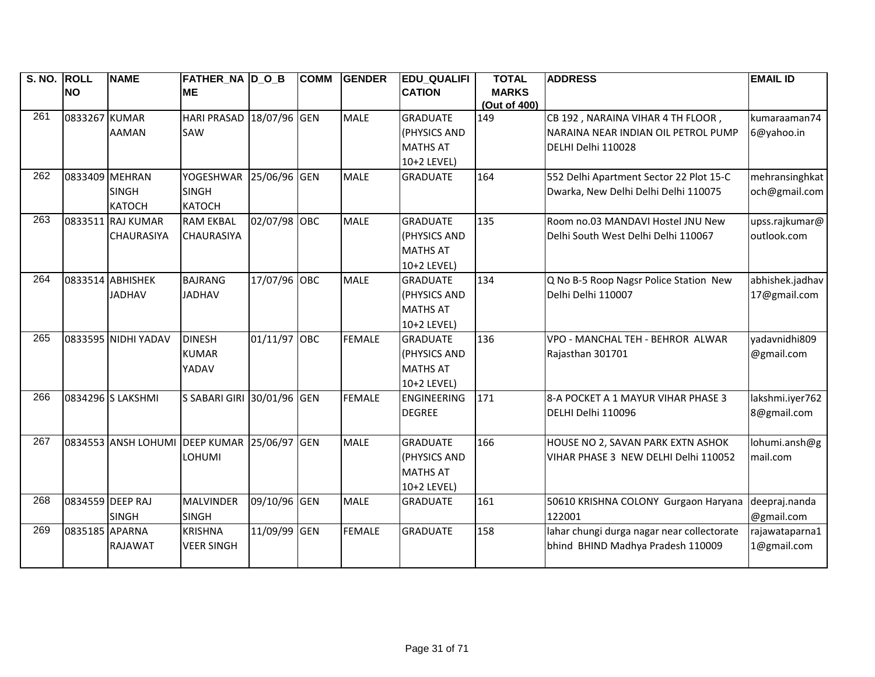| S. NO. ROLL |                  | <b>NAME</b>         | <b>FATHER_NA D_O_B</b>         |              | <b>COMM</b> | <b>GENDER</b> | <b>EDU_QUALIFI</b> | <b>TOTAL</b> | <b>ADDRESS</b>                             | <b>EMAIL ID</b> |
|-------------|------------------|---------------------|--------------------------------|--------------|-------------|---------------|--------------------|--------------|--------------------------------------------|-----------------|
|             | <b>NO</b>        |                     | <b>ME</b>                      |              |             |               | <b>CATION</b>      | <b>MARKS</b> |                                            |                 |
| 261         |                  |                     |                                |              |             | <b>MALE</b>   |                    | (Out of 400) |                                            |                 |
|             | 0833267 KUMAR    |                     | HARI PRASAD 18/07/96 GEN       |              |             |               | <b>GRADUATE</b>    | 149          | CB 192, NARAINA VIHAR 4 TH FLOOR,          | kumaraaman74    |
|             |                  | <b>AAMAN</b>        | SAW                            |              |             |               | (PHYSICS AND       |              | NARAINA NEAR INDIAN OIL PETROL PUMP        | 6@yahoo.in      |
|             |                  |                     |                                |              |             |               | <b>MATHS AT</b>    |              | DELHI Delhi 110028                         |                 |
| 262         |                  |                     |                                |              |             |               | 10+2 LEVEL)        |              |                                            |                 |
|             | 0833409 MEHRAN   |                     | <b>YOGESHWAR</b>               | 25/06/96 GEN |             | <b>MALE</b>   | <b>GRADUATE</b>    | 164          | 552 Delhi Apartment Sector 22 Plot 15-C    | mehransinghkat  |
|             |                  | <b>SINGH</b>        | <b>SINGH</b>                   |              |             |               |                    |              | Dwarka, New Delhi Delhi Delhi 110075       | och@gmail.com   |
| 263         |                  | <b>KATOCH</b>       | <b>KATOCH</b>                  |              |             |               |                    |              |                                            |                 |
|             |                  | 0833511 RAJ KUMAR   | <b>RAM EKBAL</b>               | 02/07/98 OBC |             | <b>MALE</b>   | <b>GRADUATE</b>    | 135          | Room no.03 MANDAVI Hostel JNU New          | upss.rajkumar@  |
|             |                  | <b>CHAURASIYA</b>   | <b>CHAURASIYA</b>              |              |             |               | (PHYSICS AND       |              | Delhi South West Delhi Delhi 110067        | outlook.com     |
|             |                  |                     |                                |              |             |               | <b>MATHS AT</b>    |              |                                            |                 |
|             |                  |                     |                                |              |             |               | 10+2 LEVEL)        |              |                                            |                 |
| 264         |                  | 0833514 ABHISHEK    | <b>BAJRANG</b>                 | 17/07/96 OBC |             | <b>MALE</b>   | <b>GRADUATE</b>    | 134          | Q No B-5 Roop Nagsr Police Station New     | abhishek.jadhav |
|             |                  | <b>JADHAV</b>       | <b>JADHAV</b>                  |              |             |               | (PHYSICS AND       |              | Delhi Delhi 110007                         | 17@gmail.com    |
|             |                  |                     |                                |              |             |               | <b>MATHS AT</b>    |              |                                            |                 |
|             |                  |                     |                                |              |             |               | 10+2 LEVEL)        |              |                                            |                 |
| 265         |                  | 0833595 NIDHI YADAV | <b>DINESH</b>                  | 01/11/97     | OBC         | <b>FEMALE</b> | <b>GRADUATE</b>    | 136          | VPO - MANCHAL TEH - BEHROR ALWAR           | yadavnidhi809   |
|             |                  |                     | <b>KUMAR</b>                   |              |             |               | (PHYSICS AND       |              | Rajasthan 301701                           | @gmail.com      |
|             |                  |                     | YADAV                          |              |             |               | <b>MATHS AT</b>    |              |                                            |                 |
|             |                  |                     |                                |              |             |               | 10+2 LEVEL)        |              |                                            |                 |
| 266         |                  | 0834296 S LAKSHMI   | S SABARI GIRI 30/01/96 GEN     |              |             | <b>FEMALE</b> | <b>ENGINEERING</b> | 171          | 8-A POCKET A 1 MAYUR VIHAR PHASE 3         | lakshmi.iyer762 |
|             |                  |                     |                                |              |             |               | <b>DEGREE</b>      |              | DELHI Delhi 110096                         | 8@gmail.com     |
| 267         |                  | 0834553 ANSH LOHUMI | <b>DEEP KUMAR 25/06/97 GEN</b> |              |             | <b>MALE</b>   | <b>GRADUATE</b>    | 166          | HOUSE NO 2, SAVAN PARK EXTN ASHOK          | lohumi.ansh@g   |
|             |                  |                     | LOHUMI                         |              |             |               | (PHYSICS AND       |              | VIHAR PHASE 3 NEW DELHI Delhi 110052       | mail.com        |
|             |                  |                     |                                |              |             |               | <b>MATHS AT</b>    |              |                                            |                 |
|             |                  |                     |                                |              |             |               | 10+2 LEVEL)        |              |                                            |                 |
| 268         | 0834559 DEEP RAJ |                     | <b>MALVINDER</b>               | 09/10/96 GEN |             | <b>MALE</b>   | <b>GRADUATE</b>    | 161          | 50610 KRISHNA COLONY Gurgaon Haryana       | deepraj.nanda   |
|             |                  | <b>SINGH</b>        | <b>SINGH</b>                   |              |             |               |                    |              | 122001                                     | @gmail.com      |
| 269         | 0835185 APARNA   |                     | <b>KRISHNA</b>                 | 11/09/99 GEN |             | <b>FEMALE</b> | <b>GRADUATE</b>    | 158          | lahar chungi durga nagar near collectorate | rajawataparna1  |
|             |                  | <b>RAJAWAT</b>      | <b>VEER SINGH</b>              |              |             |               |                    |              | bhind BHIND Madhya Pradesh 110009          | 1@gmail.com     |
|             |                  |                     |                                |              |             |               |                    |              |                                            |                 |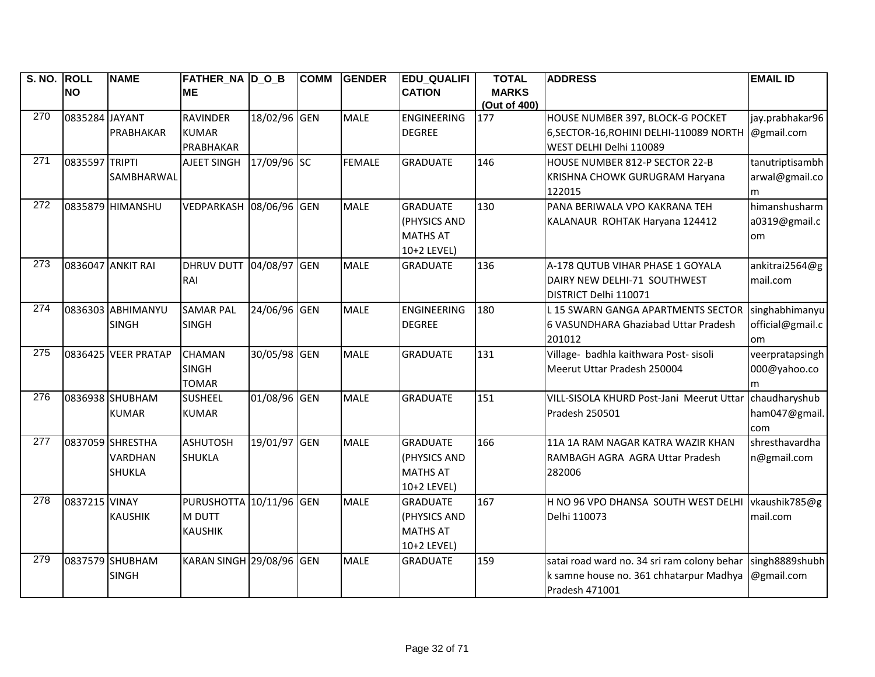| S. NO. ROLL      | <b>NO</b>      | <b>NAME</b>         | <b>FATHER NA D O B</b><br><b>ME</b> |              | <b>COMM</b> | <b>GENDER</b> | <b>EDU QUALIFI</b><br><b>CATION</b> | <b>TOTAL</b><br><b>MARKS</b> | <b>ADDRESS</b>                                                              | <b>EMAIL ID</b>                |
|------------------|----------------|---------------------|-------------------------------------|--------------|-------------|---------------|-------------------------------------|------------------------------|-----------------------------------------------------------------------------|--------------------------------|
|                  |                |                     |                                     |              |             |               |                                     | (Out of 400)                 |                                                                             |                                |
| 270              | 0835284 JAYANT | PRABHAKAR           | RAVINDER<br><b>KUMAR</b>            | 18/02/96 GEN |             | <b>MALE</b>   | <b>ENGINEERING</b><br><b>DEGREE</b> | 177                          | HOUSE NUMBER 397, BLOCK-G POCKET<br>6, SECTOR-16, ROHINI DELHI-110089 NORTH | jay.prabhakar96<br>@gmail.com  |
|                  |                |                     | PRABHAKAR                           |              |             |               |                                     |                              | WEST DELHI Delhi 110089                                                     |                                |
| 271              | 0835597 TRIPTI |                     | AJEET SINGH 17/09/96 SC             |              |             | <b>FEMALE</b> | <b>GRADUATE</b>                     | 146                          | HOUSE NUMBER 812-P SECTOR 22-B                                              | tanutriptisambh                |
|                  |                | SAMBHARWAL          |                                     |              |             |               |                                     |                              | KRISHNA CHOWK GURUGRAM Haryana                                              | arwal@gmail.co                 |
| 272              |                |                     |                                     |              |             |               |                                     |                              | 122015                                                                      | m                              |
|                  |                | 0835879 HIMANSHU    | VEDPARKASH 08/06/96 GEN             |              |             | <b>MALE</b>   | <b>GRADUATE</b><br>(PHYSICS AND     | 130                          | PANA BERIWALA VPO KAKRANA TEH<br>KALANAUR ROHTAK Haryana 124412             | himanshusharm<br>a0319@gmail.c |
|                  |                |                     |                                     |              |             |               | <b>MATHS AT</b>                     |                              |                                                                             |                                |
|                  |                |                     |                                     |              |             |               | 10+2 LEVEL)                         |                              |                                                                             | om                             |
| 273              |                | 0836047 ANKIT RAI   | <b>DHRUV DUTT 04/08/97 GEN</b>      |              |             | <b>MALE</b>   | <b>GRADUATE</b>                     | 136                          | A-178 QUTUB VIHAR PHASE 1 GOYALA                                            | ankitrai2564@g                 |
|                  |                |                     | RAI                                 |              |             |               |                                     |                              | DAIRY NEW DELHI-71 SOUTHWEST                                                | mail.com                       |
|                  |                |                     |                                     |              |             |               |                                     |                              | DISTRICT Delhi 110071                                                       |                                |
| $\overline{274}$ |                | 0836303 ABHIMANYU   | <b>SAMAR PAL</b>                    | 24/06/96 GEN |             | <b>MALE</b>   | ENGINEERING                         | 180                          | L 15 SWARN GANGA APARTMENTS SECTOR singhabhimanyu                           |                                |
|                  |                | <b>SINGH</b>        | <b>SINGH</b>                        |              |             |               | <b>DEGREE</b>                       |                              | 6 VASUNDHARA Ghaziabad Uttar Pradesh                                        | official@gmail.c               |
|                  |                |                     |                                     |              |             |               |                                     |                              | 201012                                                                      | om                             |
| 275              |                | 0836425 VEER PRATAP | <b>CHAMAN</b>                       | 30/05/98 GEN |             | <b>MALE</b>   | <b>GRADUATE</b>                     | 131                          | Village- badhla kaithwara Post- sisoli                                      | veerpratapsingh                |
|                  |                |                     | <b>SINGH</b>                        |              |             |               |                                     |                              | Meerut Uttar Pradesh 250004                                                 | 000@yahoo.co                   |
|                  |                |                     | <b>TOMAR</b>                        |              |             |               |                                     |                              |                                                                             | m                              |
| 276              |                | 0836938 SHUBHAM     | <b>SUSHEEL</b>                      | 01/08/96 GEN |             | <b>MALE</b>   | <b>GRADUATE</b>                     | 151                          | VILL-SISOLA KHURD Post-Jani Meerut Uttar                                    | chaudharyshub                  |
|                  |                | <b>KUMAR</b>        | <b>KUMAR</b>                        |              |             |               |                                     |                              | Pradesh 250501                                                              | ham047@gmail.                  |
|                  |                |                     |                                     |              |             |               |                                     |                              |                                                                             | com                            |
| 277              |                | 0837059 SHRESTHA    | <b>ASHUTOSH</b>                     | 19/01/97 GEN |             | <b>MALE</b>   | <b>GRADUATE</b>                     | 166                          | 11A 1A RAM NAGAR KATRA WAZIR KHAN                                           | shresthavardha                 |
|                  |                | <b>VARDHAN</b>      | <b>SHUKLA</b>                       |              |             |               | (PHYSICS AND                        |                              | RAMBAGH AGRA AGRA Uttar Pradesh                                             | n@gmail.com                    |
|                  |                | <b>SHUKLA</b>       |                                     |              |             |               | <b>MATHS AT</b>                     |                              | 282006                                                                      |                                |
| 278              |                |                     |                                     |              |             |               | 10+2 LEVEL)                         | 167                          |                                                                             |                                |
|                  | 0837215 VINAY  |                     | PURUSHOTTA 10/11/96 GEN             |              |             | <b>MALE</b>   | <b>GRADUATE</b>                     |                              | H NO 96 VPO DHANSA SOUTH WEST DELHI                                         | vkaushik785@g                  |
|                  |                | <b>KAUSHIK</b>      | M DUTT                              |              |             |               | (PHYSICS AND                        |                              | Delhi 110073                                                                | mail.com                       |
|                  |                |                     | <b>KAUSHIK</b>                      |              |             |               | <b>MATHS AT</b><br>10+2 LEVEL)      |                              |                                                                             |                                |
| 279              |                | 0837579 SHUBHAM     | KARAN SINGH 29/08/96 GEN            |              |             | <b>MALE</b>   | <b>GRADUATE</b>                     | 159                          | satai road ward no. 34 sri ram colony behar                                 | singh8889shubh                 |
|                  |                | <b>SINGH</b>        |                                     |              |             |               |                                     |                              | k samne house no. 361 chhatarpur Madhya                                     | @gmail.com                     |
|                  |                |                     |                                     |              |             |               |                                     |                              | Pradesh 471001                                                              |                                |
|                  |                |                     |                                     |              |             |               |                                     |                              |                                                                             |                                |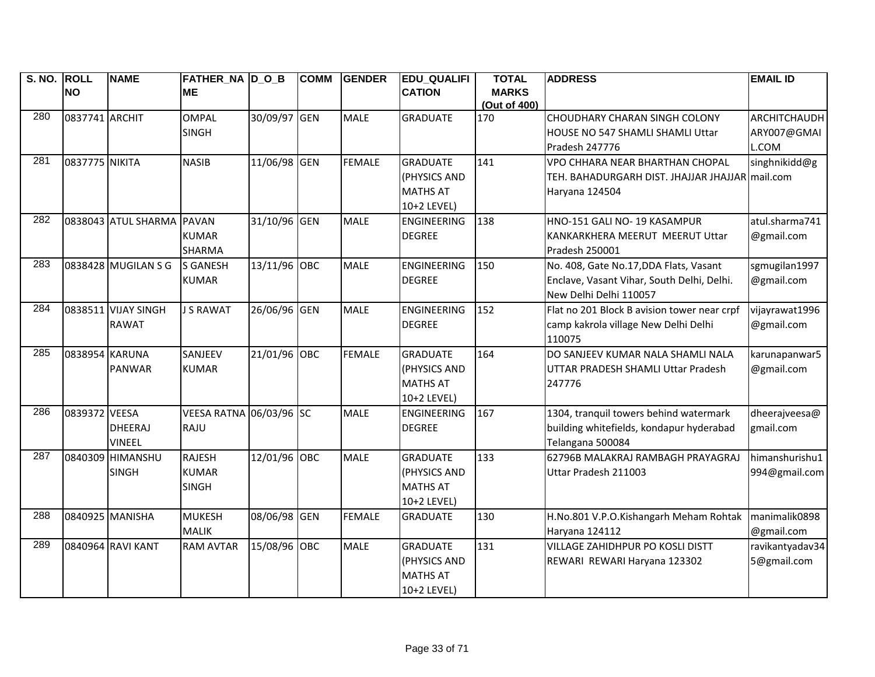| S. NO. ROLL |                | <b>NAME</b>                       | FATHER NA D O B         |              | <b>COMM</b> | <b>GENDER</b> | <b>EDU QUALIFI</b> | <b>TOTAL</b>                 | <b>ADDRESS</b>                                        | <b>EMAIL ID</b> |
|-------------|----------------|-----------------------------------|-------------------------|--------------|-------------|---------------|--------------------|------------------------------|-------------------------------------------------------|-----------------|
|             | <b>NO</b>      |                                   | <b>ME</b>               |              |             |               | <b>CATION</b>      | <b>MARKS</b><br>(Out of 400) |                                                       |                 |
| 280         | 0837741 ARCHIT |                                   | <b>OMPAL</b>            | 30/09/97 GEN |             | <b>MALE</b>   | <b>GRADUATE</b>    | 170                          | CHOUDHARY CHARAN SINGH COLONY                         | ARCHITCHAUDH    |
|             |                |                                   | <b>SINGH</b>            |              |             |               |                    |                              | HOUSE NO 547 SHAMLI SHAMLI Uttar                      | ARY007@GMAI     |
|             |                |                                   |                         |              |             |               |                    |                              | Pradesh 247776                                        | L.COM           |
| 281         | 0837775 NIKITA |                                   | <b>NASIB</b>            | 11/06/98 GEN |             | <b>FEMALE</b> | <b>GRADUATE</b>    | 141                          | VPO CHHARA NEAR BHARTHAN CHOPAL                       | singhnikidd@g   |
|             |                |                                   |                         |              |             |               | (PHYSICS AND       |                              | TEH. BAHADURGARH DIST. JHAJJAR JHAJJAR mail.com       |                 |
|             |                |                                   |                         |              |             |               | <b>MATHS AT</b>    |                              | Haryana 124504                                        |                 |
|             |                |                                   |                         |              |             |               | 10+2 LEVEL)        |                              |                                                       |                 |
| 282         |                | 0838043 ATUL SHARMA PAVAN         |                         | 31/10/96 GEN |             | <b>MALE</b>   | <b>ENGINEERING</b> | 138                          | HNO-151 GALI NO-19 KASAMPUR                           | atul.sharma741  |
|             |                |                                   | <b>KUMAR</b>            |              |             |               | <b>DEGREE</b>      |                              | KANKARKHERA MEERUT MEERUT Uttar                       | @gmail.com      |
|             |                |                                   | <b>SHARMA</b>           |              |             |               |                    |                              | Pradesh 250001                                        |                 |
| 283         |                | 0838428 MUGILAN S G               | <b>S GANESH</b>         | 13/11/96 OBC |             | <b>MALE</b>   | ENGINEERING        | 150                          | No. 408, Gate No.17, DDA Flats, Vasant                | sgmugilan1997   |
|             |                |                                   | <b>KUMAR</b>            |              |             |               | <b>DEGREE</b>      |                              | Enclave, Vasant Vihar, South Delhi, Delhi.            | @gmail.com      |
|             |                |                                   |                         |              |             |               |                    |                              | New Delhi Delhi 110057                                |                 |
| 284         |                | 0838511 VIJAY SINGH               | <b>J S RAWAT</b>        | 26/06/96 GEN |             | <b>MALE</b>   | <b>ENGINEERING</b> | 152                          | Flat no 201 Block B avision tower near crpf           | vijayrawat1996  |
|             |                | <b>RAWAT</b>                      |                         |              |             |               | <b>DEGREE</b>      |                              | camp kakrola village New Delhi Delhi                  | @gmail.com      |
|             |                |                                   |                         |              |             |               |                    |                              | 110075                                                |                 |
| 285         | 0838954 KARUNA |                                   | SANJEEV                 | 21/01/96 OBC |             | <b>FEMALE</b> | <b>GRADUATE</b>    | 164                          | DO SANJEEV KUMAR NALA SHAMLI NALA                     | karunapanwar5   |
|             |                | <b>PANWAR</b>                     | <b>KUMAR</b>            |              |             |               | (PHYSICS AND       |                              | UTTAR PRADESH SHAMLI Uttar Pradesh                    | @gmail.com      |
|             |                |                                   |                         |              |             |               | <b>MATHS AT</b>    |                              | 247776                                                |                 |
|             |                |                                   |                         |              |             |               | 10+2 LEVEL)        |                              |                                                       |                 |
| 286         | 0839372 VEESA  |                                   | VEESA RATNA 06/03/96 SC |              |             | <b>MALE</b>   | <b>ENGINEERING</b> | 167                          | 1304, tranquil towers behind watermark                | dheerajveesa@   |
|             |                | <b>DHEERAJ</b>                    | RAJU                    |              |             |               | <b>DEGREE</b>      |                              | building whitefields, kondapur hyderabad              | gmail.com       |
| 287         |                | <b>VINEEL</b><br>0840309 HIMANSHU | <b>RAJESH</b>           | 12/01/96 OBC |             | <b>MALE</b>   | <b>GRADUATE</b>    | 133                          | Telangana 500084<br>62796B MALAKRAJ RAMBAGH PRAYAGRAJ | himanshurishu1  |
|             |                | <b>SINGH</b>                      | <b>KUMAR</b>            |              |             |               | (PHYSICS AND       |                              | Uttar Pradesh 211003                                  |                 |
|             |                |                                   | <b>SINGH</b>            |              |             |               | <b>MATHS AT</b>    |                              |                                                       | 994@gmail.com   |
|             |                |                                   |                         |              |             |               | 10+2 LEVEL)        |                              |                                                       |                 |
| 288         |                | 0840925 MANISHA                   | <b>MUKESH</b>           | 08/06/98 GEN |             | <b>FEMALE</b> | <b>GRADUATE</b>    | 130                          | H.No.801 V.P.O.Kishangarh Meham Rohtak                | manimalik0898   |
|             |                |                                   | <b>MALIK</b>            |              |             |               |                    |                              | Haryana 124112                                        | @gmail.com      |
| 289         |                | 0840964 RAVI KANT                 | <b>RAM AVTAR</b>        | 15/08/96 OBC |             | <b>MALE</b>   | <b>GRADUATE</b>    | 131                          | <b>VILLAGE ZAHIDHPUR PO KOSLI DISTT</b>               | ravikantyadav34 |
|             |                |                                   |                         |              |             |               | (PHYSICS AND       |                              | REWARI REWARI Haryana 123302                          | 5@gmail.com     |
|             |                |                                   |                         |              |             |               | <b>MATHS AT</b>    |                              |                                                       |                 |
|             |                |                                   |                         |              |             |               | 10+2 LEVEL)        |                              |                                                       |                 |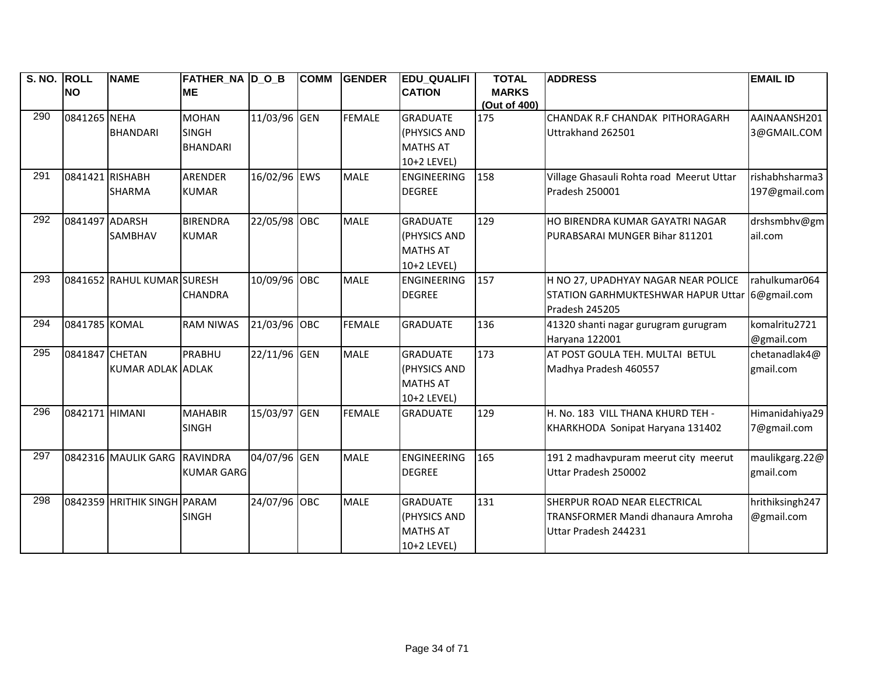| <b>S. NO.</b> | <b>ROLL</b>     | <b>NAME</b>                  | <b>FATHER_NA D_O_B</b> |              | <b>COMM</b> | <b>GENDER</b> | <b>EDU_QUALIFI</b> | <b>TOTAL</b>        | <b>ADDRESS</b>                                 | <b>EMAIL ID</b> |
|---------------|-----------------|------------------------------|------------------------|--------------|-------------|---------------|--------------------|---------------------|------------------------------------------------|-----------------|
|               | <b>NO</b>       |                              | <b>ME</b>              |              |             |               | <b>CATION</b>      | <b>MARKS</b>        |                                                |                 |
| 290           | 0841265 NEHA    |                              | <b>MOHAN</b>           | 11/03/96 GEN |             | <b>FEMALE</b> | <b>GRADUATE</b>    | (Out of 400)<br>175 | CHANDAK R.F CHANDAK PITHORAGARH                | AAINAANSH201    |
|               |                 | <b>BHANDARI</b>              | <b>SINGH</b>           |              |             |               | (PHYSICS AND       |                     | Uttrakhand 262501                              | 3@GMAIL.COM     |
|               |                 |                              | <b>BHANDARI</b>        |              |             |               | <b>MATHS AT</b>    |                     |                                                |                 |
|               |                 |                              |                        |              |             |               | 10+2 LEVEL)        |                     |                                                |                 |
| 291           | 0841421 RISHABH |                              | <b>ARENDER</b>         | 16/02/96 EWS |             | <b>MALE</b>   | <b>ENGINEERING</b> | 158                 | Village Ghasauli Rohta road Meerut Uttar       | rishabhsharma3  |
|               |                 | <b>SHARMA</b>                | <b>KUMAR</b>           |              |             |               | <b>DEGREE</b>      |                     | Pradesh 250001                                 | 197@gmail.com   |
|               |                 |                              |                        |              |             |               |                    |                     |                                                |                 |
| 292           | 0841497 ADARSH  |                              | <b>BIRENDRA</b>        | 22/05/98 OBC |             | <b>MALE</b>   | <b>GRADUATE</b>    | 129                 | HO BIRENDRA KUMAR GAYATRI NAGAR                | drshsmbhv@gm    |
|               |                 | <b>SAMBHAV</b>               | <b>KUMAR</b>           |              |             |               | (PHYSICS AND       |                     | PURABSARAI MUNGER Bihar 811201                 | ail.com         |
|               |                 |                              |                        |              |             |               | <b>MATHS AT</b>    |                     |                                                |                 |
|               |                 |                              |                        |              |             |               | 10+2 LEVEL)        |                     |                                                |                 |
| 293           |                 | 0841652 RAHUL KUMAR SURESH   |                        | 10/09/96 OBC |             | <b>MALE</b>   | <b>ENGINEERING</b> | 157                 | H NO 27, UPADHYAY NAGAR NEAR POLICE            | rahulkumar064   |
|               |                 |                              | <b>CHANDRA</b>         |              |             |               | <b>DEGREE</b>      |                     | STATION GARHMUKTESHWAR HAPUR Uttar 6@gmail.com |                 |
|               |                 |                              |                        |              |             |               |                    |                     | Pradesh 245205                                 |                 |
| 294           | 0841785 KOMAL   |                              | <b>RAM NIWAS</b>       | 21/03/96 OBC |             | <b>FEMALE</b> | <b>GRADUATE</b>    | 136                 | 41320 shanti nagar gurugram gurugram           | komalritu2721   |
|               |                 |                              |                        |              |             |               |                    |                     | Haryana 122001                                 | @gmail.com      |
| 295           | 0841847 CHETAN  |                              | PRABHU                 | 22/11/96 GEN |             | <b>MALE</b>   | <b>GRADUATE</b>    | 173                 | AT POST GOULA TEH. MULTAI BETUL                | chetanadlak4@   |
|               |                 | KUMAR ADLAK ADLAK            |                        |              |             |               | (PHYSICS AND       |                     | Madhya Pradesh 460557                          | gmail.com       |
|               |                 |                              |                        |              |             |               | <b>MATHS AT</b>    |                     |                                                |                 |
|               |                 |                              |                        |              |             |               | 10+2 LEVEL)        |                     |                                                |                 |
| 296           | 0842171 HIMANI  |                              | <b>MAHABIR</b>         | 15/03/97 GEN |             | <b>FEMALE</b> | <b>GRADUATE</b>    | 129                 | H. No. 183 VILL THANA KHURD TEH -              | Himanidahiya29  |
|               |                 |                              | <b>SINGH</b>           |              |             |               |                    |                     | KHARKHODA Sonipat Haryana 131402               | 7@gmail.com     |
|               |                 |                              |                        |              |             |               |                    |                     |                                                |                 |
| 297           |                 | 0842316 MAULIK GARG RAVINDRA |                        | 04/07/96 GEN |             | <b>MALE</b>   | <b>ENGINEERING</b> | 165                 | 191 2 madhavpuram meerut city meerut           | maulikgarg.22@  |
|               |                 |                              | <b>KUMAR GARG</b>      |              |             |               | <b>DEGREE</b>      |                     | Uttar Pradesh 250002                           | gmail.com       |
|               |                 |                              |                        |              |             |               |                    |                     |                                                |                 |
| 298           |                 | 0842359 HRITHIK SINGH PARAM  |                        | 24/07/96 OBC |             | <b>MALE</b>   | <b>GRADUATE</b>    | 131                 | SHERPUR ROAD NEAR ELECTRICAL                   | hrithiksingh247 |
|               |                 |                              | <b>SINGH</b>           |              |             |               | (PHYSICS AND       |                     | TRANSFORMER Mandi dhanaura Amroha              | @gmail.com      |
|               |                 |                              |                        |              |             |               | <b>MATHS AT</b>    |                     | Uttar Pradesh 244231                           |                 |
|               |                 |                              |                        |              |             |               | 10+2 LEVEL)        |                     |                                                |                 |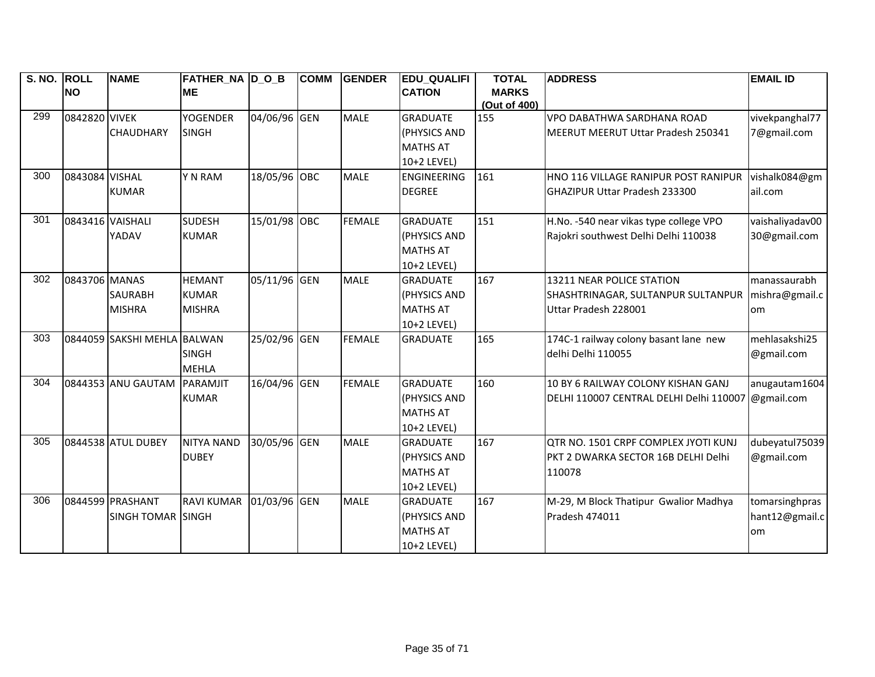| <b>S. NO.</b> | <b>ROLL</b>      | <b>NAME</b>                 | <b>FATHER_NA D_O_B</b> |              | <b>COMM</b> | <b>GENDER</b> | <b>EDU_QUALIFI</b> | <b>TOTAL</b>        | <b>ADDRESS</b>                                     | <b>EMAIL ID</b> |
|---------------|------------------|-----------------------------|------------------------|--------------|-------------|---------------|--------------------|---------------------|----------------------------------------------------|-----------------|
|               | <b>NO</b>        |                             | <b>ME</b>              |              |             |               | <b>CATION</b>      | <b>MARKS</b>        |                                                    |                 |
| 299           | 0842820 VIVEK    |                             | <b>YOGENDER</b>        | 04/06/96 GEN |             | <b>MALE</b>   | <b>GRADUATE</b>    | (Out of 400)<br>155 | VPO DABATHWA SARDHANA ROAD                         | vivekpanghal77  |
|               |                  | <b>CHAUDHARY</b>            | <b>SINGH</b>           |              |             |               | (PHYSICS AND       |                     | MEERUT MEERUT Uttar Pradesh 250341                 | 7@gmail.com     |
|               |                  |                             |                        |              |             |               | <b>MATHS AT</b>    |                     |                                                    |                 |
|               |                  |                             |                        |              |             |               | 10+2 LEVEL)        |                     |                                                    |                 |
| 300           | 0843084 VISHAL   |                             | Y N RAM                | 18/05/96 OBC |             | <b>MALE</b>   | <b>ENGINEERING</b> | 161                 | HNO 116 VILLAGE RANIPUR POST RANIPUR               | vishalk084@gm   |
|               |                  | <b>KUMAR</b>                |                        |              |             |               | <b>DEGREE</b>      |                     | <b>GHAZIPUR Uttar Pradesh 233300</b>               | ail.com         |
|               |                  |                             |                        |              |             |               |                    |                     |                                                    |                 |
| 301           | 0843416 VAISHALI |                             | <b>SUDESH</b>          | 15/01/98 OBC |             | <b>FEMALE</b> | <b>GRADUATE</b>    | 151                 | H.No. -540 near vikas type college VPO             | vaishaliyadav00 |
|               |                  | YADAV                       | <b>KUMAR</b>           |              |             |               | (PHYSICS AND       |                     | Rajokri southwest Delhi Delhi 110038               | 30@gmail.com    |
|               |                  |                             |                        |              |             |               | <b>MATHS AT</b>    |                     |                                                    |                 |
|               |                  |                             |                        |              |             |               | 10+2 LEVEL)        |                     |                                                    |                 |
| 302           | 0843706 MANAS    |                             | <b>HEMANT</b>          | 05/11/96 GEN |             | <b>MALE</b>   | <b>GRADUATE</b>    | 167                 | 13211 NEAR POLICE STATION                          | manassaurabh    |
|               |                  | <b>SAURABH</b>              | <b>KUMAR</b>           |              |             |               | (PHYSICS AND       |                     | SHASHTRINAGAR, SULTANPUR SULTANPUR                 | mishra@gmail.c  |
|               |                  | <b>MISHRA</b>               | <b>MISHRA</b>          |              |             |               | <b>MATHS AT</b>    |                     | Uttar Pradesh 228001                               | om              |
|               |                  |                             |                        |              |             |               | 10+2 LEVEL)        |                     |                                                    |                 |
| 303           |                  | 0844059 SAKSHI MEHLA BALWAN |                        | 25/02/96 GEN |             | <b>FEMALE</b> | <b>GRADUATE</b>    | 165                 | 174C-1 railway colony basant lane new              | mehlasakshi25   |
|               |                  |                             | <b>SINGH</b>           |              |             |               |                    |                     | delhi Delhi 110055                                 | @gmail.com      |
|               |                  |                             | <b>MEHLA</b>           |              |             |               |                    |                     |                                                    |                 |
| 304           |                  | 0844353 ANU GAUTAM          | PARAMJIT               | 16/04/96 GEN |             | <b>FEMALE</b> | <b>GRADUATE</b>    | 160                 | 10 BY 6 RAILWAY COLONY KISHAN GANJ                 | anugautam1604   |
|               |                  |                             | <b>KUMAR</b>           |              |             |               | (PHYSICS AND       |                     | DELHI 110007 CENTRAL DELHI Delhi 110007 @gmail.com |                 |
|               |                  |                             |                        |              |             |               | <b>MATHS AT</b>    |                     |                                                    |                 |
|               |                  |                             |                        |              |             |               | 10+2 LEVEL)        |                     |                                                    |                 |
| 305           |                  | 0844538 ATUL DUBEY          | <b>NITYA NAND</b>      | 30/05/96 GEN |             | <b>MALE</b>   | <b>GRADUATE</b>    | 167                 | QTR NO. 1501 CRPF COMPLEX JYOTI KUNJ               | dubeyatul75039  |
|               |                  |                             | <b>DUBEY</b>           |              |             |               | (PHYSICS AND       |                     | PKT 2 DWARKA SECTOR 16B DELHI Delhi                | @gmail.com      |
|               |                  |                             |                        |              |             |               | <b>MATHS AT</b>    |                     | 110078                                             |                 |
|               |                  |                             |                        |              |             |               | 10+2 LEVEL)        |                     |                                                    |                 |
| 306           |                  | 0844599 PRASHANT            | <b>RAVI KUMAR</b>      | 01/03/96 GEN |             | <b>MALE</b>   | <b>GRADUATE</b>    | 167                 | M-29, M Block Thatipur Gwalior Madhya              | tomarsinghpras  |
|               |                  | <b>SINGH TOMAR SINGH</b>    |                        |              |             |               | (PHYSICS AND       |                     | Pradesh 474011                                     | hant12@gmail.c  |
|               |                  |                             |                        |              |             |               | <b>MATHS AT</b>    |                     |                                                    | om              |
|               |                  |                             |                        |              |             |               | 10+2 LEVEL)        |                     |                                                    |                 |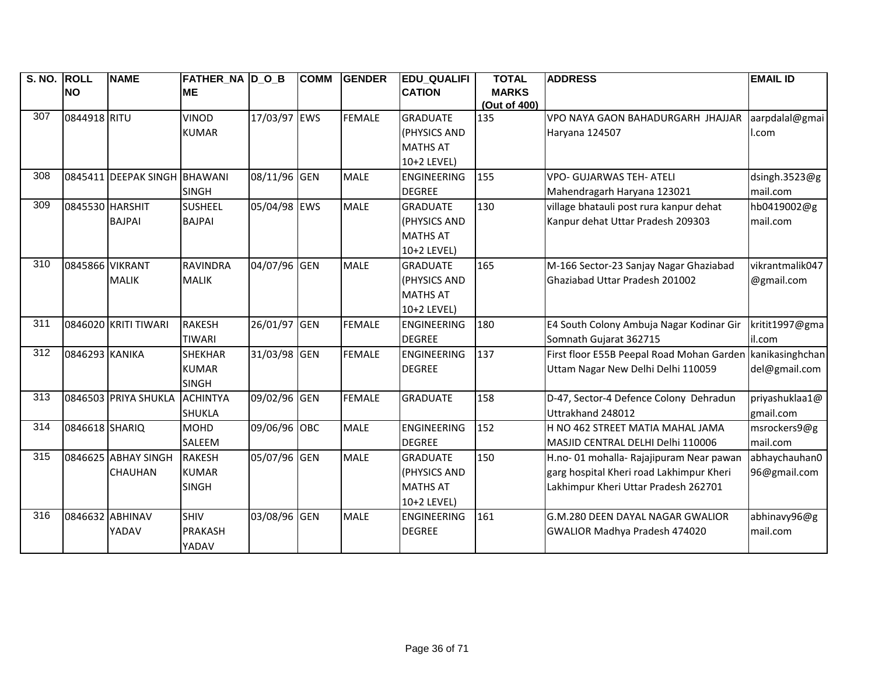| S. NO. ROLL |                 | <b>NAME</b>          | <b>FATHER_NA D_O_B</b> |              | <b>COMM</b> | <b>GENDER</b> | <b>EDU_QUALIFI</b> | <b>TOTAL</b> | <b>ADDRESS</b>                                            | <b>EMAIL ID</b> |
|-------------|-----------------|----------------------|------------------------|--------------|-------------|---------------|--------------------|--------------|-----------------------------------------------------------|-----------------|
|             | <b>NO</b>       |                      | <b>ME</b>              |              |             |               | <b>CATION</b>      | <b>MARKS</b> |                                                           |                 |
|             |                 |                      |                        |              |             |               |                    | (Out of 400) |                                                           |                 |
| 307         | 0844918 RITU    |                      | <b>VINOD</b>           | 17/03/97 EWS |             | <b>FEMALE</b> | <b>GRADUATE</b>    | 135          | VPO NAYA GAON BAHADURGARH JHAJJAR                         | aarpdalal@gmai  |
|             |                 |                      | <b>KUMAR</b>           |              |             |               | (PHYSICS AND       |              | Haryana 124507                                            | l.com           |
|             |                 |                      |                        |              |             |               | <b>MATHS AT</b>    |              |                                                           |                 |
|             |                 |                      |                        |              |             |               | 10+2 LEVEL)        |              |                                                           |                 |
| 308         |                 | 0845411 DEEPAK SINGH | <b>BHAWANI</b>         | 08/11/96 GEN |             | <b>MALE</b>   | ENGINEERING        | 155          | <b>VPO- GUJARWAS TEH- ATELI</b>                           | dsingh.3523@g   |
|             |                 |                      | <b>SINGH</b>           |              |             |               | <b>DEGREE</b>      |              | Mahendragarh Haryana 123021                               | mail.com        |
| 309         | 0845530 HARSHIT |                      | <b>SUSHEEL</b>         | 05/04/98 EWS |             | <b>MALE</b>   | <b>GRADUATE</b>    | 130          | village bhatauli post rura kanpur dehat                   | hb0419002@g     |
|             |                 | <b>BAJPAI</b>        | <b>BAJPAI</b>          |              |             |               | (PHYSICS AND       |              | Kanpur dehat Uttar Pradesh 209303                         | mail.com        |
|             |                 |                      |                        |              |             |               | <b>MATHS AT</b>    |              |                                                           |                 |
|             |                 |                      |                        |              |             |               | 10+2 LEVEL)        |              |                                                           |                 |
| 310         | 0845866 VIKRANT |                      | <b>RAVINDRA</b>        | 04/07/96 GEN |             | <b>MALE</b>   | <b>GRADUATE</b>    | 165          | M-166 Sector-23 Sanjay Nagar Ghaziabad                    | vikrantmalik047 |
|             |                 | <b>MALIK</b>         | <b>MALIK</b>           |              |             |               | (PHYSICS AND       |              | Ghaziabad Uttar Pradesh 201002                            | @gmail.com      |
|             |                 |                      |                        |              |             |               | <b>MATHS AT</b>    |              |                                                           |                 |
|             |                 |                      |                        |              |             |               | 10+2 LEVEL)        |              |                                                           |                 |
| 311         |                 | 0846020 KRITI TIWARI | <b>RAKESH</b>          | 26/01/97 GEN |             | <b>FEMALE</b> | <b>ENGINEERING</b> | 180          | E4 South Colony Ambuja Nagar Kodinar Gir                  | kritit1997@gma  |
|             |                 |                      | <b>TIWARI</b>          |              |             |               | <b>DEGREE</b>      |              | Somnath Gujarat 362715                                    | il.com          |
| 312         | 0846293 KANIKA  |                      | <b>SHEKHAR</b>         | 31/03/98 GEN |             | <b>FEMALE</b> | <b>ENGINEERING</b> | 137          | First floor E55B Peepal Road Mohan Garden kanikasinghchan |                 |
|             |                 |                      | <b>KUMAR</b>           |              |             |               | <b>DEGREE</b>      |              | Uttam Nagar New Delhi Delhi 110059                        | del@gmail.com   |
|             |                 |                      | <b>SINGH</b>           |              |             |               |                    |              |                                                           |                 |
| 313         |                 | 0846503 PRIYA SHUKLA | <b>ACHINTYA</b>        | 09/02/96 GEN |             | <b>FEMALE</b> | <b>GRADUATE</b>    | 158          | D-47, Sector-4 Defence Colony Dehradun                    | priyashuklaa1@  |
|             |                 |                      | <b>SHUKLA</b>          |              |             |               |                    |              | Uttrakhand 248012                                         | gmail.com       |
| 314         | 0846618 SHARIQ  |                      | <b>MOHD</b>            | 09/06/96 OBC |             | <b>MALE</b>   | <b>ENGINEERING</b> | 152          | H NO 462 STREET MATIA MAHAL JAMA                          | msrockers9@g    |
|             |                 |                      | SALEEM                 |              |             |               | <b>DEGREE</b>      |              | MASJID CENTRAL DELHI Delhi 110006                         | mail.com        |
| 315         |                 | 0846625 ABHAY SINGH  | <b>RAKESH</b>          | 05/07/96 GEN |             | <b>MALE</b>   | <b>GRADUATE</b>    | 150          | H.no- 01 mohalla- Rajajipuram Near pawan                  | abhaychauhan0   |
|             |                 | <b>CHAUHAN</b>       | <b>KUMAR</b>           |              |             |               | (PHYSICS AND       |              | garg hospital Kheri road Lakhimpur Kheri                  | 96@gmail.com    |
|             |                 |                      | <b>SINGH</b>           |              |             |               | <b>MATHS AT</b>    |              | Lakhimpur Kheri Uttar Pradesh 262701                      |                 |
|             |                 |                      |                        |              |             |               | 10+2 LEVEL)        |              |                                                           |                 |
| 316         | 0846632 ABHINAV |                      | <b>SHIV</b>            | 03/08/96 GEN |             | MALE          | ENGINEERING        | 161          | G.M.280 DEEN DAYAL NAGAR GWALIOR                          | abhinavy96@g    |
|             |                 | YADAV                | <b>PRAKASH</b>         |              |             |               | <b>DEGREE</b>      |              | GWALIOR Madhya Pradesh 474020                             | mail.com        |
|             |                 |                      | YADAV                  |              |             |               |                    |              |                                                           |                 |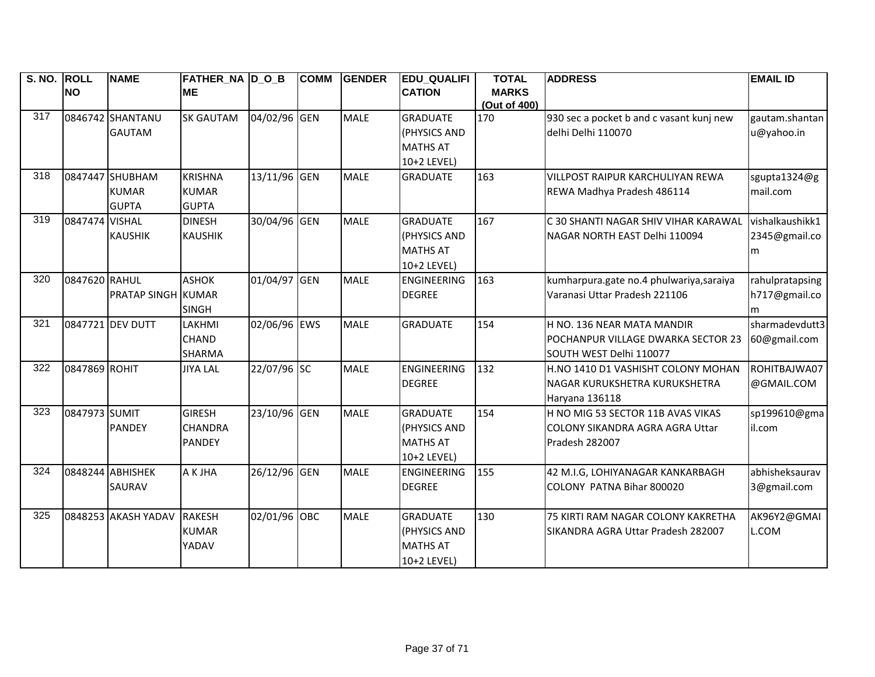| S. NO. ROLL |                | <b>NAME</b>               | <b>FATHER_NA D_O_B</b> |              | <b>COMM</b> | <b>GENDER</b> | <b>EDU_QUALIFI</b> | <b>TOTAL</b> | <b>ADDRESS</b>                           | <b>EMAIL ID</b> |
|-------------|----------------|---------------------------|------------------------|--------------|-------------|---------------|--------------------|--------------|------------------------------------------|-----------------|
|             | <b>NO</b>      |                           | <b>ME</b>              |              |             |               | <b>CATION</b>      | <b>MARKS</b> |                                          |                 |
|             |                |                           |                        |              |             |               |                    | (Out of 400) |                                          |                 |
| 317         |                | 0846742 SHANTANU          | <b>SK GAUTAM</b>       | 04/02/96 GEN |             | <b>MALE</b>   | <b>GRADUATE</b>    | 170          | 930 sec a pocket b and c vasant kunj new | gautam.shantan  |
|             |                | <b>GAUTAM</b>             |                        |              |             |               | (PHYSICS AND       |              | delhi Delhi 110070                       | u@yahoo.in      |
|             |                |                           |                        |              |             |               | <b>MATHS AT</b>    |              |                                          |                 |
|             |                |                           |                        |              |             |               | 10+2 LEVEL)        |              |                                          |                 |
| 318         |                | 0847447 SHUBHAM           | <b>KRISHNA</b>         | 13/11/96 GEN |             | <b>MALE</b>   | <b>GRADUATE</b>    | 163          | VILLPOST RAIPUR KARCHULIYAN REWA         | sgupta1324@g    |
|             |                | <b>KUMAR</b>              | <b>KUMAR</b>           |              |             |               |                    |              | REWA Madhya Pradesh 486114               | mail.com        |
|             |                | <b>GUPTA</b>              | <b>GUPTA</b>           |              |             |               |                    |              |                                          |                 |
| 319         | 0847474 VISHAL |                           | <b>DINESH</b>          | 30/04/96 GEN |             | <b>MALE</b>   | <b>GRADUATE</b>    | 167          | C 30 SHANTI NAGAR SHIV VIHAR KARAWAL     | vishalkaushikk1 |
|             |                | <b>KAUSHIK</b>            | <b>KAUSHIK</b>         |              |             |               | (PHYSICS AND       |              | NAGAR NORTH EAST Delhi 110094            | 2345@gmail.co   |
|             |                |                           |                        |              |             |               | <b>MATHS AT</b>    |              |                                          | m               |
|             |                |                           |                        |              |             |               | 10+2 LEVEL)        |              |                                          |                 |
| 320         | 0847620 RAHUL  |                           | <b>ASHOK</b>           | 01/04/97 GEN |             | <b>MALE</b>   | <b>ENGINEERING</b> | 163          | kumharpura.gate no.4 phulwariya,saraiya  | rahulpratapsing |
|             |                | <b>PRATAP SINGH KUMAR</b> |                        |              |             |               | <b>DEGREE</b>      |              | Varanasi Uttar Pradesh 221106            | h717@gmail.co   |
|             |                |                           | <b>SINGH</b>           |              |             |               |                    |              |                                          | m               |
| 321         |                | 0847721 DEV DUTT          | LAKHMI                 | 02/06/96 EWS |             | <b>MALE</b>   | <b>GRADUATE</b>    | 154          | H NO. 136 NEAR MATA MANDIR               | sharmadevdutt3  |
|             |                |                           | <b>CHAND</b>           |              |             |               |                    |              | POCHANPUR VILLAGE DWARKA SECTOR 23       | 60@gmail.com    |
|             |                |                           | <b>SHARMA</b>          |              |             |               |                    |              | SOUTH WEST Delhi 110077                  |                 |
| 322         | 0847869 ROHIT  |                           | <b>JIYA LAL</b>        | 22/07/96 SC  |             | <b>MALE</b>   | ENGINEERING        | 132          | H.NO 1410 D1 VASHISHT COLONY MOHAN       | ROHITBAJWA07    |
|             |                |                           |                        |              |             |               | <b>DEGREE</b>      |              | NAGAR KURUKSHETRA KURUKSHETRA            | @GMAIL.COM      |
|             |                |                           |                        |              |             |               |                    |              | Haryana 136118                           |                 |
| 323         | 0847973 SUMIT  |                           | <b>GIRESH</b>          | 23/10/96 GEN |             | <b>MALE</b>   | <b>GRADUATE</b>    | 154          | H NO MIG 53 SECTOR 11B AVAS VIKAS        | sp199610@gma    |
|             |                | <b>PANDEY</b>             | <b>CHANDRA</b>         |              |             |               | (PHYSICS AND       |              | COLONY SIKANDRA AGRA AGRA Uttar          | il.com          |
|             |                |                           | <b>PANDEY</b>          |              |             |               | <b>MATHS AT</b>    |              | Pradesh 282007                           |                 |
|             |                |                           |                        |              |             |               | 10+2 LEVEL)        |              |                                          |                 |
| 324         |                | 0848244 ABHISHEK          | A K JHA                | 26/12/96 GEN |             | <b>MALE</b>   | <b>ENGINEERING</b> | 155          | 42 M.I.G, LOHIYANAGAR KANKARBAGH         | abhisheksaurav  |
|             |                | SAURAV                    |                        |              |             |               | <b>DEGREE</b>      |              | COLONY PATNA Bihar 800020                | 3@gmail.com     |
|             |                |                           |                        |              |             |               |                    |              |                                          |                 |
| 325         |                | 0848253 AKASH YADAV       | <b>RAKESH</b>          | 02/01/96 OBC |             | <b>MALE</b>   | <b>GRADUATE</b>    | 130          | 75 KIRTI RAM NAGAR COLONY KAKRETHA       | AK96Y2@GMAI     |
|             |                |                           | <b>KUMAR</b>           |              |             |               | (PHYSICS AND       |              | SIKANDRA AGRA Uttar Pradesh 282007       | L.COM           |
|             |                |                           | YADAV                  |              |             |               | <b>MATHS AT</b>    |              |                                          |                 |
|             |                |                           |                        |              |             |               | 10+2 LEVEL)        |              |                                          |                 |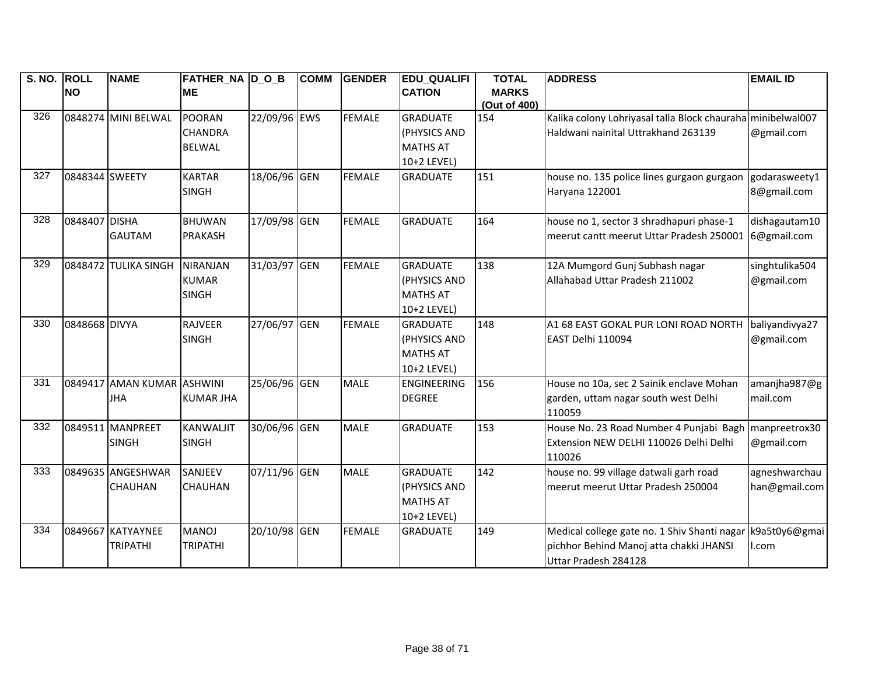| S. NO. ROLL |                | <b>NAME</b>                | <b>FATHER_NA D_O_B</b> |              | <b>COMM</b> | <b>GENDER</b> | <b>EDU_QUALIFI</b> | <b>TOTAL</b>        | <b>ADDRESS</b>                                              | <b>EMAIL ID</b> |
|-------------|----------------|----------------------------|------------------------|--------------|-------------|---------------|--------------------|---------------------|-------------------------------------------------------------|-----------------|
|             | <b>NO</b>      |                            | <b>ME</b>              |              |             |               | <b>CATION</b>      | <b>MARKS</b>        |                                                             |                 |
| 326         |                | 0848274 MINI BELWAL        | POORAN                 | 22/09/96 EWS |             | <b>FEMALE</b> | <b>GRADUATE</b>    | (Out of 400)<br>154 | Kalika colony Lohriyasal talla Block chauraha minibelwal007 |                 |
|             |                |                            | <b>CHANDRA</b>         |              |             |               | (PHYSICS AND       |                     | Haldwani nainital Uttrakhand 263139                         | @gmail.com      |
|             |                |                            | <b>BELWAL</b>          |              |             |               | <b>MATHS AT</b>    |                     |                                                             |                 |
|             |                |                            |                        |              |             |               | 10+2 LEVEL)        |                     |                                                             |                 |
| 327         | 0848344 SWEETY |                            | <b>KARTAR</b>          | 18/06/96 GEN |             | <b>FEMALE</b> | <b>GRADUATE</b>    | 151                 | house no. 135 police lines gurgaon gurgaon                  | godarasweety1   |
|             |                |                            | <b>SINGH</b>           |              |             |               |                    |                     | Haryana 122001                                              | 8@gmail.com     |
|             |                |                            |                        |              |             |               |                    |                     |                                                             |                 |
| 328         | 0848407 DISHA  |                            | <b>BHUWAN</b>          | 17/09/98 GEN |             | <b>FEMALE</b> | <b>GRADUATE</b>    | 164                 | house no 1, sector 3 shradhapuri phase-1                    | dishagautam10   |
|             |                | <b>GAUTAM</b>              | <b>PRAKASH</b>         |              |             |               |                    |                     | meerut cantt meerut Uttar Pradesh 250001                    | 6@gmail.com     |
|             |                |                            |                        |              |             |               |                    |                     |                                                             |                 |
| 329         |                | 0848472 TULIKA SINGH       | <b>NIRANJAN</b>        | 31/03/97 GEN |             | <b>FEMALE</b> | <b>GRADUATE</b>    | 138                 | 12A Mumgord Gunj Subhash nagar                              | singhtulika504  |
|             |                |                            | <b>KUMAR</b>           |              |             |               | (PHYSICS AND       |                     | Allahabad Uttar Pradesh 211002                              | @gmail.com      |
|             |                |                            | <b>SINGH</b>           |              |             |               | <b>MATHS AT</b>    |                     |                                                             |                 |
|             |                |                            |                        |              |             |               | 10+2 LEVEL)        |                     |                                                             |                 |
| 330         | 0848668 DIVYA  |                            | <b>RAJVEER</b>         | 27/06/97 GEN |             | <b>FEMALE</b> | <b>GRADUATE</b>    | 148                 | A1 68 EAST GOKAL PUR LONI ROAD NORTH                        | baliyandivya27  |
|             |                |                            | <b>SINGH</b>           |              |             |               | (PHYSICS AND       |                     | EAST Delhi 110094                                           | @gmail.com      |
|             |                |                            |                        |              |             |               | <b>MATHS AT</b>    |                     |                                                             |                 |
|             |                |                            |                        |              |             |               | 10+2 LEVEL)        |                     |                                                             |                 |
| 331         |                | 0849417 AMAN KUMAR ASHWINI |                        | 25/06/96 GEN |             | <b>MALE</b>   | ENGINEERING        | 156                 | House no 10a, sec 2 Sainik enclave Mohan                    | amanjha987@g    |
|             |                | <b>JHA</b>                 | <b>KUMAR JHA</b>       |              |             |               | <b>DEGREE</b>      |                     | garden, uttam nagar south west Delhi                        | mail.com        |
|             |                |                            |                        |              |             |               |                    |                     | 110059                                                      |                 |
| 332         |                | 0849511 MANPREET           | KANWALJIT              | 30/06/96 GEN |             | <b>MALE</b>   | <b>GRADUATE</b>    | 153                 | House No. 23 Road Number 4 Punjabi Bagh                     | manpreetrox30   |
|             |                | <b>SINGH</b>               | <b>SINGH</b>           |              |             |               |                    |                     | Extension NEW DELHI 110026 Delhi Delhi                      | @gmail.com      |
|             |                |                            |                        |              |             |               |                    |                     | 110026                                                      |                 |
| 333         |                | 0849635 ANGESHWAR          | SANJEEV                | 07/11/96 GEN |             | <b>MALE</b>   | <b>GRADUATE</b>    | 142                 | house no. 99 village datwali garh road                      | agneshwarchau   |
|             |                | <b>CHAUHAN</b>             | <b>CHAUHAN</b>         |              |             |               | (PHYSICS AND       |                     | meerut meerut Uttar Pradesh 250004                          | han@gmail.com   |
|             |                |                            |                        |              |             |               | <b>MATHS AT</b>    |                     |                                                             |                 |
|             |                |                            |                        |              |             |               | 10+2 LEVEL)        |                     |                                                             |                 |
| 334         |                | 0849667 KATYAYNEE          | <b>MANOJ</b>           | 20/10/98 GEN |             | <b>FEMALE</b> | <b>GRADUATE</b>    | 149                 | Medical college gate no. 1 Shiv Shanti nagar                | k9a5t0y6@gmai   |
|             |                | <b>TRIPATHI</b>            | <b>TRIPATHI</b>        |              |             |               |                    |                     | pichhor Behind Manoj atta chakki JHANSI                     | l.com           |
|             |                |                            |                        |              |             |               |                    |                     | Uttar Pradesh 284128                                        |                 |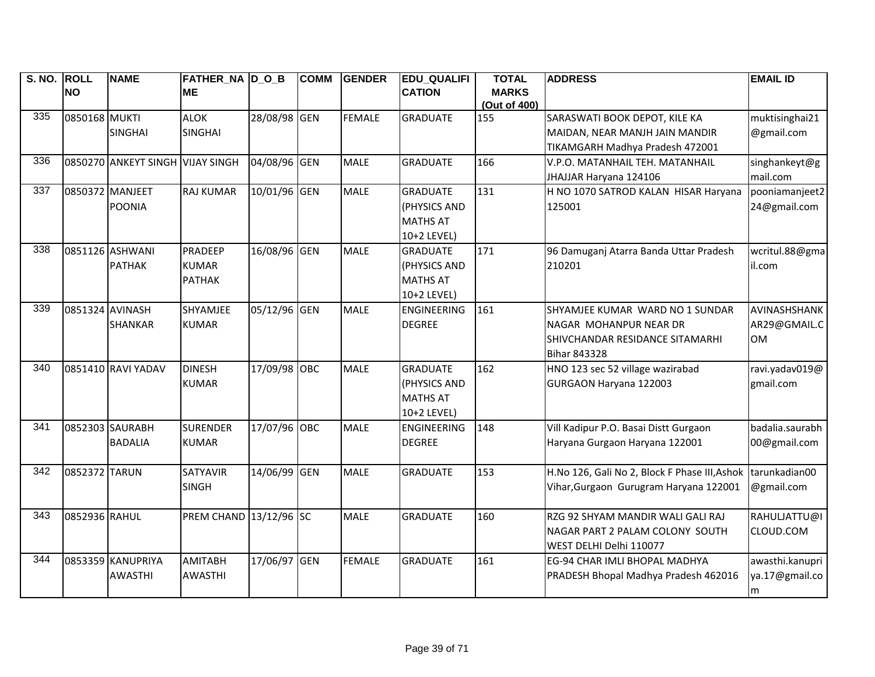| S. NO. ROLL     | <b>NO</b>       | <b>NAME</b>                      | FATHER NA DOB<br><b>ME</b> |              | <b>COMM</b> | <b>GENDER</b> | <b>EDU QUALIFI</b><br><b>CATION</b> | <b>TOTAL</b><br><b>MARKS</b> | <b>ADDRESS</b>                                | <b>EMAIL ID</b> |
|-----------------|-----------------|----------------------------------|----------------------------|--------------|-------------|---------------|-------------------------------------|------------------------------|-----------------------------------------------|-----------------|
|                 |                 |                                  |                            |              |             |               |                                     | (Out of 400)                 |                                               |                 |
| $\frac{1}{335}$ | 0850168 MUKTI   |                                  | <b>ALOK</b>                | 28/08/98 GEN |             | <b>FEMALE</b> | <b>GRADUATE</b>                     | 155                          | SARASWATI BOOK DEPOT, KILE KA                 | muktisinghai21  |
|                 |                 | <b>SINGHAI</b>                   | <b>SINGHAI</b>             |              |             |               |                                     |                              | MAIDAN, NEAR MANJH JAIN MANDIR                | @gmail.com      |
|                 |                 |                                  |                            |              |             |               |                                     |                              | TIKAMGARH Madhya Pradesh 472001               |                 |
| 336             |                 | 0850270 ANKEYT SINGH VIJAY SINGH |                            | 04/08/96 GEN |             | <b>MALE</b>   | <b>GRADUATE</b>                     | 166                          | V.P.O. MATANHAIL TEH. MATANHAIL               | singhankeyt@g   |
|                 |                 |                                  |                            |              |             |               |                                     |                              | JHAJJAR Haryana 124106                        | mail.com        |
| 337             |                 | 0850372 MANJEET                  | <b>RAJ KUMAR</b>           | 10/01/96 GEN |             | <b>MALE</b>   | <b>GRADUATE</b>                     | 131                          | H NO 1070 SATROD KALAN HISAR Haryana          | pooniamanjeet2  |
|                 |                 | <b>POONIA</b>                    |                            |              |             |               | (PHYSICS AND                        |                              | 125001                                        | 24@gmail.com    |
|                 |                 |                                  |                            |              |             |               | <b>MATHS AT</b>                     |                              |                                               |                 |
|                 |                 |                                  |                            |              |             |               | 10+2 LEVEL)                         |                              |                                               |                 |
| 338             |                 | 0851126 ASHWANI                  | <b>PRADEEP</b>             | 16/08/96 GEN |             | <b>MALE</b>   | <b>GRADUATE</b>                     | 171                          | 96 Damuganj Atarra Banda Uttar Pradesh        | wcritul.88@gma  |
|                 |                 | <b>PATHAK</b>                    | <b>KUMAR</b>               |              |             |               | (PHYSICS AND                        |                              | 210201                                        | il.com          |
|                 |                 |                                  | <b>PATHAK</b>              |              |             |               | <b>MATHS AT</b>                     |                              |                                               |                 |
|                 |                 |                                  |                            |              |             |               | 10+2 LEVEL)                         |                              |                                               |                 |
| 339             | 0851324 AVINASH |                                  | SHYAMJEE                   | 05/12/96 GEN |             | <b>MALE</b>   | <b>ENGINEERING</b>                  | 161                          | SHYAMJEE KUMAR WARD NO 1 SUNDAR               | AVINASHSHANK    |
|                 |                 | <b>SHANKAR</b>                   | <b>KUMAR</b>               |              |             |               | <b>DEGREE</b>                       |                              | NAGAR MOHANPUR NEAR DR                        | AR29@GMAIL.C    |
|                 |                 |                                  |                            |              |             |               |                                     |                              | SHIVCHANDAR RESIDANCE SITAMARHI               | <b>OM</b>       |
|                 |                 |                                  |                            |              |             |               |                                     |                              | <b>Bihar 843328</b>                           |                 |
| 340             |                 | 0851410 RAVI YADAV               | <b>DINESH</b>              | 17/09/98 OBC |             | <b>MALE</b>   | <b>GRADUATE</b>                     | 162                          | HNO 123 sec 52 village wazirabad              | ravi.yadav019@  |
|                 |                 |                                  | <b>KUMAR</b>               |              |             |               | (PHYSICS AND                        |                              | GURGAON Haryana 122003                        | gmail.com       |
|                 |                 |                                  |                            |              |             |               | <b>MATHS AT</b>                     |                              |                                               |                 |
|                 |                 |                                  |                            |              |             |               | 10+2 LEVEL)                         |                              |                                               |                 |
| 341             |                 | 0852303 SAURABH                  | <b>SURENDER</b>            | 17/07/96 OBC |             | <b>MALE</b>   | <b>ENGINEERING</b>                  | 148                          | Vill Kadipur P.O. Basai Distt Gurgaon         | badalia.saurabh |
|                 |                 | <b>BADALIA</b>                   | <b>KUMAR</b>               |              |             |               | <b>DEGREE</b>                       |                              | Haryana Gurgaon Haryana 122001                | 00@gmail.com    |
|                 |                 |                                  |                            |              |             |               |                                     |                              |                                               |                 |
| 342             | 0852372 TARUN   |                                  | <b>SATYAVIR</b>            | 14/06/99 GEN |             | <b>MALE</b>   | <b>GRADUATE</b>                     | 153                          | H.No 126, Gali No 2, Block F Phase III, Ashok | tarunkadian00   |
|                 |                 |                                  | <b>SINGH</b>               |              |             |               |                                     |                              | Vihar, Gurgaon Gurugram Haryana 122001        | @gmail.com      |
|                 |                 |                                  |                            |              |             |               |                                     |                              |                                               |                 |
| 343             | 0852936 RAHUL   |                                  | PREM CHAND 13/12/96 SC     |              |             | <b>MALE</b>   | <b>GRADUATE</b>                     | 160                          | RZG 92 SHYAM MANDIR WALI GALI RAJ             | RAHULJATTU@I    |
|                 |                 |                                  |                            |              |             |               |                                     |                              | NAGAR PART 2 PALAM COLONY SOUTH               | CLOUD.COM       |
|                 |                 |                                  |                            |              |             |               |                                     |                              | WEST DELHI Delhi 110077                       |                 |
| 344             |                 | 0853359 KANUPRIYA                | <b>AMITABH</b>             | 17/06/97 GEN |             | <b>FEMALE</b> | <b>GRADUATE</b>                     | 161                          | EG-94 CHAR IMLI BHOPAL MADHYA                 | awasthi.kanupri |
|                 |                 | <b>AWASTHI</b>                   | <b>AWASTHI</b>             |              |             |               |                                     |                              | PRADESH Bhopal Madhya Pradesh 462016          | ya.17@gmail.co  |
|                 |                 |                                  |                            |              |             |               |                                     |                              |                                               | m               |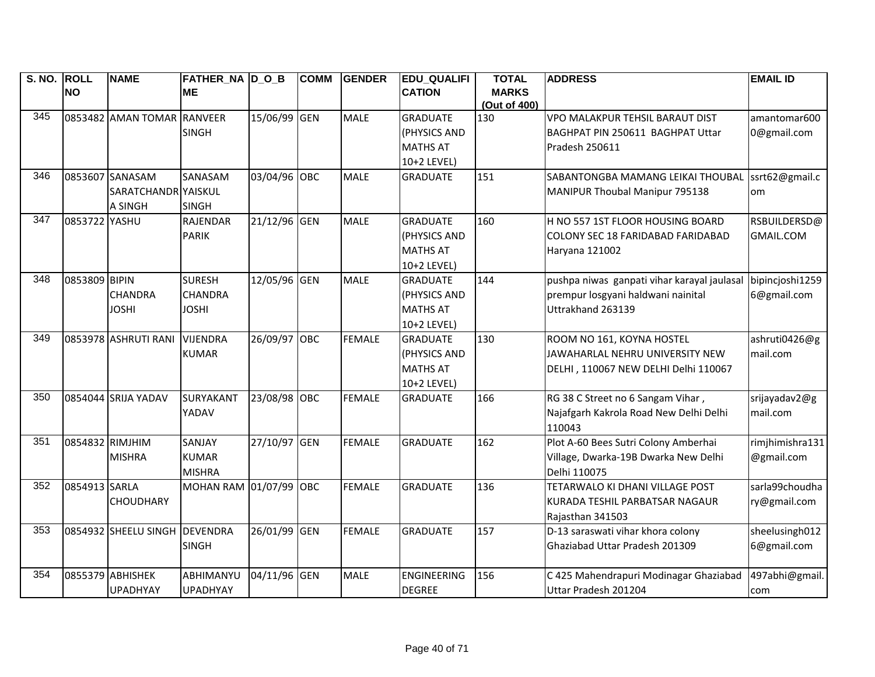| S. NO. ROLL |                 | <b>NAME</b>                | <b>FATHER_NA D_O_B</b> |              | <b>COMM</b> | <b>GENDER</b> | <b>EDU QUALIFI</b> | <b>TOTAL</b>                 | <b>ADDRESS</b>                              | <b>EMAIL ID</b> |
|-------------|-----------------|----------------------------|------------------------|--------------|-------------|---------------|--------------------|------------------------------|---------------------------------------------|-----------------|
|             | <b>NO</b>       |                            | <b>ME</b>              |              |             |               | <b>CATION</b>      | <b>MARKS</b><br>(Out of 400) |                                             |                 |
| 345         |                 | 0853482 AMAN TOMAR RANVEER |                        | 15/06/99 GEN |             | <b>MALE</b>   | <b>GRADUATE</b>    | 130                          | VPO MALAKPUR TEHSIL BARAUT DIST             | amantomar600    |
|             |                 |                            | <b>SINGH</b>           |              |             |               | (PHYSICS AND       |                              | BAGHPAT PIN 250611 BAGHPAT Uttar            | 0@gmail.com     |
|             |                 |                            |                        |              |             |               | <b>MATHS AT</b>    |                              | Pradesh 250611                              |                 |
|             |                 |                            |                        |              |             |               | 10+2 LEVEL)        |                              |                                             |                 |
| 346         |                 | 0853607 SANASAM            | SANASAM                | 03/04/96 OBC |             | <b>MALE</b>   | <b>GRADUATE</b>    | 151                          | SABANTONGBA MAMANG LEIKAI THOUBAL           | ssrt62@gmail.c  |
|             |                 | SARATCHANDR YAISKUL        |                        |              |             |               |                    |                              | MANIPUR Thoubal Manipur 795138              | om              |
|             |                 | A SINGH                    | <b>SINGH</b>           |              |             |               |                    |                              |                                             |                 |
| 347         | 0853722 YASHU   |                            | <b>RAJENDAR</b>        | 21/12/96 GEN |             | <b>MALE</b>   | <b>GRADUATE</b>    | 160                          | H NO 557 1ST FLOOR HOUSING BOARD            | RSBUILDERSD@    |
|             |                 |                            | <b>PARIK</b>           |              |             |               | (PHYSICS AND       |                              | COLONY SEC 18 FARIDABAD FARIDABAD           | GMAIL.COM       |
|             |                 |                            |                        |              |             |               | <b>MATHS AT</b>    |                              | Haryana 121002                              |                 |
|             |                 |                            |                        |              |             |               | 10+2 LEVEL)        |                              |                                             |                 |
| 348         | 0853809 BIPIN   |                            | <b>SURESH</b>          | 12/05/96 GEN |             | <b>MALE</b>   | <b>GRADUATE</b>    | 144                          | pushpa niwas ganpati vihar karayal jaulasal | bipincjoshi1259 |
|             |                 | <b>CHANDRA</b>             | <b>CHANDRA</b>         |              |             |               | (PHYSICS AND       |                              | prempur losgyani haldwani nainital          | 6@gmail.com     |
|             |                 | <b>JOSHI</b>               | <b>JOSHI</b>           |              |             |               | <b>MATHS AT</b>    |                              | Uttrakhand 263139                           |                 |
|             |                 |                            |                        |              |             |               | 10+2 LEVEL)        |                              |                                             |                 |
| 349         |                 | 0853978 ASHRUTI RANI       | <b>VIJENDRA</b>        | 26/09/97 OBC |             | <b>FEMALE</b> | <b>GRADUATE</b>    | 130                          | ROOM NO 161, KOYNA HOSTEL                   | ashruti0426@g   |
|             |                 |                            | <b>KUMAR</b>           |              |             |               | (PHYSICS AND       |                              | JAWAHARLAL NEHRU UNIVERSITY NEW             | mail.com        |
|             |                 |                            |                        |              |             |               | <b>MATHS AT</b>    |                              | DELHI, 110067 NEW DELHI Delhi 110067        |                 |
|             |                 |                            |                        |              |             |               | 10+2 LEVEL)        |                              |                                             |                 |
| 350         |                 | 0854044 SRIJA YADAV        | <b>SURYAKANT</b>       | 23/08/98 OBC |             | <b>FEMALE</b> | <b>GRADUATE</b>    | 166                          | RG 38 C Street no 6 Sangam Vihar,           | srijayadav2@g   |
|             |                 |                            | YADAV                  |              |             |               |                    |                              | Najafgarh Kakrola Road New Delhi Delhi      | mail.com        |
|             |                 |                            |                        |              |             |               |                    |                              | 110043                                      |                 |
| 351         | 0854832 RIMJHIM |                            | SANJAY                 | 27/10/97 GEN |             | <b>FEMALE</b> | <b>GRADUATE</b>    | 162                          | Plot A-60 Bees Sutri Colony Amberhai        | rimjhimishra131 |
|             |                 | <b>MISHRA</b>              | <b>KUMAR</b>           |              |             |               |                    |                              | Village, Dwarka-19B Dwarka New Delhi        | @gmail.com      |
|             |                 |                            | <b>MISHRA</b>          |              |             |               |                    |                              | Delhi 110075                                |                 |
| 352         | 0854913 SARLA   |                            | MOHAN RAM 01/07/99 OBC |              |             | <b>FEMALE</b> | <b>GRADUATE</b>    | 136                          | TETARWALO KI DHANI VILLAGE POST             | sarla99choudha  |
|             |                 | <b>CHOUDHARY</b>           |                        |              |             |               |                    |                              | KURADA TESHIL PARBATSAR NAGAUR              | ry@gmail.com    |
|             |                 |                            |                        |              |             |               |                    |                              | Rajasthan 341503                            |                 |
| 353         |                 | 0854932 SHEELU SINGH       | <b>DEVENDRA</b>        | 26/01/99 GEN |             | <b>FEMALE</b> | <b>GRADUATE</b>    | 157                          | D-13 saraswati vihar khora colony           | sheelusingh012  |
|             |                 |                            | <b>SINGH</b>           |              |             |               |                    |                              | Ghaziabad Uttar Pradesh 201309              | 6@gmail.com     |
|             |                 |                            |                        |              |             |               |                    |                              |                                             |                 |
| 354         |                 | 0855379 ABHISHEK           | ABHIMANYU              | 04/11/96 GEN |             | <b>MALE</b>   | <b>ENGINEERING</b> | 156                          | C 425 Mahendrapuri Modinagar Ghaziabad      | 497abhi@gmail.  |
|             |                 | <b>UPADHYAY</b>            | <b>UPADHYAY</b>        |              |             |               | <b>DEGREE</b>      |                              | Uttar Pradesh 201204                        | com             |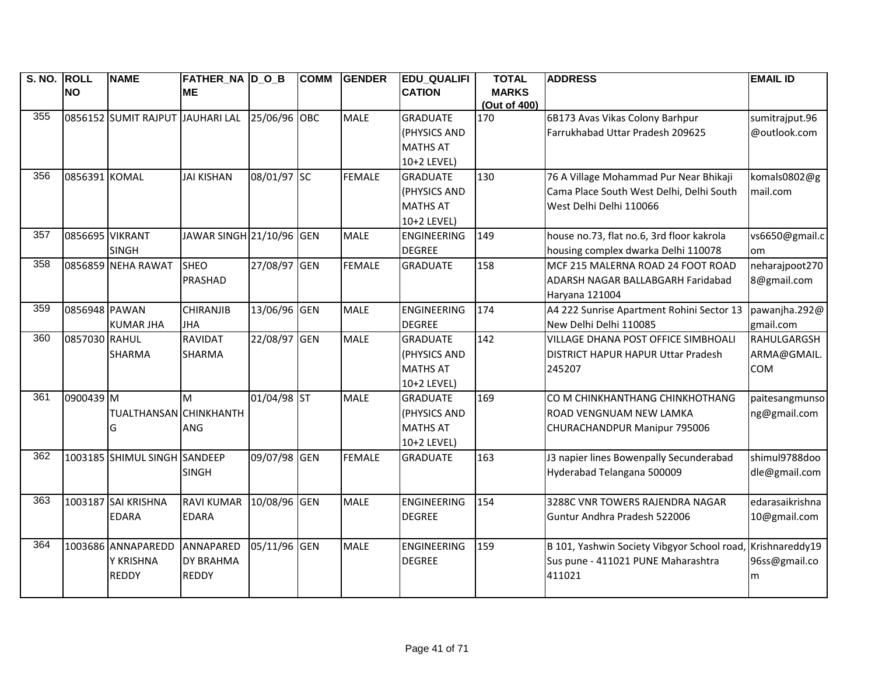| S. NO. ROLL |                 | <b>NAME</b>                      | FATHER NA D O B          |              | <b>COMM</b> | <b>GENDER</b> | <b>EDU QUALIFI</b> | <b>TOTAL</b>                 | <b>ADDRESS</b>                              | <b>EMAIL ID</b> |
|-------------|-----------------|----------------------------------|--------------------------|--------------|-------------|---------------|--------------------|------------------------------|---------------------------------------------|-----------------|
|             | <b>NO</b>       |                                  | <b>ME</b>                |              |             |               | <b>CATION</b>      | <b>MARKS</b><br>(Out of 400) |                                             |                 |
| 355         |                 | 0856152 SUMIT RAJPUT JAUHARI LAL |                          | 25/06/96 OBC |             | <b>MALE</b>   | <b>GRADUATE</b>    | 170                          | 6B173 Avas Vikas Colony Barhpur             | sumitrajput.96  |
|             |                 |                                  |                          |              |             |               | (PHYSICS AND       |                              | Farrukhabad Uttar Pradesh 209625            | @outlook.com    |
|             |                 |                                  |                          |              |             |               | <b>MATHS AT</b>    |                              |                                             |                 |
|             |                 |                                  |                          |              |             |               | 10+2 LEVEL)        |                              |                                             |                 |
| 356         | 0856391 KOMAL   |                                  | <b>JAI KISHAN</b>        | 08/01/97 SC  |             | <b>FEMALE</b> | <b>GRADUATE</b>    | 130                          | 76 A Village Mohammad Pur Near Bhikaji      | komals0802@g    |
|             |                 |                                  |                          |              |             |               | (PHYSICS AND       |                              | Cama Place South West Delhi, Delhi South    | mail.com        |
|             |                 |                                  |                          |              |             |               | <b>MATHS AT</b>    |                              | West Delhi Delhi 110066                     |                 |
|             |                 |                                  |                          |              |             |               | 10+2 LEVEL)        |                              |                                             |                 |
| 357         | 0856695 VIKRANT |                                  | JAWAR SINGH 21/10/96 GEN |              |             | <b>MALE</b>   | <b>ENGINEERING</b> | 149                          | house no.73, flat no.6, 3rd floor kakrola   | vs6650@gmail.c  |
|             |                 | <b>SINGH</b>                     |                          |              |             |               | <b>DEGREE</b>      |                              | housing complex dwarka Delhi 110078         | <b>om</b>       |
| 358         |                 | 0856859 NEHA RAWAT               | <b>SHEO</b>              | 27/08/97 GEN |             | <b>FEMALE</b> | <b>GRADUATE</b>    | 158                          | MCF 215 MALERNA ROAD 24 FOOT ROAD           | neharajpoot270  |
|             |                 |                                  | PRASHAD                  |              |             |               |                    |                              | ADARSH NAGAR BALLABGARH Faridabad           | 8@gmail.com     |
|             |                 |                                  |                          |              |             |               |                    |                              | Haryana 121004                              |                 |
| 359         | 0856948 PAWAN   |                                  | <b>CHIRANJIB</b>         | 13/06/96 GEN |             | <b>MALE</b>   | <b>ENGINEERING</b> | 174                          | A4 222 Sunrise Apartment Rohini Sector 13   | pawanjha.292@   |
|             |                 | <b>KUMAR JHA</b>                 | <b>JHA</b>               |              |             |               | <b>DEGREE</b>      |                              | New Delhi Delhi 110085                      | gmail.com       |
| 360         | 0857030 RAHUL   |                                  | <b>RAVIDAT</b>           | 22/08/97 GEN |             | <b>MALE</b>   | <b>GRADUATE</b>    | 142                          | VILLAGE DHANA POST OFFICE SIMBHOALI         | RAHULGARGSH     |
|             |                 | <b>SHARMA</b>                    | <b>SHARMA</b>            |              |             |               | (PHYSICS AND       |                              | DISTRICT HAPUR HAPUR Uttar Pradesh          | ARMA@GMAIL.     |
|             |                 |                                  |                          |              |             |               | <b>MATHS AT</b>    |                              | 245207                                      | COM             |
|             |                 |                                  |                          |              |             |               | 10+2 LEVEL)        |                              |                                             |                 |
| 361         | 0900439 M       |                                  | M                        | 01/04/98 ST  |             | <b>MALE</b>   | <b>GRADUATE</b>    | 169                          | CO M CHINKHANTHANG CHINKHOTHANG             | paitesangmunso  |
|             |                 | <b>TUALTHANSAN CHINKHANTH</b>    |                          |              |             |               | (PHYSICS AND       |                              | ROAD VENGNUAM NEW LAMKA                     | ng@gmail.com    |
|             |                 | G                                | <b>ANG</b>               |              |             |               | <b>MATHS AT</b>    |                              | CHURACHANDPUR Manipur 795006                |                 |
|             |                 |                                  |                          |              |             |               | 10+2 LEVEL)        |                              |                                             |                 |
| 362         |                 | 1003185 SHIMUL SINGH SANDEEP     |                          | 09/07/98 GEN |             | <b>FEMALE</b> | <b>GRADUATE</b>    | 163                          | J3 napier lines Bowenpally Secunderabad     | shimul9788doo   |
|             |                 |                                  | <b>SINGH</b>             |              |             |               |                    |                              | Hyderabad Telangana 500009                  | dle@gmail.com   |
|             |                 |                                  |                          |              |             |               |                    |                              |                                             |                 |
| 363         |                 | 1003187 SAI KRISHNA              | <b>RAVI KUMAR</b>        | 10/08/96 GEN |             | <b>MALE</b>   | <b>ENGINEERING</b> | 154                          | 3288C VNR TOWERS RAJENDRA NAGAR             | edarasaikrishna |
|             |                 | <b>EDARA</b>                     | <b>EDARA</b>             |              |             |               | <b>DEGREE</b>      |                              | Guntur Andhra Pradesh 522006                | 10@gmail.com    |
|             |                 |                                  |                          |              |             |               |                    |                              |                                             |                 |
| 364         |                 | 1003686 ANNAPAREDD               | ANNAPARED                | 05/11/96 GEN |             | <b>MALE</b>   | <b>ENGINEERING</b> | 159                          | B 101, Yashwin Society Vibgyor School road, | Krishnareddy19  |
|             |                 | Y KRISHNA                        | <b>DY BRAHMA</b>         |              |             |               | <b>DEGREE</b>      |                              | Sus pune - 411021 PUNE Maharashtra          | 96ss@gmail.co   |
|             |                 | <b>REDDY</b>                     | <b>REDDY</b>             |              |             |               |                    |                              | 411021                                      | m               |
|             |                 |                                  |                          |              |             |               |                    |                              |                                             |                 |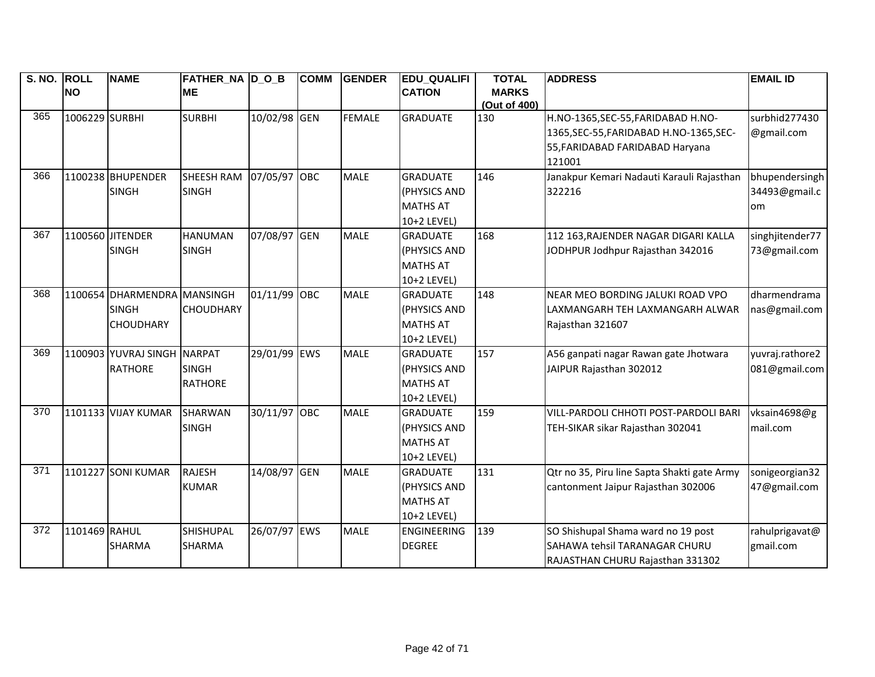| S. NO. ROLL |                | <b>NAME</b>                 | <b>FATHER_NA D_O_B</b> |              | <b>COMM</b> | <b>GENDER</b> | <b>EDU_QUALIFI</b> | <b>TOTAL</b> | <b>ADDRESS</b>                              | <b>EMAIL ID</b> |
|-------------|----------------|-----------------------------|------------------------|--------------|-------------|---------------|--------------------|--------------|---------------------------------------------|-----------------|
|             | <b>NO</b>      |                             | <b>ME</b>              |              |             |               | <b>CATION</b>      | <b>MARKS</b> |                                             |                 |
|             |                |                             |                        |              |             |               |                    | (Out of 400) |                                             |                 |
| 365         | 1006229 SURBHI |                             | <b>SURBHI</b>          | 10/02/98 GEN |             | <b>FEMALE</b> | <b>GRADUATE</b>    | 130          | H.NO-1365, SEC-55, FARIDABAD H.NO-          | surbhid277430   |
|             |                |                             |                        |              |             |               |                    |              | 1365, SEC-55, FARIDABAD H.NO-1365, SEC-     | @gmail.com      |
|             |                |                             |                        |              |             |               |                    |              | 55, FARIDABAD FARIDABAD Haryana             |                 |
|             |                |                             |                        |              |             |               |                    |              | 121001                                      |                 |
| 366         |                | 1100238 BHUPENDER           | <b>SHEESH RAM</b>      | 07/05/97 OBC |             | <b>MALE</b>   | <b>GRADUATE</b>    | 146          | Janakpur Kemari Nadauti Karauli Rajasthan   | bhupendersingh  |
|             |                | <b>SINGH</b>                | <b>SINGH</b>           |              |             |               | (PHYSICS AND       |              | 322216                                      | 34493@gmail.c   |
|             |                |                             |                        |              |             |               | <b>MATHS AT</b>    |              |                                             | om              |
|             |                |                             |                        |              |             |               | 10+2 LEVEL)        |              |                                             |                 |
| 367         |                | 1100560 JITENDER            | <b>HANUMAN</b>         | 07/08/97 GEN |             | <b>MALE</b>   | <b>GRADUATE</b>    | 168          | 112 163, RAJENDER NAGAR DIGARI KALLA        | singhjitender77 |
|             |                | <b>SINGH</b>                | <b>SINGH</b>           |              |             |               | (PHYSICS AND       |              | JODHPUR Jodhpur Rajasthan 342016            | 73@gmail.com    |
|             |                |                             |                        |              |             |               | <b>MATHS AT</b>    |              |                                             |                 |
|             |                |                             |                        |              |             |               | 10+2 LEVEL)        |              |                                             |                 |
| 368         |                | 1100654 DHARMENDRA MANSINGH |                        | 01/11/99 OBC |             | <b>MALE</b>   | <b>GRADUATE</b>    | 148          | NEAR MEO BORDING JALUKI ROAD VPO            | dharmendrama    |
|             |                | <b>SINGH</b>                | <b>CHOUDHARY</b>       |              |             |               | (PHYSICS AND       |              | LAXMANGARH TEH LAXMANGARH ALWAR             | nas@gmail.com   |
|             |                | <b>CHOUDHARY</b>            |                        |              |             |               | <b>MATHS AT</b>    |              | Rajasthan 321607                            |                 |
|             |                |                             |                        |              |             |               | 10+2 LEVEL)        |              |                                             |                 |
| 369         |                | 1100903 YUVRAJ SINGH        | <b>NARPAT</b>          | 29/01/99 EWS |             | <b>MALE</b>   | <b>GRADUATE</b>    | 157          | A56 ganpati nagar Rawan gate Jhotwara       | yuvraj.rathore2 |
|             |                | <b>RATHORE</b>              | <b>SINGH</b>           |              |             |               | (PHYSICS AND       |              | JAIPUR Rajasthan 302012                     | 081@gmail.com   |
|             |                |                             | <b>RATHORE</b>         |              |             |               | <b>MATHS AT</b>    |              |                                             |                 |
|             |                |                             |                        |              |             |               | 10+2 LEVEL)        |              |                                             |                 |
| 370         |                | 1101133 VIJAY KUMAR         | <b>SHARWAN</b>         | 30/11/97     | OBC         | <b>MALE</b>   | <b>GRADUATE</b>    | 159          | VILL-PARDOLI CHHOTI POST-PARDOLI BARI       | vksain4698@g    |
|             |                |                             | <b>SINGH</b>           |              |             |               | (PHYSICS AND       |              | TEH-SIKAR sikar Rajasthan 302041            | mail.com        |
|             |                |                             |                        |              |             |               | <b>MATHS AT</b>    |              |                                             |                 |
|             |                |                             |                        |              |             |               | 10+2 LEVEL)        |              |                                             |                 |
| 371         |                | 1101227 SONI KUMAR          | <b>RAJESH</b>          | 14/08/97 GEN |             | <b>MALE</b>   | <b>GRADUATE</b>    | 131          | Qtr no 35, Piru line Sapta Shakti gate Army | sonigeorgian32  |
|             |                |                             | <b>KUMAR</b>           |              |             |               | (PHYSICS AND       |              | cantonment Jaipur Rajasthan 302006          | 47@gmail.com    |
|             |                |                             |                        |              |             |               | <b>MATHS AT</b>    |              |                                             |                 |
|             |                |                             |                        |              |             |               | 10+2 LEVEL)        |              |                                             |                 |
| 372         | 1101469 RAHUL  |                             | <b>SHISHUPAL</b>       | 26/07/97 EWS |             | <b>MALE</b>   | <b>ENGINEERING</b> | 139          | SO Shishupal Shama ward no 19 post          | rahulprigavat@  |
|             |                | <b>SHARMA</b>               | <b>SHARMA</b>          |              |             |               | <b>DEGREE</b>      |              | SAHAWA tehsil TARANAGAR CHURU               | gmail.com       |
|             |                |                             |                        |              |             |               |                    |              | RAJASTHAN CHURU Rajasthan 331302            |                 |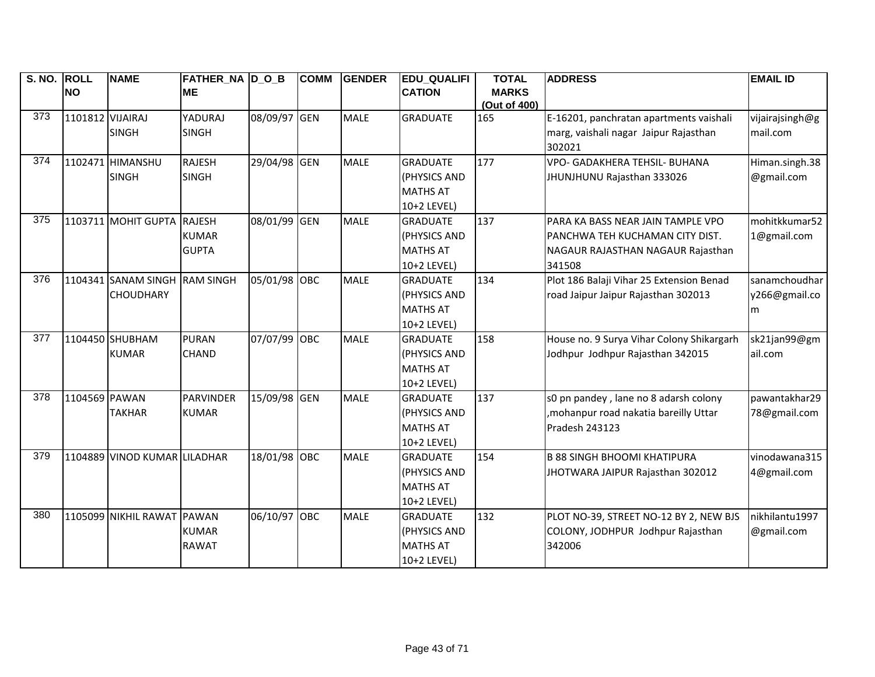| S. NO. ROLL |                  | <b>NAME</b>                  | <b>FATHER_NA D_O_B</b> |              | <b>COMM</b> | <b>GENDER</b> | <b>EDU_QUALIFI</b> | <b>TOTAL</b> | <b>ADDRESS</b>                            | <b>EMAIL ID</b> |
|-------------|------------------|------------------------------|------------------------|--------------|-------------|---------------|--------------------|--------------|-------------------------------------------|-----------------|
|             | <b>NO</b>        |                              | <b>ME</b>              |              |             |               | <b>CATION</b>      | <b>MARKS</b> |                                           |                 |
|             |                  |                              |                        |              |             |               |                    | (Out of 400) |                                           |                 |
| 373         | 1101812 VIJAIRAJ |                              | <b>YADURAJ</b>         | 08/09/97 GEN |             | <b>MALE</b>   | <b>GRADUATE</b>    | 165          | E-16201, panchratan apartments vaishali   | vijairajsingh@g |
|             |                  | <b>SINGH</b>                 | <b>SINGH</b>           |              |             |               |                    |              | marg, vaishali nagar Jaipur Rajasthan     | mail.com        |
|             |                  |                              |                        |              |             |               |                    |              | 302021                                    |                 |
| 374         |                  | 1102471 HIMANSHU             | <b>RAJESH</b>          | 29/04/98 GEN |             | <b>MALE</b>   | <b>GRADUATE</b>    | 177          | VPO- GADAKHERA TEHSIL- BUHANA             | Himan.singh.38  |
|             |                  | <b>SINGH</b>                 | <b>SINGH</b>           |              |             |               | (PHYSICS AND       |              | JHUNJHUNU Rajasthan 333026                | @gmail.com      |
|             |                  |                              |                        |              |             |               | <b>MATHS AT</b>    |              |                                           |                 |
|             |                  |                              |                        |              |             |               | 10+2 LEVEL)        |              |                                           |                 |
| 375         |                  | 1103711 MOHIT GUPTA          | RAJESH                 | 08/01/99 GEN |             | <b>MALE</b>   | <b>GRADUATE</b>    | 137          | PARA KA BASS NEAR JAIN TAMPLE VPO         | mohitkkumar52   |
|             |                  |                              | <b>KUMAR</b>           |              |             |               | (PHYSICS AND       |              | PANCHWA TEH KUCHAMAN CITY DIST.           | 1@gmail.com     |
|             |                  |                              | <b>GUPTA</b>           |              |             |               | <b>MATHS AT</b>    |              | NAGAUR RAJASTHAN NAGAUR Rajasthan         |                 |
|             |                  |                              |                        |              |             |               | 10+2 LEVEL)        |              | 341508                                    |                 |
| 376         |                  | 1104341 SANAM SINGH          | <b>RAM SINGH</b>       | 05/01/98 OBC |             | <b>MALE</b>   | <b>GRADUATE</b>    | 134          | Plot 186 Balaji Vihar 25 Extension Benad  | sanamchoudhar   |
|             |                  | <b>CHOUDHARY</b>             |                        |              |             |               | (PHYSICS AND       |              | road Jaipur Jaipur Rajasthan 302013       | y266@gmail.co   |
|             |                  |                              |                        |              |             |               | <b>MATHS AT</b>    |              |                                           | m               |
|             |                  |                              |                        |              |             |               | 10+2 LEVEL)        |              |                                           |                 |
| 377         |                  | 1104450 SHUBHAM              | <b>PURAN</b>           | 07/07/99 OBC |             | <b>MALE</b>   | <b>GRADUATE</b>    | 158          | House no. 9 Surya Vihar Colony Shikargarh | sk21jan99@gm    |
|             |                  | <b>KUMAR</b>                 | <b>CHAND</b>           |              |             |               | (PHYSICS AND       |              | Jodhpur Jodhpur Rajasthan 342015          | ail.com         |
|             |                  |                              |                        |              |             |               | <b>MATHS AT</b>    |              |                                           |                 |
|             |                  |                              |                        |              |             |               | 10+2 LEVEL)        |              |                                           |                 |
| 378         | 1104569 PAWAN    |                              | <b>PARVINDER</b>       | 15/09/98 GEN |             | <b>MALE</b>   | <b>GRADUATE</b>    | 137          | s0 pn pandey, lane no 8 adarsh colony     | pawantakhar29   |
|             |                  | <b>TAKHAR</b>                | <b>KUMAR</b>           |              |             |               | (PHYSICS AND       |              | mohanpur road nakatia bareilly Uttar,     | 78@gmail.com    |
|             |                  |                              |                        |              |             |               | <b>MATHS AT</b>    |              | Pradesh 243123                            |                 |
|             |                  |                              |                        |              |             |               | 10+2 LEVEL)        |              |                                           |                 |
| 379         |                  | 1104889 VINOD KUMAR LILADHAR |                        | 18/01/98 OBC |             | <b>MALE</b>   | <b>GRADUATE</b>    | 154          | <b>B 88 SINGH BHOOMI KHATIPURA</b>        | vinodawana315   |
|             |                  |                              |                        |              |             |               | (PHYSICS AND       |              | JHOTWARA JAIPUR Rajasthan 302012          | 4@gmail.com     |
|             |                  |                              |                        |              |             |               | <b>MATHS AT</b>    |              |                                           |                 |
|             |                  |                              |                        |              |             |               | 10+2 LEVEL)        |              |                                           |                 |
| 380         |                  | 1105099 NIKHIL RAWAT PAWAN   |                        | 06/10/97 OBC |             | <b>MALE</b>   | <b>GRADUATE</b>    | 132          | PLOT NO-39, STREET NO-12 BY 2, NEW BJS    | nikhilantu1997  |
|             |                  |                              | <b>KUMAR</b>           |              |             |               | (PHYSICS AND       |              | COLONY, JODHPUR Jodhpur Rajasthan         | @gmail.com      |
|             |                  |                              | <b>RAWAT</b>           |              |             |               | <b>MATHS AT</b>    |              | 342006                                    |                 |
|             |                  |                              |                        |              |             |               | 10+2 LEVEL)        |              |                                           |                 |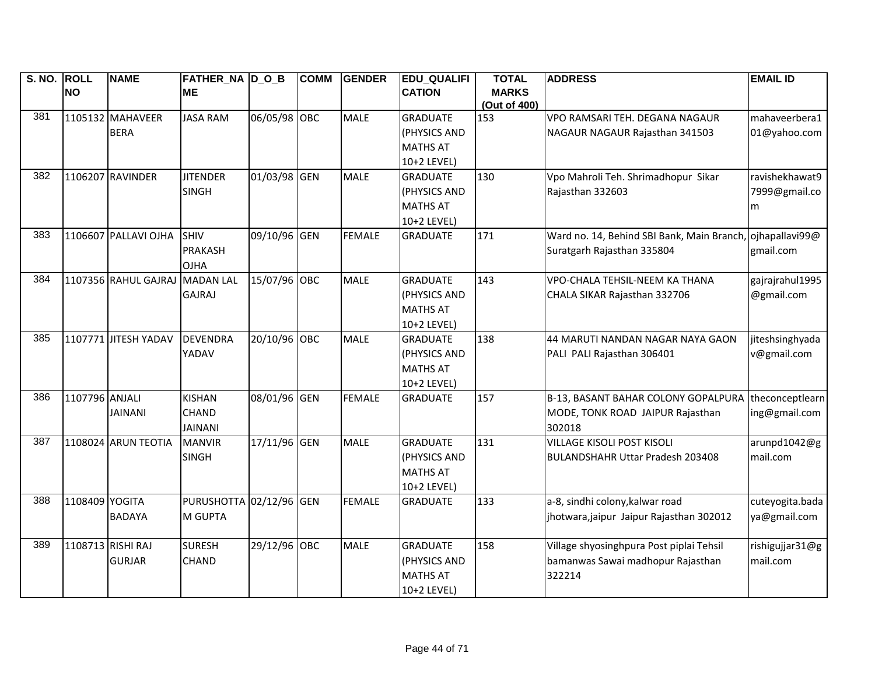| S. NO. ROLL |                | <b>NAME</b>          | FATHER NA D O B         |              | <b>COMM</b> | <b>GENDER</b> | <b>EDU QUALIFI</b> | <b>TOTAL</b>                 | <b>ADDRESS</b>                             | <b>EMAIL ID</b> |
|-------------|----------------|----------------------|-------------------------|--------------|-------------|---------------|--------------------|------------------------------|--------------------------------------------|-----------------|
|             | <b>NO</b>      |                      | <b>ME</b>               |              |             |               | <b>CATION</b>      | <b>MARKS</b><br>(Out of 400) |                                            |                 |
| 381         |                | 1105132 MAHAVEER     | <b>JASA RAM</b>         | 06/05/98 OBC |             | <b>MALE</b>   | <b>GRADUATE</b>    | 153                          | VPO RAMSARI TEH. DEGANA NAGAUR             | mahaveerbera1   |
|             |                | <b>BERA</b>          |                         |              |             |               | (PHYSICS AND       |                              | NAGAUR NAGAUR Rajasthan 341503             | 01@yahoo.com    |
|             |                |                      |                         |              |             |               | <b>MATHS AT</b>    |                              |                                            |                 |
|             |                |                      |                         |              |             |               | 10+2 LEVEL)        |                              |                                            |                 |
| 382         |                | 1106207 RAVINDER     | <b>JITENDER</b>         | 01/03/98 GEN |             | <b>MALE</b>   | <b>GRADUATE</b>    | 130                          | Vpo Mahroli Teh. Shrimadhopur Sikar        | ravishekhawat9  |
|             |                |                      | <b>SINGH</b>            |              |             |               | (PHYSICS AND       |                              | Rajasthan 332603                           | 7999@gmail.co   |
|             |                |                      |                         |              |             |               | <b>MATHS AT</b>    |                              |                                            | m               |
|             |                |                      |                         |              |             |               | 10+2 LEVEL)        |                              |                                            |                 |
| 383         |                | 1106607 PALLAVI OJHA | <b>SHIV</b>             | 09/10/96 GEN |             | <b>FEMALE</b> | <b>GRADUATE</b>    | 171                          | Ward no. 14, Behind SBI Bank, Main Branch, | ojhapallavi99@  |
|             |                |                      | <b>PRAKASH</b>          |              |             |               |                    |                              | Suratgarh Rajasthan 335804                 | gmail.com       |
|             |                |                      | OJHA                    |              |             |               |                    |                              |                                            |                 |
| 384         |                | 1107356 RAHUL GAJRAJ | <b>MADAN LAL</b>        | 15/07/96 OBC |             | <b>MALE</b>   | <b>GRADUATE</b>    | 143                          | VPO-CHALA TEHSIL-NEEM KA THANA             | gajrajrahul1995 |
|             |                |                      | <b>GAJRAJ</b>           |              |             |               | (PHYSICS AND       |                              | CHALA SIKAR Rajasthan 332706               | @gmail.com      |
|             |                |                      |                         |              |             |               | <b>MATHS AT</b>    |                              |                                            |                 |
|             |                |                      |                         |              |             |               | 10+2 LEVEL)        |                              |                                            |                 |
| 385         |                | 1107771 JITESH YADAV | DEVENDRA                | 20/10/96 OBC |             | <b>MALE</b>   | <b>GRADUATE</b>    | 138                          | 44 MARUTI NANDAN NAGAR NAYA GAON           | jiteshsinghyada |
|             |                |                      | YADAV                   |              |             |               | (PHYSICS AND       |                              | PALI PALI Rajasthan 306401                 | v@gmail.com     |
|             |                |                      |                         |              |             |               | <b>MATHS AT</b>    |                              |                                            |                 |
|             |                |                      |                         |              |             |               | 10+2 LEVEL)        |                              |                                            |                 |
| 386         | 1107796 ANJALI |                      | <b>KISHAN</b>           | 08/01/96 GEN |             | <b>FEMALE</b> | <b>GRADUATE</b>    | 157                          | B-13, BASANT BAHAR COLONY GOPALPURA        | theconceptlearn |
|             |                | <b>JAINANI</b>       | <b>CHAND</b>            |              |             |               |                    |                              | MODE, TONK ROAD JAIPUR Rajasthan           | ing@gmail.com   |
|             |                |                      | <b>JAINANI</b>          |              |             |               |                    |                              | 302018                                     |                 |
| 387         |                | 1108024 ARUN TEOTIA  | <b>MANVIR</b>           | 17/11/96 GEN |             | <b>MALE</b>   | <b>GRADUATE</b>    | 131                          | <b>VILLAGE KISOLI POST KISOLI</b>          | arunpd1042@g    |
|             |                |                      | <b>SINGH</b>            |              |             |               | (PHYSICS AND       |                              | <b>BULANDSHAHR Uttar Pradesh 203408</b>    | mail.com        |
|             |                |                      |                         |              |             |               | <b>MATHS AT</b>    |                              |                                            |                 |
|             |                |                      |                         |              |             |               | 10+2 LEVEL)        |                              |                                            |                 |
| 388         | 1108409 YOGITA |                      | PURUSHOTTA 02/12/96 GEN |              |             | <b>FEMALE</b> | <b>GRADUATE</b>    | 133                          | a-8, sindhi colony, kalwar road            | cuteyogita.bada |
|             |                | <b>BADAYA</b>        | <b>M GUPTA</b>          |              |             |               |                    |                              | jhotwara, jaipur Jaipur Rajasthan 302012   | ya@gmail.com    |
|             |                |                      |                         |              |             |               |                    |                              |                                            |                 |
| 389         |                | 1108713 RISHI RAJ    | <b>SURESH</b>           | 29/12/96 OBC |             | <b>MALE</b>   | <b>GRADUATE</b>    | 158                          | Village shyosinghpura Post piplai Tehsil   | rishigujjar31@g |
|             |                | <b>GURJAR</b>        | <b>CHAND</b>            |              |             |               | (PHYSICS AND       |                              | bamanwas Sawai madhopur Rajasthan          | mail.com        |
|             |                |                      |                         |              |             |               | <b>MATHS AT</b>    |                              | 322214                                     |                 |
|             |                |                      |                         |              |             |               | 10+2 LEVEL)        |                              |                                            |                 |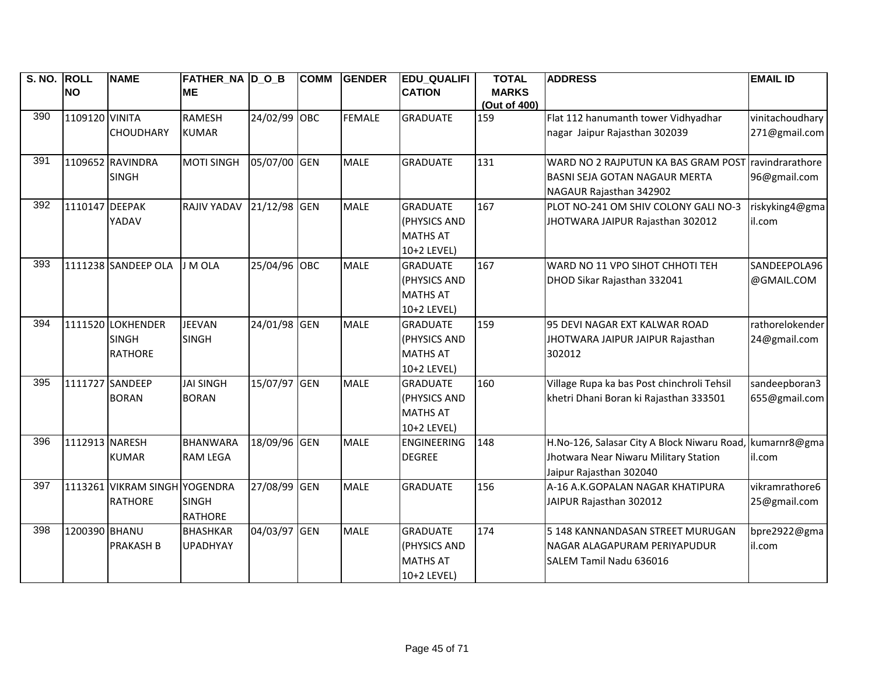| S. NO. ROLL |                 | <b>NAME</b>                   | FATHER NA DOB     |              | <b>COMM</b> | <b>GENDER</b> | <b>EDU QUALIFI</b> | <b>TOTAL</b> | <b>ADDRESS</b>                             | <b>EMAIL ID</b> |
|-------------|-----------------|-------------------------------|-------------------|--------------|-------------|---------------|--------------------|--------------|--------------------------------------------|-----------------|
|             | <b>NO</b>       |                               | <b>ME</b>         |              |             |               | <b>CATION</b>      | <b>MARKS</b> |                                            |                 |
|             |                 |                               |                   |              |             |               |                    | (Out of 400) |                                            |                 |
| 390         | 1109120 VINITA  |                               | <b>RAMESH</b>     | 24/02/99 OBC |             | <b>FEMALE</b> | <b>GRADUATE</b>    | 159          | Flat 112 hanumanth tower Vidhyadhar        | vinitachoudhary |
|             |                 | <b>CHOUDHARY</b>              | <b>KUMAR</b>      |              |             |               |                    |              | nagar Jaipur Rajasthan 302039              | 271@gmail.com   |
| 391         |                 |                               |                   |              |             |               |                    |              |                                            |                 |
|             |                 | 1109652 RAVINDRA              | <b>MOTI SINGH</b> | 05/07/00 GEN |             | <b>MALE</b>   | <b>GRADUATE</b>    | 131          | WARD NO 2 RAJPUTUN KA BAS GRAM POST        | ravindrarathore |
|             |                 | <b>SINGH</b>                  |                   |              |             |               |                    |              | <b>BASNI SEJA GOTAN NAGAUR MERTA</b>       | 96@gmail.com    |
|             |                 |                               |                   |              |             |               |                    |              | NAGAUR Rajasthan 342902                    |                 |
| 392         | 1110147 DEEPAK  |                               | RAJIV YADAV       | 21/12/98 GEN |             | <b>MALE</b>   | <b>GRADUATE</b>    | 167          | PLOT NO-241 OM SHIV COLONY GALI NO-3       | riskyking4@gma  |
|             |                 | YADAV                         |                   |              |             |               | (PHYSICS AND       |              | JHOTWARA JAIPUR Rajasthan 302012           | il.com          |
|             |                 |                               |                   |              |             |               | <b>MATHS AT</b>    |              |                                            |                 |
|             |                 |                               |                   |              |             |               | 10+2 LEVEL)        |              |                                            |                 |
| 393         |                 | 1111238 SANDEEP OLA           | J M OLA           | 25/04/96 OBC |             | <b>MALE</b>   | <b>GRADUATE</b>    | 167          | WARD NO 11 VPO SIHOT CHHOTI TEH            | SANDEEPOLA96    |
|             |                 |                               |                   |              |             |               | (PHYSICS AND       |              | DHOD Sikar Rajasthan 332041                | @GMAIL.COM      |
|             |                 |                               |                   |              |             |               | <b>MATHS AT</b>    |              |                                            |                 |
|             |                 |                               |                   |              |             |               | 10+2 LEVEL)        |              |                                            |                 |
| 394         |                 | 1111520 LOKHENDER             | <b>JEEVAN</b>     | 24/01/98 GEN |             | <b>MALE</b>   | <b>GRADUATE</b>    | 159          | 95 DEVI NAGAR EXT KALWAR ROAD              | rathorelokender |
|             |                 | <b>SINGH</b>                  | <b>SINGH</b>      |              |             |               | (PHYSICS AND       |              | JHOTWARA JAIPUR JAIPUR Rajasthan           | 24@gmail.com    |
|             |                 | <b>RATHORE</b>                |                   |              |             |               | <b>MATHS AT</b>    |              | 302012                                     |                 |
|             |                 |                               |                   |              |             |               | 10+2 LEVEL)        |              |                                            |                 |
| 395         | 1111727 SANDEEP |                               | <b>JAI SINGH</b>  | 15/07/97 GEN |             | <b>MALE</b>   | <b>GRADUATE</b>    | 160          | Village Rupa ka bas Post chinchroli Tehsil | sandeepboran3   |
|             |                 | <b>BORAN</b>                  | <b>BORAN</b>      |              |             |               | (PHYSICS AND       |              | khetri Dhani Boran ki Rajasthan 333501     | 655@gmail.com   |
|             |                 |                               |                   |              |             |               | <b>MATHS AT</b>    |              |                                            |                 |
|             |                 |                               |                   |              |             |               | 10+2 LEVEL)        |              |                                            |                 |
| 396         | 1112913 NARESH  |                               | <b>BHANWARA</b>   | 18/09/96 GEN |             | <b>MALE</b>   | <b>ENGINEERING</b> | 148          | H.No-126, Salasar City A Block Niwaru Road | kumarnr8@gma    |
|             |                 | <b>KUMAR</b>                  | <b>RAM LEGA</b>   |              |             |               | <b>DEGREE</b>      |              | Jhotwara Near Niwaru Military Station      | il.com          |
|             |                 |                               |                   |              |             |               |                    |              | Jaipur Rajasthan 302040                    |                 |
| 397         |                 | 1113261 VIKRAM SINGH YOGENDRA |                   | 27/08/99 GEN |             | <b>MALE</b>   | <b>GRADUATE</b>    | 156          | A-16 A.K.GOPALAN NAGAR KHATIPURA           | vikramrathore6  |
|             |                 | <b>RATHORE</b>                | <b>SINGH</b>      |              |             |               |                    |              | JAIPUR Rajasthan 302012                    | 25@gmail.com    |
|             |                 |                               | <b>RATHORE</b>    |              |             |               |                    |              |                                            |                 |
| 398         | 1200390 BHANU   |                               | <b>BHASHKAR</b>   | 04/03/97 GEN |             | <b>MALE</b>   | <b>GRADUATE</b>    | 174          | 5 148 KANNANDASAN STREET MURUGAN           | bpre2922@gma    |
|             |                 | <b>PRAKASH B</b>              | <b>UPADHYAY</b>   |              |             |               | (PHYSICS AND       |              | NAGAR ALAGAPURAM PERIYAPUDUR               | il.com          |
|             |                 |                               |                   |              |             |               | <b>MATHS AT</b>    |              | SALEM Tamil Nadu 636016                    |                 |
|             |                 |                               |                   |              |             |               | 10+2 LEVEL)        |              |                                            |                 |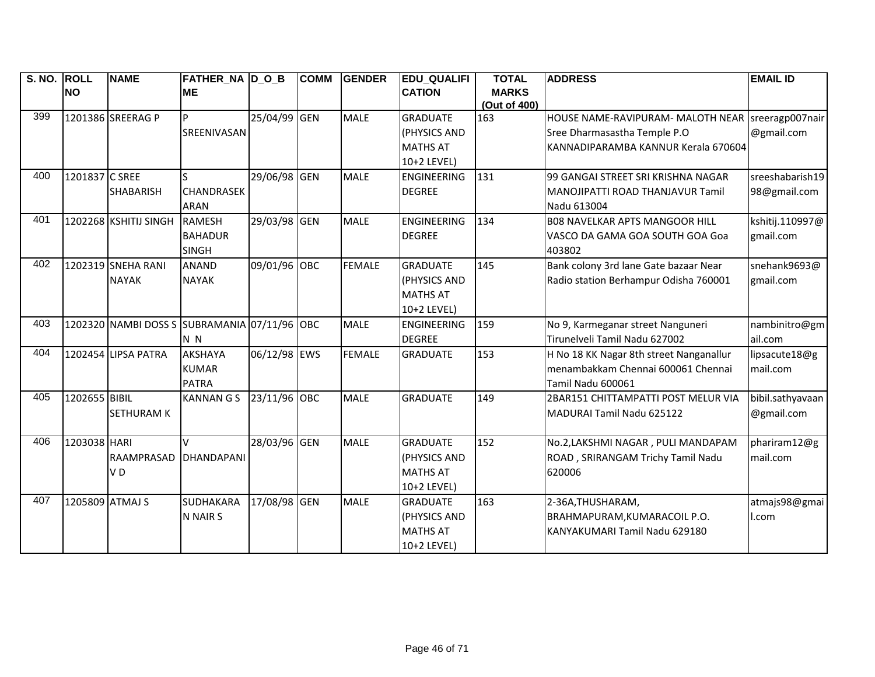| S. NO. | <b>ROLL</b>     | <b>NAME</b>                                  | <b>FATHER_NA D_O_B</b> |              | <b>COMM</b> | <b>GENDER</b> | <b>EDU QUALIFI</b> | <b>TOTAL</b> | <b>ADDRESS</b>                                      | <b>EMAIL ID</b>  |
|--------|-----------------|----------------------------------------------|------------------------|--------------|-------------|---------------|--------------------|--------------|-----------------------------------------------------|------------------|
|        | <b>NO</b>       |                                              | <b>ME</b>              |              |             |               | <b>CATION</b>      | <b>MARKS</b> |                                                     |                  |
|        |                 |                                              |                        |              |             |               |                    | (Out of 400) |                                                     |                  |
| 399    |                 | 1201386 SREERAG P                            |                        | 25/04/99     | <b>GEN</b>  | <b>MALE</b>   | <b>GRADUATE</b>    | 163          | HOUSE NAME-RAVIPURAM- MALOTH NEAR   sreeragp007nair |                  |
|        |                 |                                              | SREENIVASAN            |              |             |               | (PHYSICS AND       |              | Sree Dharmasastha Temple P.O                        | @gmail.com       |
|        |                 |                                              |                        |              |             |               | <b>MATHS AT</b>    |              | KANNADIPARAMBA KANNUR Kerala 670604                 |                  |
|        |                 |                                              |                        |              |             |               | 10+2 LEVEL)        |              |                                                     |                  |
| 400    | 1201837 C SREE  |                                              |                        | 29/06/98 GEN |             | <b>MALE</b>   | <b>ENGINEERING</b> | 131          | 99 GANGAI STREET SRI KRISHNA NAGAR                  | sreeshabarish19  |
|        |                 | <b>SHABARISH</b>                             | <b>CHANDRASEK</b>      |              |             |               | <b>DEGREE</b>      |              | <b>MANOJIPATTI ROAD THANJAVUR Tamil</b>             | 98@gmail.com     |
|        |                 |                                              | <b>ARAN</b>            |              |             |               |                    |              | Nadu 613004                                         |                  |
| 401    |                 | 1202268 KSHITIJ SINGH                        | <b>RAMESH</b>          | 29/03/98 GEN |             | <b>MALE</b>   | <b>ENGINEERING</b> | 134          | <b>BO8 NAVELKAR APTS MANGOOR HILL</b>               | kshitij.110997@  |
|        |                 |                                              | <b>BAHADUR</b>         |              |             |               | <b>DEGREE</b>      |              | VASCO DA GAMA GOA SOUTH GOA Goa                     | gmail.com        |
|        |                 |                                              | <b>SINGH</b>           |              |             |               |                    |              | 403802                                              |                  |
| 402    |                 | 1202319 SNEHA RANI                           | <b>ANAND</b>           | 09/01/96 OBC |             | <b>FEMALE</b> | <b>GRADUATE</b>    | 145          | Bank colony 3rd lane Gate bazaar Near               | snehank9693@     |
|        |                 | <b>NAYAK</b>                                 | <b>NAYAK</b>           |              |             |               | (PHYSICS AND       |              | Radio station Berhampur Odisha 760001               | gmail.com        |
|        |                 |                                              |                        |              |             |               | <b>MATHS AT</b>    |              |                                                     |                  |
|        |                 |                                              |                        |              |             |               | 10+2 LEVEL)        |              |                                                     |                  |
| 403    |                 | 1202320 NAMBI DOSS S SUBRAMANIA 07/11/96 OBC |                        |              |             | <b>MALE</b>   | <b>ENGINEERING</b> | 159          | No 9, Karmeganar street Nanguneri                   | nambinitro@gm    |
|        |                 |                                              | N <sub>N</sub>         |              |             |               | <b>DEGREE</b>      |              | Tirunelveli Tamil Nadu 627002                       | ail.com          |
| 404    |                 | 1202454 LIPSA PATRA                          | <b>AKSHAYA</b>         | 06/12/98 EWS |             | <b>FEMALE</b> | <b>GRADUATE</b>    | 153          | H No 18 KK Nagar 8th street Nanganallur             | lipsacute18@g    |
|        |                 |                                              | <b>KUMAR</b>           |              |             |               |                    |              | menambakkam Chennai 600061 Chennai                  | mail.com         |
|        |                 |                                              | <b>PATRA</b>           |              |             |               |                    |              | Tamil Nadu 600061                                   |                  |
| 405    | 1202655 BIBIL   |                                              | <b>KANNAN G S</b>      | 23/11/96 OBC |             | <b>MALE</b>   | <b>GRADUATE</b>    | 149          | 2BAR151 CHITTAMPATTI POST MELUR VIA                 | bibil.sathyavaan |
|        |                 | <b>SETHURAM K</b>                            |                        |              |             |               |                    |              | MADURAI Tamil Nadu 625122                           | @gmail.com       |
|        |                 |                                              |                        |              |             |               |                    |              |                                                     |                  |
| 406    | 1203038 HARI    |                                              | $\mathsf{V}$           | 28/03/96 GEN |             | <b>MALE</b>   | <b>GRADUATE</b>    | 152          | No.2, LAKSHMI NAGAR, PULI MANDAPAM                  | phariram12@g     |
|        |                 | RAAMPRASAD                                   | <b>DHANDAPANI</b>      |              |             |               | (PHYSICS AND       |              | ROAD, SRIRANGAM Trichy Tamil Nadu                   | mail.com         |
|        |                 | VD                                           |                        |              |             |               | <b>MATHS AT</b>    |              | 620006                                              |                  |
|        |                 |                                              |                        |              |             |               | 10+2 LEVEL)        |              |                                                     |                  |
| 407    | 1205809 ATMAJ S |                                              | <b>SUDHAKARA</b>       | 17/08/98 GEN |             | <b>MALE</b>   | <b>GRADUATE</b>    | 163          | 2-36A, THUSHARAM,                                   | atmajs98@gmai    |
|        |                 |                                              | N NAIR S               |              |             |               | (PHYSICS AND       |              | BRAHMAPURAM, KUMARACOIL P.O.                        | l.com            |
|        |                 |                                              |                        |              |             |               | <b>MATHS AT</b>    |              | KANYAKUMARI Tamil Nadu 629180                       |                  |
|        |                 |                                              |                        |              |             |               | 10+2 LEVEL)        |              |                                                     |                  |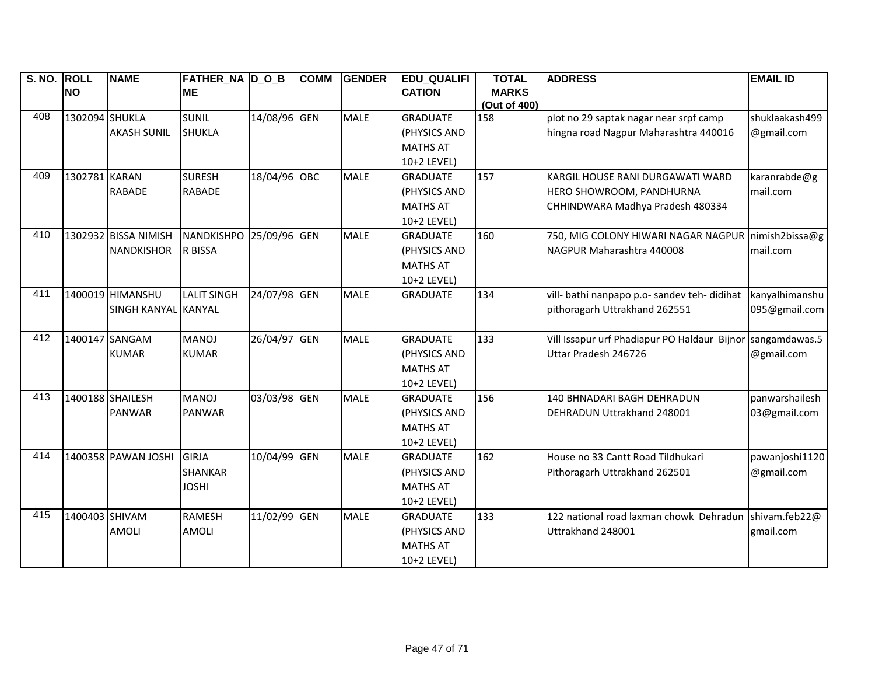| S. NO. ROLL |                | <b>NAME</b>          | <b>FATHER_NA D_O_B</b>  |              | <b>COMM</b> | <b>GENDER</b> | <b>EDU_QUALIFI</b> | <b>TOTAL</b> | <b>ADDRESS</b>                                        | <b>EMAIL ID</b> |
|-------------|----------------|----------------------|-------------------------|--------------|-------------|---------------|--------------------|--------------|-------------------------------------------------------|-----------------|
|             | <b>NO</b>      |                      | <b>ME</b>               |              |             |               | <b>CATION</b>      | <b>MARKS</b> |                                                       |                 |
|             |                |                      |                         |              |             |               |                    | (Out of 400) |                                                       |                 |
| 408         | 1302094 SHUKLA |                      | <b>SUNIL</b>            | 14/08/96 GEN |             | <b>MALE</b>   | <b>GRADUATE</b>    | 158          | plot no 29 saptak nagar near srpf camp                | shuklaakash499  |
|             |                | <b>AKASH SUNIL</b>   | <b>SHUKLA</b>           |              |             |               | (PHYSICS AND       |              | hingna road Nagpur Maharashtra 440016                 | @gmail.com      |
|             |                |                      |                         |              |             |               | <b>MATHS AT</b>    |              |                                                       |                 |
|             |                |                      |                         |              |             |               | 10+2 LEVEL)        |              |                                                       |                 |
| 409         | 1302781 KARAN  |                      | <b>SURESH</b>           | 18/04/96 OBC |             | <b>MALE</b>   | <b>GRADUATE</b>    | 157          | KARGIL HOUSE RANI DURGAWATI WARD                      | karanrabde@g    |
|             |                | <b>RABADE</b>        | <b>RABADE</b>           |              |             |               | (PHYSICS AND       |              | HERO SHOWROOM, PANDHURNA                              | mail.com        |
|             |                |                      |                         |              |             |               | <b>MATHS AT</b>    |              | CHHINDWARA Madhya Pradesh 480334                      |                 |
|             |                |                      |                         |              |             |               | 10+2 LEVEL)        |              |                                                       |                 |
| 410         |                | 1302932 BISSA NIMISH | NANDKISHPO 25/09/96 GEN |              |             | <b>MALE</b>   | <b>GRADUATE</b>    | 160          | 750, MIG COLONY HIWARI NAGAR NAGPUR nimish2bissa@g    |                 |
|             |                | <b>NANDKISHOR</b>    | R BISSA                 |              |             |               | (PHYSICS AND       |              | NAGPUR Maharashtra 440008                             | mail.com        |
|             |                |                      |                         |              |             |               | <b>MATHS AT</b>    |              |                                                       |                 |
|             |                |                      |                         |              |             |               | 10+2 LEVEL)        |              |                                                       |                 |
| 411         |                | 1400019 HIMANSHU     | <b>LALIT SINGH</b>      | 24/07/98 GEN |             | <b>MALE</b>   | <b>GRADUATE</b>    | 134          | vill- bathi nanpapo p.o- sandev teh- didihat          | kanyalhimanshu  |
|             |                | SINGH KANYAL KANYAL  |                         |              |             |               |                    |              | pithoragarh Uttrakhand 262551                         | 095@gmail.com   |
|             |                |                      |                         |              |             |               |                    |              |                                                       |                 |
| 412         | 1400147 SANGAM |                      | <b>MANOJ</b>            | 26/04/97 GEN |             | <b>MALE</b>   | <b>GRADUATE</b>    | 133          | Vill Issapur urf Phadiapur PO Haldaur Bijnor          | sangamdawas.5   |
|             |                | <b>KUMAR</b>         | <b>KUMAR</b>            |              |             |               | (PHYSICS AND       |              | Uttar Pradesh 246726                                  | @gmail.com      |
|             |                |                      |                         |              |             |               | <b>MATHS AT</b>    |              |                                                       |                 |
|             |                |                      |                         |              |             |               | 10+2 LEVEL)        |              |                                                       |                 |
| 413         |                | 1400188 SHAILESH     | <b>MANOJ</b>            | 03/03/98 GEN |             | <b>MALE</b>   | <b>GRADUATE</b>    | 156          | 140 BHNADARI BAGH DEHRADUN                            | panwarshailesh  |
|             |                | <b>PANWAR</b>        | <b>PANWAR</b>           |              |             |               | (PHYSICS AND       |              | DEHRADUN Uttrakhand 248001                            | 03@gmail.com    |
|             |                |                      |                         |              |             |               | <b>MATHS AT</b>    |              |                                                       |                 |
|             |                |                      |                         |              |             |               | 10+2 LEVEL)        |              |                                                       |                 |
| 414         |                | 1400358 PAWAN JOSHI  | <b>GIRJA</b>            | 10/04/99 GEN |             | <b>MALE</b>   | <b>GRADUATE</b>    | 162          | House no 33 Cantt Road Tildhukari                     | pawanjoshi1120  |
|             |                |                      | <b>SHANKAR</b>          |              |             |               | (PHYSICS AND       |              | Pithoragarh Uttrakhand 262501                         | @gmail.com      |
|             |                |                      | <b>JOSHI</b>            |              |             |               | <b>MATHS AT</b>    |              |                                                       |                 |
|             |                |                      |                         |              |             |               | 10+2 LEVEL)        |              |                                                       |                 |
| 415         | 1400403 SHIVAM |                      | <b>RAMESH</b>           | 11/02/99 GEN |             | <b>MALE</b>   | <b>GRADUATE</b>    | 133          | 122 national road laxman chowk Dehradun shivam.feb22@ |                 |
|             |                | <b>AMOLI</b>         | <b>AMOLI</b>            |              |             |               | (PHYSICS AND       |              | Uttrakhand 248001                                     | gmail.com       |
|             |                |                      |                         |              |             |               | <b>MATHS AT</b>    |              |                                                       |                 |
|             |                |                      |                         |              |             |               | 10+2 LEVEL)        |              |                                                       |                 |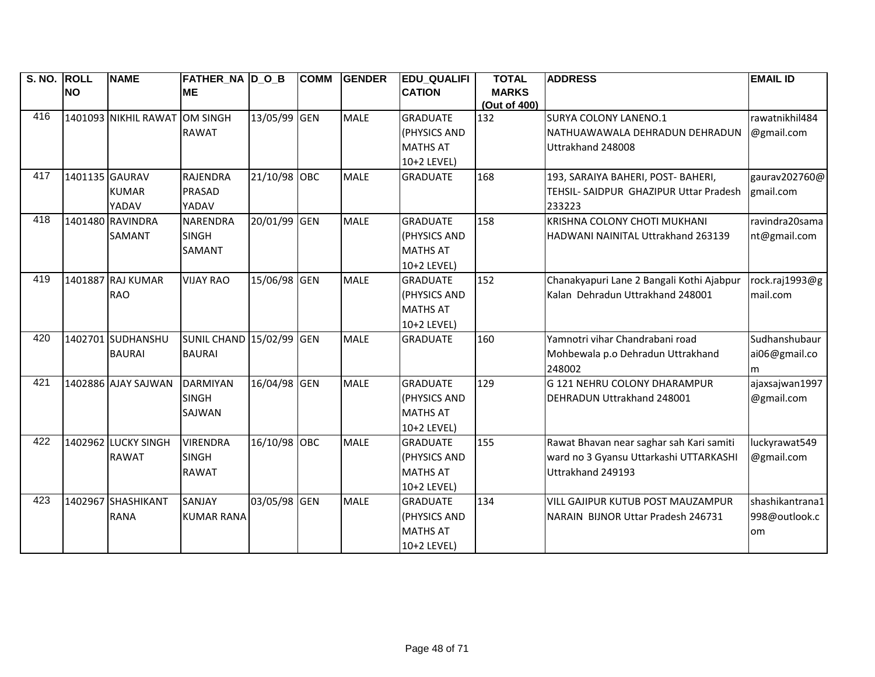| S. NO. ROLL |                | <b>NAME</b>          | <b>FATHER_NA D_O_B</b>   |              | <b>COMM</b> | <b>GENDER</b> | <b>EDU QUALIFI</b> | <b>TOTAL</b> | <b>ADDRESS</b>                            | <b>EMAIL ID</b> |
|-------------|----------------|----------------------|--------------------------|--------------|-------------|---------------|--------------------|--------------|-------------------------------------------|-----------------|
|             | <b>NO</b>      |                      | <b>ME</b>                |              |             |               | <b>CATION</b>      | <b>MARKS</b> |                                           |                 |
|             |                |                      |                          |              |             |               |                    | (Out of 400) |                                           |                 |
| 416         |                | 1401093 NIKHIL RAWAT | OM SINGH                 | 13/05/99 GEN |             | <b>MALE</b>   | <b>GRADUATE</b>    | 132          | <b>SURYA COLONY LANENO.1</b>              | rawatnikhil484  |
|             |                |                      | <b>RAWAT</b>             |              |             |               | (PHYSICS AND       |              | NATHUAWAWALA DEHRADUN DEHRADUN            | @gmail.com      |
|             |                |                      |                          |              |             |               | <b>MATHS AT</b>    |              | Uttrakhand 248008                         |                 |
|             |                |                      |                          |              |             |               | 10+2 LEVEL)        |              |                                           |                 |
| 417         | 1401135 GAURAV |                      | <b>RAJENDRA</b>          | 21/10/98 OBC |             | <b>MALE</b>   | <b>GRADUATE</b>    | 168          | 193, SARAIYA BAHERI, POST- BAHERI,        | gaurav202760@   |
|             |                | <b>KUMAR</b>         | <b>PRASAD</b>            |              |             |               |                    |              | TEHSIL- SAIDPUR GHAZIPUR Uttar Pradesh    | gmail.com       |
|             |                | YADAV                | YADAV                    |              |             |               |                    |              | 233223                                    |                 |
| 418         |                | 1401480 RAVINDRA     | <b>NARENDRA</b>          | 20/01/99 GEN |             | <b>MALE</b>   | <b>GRADUATE</b>    | 158          | KRISHNA COLONY CHOTI MUKHANI              | ravindra20sama  |
|             |                | SAMANT               | <b>SINGH</b>             |              |             |               | (PHYSICS AND       |              | HADWANI NAINITAL Uttrakhand 263139        | nt@gmail.com    |
|             |                |                      | SAMANT                   |              |             |               | <b>MATHS AT</b>    |              |                                           |                 |
|             |                |                      |                          |              |             |               | 10+2 LEVEL)        |              |                                           |                 |
| 419         |                | 1401887 RAJ KUMAR    | <b>VIJAY RAO</b>         | 15/06/98 GEN |             | <b>MALE</b>   | <b>GRADUATE</b>    | 152          | Chanakyapuri Lane 2 Bangali Kothi Ajabpur | rock.raj1993@g  |
|             |                | <b>RAO</b>           |                          |              |             |               | (PHYSICS AND       |              | Kalan Dehradun Uttrakhand 248001          | mail.com        |
|             |                |                      |                          |              |             |               | <b>MATHS AT</b>    |              |                                           |                 |
|             |                |                      |                          |              |             |               | 10+2 LEVEL)        |              |                                           |                 |
| 420         |                | 1402701 SUDHANSHU    | SUNIL CHAND 15/02/99 GEN |              |             | <b>MALE</b>   | <b>GRADUATE</b>    | 160          | Yamnotri vihar Chandrabani road           | Sudhanshubaur   |
|             |                | <b>BAURAI</b>        | <b>BAURAI</b>            |              |             |               |                    |              | Mohbewala p.o Dehradun Uttrakhand         | ai06@gmail.co   |
|             |                |                      |                          |              |             |               |                    |              | 248002                                    | m               |
| 421         |                | 1402886 AJAY SAJWAN  | <b>DARMIYAN</b>          | 16/04/98 GEN |             | <b>MALE</b>   | <b>GRADUATE</b>    | 129          | G 121 NEHRU COLONY DHARAMPUR              | ajaxsajwan1997  |
|             |                |                      | <b>SINGH</b>             |              |             |               | (PHYSICS AND       |              | DEHRADUN Uttrakhand 248001                | @gmail.com      |
|             |                |                      | SAJWAN                   |              |             |               | <b>MATHS AT</b>    |              |                                           |                 |
|             |                |                      |                          |              |             |               | 10+2 LEVEL)        |              |                                           |                 |
| 422         |                | 1402962 LUCKY SINGH  | <b>VIRENDRA</b>          | 16/10/98 OBC |             | <b>MALE</b>   | <b>GRADUATE</b>    | 155          | Rawat Bhavan near saghar sah Kari samiti  | luckyrawat549   |
|             |                | <b>RAWAT</b>         | <b>SINGH</b>             |              |             |               | (PHYSICS AND       |              | ward no 3 Gyansu Uttarkashi UTTARKASHI    | @gmail.com      |
|             |                |                      | <b>RAWAT</b>             |              |             |               | <b>MATHS AT</b>    |              | Uttrakhand 249193                         |                 |
|             |                |                      |                          |              |             |               | 10+2 LEVEL)        |              |                                           |                 |
| 423         |                | 1402967 SHASHIKANT   | <b>SANJAY</b>            | 03/05/98 GEN |             | <b>MALE</b>   | <b>GRADUATE</b>    | 134          | <b>VILL GAJIPUR KUTUB POST MAUZAMPUR</b>  | shashikantrana1 |
|             |                | <b>RANA</b>          | <b>KUMAR RANA</b>        |              |             |               | (PHYSICS AND       |              | NARAIN BIJNOR Uttar Pradesh 246731        | 998@outlook.c   |
|             |                |                      |                          |              |             |               | <b>MATHS AT</b>    |              |                                           | om              |
|             |                |                      |                          |              |             |               | 10+2 LEVEL)        |              |                                           |                 |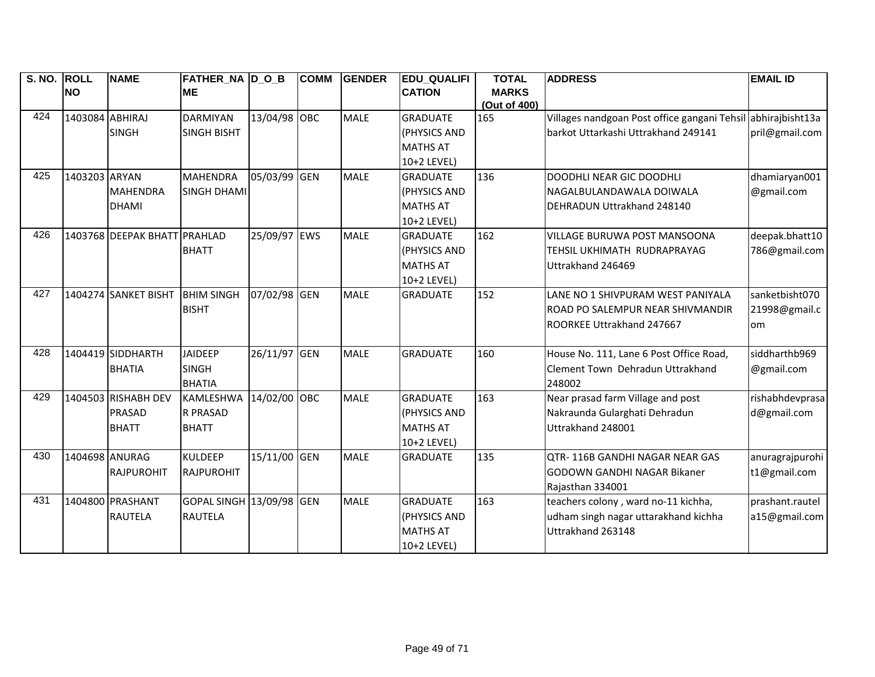| S. NO. | <b>ROLL</b>     | <b>NAME</b>                  | <b>FATHER_NA D_O_B</b>   |              | <b>COMM</b> | <b>GENDER</b> | <b>EDU_QUALIFI</b> | <b>TOTAL</b> | <b>ADDRESS</b>                                               | <b>EMAIL ID</b> |
|--------|-----------------|------------------------------|--------------------------|--------------|-------------|---------------|--------------------|--------------|--------------------------------------------------------------|-----------------|
|        | <b>NO</b>       |                              | <b>ME</b>                |              |             |               | <b>CATION</b>      | <b>MARKS</b> |                                                              |                 |
|        |                 |                              |                          |              |             |               |                    | (Out of 400) |                                                              |                 |
| 424    | 1403084 ABHIRAJ |                              | <b>DARMIYAN</b>          | 13/04/98 OBC |             | <b>MALE</b>   | <b>GRADUATE</b>    | 165          | Villages nandgoan Post office gangani Tehsil abhirajbisht13a |                 |
|        |                 | <b>SINGH</b>                 | <b>SINGH BISHT</b>       |              |             |               | (PHYSICS AND       |              | barkot Uttarkashi Uttrakhand 249141                          | pril@gmail.com  |
|        |                 |                              |                          |              |             |               | <b>MATHS AT</b>    |              |                                                              |                 |
|        |                 |                              |                          |              |             |               | 10+2 LEVEL)        |              |                                                              |                 |
| 425    | 1403203 ARYAN   |                              | <b>MAHENDRA</b>          | 05/03/99     | <b>GEN</b>  | <b>MALE</b>   | <b>GRADUATE</b>    | 136          | DOODHLI NEAR GIC DOODHLI                                     | dhamiaryan001   |
|        |                 | <b>MAHENDRA</b>              | SINGH DHAMI              |              |             |               | (PHYSICS AND       |              | NAGALBULANDAWALA DOIWALA                                     | @gmail.com      |
|        |                 | <b>DHAMI</b>                 |                          |              |             |               | <b>MATHS AT</b>    |              | DEHRADUN Uttrakhand 248140                                   |                 |
|        |                 |                              |                          |              |             |               | 10+2 LEVEL)        |              |                                                              |                 |
| 426    |                 | 1403768 DEEPAK BHATT PRAHLAD |                          | 25/09/97 EWS |             | <b>MALE</b>   | <b>GRADUATE</b>    | 162          | VILLAGE BURUWA POST MANSOONA                                 | deepak.bhatt10  |
|        |                 |                              | <b>BHATT</b>             |              |             |               | (PHYSICS AND       |              | TEHSIL UKHIMATH RUDRAPRAYAG                                  | 786@gmail.com   |
|        |                 |                              |                          |              |             |               | <b>MATHS AT</b>    |              | Uttrakhand 246469                                            |                 |
|        |                 |                              |                          |              |             |               | 10+2 LEVEL)        |              |                                                              |                 |
| 427    |                 | 1404274 SANKET BISHT         | <b>BHIM SINGH</b>        | 07/02/98 GEN |             | <b>MALE</b>   | <b>GRADUATE</b>    | 152          | LANE NO 1 SHIVPURAM WEST PANIYALA                            | sanketbisht070  |
|        |                 |                              | <b>BISHT</b>             |              |             |               |                    |              | ROAD PO SALEMPUR NEAR SHIVMANDIR                             | 21998@gmail.c   |
|        |                 |                              |                          |              |             |               |                    |              | ROORKEE Uttrakhand 247667                                    | om              |
|        |                 |                              |                          |              |             |               |                    |              |                                                              |                 |
| 428    |                 | 1404419 SIDDHARTH            | <b>JAIDEEP</b>           | 26/11/97 GEN |             | <b>MALE</b>   | <b>GRADUATE</b>    | 160          | House No. 111, Lane 6 Post Office Road,                      | siddharthb969   |
|        |                 | <b>BHATIA</b>                | <b>SINGH</b>             |              |             |               |                    |              | Clement Town Dehradun Uttrakhand                             | @gmail.com      |
|        |                 |                              | <b>BHATIA</b>            |              |             |               |                    |              | 248002                                                       |                 |
| 429    |                 | 1404503 RISHABH DEV          | KAMLESHWA 14/02/00 OBC   |              |             | <b>MALE</b>   | <b>GRADUATE</b>    | 163          | Near prasad farm Village and post                            | rishabhdevprasa |
|        |                 | <b>PRASAD</b>                | <b>R PRASAD</b>          |              |             |               | (PHYSICS AND       |              | Nakraunda Gularghati Dehradun                                | d@gmail.com     |
|        |                 | <b>BHATT</b>                 | <b>BHATT</b>             |              |             |               | <b>MATHS AT</b>    |              | Uttrakhand 248001                                            |                 |
|        |                 |                              |                          |              |             |               | 10+2 LEVEL)        |              |                                                              |                 |
| 430    | 1404698 ANURAG  |                              | <b>KULDEEP</b>           | 15/11/00 GEN |             | <b>MALE</b>   | <b>GRADUATE</b>    | 135          | OTR-116B GANDHI NAGAR NEAR GAS                               | anuragrajpurohi |
|        |                 | <b>RAJPUROHIT</b>            | <b>RAJPUROHIT</b>        |              |             |               |                    |              | <b>GODOWN GANDHI NAGAR Bikaner</b>                           | t1@gmail.com    |
|        |                 |                              |                          |              |             |               |                    |              | Rajasthan 334001                                             |                 |
| 431    |                 | 1404800 PRASHANT             | GOPAL SINGH 13/09/98 GEN |              |             | <b>MALE</b>   | <b>GRADUATE</b>    | 163          | teachers colony, ward no-11 kichha,                          | prashant.rautel |
|        |                 | <b>RAUTELA</b>               | <b>RAUTELA</b>           |              |             |               | (PHYSICS AND       |              | udham singh nagar uttarakhand kichha                         | a15@gmail.com   |
|        |                 |                              |                          |              |             |               | <b>MATHS AT</b>    |              | Uttrakhand 263148                                            |                 |
|        |                 |                              |                          |              |             |               | 10+2 LEVEL)        |              |                                                              |                 |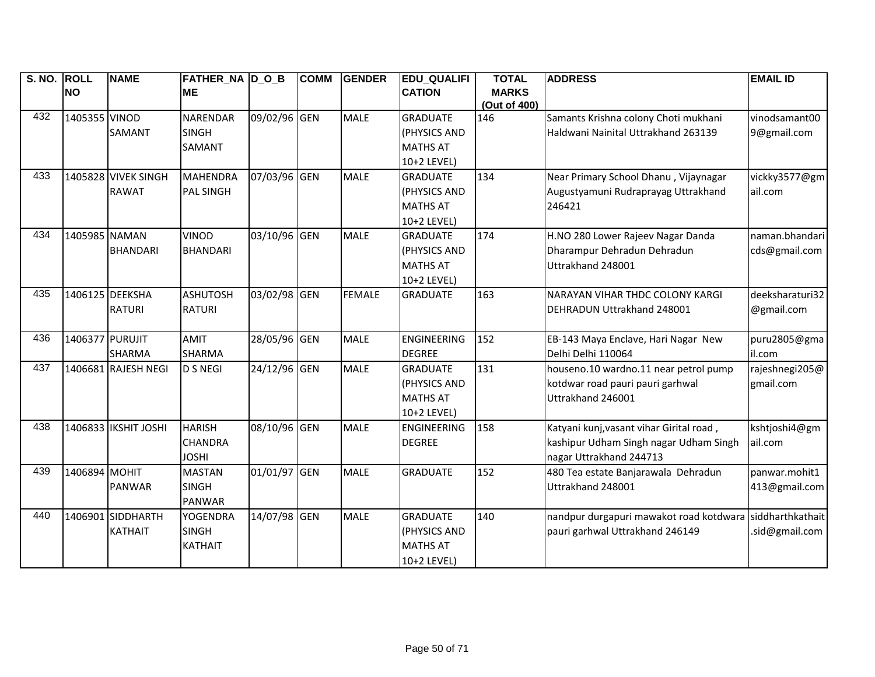| S. NO. ROLL |                 | <b>NAME</b>          | FATHER_NA D_O_B  |              | <b>COMM</b> | <b>GENDER</b> | <b>EDU_QUALIFI</b> | <b>TOTAL</b> | <b>ADDRESS</b>                           | <b>EMAIL ID</b>  |
|-------------|-----------------|----------------------|------------------|--------------|-------------|---------------|--------------------|--------------|------------------------------------------|------------------|
|             | <b>NO</b>       |                      | <b>ME</b>        |              |             |               | <b>CATION</b>      | <b>MARKS</b> |                                          |                  |
|             |                 |                      |                  |              |             |               |                    | (Out of 400) |                                          |                  |
| 432         | 1405355 VINOD   |                      | <b>NARENDAR</b>  | 09/02/96 GEN |             | <b>MALE</b>   | <b>GRADUATE</b>    | 146          | Samants Krishna colony Choti mukhani     | vinodsamant00    |
|             |                 | <b>SAMANT</b>        | <b>SINGH</b>     |              |             |               | (PHYSICS AND       |              | Haldwani Nainital Uttrakhand 263139      | 9@gmail.com      |
|             |                 |                      | <b>SAMANT</b>    |              |             |               | <b>MATHS AT</b>    |              |                                          |                  |
|             |                 |                      |                  |              |             |               | 10+2 LEVEL)        |              |                                          |                  |
| 433         |                 | 1405828 VIVEK SINGH  | <b>MAHENDRA</b>  | 07/03/96 GEN |             | <b>MALE</b>   | <b>GRADUATE</b>    | 134          | Near Primary School Dhanu, Vijaynagar    | vickky3577@gm    |
|             |                 | <b>RAWAT</b>         | <b>PAL SINGH</b> |              |             |               | (PHYSICS AND       |              | Augustyamuni Rudraprayag Uttrakhand      | ail.com          |
|             |                 |                      |                  |              |             |               | <b>MATHS AT</b>    |              | 246421                                   |                  |
|             |                 |                      |                  |              |             |               | 10+2 LEVEL)        |              |                                          |                  |
| 434         | 1405985 NAMAN   |                      | <b>VINOD</b>     | 03/10/96 GEN |             | <b>MALE</b>   | <b>GRADUATE</b>    | 174          | H.NO 280 Lower Rajeev Nagar Danda        | naman.bhandari   |
|             |                 | <b>BHANDARI</b>      | <b>BHANDARI</b>  |              |             |               | (PHYSICS AND       |              | Dharampur Dehradun Dehradun              | cds@gmail.com    |
|             |                 |                      |                  |              |             |               | <b>MATHS AT</b>    |              | Uttrakhand 248001                        |                  |
|             |                 |                      |                  |              |             |               | 10+2 LEVEL)        |              |                                          |                  |
| 435         | 1406125 DEEKSHA |                      | <b>ASHUTOSH</b>  | 03/02/98 GEN |             | <b>FEMALE</b> | <b>GRADUATE</b>    | 163          | <b>NARAYAN VIHAR THDC COLONY KARGI</b>   | deeksharaturi32  |
|             |                 | <b>RATURI</b>        | <b>RATURI</b>    |              |             |               |                    |              | <b>DEHRADUN Uttrakhand 248001</b>        | @gmail.com       |
|             |                 |                      |                  |              |             |               |                    |              |                                          |                  |
| 436         | 1406377 PURUJIT |                      | <b>AMIT</b>      | 28/05/96 GEN |             | <b>MALE</b>   | ENGINEERING        | 152          | EB-143 Maya Enclave, Hari Nagar New      | puru2805@gma     |
|             |                 | <b>SHARMA</b>        | <b>SHARMA</b>    |              |             |               | <b>DEGREE</b>      |              | Delhi Delhi 110064                       | il.com           |
| 437         |                 | 1406681 RAJESH NEGI  | <b>D S NEGI</b>  | 24/12/96 GEN |             | <b>MALE</b>   | <b>GRADUATE</b>    | 131          | houseno.10 wardno.11 near petrol pump    | rajeshnegi205@   |
|             |                 |                      |                  |              |             |               | (PHYSICS AND       |              | kotdwar road pauri pauri garhwal         | gmail.com        |
|             |                 |                      |                  |              |             |               | <b>MATHS AT</b>    |              | Uttrakhand 246001                        |                  |
|             |                 |                      |                  |              |             |               | 10+2 LEVEL)        |              |                                          |                  |
| 438         |                 | 1406833 IKSHIT JOSHI | <b>HARISH</b>    | 08/10/96 GEN |             | <b>MALE</b>   | ENGINEERING        | 158          | Katyani kunj, vasant vihar Girital road, | kshtjoshi4@gm    |
|             |                 |                      | <b>CHANDRA</b>   |              |             |               | <b>DEGREE</b>      |              | kashipur Udham Singh nagar Udham Singh   | ail.com          |
|             |                 |                      | <b>JOSHI</b>     |              |             |               |                    |              | nagar Uttrakhand 244713                  |                  |
| 439         | 1406894 MOHIT   |                      | <b>MASTAN</b>    | 01/01/97 GEN |             | <b>MALE</b>   | <b>GRADUATE</b>    | 152          | 480 Tea estate Banjarawala Dehradun      | panwar.mohit1    |
|             |                 | <b>PANWAR</b>        | <b>SINGH</b>     |              |             |               |                    |              | Uttrakhand 248001                        | 413@gmail.com    |
|             |                 |                      | <b>PANWAR</b>    |              |             |               |                    |              |                                          |                  |
| 440         |                 | 1406901 SIDDHARTH    | <b>YOGENDRA</b>  | 14/07/98 GEN |             | <b>MALE</b>   | <b>GRADUATE</b>    | 140          | nandpur durgapuri mawakot road kotdwara  | siddharthkathait |
|             |                 | <b>KATHAIT</b>       | <b>SINGH</b>     |              |             |               | (PHYSICS AND       |              | pauri garhwal Uttrakhand 246149          | .sid@gmail.com   |
|             |                 |                      | <b>KATHAIT</b>   |              |             |               | <b>MATHS AT</b>    |              |                                          |                  |
|             |                 |                      |                  |              |             |               | 10+2 LEVEL)        |              |                                          |                  |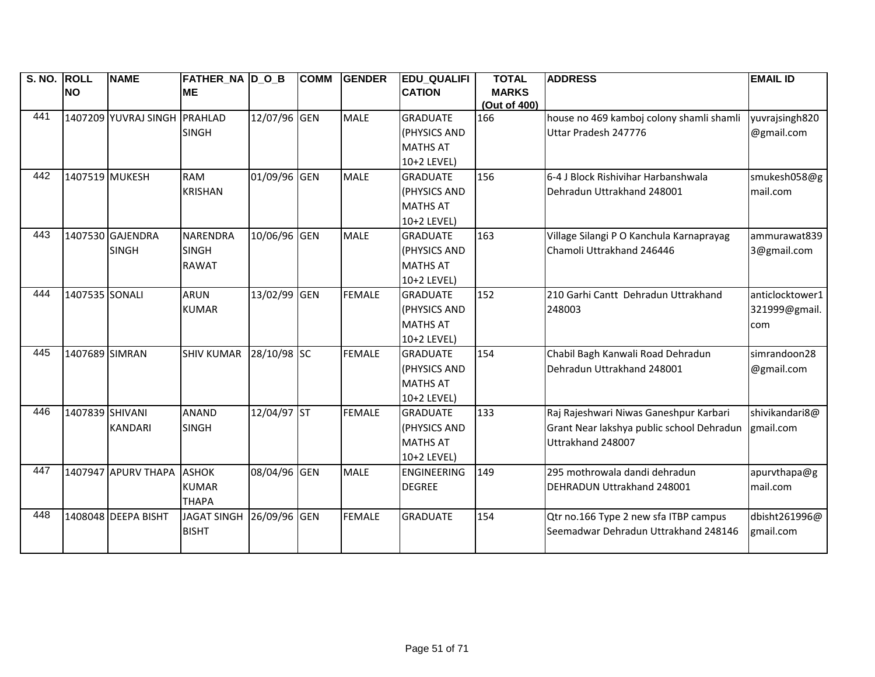| S. NO. ROLL |                 | <b>NAME</b>          | <b>FATHER_NA D_O_B</b> |              | <b>COMM</b> | <b>GENDER</b> | <b>EDU QUALIFI</b> | <b>TOTAL</b> | <b>ADDRESS</b>                            | <b>EMAIL ID</b> |
|-------------|-----------------|----------------------|------------------------|--------------|-------------|---------------|--------------------|--------------|-------------------------------------------|-----------------|
|             | <b>NO</b>       |                      | <b>ME</b>              |              |             |               | <b>CATION</b>      | <b>MARKS</b> |                                           |                 |
|             |                 |                      |                        |              |             |               |                    | (Out of 400) |                                           |                 |
| 441         |                 | 1407209 YUVRAJ SINGH | PRAHLAD                | 12/07/96 GEN |             | <b>MALE</b>   | <b>GRADUATE</b>    | 166          | house no 469 kamboj colony shamli shamli  | yuvrajsingh820  |
|             |                 |                      | <b>SINGH</b>           |              |             |               | (PHYSICS AND       |              | Uttar Pradesh 247776                      | @gmail.com      |
|             |                 |                      |                        |              |             |               | <b>MATHS AT</b>    |              |                                           |                 |
|             |                 |                      |                        |              |             |               | 10+2 LEVEL)        |              |                                           |                 |
| 442         | 1407519 MUKESH  |                      | <b>RAM</b>             | 01/09/96 GEN |             | <b>MALE</b>   | <b>GRADUATE</b>    | 156          | 6-4 J Block Rishivihar Harbanshwala       | smukesh058@g    |
|             |                 |                      | <b>KRISHAN</b>         |              |             |               | (PHYSICS AND       |              | Dehradun Uttrakhand 248001                | mail.com        |
|             |                 |                      |                        |              |             |               | <b>MATHS AT</b>    |              |                                           |                 |
|             |                 |                      |                        |              |             |               | 10+2 LEVEL)        |              |                                           |                 |
| 443         |                 | 1407530 GAJENDRA     | <b>NARENDRA</b>        | 10/06/96 GEN |             | <b>MALE</b>   | <b>GRADUATE</b>    | 163          | Village Silangi P O Kanchula Karnaprayag  | ammurawat839    |
|             |                 | <b>SINGH</b>         | <b>SINGH</b>           |              |             |               | (PHYSICS AND       |              | Chamoli Uttrakhand 246446                 | 3@gmail.com     |
|             |                 |                      | <b>RAWAT</b>           |              |             |               | <b>MATHS AT</b>    |              |                                           |                 |
|             |                 |                      |                        |              |             |               | 10+2 LEVEL)        |              |                                           |                 |
| 444         | 1407535 SONALI  |                      | <b>ARUN</b>            | 13/02/99 GEN |             | <b>FEMALE</b> | <b>GRADUATE</b>    | 152          | 210 Garhi Cantt Dehradun Uttrakhand       | anticlocktower1 |
|             |                 |                      | <b>KUMAR</b>           |              |             |               | (PHYSICS AND       |              | 248003                                    | 321999@gmail.   |
|             |                 |                      |                        |              |             |               | <b>MATHS AT</b>    |              |                                           | com             |
|             |                 |                      |                        |              |             |               | 10+2 LEVEL)        |              |                                           |                 |
| 445         | 1407689 SIMRAN  |                      | <b>SHIV KUMAR</b>      | 28/10/98 SC  |             | <b>FEMALE</b> | <b>GRADUATE</b>    | 154          | Chabil Bagh Kanwali Road Dehradun         | simrandoon28    |
|             |                 |                      |                        |              |             |               | (PHYSICS AND       |              | Dehradun Uttrakhand 248001                | @gmail.com      |
|             |                 |                      |                        |              |             |               | <b>MATHS AT</b>    |              |                                           |                 |
|             |                 |                      |                        |              |             |               | 10+2 LEVEL)        |              |                                           |                 |
| 446         | 1407839 SHIVANI |                      | <b>ANAND</b>           | 12/04/97 ST  |             | <b>FEMALE</b> | <b>GRADUATE</b>    | 133          | Raj Rajeshwari Niwas Ganeshpur Karbari    | shivikandari8@  |
|             |                 | <b>KANDARI</b>       | <b>SINGH</b>           |              |             |               | (PHYSICS AND       |              | Grant Near lakshya public school Dehradun | gmail.com       |
|             |                 |                      |                        |              |             |               | <b>MATHS AT</b>    |              | Uttrakhand 248007                         |                 |
|             |                 |                      |                        |              |             |               | 10+2 LEVEL)        |              |                                           |                 |
| 447         |                 | 1407947 APURV THAPA  | <b>ASHOK</b>           | 08/04/96 GEN |             | <b>MALE</b>   | <b>ENGINEERING</b> | 149          | 295 mothrowala dandi dehradun             | apurvthapa@g    |
|             |                 |                      | <b>KUMAR</b>           |              |             |               | <b>DEGREE</b>      |              | DEHRADUN Uttrakhand 248001                | mail.com        |
|             |                 |                      | <b>THAPA</b>           |              |             |               |                    |              |                                           |                 |
| 448         |                 | 1408048 DEEPA BISHT  | <b>JAGAT SINGH</b>     | 26/09/96 GEN |             | <b>FEMALE</b> | <b>GRADUATE</b>    | 154          | Qtr no.166 Type 2 new sfa ITBP campus     | dbisht261996@   |
|             |                 |                      | <b>BISHT</b>           |              |             |               |                    |              | Seemadwar Dehradun Uttrakhand 248146      | gmail.com       |
|             |                 |                      |                        |              |             |               |                    |              |                                           |                 |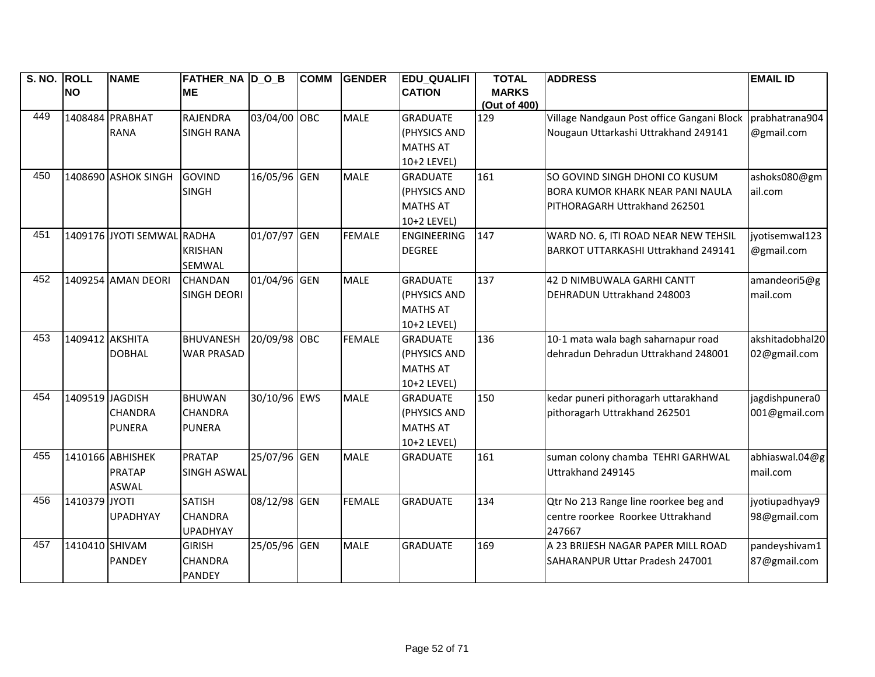| S. NO. ROLL |                 | <b>NAME</b>                | <b>FATHER_NA D_O_B</b> |              | <b>COMM</b> | <b>GENDER</b> | <b>EDU_QUALIFI</b> | <b>TOTAL</b>        | <b>ADDRESS</b>                             | <b>EMAIL ID</b> |
|-------------|-----------------|----------------------------|------------------------|--------------|-------------|---------------|--------------------|---------------------|--------------------------------------------|-----------------|
|             | <b>NO</b>       |                            | <b>ME</b>              |              |             |               | <b>CATION</b>      | <b>MARKS</b>        |                                            |                 |
| 449         |                 | 1408484 PRABHAT            | RAJENDRA               | 03/04/00 OBC |             | <b>MALE</b>   | <b>GRADUATE</b>    | (Out of 400)<br>129 | Village Nandgaun Post office Gangani Block | prabhatrana904  |
|             |                 | <b>RANA</b>                | <b>SINGH RANA</b>      |              |             |               | (PHYSICS AND       |                     | Nougaun Uttarkashi Uttrakhand 249141       | @gmail.com      |
|             |                 |                            |                        |              |             |               | <b>MATHS AT</b>    |                     |                                            |                 |
|             |                 |                            |                        |              |             |               | 10+2 LEVEL)        |                     |                                            |                 |
| 450         |                 | 1408690 ASHOK SINGH        | <b>GOVIND</b>          | 16/05/96 GEN |             | <b>MALE</b>   | <b>GRADUATE</b>    | 161                 | SO GOVIND SINGH DHONI CO KUSUM             | ashoks080@gm    |
|             |                 |                            | <b>SINGH</b>           |              |             |               | (PHYSICS AND       |                     | <b>BORA KUMOR KHARK NEAR PANI NAULA</b>    | ail.com         |
|             |                 |                            |                        |              |             |               | <b>MATHS AT</b>    |                     | PITHORAGARH Uttrakhand 262501              |                 |
|             |                 |                            |                        |              |             |               | 10+2 LEVEL)        |                     |                                            |                 |
| 451         |                 | 1409176 JYOTI SEMWAL RADHA |                        | 01/07/97 GEN |             | <b>FEMALE</b> | <b>ENGINEERING</b> | 147                 | WARD NO. 6, ITI ROAD NEAR NEW TEHSIL       | jyotisemwal123  |
|             |                 |                            | <b>KRISHAN</b>         |              |             |               | <b>DEGREE</b>      |                     | BARKOT UTTARKASHI Uttrakhand 249141        | @gmail.com      |
|             |                 |                            | SEMWAL                 |              |             |               |                    |                     |                                            |                 |
| 452         |                 | 1409254 AMAN DEORI         | <b>CHANDAN</b>         | 01/04/96 GEN |             | <b>MALE</b>   | <b>GRADUATE</b>    | 137                 | 42 D NIMBUWALA GARHI CANTT                 | amandeori5@g    |
|             |                 |                            | <b>SINGH DEORI</b>     |              |             |               | (PHYSICS AND       |                     | DEHRADUN Uttrakhand 248003                 | mail.com        |
|             |                 |                            |                        |              |             |               | <b>MATHS AT</b>    |                     |                                            |                 |
|             |                 |                            |                        |              |             |               | 10+2 LEVEL)        |                     |                                            |                 |
| 453         | 1409412 AKSHITA |                            | <b>BHUVANESH</b>       | 20/09/98 OBC |             | <b>FEMALE</b> | <b>GRADUATE</b>    | 136                 | 10-1 mata wala bagh saharnapur road        | akshitadobhal20 |
|             |                 | <b>DOBHAL</b>              | <b>WAR PRASAD</b>      |              |             |               | (PHYSICS AND       |                     | dehradun Dehradun Uttrakhand 248001        | 02@gmail.com    |
|             |                 |                            |                        |              |             |               | <b>MATHS AT</b>    |                     |                                            |                 |
|             |                 |                            |                        |              |             |               | 10+2 LEVEL)        |                     |                                            |                 |
| 454         | 1409519 JAGDISH |                            | <b>BHUWAN</b>          | 30/10/96 EWS |             | <b>MALE</b>   | <b>GRADUATE</b>    | 150                 | kedar puneri pithoragarh uttarakhand       | jagdishpunera0  |
|             |                 | <b>CHANDRA</b>             | <b>CHANDRA</b>         |              |             |               | (PHYSICS AND       |                     | pithoragarh Uttrakhand 262501              | 001@gmail.com   |
|             |                 | <b>PUNERA</b>              | <b>PUNERA</b>          |              |             |               | <b>MATHS AT</b>    |                     |                                            |                 |
|             |                 |                            |                        |              |             |               | 10+2 LEVEL)        |                     |                                            |                 |
| 455         |                 | 1410166 ABHISHEK           | <b>PRATAP</b>          | 25/07/96 GEN |             | <b>MALE</b>   | <b>GRADUATE</b>    | 161                 | suman colony chamba TEHRI GARHWAL          | abhiaswal.04@g  |
|             |                 | PRATAP                     | <b>SINGH ASWAL</b>     |              |             |               |                    |                     | Uttrakhand 249145                          | mail.com        |
|             |                 | <b>ASWAL</b>               |                        |              |             |               |                    |                     |                                            |                 |
| 456         | 1410379 JYOTI   |                            | <b>SATISH</b>          | 08/12/98 GEN |             | <b>FEMALE</b> | <b>GRADUATE</b>    | 134                 | Qtr No 213 Range line roorkee beg and      | jyotiupadhyay9  |
|             |                 | <b>UPADHYAY</b>            | <b>CHANDRA</b>         |              |             |               |                    |                     | centre roorkee Roorkee Uttrakhand          | 98@gmail.com    |
|             |                 |                            | <b>UPADHYAY</b>        |              |             |               |                    |                     | 247667                                     |                 |
| 457         | 1410410 SHIVAM  |                            | <b>GIRISH</b>          | 25/05/96 GEN |             | <b>MALE</b>   | <b>GRADUATE</b>    | 169                 | A 23 BRIJESH NAGAR PAPER MILL ROAD         | pandeyshivam1   |
|             |                 | <b>PANDEY</b>              | <b>CHANDRA</b>         |              |             |               |                    |                     | SAHARANPUR Uttar Pradesh 247001            | 87@gmail.com    |
|             |                 |                            | <b>PANDEY</b>          |              |             |               |                    |                     |                                            |                 |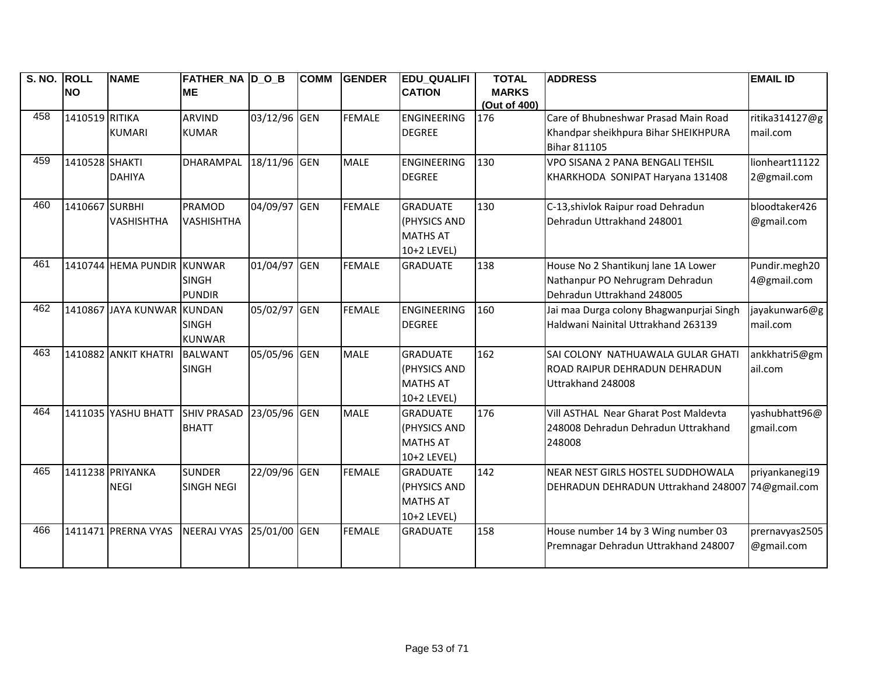| S. NO. ROLL | <b>NAME</b> |                                                                                                                                                                                                                    |                                                                                                                                                                 | <b>COMM</b>            | <b>GENDER</b>                                                                                                                                            | <b>EDU_QUALIFI</b>                            | <b>TOTAL</b>                                                              | <b>ADDRESS</b>                                   | <b>EMAIL ID</b>                                                                                                                                                               |
|-------------|-------------|--------------------------------------------------------------------------------------------------------------------------------------------------------------------------------------------------------------------|-----------------------------------------------------------------------------------------------------------------------------------------------------------------|------------------------|----------------------------------------------------------------------------------------------------------------------------------------------------------|-----------------------------------------------|---------------------------------------------------------------------------|--------------------------------------------------|-------------------------------------------------------------------------------------------------------------------------------------------------------------------------------|
|             |             | <b>ME</b>                                                                                                                                                                                                          |                                                                                                                                                                 |                        |                                                                                                                                                          | <b>CATION</b>                                 | <b>MARKS</b>                                                              |                                                  |                                                                                                                                                                               |
|             |             |                                                                                                                                                                                                                    |                                                                                                                                                                 |                        |                                                                                                                                                          |                                               |                                                                           |                                                  |                                                                                                                                                                               |
|             |             |                                                                                                                                                                                                                    |                                                                                                                                                                 |                        |                                                                                                                                                          |                                               |                                                                           |                                                  | ritika314127@g                                                                                                                                                                |
|             |             |                                                                                                                                                                                                                    |                                                                                                                                                                 |                        |                                                                                                                                                          |                                               |                                                                           |                                                  | mail.com                                                                                                                                                                      |
|             |             |                                                                                                                                                                                                                    |                                                                                                                                                                 |                        |                                                                                                                                                          |                                               |                                                                           |                                                  |                                                                                                                                                                               |
|             |             |                                                                                                                                                                                                                    |                                                                                                                                                                 |                        |                                                                                                                                                          |                                               |                                                                           |                                                  | lionheart11122                                                                                                                                                                |
|             |             |                                                                                                                                                                                                                    |                                                                                                                                                                 |                        |                                                                                                                                                          | <b>DEGREE</b>                                 |                                                                           | KHARKHODA SONIPAT Haryana 131408                 | 2@gmail.com                                                                                                                                                                   |
|             |             |                                                                                                                                                                                                                    |                                                                                                                                                                 |                        |                                                                                                                                                          |                                               |                                                                           |                                                  |                                                                                                                                                                               |
|             |             |                                                                                                                                                                                                                    |                                                                                                                                                                 |                        |                                                                                                                                                          | <b>GRADUATE</b>                               | 130                                                                       |                                                  | bloodtaker426                                                                                                                                                                 |
|             |             | <b>VASHISHTHA</b>                                                                                                                                                                                                  |                                                                                                                                                                 |                        |                                                                                                                                                          |                                               |                                                                           | Dehradun Uttrakhand 248001                       | @gmail.com                                                                                                                                                                    |
|             |             |                                                                                                                                                                                                                    |                                                                                                                                                                 |                        |                                                                                                                                                          | <b>MATHS AT</b>                               |                                                                           |                                                  |                                                                                                                                                                               |
|             |             |                                                                                                                                                                                                                    |                                                                                                                                                                 |                        |                                                                                                                                                          | 10+2 LEVEL)                                   |                                                                           |                                                  |                                                                                                                                                                               |
|             |             |                                                                                                                                                                                                                    |                                                                                                                                                                 |                        | <b>FEMALE</b>                                                                                                                                            | <b>GRADUATE</b>                               | 138                                                                       | House No 2 Shantikunj lane 1A Lower              | Pundir.megh20                                                                                                                                                                 |
|             |             | <b>SINGH</b>                                                                                                                                                                                                       |                                                                                                                                                                 |                        |                                                                                                                                                          |                                               |                                                                           | Nathanpur PO Nehrugram Dehradun                  | 4@gmail.com                                                                                                                                                                   |
|             |             | <b>PUNDIR</b>                                                                                                                                                                                                      |                                                                                                                                                                 |                        |                                                                                                                                                          |                                               |                                                                           | Dehradun Uttrakhand 248005                       |                                                                                                                                                                               |
|             |             |                                                                                                                                                                                                                    |                                                                                                                                                                 |                        | <b>FEMALE</b>                                                                                                                                            | <b>ENGINEERING</b>                            | 160                                                                       | Jai maa Durga colony Bhagwanpurjai Singh         | jayakunwar6@g                                                                                                                                                                 |
|             |             | <b>SINGH</b>                                                                                                                                                                                                       |                                                                                                                                                                 |                        |                                                                                                                                                          | <b>DEGREE</b>                                 |                                                                           | Haldwani Nainital Uttrakhand 263139              | mail.com                                                                                                                                                                      |
|             |             | <b>KUNWAR</b>                                                                                                                                                                                                      |                                                                                                                                                                 |                        |                                                                                                                                                          |                                               |                                                                           |                                                  |                                                                                                                                                                               |
|             |             |                                                                                                                                                                                                                    |                                                                                                                                                                 |                        | <b>MALE</b>                                                                                                                                              | <b>GRADUATE</b>                               | 162                                                                       | SAI COLONY NATHUAWALA GULAR GHATI                | ankkhatri5@gm                                                                                                                                                                 |
|             |             | <b>SINGH</b>                                                                                                                                                                                                       |                                                                                                                                                                 |                        |                                                                                                                                                          | (PHYSICS AND                                  |                                                                           | ROAD RAIPUR DEHRADUN DEHRADUN                    | ail.com                                                                                                                                                                       |
|             |             |                                                                                                                                                                                                                    |                                                                                                                                                                 |                        |                                                                                                                                                          | <b>MATHS AT</b>                               |                                                                           | Uttrakhand 248008                                |                                                                                                                                                                               |
|             |             |                                                                                                                                                                                                                    |                                                                                                                                                                 |                        |                                                                                                                                                          | 10+2 LEVEL)                                   |                                                                           |                                                  |                                                                                                                                                                               |
|             |             |                                                                                                                                                                                                                    |                                                                                                                                                                 |                        | <b>MALE</b>                                                                                                                                              | <b>GRADUATE</b>                               | 176                                                                       | Vill ASTHAL Near Gharat Post Maldevta            | yashubhatt96@                                                                                                                                                                 |
|             |             | <b>BHATT</b>                                                                                                                                                                                                       |                                                                                                                                                                 |                        |                                                                                                                                                          | (PHYSICS AND                                  |                                                                           | 248008 Dehradun Dehradun Uttrakhand              | gmail.com                                                                                                                                                                     |
|             |             |                                                                                                                                                                                                                    |                                                                                                                                                                 |                        |                                                                                                                                                          | <b>MATHS AT</b>                               |                                                                           | 248008                                           |                                                                                                                                                                               |
|             |             |                                                                                                                                                                                                                    |                                                                                                                                                                 |                        |                                                                                                                                                          | 10+2 LEVEL)                                   |                                                                           |                                                  |                                                                                                                                                                               |
|             |             | <b>SUNDER</b>                                                                                                                                                                                                      |                                                                                                                                                                 |                        | <b>FEMALE</b>                                                                                                                                            | <b>GRADUATE</b>                               | 142                                                                       | NEAR NEST GIRLS HOSTEL SUDDHOWALA                | priyankanegi19                                                                                                                                                                |
|             |             | <b>SINGH NEGI</b>                                                                                                                                                                                                  |                                                                                                                                                                 |                        |                                                                                                                                                          | (PHYSICS AND                                  |                                                                           | DEHRADUN DEHRADUN Uttrakhand 248007 74@gmail.com |                                                                                                                                                                               |
|             |             |                                                                                                                                                                                                                    |                                                                                                                                                                 |                        |                                                                                                                                                          | <b>MATHS AT</b>                               |                                                                           |                                                  |                                                                                                                                                                               |
|             |             |                                                                                                                                                                                                                    |                                                                                                                                                                 |                        |                                                                                                                                                          | 10+2 LEVEL)                                   |                                                                           |                                                  |                                                                                                                                                                               |
|             |             |                                                                                                                                                                                                                    |                                                                                                                                                                 |                        | <b>FEMALE</b>                                                                                                                                            | <b>GRADUATE</b>                               | 158                                                                       | House number 14 by 3 Wing number 03              | prernavyas2505                                                                                                                                                                |
|             |             |                                                                                                                                                                                                                    |                                                                                                                                                                 |                        |                                                                                                                                                          |                                               |                                                                           | Premnagar Dehradun Uttrakhand 248007             | @gmail.com                                                                                                                                                                    |
|             |             |                                                                                                                                                                                                                    |                                                                                                                                                                 |                        |                                                                                                                                                          |                                               |                                                                           |                                                  |                                                                                                                                                                               |
|             | <b>NO</b>   | 1410519 RITIKA<br><b>KUMARI</b><br>1410528 SHAKTI<br><b>DAHIYA</b><br>1410667 SURBHI<br><b>VASHISHTHA</b><br>1410882 ANKIT KHATRI<br>1411035 YASHU BHATT<br>1411238 PRIYANKA<br><b>NEGI</b><br>1411471 PRERNA VYAS | ARVIND<br><b>KUMAR</b><br><b>DHARAMPAL</b><br><b>PRAMOD</b><br>1410744 HEMA PUNDIR KUNWAR<br>1410867 JAYA KUNWAR KUNDAN<br><b>BALWANT</b><br><b>SHIV PRASAD</b> | <b>FATHER_NA D_O_B</b> | 03/12/96 GEN<br>18/11/96 GEN<br>04/09/97 GEN<br>01/04/97 GEN<br>05/02/97 GEN<br>05/05/96 GEN<br>23/05/96 GEN<br>22/09/96 GEN<br>NEERAJ VYAS 25/01/00 GEN | <b>FEMALE</b><br><b>MALE</b><br><b>FEMALE</b> | <b>ENGINEERING</b><br><b>DEGREE</b><br><b>ENGINEERING</b><br>(PHYSICS AND | (Out of 400)<br>176<br>130                       | Care of Bhubneshwar Prasad Main Road<br>Khandpar sheikhpura Bihar SHEIKHPURA<br><b>Bihar 811105</b><br>VPO SISANA 2 PANA BENGALI TEHSIL<br>C-13, shivlok Raipur road Dehradun |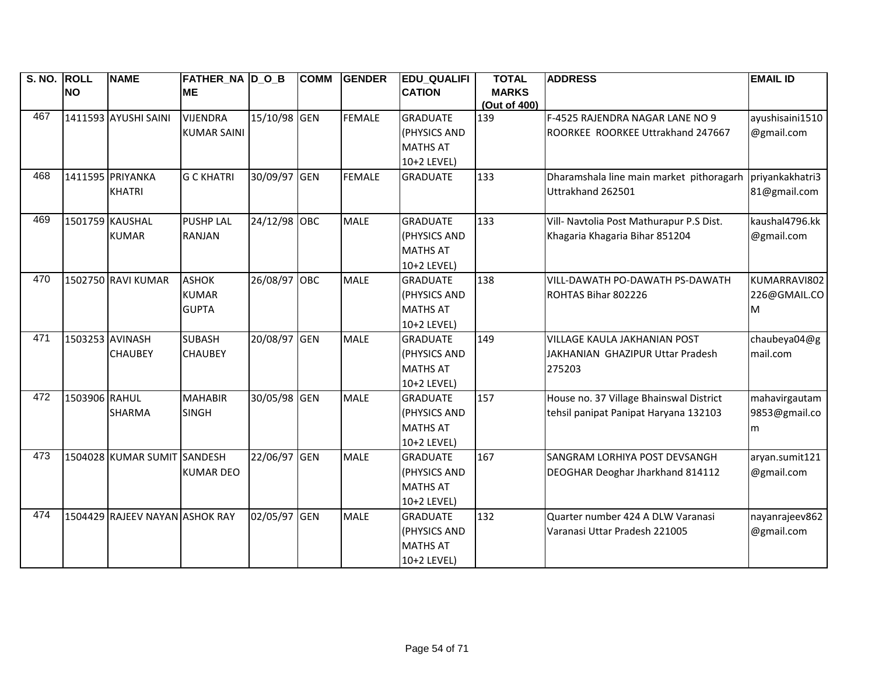| S. NO. ROLL |                 | <b>NAME</b>                    | <b>FATHER_NA D_O_B</b> |              | <b>COMM</b> | <b>GENDER</b> | <b>EDU_QUALIFI</b> | <b>TOTAL</b> | <b>ADDRESS</b>                           | <b>EMAIL ID</b> |
|-------------|-----------------|--------------------------------|------------------------|--------------|-------------|---------------|--------------------|--------------|------------------------------------------|-----------------|
|             | <b>NO</b>       |                                | <b>ME</b>              |              |             |               | <b>CATION</b>      | <b>MARKS</b> |                                          |                 |
| 467         |                 |                                |                        |              |             |               |                    | (Out of 400) |                                          |                 |
|             |                 | 1411593 AYUSHI SAINI           | <b>VIJENDRA</b>        | 15/10/98 GEN |             | <b>FEMALE</b> | <b>GRADUATE</b>    | 139          | F-4525 RAJENDRA NAGAR LANE NO 9          | ayushisaini1510 |
|             |                 |                                | <b>KUMAR SAINI</b>     |              |             |               | (PHYSICS AND       |              | ROORKEE ROORKEE Uttrakhand 247667        | @gmail.com      |
|             |                 |                                |                        |              |             |               | <b>MATHS AT</b>    |              |                                          |                 |
|             |                 |                                |                        |              |             |               | 10+2 LEVEL)        |              |                                          |                 |
| 468         |                 | 1411595 PRIYANKA               | <b>G C KHATRI</b>      | 30/09/97 GEN |             | <b>FEMALE</b> | <b>GRADUATE</b>    | 133          | Dharamshala line main market pithoragarh | priyankakhatri3 |
|             |                 | <b>KHATRI</b>                  |                        |              |             |               |                    |              | Uttrakhand 262501                        | 81@gmail.com    |
| 469         |                 | 1501759 KAUSHAL                | <b>PUSHP LAL</b>       | 24/12/98 OBC |             | <b>MALE</b>   | <b>GRADUATE</b>    | 133          | Vill- Navtolia Post Mathurapur P.S Dist. | kaushal4796.kk  |
|             |                 | <b>KUMAR</b>                   | <b>RANJAN</b>          |              |             |               | (PHYSICS AND       |              | Khagaria Khagaria Bihar 851204           | @gmail.com      |
|             |                 |                                |                        |              |             |               | <b>MATHS AT</b>    |              |                                          |                 |
|             |                 |                                |                        |              |             |               | 10+2 LEVEL)        |              |                                          |                 |
| 470         |                 | 1502750 RAVI KUMAR             | <b>ASHOK</b>           | 26/08/97 OBC |             | <b>MALE</b>   | <b>GRADUATE</b>    | 138          | VILL-DAWATH PO-DAWATH PS-DAWATH          | KUMARRAVI802    |
|             |                 |                                | <b>KUMAR</b>           |              |             |               | (PHYSICS AND       |              | ROHTAS Bihar 802226                      | 226@GMAIL.CO    |
|             |                 |                                | <b>GUPTA</b>           |              |             |               | <b>MATHS AT</b>    |              |                                          | M               |
|             |                 |                                |                        |              |             |               | 10+2 LEVEL)        |              |                                          |                 |
| 471         | 1503253 AVINASH |                                | <b>SUBASH</b>          | 20/08/97 GEN |             | <b>MALE</b>   | <b>GRADUATE</b>    | 149          | VILLAGE KAULA JAKHANIAN POST             | chaubeya04@g    |
|             |                 | <b>CHAUBEY</b>                 | <b>CHAUBEY</b>         |              |             |               | (PHYSICS AND       |              | JAKHANIAN GHAZIPUR Uttar Pradesh         | mail.com        |
|             |                 |                                |                        |              |             |               | <b>MATHS AT</b>    |              | 275203                                   |                 |
|             |                 |                                |                        |              |             |               | 10+2 LEVEL)        |              |                                          |                 |
| 472         | 1503906 RAHUL   |                                | <b>MAHABIR</b>         | 30/05/98 GEN |             | <b>MALE</b>   | <b>GRADUATE</b>    | 157          | House no. 37 Village Bhainswal District  | mahavirgautam   |
|             |                 | <b>SHARMA</b>                  | <b>SINGH</b>           |              |             |               | (PHYSICS AND       |              | tehsil panipat Panipat Haryana 132103    | 9853@gmail.co   |
|             |                 |                                |                        |              |             |               | <b>MATHS AT</b>    |              |                                          | m               |
|             |                 |                                |                        |              |             |               | 10+2 LEVEL)        |              |                                          |                 |
| 473         |                 | 1504028 KUMAR SUMIT SANDESH    |                        | 22/06/97 GEN |             | <b>MALE</b>   | <b>GRADUATE</b>    | 167          | SANGRAM LORHIYA POST DEVSANGH            | aryan.sumit121  |
|             |                 |                                | <b>KUMAR DEO</b>       |              |             |               | (PHYSICS AND       |              | DEOGHAR Deoghar Jharkhand 814112         | @gmail.com      |
|             |                 |                                |                        |              |             |               | <b>MATHS AT</b>    |              |                                          |                 |
|             |                 |                                |                        |              |             |               | 10+2 LEVEL)        |              |                                          |                 |
| 474         |                 | 1504429 RAJEEV NAYAN ASHOK RAY |                        | 02/05/97 GEN |             | <b>MALE</b>   | <b>GRADUATE</b>    | 132          | Quarter number 424 A DLW Varanasi        | nayanrajeev862  |
|             |                 |                                |                        |              |             |               | (PHYSICS AND       |              | Varanasi Uttar Pradesh 221005            | @gmail.com      |
|             |                 |                                |                        |              |             |               | <b>MATHS AT</b>    |              |                                          |                 |
|             |                 |                                |                        |              |             |               | 10+2 LEVEL)        |              |                                          |                 |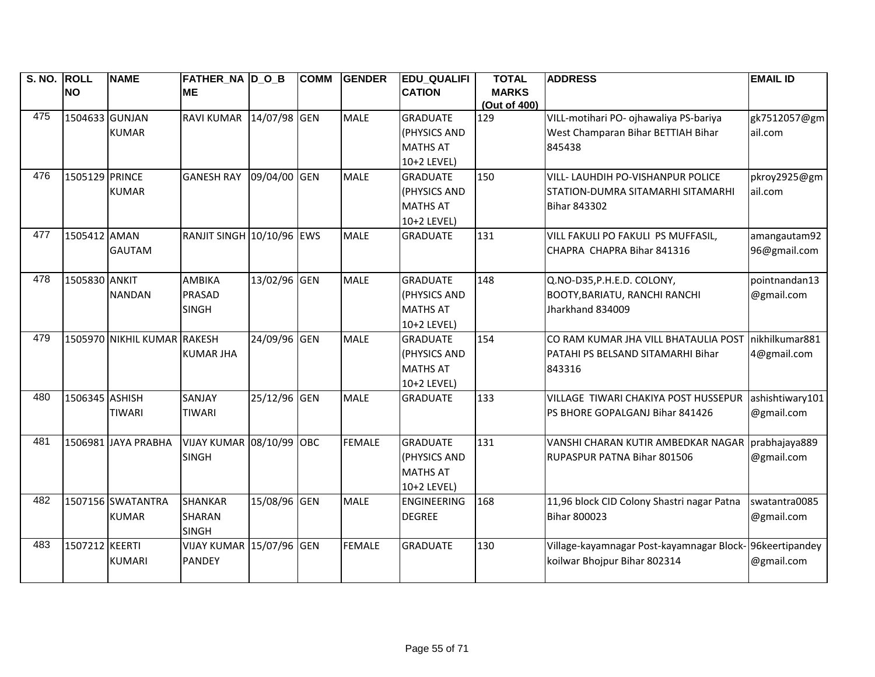| S. NO. ROLL |                | <b>NAME</b>                 | <b>FATHER_NA D_O_B</b>      |              | <b>COMM</b> | <b>GENDER</b> | <b>EDU QUALIFI</b> | <b>TOTAL</b>        | <b>ADDRESS</b>                                          | <b>EMAIL ID</b> |
|-------------|----------------|-----------------------------|-----------------------------|--------------|-------------|---------------|--------------------|---------------------|---------------------------------------------------------|-----------------|
|             | <b>NO</b>      |                             | <b>ME</b>                   |              |             |               | <b>CATION</b>      | <b>MARKS</b>        |                                                         |                 |
| 475         | 1504633 GUNJAN |                             | RAVI KUMAR 14/07/98 GEN     |              |             | <b>MALE</b>   | <b>GRADUATE</b>    | (Out of 400)<br>129 | VILL-motihari PO- ojhawaliya PS-bariya                  | gk7512057@gm    |
|             |                | <b>KUMAR</b>                |                             |              |             |               | (PHYSICS AND       |                     | West Champaran Bihar BETTIAH Bihar                      | ail.com         |
|             |                |                             |                             |              |             |               | <b>MATHS AT</b>    |                     | 845438                                                  |                 |
|             |                |                             |                             |              |             |               | 10+2 LEVEL)        |                     |                                                         |                 |
| 476         | 1505129 PRINCE |                             | <b>GANESH RAY</b>           | 09/04/00     | GEN         | <b>MALE</b>   | <b>GRADUATE</b>    | 150                 | VILL- LAUHDIH PO-VISHANPUR POLICE                       | pkroy2925@gm    |
|             |                | <b>KUMAR</b>                |                             |              |             |               | (PHYSICS AND       |                     | STATION-DUMRA SITAMARHI SITAMARHI                       | ail.com         |
|             |                |                             |                             |              |             |               | <b>MATHS AT</b>    |                     | <b>Bihar 843302</b>                                     |                 |
|             |                |                             |                             |              |             |               | 10+2 LEVEL)        |                     |                                                         |                 |
| 477         | 1505412 AMAN   |                             | RANJIT SINGH 10/10/96 EWS   |              |             | <b>MALE</b>   | <b>GRADUATE</b>    | 131                 | VILL FAKULI PO FAKULI PS MUFFASIL,                      | amangautam92    |
|             |                | <b>GAUTAM</b>               |                             |              |             |               |                    |                     | CHAPRA CHAPRA Bihar 841316                              | 96@gmail.com    |
|             |                |                             |                             |              |             |               |                    |                     |                                                         |                 |
| 478         | 1505830 ANKIT  |                             | AMBIKA                      | 13/02/96 GEN |             | <b>MALE</b>   | <b>GRADUATE</b>    | 148                 | Q.NO-D35, P.H.E.D. COLONY,                              | pointnandan13   |
|             |                | <b>NANDAN</b>               | <b>PRASAD</b>               |              |             |               | (PHYSICS AND       |                     | <b>BOOTY, BARIATU, RANCHI RANCHI</b>                    | @gmail.com      |
|             |                |                             | <b>SINGH</b>                |              |             |               | <b>MATHS AT</b>    |                     | Jharkhand 834009                                        |                 |
|             |                |                             |                             |              |             |               | 10+2 LEVEL)        |                     |                                                         |                 |
| 479         |                | 1505970 NIKHIL KUMAR RAKESH |                             | 24/09/96 GEN |             | MALE          | <b>GRADUATE</b>    | 154                 | CO RAM KUMAR JHA VILL BHATAULIA POST                    | nikhilkumar881  |
|             |                |                             | <b>KUMAR JHA</b>            |              |             |               | (PHYSICS AND       |                     | PATAHI PS BELSAND SITAMARHI Bihar                       | 4@gmail.com     |
|             |                |                             |                             |              |             |               | <b>MATHS AT</b>    |                     | 843316                                                  |                 |
|             |                |                             |                             |              |             |               | 10+2 LEVEL)        |                     |                                                         |                 |
| 480         | 1506345 ASHISH |                             | SANJAY                      | 25/12/96 GEN |             | <b>MALE</b>   | <b>GRADUATE</b>    | 133                 | VILLAGE TIWARI CHAKIYA POST HUSSEPUR                    | ashishtiwary101 |
|             |                | <b>TIWARI</b>               | <b>TIWARI</b>               |              |             |               |                    |                     | PS BHORE GOPALGANJ Bihar 841426                         | @gmail.com      |
|             |                |                             |                             |              |             |               |                    |                     |                                                         |                 |
| 481         |                | 1506981 JAYA PRABHA         | <b>VIJAY KUMAR 08/10/99</b> |              | OBC         | <b>FEMALE</b> | <b>GRADUATE</b>    | 131                 | VANSHI CHARAN KUTIR AMBEDKAR NAGAR                      | prabhajaya889   |
|             |                |                             | <b>SINGH</b>                |              |             |               | (PHYSICS AND       |                     | RUPASPUR PATNA Bihar 801506                             | @gmail.com      |
|             |                |                             |                             |              |             |               | <b>MATHS AT</b>    |                     |                                                         |                 |
|             |                |                             |                             |              |             |               | 10+2 LEVEL)        |                     |                                                         |                 |
| 482         |                | 1507156 SWATANTRA           | <b>SHANKAR</b>              | 15/08/96 GEN |             | <b>MALE</b>   | <b>ENGINEERING</b> | 168                 | 11,96 block CID Colony Shastri nagar Patna              | swatantra0085   |
|             |                | <b>KUMAR</b>                | <b>SHARAN</b>               |              |             |               | <b>DEGREE</b>      |                     | <b>Bihar 800023</b>                                     | @gmail.com      |
|             |                |                             | <b>SINGH</b>                |              |             |               |                    |                     |                                                         |                 |
| 483         | 1507212 KEERTI |                             | VIJAY KUMAR 15/07/96 GEN    |              |             | <b>FEMALE</b> | <b>GRADUATE</b>    | 130                 | Village-kayamnagar Post-kayamnagar Block-96keertipandey |                 |
|             |                | <b>KUMARI</b>               | <b>PANDEY</b>               |              |             |               |                    |                     | koilwar Bhojpur Bihar 802314                            | @gmail.com      |
|             |                |                             |                             |              |             |               |                    |                     |                                                         |                 |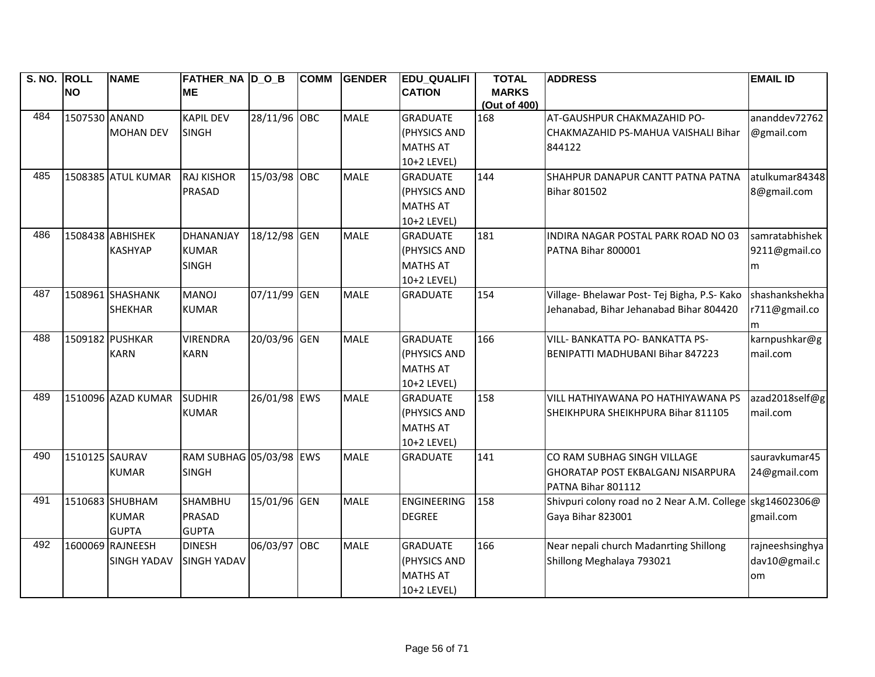| S. NO. ROLL | <b>NO</b>      | <b>NAME</b>        | FATHER NA D O B<br><b>ME</b> |              | <b>COMM</b> | <b>GENDER</b> | <b>EDU QUALIFI</b><br><b>CATION</b> | <b>TOTAL</b><br><b>MARKS</b> | <b>ADDRESS</b>                               | <b>EMAIL ID</b> |
|-------------|----------------|--------------------|------------------------------|--------------|-------------|---------------|-------------------------------------|------------------------------|----------------------------------------------|-----------------|
|             |                |                    |                              |              |             |               |                                     | (Out of 400)                 |                                              |                 |
| 484         | 1507530 ANAND  |                    | <b>KAPIL DEV</b>             | 28/11/96 OBC |             | <b>MALE</b>   | <b>GRADUATE</b>                     | 168                          | AT-GAUSHPUR CHAKMAZAHID PO-                  | ananddev72762   |
|             |                | <b>MOHAN DEV</b>   | <b>SINGH</b>                 |              |             |               | (PHYSICS AND                        |                              | CHAKMAZAHID PS-MAHUA VAISHALI Bihar          | @gmail.com      |
|             |                |                    |                              |              |             |               | <b>MATHS AT</b>                     |                              | 844122                                       |                 |
|             |                |                    |                              |              |             |               | 10+2 LEVEL)                         |                              |                                              |                 |
| 485         |                | 1508385 ATUL KUMAR | <b>RAJ KISHOR</b>            | 15/03/98 OBC |             | <b>MALE</b>   | <b>GRADUATE</b>                     | 144                          | SHAHPUR DANAPUR CANTT PATNA PATNA            | atulkumar84348  |
|             |                |                    | <b>PRASAD</b>                |              |             |               | (PHYSICS AND                        |                              | <b>Bihar 801502</b>                          | 8@gmail.com     |
|             |                |                    |                              |              |             |               | <b>MATHS AT</b>                     |                              |                                              |                 |
|             |                |                    |                              |              |             |               | 10+2 LEVEL)                         |                              |                                              |                 |
| 486         |                | 1508438 ABHISHEK   | DHANANJAY                    | 18/12/98 GEN |             | <b>MALE</b>   | <b>GRADUATE</b>                     | 181                          | INDIRA NAGAR POSTAL PARK ROAD NO 03          | samratabhishek  |
|             |                | <b>KASHYAP</b>     | <b>KUMAR</b>                 |              |             |               | (PHYSICS AND                        |                              | PATNA Bihar 800001                           | 9211@gmail.co   |
|             |                |                    | <b>SINGH</b>                 |              |             |               | <b>MATHS AT</b>                     |                              |                                              | m               |
|             |                |                    |                              |              |             |               | 10+2 LEVEL)                         |                              |                                              |                 |
| 487         |                | 1508961 SHASHANK   | <b>MANOJ</b>                 | 07/11/99 GEN |             | <b>MALE</b>   | <b>GRADUATE</b>                     | 154                          | Village- Bhelawar Post- Tej Bigha, P.S- Kako | shashankshekha  |
|             |                | <b>SHEKHAR</b>     | <b>KUMAR</b>                 |              |             |               |                                     |                              | Jehanabad, Bihar Jehanabad Bihar 804420      | r711@gmail.co   |
|             |                |                    |                              |              |             |               |                                     |                              |                                              | m               |
| 488         |                | 1509182 PUSHKAR    | <b>VIRENDRA</b>              | 20/03/96 GEN |             | <b>MALE</b>   | <b>GRADUATE</b>                     | 166                          | VILL- BANKATTA PO- BANKATTA PS-              | karnpushkar@g   |
|             |                | <b>KARN</b>        | <b>KARN</b>                  |              |             |               | (PHYSICS AND                        |                              | BENIPATTI MADHUBANI Bihar 847223             | mail.com        |
|             |                |                    |                              |              |             |               | <b>MATHS AT</b>                     |                              |                                              |                 |
|             |                |                    |                              |              |             |               | 10+2 LEVEL)                         |                              |                                              |                 |
| 489         |                | 1510096 AZAD KUMAR | <b>SUDHIR</b>                | 26/01/98 EWS |             | <b>MALE</b>   | <b>GRADUATE</b>                     | 158                          | VILL HATHIYAWANA PO HATHIYAWANA PS           | azad2018self@g  |
|             |                |                    | <b>KUMAR</b>                 |              |             |               | (PHYSICS AND                        |                              | SHEIKHPURA SHEIKHPURA Bihar 811105           | mail.com        |
|             |                |                    |                              |              |             |               | <b>MATHS AT</b>                     |                              |                                              |                 |
|             |                |                    |                              |              |             |               | 10+2 LEVEL)                         |                              |                                              |                 |
| 490         | 1510125 SAURAV |                    | RAM SUBHAG 05/03/98 EWS      |              |             | <b>MALE</b>   | <b>GRADUATE</b>                     | 141                          | CO RAM SUBHAG SINGH VILLAGE                  | sauravkumar45   |
|             |                | <b>KUMAR</b>       | <b>SINGH</b>                 |              |             |               |                                     |                              | <b>GHORATAP POST EKBALGANJ NISARPURA</b>     | 24@gmail.com    |
|             |                |                    |                              |              |             |               |                                     |                              | PATNA Bihar 801112                           |                 |
| 491         |                | 1510683 SHUBHAM    | <b>SHAMBHU</b>               | 15/01/96 GEN |             | <b>MALE</b>   | <b>ENGINEERING</b>                  | 158                          | Shivpuri colony road no 2 Near A.M. College  | skg14602306@    |
|             |                | <b>KUMAR</b>       | <b>PRASAD</b>                |              |             |               | <b>DEGREE</b>                       |                              | Gaya Bihar 823001                            | gmail.com       |
|             |                | <b>GUPTA</b>       | <b>GUPTA</b>                 |              |             |               |                                     |                              |                                              |                 |
| 492         |                | 1600069 RAJNEESH   | <b>DINESH</b>                | 06/03/97     | OBC         | <b>MALE</b>   | <b>GRADUATE</b>                     | 166                          | Near nepali church Madanrting Shillong       | rajneeshsinghya |
|             |                | <b>SINGH YADAV</b> | <b>SINGH YADAV</b>           |              |             |               | (PHYSICS AND                        |                              | Shillong Meghalaya 793021                    | dav10@gmail.c   |
|             |                |                    |                              |              |             |               | <b>MATHS AT</b>                     |                              |                                              | om              |
|             |                |                    |                              |              |             |               | 10+2 LEVEL)                         |                              |                                              |                 |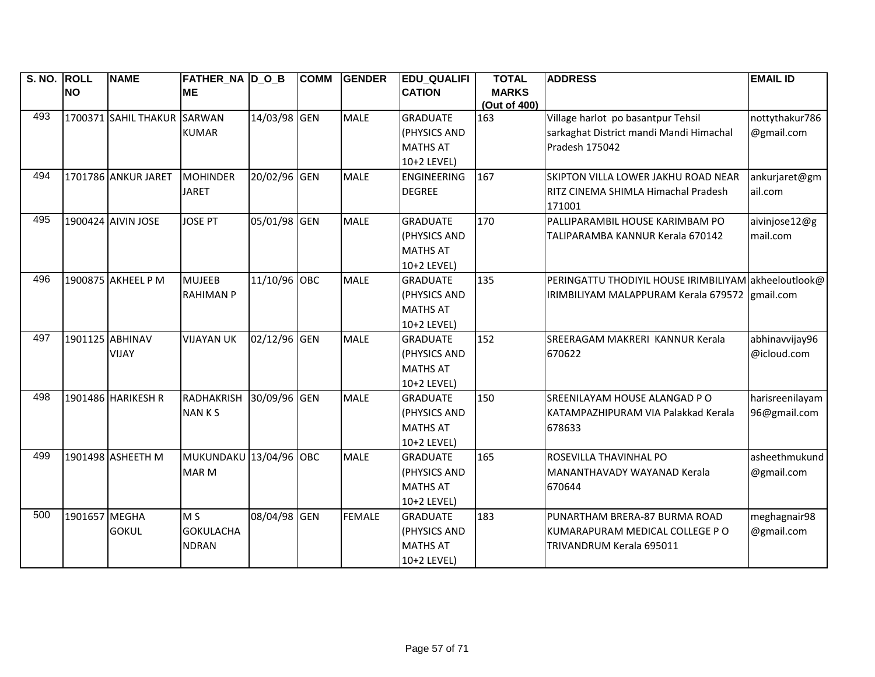| S. NO. ROLL |               | <b>NAME</b>                 | <b>FATHER_NA D_O_B</b> |              | <b>COMM</b> | <b>GENDER</b> | <b>EDU_QUALIFI</b> | <b>TOTAL</b> | <b>ADDRESS</b>                                       | <b>EMAIL ID</b> |
|-------------|---------------|-----------------------------|------------------------|--------------|-------------|---------------|--------------------|--------------|------------------------------------------------------|-----------------|
|             | <b>NO</b>     |                             | <b>ME</b>              |              |             |               | <b>CATION</b>      | <b>MARKS</b> |                                                      |                 |
|             |               |                             |                        |              |             |               |                    | (Out of 400) |                                                      |                 |
| 493         |               | 1700371 SAHIL THAKUR SARWAN |                        | 14/03/98 GEN |             | <b>MALE</b>   | <b>GRADUATE</b>    | 163          | Village harlot po basantpur Tehsil                   | nottythakur786  |
|             |               |                             | <b>KUMAR</b>           |              |             |               | (PHYSICS AND       |              | sarkaghat District mandi Mandi Himachal              | @gmail.com      |
|             |               |                             |                        |              |             |               | <b>MATHS AT</b>    |              | Pradesh 175042                                       |                 |
|             |               |                             |                        |              |             |               | 10+2 LEVEL)        |              |                                                      |                 |
| 494         |               | 1701786 ANKUR JARET         | MOHINDER               | 20/02/96 GEN |             | <b>MALE</b>   | <b>ENGINEERING</b> | 167          | SKIPTON VILLA LOWER JAKHU ROAD NEAR                  | ankurjaret@gm   |
|             |               |                             | <b>JARET</b>           |              |             |               | <b>DEGREE</b>      |              | RITZ CINEMA SHIMLA Himachal Pradesh                  | ail.com         |
|             |               |                             |                        |              |             |               |                    |              | 171001                                               |                 |
| 495         |               | 1900424 AIVIN JOSE          | <b>JOSE PT</b>         | 05/01/98 GEN |             | <b>MALE</b>   | <b>GRADUATE</b>    | 170          | PALLIPARAMBIL HOUSE KARIMBAM PO                      | aivinjose12@g   |
|             |               |                             |                        |              |             |               | (PHYSICS AND       |              | TALIPARAMBA KANNUR Kerala 670142                     | mail.com        |
|             |               |                             |                        |              |             |               | <b>MATHS AT</b>    |              |                                                      |                 |
|             |               |                             |                        |              |             |               | 10+2 LEVEL)        |              |                                                      |                 |
| 496         |               | 1900875 AKHEEL P M          | <b>MUJEEB</b>          | 11/10/96 OBC |             | <b>MALE</b>   | <b>GRADUATE</b>    | 135          | PERINGATTU THODIYIL HOUSE IRIMBILIYAM akheeloutlook@ |                 |
|             |               |                             | <b>RAHIMAN P</b>       |              |             |               | (PHYSICS AND       |              | IRIMBILIYAM MALAPPURAM Kerala 679572 gmail.com       |                 |
|             |               |                             |                        |              |             |               | <b>MATHS AT</b>    |              |                                                      |                 |
|             |               |                             |                        |              |             |               | 10+2 LEVEL)        |              |                                                      |                 |
| 497         |               | 1901125 ABHINAV             | <b>VIJAYAN UK</b>      | 02/12/96 GEN |             | <b>MALE</b>   | <b>GRADUATE</b>    | 152          | SREERAGAM MAKRERI KANNUR Kerala                      | abhinavvijay96  |
|             |               | <b>VIJAY</b>                |                        |              |             |               | (PHYSICS AND       |              | 670622                                               | @icloud.com     |
|             |               |                             |                        |              |             |               | <b>MATHS AT</b>    |              |                                                      |                 |
|             |               |                             |                        |              |             |               | 10+2 LEVEL)        |              |                                                      |                 |
| 498         |               | 1901486 HARIKESH R          | RADHAKRISH             | 30/09/96 GEN |             | <b>MALE</b>   | <b>GRADUATE</b>    | 150          | SREENILAYAM HOUSE ALANGAD PO                         | harisreenilayam |
|             |               |                             | <b>NANKS</b>           |              |             |               | (PHYSICS AND       |              | KATAMPAZHIPURAM VIA Palakkad Kerala                  | 96@gmail.com    |
|             |               |                             |                        |              |             |               | <b>MATHS AT</b>    |              | 678633                                               |                 |
|             |               |                             |                        |              |             |               | 10+2 LEVEL)        |              |                                                      |                 |
| 499         |               | 1901498 ASHEETH M           | MUKUNDAKU 13/04/96 OBC |              |             | <b>MALE</b>   | <b>GRADUATE</b>    | 165          | ROSEVILLA THAVINHAL PO                               | asheethmukund   |
|             |               |                             | <b>MAR M</b>           |              |             |               | (PHYSICS AND       |              | MANANTHAVADY WAYANAD Kerala                          | @gmail.com      |
|             |               |                             |                        |              |             |               | <b>MATHS AT</b>    |              | 670644                                               |                 |
|             |               |                             |                        |              |             |               | 10+2 LEVEL)        |              |                                                      |                 |
| 500         | 1901657 MEGHA |                             | M <sub>S</sub>         | 08/04/98 GEN |             | <b>FEMALE</b> | <b>GRADUATE</b>    | 183          | PUNARTHAM BRERA-87 BURMA ROAD                        | meghagnair98    |
|             |               | <b>GOKUL</b>                | <b>GOKULACHA</b>       |              |             |               | (PHYSICS AND       |              | KUMARAPURAM MEDICAL COLLEGE P O                      | @gmail.com      |
|             |               |                             | <b>NDRAN</b>           |              |             |               | <b>MATHS AT</b>    |              | TRIVANDRUM Kerala 695011                             |                 |
|             |               |                             |                        |              |             |               | 10+2 LEVEL)        |              |                                                      |                 |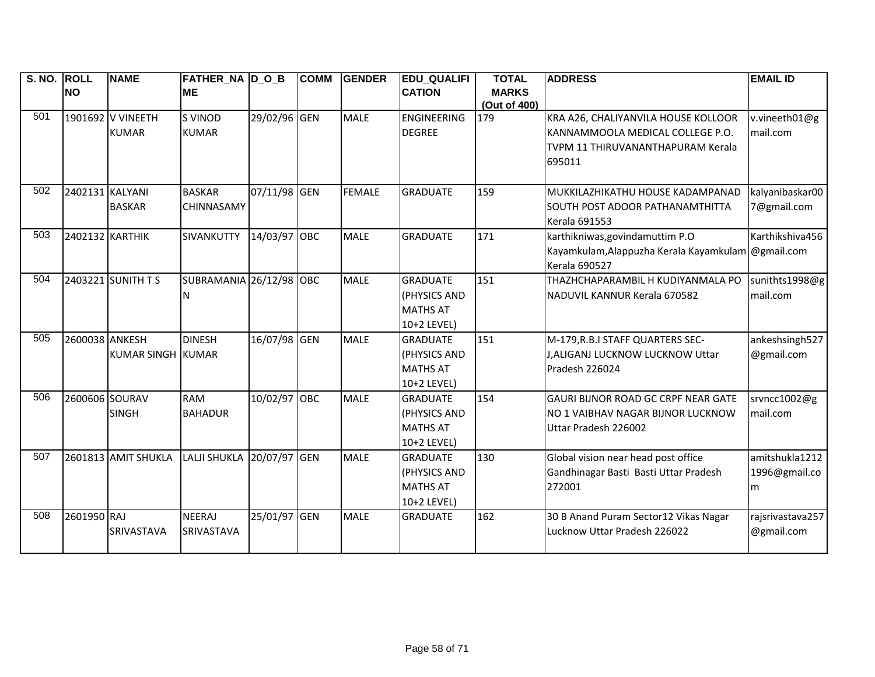| S. NO. | ROLL            | <b>NAME</b>         | <b>FATHER_NA D_O_B</b> |              | <b>COMM</b> | <b>GENDER</b> | <b>EDU_QUALIFI</b> | <b>TOTAL</b>        | <b>ADDRESS</b>                                     | <b>EMAIL ID</b>   |
|--------|-----------------|---------------------|------------------------|--------------|-------------|---------------|--------------------|---------------------|----------------------------------------------------|-------------------|
|        | <b>NO</b>       |                     | <b>ME</b>              |              |             |               | <b>CATION</b>      | <b>MARKS</b>        |                                                    |                   |
| 501    |                 | 1901692 V VINEETH   | <b>S VINOD</b>         | 29/02/96 GEN |             | <b>MALE</b>   | <b>ENGINEERING</b> | (Out of 400)<br>179 | KRA A26, CHALIYANVILA HOUSE KOLLOOR                | v.vineeth01@g     |
|        |                 | <b>KUMAR</b>        | <b>KUMAR</b>           |              |             |               | <b>DEGREE</b>      |                     | KANNAMMOOLA MEDICAL COLLEGE P.O.                   | mail.com          |
|        |                 |                     |                        |              |             |               |                    |                     | TVPM 11 THIRUVANANTHAPURAM Kerala                  |                   |
|        |                 |                     |                        |              |             |               |                    |                     | 695011                                             |                   |
|        |                 |                     |                        |              |             |               |                    |                     |                                                    |                   |
| 502    | 2402131 KALYANI |                     | <b>BASKAR</b>          | 07/11/98 GEN |             | <b>FEMALE</b> | <b>GRADUATE</b>    | 159                 | MUKKILAZHIKATHU HOUSE KADAMPANAD                   | kalyanibaskar00   |
|        |                 | <b>BASKAR</b>       | <b>CHINNASAMY</b>      |              |             |               |                    |                     | SOUTH POST ADOOR PATHANAMTHITTA                    | 7@gmail.com       |
|        |                 |                     |                        |              |             |               |                    |                     | <b>Kerala 691553</b>                               |                   |
| 503    | 2402132 KARTHIK |                     | SIVANKUTTY             | 14/03/97 OBC |             | <b>MALE</b>   | <b>GRADUATE</b>    | 171                 | karthikniwas, govindamuttim P.O                    | Karthikshiva456   |
|        |                 |                     |                        |              |             |               |                    |                     | Kayamkulam, Alappuzha Kerala Kayamkulam @gmail.com |                   |
|        |                 |                     |                        |              |             |               |                    |                     | <b>Kerala 690527</b>                               |                   |
| 504    |                 | 2403221 SUNITH T S  | <b>SUBRAMANIA</b>      | 26/12/98 OBC |             | <b>MALE</b>   | <b>GRADUATE</b>    | 151                 | THAZHCHAPARAMBIL H KUDIYANMALA PO                  | sunithts1998@g    |
|        |                 |                     | ΙN                     |              |             |               | (PHYSICS AND       |                     | NADUVIL KANNUR Kerala 670582                       | mail.com          |
|        |                 |                     |                        |              |             |               | <b>MATHS AT</b>    |                     |                                                    |                   |
|        |                 |                     |                        |              |             |               | 10+2 LEVEL)        |                     |                                                    |                   |
| 505    | 2600038 ANKESH  |                     | <b>DINESH</b>          | 16/07/98 GEN |             | <b>MALE</b>   | <b>GRADUATE</b>    | 151                 | M-179, R.B.I STAFF QUARTERS SEC-                   | ankeshsingh527    |
|        |                 | KUMAR SINGH KUMAR   |                        |              |             |               | (PHYSICS AND       |                     | J, ALIGANJ LUCKNOW LUCKNOW Uttar                   | @gmail.com        |
|        |                 |                     |                        |              |             |               | <b>MATHS AT</b>    |                     | Pradesh 226024                                     |                   |
|        |                 |                     |                        |              |             |               | 10+2 LEVEL)        |                     |                                                    |                   |
| 506    | 2600606 SOURAV  |                     | <b>RAM</b>             | 10/02/97 OBC |             | <b>MALE</b>   | <b>GRADUATE</b>    | 154                 | <b>GAURI BIJNOR ROAD GC CRPF NEAR GATE</b>         | srvncc1002@g      |
|        |                 | <b>SINGH</b>        | <b>BAHADUR</b>         |              |             |               | (PHYSICS AND       |                     | <b>NO 1 VAIBHAV NAGAR BIJNOR LUCKNOW</b>           | mail.com          |
|        |                 |                     |                        |              |             |               | <b>MATHS AT</b>    |                     | Uttar Pradesh 226002                               |                   |
|        |                 |                     |                        |              |             |               | 10+2 LEVEL)        |                     |                                                    |                   |
| 507    |                 | 2601813 AMIT SHUKLA | LALJI SHUKLA           | 20/07/97 GEN |             | <b>MALE</b>   | <b>GRADUATE</b>    | 130                 | Global vision near head post office                | amitshukla1212    |
|        |                 |                     |                        |              |             |               | (PHYSICS AND       |                     | Gandhinagar Basti Basti Uttar Pradesh              | 1996@gmail.co     |
|        |                 |                     |                        |              |             |               | <b>MATHS AT</b>    |                     | 272001                                             | m                 |
|        |                 |                     |                        |              |             |               | 10+2 LEVEL)        |                     |                                                    |                   |
| 508    | 2601950 RAJ     |                     | <b>NEERAJ</b>          | 25/01/97 GEN |             | <b>MALE</b>   | <b>GRADUATE</b>    | 162                 | 30 B Anand Puram Sector12 Vikas Nagar              | rajsrivastava 257 |
|        |                 | SRIVASTAVA          | <b>SRIVASTAVA</b>      |              |             |               |                    |                     | Lucknow Uttar Pradesh 226022                       | @gmail.com        |
|        |                 |                     |                        |              |             |               |                    |                     |                                                    |                   |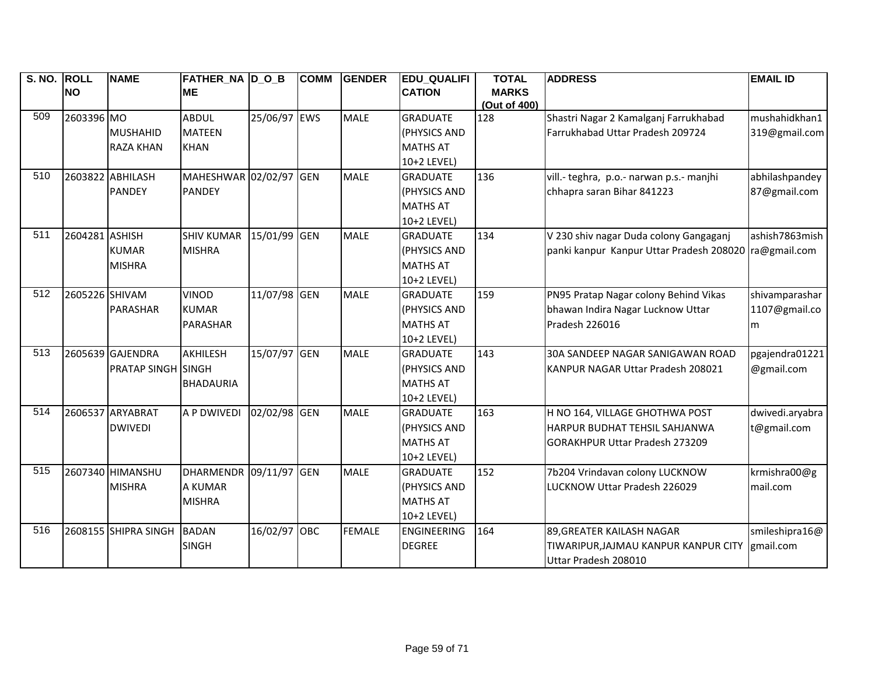| S. NO. ROLL |                | <b>NAME</b>               | FATHER_NA  D_O_B       |              | <b>COMM</b> | <b>GENDER</b> | <b>EDU_QUALIFI</b> | <b>TOTAL</b> | <b>ADDRESS</b>                                        | <b>EMAIL ID</b> |
|-------------|----------------|---------------------------|------------------------|--------------|-------------|---------------|--------------------|--------------|-------------------------------------------------------|-----------------|
|             | <b>NO</b>      |                           | <b>ME</b>              |              |             |               | <b>CATION</b>      | <b>MARKS</b> |                                                       |                 |
|             |                |                           |                        |              |             |               |                    | (Out of 400) |                                                       |                 |
| 509         | 2603396 MO     |                           | <b>ABDUL</b>           | 25/06/97 EWS |             | <b>MALE</b>   | <b>GRADUATE</b>    | 128          | Shastri Nagar 2 Kamalganj Farrukhabad                 | mushahidkhan1   |
|             |                | <b>MUSHAHID</b>           | <b>MATEEN</b>          |              |             |               | (PHYSICS AND       |              | Farrukhabad Uttar Pradesh 209724                      | 319@gmail.com   |
|             |                | <b>RAZA KHAN</b>          | <b>KHAN</b>            |              |             |               | <b>MATHS AT</b>    |              |                                                       |                 |
|             |                |                           |                        |              |             |               | 10+2 LEVEL)        |              |                                                       |                 |
| 510         |                | 2603822 ABHILASH          | MAHESHWAR 02/02/97 GEN |              |             | <b>MALE</b>   | <b>GRADUATE</b>    | 136          | vill .- teghra, p.o.- narwan p.s.- manjhi             | abhilashpandey  |
|             |                | <b>PANDEY</b>             | <b>PANDEY</b>          |              |             |               | (PHYSICS AND       |              | chhapra saran Bihar 841223                            | 87@gmail.com    |
|             |                |                           |                        |              |             |               | <b>MATHS AT</b>    |              |                                                       |                 |
|             |                |                           |                        |              |             |               | 10+2 LEVEL)        |              |                                                       |                 |
| 511         | 2604281 ASHISH |                           | <b>SHIV KUMAR</b>      | 15/01/99 GEN |             | <b>MALE</b>   | <b>GRADUATE</b>    | 134          | V 230 shiv nagar Duda colony Gangaganj                | ashish7863mish  |
|             |                | <b>KUMAR</b>              | <b>MISHRA</b>          |              |             |               | (PHYSICS AND       |              | panki kanpur Kanpur Uttar Pradesh 208020 ra@gmail.com |                 |
|             |                | <b>MISHRA</b>             |                        |              |             |               | <b>MATHS AT</b>    |              |                                                       |                 |
|             |                |                           |                        |              |             |               | 10+2 LEVEL)        |              |                                                       |                 |
| 512         | 2605226 SHIVAM |                           | <b>VINOD</b>           | 11/07/98 GEN |             | <b>MALE</b>   | <b>GRADUATE</b>    | 159          | PN95 Pratap Nagar colony Behind Vikas                 | shivamparashar  |
|             |                | PARASHAR                  | <b>KUMAR</b>           |              |             |               | (PHYSICS AND       |              | bhawan Indira Nagar Lucknow Uttar                     | 1107@gmail.co   |
|             |                |                           | PARASHAR               |              |             |               | <b>MATHS AT</b>    |              | Pradesh 226016                                        | m               |
|             |                |                           |                        |              |             |               | 10+2 LEVEL)        |              |                                                       |                 |
| 513         |                | 2605639 GAJENDRA          | <b>AKHILESH</b>        | 15/07/97 GEN |             | <b>MALE</b>   | <b>GRADUATE</b>    | 143          | 30A SANDEEP NAGAR SANIGAWAN ROAD                      | pgajendra01221  |
|             |                | <b>PRATAP SINGH SINGH</b> |                        |              |             |               | (PHYSICS AND       |              | KANPUR NAGAR Uttar Pradesh 208021                     | @gmail.com      |
|             |                |                           | <b>BHADAURIA</b>       |              |             |               | <b>MATHS AT</b>    |              |                                                       |                 |
|             |                |                           |                        |              |             |               | 10+2 LEVEL)        |              |                                                       |                 |
| 514         |                | 2606537 ARYABRAT          | <b>A P DWIVEDI</b>     | 02/02/98 GEN |             | <b>MALE</b>   | <b>GRADUATE</b>    | 163          | H NO 164, VILLAGE GHOTHWA POST                        | dwivedi.aryabra |
|             |                | <b>DWIVEDI</b>            |                        |              |             |               | (PHYSICS AND       |              | HARPUR BUDHAT TEHSIL SAHJANWA                         | t@gmail.com     |
|             |                |                           |                        |              |             |               | <b>MATHS AT</b>    |              | <b>GORAKHPUR Uttar Pradesh 273209</b>                 |                 |
|             |                |                           |                        |              |             |               | 10+2 LEVEL)        |              |                                                       |                 |
| 515         |                | 2607340 HIMANSHU          | <b>DHARMENDR</b>       | 09/11/97 GEN |             | <b>MALE</b>   | <b>GRADUATE</b>    | 152          | 7b204 Vrindavan colony LUCKNOW                        | krmishra00@g    |
|             |                | <b>MISHRA</b>             | A KUMAR                |              |             |               | (PHYSICS AND       |              | LUCKNOW Uttar Pradesh 226029                          | mail.com        |
|             |                |                           | <b>MISHRA</b>          |              |             |               | <b>MATHS AT</b>    |              |                                                       |                 |
|             |                |                           |                        |              |             |               | 10+2 LEVEL)        |              |                                                       |                 |
| 516         |                | 2608155 SHIPRA SINGH      | <b>BADAN</b>           | 16/02/97 OBC |             | <b>FEMALE</b> | ENGINEERING        | 164          | 89, GREATER KAILASH NAGAR                             | smileshipra16@  |
|             |                |                           | <b>SINGH</b>           |              |             |               | <b>DEGREE</b>      |              | TIWARIPUR, JAJMAU KANPUR KANPUR CITY                  | gmail.com       |
|             |                |                           |                        |              |             |               |                    |              | Uttar Pradesh 208010                                  |                 |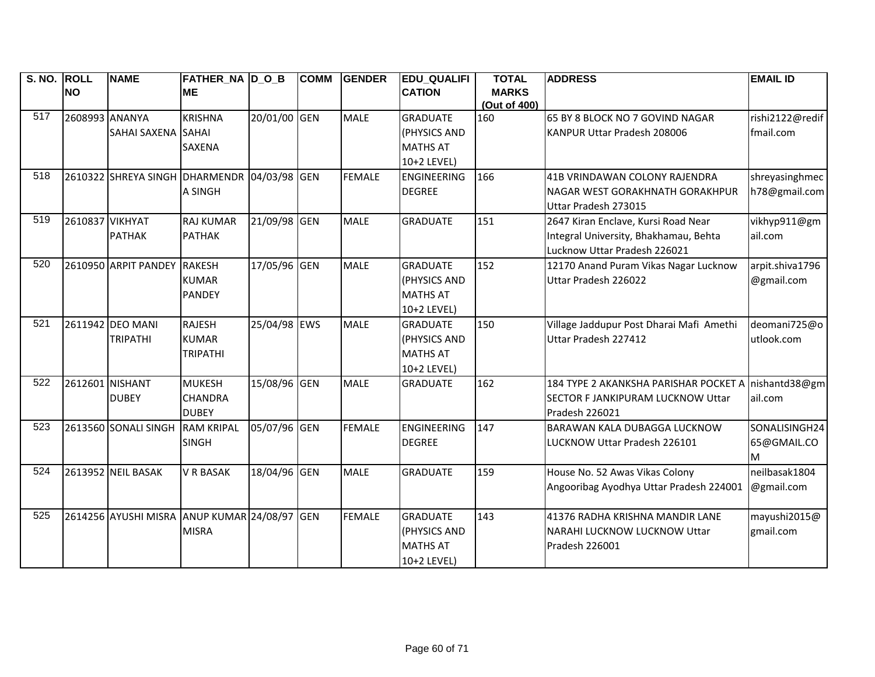| S. NO. ROLL |                 | <b>NAME</b>                                  | FATHER_NA  D_O_B  |              | <b>COMM</b> | <b>GENDER</b> | <b>EDU_QUALIFI</b> | <b>TOTAL</b> | <b>ADDRESS</b>                                      | <b>EMAIL ID</b> |
|-------------|-----------------|----------------------------------------------|-------------------|--------------|-------------|---------------|--------------------|--------------|-----------------------------------------------------|-----------------|
|             | <b>NO</b>       |                                              | <b>ME</b>         |              |             |               | <b>CATION</b>      | <b>MARKS</b> |                                                     |                 |
|             |                 |                                              |                   |              |             |               |                    | (Out of 400) |                                                     |                 |
| 517         | 2608993 ANANYA  |                                              | <b>KRISHNA</b>    | 20/01/00 GEN |             | <b>MALE</b>   | <b>GRADUATE</b>    | 160          | 65 BY 8 BLOCK NO 7 GOVIND NAGAR                     | rishi2122@redif |
|             |                 | SAHAI SAXENA SAHAI                           |                   |              |             |               | (PHYSICS AND       |              | KANPUR Uttar Pradesh 208006                         | fmail.com       |
|             |                 |                                              | <b>SAXENA</b>     |              |             |               | <b>MATHS AT</b>    |              |                                                     |                 |
|             |                 |                                              |                   |              |             |               | 10+2 LEVEL)        |              |                                                     |                 |
| 518         |                 | 2610322 SHREYA SINGH DHARMENDR 04/03/98 GEN  |                   |              |             | <b>FEMALE</b> | <b>ENGINEERING</b> | 166          | 41B VRINDAWAN COLONY RAJENDRA                       | shreyasinghmec  |
|             |                 |                                              | A SINGH           |              |             |               | <b>DEGREE</b>      |              | NAGAR WEST GORAKHNATH GORAKHPUR                     | h78@gmail.com   |
|             |                 |                                              |                   |              |             |               |                    |              | Uttar Pradesh 273015                                |                 |
| 519         | 2610837 VIKHYAT |                                              | <b>RAJ KUMAR</b>  | 21/09/98 GEN |             | <b>MALE</b>   | <b>GRADUATE</b>    | 151          | 2647 Kiran Enclave, Kursi Road Near                 | vikhyp911@gm    |
|             |                 | <b>PATHAK</b>                                | <b>PATHAK</b>     |              |             |               |                    |              | Integral University, Bhakhamau, Behta               | ail.com         |
|             |                 |                                              |                   |              |             |               |                    |              | Lucknow Uttar Pradesh 226021                        |                 |
| 520         |                 | 2610950 ARPIT PANDEY                         | <b>RAKESH</b>     | 17/05/96 GEN |             | <b>MALE</b>   | <b>GRADUATE</b>    | 152          | 12170 Anand Puram Vikas Nagar Lucknow               | arpit.shiva1796 |
|             |                 |                                              | <b>KUMAR</b>      |              |             |               | (PHYSICS AND       |              | Uttar Pradesh 226022                                | @gmail.com      |
|             |                 |                                              | <b>PANDEY</b>     |              |             |               | <b>MATHS AT</b>    |              |                                                     |                 |
|             |                 |                                              |                   |              |             |               | 10+2 LEVEL)        |              |                                                     |                 |
| 521         |                 | 2611942 DEO MANI                             | <b>RAJESH</b>     | 25/04/98 EWS |             | <b>MALE</b>   | <b>GRADUATE</b>    | 150          | Village Jaddupur Post Dharai Mafi Amethi            | deomani725@o    |
|             |                 | <b>TRIPATHI</b>                              | <b>KUMAR</b>      |              |             |               | (PHYSICS AND       |              | Uttar Pradesh 227412                                | utlook.com      |
|             |                 |                                              | <b>TRIPATHI</b>   |              |             |               | <b>MATHS AT</b>    |              |                                                     |                 |
|             |                 |                                              |                   |              |             |               | 10+2 LEVEL)        |              |                                                     |                 |
| 522         | 2612601 NISHANT |                                              | <b>MUKESH</b>     | 15/08/96 GEN |             | <b>MALE</b>   | <b>GRADUATE</b>    | 162          | 184 TYPE 2 AKANKSHA PARISHAR POCKET A nishantd38@gm |                 |
|             |                 | <b>DUBEY</b>                                 | <b>CHANDRA</b>    |              |             |               |                    |              | SECTOR F JANKIPURAM LUCKNOW Uttar                   | ail.com         |
|             |                 |                                              | <b>DUBEY</b>      |              |             |               |                    |              | Pradesh 226021                                      |                 |
| 523         |                 | 2613560 SONALI SINGH                         | <b>RAM KRIPAL</b> | 05/07/96 GEN |             | <b>FEMALE</b> | ENGINEERING        | 147          | <b>BARAWAN KALA DUBAGGA LUCKNOW</b>                 | SONALISINGH24   |
|             |                 |                                              | <b>SINGH</b>      |              |             |               | <b>DEGREE</b>      |              | LUCKNOW Uttar Pradesh 226101                        | 65@GMAIL.CO     |
|             |                 |                                              |                   |              |             |               |                    |              |                                                     | М               |
| 524         |                 | 2613952 NEIL BASAK                           | <b>V R BASAK</b>  | 18/04/96 GEN |             | <b>MALE</b>   | <b>GRADUATE</b>    | 159          | House No. 52 Awas Vikas Colony                      | neilbasak1804   |
|             |                 |                                              |                   |              |             |               |                    |              | Angooribag Ayodhya Uttar Pradesh 224001             | @gmail.com      |
|             |                 |                                              |                   |              |             |               |                    |              |                                                     |                 |
| 525         |                 | 2614256 AYUSHI MISRA ANUP KUMAR 24/08/97 GEN |                   |              |             | <b>FEMALE</b> | <b>GRADUATE</b>    | 143          | 41376 RADHA KRISHNA MANDIR LANE                     | mayushi2015@    |
|             |                 |                                              | <b>MISRA</b>      |              |             |               | (PHYSICS AND       |              | <b>NARAHI LUCKNOW LUCKNOW Uttar</b>                 | gmail.com       |
|             |                 |                                              |                   |              |             |               | <b>MATHS AT</b>    |              | Pradesh 226001                                      |                 |
|             |                 |                                              |                   |              |             |               | 10+2 LEVEL)        |              |                                                     |                 |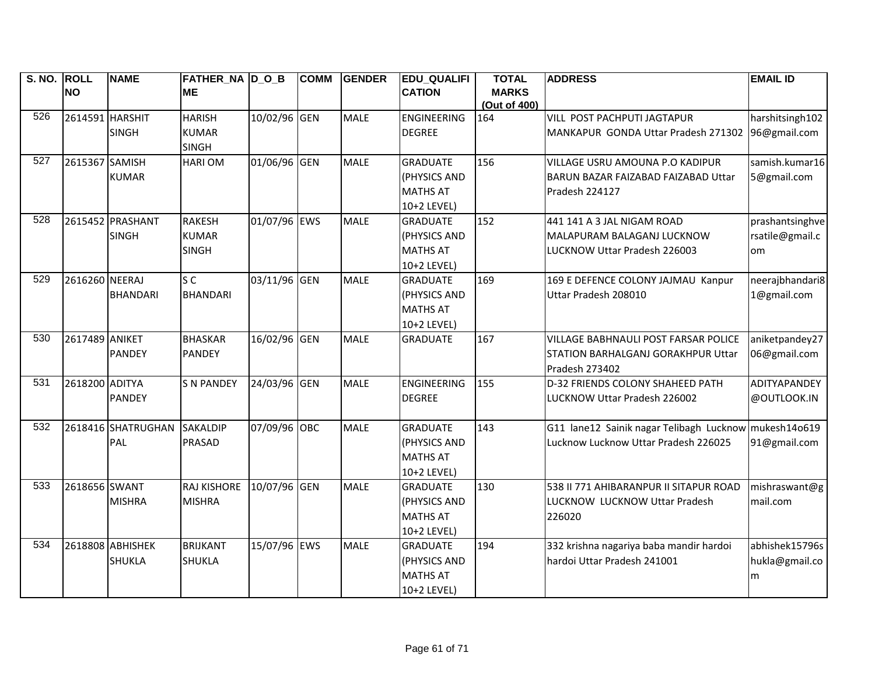| S. NO. ROLL |                 | <b>NAME</b>        | <b>FATHER_NA D_O_B</b> |              | <b>COMM</b> | <b>GENDER</b> | <b>EDU QUALIFI</b> | <b>TOTAL</b> | <b>ADDRESS</b>                                        | <b>EMAIL ID</b> |
|-------------|-----------------|--------------------|------------------------|--------------|-------------|---------------|--------------------|--------------|-------------------------------------------------------|-----------------|
|             | <b>NO</b>       |                    | <b>ME</b>              |              |             |               | <b>CATION</b>      | <b>MARKS</b> |                                                       |                 |
|             |                 |                    |                        |              |             |               |                    | (Out of 400) |                                                       |                 |
| 526         | 2614591 HARSHIT |                    | <b>HARISH</b>          | 10/02/96 GEN |             | <b>MALE</b>   | <b>ENGINEERING</b> | 164          | VILL POST PACHPUTI JAGTAPUR                           | harshitsingh102 |
|             |                 | <b>SINGH</b>       | <b>KUMAR</b>           |              |             |               | <b>DEGREE</b>      |              | MANKAPUR GONDA Uttar Pradesh 271302                   | 96@gmail.com    |
|             |                 |                    | <b>SINGH</b>           |              |             |               |                    |              |                                                       |                 |
| 527         | 2615367 SAMISH  |                    | <b>HARIOM</b>          | 01/06/96 GEN |             | <b>MALE</b>   | <b>GRADUATE</b>    | 156          | VILLAGE USRU AMOUNA P.O KADIPUR                       | samish.kumar16  |
|             |                 | <b>KUMAR</b>       |                        |              |             |               | (PHYSICS AND       |              | BARUN BAZAR FAIZABAD FAIZABAD Uttar                   | 5@gmail.com     |
|             |                 |                    |                        |              |             |               | <b>MATHS AT</b>    |              | Pradesh 224127                                        |                 |
|             |                 |                    |                        |              |             |               | 10+2 LEVEL)        |              |                                                       |                 |
| 528         |                 | 2615452 PRASHANT   | <b>RAKESH</b>          | 01/07/96 EWS |             | <b>MALE</b>   | <b>GRADUATE</b>    | 152          | 441 141 A 3 JAL NIGAM ROAD                            | prashantsinghve |
|             |                 | <b>SINGH</b>       | <b>KUMAR</b>           |              |             |               | (PHYSICS AND       |              | MALAPURAM BALAGANJ LUCKNOW                            | rsatile@gmail.c |
|             |                 |                    | <b>SINGH</b>           |              |             |               | <b>MATHS AT</b>    |              | LUCKNOW Uttar Pradesh 226003                          | om              |
|             |                 |                    |                        |              |             |               | 10+2 LEVEL)        |              |                                                       |                 |
| 529         | 2616260 NEERAJ  |                    | S <sub>C</sub>         | 03/11/96 GEN |             | <b>MALE</b>   | <b>GRADUATE</b>    | 169          | 169 E DEFENCE COLONY JAJMAU Kanpur                    | neerajbhandari8 |
|             |                 | <b>BHANDARI</b>    | <b>BHANDARI</b>        |              |             |               | (PHYSICS AND       |              | Uttar Pradesh 208010                                  | 1@gmail.com     |
|             |                 |                    |                        |              |             |               | <b>MATHS AT</b>    |              |                                                       |                 |
|             |                 |                    |                        |              |             |               | 10+2 LEVEL)        |              |                                                       |                 |
| 530         | 2617489 ANIKET  |                    | <b>BHASKAR</b>         | 16/02/96 GEN |             | <b>MALE</b>   | <b>GRADUATE</b>    | 167          | VILLAGE BABHNAULI POST FARSAR POLICE                  | aniketpandey27  |
|             |                 | <b>PANDEY</b>      | <b>PANDEY</b>          |              |             |               |                    |              | STATION BARHALGANJ GORAKHPUR Uttar                    | 06@gmail.com    |
|             |                 |                    |                        |              |             |               |                    |              | Pradesh 273402                                        |                 |
| 531         | 2618200 ADITYA  |                    | <b>S N PANDEY</b>      | 24/03/96 GEN |             | <b>MALE</b>   | <b>ENGINEERING</b> | 155          | D-32 FRIENDS COLONY SHAHEED PATH                      | ADITYAPANDEY    |
|             |                 | <b>PANDEY</b>      |                        |              |             |               | <b>DEGREE</b>      |              | LUCKNOW Uttar Pradesh 226002                          | @OUTLOOK.IN     |
|             |                 |                    |                        |              |             |               |                    |              |                                                       |                 |
| 532         |                 | 2618416 SHATRUGHAN | <b>SAKALDIP</b>        | 07/09/96 OBC |             | <b>MALE</b>   | <b>GRADUATE</b>    | 143          | G11 lane12 Sainik nagar Telibagh Lucknow mukesh14o619 |                 |
|             |                 | PAL                | <b>PRASAD</b>          |              |             |               | (PHYSICS AND       |              | Lucknow Lucknow Uttar Pradesh 226025                  | 91@gmail.com    |
|             |                 |                    |                        |              |             |               | <b>MATHS AT</b>    |              |                                                       |                 |
|             |                 |                    |                        |              |             |               | 10+2 LEVEL)        |              |                                                       |                 |
| 533         | 2618656 SWANT   |                    | RAJ KISHORE            | 10/07/96 GEN |             | <b>MALE</b>   | <b>GRADUATE</b>    | 130          | 538 II 771 AHIBARANPUR II SITAPUR ROAD                | mishraswant@g   |
|             |                 | <b>MISHRA</b>      | <b>MISHRA</b>          |              |             |               | (PHYSICS AND       |              | LUCKNOW LUCKNOW Uttar Pradesh                         | mail.com        |
|             |                 |                    |                        |              |             |               | <b>MATHS AT</b>    |              | 226020                                                |                 |
|             |                 |                    |                        |              |             |               | 10+2 LEVEL)        |              |                                                       |                 |
| 534         |                 | 2618808 ABHISHEK   | <b>BRIJKANT</b>        | 15/07/96 EWS |             | <b>MALE</b>   | <b>GRADUATE</b>    | 194          | 332 krishna nagariya baba mandir hardoi               | abhishek15796s  |
|             |                 | <b>SHUKLA</b>      | <b>SHUKLA</b>          |              |             |               | (PHYSICS AND       |              | hardoi Uttar Pradesh 241001                           | hukla@gmail.co  |
|             |                 |                    |                        |              |             |               | <b>MATHS AT</b>    |              |                                                       | m               |
|             |                 |                    |                        |              |             |               | 10+2 LEVEL)        |              |                                                       |                 |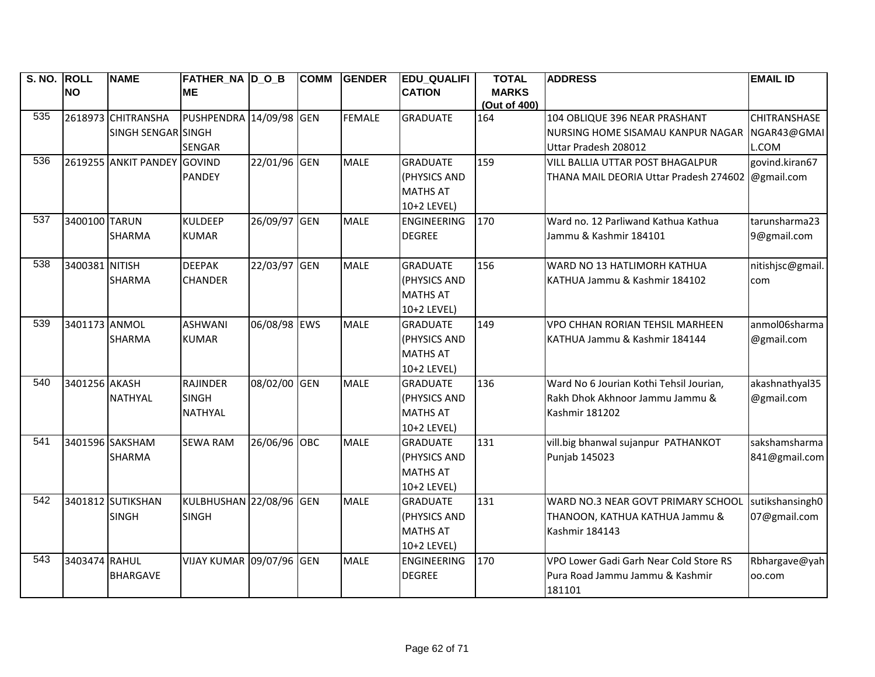| S. NO. ROLL |                | <b>NAME</b>                 | FATHER NA D O B                 |              | <b>COMM</b> | <b>GENDER</b> | <b>EDU QUALIFI</b> | <b>TOTAL</b>        | <b>ADDRESS</b>                          | <b>EMAIL ID</b>  |
|-------------|----------------|-----------------------------|---------------------------------|--------------|-------------|---------------|--------------------|---------------------|-----------------------------------------|------------------|
|             | <b>NO</b>      |                             | <b>ME</b>                       |              |             |               | <b>CATION</b>      | <b>MARKS</b>        |                                         |                  |
| 535         |                | 2618973 CHITRANSHA          | PUSHPENDRA 14/09/98 GEN         |              |             | <b>FEMALE</b> | <b>GRADUATE</b>    | (Out of 400)<br>164 | 104 OBLIQUE 396 NEAR PRASHANT           | CHITRANSHASE     |
|             |                | SINGH SENGAR SINGH          |                                 |              |             |               |                    |                     | NURSING HOME SISAMAU KANPUR NAGAR       | NGAR43@GMAI      |
|             |                |                             | <b>SENGAR</b>                   |              |             |               |                    |                     | Uttar Pradesh 208012                    | L.COM            |
| 536         |                | 2619255 ANKIT PANDEY GOVIND |                                 | 22/01/96 GEN |             | <b>MALE</b>   | <b>GRADUATE</b>    | 159                 | VILL BALLIA UTTAR POST BHAGALPUR        | govind.kiran67   |
|             |                |                             | <b>PANDEY</b>                   |              |             |               | (PHYSICS AND       |                     | THANA MAIL DEORIA Uttar Pradesh 274602  | @gmail.com       |
|             |                |                             |                                 |              |             |               | <b>MATHS AT</b>    |                     |                                         |                  |
|             |                |                             |                                 |              |             |               | 10+2 LEVEL)        |                     |                                         |                  |
| 537         | 3400100 TARUN  |                             | <b>KULDEEP</b>                  | 26/09/97 GEN |             | <b>MALE</b>   | <b>ENGINEERING</b> | 170                 | Ward no. 12 Parliwand Kathua Kathua     | tarunsharma23    |
|             |                | <b>SHARMA</b>               | <b>KUMAR</b>                    |              |             |               | <b>DEGREE</b>      |                     | Jammu & Kashmir 184101                  | 9@gmail.com      |
|             |                |                             |                                 |              |             |               |                    |                     |                                         |                  |
| 538         | 3400381 NITISH |                             | <b>DEEPAK</b>                   | 22/03/97 GEN |             | <b>MALE</b>   | <b>GRADUATE</b>    | 156                 | WARD NO 13 HATLIMORH KATHUA             | nitishjsc@gmail. |
|             |                | <b>SHARMA</b>               | <b>CHANDER</b>                  |              |             |               | (PHYSICS AND       |                     | KATHUA Jammu & Kashmir 184102           | com              |
|             |                |                             |                                 |              |             |               | <b>MATHS AT</b>    |                     |                                         |                  |
|             |                |                             |                                 |              |             |               | 10+2 LEVEL)        |                     |                                         |                  |
| 539         | 3401173 ANMOL  |                             | <b>ASHWANI</b>                  | 06/08/98 EWS |             | <b>MALE</b>   | <b>GRADUATE</b>    | 149                 | VPO CHHAN RORIAN TEHSIL MARHEEN         | anmol06sharma    |
|             |                | <b>SHARMA</b>               | <b>KUMAR</b>                    |              |             |               | (PHYSICS AND       |                     | KATHUA Jammu & Kashmir 184144           | @gmail.com       |
|             |                |                             |                                 |              |             |               | <b>MATHS AT</b>    |                     |                                         |                  |
|             |                |                             |                                 |              |             |               | 10+2 LEVEL)        |                     |                                         |                  |
| 540         | 3401256 AKASH  |                             | <b>RAJINDER</b>                 | 08/02/00 GEN |             | <b>MALE</b>   | <b>GRADUATE</b>    | 136                 | Ward No 6 Jourian Kothi Tehsil Jourian, | akashnathyal35   |
|             |                | <b>NATHYAL</b>              | <b>SINGH</b>                    |              |             |               | (PHYSICS AND       |                     | Rakh Dhok Akhnoor Jammu Jammu &         | @gmail.com       |
|             |                |                             | <b>NATHYAL</b>                  |              |             |               | <b>MATHS AT</b>    |                     | Kashmir 181202                          |                  |
|             |                |                             |                                 |              |             |               | 10+2 LEVEL)        |                     |                                         |                  |
| 541         |                | 3401596 SAKSHAM             | <b>SEWA RAM</b>                 | 26/06/96 OBC |             | <b>MALE</b>   | <b>GRADUATE</b>    | 131                 | vill.big bhanwal sujanpur PATHANKOT     | sakshamsharma    |
|             |                | <b>SHARMA</b>               |                                 |              |             |               | (PHYSICS AND       |                     | Punjab 145023                           | 841@gmail.com    |
|             |                |                             |                                 |              |             |               | <b>MATHS AT</b>    |                     |                                         |                  |
|             |                |                             |                                 |              |             |               | 10+2 LEVEL)        |                     |                                         |                  |
| 542         |                | 3401812 SUTIKSHAN           | KULBHUSHAN 22/08/96 GEN         |              |             | <b>MALE</b>   | <b>GRADUATE</b>    | 131                 | WARD NO.3 NEAR GOVT PRIMARY SCHOOL      | sutikshansingh0  |
|             |                | <b>SINGH</b>                | <b>SINGH</b>                    |              |             |               | (PHYSICS AND       |                     | THANOON, KATHUA KATHUA Jammu &          | 07@gmail.com     |
|             |                |                             |                                 |              |             |               | <b>MATHS AT</b>    |                     | <b>Kashmir 184143</b>                   |                  |
|             |                |                             |                                 |              |             |               | 10+2 LEVEL)        |                     |                                         |                  |
| 543         | 3403474 RAHUL  |                             | <b>VIJAY KUMAR 09/07/96 GEN</b> |              |             | <b>MALE</b>   | <b>ENGINEERING</b> | 170                 | VPO Lower Gadi Garh Near Cold Store RS  | Rbhargave@yah    |
|             |                | <b>BHARGAVE</b>             |                                 |              |             |               | <b>DEGREE</b>      |                     | Pura Road Jammu Jammu & Kashmir         | 00.com           |
|             |                |                             |                                 |              |             |               |                    |                     | 181101                                  |                  |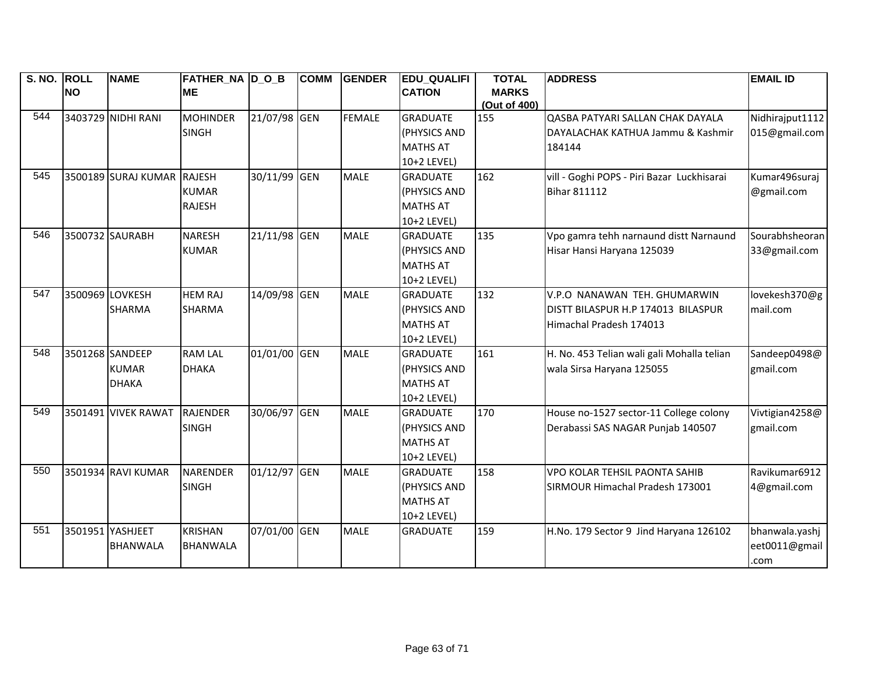| S. NO. ROLL |                 | <b>NAME</b>                | <b>FATHER_NA D_O_B</b> |              | <b>COMM</b> | GENDER        | <b>EDU_QUALIFI</b> | <b>TOTAL</b> | <b>ADDRESS</b>                             | <b>EMAIL ID</b> |
|-------------|-----------------|----------------------------|------------------------|--------------|-------------|---------------|--------------------|--------------|--------------------------------------------|-----------------|
|             | <b>NO</b>       |                            | <b>ME</b>              |              |             |               | <b>CATION</b>      | <b>MARKS</b> |                                            |                 |
|             |                 |                            |                        |              |             |               |                    | (Out of 400) |                                            |                 |
| 544         |                 | 3403729 NIDHI RANI         | <b>MOHINDER</b>        | 21/07/98 GEN |             | <b>FEMALE</b> | <b>GRADUATE</b>    | 155          | QASBA PATYARI SALLAN CHAK DAYALA           | Nidhirajput1112 |
|             |                 |                            | <b>SINGH</b>           |              |             |               | (PHYSICS AND       |              | DAYALACHAK KATHUA Jammu & Kashmir          | 015@gmail.com   |
|             |                 |                            |                        |              |             |               | <b>MATHS AT</b>    |              | 184144                                     |                 |
|             |                 |                            |                        |              |             |               | 10+2 LEVEL)        |              |                                            |                 |
| 545         |                 | 3500189 SURAJ KUMAR RAJESH |                        | 30/11/99 GEN |             | <b>MALE</b>   | <b>GRADUATE</b>    | 162          | vill - Goghi POPS - Piri Bazar Luckhisarai | Kumar496suraj   |
|             |                 |                            | <b>KUMAR</b>           |              |             |               | (PHYSICS AND       |              | <b>Bihar 811112</b>                        | @gmail.com      |
|             |                 |                            | <b>RAJESH</b>          |              |             |               | <b>MATHS AT</b>    |              |                                            |                 |
|             |                 |                            |                        |              |             |               | 10+2 LEVEL)        |              |                                            |                 |
| 546         |                 | 3500732 SAURABH            | <b>NARESH</b>          | 21/11/98 GEN |             | <b>MALE</b>   | <b>GRADUATE</b>    | 135          | Vpo gamra tehh narnaund distt Narnaund     | Sourabhsheoran  |
|             |                 |                            | <b>KUMAR</b>           |              |             |               | (PHYSICS AND       |              | Hisar Hansi Haryana 125039                 | 33@gmail.com    |
|             |                 |                            |                        |              |             |               | <b>MATHS AT</b>    |              |                                            |                 |
|             |                 |                            |                        |              |             |               | 10+2 LEVEL)        |              |                                            |                 |
| 547         | 3500969 LOVKESH |                            | <b>HEM RAJ</b>         | 14/09/98 GEN |             | <b>MALE</b>   | <b>GRADUATE</b>    | 132          | V.P.O NANAWAN TEH. GHUMARWIN               | lovekesh370@g   |
|             |                 | <b>SHARMA</b>              | <b>SHARMA</b>          |              |             |               | (PHYSICS AND       |              | DISTT BILASPUR H.P 174013 BILASPUR         | mail.com        |
|             |                 |                            |                        |              |             |               | <b>MATHS AT</b>    |              | Himachal Pradesh 174013                    |                 |
|             |                 |                            |                        |              |             |               | 10+2 LEVEL)        |              |                                            |                 |
| 548         | 3501268 SANDEEP |                            | <b>RAM LAL</b>         | 01/01/00 GEN |             | <b>MALE</b>   | <b>GRADUATE</b>    | 161          | H. No. 453 Telian wali gali Mohalla telian | Sandeep0498@    |
|             |                 | <b>KUMAR</b>               | <b>DHAKA</b>           |              |             |               | (PHYSICS AND       |              | wala Sirsa Haryana 125055                  | gmail.com       |
|             |                 | <b>DHAKA</b>               |                        |              |             |               | <b>MATHS AT</b>    |              |                                            |                 |
|             |                 |                            |                        |              |             |               | 10+2 LEVEL)        |              |                                            |                 |
| 549         |                 | 3501491 VIVEK RAWAT        | <b>RAJENDER</b>        | 30/06/97 GEN |             | <b>MALE</b>   | <b>GRADUATE</b>    | 170          | House no-1527 sector-11 College colony     | Vivtigian4258@  |
|             |                 |                            | <b>SINGH</b>           |              |             |               | (PHYSICS AND       |              | Derabassi SAS NAGAR Punjab 140507          | gmail.com       |
|             |                 |                            |                        |              |             |               | <b>MATHS AT</b>    |              |                                            |                 |
|             |                 |                            |                        |              |             |               | 10+2 LEVEL)        |              |                                            |                 |
| 550         |                 | 3501934 RAVI KUMAR         | <b>NARENDER</b>        | 01/12/97     | <b>GEN</b>  | <b>MALE</b>   | <b>GRADUATE</b>    | 158          | VPO KOLAR TEHSIL PAONTA SAHIB              | Ravikumar6912   |
|             |                 |                            | <b>SINGH</b>           |              |             |               | (PHYSICS AND       |              | SIRMOUR Himachal Pradesh 173001            | 4@gmail.com     |
|             |                 |                            |                        |              |             |               | <b>MATHS AT</b>    |              |                                            |                 |
|             |                 |                            |                        |              |             |               | 10+2 LEVEL)        |              |                                            |                 |
| 551         |                 | 3501951 YASHJEET           | <b>KRISHAN</b>         | 07/01/00 GEN |             | <b>MALE</b>   | <b>GRADUATE</b>    | 159          | H.No. 179 Sector 9 Jind Haryana 126102     | bhanwala.yashj  |
|             |                 | <b>BHANWALA</b>            | <b>BHANWALA</b>        |              |             |               |                    |              |                                            | eet0011@gmail   |
|             |                 |                            |                        |              |             |               |                    |              |                                            | .com            |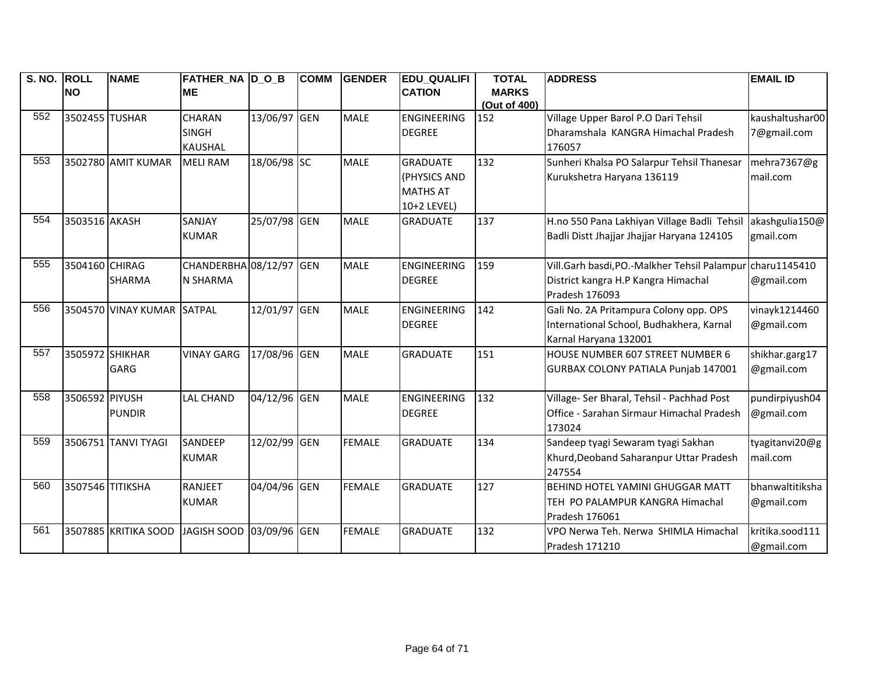| S. NO. | <b>ROLL</b>      | <b>NAME</b>                | <b>FATHER_NA D_O_B</b>   |              | <b>COMM</b> | <b>GENDER</b> | <b>EDU_QUALIFI</b> | <b>TOTAL</b> | <b>ADDRESS</b>                               | <b>EMAIL ID</b> |
|--------|------------------|----------------------------|--------------------------|--------------|-------------|---------------|--------------------|--------------|----------------------------------------------|-----------------|
|        | <b>NO</b>        |                            | <b>ME</b>                |              |             |               | <b>CATION</b>      | <b>MARKS</b> |                                              |                 |
|        |                  |                            |                          |              |             |               |                    | (Out of 400) |                                              |                 |
| 552    | 3502455 TUSHAR   |                            | <b>CHARAN</b>            | 13/06/97 GEN |             | <b>MALE</b>   | <b>ENGINEERING</b> | 152          | Village Upper Barol P.O Dari Tehsil          | kaushaltushar00 |
|        |                  |                            | <b>SINGH</b>             |              |             |               | <b>DEGREE</b>      |              | Dharamshala KANGRA Himachal Pradesh          | 7@gmail.com     |
|        |                  |                            | <b>KAUSHAL</b>           |              |             |               |                    |              | 176057                                       |                 |
| 553    |                  | 3502780 AMIT KUMAR         | <b>MELI RAM</b>          | 18/06/98 SC  |             | <b>MALE</b>   | <b>GRADUATE</b>    | 132          | Sunheri Khalsa PO Salarpur Tehsil Thanesar   | mehra7367@g     |
|        |                  |                            |                          |              |             |               | (PHYSICS AND       |              | Kurukshetra Haryana 136119                   | mail.com        |
|        |                  |                            |                          |              |             |               | <b>MATHS AT</b>    |              |                                              |                 |
|        |                  |                            |                          |              |             |               | 10+2 LEVEL)        |              |                                              |                 |
| 554    | 3503516 AKASH    |                            | SANJAY                   | 25/07/98 GEN |             | <b>MALE</b>   | <b>GRADUATE</b>    | 137          | H.no 550 Pana Lakhiyan Village Badli Tehsil  | akashgulia150@  |
|        |                  |                            | <b>KUMAR</b>             |              |             |               |                    |              | Badli Distt Jhajjar Jhajjar Haryana 124105   | gmail.com       |
|        |                  |                            |                          |              |             |               |                    |              |                                              |                 |
| 555    | 3504160 CHIRAG   |                            | CHANDERBHA 08/12/97 GEN  |              |             | <b>MALE</b>   | <b>ENGINEERING</b> | 159          | Vill.Garh basdi, PO.-Malkher Tehsil Palampur | charu1145410    |
|        |                  | <b>SHARMA</b>              | <b>N SHARMA</b>          |              |             |               | <b>DEGREE</b>      |              | District kangra H.P Kangra Himachal          | @gmail.com      |
|        |                  |                            |                          |              |             |               |                    |              | Pradesh 176093                               |                 |
| 556    |                  | 3504570 VINAY KUMAR SATPAL |                          | 12/01/97 GEN |             | <b>MALE</b>   | <b>ENGINEERING</b> | 142          | Gali No. 2A Pritampura Colony opp. OPS       | vinayk1214460   |
|        |                  |                            |                          |              |             |               | <b>DEGREE</b>      |              | International School, Budhakhera, Karnal     | @gmail.com      |
|        |                  |                            |                          |              |             |               |                    |              | Karnal Haryana 132001                        |                 |
| 557    | 3505972 SHIKHAR  |                            | <b>VINAY GARG</b>        | 17/08/96 GEN |             | <b>MALE</b>   | <b>GRADUATE</b>    | 151          | HOUSE NUMBER 607 STREET NUMBER 6             | shikhar.garg17  |
|        |                  | <b>GARG</b>                |                          |              |             |               |                    |              | GURBAX COLONY PATIALA Punjab 147001          | @gmail.com      |
|        |                  |                            |                          |              |             |               |                    |              |                                              |                 |
| 558    | 3506592 PIYUSH   |                            | <b>LAL CHAND</b>         | 04/12/96 GEN |             | <b>MALE</b>   | <b>ENGINEERING</b> | 132          | Village- Ser Bharal, Tehsil - Pachhad Post   | pundirpiyush04  |
|        |                  | <b>PUNDIR</b>              |                          |              |             |               | <b>DEGREE</b>      |              | Office - Sarahan Sirmaur Himachal Pradesh    | @gmail.com      |
|        |                  |                            |                          |              |             |               |                    |              | 173024                                       |                 |
| 559    |                  | 3506751 TANVI TYAGI        | SANDEEP                  | 12/02/99 GEN |             | <b>FEMALE</b> | <b>GRADUATE</b>    | 134          | Sandeep tyagi Sewaram tyagi Sakhan           | tyagitanvi20@g  |
|        |                  |                            | <b>KUMAR</b>             |              |             |               |                    |              | Khurd, Deoband Saharanpur Uttar Pradesh      | mail.com        |
|        |                  |                            |                          |              |             |               |                    |              | 247554                                       |                 |
| 560    | 3507546 TITIKSHA |                            | <b>RANJEET</b>           | 04/04/96 GEN |             | <b>FEMALE</b> | <b>GRADUATE</b>    | 127          | <b>BEHIND HOTEL YAMINI GHUGGAR MATT</b>      | bhanwaltitiksha |
|        |                  |                            | <b>KUMAR</b>             |              |             |               |                    |              | TEH PO PALAMPUR KANGRA Himachal              | @gmail.com      |
|        |                  |                            |                          |              |             |               |                    |              | Pradesh 176061                               |                 |
| 561    |                  | 3507885 KRITIKA SOOD       | JAGISH SOOD 03/09/96 GEN |              |             | <b>FEMALE</b> | <b>GRADUATE</b>    | 132          | VPO Nerwa Teh. Nerwa SHIMLA Himachal         | kritika.sood111 |
|        |                  |                            |                          |              |             |               |                    |              | Pradesh 171210                               | @gmail.com      |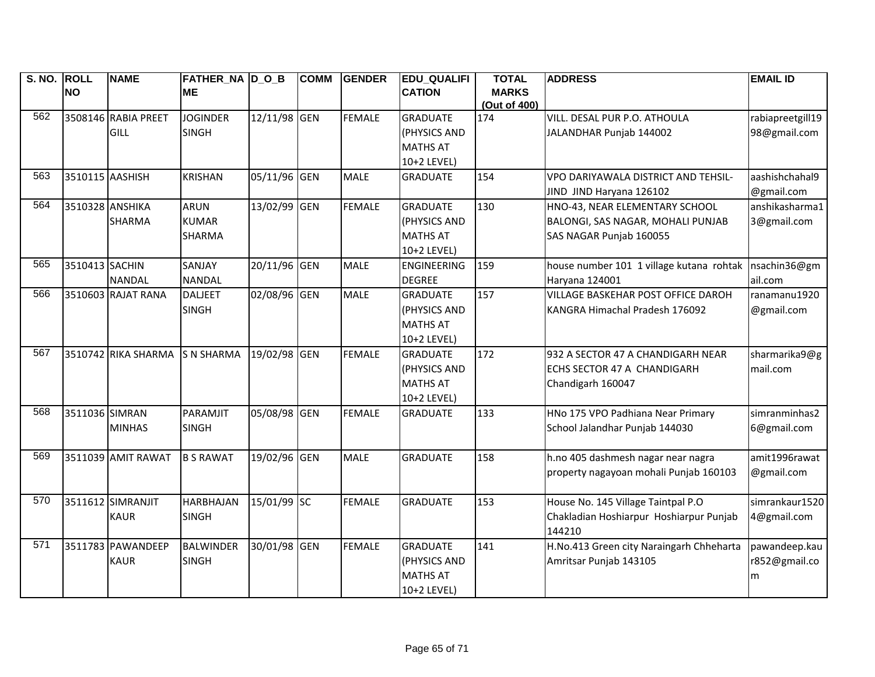| S. NO. ROLL |                 | <b>NAME</b>         | FATHER NA D O B   |              | <b>COMM</b> | <b>GENDER</b> | <b>EDU QUALIFI</b>         | <b>TOTAL</b>        | <b>ADDRESS</b>                            | <b>EMAIL ID</b>  |
|-------------|-----------------|---------------------|-------------------|--------------|-------------|---------------|----------------------------|---------------------|-------------------------------------------|------------------|
|             | <b>NO</b>       |                     | <b>ME</b>         |              |             |               | <b>CATION</b>              | <b>MARKS</b>        |                                           |                  |
| 562         |                 | 3508146 RABIA PREET | <b>JOGINDER</b>   | 12/11/98 GEN |             | <b>FEMALE</b> | <b>GRADUATE</b>            | (Out of 400)<br>174 | VILL. DESAL PUR P.O. ATHOULA              | rabiapreetgill19 |
|             |                 | <b>GILL</b>         | <b>SINGH</b>      |              |             |               | (PHYSICS AND               |                     | JALANDHAR Punjab 144002                   | 98@gmail.com     |
|             |                 |                     |                   |              |             |               | <b>MATHS AT</b>            |                     |                                           |                  |
|             |                 |                     |                   |              |             |               | 10+2 LEVEL)                |                     |                                           |                  |
| 563         | 3510115 AASHISH |                     | <b>KRISHAN</b>    | 05/11/96 GEN |             | <b>MALE</b>   | <b>GRADUATE</b>            | 154                 | VPO DARIYAWALA DISTRICT AND TEHSIL-       | aashishchahal9   |
|             |                 |                     |                   |              |             |               |                            |                     | JIND JIND Haryana 126102                  | @gmail.com       |
| 564         | 3510328 ANSHIKA |                     | <b>ARUN</b>       | 13/02/99 GEN |             | <b>FEMALE</b> | <b>GRADUATE</b>            | 130                 | HNO-43, NEAR ELEMENTARY SCHOOL            | anshikasharma1   |
|             |                 | <b>SHARMA</b>       | <b>KUMAR</b>      |              |             |               | (PHYSICS AND               |                     | BALONGI, SAS NAGAR, MOHALI PUNJAB         | 3@gmail.com      |
|             |                 |                     |                   |              |             |               | <b>MATHS AT</b>            |                     |                                           |                  |
|             |                 |                     | <b>SHARMA</b>     |              |             |               |                            |                     | SAS NAGAR Punjab 160055                   |                  |
| 565         | 3510413 SACHIN  |                     | SANJAY            | 20/11/96 GEN |             | <b>MALE</b>   | 10+2 LEVEL)<br>ENGINEERING | 159                 | house number 101 1 village kutana rohtak  | nsachin36@gm     |
|             |                 |                     |                   |              |             |               |                            |                     |                                           |                  |
| 566         |                 | <b>NANDAL</b>       | <b>NANDAL</b>     |              |             |               | <b>DEGREE</b>              |                     | Haryana 124001                            | ail.com          |
|             |                 | 3510603 RAJAT RANA  | <b>DALJEET</b>    | 02/08/96 GEN |             | <b>MALE</b>   | <b>GRADUATE</b>            | 157                 | <b>VILLAGE BASKEHAR POST OFFICE DAROH</b> | ranamanu1920     |
|             |                 |                     | <b>SINGH</b>      |              |             |               | (PHYSICS AND               |                     | KANGRA Himachal Pradesh 176092            | @gmail.com       |
|             |                 |                     |                   |              |             |               | <b>MATHS AT</b>            |                     |                                           |                  |
|             |                 |                     |                   |              |             |               | 10+2 LEVEL)                |                     |                                           |                  |
| 567         |                 | 3510742 RIKA SHARMA | <b>S N SHARMA</b> | 19/02/98 GEN |             | <b>FEMALE</b> | <b>GRADUATE</b>            | 172                 | 932 A SECTOR 47 A CHANDIGARH NEAR         | sharmarika9@g    |
|             |                 |                     |                   |              |             |               | (PHYSICS AND               |                     | ECHS SECTOR 47 A CHANDIGARH               | mail.com         |
|             |                 |                     |                   |              |             |               | <b>MATHS AT</b>            |                     | Chandigarh 160047                         |                  |
|             |                 |                     |                   |              |             |               | 10+2 LEVEL)                |                     |                                           |                  |
| 568         | 3511036 SIMRAN  |                     | PARAMJIT          | 05/08/98 GEN |             | <b>FEMALE</b> | <b>GRADUATE</b>            | 133                 | HNo 175 VPO Padhiana Near Primary         | simranminhas2    |
|             |                 | <b>MINHAS</b>       | <b>SINGH</b>      |              |             |               |                            |                     | School Jalandhar Punjab 144030            | 6@gmail.com      |
|             |                 |                     |                   |              |             |               |                            |                     |                                           |                  |
| 569         |                 | 3511039 AMIT RAWAT  | <b>B S RAWAT</b>  | 19/02/96 GEN |             | <b>MALE</b>   | <b>GRADUATE</b>            | 158                 | h.no 405 dashmesh nagar near nagra        | amit1996rawat    |
|             |                 |                     |                   |              |             |               |                            |                     | property nagayoan mohali Punjab 160103    | @gmail.com       |
|             |                 |                     |                   |              |             |               |                            |                     |                                           |                  |
| 570         |                 | 3511612 SIMRANJIT   | <b>HARBHAJAN</b>  | 15/01/99 SC  |             | <b>FEMALE</b> | <b>GRADUATE</b>            | 153                 | House No. 145 Village Taintpal P.O        | simrankaur1520   |
|             |                 | <b>KAUR</b>         | <b>SINGH</b>      |              |             |               |                            |                     | Chakladian Hoshiarpur Hoshiarpur Punjab   | 4@gmail.com      |
|             |                 |                     |                   |              |             |               |                            |                     | 144210                                    |                  |
| 571         |                 | 3511783 PAWANDEEP   | <b>BALWINDER</b>  | 30/01/98 GEN |             | <b>FEMALE</b> | <b>GRADUATE</b>            | 141                 | H.No.413 Green city Naraingarh Chheharta  | pawandeep.kau    |
|             |                 | <b>KAUR</b>         | <b>SINGH</b>      |              |             |               | (PHYSICS AND               |                     | Amritsar Punjab 143105                    | r852@gmail.co    |
|             |                 |                     |                   |              |             |               | <b>MATHS AT</b>            |                     |                                           | m                |
|             |                 |                     |                   |              |             |               | 10+2 LEVEL)                |                     |                                           |                  |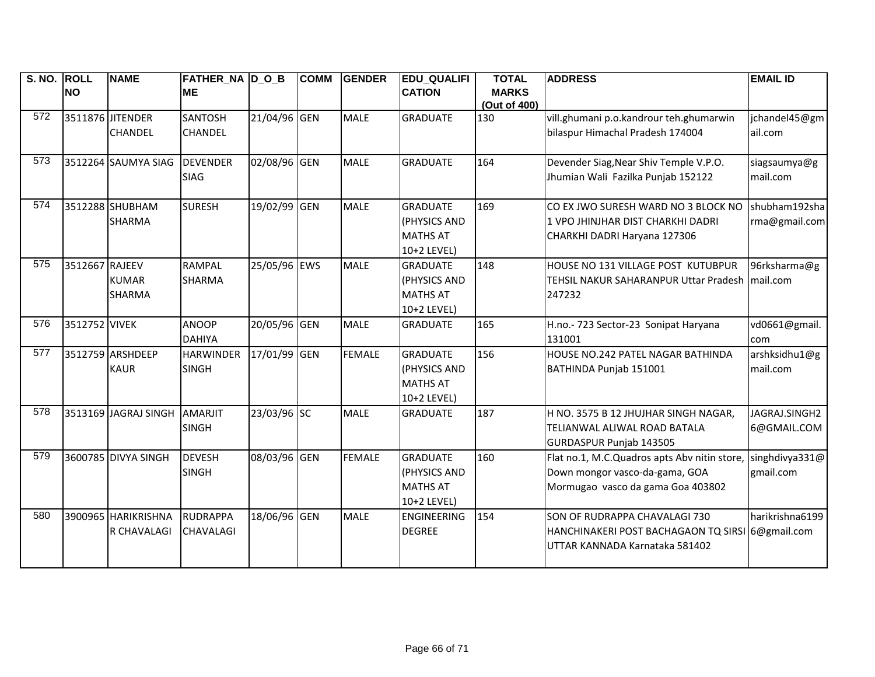| S. NO. ROLL      |                | <b>NAME</b>          | <b>FATHER_NA D_O_B</b> |              | <b>COMM</b> | <b>GENDER</b> | <b>EDU_QUALIFI</b> | <b>TOTAL</b>        | <b>ADDRESS</b>                                 | <b>EMAIL ID</b> |
|------------------|----------------|----------------------|------------------------|--------------|-------------|---------------|--------------------|---------------------|------------------------------------------------|-----------------|
|                  | <b>NO</b>      |                      | <b>ME</b>              |              |             |               | <b>CATION</b>      | <b>MARKS</b>        |                                                |                 |
| 572              |                | 3511876 JITENDER     | <b>SANTOSH</b>         | 21/04/96 GEN |             | <b>MALE</b>   | <b>GRADUATE</b>    | (Out of 400)<br>130 | vill.ghumani p.o.kandrour teh.ghumarwin        | jchandel45@gm   |
|                  |                |                      |                        |              |             |               |                    |                     |                                                |                 |
|                  |                | <b>CHANDEL</b>       | <b>CHANDEL</b>         |              |             |               |                    |                     | bilaspur Himachal Pradesh 174004               | ail.com         |
| $\overline{573}$ |                | 3512264 SAUMYA SIAG  | <b>DEVENDER</b>        | 02/08/96 GEN |             | <b>MALE</b>   | <b>GRADUATE</b>    | 164                 | Devender Siag, Near Shiv Temple V.P.O.         | siagsaumya@g    |
|                  |                |                      | <b>SIAG</b>            |              |             |               |                    |                     | Jhumian Wali Fazilka Punjab 152122             | mail.com        |
| 574              |                |                      |                        |              |             |               |                    |                     |                                                |                 |
|                  |                | 3512288 SHUBHAM      | <b>SURESH</b>          | 19/02/99     | <b>GEN</b>  | <b>MALE</b>   | <b>GRADUATE</b>    | 169                 | CO EX JWO SURESH WARD NO 3 BLOCK NO            | shubham192sha   |
|                  |                | <b>SHARMA</b>        |                        |              |             |               | (PHYSICS AND       |                     | 1 VPO JHINJHAR DIST CHARKHI DADRI              | rma@gmail.com   |
|                  |                |                      |                        |              |             |               | <b>MATHS AT</b>    |                     | CHARKHI DADRI Haryana 127306                   |                 |
|                  |                |                      |                        |              |             |               | 10+2 LEVEL)        |                     |                                                |                 |
| 575              | 3512667 RAJEEV |                      | <b>RAMPAL</b>          | 25/05/96 EWS |             | <b>MALE</b>   | <b>GRADUATE</b>    | 148                 | HOUSE NO 131 VILLAGE POST KUTUBPUR             | 96rksharma@g    |
|                  |                | <b>KUMAR</b>         | <b>SHARMA</b>          |              |             |               | (PHYSICS AND       |                     | TEHSIL NAKUR SAHARANPUR Uttar Pradesh mail.com |                 |
|                  |                | <b>SHARMA</b>        |                        |              |             |               | <b>MATHS AT</b>    |                     | 247232                                         |                 |
|                  |                |                      |                        |              |             |               | 10+2 LEVEL)        |                     |                                                |                 |
| 576              | 3512752 VIVEK  |                      | <b>ANOOP</b>           | 20/05/96 GEN |             | <b>MALE</b>   | <b>GRADUATE</b>    | 165                 | H.no.- 723 Sector-23 Sonipat Haryana           | vd0661@gmail.   |
|                  |                |                      | <b>DAHIYA</b>          |              |             |               |                    |                     | 131001                                         | com             |
| 577              |                | 3512759 ARSHDEEP     | <b>HARWINDER</b>       | 17/01/99 GEN |             | <b>FEMALE</b> | <b>GRADUATE</b>    | 156                 | HOUSE NO.242 PATEL NAGAR BATHINDA              | arshksidhu1@g   |
|                  |                | <b>KAUR</b>          | <b>SINGH</b>           |              |             |               | (PHYSICS AND       |                     | BATHINDA Punjab 151001                         | mail.com        |
|                  |                |                      |                        |              |             |               | <b>MATHS AT</b>    |                     |                                                |                 |
|                  |                |                      |                        |              |             |               | 10+2 LEVEL)        |                     |                                                |                 |
| 578              |                | 3513169 JAGRAJ SINGH | <b>AMARJIT</b>         | 23/03/96 SC  |             | <b>MALE</b>   | <b>GRADUATE</b>    | 187                 | H NO. 3575 B 12 JHUJHAR SINGH NAGAR,           | JAGRAJ.SINGH2   |
|                  |                |                      | <b>SINGH</b>           |              |             |               |                    |                     | TELIANWAL ALIWAL ROAD BATALA                   | 6@GMAIL.COM     |
|                  |                |                      |                        |              |             |               |                    |                     | GURDASPUR Punjab 143505                        |                 |
| 579              |                | 3600785 DIVYA SINGH  | <b>DEVESH</b>          | 08/03/96 GEN |             | <b>FEMALE</b> | <b>GRADUATE</b>    | 160                 | Flat no.1, M.C.Quadros apts Abv nitin store,   | singhdivya331@  |
|                  |                |                      | <b>SINGH</b>           |              |             |               | (PHYSICS AND       |                     | Down mongor vasco-da-gama, GOA                 | gmail.com       |
|                  |                |                      |                        |              |             |               | <b>MATHS AT</b>    |                     | Mormugao vasco da gama Goa 403802              |                 |
|                  |                |                      |                        |              |             |               | 10+2 LEVEL)        |                     |                                                |                 |
| 580              |                | 3900965 HARIKRISHNA  | <b>RUDRAPPA</b>        | 18/06/96 GEN |             | <b>MALE</b>   | <b>ENGINEERING</b> | 154                 | SON OF RUDRAPPA CHAVALAGI 730                  | harikrishna6199 |
|                  |                | <b>R CHAVALAGI</b>   | <b>CHAVALAGI</b>       |              |             |               | <b>DEGREE</b>      |                     | HANCHINAKERI POST BACHAGAON TQ SIRSI           | 6@gmail.com     |
|                  |                |                      |                        |              |             |               |                    |                     | UTTAR KANNADA Karnataka 581402                 |                 |
|                  |                |                      |                        |              |             |               |                    |                     |                                                |                 |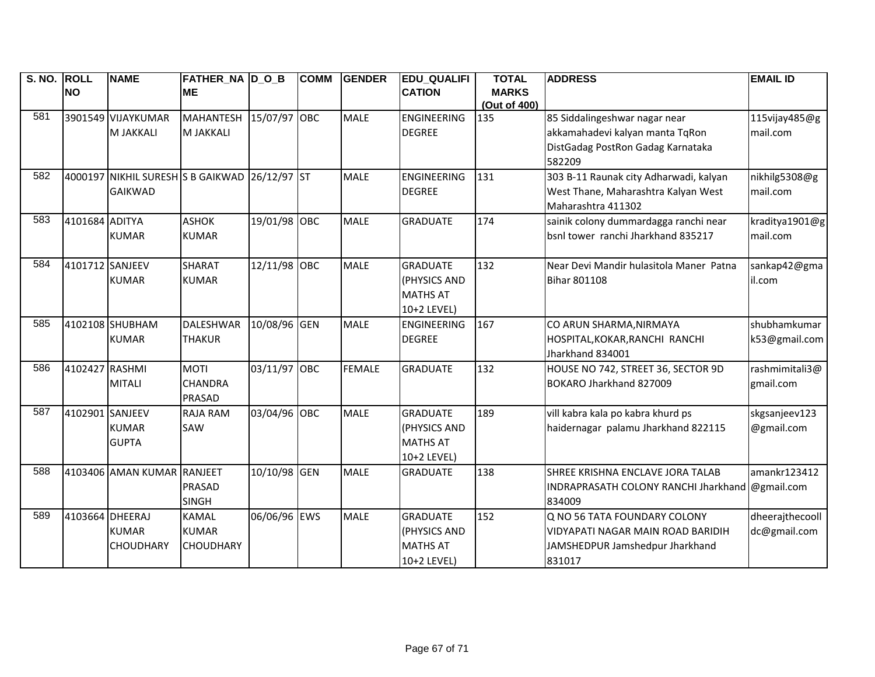| S. NO. ROLL |                 | <b>NAME</b>                                   | <b>FATHER_NA D_O_B</b> |              | <b>COMM</b> | <b>GENDER</b> | <b>EDU_QUALIFI</b> | <b>TOTAL</b> | <b>ADDRESS</b>                                  | <b>EMAIL ID</b> |
|-------------|-----------------|-----------------------------------------------|------------------------|--------------|-------------|---------------|--------------------|--------------|-------------------------------------------------|-----------------|
|             | <b>NO</b>       |                                               | <b>ME</b>              |              |             |               | <b>CATION</b>      | <b>MARKS</b> |                                                 |                 |
|             |                 |                                               |                        |              |             |               |                    | (Out of 400) |                                                 |                 |
| 581         |                 | 3901549 VIJAYKUMAR                            | <b>MAHANTESH</b>       | 15/07/97 OBC |             | <b>MALE</b>   | <b>ENGINEERING</b> | 135          | 85 Siddalingeshwar nagar near                   | 115vijay485@g   |
|             |                 | M JAKKALI                                     | <b>M JAKKALI</b>       |              |             |               | <b>DEGREE</b>      |              | akkamahadevi kalyan manta TqRon                 | mail.com        |
|             |                 |                                               |                        |              |             |               |                    |              | DistGadag PostRon Gadag Karnataka               |                 |
|             |                 |                                               |                        |              |             |               |                    |              | 582209                                          |                 |
| 582         |                 | 4000197 NIKHIL SURESH S B GAIKWAD 26/12/97 ST |                        |              |             | <b>MALE</b>   | <b>ENGINEERING</b> | 131          | 303 B-11 Raunak city Adharwadi, kalyan          | nikhilg5308@g   |
|             |                 | <b>GAIKWAD</b>                                |                        |              |             |               | <b>DEGREE</b>      |              | West Thane, Maharashtra Kalyan West             | mail.com        |
|             |                 |                                               |                        |              |             |               |                    |              | Maharashtra 411302                              |                 |
| 583         | 4101684 ADITYA  |                                               | <b>ASHOK</b>           | 19/01/98 OBC |             | <b>MALE</b>   | <b>GRADUATE</b>    | 174          | sainik colony dummardagga ranchi near           | kraditya1901@g  |
|             |                 | <b>KUMAR</b>                                  | <b>KUMAR</b>           |              |             |               |                    |              | bsnl tower ranchi Jharkhand 835217              | mail.com        |
|             |                 |                                               |                        |              |             |               |                    |              |                                                 |                 |
| 584         | 4101712 SANJEEV |                                               | <b>SHARAT</b>          | 12/11/98 OBC |             | <b>MALE</b>   | <b>GRADUATE</b>    | 132          | Near Devi Mandir hulasitola Maner Patna         | sankap42@gma    |
|             |                 | <b>KUMAR</b>                                  | <b>KUMAR</b>           |              |             |               | (PHYSICS AND       |              | <b>Bihar 801108</b>                             | il.com          |
|             |                 |                                               |                        |              |             |               | <b>MATHS AT</b>    |              |                                                 |                 |
|             |                 |                                               |                        |              |             |               | 10+2 LEVEL)        |              |                                                 |                 |
| 585         |                 | 4102108 SHUBHAM                               | <b>DALESHWAR</b>       | 10/08/96 GEN |             | <b>MALE</b>   | <b>ENGINEERING</b> | 167          | CO ARUN SHARMA, NIRMAYA                         | shubhamkumar    |
|             |                 | <b>KUMAR</b>                                  | <b>THAKUR</b>          |              |             |               | <b>DEGREE</b>      |              | HOSPITAL, KOKAR, RANCHI RANCHI                  | k53@gmail.com   |
|             |                 |                                               |                        |              |             |               |                    |              | Jharkhand 834001                                |                 |
| 586         | 4102427 RASHMI  |                                               | <b>MOTI</b>            | 03/11/97 OBC |             | <b>FEMALE</b> | <b>GRADUATE</b>    | 132          | HOUSE NO 742, STREET 36, SECTOR 9D              | rashmimitali3@  |
|             |                 | <b>MITALI</b>                                 | <b>CHANDRA</b>         |              |             |               |                    |              | BOKARO Jharkhand 827009                         | gmail.com       |
|             |                 |                                               | <b>PRASAD</b>          |              |             |               |                    |              |                                                 |                 |
| 587         | 4102901 SANJEEV |                                               | <b>RAJA RAM</b>        | 03/04/96 OBC |             | <b>MALE</b>   | <b>GRADUATE</b>    | 189          | vill kabra kala po kabra khurd ps               | skgsanjeev123   |
|             |                 | <b>KUMAR</b>                                  | SAW                    |              |             |               | (PHYSICS AND       |              | haidernagar palamu Jharkhand 822115             | @gmail.com      |
|             |                 | <b>GUPTA</b>                                  |                        |              |             |               | <b>MATHS AT</b>    |              |                                                 |                 |
|             |                 |                                               |                        |              |             |               | 10+2 LEVEL)        |              |                                                 |                 |
| 588         |                 | 4103406 AMAN KUMAR RANJEET                    |                        | 10/10/98 GEN |             | <b>MALE</b>   | <b>GRADUATE</b>    | 138          | SHREE KRISHNA ENCLAVE JORA TALAB                | amankr123412    |
|             |                 |                                               | <b>PRASAD</b>          |              |             |               |                    |              | INDRAPRASATH COLONY RANCHI Jharkhand @gmail.com |                 |
|             |                 |                                               | <b>SINGH</b>           |              |             |               |                    |              | 834009                                          |                 |
| 589         | 4103664 DHEERAJ |                                               | <b>KAMAL</b>           | 06/06/96 EWS |             | <b>MALE</b>   | <b>GRADUATE</b>    | 152          | Q NO 56 TATA FOUNDARY COLONY                    | dheerajthecooll |
|             |                 | <b>KUMAR</b>                                  | <b>KUMAR</b>           |              |             |               | (PHYSICS AND       |              | VIDYAPATI NAGAR MAIN ROAD BARIDIH               | dc@gmail.com    |
|             |                 | <b>CHOUDHARY</b>                              | <b>CHOUDHARY</b>       |              |             |               | <b>MATHS AT</b>    |              | JAMSHEDPUR Jamshedpur Jharkhand                 |                 |
|             |                 |                                               |                        |              |             |               | 10+2 LEVEL)        |              | 831017                                          |                 |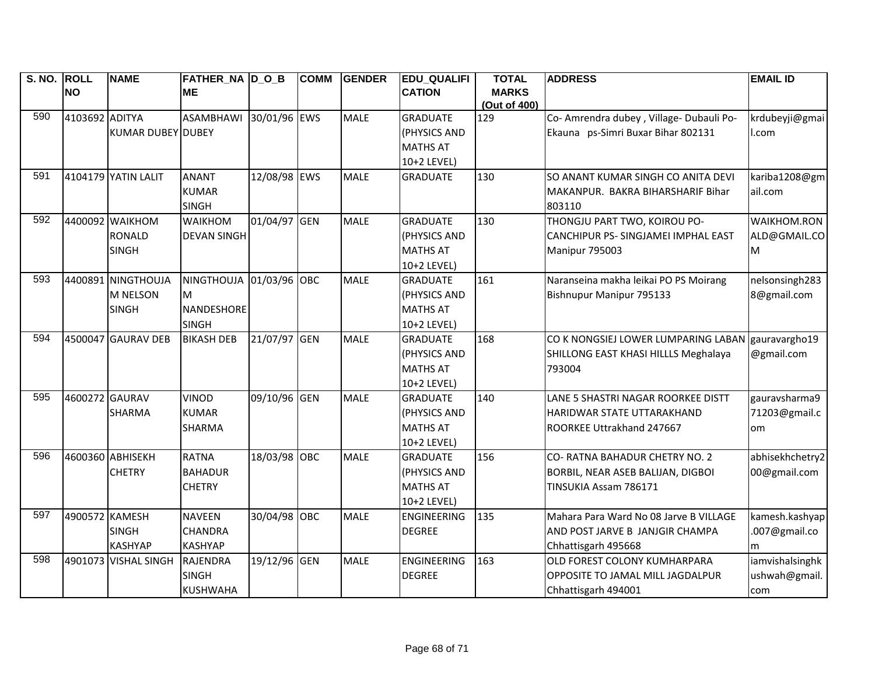| S. NO. ROLL | <b>NO</b>      | <b>NAME</b>              | FATHER NA D O B         |              | <b>COMM</b> | <b>GENDER</b> | <b>EDU QUALIFI</b><br><b>CATION</b> | <b>TOTAL</b><br><b>MARKS</b> | <b>ADDRESS</b>                           | <b>EMAIL ID</b> |
|-------------|----------------|--------------------------|-------------------------|--------------|-------------|---------------|-------------------------------------|------------------------------|------------------------------------------|-----------------|
|             |                |                          | <b>ME</b>               |              |             |               |                                     | (Out of 400)                 |                                          |                 |
| 590         | 4103692 ADITYA |                          | <b>ASAMBHAWI</b>        | 30/01/96 EWS |             | <b>MALE</b>   | <b>GRADUATE</b>                     | 129                          | Co- Amrendra dubey, Village- Dubauli Po- | krdubeyji@gmai  |
|             |                | <b>KUMAR DUBEY DUBEY</b> |                         |              |             |               | (PHYSICS AND                        |                              | Ekauna ps-Simri Buxar Bihar 802131       | I.com           |
|             |                |                          |                         |              |             |               | <b>MATHS AT</b>                     |                              |                                          |                 |
|             |                |                          |                         |              |             |               | 10+2 LEVEL)                         |                              |                                          |                 |
| 591         |                | 4104179 YATIN LALIT      | <b>ANANT</b>            | 12/08/98 EWS |             | <b>MALE</b>   | <b>GRADUATE</b>                     | 130                          | SO ANANT KUMAR SINGH CO ANITA DEVI       | kariba1208@gm   |
|             |                |                          | <b>KUMAR</b>            |              |             |               |                                     |                              | MAKANPUR. BAKRA BIHARSHARIF Bihar        | ail.com         |
|             |                |                          | <b>SINGH</b>            |              |             |               |                                     |                              | 803110                                   |                 |
| 592         |                | 4400092 WAIKHOM          | <b>WAIKHOM</b>          | 01/04/97 GEN |             | <b>MALE</b>   | <b>GRADUATE</b>                     | 130                          | THONGJU PART TWO, KOIROU PO-             | WAIKHOM.RON     |
|             |                | <b>RONALD</b>            | <b>DEVAN SINGH</b>      |              |             |               | (PHYSICS AND                        |                              | CANCHIPUR PS- SINGJAMEI IMPHAL EAST      | ALD@GMAIL.CO    |
|             |                | <b>SINGH</b>             |                         |              |             |               | <b>MATHS AT</b>                     |                              | Manipur 795003                           | M               |
|             |                |                          |                         |              |             |               | 10+2 LEVEL)                         |                              |                                          |                 |
| 593         |                | 4400891 NINGTHOUJA       | NINGTHOUJA 01/03/96 OBC |              |             | <b>MALE</b>   | <b>GRADUATE</b>                     | 161                          | Naranseina makha leikai PO PS Moirang    | nelsonsingh283  |
|             |                | <b>M NELSON</b>          | M                       |              |             |               | (PHYSICS AND                        |                              | Bishnupur Manipur 795133                 | 8@gmail.com     |
|             |                | <b>SINGH</b>             | NANDESHORE              |              |             |               | <b>MATHS AT</b>                     |                              |                                          |                 |
|             |                |                          | <b>SINGH</b>            |              |             |               | 10+2 LEVEL)                         |                              |                                          |                 |
| 594         |                | 4500047 GAURAV DEB       | <b>BIKASH DEB</b>       | 21/07/97 GEN |             | <b>MALE</b>   | <b>GRADUATE</b>                     | 168                          | CO K NONGSIEJ LOWER LUMPARING LABAN      | gauravargho19   |
|             |                |                          |                         |              |             |               | (PHYSICS AND                        |                              | SHILLONG EAST KHASI HILLLS Meghalaya     | @gmail.com      |
|             |                |                          |                         |              |             |               | <b>MATHS AT</b>                     |                              | 793004                                   |                 |
|             |                |                          |                         |              |             |               | 10+2 LEVEL)                         |                              |                                          |                 |
| 595         | 4600272 GAURAV |                          | <b>VINOD</b>            | 09/10/96 GEN |             | <b>MALE</b>   | <b>GRADUATE</b>                     | 140                          | LANE 5 SHASTRI NAGAR ROORKEE DISTT       | gauravsharma9   |
|             |                | <b>SHARMA</b>            | <b>KUMAR</b>            |              |             |               | (PHYSICS AND                        |                              | HARIDWAR STATE UTTARAKHAND               | 71203@gmail.c   |
|             |                |                          | <b>SHARMA</b>           |              |             |               | <b>MATHS AT</b>                     |                              | ROORKEE Uttrakhand 247667                | om              |
|             |                |                          |                         |              |             |               | 10+2 LEVEL)                         |                              |                                          |                 |
| 596         |                | 4600360 ABHISEKH         | <b>RATNA</b>            | 18/03/98 OBC |             | <b>MALE</b>   | <b>GRADUATE</b>                     | 156                          | <b>CO- RATNA BAHADUR CHETRY NO. 2</b>    | abhisekhchetry2 |
|             |                | <b>CHETRY</b>            | <b>BAHADUR</b>          |              |             |               | (PHYSICS AND                        |                              | BORBIL, NEAR ASEB BALIJAN, DIGBOI        | 00@gmail.com    |
|             |                |                          | <b>CHETRY</b>           |              |             |               | <b>MATHS AT</b>                     |                              | TINSUKIA Assam 786171                    |                 |
|             |                |                          |                         |              |             |               | 10+2 LEVEL)                         |                              |                                          |                 |
| 597         | 4900572 KAMESH |                          | <b>NAVEEN</b>           | 30/04/98 OBC |             | <b>MALE</b>   | <b>ENGINEERING</b>                  | 135                          | Mahara Para Ward No 08 Jarve B VILLAGE   | kamesh.kashyap  |
|             |                | <b>SINGH</b>             | <b>CHANDRA</b>          |              |             |               | <b>DEGREE</b>                       |                              | AND POST JARVE B JANJGIR CHAMPA          | .007@gmail.co   |
|             |                | <b>KASHYAP</b>           | <b>KASHYAP</b>          |              |             |               |                                     |                              | Chhattisgarh 495668                      | m               |
| 598         |                | 4901073 VISHAL SINGH     | RAJENDRA                | 19/12/96 GEN |             | <b>MALE</b>   | <b>ENGINEERING</b>                  | 163                          | OLD FOREST COLONY KUMHARPARA             | iamvishalsinghk |
|             |                |                          | <b>SINGH</b>            |              |             |               | <b>DEGREE</b>                       |                              | OPPOSITE TO JAMAL MILL JAGDALPUR         | ushwah@gmail.   |
|             |                |                          | <b>KUSHWAHA</b>         |              |             |               |                                     |                              | Chhattisgarh 494001                      | com             |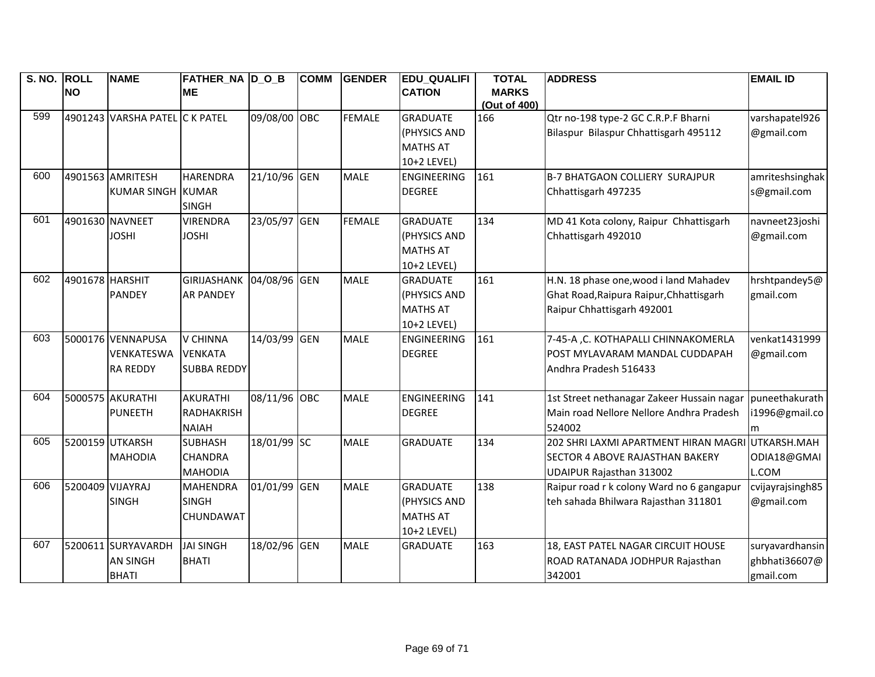| S. NO. ROLL |                  | <b>NAME</b>                    | <b>FATHER_NA D_O_B</b> |              | <b>COMM</b> | <b>GENDER</b> | <b>EDU_QUALIFI</b> | <b>TOTAL</b>        | <b>ADDRESS</b>                             | <b>EMAIL ID</b>  |
|-------------|------------------|--------------------------------|------------------------|--------------|-------------|---------------|--------------------|---------------------|--------------------------------------------|------------------|
|             | <b>NO</b>        |                                | <b>ME</b>              |              |             |               | <b>CATION</b>      | <b>MARKS</b>        |                                            |                  |
| 599         |                  | 4901243 VARSHA PATEL C K PATEL |                        | 09/08/00 OBC |             | <b>FEMALE</b> | <b>GRADUATE</b>    | (Out of 400)<br>166 | Qtr no-198 type-2 GC C.R.P.F Bharni        | varshapatel926   |
|             |                  |                                |                        |              |             |               | (PHYSICS AND       |                     | Bilaspur Bilaspur Chhattisgarh 495112      | @gmail.com       |
|             |                  |                                |                        |              |             |               | <b>MATHS AT</b>    |                     |                                            |                  |
|             |                  |                                |                        |              |             |               | 10+2 LEVEL)        |                     |                                            |                  |
| 600         |                  | 4901563 AMRITESH               | <b>HARENDRA</b>        | 21/10/96 GEN |             | <b>MALE</b>   | <b>ENGINEERING</b> | 161                 | <b>B-7 BHATGAON COLLIERY SURAJPUR</b>      | amriteshsinghak  |
|             |                  | KUMAR SINGH KUMAR              |                        |              |             |               | <b>DEGREE</b>      |                     | Chhattisgarh 497235                        | s@gmail.com      |
|             |                  |                                | <b>SINGH</b>           |              |             |               |                    |                     |                                            |                  |
| 601         |                  | 4901630 NAVNEET                | <b>VIRENDRA</b>        | 23/05/97 GEN |             | <b>FEMALE</b> | <b>GRADUATE</b>    | 134                 | MD 41 Kota colony, Raipur Chhattisgarh     | navneet23joshi   |
|             |                  | <b>JOSHI</b>                   | <b>JOSHI</b>           |              |             |               | (PHYSICS AND       |                     | Chhattisgarh 492010                        | @gmail.com       |
|             |                  |                                |                        |              |             |               | <b>MATHS AT</b>    |                     |                                            |                  |
|             |                  |                                |                        |              |             |               | 10+2 LEVEL)        |                     |                                            |                  |
| 602         | 4901678 HARSHIT  |                                | <b>GIRIJASHANK</b>     | 04/08/96 GEN |             | <b>MALE</b>   | <b>GRADUATE</b>    | 161                 | H.N. 18 phase one, wood i land Mahadev     | hrshtpandey5@    |
|             |                  | <b>PANDEY</b>                  | <b>AR PANDEY</b>       |              |             |               | (PHYSICS AND       |                     | Ghat Road, Raipura Raipur, Chhattisgarh    | gmail.com        |
|             |                  |                                |                        |              |             |               | <b>MATHS AT</b>    |                     | Raipur Chhattisgarh 492001                 |                  |
|             |                  |                                |                        |              |             |               | 10+2 LEVEL)        |                     |                                            |                  |
| 603         |                  | 5000176 VENNAPUSA              | <b>V CHINNA</b>        | 14/03/99 GEN |             | <b>MALE</b>   | <b>ENGINEERING</b> | 161                 | 7-45-A , C. KOTHAPALLI CHINNAKOMERLA       | venkat1431999    |
|             |                  | <b>VENKATESWA</b>              | <b>VENKATA</b>         |              |             |               | <b>DEGREE</b>      |                     | POST MYLAVARAM MANDAL CUDDAPAH             | @gmail.com       |
|             |                  | <b>RA REDDY</b>                | <b>SUBBA REDDY</b>     |              |             |               |                    |                     | Andhra Pradesh 516433                      |                  |
|             |                  |                                |                        |              |             |               |                    |                     |                                            |                  |
| 604         |                  | 5000575 AKURATHI               | <b>AKURATHI</b>        | 08/11/96 OBC |             | <b>MALE</b>   | <b>ENGINEERING</b> | 141                 | 1st Street nethanagar Zakeer Hussain nagar | puneethakurath   |
|             |                  | <b>PUNEETH</b>                 | <b>RADHAKRISH</b>      |              |             |               | <b>DEGREE</b>      |                     | Main road Nellore Nellore Andhra Pradesh   | i1996@gmail.co   |
|             |                  |                                | <b>NAIAH</b>           |              |             |               |                    |                     | 524002                                     | m                |
| 605         |                  | 5200159 UTKARSH                | <b>SUBHASH</b>         | 18/01/99 SC  |             | <b>MALE</b>   | <b>GRADUATE</b>    | 134                 | 202 SHRI LAXMI APARTMENT HIRAN MAGRI       | UTKARSH.MAH      |
|             |                  | <b>MAHODIA</b>                 | <b>CHANDRA</b>         |              |             |               |                    |                     | <b>SECTOR 4 ABOVE RAJASTHAN BAKERY</b>     | ODIA18@GMAI      |
|             |                  |                                | <b>MAHODIA</b>         |              |             |               |                    |                     | UDAIPUR Rajasthan 313002                   | L.COM            |
| 606         | 5200409 VIJAYRAJ |                                | <b>MAHENDRA</b>        | 01/01/99 GEN |             | <b>MALE</b>   | <b>GRADUATE</b>    | 138                 | Raipur road r k colony Ward no 6 gangapur  | cvijayrajsingh85 |
|             |                  | <b>SINGH</b>                   | <b>SINGH</b>           |              |             |               | (PHYSICS AND       |                     | teh sahada Bhilwara Rajasthan 311801       | @gmail.com       |
|             |                  |                                | <b>CHUNDAWAT</b>       |              |             |               | <b>MATHS AT</b>    |                     |                                            |                  |
|             |                  |                                |                        |              |             |               | 10+2 LEVEL)        |                     |                                            |                  |
| 607         |                  | 5200611 SURYAVARDH             | <b>JAI SINGH</b>       | 18/02/96 GEN |             | <b>MALE</b>   | <b>GRADUATE</b>    | 163                 | 18, EAST PATEL NAGAR CIRCUIT HOUSE         | suryavardhansin  |
|             |                  | <b>AN SINGH</b>                | <b>BHATI</b>           |              |             |               |                    |                     | ROAD RATANADA JODHPUR Rajasthan            | ghbhati36607@    |
|             |                  | <b>BHATI</b>                   |                        |              |             |               |                    |                     | 342001                                     | gmail.com        |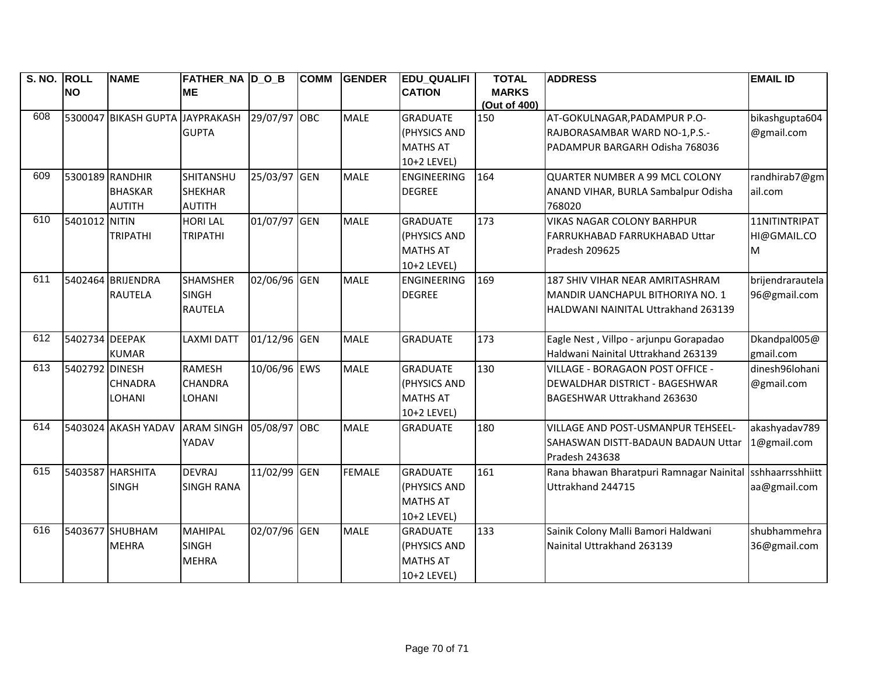| S. NO. ROLL |                 | <b>NAME</b>                     | <b>FATHER_NA D_O_B</b> |              | <b>COMM</b> | <b>GENDER</b> | <b>EDU_QUALIFI</b> | <b>TOTAL</b>        | <b>ADDRESS</b>                           | <b>EMAIL ID</b>  |
|-------------|-----------------|---------------------------------|------------------------|--------------|-------------|---------------|--------------------|---------------------|------------------------------------------|------------------|
|             | <b>NO</b>       |                                 | <b>ME</b>              |              |             |               | <b>CATION</b>      | <b>MARKS</b>        |                                          |                  |
| 608         |                 | 5300047 BIKASH GUPTA JAYPRAKASH |                        | 29/07/97 OBC |             | <b>MALE</b>   | <b>GRADUATE</b>    | (Out of 400)<br>150 | AT-GOKULNAGAR, PADAMPUR P.O-             | bikashgupta604   |
|             |                 |                                 | <b>GUPTA</b>           |              |             |               | (PHYSICS AND       |                     | RAJBORASAMBAR WARD NO-1, P.S.-           | @gmail.com       |
|             |                 |                                 |                        |              |             |               | <b>MATHS AT</b>    |                     | PADAMPUR BARGARH Odisha 768036           |                  |
|             |                 |                                 |                        |              |             |               | 10+2 LEVEL)        |                     |                                          |                  |
| 609         | 5300189 RANDHIR |                                 | SHITANSHU              | 25/03/97 GEN |             | <b>MALE</b>   | <b>ENGINEERING</b> | 164                 | QUARTER NUMBER A 99 MCL COLONY           | randhirab7@gm    |
|             |                 | <b>BHASKAR</b>                  | <b>SHEKHAR</b>         |              |             |               | <b>DEGREE</b>      |                     | ANAND VIHAR, BURLA Sambalpur Odisha      | ail.com          |
|             |                 | <b>AUTITH</b>                   | <b>AUTITH</b>          |              |             |               |                    |                     | 768020                                   |                  |
| 610         | 5401012 NITIN   |                                 | <b>HORI LAL</b>        | 01/07/97 GEN |             | <b>MALE</b>   | <b>GRADUATE</b>    | 173                 | <b>VIKAS NAGAR COLONY BARHPUR</b>        | 11NITINTRIPAT    |
|             |                 | <b>TRIPATHI</b>                 | <b>TRIPATHI</b>        |              |             |               | (PHYSICS AND       |                     | FARRUKHABAD FARRUKHABAD Uttar            | HI@GMAIL.CO      |
|             |                 |                                 |                        |              |             |               | <b>MATHS AT</b>    |                     | Pradesh 209625                           | м                |
|             |                 |                                 |                        |              |             |               | 10+2 LEVEL)        |                     |                                          |                  |
| 611         |                 | 5402464 BRIJENDRA               | <b>SHAMSHER</b>        | 02/06/96 GEN |             | <b>MALE</b>   | ENGINEERING        | 169                 | 187 SHIV VIHAR NEAR AMRITASHRAM          | brijendrarautela |
|             |                 | <b>RAUTELA</b>                  | <b>SINGH</b>           |              |             |               | <b>DEGREE</b>      |                     | MANDIR UANCHAPUL BITHORIYA NO. 1         | 96@gmail.com     |
|             |                 |                                 | <b>RAUTELA</b>         |              |             |               |                    |                     | HALDWANI NAINITAL Uttrakhand 263139      |                  |
|             |                 |                                 |                        |              |             |               |                    |                     |                                          |                  |
| 612         | 5402734 DEEPAK  |                                 | <b>LAXMI DATT</b>      | 01/12/96 GEN |             | <b>MALE</b>   | <b>GRADUATE</b>    | 173                 | Eagle Nest, Villpo - arjunpu Gorapadao   | Dkandpal005@     |
|             |                 | <b>KUMAR</b>                    |                        |              |             |               |                    |                     | Haldwani Nainital Uttrakhand 263139      | gmail.com        |
| 613         | 5402792 DINESH  |                                 | <b>RAMESH</b>          | 10/06/96 EWS |             | <b>MALE</b>   | <b>GRADUATE</b>    | 130                 | VILLAGE - BORAGAON POST OFFICE -         | dinesh96lohani   |
|             |                 | <b>CHNADRA</b>                  | <b>CHANDRA</b>         |              |             |               | (PHYSICS AND       |                     | <b>DEWALDHAR DISTRICT - BAGESHWAR</b>    | @gmail.com       |
|             |                 | <b>LOHANI</b>                   | LOHANI                 |              |             |               | <b>MATHS AT</b>    |                     | BAGESHWAR Uttrakhand 263630              |                  |
|             |                 |                                 |                        |              |             |               | 10+2 LEVEL)        |                     |                                          |                  |
| 614         |                 | 5403024 AKASH YADAV             | <b>ARAM SINGH</b>      | 05/08/97 OBC |             | <b>MALE</b>   | <b>GRADUATE</b>    | 180                 | VILLAGE AND POST-USMANPUR TEHSEEL-       | akashyadav789    |
|             |                 |                                 | YADAV                  |              |             |               |                    |                     | SAHASWAN DISTT-BADAUN BADAUN Uttar       | 1@gmail.com      |
|             |                 |                                 |                        |              |             |               |                    |                     | Pradesh 243638                           |                  |
| 615         |                 | 5403587 HARSHITA                | <b>DEVRAJ</b>          | 11/02/99 GEN |             | <b>FEMALE</b> | <b>GRADUATE</b>    | 161                 | Rana bhawan Bharatpuri Ramnagar Nainital | sshhaarrsshhiitt |
|             |                 | <b>SINGH</b>                    | <b>SINGH RANA</b>      |              |             |               | (PHYSICS AND       |                     | Uttrakhand 244715                        | aa@gmail.com     |
|             |                 |                                 |                        |              |             |               | <b>MATHS AT</b>    |                     |                                          |                  |
|             |                 |                                 |                        |              |             |               | 10+2 LEVEL)        |                     |                                          |                  |
| 616         |                 | 5403677 SHUBHAM                 | <b>MAHIPAL</b>         | 02/07/96 GEN |             | <b>MALE</b>   | <b>GRADUATE</b>    | 133                 | Sainik Colony Malli Bamori Haldwani      | shubhammehra     |
|             |                 | <b>MEHRA</b>                    | <b>SINGH</b>           |              |             |               | (PHYSICS AND       |                     | Nainital Uttrakhand 263139               | 36@gmail.com     |
|             |                 |                                 | <b>MEHRA</b>           |              |             |               | <b>MATHS AT</b>    |                     |                                          |                  |
|             |                 |                                 |                        |              |             |               | 10+2 LEVEL)        |                     |                                          |                  |